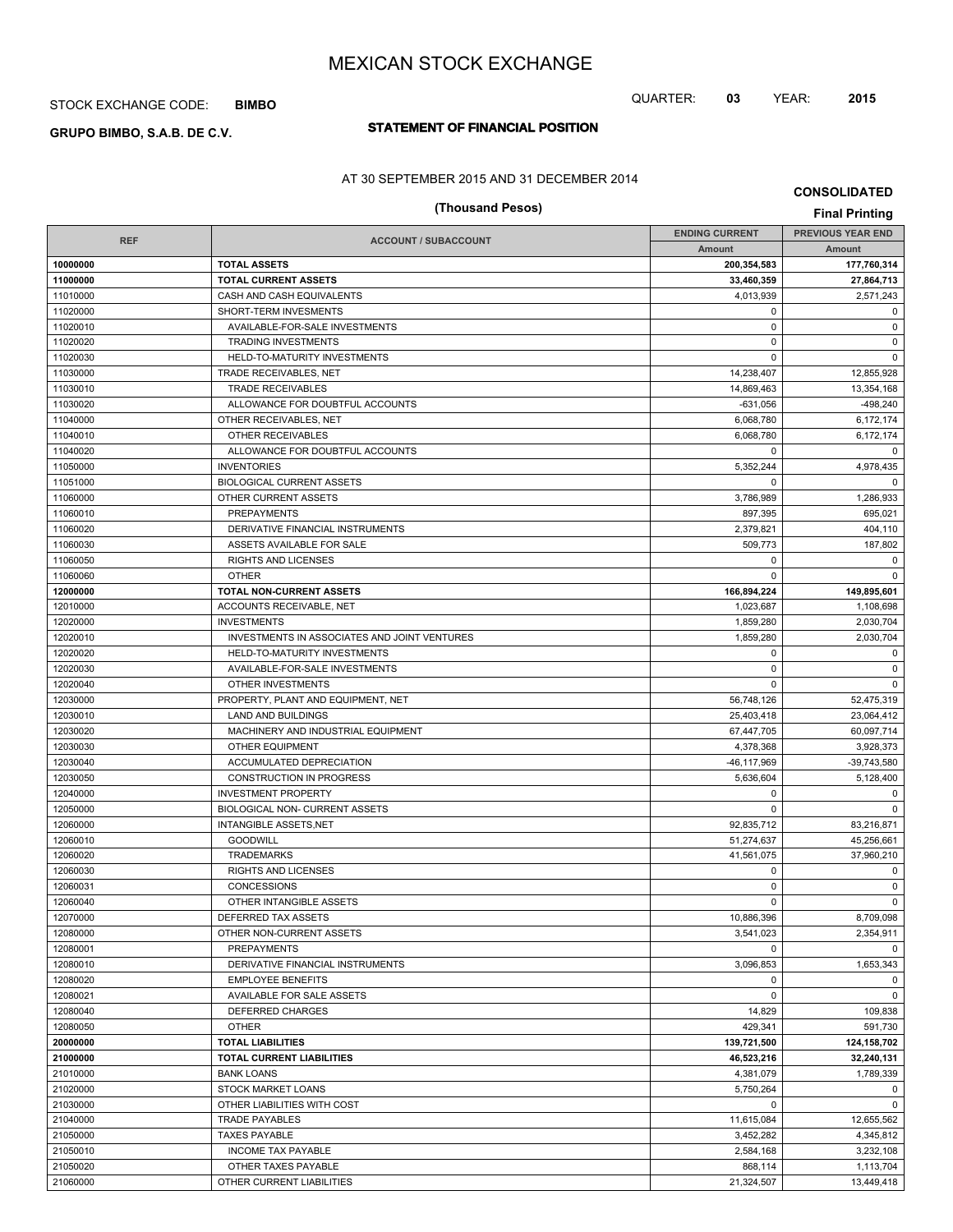## STOCK EXCHANGE CODE: **BIMBO**

# **STATEMENT OF FINANCIAL POSITION GRUPO BIMBO, S.A.B. DE C.V.**

## AT 30 SEPTEMBER 2015 AND 31 DECEMBER 2014

# **(Thousand Pesos) Final Printing**

**CONSOLIDATED**

|                      |                                                        | <b>ENDING CURRENT</b> | <b>PREVIOUS YEAR END</b> |
|----------------------|--------------------------------------------------------|-----------------------|--------------------------|
| <b>REF</b>           | <b>ACCOUNT / SUBACCOUNT</b>                            | Amount                | Amount                   |
| 10000000             | <b>TOTAL ASSETS</b>                                    | 200.354.583           | 177,760,314              |
| 11000000             | <b>TOTAL CURRENT ASSETS</b>                            | 33,460,359            | 27,864,713               |
| 11010000             | CASH AND CASH EQUIVALENTS                              | 4,013,939             | 2,571,243                |
| 11020000             | SHORT-TERM INVESMENTS                                  | $\mathbf 0$           | $\mathbf 0$              |
| 11020010             | AVAILABLE-FOR-SALE INVESTMENTS                         | $\mathbf 0$           | $\mathbf 0$              |
| 11020020             | <b>TRADING INVESTMENTS</b>                             | $\mathbf 0$           | $\mathbf 0$              |
| 11020030             | HELD-TO-MATURITY INVESTMENTS                           | $\mathbf 0$           | $\mathbf 0$              |
| 11030000             | TRADE RECEIVABLES, NET                                 | 14,238,407            | 12,855,928               |
| 11030010             | <b>TRADE RECEIVABLES</b>                               | 14,869,463            | 13,354,168               |
| 11030020             | ALLOWANCE FOR DOUBTFUL ACCOUNTS                        | $-631,056$            | $-498.240$               |
| 11040000             | OTHER RECEIVABLES, NET                                 | 6,068,780             | 6,172,174                |
| 11040010             | OTHER RECEIVABLES                                      | 6,068,780             | 6,172,174                |
| 11040020             | ALLOWANCE FOR DOUBTFUL ACCOUNTS                        | $\mathbf 0$           | 0                        |
| 11050000             | <b>INVENTORIES</b>                                     | 5,352,244             | 4,978,435                |
| 11051000             | <b>BIOLOGICAL CURRENT ASSETS</b>                       | $\mathbf 0$           | $\mathbf 0$              |
| 11060000             | OTHER CURRENT ASSETS                                   | 3,786,989             | 1,286,933                |
| 11060010             | <b>PREPAYMENTS</b>                                     | 897,395               | 695,021                  |
| 11060020             | DERIVATIVE FINANCIAL INSTRUMENTS                       | 2,379,821             | 404,110                  |
| 11060030             | ASSETS AVAILABLE FOR SALE                              | 509.773               | 187,802                  |
| 11060050             | RIGHTS AND LICENSES                                    | 0                     | $\mathbf 0$              |
| 11060060             | <b>OTHER</b>                                           | $\mathbf 0$           | $\Omega$                 |
| 12000000             | TOTAL NON-CURRENT ASSETS                               | 166,894,224           | 149,895,601              |
| 12010000             | ACCOUNTS RECEIVABLE, NET                               | 1,023,687             | 1,108,698                |
| 12020000             | <b>INVESTMENTS</b>                                     | 1,859,280             | 2,030,704                |
| 12020010             | INVESTMENTS IN ASSOCIATES AND JOINT VENTURES           | 1,859,280             | 2,030,704                |
| 12020020             | HELD-TO-MATURITY INVESTMENTS                           | $\mathbf 0$           | $\mathbf 0$              |
| 12020030             | AVAILABLE-FOR-SALE INVESTMENTS                         | $\mathbf 0$           | $\mathbf 0$              |
| 12020040             | OTHER INVESTMENTS                                      | $\mathbf 0$           | $\mathbf 0$              |
| 12030000             | PROPERTY, PLANT AND EQUIPMENT, NET                     | 56,748,126            | 52,475,319               |
| 12030010             | LAND AND BUILDINGS                                     | 25,403,418            | 23,064,412               |
| 12030020             | MACHINERY AND INDUSTRIAL EQUIPMENT                     | 67,447,705            | 60,097,714               |
| 12030030             | <b>OTHER EQUIPMENT</b>                                 | 4,378,368             | 3,928,373                |
| 12030040             | ACCUMULATED DEPRECIATION                               | -46,117,969           | $-39,743,580$            |
| 12030050             | <b>CONSTRUCTION IN PROGRESS</b>                        | 5,636,604             | 5,128,400                |
| 12040000             | <b>INVESTMENT PROPERTY</b>                             | $\mathbf 0$           | $\mathbf 0$              |
| 12050000             | BIOLOGICAL NON- CURRENT ASSETS                         | $\mathbf 0$           | $\Omega$                 |
| 12060000             | <b>INTANGIBLE ASSETS, NET</b>                          | 92,835,712            | 83,216,871               |
| 12060010             | <b>GOODWILL</b>                                        | 51,274,637            | 45,256,661               |
| 12060020             | <b>TRADEMARKS</b>                                      | 41,561,075            | 37,960,210               |
| 12060030             | <b>RIGHTS AND LICENSES</b>                             | $\mathbf 0$           | 0                        |
| 12060031             | CONCESSIONS                                            | 0                     | $\mathbf 0$              |
| 12060040             | OTHER INTANGIBLE ASSETS                                | $\mathbf 0$           | $\mathbf 0$              |
| 12070000             | DEFERRED TAX ASSETS                                    | 10,886,396            | 8,709,098                |
| 12080000             | OTHER NON-CURRENT ASSETS                               | 3,541,023             | 2,354,911                |
|                      |                                                        | $\Omega$              | $\mathbf 0$              |
| 12080001<br>12080010 | <b>PREPAYMENTS</b><br>DERIVATIVE FINANCIAL INSTRUMENTS | 3,096,853             | 1,653,343                |
| 12080020             |                                                        | 0                     | $\mathbf 0$              |
|                      | <b>EMPLOYEE BENEFITS</b>                               | $\mathbf 0$           | $\mathbf 0$              |
| 12080021             | AVAILABLE FOR SALE ASSETS<br><b>DEFERRED CHARGES</b>   |                       |                          |
| 12080040             |                                                        | 14,829                | 109,838                  |
| 12080050             | <b>OTHER</b>                                           | 429,341               | 591,730                  |
| 20000000<br>21000000 | <b>TOTAL LIABILITIES</b>                               | 139,721,500           | 124,158,702              |
|                      | <b>TOTAL CURRENT LIABILITIES</b>                       | 46,523,216            | 32,240,131               |
| 21010000             | <b>BANK LOANS</b>                                      | 4,381,079             | 1,789,339                |
| 21020000             | STOCK MARKET LOANS                                     | 5,750,264             | $\mathbf 0$              |
| 21030000             | OTHER LIABILITIES WITH COST                            | 0                     | $\mathbf 0$              |
| 21040000             | <b>TRADE PAYABLES</b>                                  | 11,615,084            | 12,655,562               |
| 21050000             | <b>TAXES PAYABLE</b>                                   | 3,452,282             | 4,345,812                |
| 21050010             | <b>INCOME TAX PAYABLE</b>                              | 2,584,168             | 3,232,108                |
| 21050020             | OTHER TAXES PAYABLE                                    | 868,114               | 1,113,704                |
| 21060000             | OTHER CURRENT LIABILITIES                              | 21,324,507            | 13,449,418               |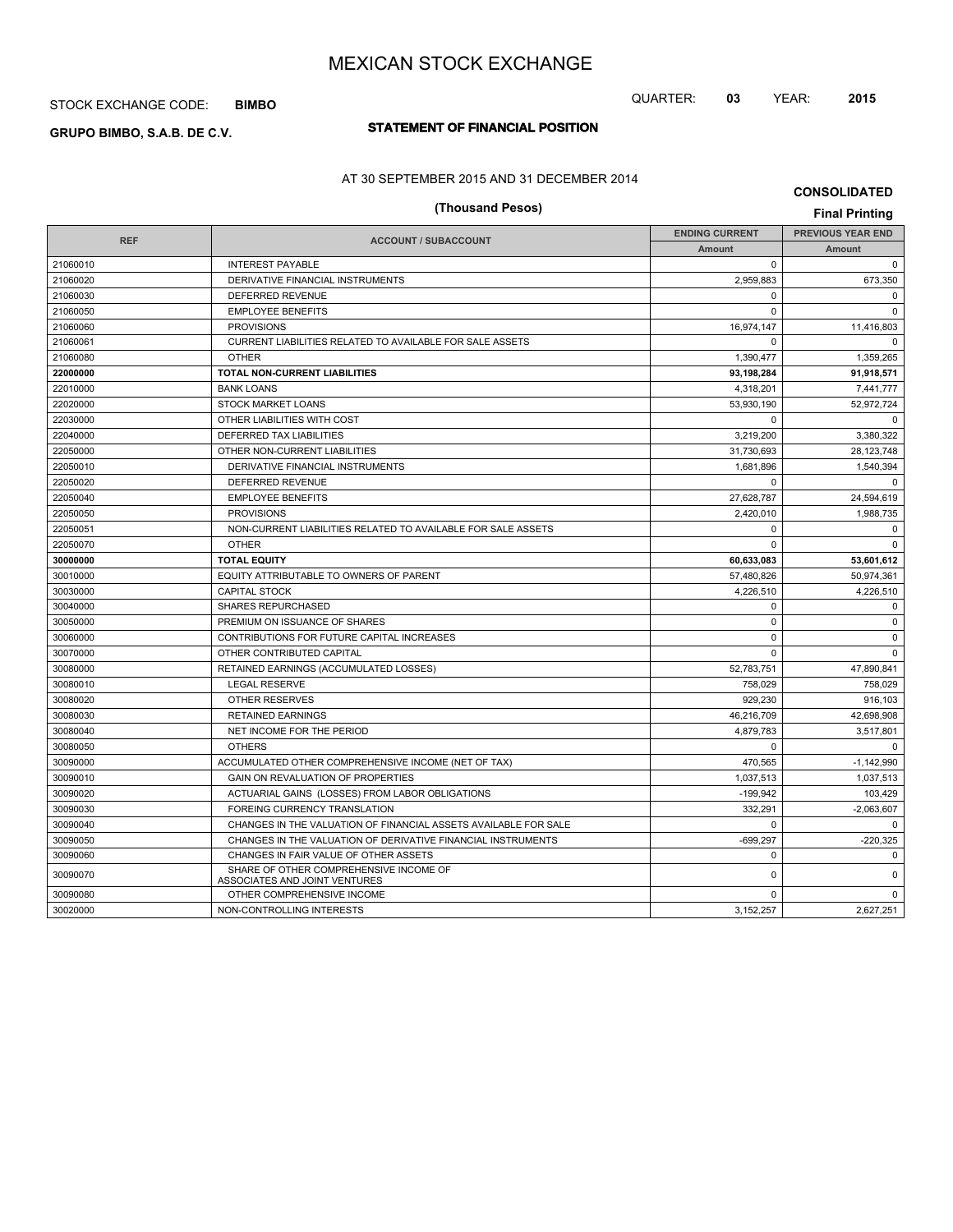## STOCK EXCHANGE CODE: **BIMBO**

# **STATEMENT OF FINANCIAL POSITION GRUPO BIMBO, S.A.B. DE C.V.**

AT 30 SEPTEMBER 2015 AND 31 DECEMBER 2014

# **CONSOLIDATED**

QUARTER: **03** YEAR: **2015**

| (Thousand Pesos)<br><b>Final Printing</b> |                                                                         |                       |                          |  |  |
|-------------------------------------------|-------------------------------------------------------------------------|-----------------------|--------------------------|--|--|
|                                           |                                                                         | <b>ENDING CURRENT</b> | <b>PREVIOUS YEAR END</b> |  |  |
| <b>REF</b>                                | <b>ACCOUNT / SUBACCOUNT</b>                                             | Amount                | Amount                   |  |  |
| 21060010                                  | <b>INTEREST PAYABLE</b>                                                 | 0                     | $\mathbf 0$              |  |  |
| 21060020                                  | DERIVATIVE FINANCIAL INSTRUMENTS                                        | 2,959,883             | 673.350                  |  |  |
| 21060030                                  | <b>DEFERRED REVENUE</b>                                                 | 0                     | $\Omega$                 |  |  |
| 21060050                                  | <b>EMPLOYEE BENEFITS</b>                                                | $\mathbf 0$           | $\mathbf 0$              |  |  |
| 21060060                                  | <b>PROVISIONS</b>                                                       | 16,974,147            | 11,416,803               |  |  |
| 21060061                                  | CURRENT LIABILITIES RELATED TO AVAILABLE FOR SALE ASSETS                | $\Omega$              | $\Omega$                 |  |  |
| 21060080                                  | <b>OTHER</b>                                                            | 1,390,477             | 1,359,265                |  |  |
| 22000000                                  | TOTAL NON-CURRENT LIABILITIES                                           | 93,198,284            | 91,918,571               |  |  |
| 22010000                                  | <b>BANK LOANS</b>                                                       | 4,318,201             | 7,441,777                |  |  |
| 22020000                                  | <b>STOCK MARKET LOANS</b>                                               | 53,930,190            | 52,972,724               |  |  |
| 22030000                                  | OTHER LIABILITIES WITH COST                                             | 0                     | $\Omega$                 |  |  |
| 22040000                                  | <b>DEFERRED TAX LIABILITIES</b>                                         | 3,219,200             | 3,380,322                |  |  |
| 22050000                                  | OTHER NON-CURRENT LIABILITIES                                           | 31,730,693            | 28.123.748               |  |  |
| 22050010                                  | DERIVATIVE FINANCIAL INSTRUMENTS                                        | 1,681,896             | 1,540,394                |  |  |
| 22050020                                  | DEFERRED REVENUE                                                        | $\Omega$              | $\Omega$                 |  |  |
| 22050040                                  | <b>EMPLOYEE BENEFITS</b>                                                | 27,628,787            | 24,594,619               |  |  |
| 22050050                                  | <b>PROVISIONS</b>                                                       | 2,420,010             | 1,988,735                |  |  |
| 22050051                                  | NON-CURRENT LIABILITIES RELATED TO AVAILABLE FOR SALE ASSETS            | $\Omega$              | $\mathbf 0$              |  |  |
| 22050070                                  | <b>OTHER</b>                                                            | $\Omega$              | $\Omega$                 |  |  |
| 30000000                                  | <b>TOTAL EQUITY</b>                                                     | 60,633,083            | 53,601,612               |  |  |
| 30010000                                  | EQUITY ATTRIBUTABLE TO OWNERS OF PARENT                                 | 57,480,826            | 50,974,361               |  |  |
| 30030000                                  | <b>CAPITAL STOCK</b>                                                    | 4,226,510             | 4,226,510                |  |  |
| 30040000                                  | <b>SHARES REPURCHASED</b>                                               | 0                     | $\mathbf 0$              |  |  |
| 30050000                                  | PREMIUM ON ISSUANCE OF SHARES                                           | 0                     | $\mathsf 0$              |  |  |
| 30060000                                  | CONTRIBUTIONS FOR FUTURE CAPITAL INCREASES                              | $\Omega$              | $\mathbf 0$              |  |  |
| 30070000                                  | OTHER CONTRIBUTED CAPITAL                                               | 0                     | $\Omega$                 |  |  |
| 30080000                                  | RETAINED EARNINGS (ACCUMULATED LOSSES)                                  | 52,783,751            | 47,890,841               |  |  |
| 30080010                                  | <b>LEGAL RESERVE</b>                                                    | 758,029               | 758,029                  |  |  |
| 30080020                                  | <b>OTHER RESERVES</b>                                                   | 929.230               | 916.103                  |  |  |
| 30080030                                  | <b>RETAINED EARNINGS</b>                                                | 46,216,709            | 42,698,908               |  |  |
| 30080040                                  | NET INCOME FOR THE PERIOD                                               | 4.879.783             | 3.517.801                |  |  |
| 30080050                                  | <b>OTHERS</b>                                                           | 0                     | $\Omega$                 |  |  |
| 30090000                                  | ACCUMULATED OTHER COMPREHENSIVE INCOME (NET OF TAX)                     | 470.565               | $-1,142,990$             |  |  |
| 30090010                                  | GAIN ON REVALUATION OF PROPERTIES                                       | 1,037,513             | 1,037,513                |  |  |
| 30090020                                  | ACTUARIAL GAINS (LOSSES) FROM LABOR OBLIGATIONS                         | $-199.942$            | 103,429                  |  |  |
| 30090030                                  | FOREING CURRENCY TRANSLATION                                            | 332,291               | $-2,063,607$             |  |  |
| 30090040                                  | CHANGES IN THE VALUATION OF FINANCIAL ASSETS AVAILABLE FOR SALE         | 0                     | $\mathbf 0$              |  |  |
| 30090050                                  | CHANGES IN THE VALUATION OF DERIVATIVE FINANCIAL INSTRUMENTS            | $-699,297$            | $-220,325$               |  |  |
| 30090060                                  | CHANGES IN FAIR VALUE OF OTHER ASSETS                                   | 0                     | $\mathbf 0$              |  |  |
| 30090070                                  | SHARE OF OTHER COMPREHENSIVE INCOME OF<br>ASSOCIATES AND JOINT VENTURES | 0                     | $\mathbf 0$              |  |  |
| 30090080                                  | OTHER COMPREHENSIVE INCOME                                              | $\mathbf 0$           | $\mathbf 0$              |  |  |
| 30020000                                  | NON-CONTROLLING INTERESTS                                               | 3.152.257             | 2.627.251                |  |  |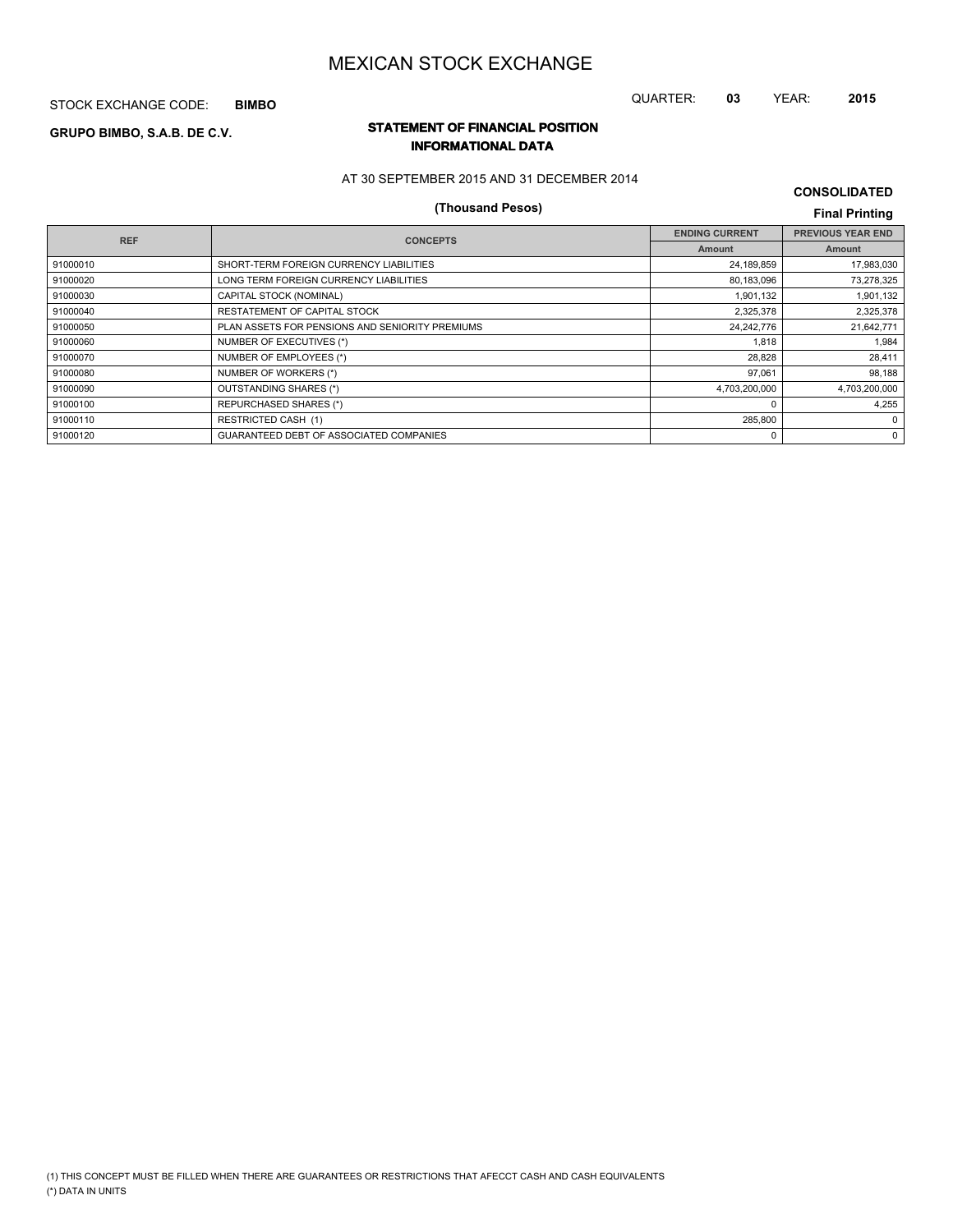STOCK EXCHANGE CODE: **BIMBO**

# **STATEMENT OF FINANCIAL POSITION GRUPO BIMBO, S.A.B. DE C.V.**

# **INFORMATIONAL DATA**

AT 30 SEPTEMBER 2015 AND 31 DECEMBER 2014

# **(Thousand Pesos) Final Printing**

**CONSOLIDATED**

QUARTER: **03** YEAR: **2015**

| <b>REF</b> | <b>CONCEPTS</b>                                 | <b>ENDING CURRENT</b> | <b>PREVIOUS YEAR END</b> |
|------------|-------------------------------------------------|-----------------------|--------------------------|
|            |                                                 | <b>Amount</b>         | Amount                   |
| 91000010   | SHORT-TERM FOREIGN CURRENCY LIABILITIES         | 24,189,859            | 17,983,030               |
| 91000020   | LONG TERM FOREIGN CURRENCY LIABILITIES          | 80,183,096            | 73,278,325               |
| 91000030   | CAPITAL STOCK (NOMINAL)                         | 1,901,132             | 1,901,132                |
| 91000040   | RESTATEMENT OF CAPITAL STOCK                    | 2,325,378             | 2,325,378                |
| 91000050   | PLAN ASSETS FOR PENSIONS AND SENIORITY PREMIUMS | 24,242,776            | 21,642,771               |
| 91000060   | NUMBER OF EXECUTIVES (*)                        | 1.818                 | 1,984                    |
| 91000070   | NUMBER OF EMPLOYEES (*)                         | 28.828                | 28,411                   |
| 91000080   | NUMBER OF WORKERS (*)                           | 97,061                | 98,188                   |
| 91000090   | OUTSTANDING SHARES (*)                          | 4,703,200,000         | 4,703,200,000            |
| 91000100   | <b>REPURCHASED SHARES (*)</b>                   | 0                     | 4.255                    |
| 91000110   | <b>RESTRICTED CASH (1)</b>                      | 285,800               | $\mathbf 0$              |
| 91000120   | GUARANTEED DEBT OF ASSOCIATED COMPANIES         | 0                     | $\mathbf{0}$             |
|            |                                                 |                       |                          |

#### (\*) DATA IN UNITS (1) THIS CONCEPT MUST BE FILLED WHEN THERE ARE GUARANTEES OR RESTRICTIONS THAT AFECCT CASH AND CASH EQUIVALENTS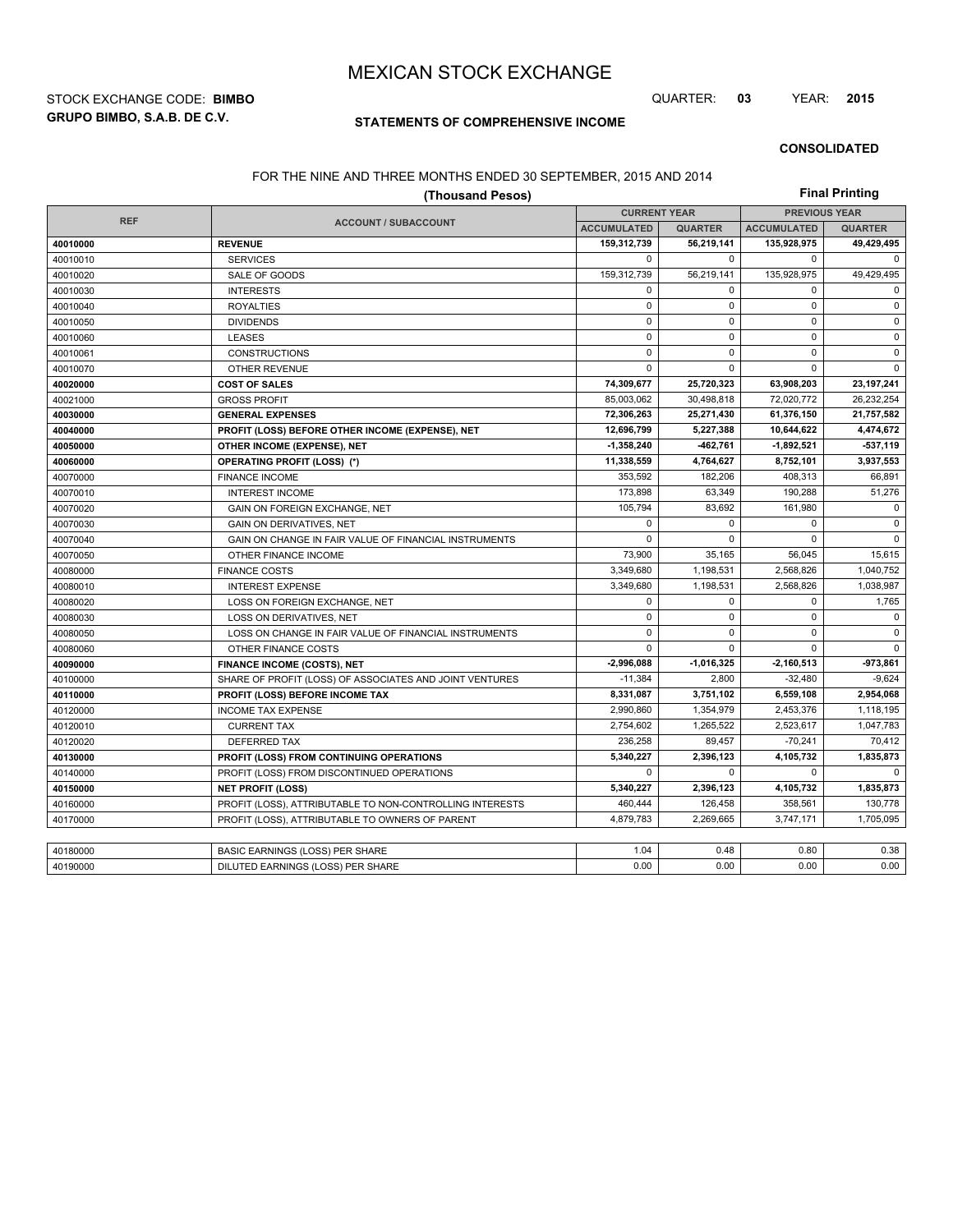**GRUPO BIMBO, S.A.B. DE C.V.** STOCK EXCHANGE CODE: **BIMBO** QUARTER: **03** YEAR: **2015**

## **STATEMENTS OF COMPREHENSIVE INCOME**

#### **CONSOLIDATED**

## FOR THE NINE AND THREE MONTHS ENDED 30 SEPTEMBER, 2015 AND 2014

| (Thousand Pesos) |                                                          |                    |                                             |                    | <b>Final Printing</b> |  |  |
|------------------|----------------------------------------------------------|--------------------|---------------------------------------------|--------------------|-----------------------|--|--|
| <b>REF</b>       |                                                          |                    | <b>PREVIOUS YEAR</b><br><b>CURRENT YEAR</b> |                    |                       |  |  |
|                  | <b>ACCOUNT / SUBACCOUNT</b>                              | <b>ACCUMULATED</b> | <b>QUARTER</b>                              | <b>ACCUMULATED</b> | <b>QUARTER</b>        |  |  |
| 40010000         | <b>REVENUE</b>                                           | 159,312,739        | 56,219,141                                  | 135,928,975        | 49,429,495            |  |  |
| 40010010         | <b>SERVICES</b>                                          | $\mathbf 0$        | $\Omega$                                    | $\mathbf 0$        | $\mathbf 0$           |  |  |
| 40010020         | SALE OF GOODS                                            | 159,312,739        | 56,219,141                                  | 135,928,975        | 49,429,495            |  |  |
| 40010030         | <b>INTERESTS</b>                                         | $\mathbf 0$        | $\mathbf 0$                                 | 0                  | 0                     |  |  |
| 40010040         | <b>ROYALTIES</b>                                         | $\mathsf 0$        | 0                                           | 0                  | $\mathsf 0$           |  |  |
| 40010050         | <b>DIVIDENDS</b>                                         | $\mathbf 0$        | $\mathbf 0$                                 | $\mathbf 0$        | $\pmb{0}$             |  |  |
| 40010060         | <b>LEASES</b>                                            | $\mathsf 0$        | $\mathbf 0$                                 | 0                  | 0                     |  |  |
| 40010061         | <b>CONSTRUCTIONS</b>                                     | $\mathbf 0$        | $\mathbf 0$                                 | $\mathbf 0$        | 0                     |  |  |
| 40010070         | <b>OTHER REVENUE</b>                                     | $\mathbf 0$        | $\mathbf 0$                                 | 0                  | $\mathbf 0$           |  |  |
| 40020000         | <b>COST OF SALES</b>                                     | 74,309,677         | 25,720,323                                  | 63,908,203         | 23, 197, 241          |  |  |
| 40021000         | <b>GROSS PROFIT</b>                                      | 85,003,062         | 30,498,818                                  | 72,020,772         | 26,232,254            |  |  |
| 40030000         | <b>GENERAL EXPENSES</b>                                  | 72,306,263         | 25,271,430                                  | 61,376,150         | 21,757,582            |  |  |
| 40040000         | PROFIT (LOSS) BEFORE OTHER INCOME (EXPENSE), NET         | 12,696,799         | 5,227,388                                   | 10,644,622         | 4,474,672             |  |  |
| 40050000         | OTHER INCOME (EXPENSE), NET                              | 1,358,240          | -462,761                                    | $-1,892,521$       | $-537,119$            |  |  |
| 40060000         | <b>OPERATING PROFIT (LOSS) (*)</b>                       | 11,338,559         | 4,764,627                                   | 8,752,101          | 3,937,553             |  |  |
| 40070000         | <b>FINANCE INCOME</b>                                    | 353,592            | 182,206                                     | 408,313            | 66,891                |  |  |
| 40070010         | <b>INTEREST INCOME</b>                                   | 173,898            | 63,349                                      | 190,288            | 51,276                |  |  |
| 40070020         | GAIN ON FOREIGN EXCHANGE, NET                            | 105,794            | 83,692                                      | 161,980            | 0                     |  |  |
| 40070030         | <b>GAIN ON DERIVATIVES, NET</b>                          | $\mathbf 0$        | 0                                           | $\mathbf 0$        | 0                     |  |  |
| 40070040         | GAIN ON CHANGE IN FAIR VALUE OF FINANCIAL INSTRUMENTS    | $\Omega$           | $\Omega$                                    | $\Omega$           | $\mathbf{0}$          |  |  |
| 40070050         | OTHER FINANCE INCOME                                     | 73,900             | 35,165                                      | 56,045             | 15,615                |  |  |
| 40080000         | <b>FINANCE COSTS</b>                                     | 3,349,680          | 1,198,531                                   | 2,568,826          | 1,040,752             |  |  |
| 40080010         | <b>INTEREST EXPENSE</b>                                  | 3,349,680          | 1,198,531                                   | 2,568,826          | 1,038,987             |  |  |
| 40080020         | LOSS ON FOREIGN EXCHANGE, NET                            | $\mathbf 0$        | $\mathbf 0$                                 | $\mathbf 0$        | 1,765                 |  |  |
| 40080030         | LOSS ON DERIVATIVES, NET                                 | $\mathbf 0$        | $\mathbf 0$                                 | 0                  | 0                     |  |  |
| 40080050         | LOSS ON CHANGE IN FAIR VALUE OF FINANCIAL INSTRUMENTS    | $\mathbf 0$        | $\Omega$                                    | $\Omega$           | $\mathbf 0$           |  |  |
| 40080060         | OTHER FINANCE COSTS                                      | $\mathbf 0$        | $\mathbf 0$                                 | 0                  | 0                     |  |  |
| 40090000         | FINANCE INCOME (COSTS), NET                              | -2,996,088         | $-1,016,325$                                | $-2,160,513$       | -973,861              |  |  |
| 40100000         | SHARE OF PROFIT (LOSS) OF ASSOCIATES AND JOINT VENTURES  | $-11,384$          | 2,800                                       | $-32,480$          | $-9,624$              |  |  |
| 40110000         | PROFIT (LOSS) BEFORE INCOME TAX                          | 8,331,087          | 3,751,102                                   | 6,559,108          | 2,954,068             |  |  |
| 40120000         | <b>INCOME TAX EXPENSE</b>                                | 2,990,860          | 1,354,979                                   | 2,453,376          | 1,118,195             |  |  |
| 40120010         | <b>CURRENT TAX</b>                                       | 2,754,602          | 1,265,522                                   | 2,523,617          | 1,047,783             |  |  |
| 40120020         | <b>DEFERRED TAX</b>                                      | 236,258            | 89,457                                      | $-70,241$          | 70,412                |  |  |
| 40130000         | PROFIT (LOSS) FROM CONTINUING OPERATIONS                 | 5,340,227          | 2,396,123                                   | 4,105,732          | 1,835,873             |  |  |
| 40140000         | PROFIT (LOSS) FROM DISCONTINUED OPERATIONS               | $\mathbf 0$        | $\mathbf 0$                                 | 0                  | $\mathbf 0$           |  |  |
| 40150000         | <b>NET PROFIT (LOSS)</b>                                 | 5,340,227          | 2,396,123                                   | 4,105,732          | 1,835,873             |  |  |
| 40160000         | PROFIT (LOSS), ATTRIBUTABLE TO NON-CONTROLLING INTERESTS | 460,444            | 126,458                                     | 358,561            | 130,778               |  |  |
| 40170000         | PROFIT (LOSS), ATTRIBUTABLE TO OWNERS OF PARENT          | 4,879,783          | 2,269,665                                   | 3,747,171          | 1,705,095             |  |  |
|                  |                                                          |                    |                                             |                    |                       |  |  |
| 40180000         | BASIC EARNINGS (LOSS) PER SHARE                          | 1.04               | 0.48                                        | 0.80               | 0.38                  |  |  |
| 40190000         | DILUTED EARNINGS (LOSS) PER SHARE                        | 0.00               | 0.00                                        | 0.00               | 0.00                  |  |  |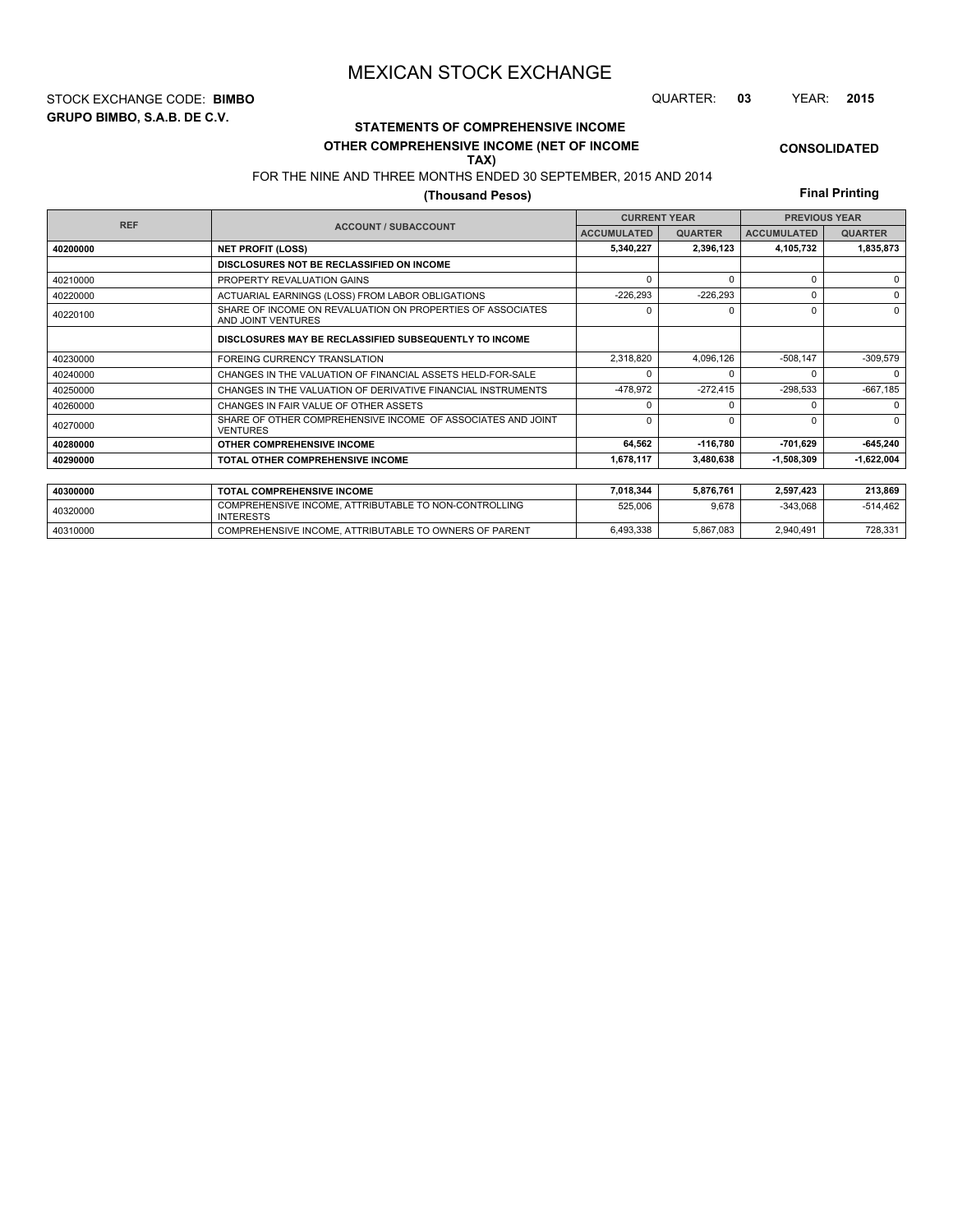**GRUPO BIMBO, S.A.B. DE C.V.** STOCK EXCHANGE CODE: **BIMBO** QUARTER: **03** YEAR: **2015**

# **STATEMENTS OF COMPREHENSIVE INCOME**

#### **OTHER COMPREHENSIVE INCOME (NET OF INCOME TAX)**

# FOR THE NINE AND THREE MONTHS ENDED 30 SEPTEMBER, 2015 AND 2014

## **(Thousand Pesos)**

**Final Printing**

**CONSOLIDATED**

| <b>REF</b> |                                                                                  |                    | <b>CURRENT YEAR</b> |                    | <b>PREVIOUS YEAR</b> |  |  |
|------------|----------------------------------------------------------------------------------|--------------------|---------------------|--------------------|----------------------|--|--|
|            | <b>ACCOUNT / SUBACCOUNT</b>                                                      | <b>ACCUMULATED</b> | <b>QUARTER</b>      | <b>ACCUMULATED</b> | <b>QUARTER</b>       |  |  |
| 40200000   | <b>NET PROFIT (LOSS)</b>                                                         | 5,340,227          | 2,396,123           | 4,105,732          | 1,835,873            |  |  |
|            | DISCLOSURES NOT BE RECLASSIFIED ON INCOME                                        |                    |                     |                    |                      |  |  |
| 40210000   | PROPERTY REVALUATION GAINS                                                       | $\Omega$           | $\Omega$            | 0                  | $\Omega$             |  |  |
| 40220000   | ACTUARIAL EARNINGS (LOSS) FROM LABOR OBLIGATIONS                                 | $-226,293$         | $-226,293$          | U                  | $\Omega$             |  |  |
| 40220100   | SHARE OF INCOME ON REVALUATION ON PROPERTIES OF ASSOCIATES<br>AND JOINT VENTURES | $\Omega$           | $\Omega$            | 0                  | $\Omega$             |  |  |
|            | DISCLOSURES MAY BE RECLASSIFIED SUBSEQUENTLY TO INCOME                           |                    |                     |                    |                      |  |  |
| 40230000   | FOREING CURRENCY TRANSLATION                                                     | 2,318,820          | 4.096.126           | $-508,147$         | $-309,579$           |  |  |
| 40240000   | CHANGES IN THE VALUATION OF FINANCIAL ASSETS HELD-FOR-SALE                       | $\Omega$           |                     |                    | $\Omega$             |  |  |
| 40250000   | CHANGES IN THE VALUATION OF DERIVATIVE FINANCIAL INSTRUMENTS                     | -478,972           | $-272.415$          | $-298,533$         | $-667,185$           |  |  |
| 40260000   | CHANGES IN FAIR VALUE OF OTHER ASSETS                                            | $\Omega$           |                     |                    | $\Omega$             |  |  |
| 40270000   | SHARE OF OTHER COMPREHENSIVE INCOME OF ASSOCIATES AND JOINT<br><b>VENTURES</b>   | $\Omega$           | $\Omega$            | U                  | $\Omega$             |  |  |
| 40280000   | OTHER COMPREHENSIVE INCOME                                                       | 64,562             | $-116,780$          | -701,629           | $-645,240$           |  |  |
| 40290000   | TOTAL OTHER COMPREHENSIVE INCOME                                                 | 1,678,117          | 3,480,638           | $-1,508,309$       | $-1,622,004$         |  |  |
|            |                                                                                  |                    |                     |                    |                      |  |  |
| 40300000   | <b>TOTAL COMPREHENSIVE INCOME</b>                                                | 7,018,344          | 5,876,761           | 2,597,423          | 213,869              |  |  |
| 40320000   | COMPREHENSIVE INCOME, ATTRIBUTABLE TO NON-CONTROLLING<br><b>INTERESTS</b>        | 525,006            | 9.678               | $-343.068$         | $-514.462$           |  |  |

40310000 COMPREHENSIVE INCOME, ATTRIBUTABLE TO OWNERS OF PARENT 6,493,338 5,867,083 2,940,491 728,331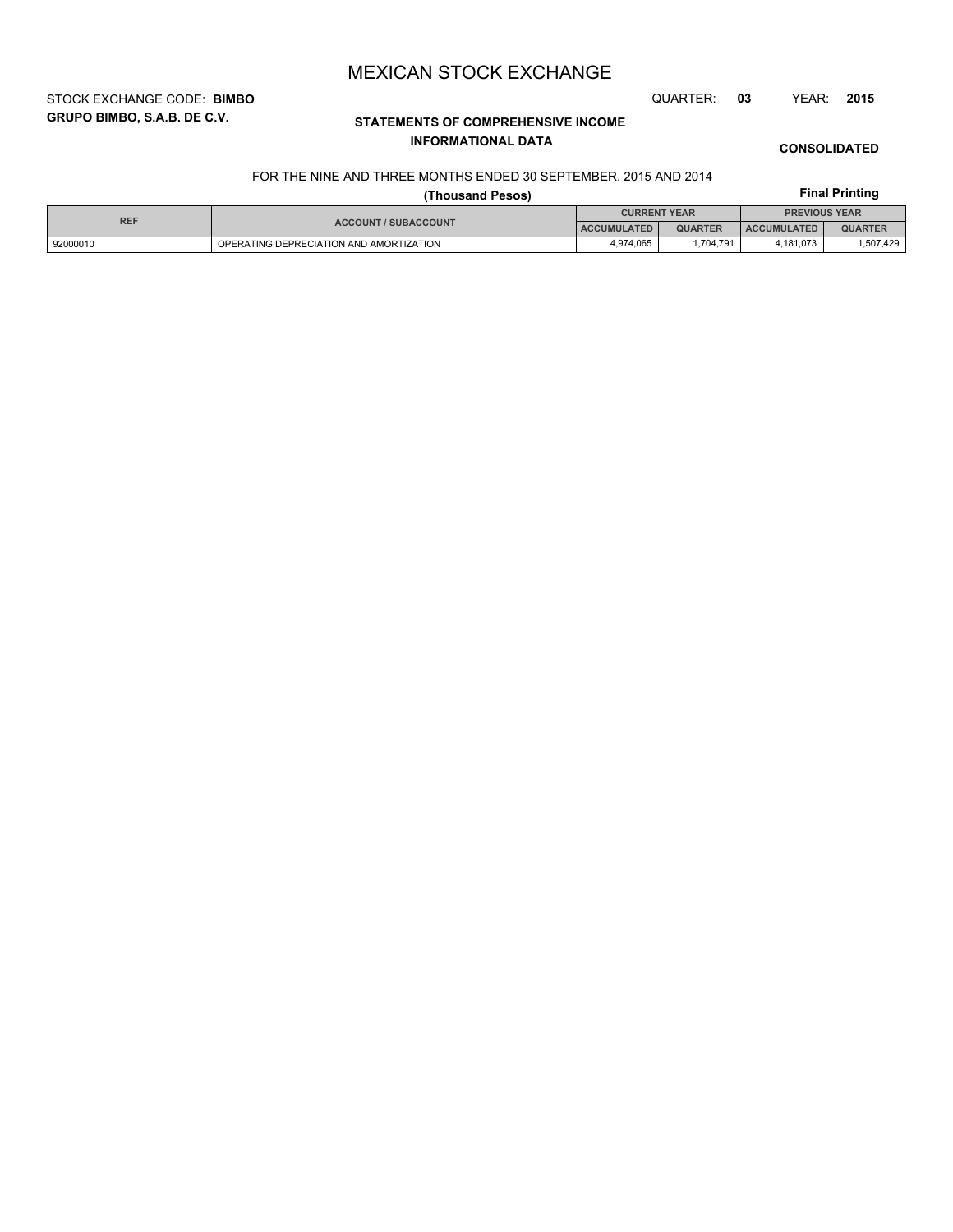STOCK EXCHANGE CODE: **BIMBO** QUARTER: **03** YEAR: **2015**

**GRUPO BIMBO, S.A.B. DE C.V.**

# **STATEMENTS OF COMPREHENSIVE INCOME INFORMATIONAL DATA**

**CONSOLIDATED**

### FOR THE NINE AND THREE MONTHS ENDED 30 SEPTEMBER, 2015 AND 2014

|            |                                         | <b>Final Printing</b>                       |                |                    |                |
|------------|-----------------------------------------|---------------------------------------------|----------------|--------------------|----------------|
| <b>REF</b> |                                         | <b>CURRENT YEAR</b><br><b>PREVIOUS YEAR</b> |                |                    |                |
|            | <b>ACCOUNT / SUBACCOUNT</b>             | <b>ACCUMULATED</b>                          | <b>QUARTER</b> | <b>ACCUMULATED</b> | <b>QUARTER</b> |
| 92000010   | OPERATING DEPRECIATION AND AMORTIZATION | 4,974,065                                   | 1.704.791      | 4.181.073          | 1,507,429      |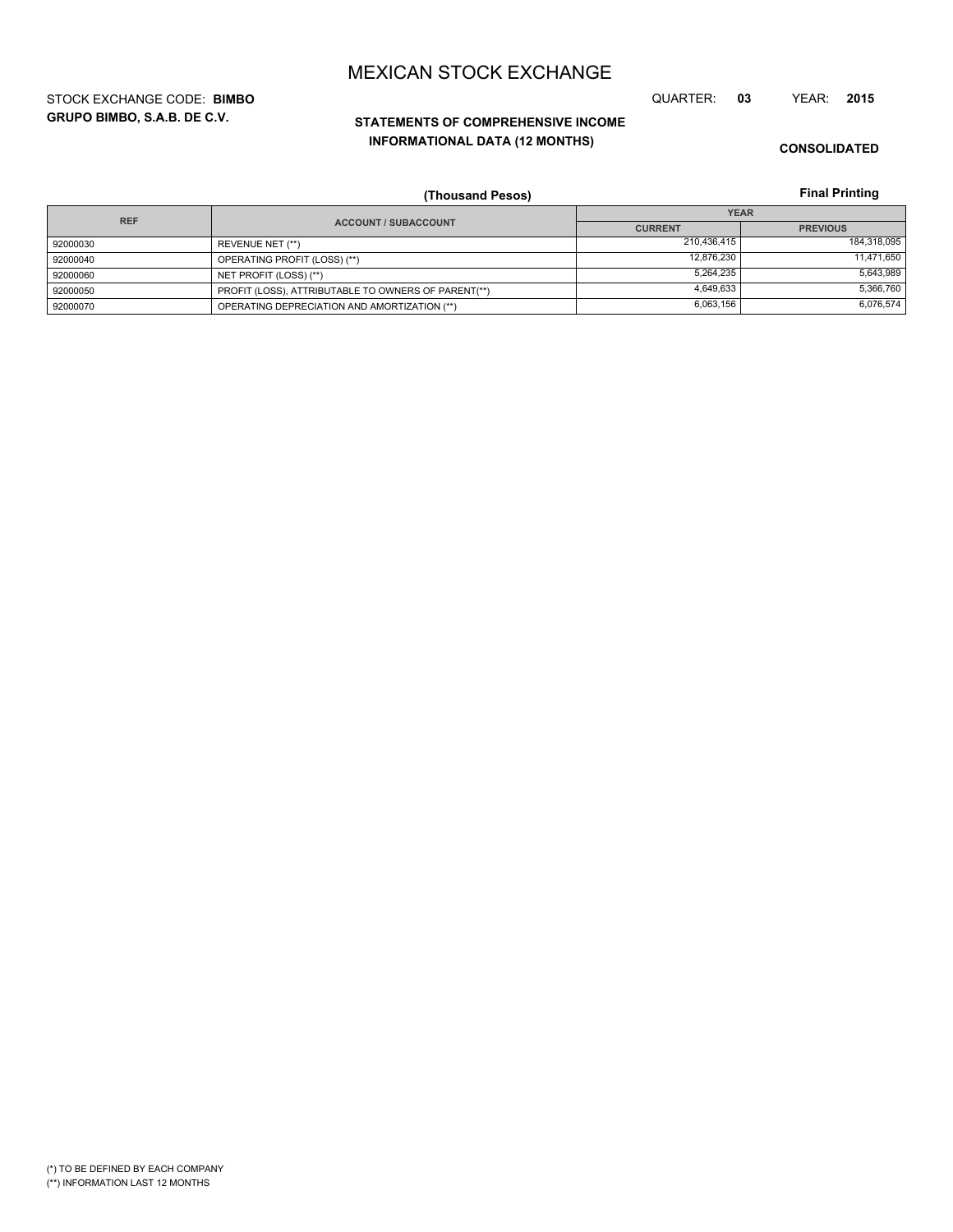**GRUPO BIMBO, S.A.B. DE C.V.** STOCK EXCHANGE CODE: **BIMBO** QUARTER: **03** YEAR: **2015**

# **STATEMENTS OF COMPREHENSIVE INCOME INFORMATIONAL DATA (12 MONTHS)**

**CONSOLIDATED**

**Final Printing**

|            | (Thousand Pesos)                                    |                | <b>Final Printing</b> |
|------------|-----------------------------------------------------|----------------|-----------------------|
| <b>REF</b> |                                                     |                | <b>YEAR</b>           |
|            | <b>ACCOUNT / SUBACCOUNT</b>                         | <b>CURRENT</b> | <b>PREVIOUS</b>       |
| 92000030   | REVENUE NET (**)                                    | 210,436,415    | 184,318,095           |
| 92000040   | OPERATING PROFIT (LOSS) (**)                        | 12.876.230     | 11,471,650            |
| 92000060   | NET PROFIT (LOSS) (**)                              | 5,264,235      | 5,643,989             |
| 92000050   | PROFIT (LOSS), ATTRIBUTABLE TO OWNERS OF PARENT(**) | 4.649.633      | 5,366,760             |
| 92000070   | OPERATING DEPRECIATION AND AMORTIZATION (**)        | 6,063,156      | 6,076,574             |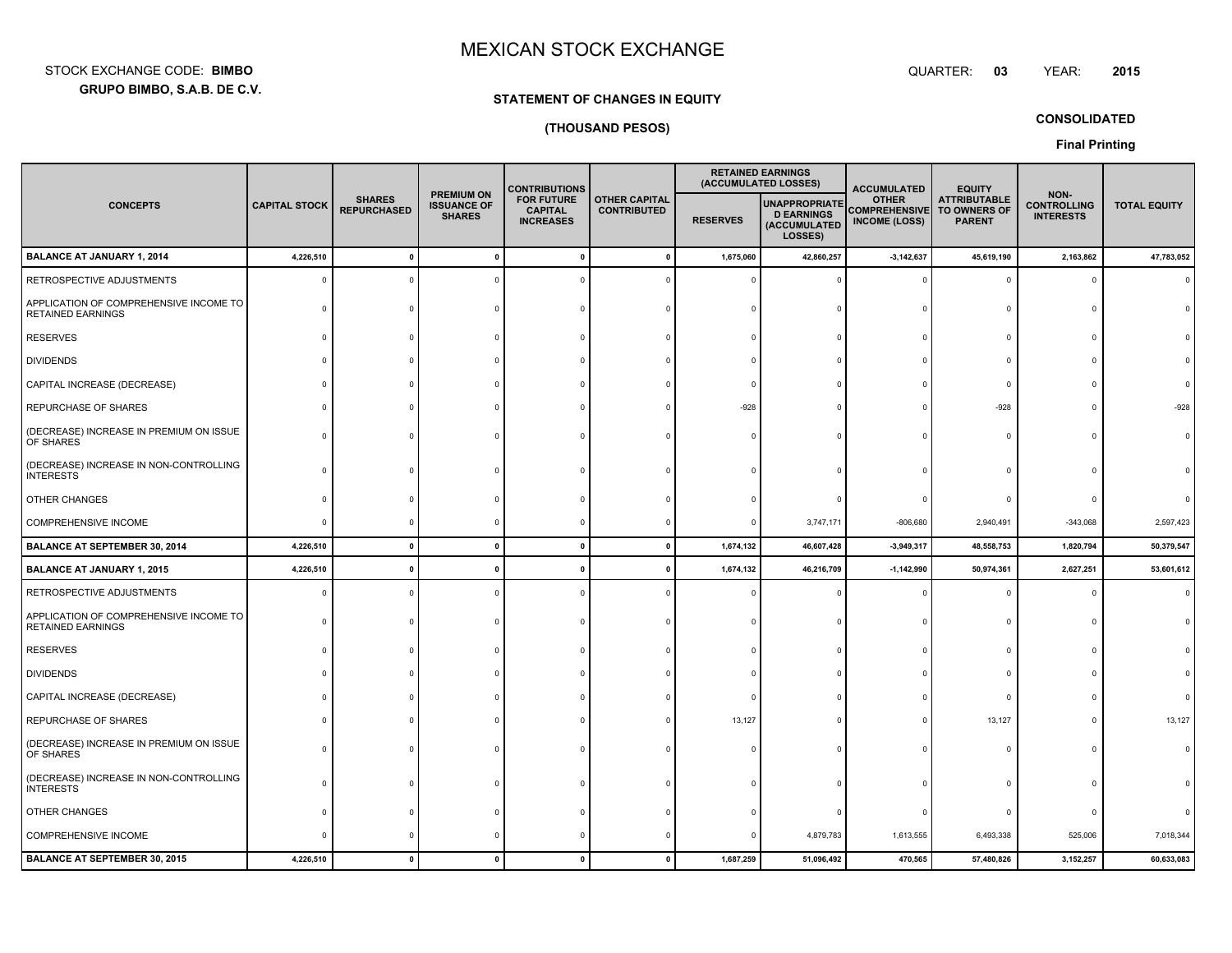**GRUPO BIMBO, S.A.B. DE C.V.** STOCK EXCHANGE CODE:**BIMBO**: BIMBO QUARTER:

## **STATEMENT OF CHANGES IN EQUITY**

## **(THOUSAND PESOS)**

**CONSOLIDATED**

**Final Printing**

|                                                                    |                      |                                     |                                                          | <b>CONTRIBUTIONS</b>                                                                                  |  |                 | <b>RETAINED EARNINGS</b><br>(ACCUMULATED LOSSES)                     | <b>ACCUMULATED</b>                                           | <b>EQUITY</b>                                        |                                                |                     |
|--------------------------------------------------------------------|----------------------|-------------------------------------|----------------------------------------------------------|-------------------------------------------------------------------------------------------------------|--|-----------------|----------------------------------------------------------------------|--------------------------------------------------------------|------------------------------------------------------|------------------------------------------------|---------------------|
| <b>CONCEPTS</b>                                                    | <b>CAPITAL STOCK</b> | <b>SHARES</b><br><b>REPURCHASED</b> | <b>PREMIUM ON</b><br><b>ISSUANCE OF</b><br><b>SHARES</b> | <b>FOR FUTURE</b><br><b>OTHER CAPITAL</b><br><b>CAPITAL</b><br><b>CONTRIBUTED</b><br><b>INCREASES</b> |  | <b>RESERVES</b> | <b>UNAPPROPRIATE</b><br><b>D EARNINGS</b><br>(ACCUMULATED<br>LOSSES) | <b>OTHER</b><br><b>COMPREHENSIVE</b><br><b>INCOME (LOSS)</b> | <b>ATTRIBUTABLE</b><br>TO OWNERS OF<br><b>PARENT</b> | NON-<br><b>CONTROLLING</b><br><b>INTERESTS</b> | <b>TOTAL EQUITY</b> |
| <b>BALANCE AT JANUARY 1, 2014</b>                                  | 4,226,510            | $\Omega$                            | $\mathbf 0$                                              |                                                                                                       |  | 1,675,060       | 42,860,257                                                           | $-3, 142, 637$                                               | 45,619,190                                           | 2,163,862                                      | 47,783,052          |
| RETROSPECTIVE ADJUSTMENTS                                          | $\Omega$             |                                     |                                                          |                                                                                                       |  |                 |                                                                      |                                                              | $\Omega$                                             | $\Omega$                                       |                     |
| APPLICATION OF COMPREHENSIVE INCOME TO<br><b>RETAINED EARNINGS</b> | ſ                    |                                     |                                                          |                                                                                                       |  |                 |                                                                      |                                                              | $\Omega$                                             | $\cap$                                         |                     |
| <b>RESERVES</b>                                                    |                      |                                     |                                                          |                                                                                                       |  |                 |                                                                      |                                                              | $\Omega$                                             |                                                |                     |
| <b>DIVIDENDS</b>                                                   |                      |                                     |                                                          |                                                                                                       |  |                 |                                                                      |                                                              |                                                      |                                                |                     |
| CAPITAL INCREASE (DECREASE)                                        |                      |                                     |                                                          |                                                                                                       |  |                 |                                                                      |                                                              | $\Omega$                                             |                                                |                     |
| REPURCHASE OF SHARES                                               |                      |                                     |                                                          |                                                                                                       |  | -928            |                                                                      |                                                              | $-928$                                               | $\Omega$                                       |                     |
| (DECREASE) INCREASE IN PREMIUM ON ISSUE<br>OF SHARES               |                      |                                     |                                                          |                                                                                                       |  |                 |                                                                      |                                                              | $\Omega$                                             | $\Omega$                                       |                     |
| (DECREASE) INCREASE IN NON-CONTROLLING<br><b>INTERESTS</b>         |                      |                                     |                                                          |                                                                                                       |  |                 |                                                                      |                                                              |                                                      |                                                |                     |
| <b>OTHER CHANGES</b>                                               |                      |                                     |                                                          |                                                                                                       |  |                 |                                                                      |                                                              | $\Omega$                                             |                                                |                     |
| COMPREHENSIVE INCOME                                               | $\Omega$             |                                     |                                                          |                                                                                                       |  |                 | 3,747,171                                                            | $-806,680$                                                   | 2,940,491                                            | $-343,068$                                     | 2,597,423           |
| <b>BALANCE AT SEPTEMBER 30, 2014</b>                               | 4,226,510            | $\Omega$                            | $\mathbf{0}$                                             |                                                                                                       |  | 1,674,132       | 46,607,428                                                           | $-3,949,317$                                                 | 48,558,753                                           | 1,820,794                                      | 50,379,547          |
| <b>BALANCE AT JANUARY 1, 2015</b>                                  | 4,226,510            |                                     |                                                          |                                                                                                       |  | 1,674,132       | 46,216,709                                                           | $-1,142,990$                                                 | 50,974,361                                           | 2,627,251                                      | 53,601,612          |
| RETROSPECTIVE ADJUSTMENTS                                          |                      |                                     |                                                          |                                                                                                       |  |                 |                                                                      |                                                              |                                                      |                                                |                     |
| APPLICATION OF COMPREHENSIVE INCOME TO<br><b>RETAINED EARNINGS</b> |                      |                                     |                                                          |                                                                                                       |  |                 |                                                                      |                                                              |                                                      |                                                |                     |
| <b>RESERVES</b>                                                    |                      |                                     |                                                          |                                                                                                       |  |                 |                                                                      |                                                              | $\Omega$                                             | $\cap$                                         |                     |
| <b>DIVIDENDS</b>                                                   |                      |                                     |                                                          |                                                                                                       |  |                 |                                                                      |                                                              | $\Omega$                                             |                                                |                     |
| CAPITAL INCREASE (DECREASE)                                        |                      |                                     |                                                          |                                                                                                       |  |                 |                                                                      |                                                              | $\Omega$                                             |                                                |                     |
| REPURCHASE OF SHARES                                               |                      |                                     |                                                          |                                                                                                       |  | 13,127          |                                                                      |                                                              | 13,127                                               | $\Omega$                                       | 13,127              |
| (DECREASE) INCREASE IN PREMIUM ON ISSUE<br>OF SHARES               |                      |                                     |                                                          |                                                                                                       |  |                 |                                                                      |                                                              |                                                      | $\Omega$                                       |                     |
| (DECREASE) INCREASE IN NON-CONTROLLING<br><b>INTERESTS</b>         |                      |                                     |                                                          |                                                                                                       |  |                 |                                                                      |                                                              |                                                      |                                                |                     |
| OTHER CHANGES                                                      |                      |                                     |                                                          |                                                                                                       |  |                 |                                                                      |                                                              | $\Omega$                                             |                                                |                     |
| COMPREHENSIVE INCOME                                               |                      |                                     |                                                          |                                                                                                       |  |                 | 4,879,783                                                            | 1,613,555                                                    | 6,493,338                                            | 525,006                                        | 7,018,344           |
| <b>BALANCE AT SEPTEMBER 30, 2015</b>                               | 4,226,510            |                                     |                                                          |                                                                                                       |  | 1,687,259       | 51,096,492                                                           | 470,565                                                      | 57,480,826                                           | 3,152,257                                      | 60,633,083          |

#### **QUARTER: 03** YEAR: **<sup>2015</sup>**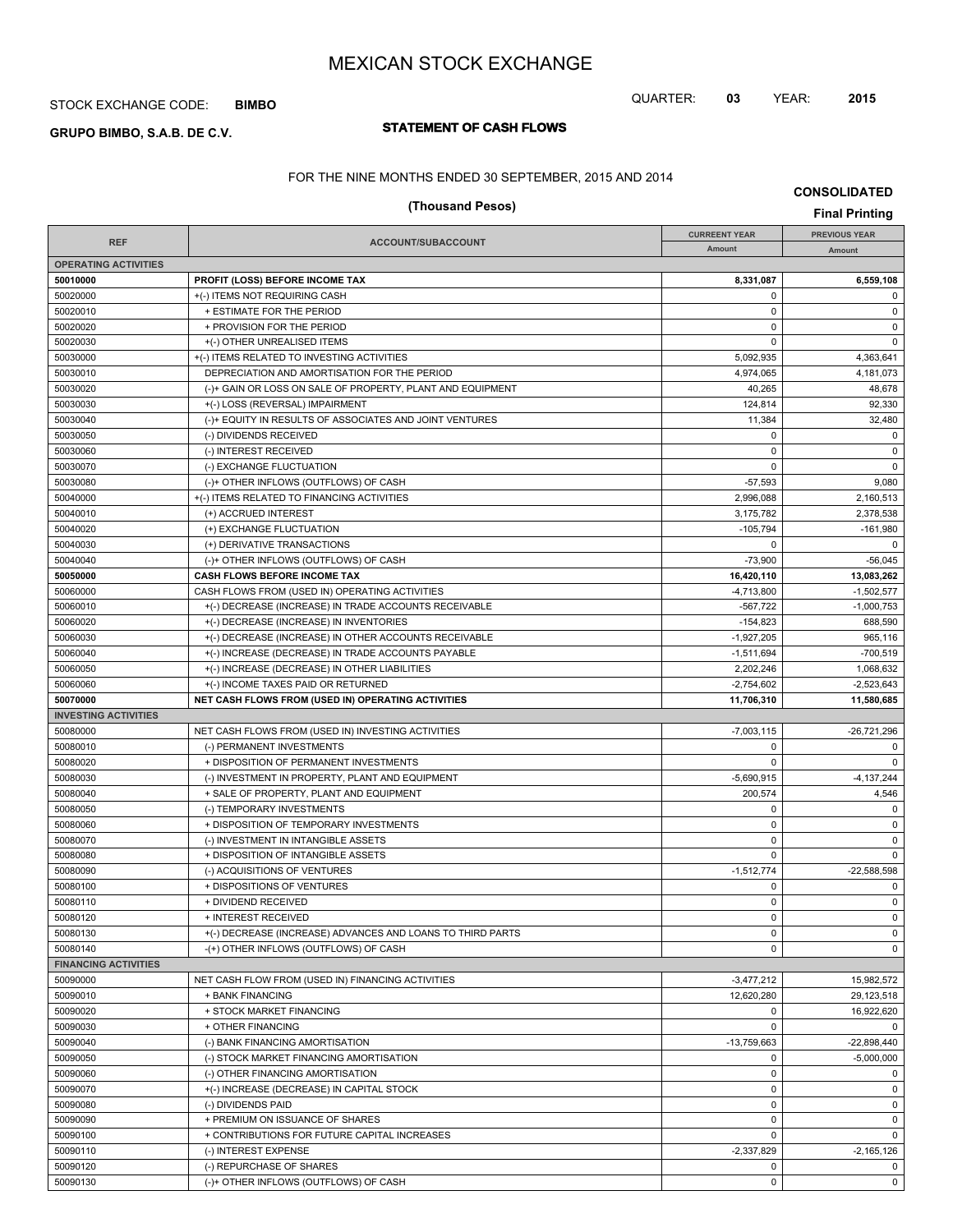### STOCK EXCHANGE CODE: **BIMBO**

# **STATEMENT OF CASH FLOWS GRUPO BIMBO, S.A.B. DE C.V.**

## QUARTER: **03** YEAR: **2015**

**CONSOLIDATED**

FOR THE NINE MONTHS ENDED 30 SEPTEMBER, 2015 AND 2014

| (Thousand Pesos)            |                                                                     |                      |                      |  |  |
|-----------------------------|---------------------------------------------------------------------|----------------------|----------------------|--|--|
| <b>REF</b>                  | ACCOUNT/SUBACCOUNT                                                  | <b>CURREENT YEAR</b> | <b>PREVIOUS YEAR</b> |  |  |
| <b>OPERATING ACTIVITIES</b> |                                                                     | Amount               | Amount               |  |  |
| 50010000                    | <b>PROFIT (LOSS) BEFORE INCOME TAX</b>                              | 8,331,087            | 6,559,108            |  |  |
| 50020000                    | +(-) ITEMS NOT REQUIRING CASH                                       | 0                    | 0                    |  |  |
| 50020010                    | + ESTIMATE FOR THE PERIOD                                           | $\mathbf 0$          | $\mathsf 0$          |  |  |
| 50020020                    | + PROVISION FOR THE PERIOD                                          | 0                    | 0                    |  |  |
| 50020030                    | +(-) OTHER UNREALISED ITEMS                                         | 0                    | 0                    |  |  |
| 50030000                    | +(-) ITEMS RELATED TO INVESTING ACTIVITIES                          | 5,092,935            | 4,363,641            |  |  |
| 50030010                    | DEPRECIATION AND AMORTISATION FOR THE PERIOD                        | 4,974,065            | 4,181,073            |  |  |
| 50030020                    | (-)+ GAIN OR LOSS ON SALE OF PROPERTY, PLANT AND EQUIPMENT          | 40,265               | 48,678               |  |  |
| 50030030                    | +(-) LOSS (REVERSAL) IMPAIRMENT                                     | 124,814              | 92,330               |  |  |
| 50030040                    | (-)+ EQUITY IN RESULTS OF ASSOCIATES AND JOINT VENTURES             | 11,384               | 32,480               |  |  |
| 50030050                    | (-) DIVIDENDS RECEIVED                                              | $\mathbf 0$          | $\mathbf 0$          |  |  |
| 50030060                    | (-) INTEREST RECEIVED                                               | $\pmb{0}$            | $\mathsf 0$          |  |  |
| 50030070                    | (-) EXCHANGE FLUCTUATION                                            | 0                    | $\mathbf 0$          |  |  |
| 50030080                    | (-)+ OTHER INFLOWS (OUTFLOWS) OF CASH                               | $-57,593$            | 9,080                |  |  |
| 50040000                    | +(-) ITEMS RELATED TO FINANCING ACTIVITIES                          | 2,996,088            | 2,160,513            |  |  |
| 50040010                    | (+) ACCRUED INTEREST                                                | 3,175,782            | 2,378,538            |  |  |
| 50040020                    | (+) EXCHANGE FLUCTUATION                                            | $-105,794$           | $-161,980$           |  |  |
| 50040030                    | (+) DERIVATIVE TRANSACTIONS                                         | 0                    | $\mathbf 0$          |  |  |
| 50040040                    | (-)+ OTHER INFLOWS (OUTFLOWS) OF CASH                               | $-73,900$            | $-56,045$            |  |  |
| 50050000                    | <b>CASH FLOWS BEFORE INCOME TAX</b>                                 | 16,420,110           | 13,083,262           |  |  |
| 50060000                    | CASH FLOWS FROM (USED IN) OPERATING ACTIVITIES                      | $-4,713,800$         | $-1,502,577$         |  |  |
| 50060010                    | +(-) DECREASE (INCREASE) IN TRADE ACCOUNTS RECEIVABLE               | $-567.722$           | $-1,000,753$         |  |  |
| 50060020                    | +(-) DECREASE (INCREASE) IN INVENTORIES                             | $-154,823$           | 688,590              |  |  |
| 50060030                    | +(-) DECREASE (INCREASE) IN OTHER ACCOUNTS RECEIVABLE               | $-1.927.205$         | 965.116              |  |  |
| 50060040                    | +(-) INCREASE (DECREASE) IN TRADE ACCOUNTS PAYABLE                  | $-1,511,694$         | $-700,519$           |  |  |
| 50060050                    | +(-) INCREASE (DECREASE) IN OTHER LIABILITIES                       | 2,202,246            | 1,068,632            |  |  |
| 50060060                    | +(-) INCOME TAXES PAID OR RETURNED                                  | $-2,754,602$         | $-2,523,643$         |  |  |
| 50070000                    | NET CASH FLOWS FROM (USED IN) OPERATING ACTIVITIES                  | 11,706,310           | 11,580,685           |  |  |
| <b>INVESTING ACTIVITIES</b> |                                                                     |                      |                      |  |  |
| 50080000                    | NET CASH FLOWS FROM (USED IN) INVESTING ACTIVITIES                  | $-7,003,115$         | -26,721,296          |  |  |
| 50080010                    | (-) PERMANENT INVESTMENTS                                           | 0                    | 0                    |  |  |
| 50080020                    | + DISPOSITION OF PERMANENT INVESTMENTS                              | 0                    | $\mathbf 0$          |  |  |
| 50080030                    | (-) INVESTMENT IN PROPERTY, PLANT AND EQUIPMENT                     | $-5,690,915$         | $-4,137,244$         |  |  |
| 50080040                    | + SALE OF PROPERTY, PLANT AND EQUIPMENT                             | 200,574              | 4,546<br>$\mathbf 0$ |  |  |
| 50080050                    | (-) TEMPORARY INVESTMENTS<br>+ DISPOSITION OF TEMPORARY INVESTMENTS | 0<br>0               | $\mathsf 0$          |  |  |
| 50080060<br>50080070        | (-) INVESTMENT IN INTANGIBLE ASSETS                                 | 0                    | $\mathbf 0$          |  |  |
| 50080080                    | + DISPOSITION OF INTANGIBLE ASSETS                                  | $\mathbf 0$          | $\mathbf 0$          |  |  |
| 50080090                    | (-) ACQUISITIONS OF VENTURES                                        | $-1.512.774$         | $-22.588.598$        |  |  |
| 50080100                    | + DISPOSITIONS OF VENTURES                                          | 0                    | $\mathbf 0$          |  |  |
| 50080110                    | + DIVIDEND RECEIVED                                                 | 0                    | 0                    |  |  |
| 50080120                    | + INTEREST RECEIVED                                                 | $\pmb{0}$            | $\mathsf 0$          |  |  |
| 50080130                    | +(-) DECREASE (INCREASE) ADVANCES AND LOANS TO THIRD PARTS          | 0                    | $\mathbf 0$          |  |  |
| 50080140                    | -(+) OTHER INFLOWS (OUTFLOWS) OF CASH                               | 0                    | $\mathbf 0$          |  |  |
| <b>FINANCING ACTIVITIES</b> |                                                                     |                      |                      |  |  |
| 50090000                    | NET CASH FLOW FROM (USED IN) FINANCING ACTIVITIES                   | $-3,477,212$         | 15,982,572           |  |  |
| 50090010                    | + BANK FINANCING                                                    | 12,620,280           | 29,123,518           |  |  |
| 50090020                    | + STOCK MARKET FINANCING                                            | $\mathbf 0$          | 16,922,620           |  |  |
| 50090030                    | + OTHER FINANCING                                                   | $\mathbf 0$          | $\mathbf 0$          |  |  |
| 50090040                    | (-) BANK FINANCING AMORTISATION                                     | -13,759,663          | $-22,898,440$        |  |  |
| 50090050                    | (-) STOCK MARKET FINANCING AMORTISATION                             | $\mathbf 0$          | $-5,000,000$         |  |  |
| 50090060                    | (-) OTHER FINANCING AMORTISATION                                    | 0                    | $\mathbf 0$          |  |  |
| 50090070                    | +(-) INCREASE (DECREASE) IN CAPITAL STOCK                           | 0                    | $\mathbf 0$          |  |  |
| 50090080                    | (-) DIVIDENDS PAID                                                  | $\pmb{0}$            | $\mathbf 0$          |  |  |
| 50090090                    | + PREMIUM ON ISSUANCE OF SHARES                                     | 0                    | $\mathbf 0$          |  |  |
| 50090100                    | + CONTRIBUTIONS FOR FUTURE CAPITAL INCREASES                        | 0                    | $\mathbf 0$          |  |  |
| 50090110                    | (-) INTEREST EXPENSE                                                | $-2,337,829$         | -2,165,126           |  |  |

50090120 (-) REPURCHASE OF SHARES 0 0 50090130 (-)+ OTHER INFLOWS (OUTFLOWS) OF CASH 0 0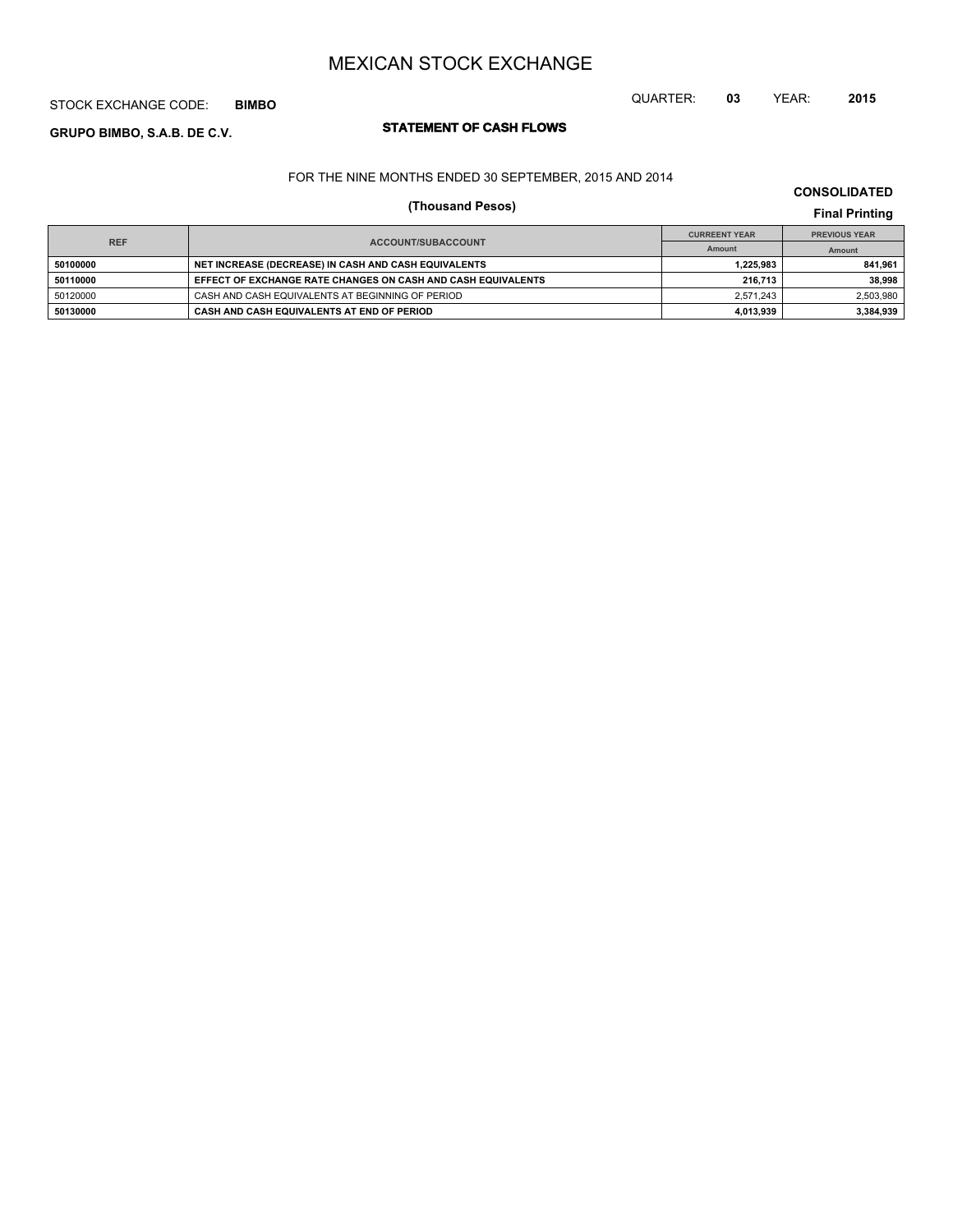## STOCK EXCHANGE CODE: **BIMBO**

# **STATEMENT OF CASH FLOWS GRUPO BIMBO, S.A.B. DE C.V.**

## FOR THE NINE MONTHS ENDED 30 SEPTEMBER, 2015 AND 2014

# **(Thousand Pesos) Final Printing**

|                                         |                                                              | <b>CURREENT YEAR</b> | <b>PREVIOUS YEAR</b> |  |
|-----------------------------------------|--------------------------------------------------------------|----------------------|----------------------|--|
| <b>REF</b><br><b>ACCOUNT/SUBACCOUNT</b> |                                                              | Amount               | Amount               |  |
| 50100000                                | NET INCREASE (DECREASE) IN CASH AND CASH EQUIVALENTS         | 1.225.983            | 841.961              |  |
| 50110000                                | EFFECT OF EXCHANGE RATE CHANGES ON CASH AND CASH EQUIVALENTS | 216.713              | 38.998               |  |
| 50120000                                | CASH AND CASH EQUIVALENTS AT BEGINNING OF PERIOD             | 2.571.243            | 2,503,980            |  |
| 50130000                                | CASH AND CASH EQUIVALENTS AT END OF PERIOD                   | 4.013.939            | 3,384,939            |  |

**CONSOLIDATED**

QUARTER: **03** YEAR: **2015**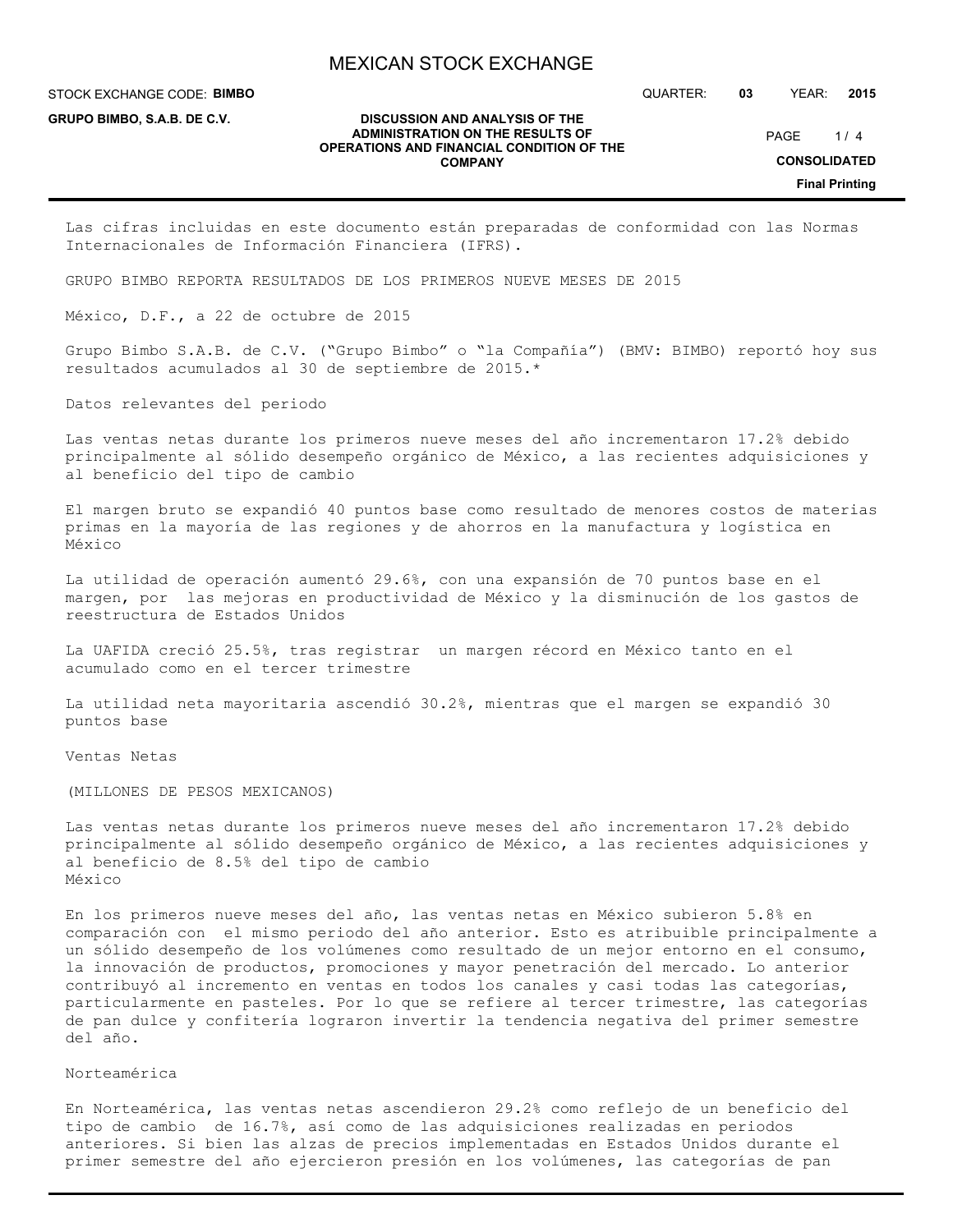**DISCUSSION AND ANALYSIS OF THE**

STOCK EXCHANGE CODE: **BIMBO**

**GRUPO BIMBO, S.A.B. DE C.V.**

QUARTER: **03** YEAR: **2015**

 $1/4$ PAGE

#### **ADMINISTRATION ON THE RESULTS OF OPERATIONS AND FINANCIAL CONDITION OF THE COMPANY**

**CONSOLIDATED**

**Final Printing**

Las cifras incluidas en este documento están preparadas de conformidad con las Normas Internacionales de Información Financiera (IFRS).

GRUPO BIMBO REPORTA RESULTADOS DE LOS PRIMEROS NUEVE MESES DE 2015

México, D.F., a 22 de octubre de 2015

Grupo Bimbo S.A.B. de C.V. ("Grupo Bimbo" o "la Compañía") (BMV: BIMBO) reportó hoy sus resultados acumulados al 30 de septiembre de 2015.\*

Datos relevantes del periodo

Las ventas netas durante los primeros nueve meses del año incrementaron 17.2% debido principalmente al sólido desempeño orgánico de México, a las recientes adquisiciones y al beneficio del tipo de cambio

El margen bruto se expandió 40 puntos base como resultado de menores costos de materias primas en la mayoría de las regiones y de ahorros en la manufactura y logística en México

La utilidad de operación aumentó 29.6%, con una expansión de 70 puntos base en el margen, por las mejoras en productividad de México y la disminución de los gastos de reestructura de Estados Unidos

La UAFIDA creció 25.5%, tras registrar un margen récord en México tanto en el acumulado como en el tercer trimestre

La utilidad neta mayoritaria ascendió 30.2%, mientras que el margen se expandió 30 puntos base

Ventas Netas

(MILLONES DE PESOS MEXICANOS)

Las ventas netas durante los primeros nueve meses del año incrementaron 17.2% debido principalmente al sólido desempeño orgánico de México, a las recientes adquisiciones y al beneficio de 8.5% del tipo de cambio México

En los primeros nueve meses del año, las ventas netas en México subieron 5.8% en comparación con el mismo periodo del año anterior. Esto es atribuible principalmente a un sólido desempeño de los volúmenes como resultado de un mejor entorno en el consumo, la innovación de productos, promociones y mayor penetración del mercado. Lo anterior contribuyó al incremento en ventas en todos los canales y casi todas las categorías, particularmente en pasteles. Por lo que se refiere al tercer trimestre, las categorías de pan dulce y confitería lograron invertir la tendencia negativa del primer semestre del año.

Norteamérica

En Norteamérica, las ventas netas ascendieron 29.2% como reflejo de un beneficio del tipo de cambio de 16.7%, así como de las adquisiciones realizadas en periodos anteriores. Si bien las alzas de precios implementadas en Estados Unidos durante el primer semestre del año ejercieron presión en los volúmenes, las categorías de pan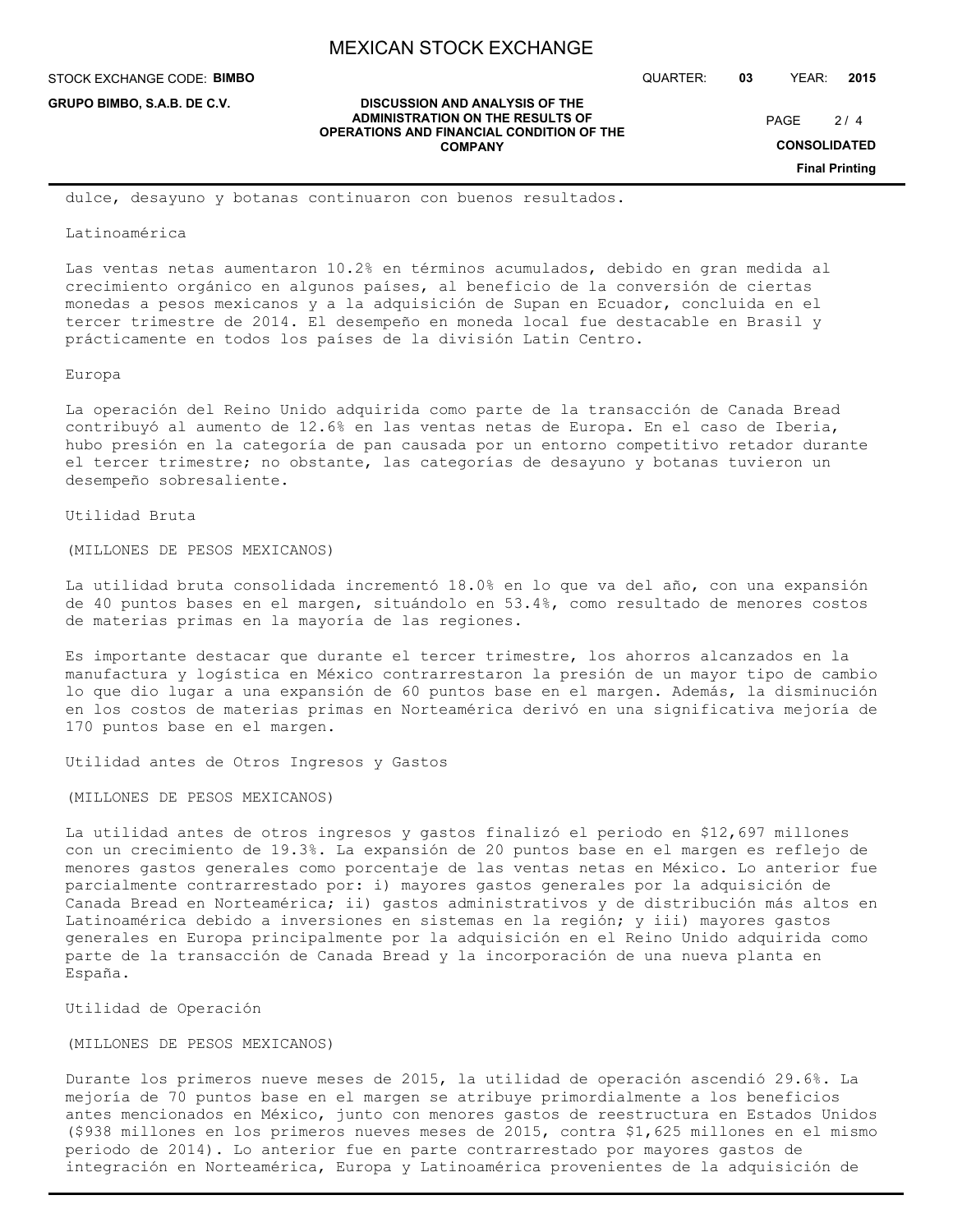**DISCUSSION AND ANALYSIS OF THE ADMINISTRATION ON THE RESULTS OF OPERATIONS AND FINANCIAL CONDITION OF THE COMPANY**

STOCK EXCHANGE CODE: **BIMBO**

**GRUPO BIMBO, S.A.B. DE C.V.**

QUARTER: **03** YEAR: **2015**

 $2/4$ PAGE

**CONSOLIDATED**

**Final Printing**

dulce, desayuno y botanas continuaron con buenos resultados.

#### Latinoamérica

Las ventas netas aumentaron 10.2% en términos acumulados, debido en gran medida al crecimiento orgánico en algunos países, al beneficio de la conversión de ciertas monedas a pesos mexicanos y a la adquisición de Supan en Ecuador, concluida en el tercer trimestre de 2014. El desempeño en moneda local fue destacable en Brasil y prácticamente en todos los países de la división Latin Centro.

#### Europa

La operación del Reino Unido adquirida como parte de la transacción de Canada Bread contribuyó al aumento de 12.6% en las ventas netas de Europa. En el caso de Iberia, hubo presión en la categoría de pan causada por un entorno competitivo retador durante el tercer trimestre; no obstante, las categorías de desayuno y botanas tuvieron un desempeño sobresaliente.

### Utilidad Bruta

(MILLONES DE PESOS MEXICANOS)

La utilidad bruta consolidada incrementó 18.0% en lo que va del año, con una expansión de 40 puntos bases en el margen, situándolo en 53.4%, como resultado de menores costos de materias primas en la mayoría de las regiones.

Es importante destacar que durante el tercer trimestre, los ahorros alcanzados en la manufactura y logística en México contrarrestaron la presión de un mayor tipo de cambio lo que dio lugar a una expansión de 60 puntos base en el margen. Además, la disminución en los costos de materias primas en Norteamérica derivó en una significativa mejoría de 170 puntos base en el margen.

Utilidad antes de Otros Ingresos y Gastos

## (MILLONES DE PESOS MEXICANOS)

La utilidad antes de otros ingresos y gastos finalizó el periodo en \$12,697 millones con un crecimiento de 19.3%. La expansión de 20 puntos base en el margen es reflejo de menores gastos generales como porcentaje de las ventas netas en México. Lo anterior fue parcialmente contrarrestado por: i) mayores gastos generales por la adquisición de Canada Bread en Norteamérica; ii) gastos administrativos y de distribución más altos en Latinoamérica debido a inversiones en sistemas en la región; y iii) mayores gastos generales en Europa principalmente por la adquisición en el Reino Unido adquirida como parte de la transacción de Canada Bread y la incorporación de una nueva planta en España.

Utilidad de Operación

## (MILLONES DE PESOS MEXICANOS)

Durante los primeros nueve meses de 2015, la utilidad de operación ascendió 29.6%. La mejoría de 70 puntos base en el margen se atribuye primordialmente a los beneficios antes mencionados en México, junto con menores gastos de reestructura en Estados Unidos (\$938 millones en los primeros nueves meses de 2015, contra \$1,625 millones en el mismo periodo de 2014). Lo anterior fue en parte contrarrestado por mayores gastos de integración en Norteamérica, Europa y Latinoamérica provenientes de la adquisición de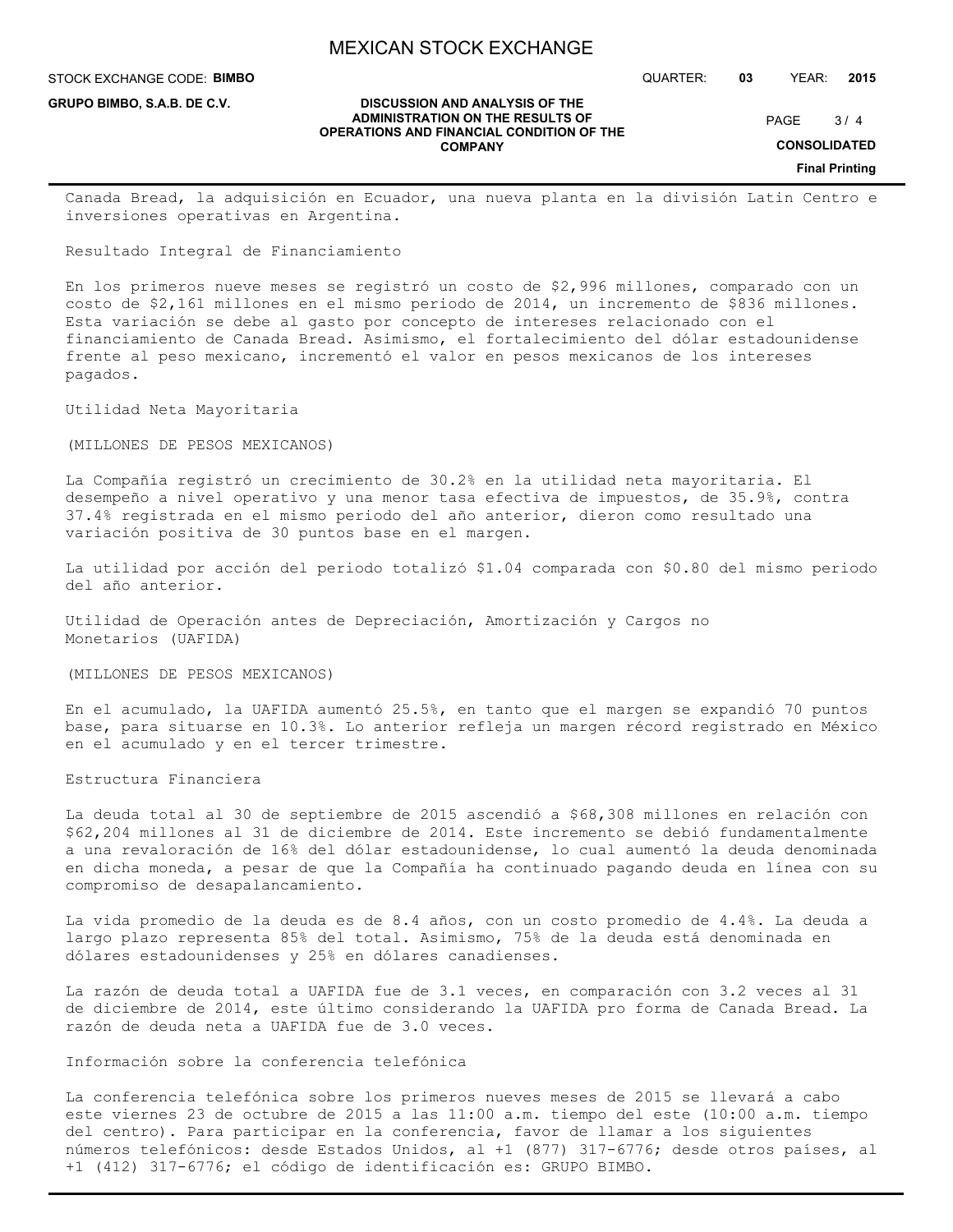STOCK EXCHANGE CODE: **BIMBO**

**GRUPO BIMBO, S.A.B. DE C.V.**

QUARTER: **03** YEAR: **2015**

 $3/4$ PAGE

**CONSOLIDATED**

**Final Printing**

Canada Bread, la adquisición en Ecuador, una nueva planta en la división Latin Centro e inversiones operativas en Argentina.

**DISCUSSION AND ANALYSIS OF THE ADMINISTRATION ON THE RESULTS OF OPERATIONS AND FINANCIAL CONDITION OF THE COMPANY**

Resultado Integral de Financiamiento

En los primeros nueve meses se registró un costo de \$2,996 millones, comparado con un costo de \$2,161 millones en el mismo periodo de 2014, un incremento de \$836 millones. Esta variación se debe al gasto por concepto de intereses relacionado con el financiamiento de Canada Bread. Asimismo, el fortalecimiento del dólar estadounidense frente al peso mexicano, incrementó el valor en pesos mexicanos de los intereses pagados.

Utilidad Neta Mayoritaria

(MILLONES DE PESOS MEXICANOS)

La Compañía registró un crecimiento de 30.2% en la utilidad neta mayoritaria. El desempeño a nivel operativo y una menor tasa efectiva de impuestos, de 35.9%, contra 37.4% registrada en el mismo periodo del año anterior, dieron como resultado una variación positiva de 30 puntos base en el margen.

La utilidad por acción del periodo totalizó \$1.04 comparada con \$0.80 del mismo periodo del año anterior.

Utilidad de Operación antes de Depreciación, Amortización y Cargos no Monetarios (UAFIDA)

(MILLONES DE PESOS MEXICANOS)

En el acumulado, la UAFIDA aumentó 25.5%, en tanto que el margen se expandió 70 puntos base, para situarse en 10.3%. Lo anterior refleja un margen récord registrado en México en el acumulado y en el tercer trimestre.

Estructura Financiera

La deuda total al 30 de septiembre de 2015 ascendió a \$68,308 millones en relación con \$62,204 millones al 31 de diciembre de 2014. Este incremento se debió fundamentalmente a una revaloración de 16% del dólar estadounidense, lo cual aumentó la deuda denominada en dicha moneda, a pesar de que la Compañía ha continuado pagando deuda en línea con su compromiso de desapalancamiento.

La vida promedio de la deuda es de 8.4 años, con un costo promedio de 4.4%. La deuda a largo plazo representa 85% del total. Asimismo, 75% de la deuda está denominada en dólares estadounidenses y 25% en dólares canadienses.

La razón de deuda total a UAFIDA fue de 3.1 veces, en comparación con 3.2 veces al 31 de diciembre de 2014, este último considerando la UAFIDA pro forma de Canada Bread. La razón de deuda neta a UAFIDA fue de 3.0 veces.

Información sobre la conferencia telefónica

La conferencia telefónica sobre los primeros nueves meses de 2015 se llevará a cabo este viernes 23 de octubre de 2015 a las 11:00 a.m. tiempo del este (10:00 a.m. tiempo del centro). Para participar en la conferencia, favor de llamar a los siguientes números telefónicos: desde Estados Unidos, al +1 (877) 317-6776; desde otros países, al +1 (412) 317-6776; el código de identificación es: GRUPO BIMBO.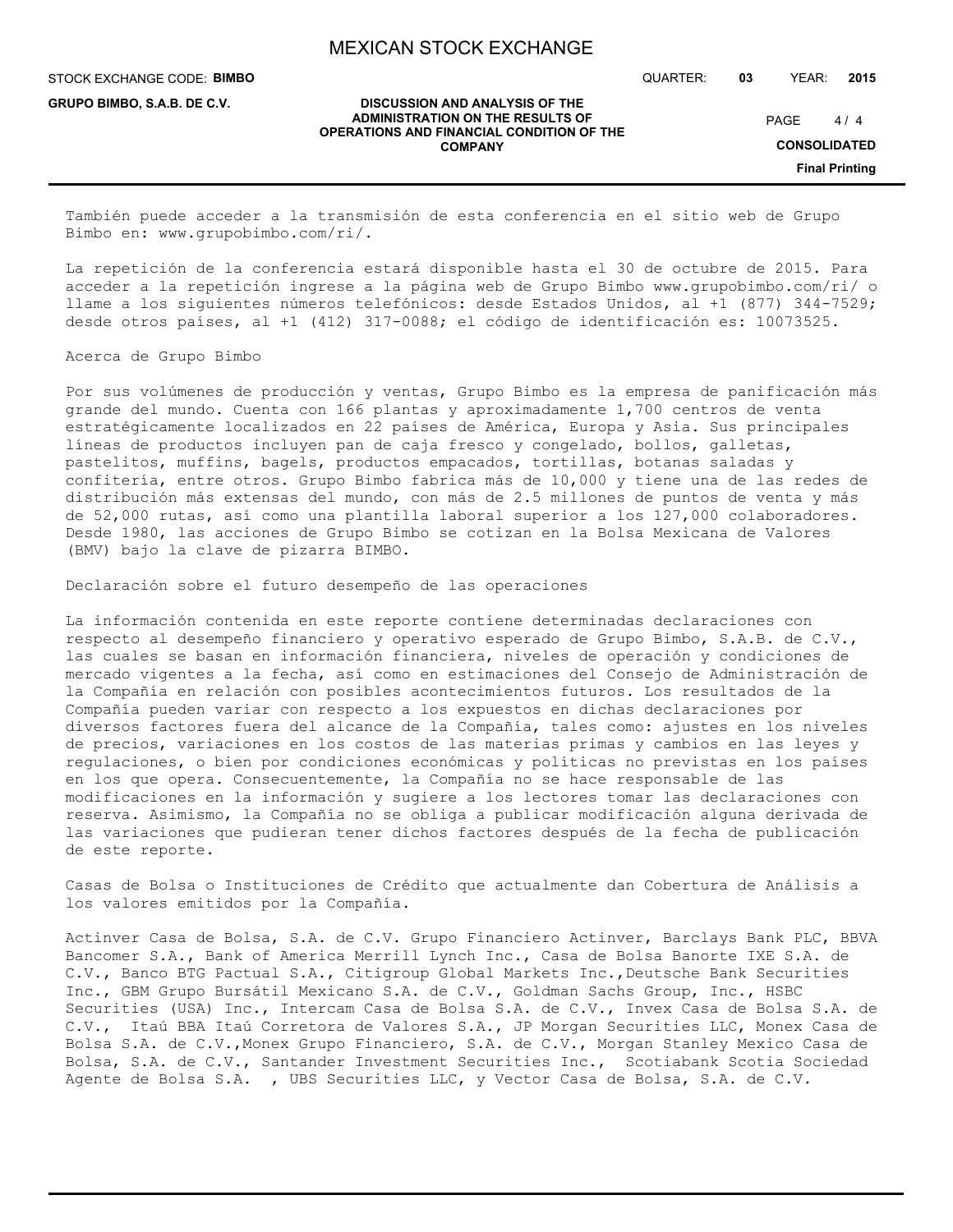STOCK EXCHANGE CODE: **BIMBO**

**GRUPO BIMBO, S.A.B. DE C.V.**

QUARTER: **03** YEAR: **2015**

 $4/4$ PAGE

**CONSOLIDATED**

**Final Printing**

#### **DISCUSSION AND ANALYSIS OF THE ADMINISTRATION ON THE RESULTS OF OPERATIONS AND FINANCIAL CONDITION OF THE COMPANY**

También puede acceder a la transmisión de esta conferencia en el sitio web de Grupo Bimbo en: www.grupobimbo.com/ri/.

La repetición de la conferencia estará disponible hasta el 30 de octubre de 2015. Para acceder a la repetición ingrese a la página web de Grupo Bimbo www.grupobimbo.com/ri/ o llame a los siguientes números telefónicos: desde Estados Unidos, al +1 (877) 344-7529; desde otros países, al +1 (412) 317-0088; el código de identificación es: 10073525.

### Acerca de Grupo Bimbo

Por sus volúmenes de producción y ventas, Grupo Bimbo es la empresa de panificación más grande del mundo. Cuenta con 166 plantas y aproximadamente 1,700 centros de venta estratégicamente localizados en 22 países de América, Europa y Asia. Sus principales líneas de productos incluyen pan de caja fresco y congelado, bollos, galletas, pastelitos, muffins, bagels, productos empacados, tortillas, botanas saladas y confitería, entre otros. Grupo Bimbo fabrica más de 10,000 y tiene una de las redes de distribución más extensas del mundo, con más de 2.5 millones de puntos de venta y más de 52,000 rutas, así como una plantilla laboral superior a los 127,000 colaboradores. Desde 1980, las acciones de Grupo Bimbo se cotizan en la Bolsa Mexicana de Valores (BMV) bajo la clave de pizarra BIMBO.

Declaración sobre el futuro desempeño de las operaciones

La información contenida en este reporte contiene determinadas declaraciones con respecto al desempeño financiero y operativo esperado de Grupo Bimbo, S.A.B. de C.V., las cuales se basan en información financiera, niveles de operación y condiciones de mercado vigentes a la fecha, así como en estimaciones del Consejo de Administración de la Compañía en relación con posibles acontecimientos futuros. Los resultados de la Compañía pueden variar con respecto a los expuestos en dichas declaraciones por diversos factores fuera del alcance de la Compañía, tales como: ajustes en los niveles de precios, variaciones en los costos de las materias primas y cambios en las leyes y regulaciones, o bien por condiciones económicas y políticas no previstas en los países en los que opera. Consecuentemente, la Compañía no se hace responsable de las modificaciones en la información y sugiere a los lectores tomar las declaraciones con reserva. Asimismo, la Compañía no se obliga a publicar modificación alguna derivada de las variaciones que pudieran tener dichos factores después de la fecha de publicación de este reporte.

Casas de Bolsa o Instituciones de Crédito que actualmente dan Cobertura de Análisis a los valores emitidos por la Compañía.

Actinver Casa de Bolsa, S.A. de C.V. Grupo Financiero Actinver, Barclays Bank PLC, BBVA Bancomer S.A., Bank of America Merrill Lynch Inc., Casa de Bolsa Banorte IXE S.A. de C.V., Banco BTG Pactual S.A., Citigroup Global Markets Inc.,Deutsche Bank Securities Inc., GBM Grupo Bursátil Mexicano S.A. de C.V., Goldman Sachs Group, Inc., HSBC Securities (USA) Inc., Intercam Casa de Bolsa S.A. de C.V., Invex Casa de Bolsa S.A. de C.V., Itaú BBA Itaú Corretora de Valores S.A., JP Morgan Securities LLC, Monex Casa de Bolsa S.A. de C.V.,Monex Grupo Financiero, S.A. de C.V., Morgan Stanley Mexico Casa de Bolsa, S.A. de C.V., Santander Investment Securities Inc., Scotiabank Scotia Sociedad Agente de Bolsa S.A. , UBS Securities LLC, y Vector Casa de Bolsa, S.A. de C.V.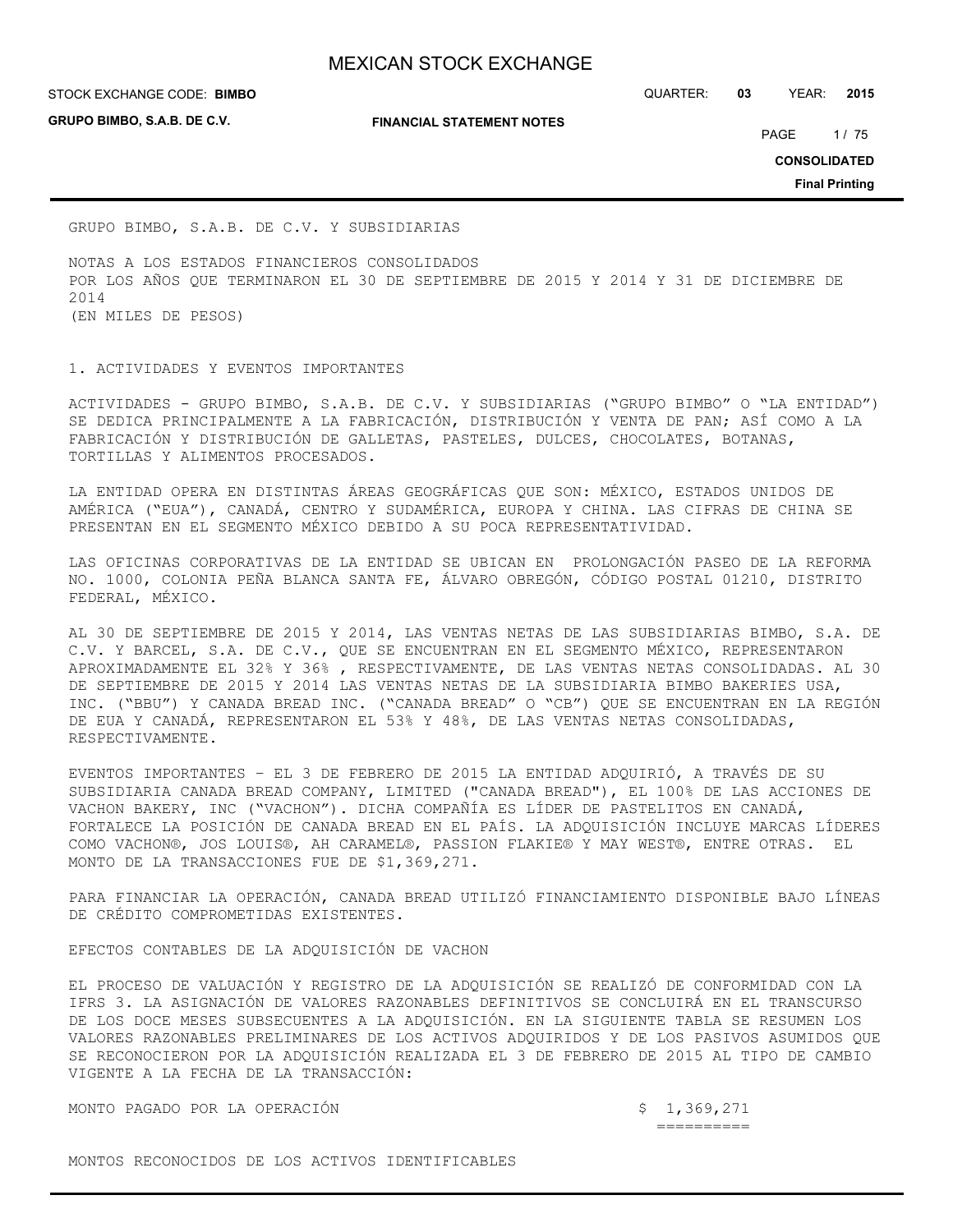**GRUPO BIMBO, S.A.B. DE C.V.**

**FINANCIAL STATEMENT NOTES**

STOCK EXCHANGE CODE: QUARTER: **03** YEAR: **2015 BIMBO**

PAGE 1/75

**CONSOLIDATED**

**Final Printing**

GRUPO BIMBO, S.A.B. DE C.V. Y SUBSIDIARIAS

NOTAS A LOS ESTADOS FINANCIEROS CONSOLIDADOS POR LOS AÑOS QUE TERMINARON EL 30 DE SEPTIEMBRE DE 2015 Y 2014 Y 31 DE DICIEMBRE DE 2014 (EN MILES DE PESOS)

1. ACTIVIDADES Y EVENTOS IMPORTANTES

ACTIVIDADES - GRUPO BIMBO, S.A.B. DE C.V. Y SUBSIDIARIAS ("GRUPO BIMBO" O "LA ENTIDAD") SE DEDICA PRINCIPALMENTE A LA FABRICACIÓN, DISTRIBUCIÓN Y VENTA DE PAN; ASÍ COMO A LA FABRICACIÓN Y DISTRIBUCIÓN DE GALLETAS, PASTELES, DULCES, CHOCOLATES, BOTANAS, TORTILLAS Y ALIMENTOS PROCESADOS.

LA ENTIDAD OPERA EN DISTINTAS ÁREAS GEOGRÁFICAS QUE SON: MÉXICO, ESTADOS UNIDOS DE AMÉRICA ("EUA"), CANADÁ, CENTRO Y SUDAMÉRICA, EUROPA Y CHINA. LAS CIFRAS DE CHINA SE PRESENTAN EN EL SEGMENTO MÉXICO DEBIDO A SU POCA REPRESENTATIVIDAD.

LAS OFICINAS CORPORATIVAS DE LA ENTIDAD SE UBICAN EN PROLONGACIÓN PASEO DE LA REFORMA NO. 1000, COLONIA PEÑA BLANCA SANTA FE, ÁLVARO OBREGÓN, CÓDIGO POSTAL 01210, DISTRITO FEDERAL, MÉXICO.

AL 30 DE SEPTIEMBRE DE 2015 Y 2014, LAS VENTAS NETAS DE LAS SUBSIDIARIAS BIMBO, S.A. DE C.V. Y BARCEL, S.A. DE C.V., QUE SE ENCUENTRAN EN EL SEGMENTO MÉXICO, REPRESENTARON APROXIMADAMENTE EL 32% Y 36% , RESPECTIVAMENTE, DE LAS VENTAS NETAS CONSOLIDADAS. AL 30 DE SEPTIEMBRE DE 2015 Y 2014 LAS VENTAS NETAS DE LA SUBSIDIARIA BIMBO BAKERIES USA, INC. ("BBU") Y CANADA BREAD INC. ("CANADA BREAD" O "CB") QUE SE ENCUENTRAN EN LA REGIÓN DE EUA Y CANADÁ, REPRESENTARON EL 53% Y 48%, DE LAS VENTAS NETAS CONSOLIDADAS, RESPECTIVAMENTE.

EVENTOS IMPORTANTES – EL 3 DE FEBRERO DE 2015 LA ENTIDAD ADQUIRIÓ, A TRAVÉS DE SU SUBSIDIARIA CANADA BREAD COMPANY, LIMITED ("CANADA BREAD"), EL 100% DE LAS ACCIONES DE VACHON BAKERY, INC ("VACHON"). DICHA COMPAÑÍA ES LÍDER DE PASTELITOS EN CANADÁ, FORTALECE LA POSICIÓN DE CANADA BREAD EN EL PAÍS. LA ADQUISICIÓN INCLUYE MARCAS LÍDERES COMO VACHON®, JOS LOUIS®, AH CARAMEL®, PASSION FLAKIE® Y MAY WEST®, ENTRE OTRAS. EL MONTO DE LA TRANSACCIONES FUE DE \$1,369,271.

PARA FINANCIAR LA OPERACIÓN, CANADA BREAD UTILIZÓ FINANCIAMIENTO DISPONIBLE BAJO LÍNEAS DE CRÉDITO COMPROMETIDAS EXISTENTES.

EFECTOS CONTABLES DE LA ADQUISICIÓN DE VACHON

EL PROCESO DE VALUACIÓN Y REGISTRO DE LA ADQUISICIÓN SE REALIZÓ DE CONFORMIDAD CON LA IFRS 3. LA ASIGNACIÓN DE VALORES RAZONABLES DEFINITIVOS SE CONCLUIRÁ EN EL TRANSCURSO DE LOS DOCE MESES SUBSECUENTES A LA ADQUISICIÓN. EN LA SIGUIENTE TABLA SE RESUMEN LOS VALORES RAZONABLES PRELIMINARES DE LOS ACTIVOS ADQUIRIDOS Y DE LOS PASIVOS ASUMIDOS QUE SE RECONOCIERON POR LA ADQUISICIÓN REALIZADA EL 3 DE FEBRERO DE 2015 AL TIPO DE CAMBIO VIGENTE A LA FECHA DE LA TRANSACCIÓN:

MONTO PAGADO POR LA OPERACIÓN \$ 1,369,271

==========

MONTOS RECONOCIDOS DE LOS ACTIVOS IDENTIFICABLES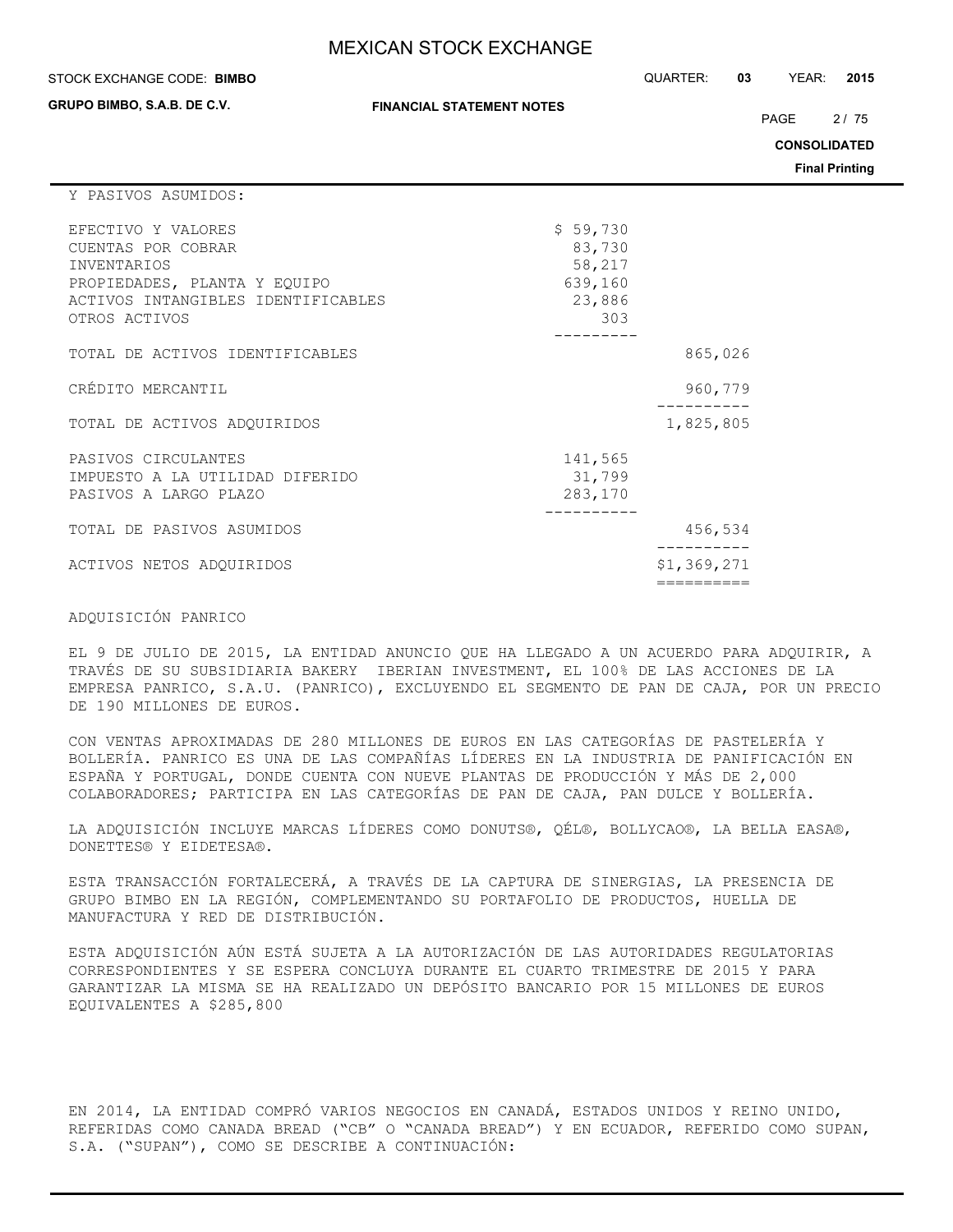#### STOCK EXCHANGE CODE: QUARTER: **03** YEAR: **2015 BIMBO**

**GRUPO BIMBO, S.A.B. DE C.V.**

**FINANCIAL STATEMENT NOTES**

PAGE 2/75

**CONSOLIDATED**

**Final Printing**

#### Y PASIVOS ASUMIDOS:

| 865,026                                                                                  |
|------------------------------------------------------------------------------------------|
| 960,779                                                                                  |
| 1,825,805                                                                                |
|                                                                                          |
| 456,534                                                                                  |
| \$1,369,271                                                                              |
| \$59,730<br>83,730<br>58,217<br>639,160<br>23,886<br>303<br>141,565<br>31,799<br>283,170 |

## ADQUISICIÓN PANRICO

EL 9 DE JULIO DE 2015, LA ENTIDAD ANUNCIO QUE HA LLEGADO A UN ACUERDO PARA ADQUIRIR, A TRAVÉS DE SU SUBSIDIARIA BAKERY IBERIAN INVESTMENT, EL 100% DE LAS ACCIONES DE LA EMPRESA PANRICO, S.A.U. (PANRICO), EXCLUYENDO EL SEGMENTO DE PAN DE CAJA, POR UN PRECIO DE 190 MILLONES DE EUROS.

CON VENTAS APROXIMADAS DE 280 MILLONES DE EUROS EN LAS CATEGORÍAS DE PASTELERÍA Y BOLLERÍA. PANRICO ES UNA DE LAS COMPAÑÍAS LÍDERES EN LA INDUSTRIA DE PANIFICACIÓN EN ESPAÑA Y PORTUGAL, DONDE CUENTA CON NUEVE PLANTAS DE PRODUCCIÓN Y MÁS DE 2,000 COLABORADORES; PARTICIPA EN LAS CATEGORÍAS DE PAN DE CAJA, PAN DULCE Y BOLLERÍA.

LA ADQUISICIÓN INCLUYE MARCAS LÍDERES COMO DONUTS®, QÉL®, BOLLYCAO®, LA BELLA EASA®, DONETTES® Y EIDETESA®.

ESTA TRANSACCIÓN FORTALECERÁ, A TRAVÉS DE LA CAPTURA DE SINERGIAS, LA PRESENCIA DE GRUPO BIMBO EN LA REGIÓN, COMPLEMENTANDO SU PORTAFOLIO DE PRODUCTOS, HUELLA DE MANUFACTURA Y RED DE DISTRIBUCIÓN.

ESTA ADQUISICIÓN AÚN ESTÁ SUJETA A LA AUTORIZACIÓN DE LAS AUTORIDADES REGULATORIAS CORRESPONDIENTES Y SE ESPERA CONCLUYA DURANTE EL CUARTO TRIMESTRE DE 2015 Y PARA GARANTIZAR LA MISMA SE HA REALIZADO UN DEPÓSITO BANCARIO POR 15 MILLONES DE EUROS EQUIVALENTES A \$285,800

EN 2014, LA ENTIDAD COMPRÓ VARIOS NEGOCIOS EN CANADÁ, ESTADOS UNIDOS Y REINO UNIDO, REFERIDAS COMO CANADA BREAD ("CB" O "CANADA BREAD") Y EN ECUADOR, REFERIDO COMO SUPAN, S.A. ("SUPAN"), COMO SE DESCRIBE A CONTINUACIÓN: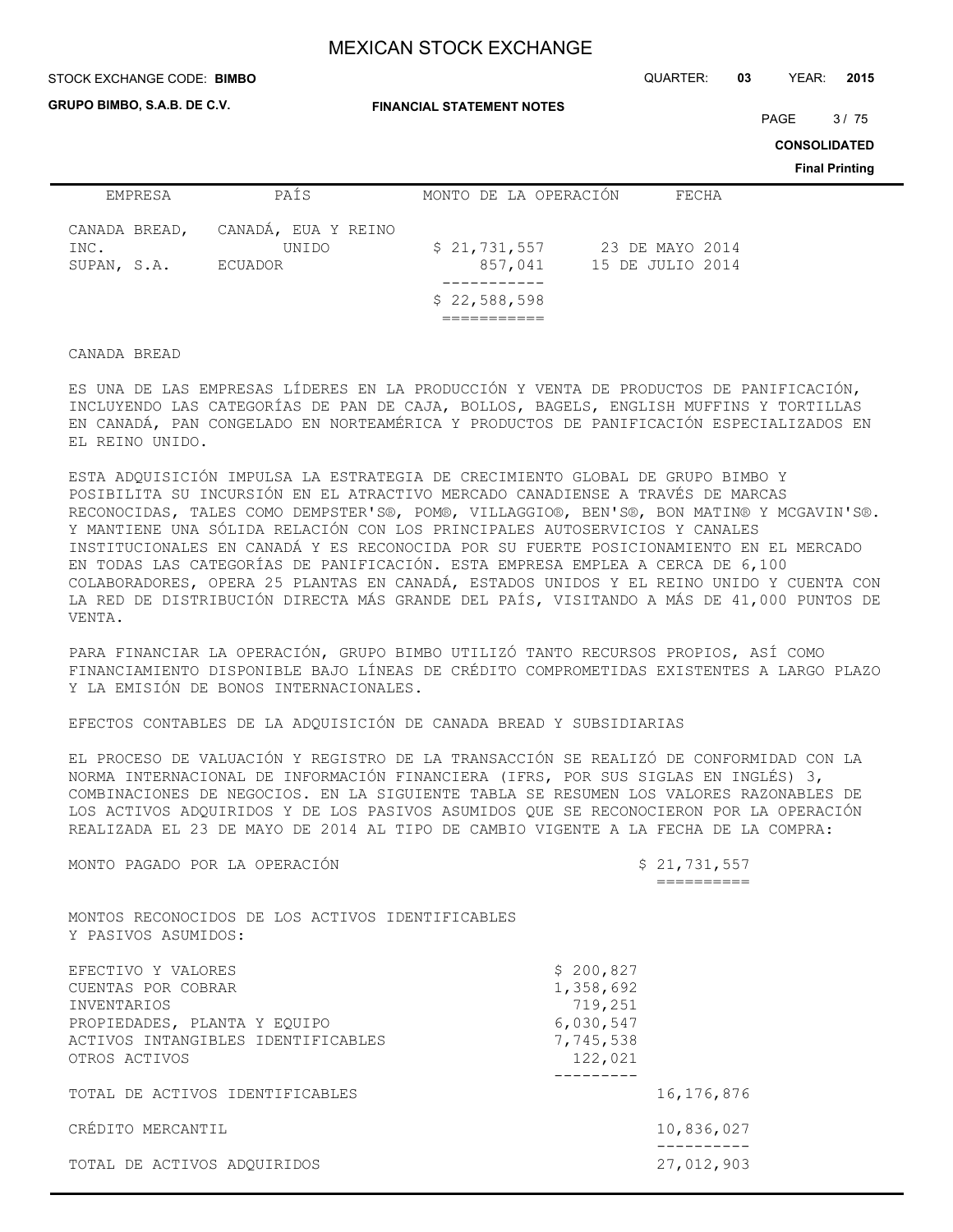#### STOCK EXCHANGE CODE: QUARTER: **03** YEAR: **2015 BIMBO**

**GRUPO BIMBO, S.A.B. DE C.V.**

**FINANCIAL STATEMENT NOTES**

PAGE 3/75

**CONSOLIDATED**

**Final Printing**

| <b>EMPRESA</b>                       | PAÍS                                           | MONTO DE LA OPERACIÓN                   | FECHA                               |
|--------------------------------------|------------------------------------------------|-----------------------------------------|-------------------------------------|
| CANADA BREAD,<br>INC.<br>SUPAN, S.A. | CANADA, EUA Y REINO<br>UNIDO<br><b>ECUADOR</b> | \$21,731,557<br>857,041<br>\$22,588,598 | 23 DE MAYO 2014<br>15 DE JULIO 2014 |
|                                      |                                                |                                         |                                     |

## CANADA BREAD

ES UNA DE LAS EMPRESAS LÍDERES EN LA PRODUCCIÓN Y VENTA DE PRODUCTOS DE PANIFICACIÓN, INCLUYENDO LAS CATEGORÍAS DE PAN DE CAJA, BOLLOS, BAGELS, ENGLISH MUFFINS Y TORTILLAS EN CANADÁ, PAN CONGELADO EN NORTEAMÉRICA Y PRODUCTOS DE PANIFICACIÓN ESPECIALIZADOS EN EL REINO UNIDO.

ESTA ADQUISICIÓN IMPULSA LA ESTRATEGIA DE CRECIMIENTO GLOBAL DE GRUPO BIMBO Y POSIBILITA SU INCURSIÓN EN EL ATRACTIVO MERCADO CANADIENSE A TRAVÉS DE MARCAS RECONOCIDAS, TALES COMO DEMPSTER'S®, POM®, VILLAGGIO®, BEN'S®, BON MATIN® Y MCGAVIN'S®. Y MANTIENE UNA SÓLIDA RELACIÓN CON LOS PRINCIPALES AUTOSERVICIOS Y CANALES INSTITUCIONALES EN CANADÁ Y ES RECONOCIDA POR SU FUERTE POSICIONAMIENTO EN EL MERCADO EN TODAS LAS CATEGORÍAS DE PANIFICACIÓN. ESTA EMPRESA EMPLEA A CERCA DE 6,100 COLABORADORES, OPERA 25 PLANTAS EN CANADÁ, ESTADOS UNIDOS Y EL REINO UNIDO Y CUENTA CON LA RED DE DISTRIBUCIÓN DIRECTA MÁS GRANDE DEL PAÍS, VISITANDO A MÁS DE 41,000 PUNTOS DE VENTA.

PARA FINANCIAR LA OPERACIÓN, GRUPO BIMBO UTILIZÓ TANTO RECURSOS PROPIOS, ASÍ COMO FINANCIAMIENTO DISPONIBLE BAJO LÍNEAS DE CRÉDITO COMPROMETIDAS EXISTENTES A LARGO PLAZO Y LA EMISIÓN DE BONOS INTERNACIONALES.

## EFECTOS CONTABLES DE LA ADQUISICIÓN DE CANADA BREAD Y SUBSIDIARIAS

EL PROCESO DE VALUACIÓN Y REGISTRO DE LA TRANSACCIÓN SE REALIZÓ DE CONFORMIDAD CON LA NORMA INTERNACIONAL DE INFORMACIÓN FINANCIERA (IFRS, POR SUS SIGLAS EN INGLÉS) 3, COMBINACIONES DE NEGOCIOS. EN LA SIGUIENTE TABLA SE RESUMEN LOS VALORES RAZONABLES DE LOS ACTIVOS ADQUIRIDOS Y DE LOS PASIVOS ASUMIDOS QUE SE RECONOCIERON POR LA OPERACIÓN REALIZADA EL 23 DE MAYO DE 2014 AL TIPO DE CAMBIO VIGENTE A LA FECHA DE LA COMPRA:

MONTO PAGADO POR LA OPERACIÓN \$ 21,731,557

==========

MONTOS RECONOCIDOS DE LOS ACTIVOS IDENTIFICABLES Y PASIVOS ASUMIDOS:

| EFECTIVO Y VALORES<br>CUENTAS POR COBRAR | \$200,827<br>1,358,692 |              |
|------------------------------------------|------------------------|--------------|
| INVENTARIOS                              | 719,251                |              |
| PROPIEDADES, PLANTA Y EQUIPO             | 6,030,547              |              |
| ACTIVOS INTANGIBLES IDENTIFICABLES       | 7,745,538              |              |
| OTROS ACTIVOS                            | 122,021                |              |
|                                          |                        |              |
| TOTAL DE ACTIVOS IDENTIFICABLES          |                        | 16, 176, 876 |
| CRÉDITO MERCANTIL                        |                        | 10,836,027   |
| TOTAL DE ACTIVOS ADOUIRIDOS              |                        | 27,012,903   |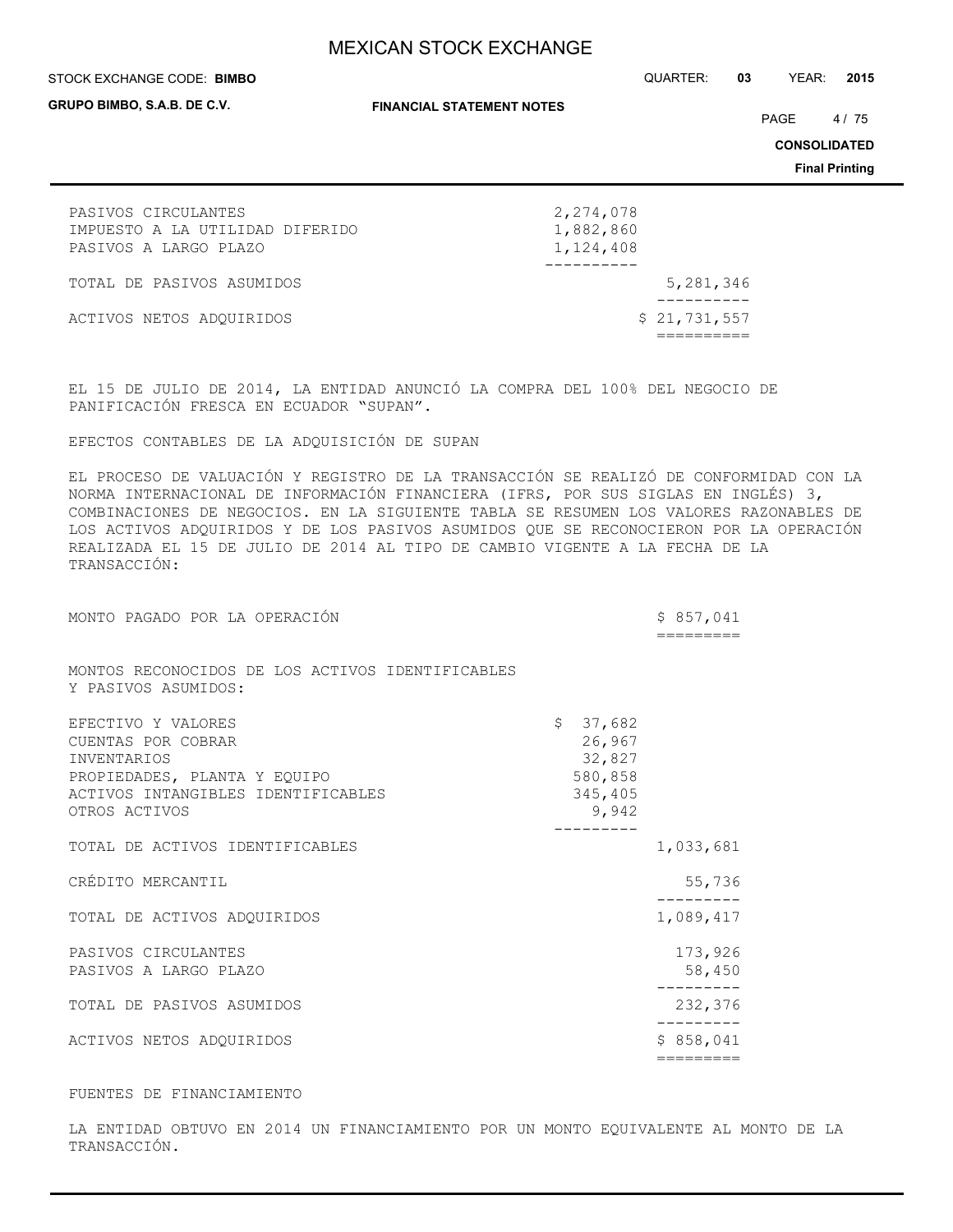#### STOCK EXCHANGE CODE: QUARTER: **03** YEAR: **2015 BIMBO**

**GRUPO BIMBO, S.A.B. DE C.V.**

**FINANCIAL STATEMENT NOTES**

PAGE 4/75

**CONSOLIDATED**

**Final Printing**

| PASIVOS CIRCULANTES             | 2,274,078    |
|---------------------------------|--------------|
| IMPUESTO A LA UTILIDAD DIFERIDO | 1,882,860    |
| PASIVOS A LARGO PLAZO           | 1,124,408    |
|                                 |              |
| TOTAL DE PASIVOS ASUMIDOS       | 5,281,346    |
|                                 |              |
| ACTIVOS NETOS ADQUIRIDOS        | \$21,731,557 |
|                                 |              |

EL 15 DE JULIO DE 2014, LA ENTIDAD ANUNCIÓ LA COMPRA DEL 100% DEL NEGOCIO DE PANIFICACIÓN FRESCA EN ECUADOR "SUPAN".

#### EFECTOS CONTABLES DE LA ADQUISICIÓN DE SUPAN

EL PROCESO DE VALUACIÓN Y REGISTRO DE LA TRANSACCIÓN SE REALIZÓ DE CONFORMIDAD CON LA NORMA INTERNACIONAL DE INFORMACIÓN FINANCIERA (IFRS, POR SUS SIGLAS EN INGLÉS) 3, COMBINACIONES DE NEGOCIOS. EN LA SIGUIENTE TABLA SE RESUMEN LOS VALORES RAZONABLES DE LOS ACTIVOS ADQUIRIDOS Y DE LOS PASIVOS ASUMIDOS QUE SE RECONOCIERON POR LA OPERACIÓN REALIZADA EL 15 DE JULIO DE 2014 AL TIPO DE CAMBIO VIGENTE A LA FECHA DE LA TRANSACCIÓN:

| MONTO PAGADO POR LA OPERACIÓN |  |  |                                                  |  | \$857.041 |
|-------------------------------|--|--|--------------------------------------------------|--|-----------|
|                               |  |  |                                                  |  |           |
|                               |  |  |                                                  |  |           |
|                               |  |  | MONTOS RECONOCIDOS DE LOS ACTIVOS IDENTIFICABLES |  |           |

Y PASIVOS ASUMIDOS:

| EFECTIVO Y VALORES                 | \$37,682 |           |
|------------------------------------|----------|-----------|
| CUENTAS POR COBRAR                 | 26,967   |           |
| INVENTARIOS                        | 32,827   |           |
| PROPIEDADES, PLANTA Y EQUIPO       | 580,858  |           |
| ACTIVOS INTANGIBLES IDENTIFICABLES | 345,405  |           |
| OTROS ACTIVOS                      | 9,942    |           |
| TOTAL DE ACTIVOS IDENTIFICABLES    |          | 1,033,681 |
| CRÉDITO MERCANTIL                  |          | 55,736    |
| TOTAL DE ACTIVOS ADOUIRIDOS        |          | 1,089,417 |
| PASIVOS CIRCULANTES                |          | 173,926   |
| PASIVOS A LARGO PLAZO              |          | 58,450    |
|                                    |          |           |
| TOTAL DE PASIVOS ASUMIDOS          |          | 232,376   |
| ACTIVOS NETOS ADOUIRIDOS           |          | \$858,041 |
|                                    |          |           |

FUENTES DE FINANCIAMIENTO

LA ENTIDAD OBTUVO EN 2014 UN FINANCIAMIENTO POR UN MONTO EQUIVALENTE AL MONTO DE LA TRANSACCIÓN.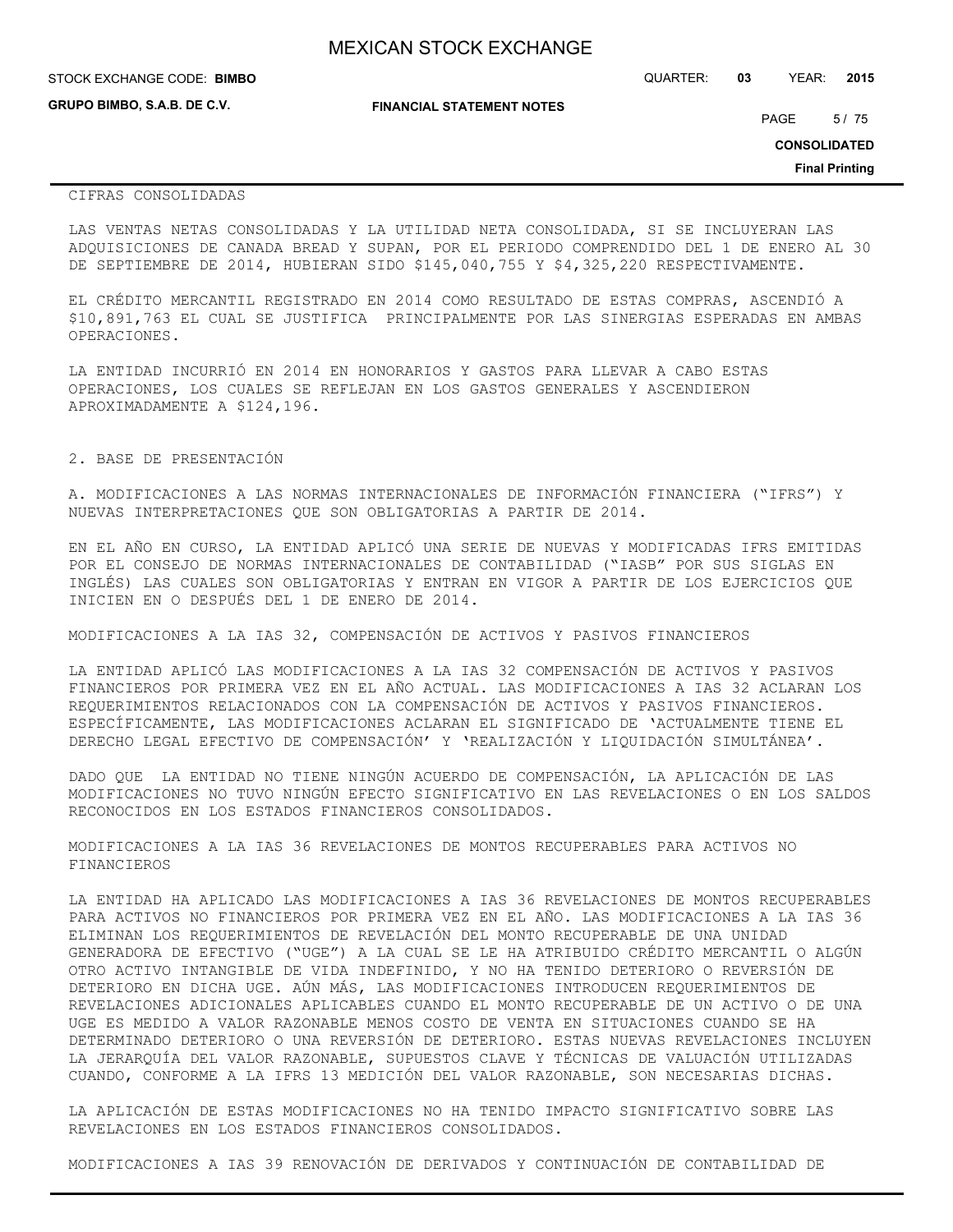| <b>MEXICAN STOCK EXCHANGE</b> |
|-------------------------------|
|-------------------------------|

| STOCK EXCHANGE CODE: BIMBO         |                                  | QUARTER: | 03 | YEAR:               | 2015 |
|------------------------------------|----------------------------------|----------|----|---------------------|------|
| <b>GRUPO BIMBO, S.A.B. DE C.V.</b> | <b>FINANCIAL STATEMENT NOTES</b> |          |    | PAGE                | 5/75 |
|                                    |                                  |          |    | <b>CONSOLIDATED</b> |      |

**Final Printing**

## CIFRAS CONSOLIDADAS

LAS VENTAS NETAS CONSOLIDADAS Y LA UTILIDAD NETA CONSOLIDADA, SI SE INCLUYERAN LAS ADQUISICIONES DE CANADA BREAD Y SUPAN, POR EL PERIODO COMPRENDIDO DEL 1 DE ENERO AL 30 DE SEPTIEMBRE DE 2014, HUBIERAN SIDO \$145,040,755 Y \$4,325,220 RESPECTIVAMENTE.

EL CRÉDITO MERCANTIL REGISTRADO EN 2014 COMO RESULTADO DE ESTAS COMPRAS, ASCENDIÓ A \$10,891,763 EL CUAL SE JUSTIFICA PRINCIPALMENTE POR LAS SINERGIAS ESPERADAS EN AMBAS OPERACIONES.

LA ENTIDAD INCURRIÓ EN 2014 EN HONORARIOS Y GASTOS PARA LLEVAR A CABO ESTAS OPERACIONES, LOS CUALES SE REFLEJAN EN LOS GASTOS GENERALES Y ASCENDIERON APROXIMADAMENTE A \$124,196.

## 2. BASE DE PRESENTACIÓN

A. MODIFICACIONES A LAS NORMAS INTERNACIONALES DE INFORMACIÓN FINANCIERA ("IFRS") Y NUEVAS INTERPRETACIONES QUE SON OBLIGATORIAS A PARTIR DE 2014.

EN EL AÑO EN CURSO, LA ENTIDAD APLICÓ UNA SERIE DE NUEVAS Y MODIFICADAS IFRS EMITIDAS POR EL CONSEJO DE NORMAS INTERNACIONALES DE CONTABILIDAD ("IASB" POR SUS SIGLAS EN INGLÉS) LAS CUALES SON OBLIGATORIAS Y ENTRAN EN VIGOR A PARTIR DE LOS EJERCICIOS QUE INICIEN EN O DESPUÉS DEL 1 DE ENERO DE 2014.

MODIFICACIONES A LA IAS 32, COMPENSACIÓN DE ACTIVOS Y PASIVOS FINANCIEROS

LA ENTIDAD APLICÓ LAS MODIFICACIONES A LA IAS 32 COMPENSACIÓN DE ACTIVOS Y PASIVOS FINANCIEROS POR PRIMERA VEZ EN EL AÑO ACTUAL. LAS MODIFICACIONES A IAS 32 ACLARAN LOS REQUERIMIENTOS RELACIONADOS CON LA COMPENSACIÓN DE ACTIVOS Y PASIVOS FINANCIEROS. ESPECÍFICAMENTE, LAS MODIFICACIONES ACLARAN EL SIGNIFICADO DE 'ACTUALMENTE TIENE EL DERECHO LEGAL EFECTIVO DE COMPENSACIÓN' Y 'REALIZACIÓN Y LIQUIDACIÓN SIMULTÁNEA'.

DADO QUE LA ENTIDAD NO TIENE NINGÚN ACUERDO DE COMPENSACIÓN, LA APLICACIÓN DE LAS MODIFICACIONES NO TUVO NINGÚN EFECTO SIGNIFICATIVO EN LAS REVELACIONES O EN LOS SALDOS RECONOCIDOS EN LOS ESTADOS FINANCIEROS CONSOLIDADOS.

MODIFICACIONES A LA IAS 36 REVELACIONES DE MONTOS RECUPERABLES PARA ACTIVOS NO FINANCIEROS

LA ENTIDAD HA APLICADO LAS MODIFICACIONES A IAS 36 REVELACIONES DE MONTOS RECUPERABLES PARA ACTIVOS NO FINANCIEROS POR PRIMERA VEZ EN EL AÑO. LAS MODIFICACIONES A LA IAS 36 ELIMINAN LOS REQUERIMIENTOS DE REVELACIÓN DEL MONTO RECUPERABLE DE UNA UNIDAD GENERADORA DE EFECTIVO ("UGE") A LA CUAL SE LE HA ATRIBUIDO CRÉDITO MERCANTIL O ALGÚN OTRO ACTIVO INTANGIBLE DE VIDA INDEFINIDO, Y NO HA TENIDO DETERIORO O REVERSIÓN DE DETERIORO EN DICHA UGE. AÚN MÁS, LAS MODIFICACIONES INTRODUCEN REQUERIMIENTOS DE REVELACIONES ADICIONALES APLICABLES CUANDO EL MONTO RECUPERABLE DE UN ACTIVO O DE UNA UGE ES MEDIDO A VALOR RAZONABLE MENOS COSTO DE VENTA EN SITUACIONES CUANDO SE HA DETERMINADO DETERIORO O UNA REVERSIÓN DE DETERIORO. ESTAS NUEVAS REVELACIONES INCLUYEN LA JERARQUÍA DEL VALOR RAZONABLE, SUPUESTOS CLAVE Y TÉCNICAS DE VALUACIÓN UTILIZADAS CUANDO, CONFORME A LA IFRS 13 MEDICIÓN DEL VALOR RAZONABLE, SON NECESARIAS DICHAS.

LA APLICACIÓN DE ESTAS MODIFICACIONES NO HA TENIDO IMPACTO SIGNIFICATIVO SOBRE LAS REVELACIONES EN LOS ESTADOS FINANCIEROS CONSOLIDADOS.

MODIFICACIONES A IAS 39 RENOVACIÓN DE DERIVADOS Y CONTINUACIÓN DE CONTABILIDAD DE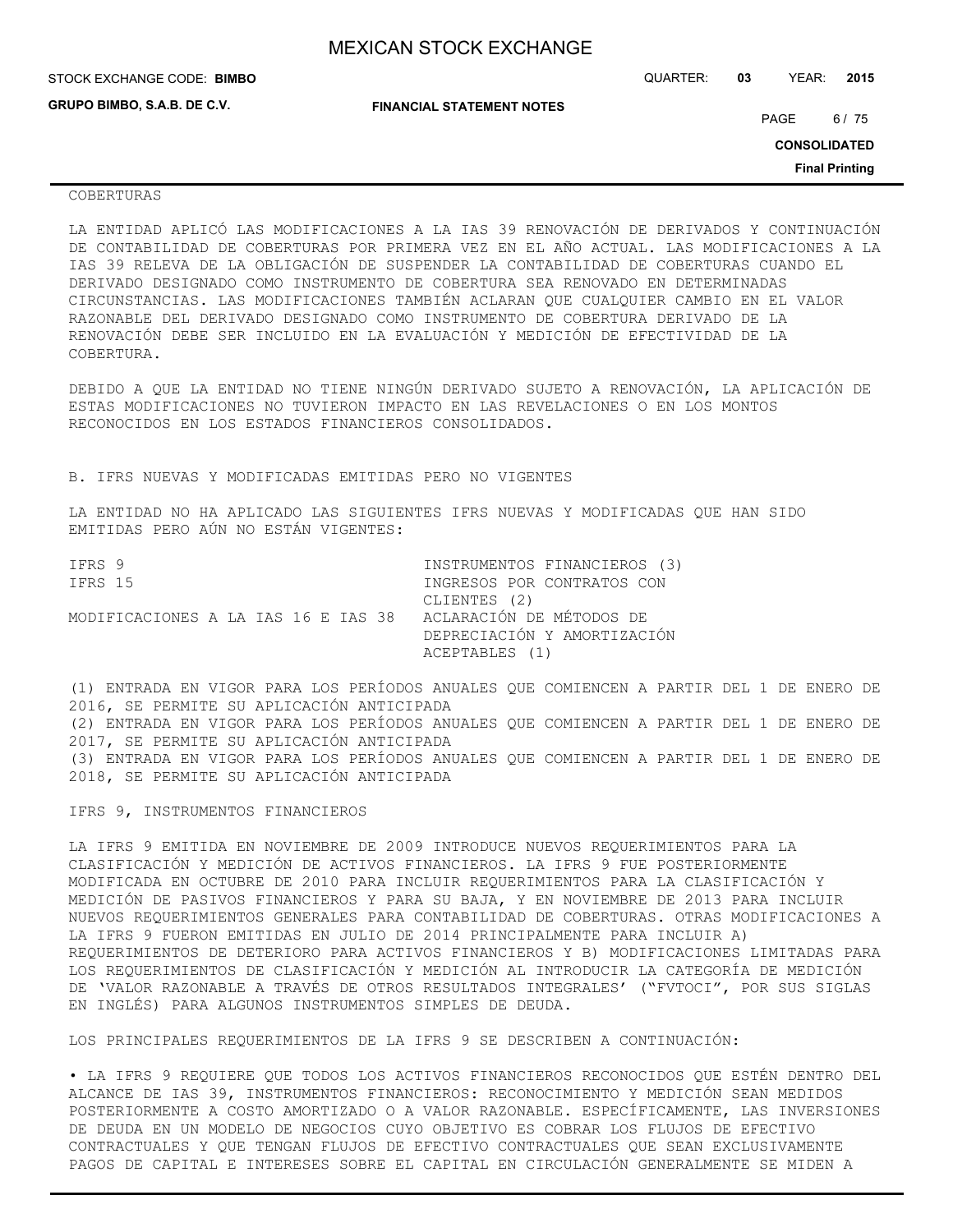| STOCK EXCHANGE CODE: BIMBO  |                                  | QUARTER: | 03 | YEAR:               | 2015                  |
|-----------------------------|----------------------------------|----------|----|---------------------|-----------------------|
| GRUPO BIMBO, S.A.B. DE C.V. | <b>FINANCIAL STATEMENT NOTES</b> |          |    | PAGE                | 6 / 75                |
|                             |                                  |          |    | <b>CONSOLIDATED</b> |                       |
|                             |                                  |          |    |                     | <b>Final Printing</b> |

## COBERTURAS

LA ENTIDAD APLICÓ LAS MODIFICACIONES A LA IAS 39 RENOVACIÓN DE DERIVADOS Y CONTINUACIÓN DE CONTABILIDAD DE COBERTURAS POR PRIMERA VEZ EN EL AÑO ACTUAL. LAS MODIFICACIONES A LA IAS 39 RELEVA DE LA OBLIGACIÓN DE SUSPENDER LA CONTABILIDAD DE COBERTURAS CUANDO EL DERIVADO DESIGNADO COMO INSTRUMENTO DE COBERTURA SEA RENOVADO EN DETERMINADAS CIRCUNSTANCIAS. LAS MODIFICACIONES TAMBIÉN ACLARAN QUE CUALQUIER CAMBIO EN EL VALOR RAZONABLE DEL DERIVADO DESIGNADO COMO INSTRUMENTO DE COBERTURA DERIVADO DE LA RENOVACIÓN DEBE SER INCLUIDO EN LA EVALUACIÓN Y MEDICIÓN DE EFECTIVIDAD DE LA COBERTURA.

DEBIDO A QUE LA ENTIDAD NO TIENE NINGÚN DERIVADO SUJETO A RENOVACIÓN, LA APLICACIÓN DE ESTAS MODIFICACIONES NO TUVIERON IMPACTO EN LAS REVELACIONES O EN LOS MONTOS RECONOCIDOS EN LOS ESTADOS FINANCIEROS CONSOLIDADOS.

B. IFRS NUEVAS Y MODIFICADAS EMITIDAS PERO NO VIGENTES

LA ENTIDAD NO HA APLICADO LAS SIGUIENTES IFRS NUEVAS Y MODIFICADAS QUE HAN SIDO EMITIDAS PERO AÚN NO ESTÁN VIGENTES:

| TFRS 9                              | INSTRUMENTOS FINANCIEROS (3) |
|-------------------------------------|------------------------------|
| IFRS 15                             | INGRESOS POR CONTRATOS CON   |
|                                     | CLIENTES (2)                 |
| MODIFICACIONES A LA IAS 16 E IAS 38 | ACLARACIÓN DE MÉTODOS DE     |
|                                     | DEPRECIACIÓN Y AMORTIZACIÓN  |
|                                     | ACEPTABLES (1)               |

(1) ENTRADA EN VIGOR PARA LOS PERÍODOS ANUALES QUE COMIENCEN A PARTIR DEL 1 DE ENERO DE 2016, SE PERMITE SU APLICACIÓN ANTICIPADA (2) ENTRADA EN VIGOR PARA LOS PERÍODOS ANUALES QUE COMIENCEN A PARTIR DEL 1 DE ENERO DE 2017, SE PERMITE SU APLICACIÓN ANTICIPADA (3) ENTRADA EN VIGOR PARA LOS PERÍODOS ANUALES QUE COMIENCEN A PARTIR DEL 1 DE ENERO DE 2018, SE PERMITE SU APLICACIÓN ANTICIPADA

IFRS 9, INSTRUMENTOS FINANCIEROS

LA IFRS 9 EMITIDA EN NOVIEMBRE DE 2009 INTRODUCE NUEVOS REQUERIMIENTOS PARA LA CLASIFICACIÓN Y MEDICIÓN DE ACTIVOS FINANCIEROS. LA IFRS 9 FUE POSTERIORMENTE MODIFICADA EN OCTUBRE DE 2010 PARA INCLUIR REQUERIMIENTOS PARA LA CLASIFICACIÓN Y MEDICIÓN DE PASIVOS FINANCIEROS Y PARA SU BAJA, Y EN NOVIEMBRE DE 2013 PARA INCLUIR NUEVOS REQUERIMIENTOS GENERALES PARA CONTABILIDAD DE COBERTURAS. OTRAS MODIFICACIONES A LA IFRS 9 FUERON EMITIDAS EN JULIO DE 2014 PRINCIPALMENTE PARA INCLUIR A) REQUERIMIENTOS DE DETERIORO PARA ACTIVOS FINANCIEROS Y B) MODIFICACIONES LIMITADAS PARA LOS REQUERIMIENTOS DE CLASIFICACIÓN Y MEDICIÓN AL INTRODUCIR LA CATEGORÍA DE MEDICIÓN DE 'VALOR RAZONABLE A TRAVÉS DE OTROS RESULTADOS INTEGRALES' ("FVTOCI", POR SUS SIGLAS EN INGLÉS) PARA ALGUNOS INSTRUMENTOS SIMPLES DE DEUDA.

LOS PRINCIPALES REQUERIMIENTOS DE LA IFRS 9 SE DESCRIBEN A CONTINUACIÓN:

• LA IFRS 9 REQUIERE QUE TODOS LOS ACTIVOS FINANCIEROS RECONOCIDOS QUE ESTÉN DENTRO DEL ALCANCE DE IAS 39, INSTRUMENTOS FINANCIEROS: RECONOCIMIENTO Y MEDICIÓN SEAN MEDIDOS POSTERIORMENTE A COSTO AMORTIZADO O A VALOR RAZONABLE. ESPECÍFICAMENTE, LAS INVERSIONES DE DEUDA EN UN MODELO DE NEGOCIOS CUYO OBJETIVO ES COBRAR LOS FLUJOS DE EFECTIVO CONTRACTUALES Y QUE TENGAN FLUJOS DE EFECTIVO CONTRACTUALES QUE SEAN EXCLUSIVAMENTE PAGOS DE CAPITAL E INTERESES SOBRE EL CAPITAL EN CIRCULACIÓN GENERALMENTE SE MIDEN A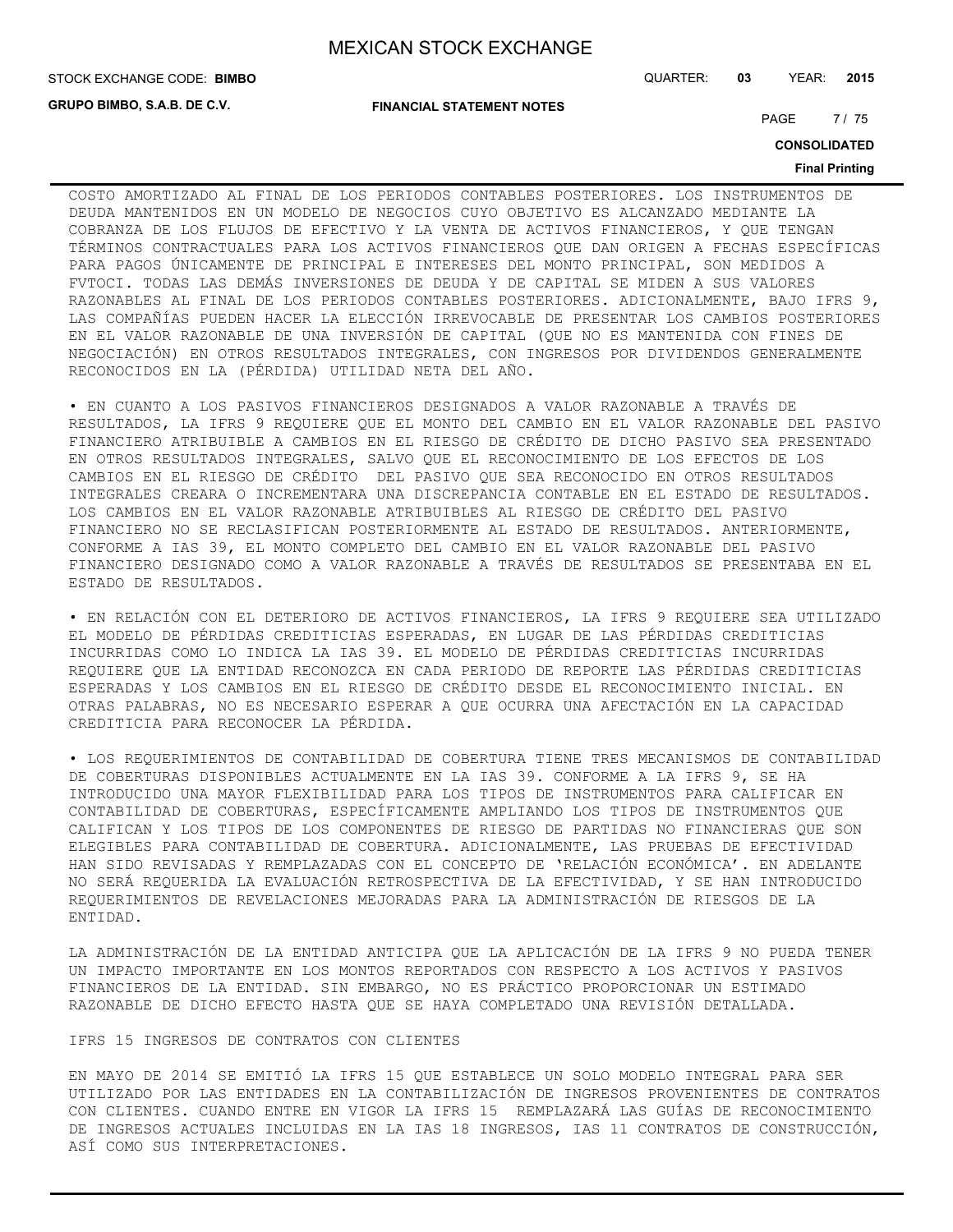**GRUPO BIMBO, S.A.B. DE C.V.**

**FINANCIAL STATEMENT NOTES**

STOCK EXCHANGE CODE: QUARTER: **03** YEAR: **2015 BIMBO**

PAGE 7/75

**CONSOLIDATED**

#### **Final Printing**

COSTO AMORTIZADO AL FINAL DE LOS PERIODOS CONTABLES POSTERIORES. LOS INSTRUMENTOS DE DEUDA MANTENIDOS EN UN MODELO DE NEGOCIOS CUYO OBJETIVO ES ALCANZADO MEDIANTE LA COBRANZA DE LOS FLUJOS DE EFECTIVO Y LA VENTA DE ACTIVOS FINANCIEROS, Y QUE TENGAN TÉRMINOS CONTRACTUALES PARA LOS ACTIVOS FINANCIEROS QUE DAN ORIGEN A FECHAS ESPECÍFICAS PARA PAGOS ÚNICAMENTE DE PRINCIPAL E INTERESES DEL MONTO PRINCIPAL, SON MEDIDOS A FVTOCI. TODAS LAS DEMÁS INVERSIONES DE DEUDA Y DE CAPITAL SE MIDEN A SUS VALORES RAZONABLES AL FINAL DE LOS PERIODOS CONTABLES POSTERIORES. ADICIONALMENTE, BAJO IFRS 9, LAS COMPAÑÍAS PUEDEN HACER LA ELECCIÓN IRREVOCABLE DE PRESENTAR LOS CAMBIOS POSTERIORES EN EL VALOR RAZONABLE DE UNA INVERSIÓN DE CAPITAL (QUE NO ES MANTENIDA CON FINES DE NEGOCIACIÓN) EN OTROS RESULTADOS INTEGRALES, CON INGRESOS POR DIVIDENDOS GENERALMENTE RECONOCIDOS EN LA (PÉRDIDA) UTILIDAD NETA DEL AÑO.

• EN CUANTO A LOS PASIVOS FINANCIEROS DESIGNADOS A VALOR RAZONABLE A TRAVÉS DE RESULTADOS, LA IFRS 9 REQUIERE QUE EL MONTO DEL CAMBIO EN EL VALOR RAZONABLE DEL PASIVO FINANCIERO ATRIBUIBLE A CAMBIOS EN EL RIESGO DE CRÉDITO DE DICHO PASIVO SEA PRESENTADO EN OTROS RESULTADOS INTEGRALES, SALVO QUE EL RECONOCIMIENTO DE LOS EFECTOS DE LOS CAMBIOS EN EL RIESGO DE CRÉDITO DEL PASIVO QUE SEA RECONOCIDO EN OTROS RESULTADOS INTEGRALES CREARA O INCREMENTARA UNA DISCREPANCIA CONTABLE EN EL ESTADO DE RESULTADOS. LOS CAMBIOS EN EL VALOR RAZONABLE ATRIBUIBLES AL RIESGO DE CRÉDITO DEL PASIVO FINANCIERO NO SE RECLASIFICAN POSTERIORMENTE AL ESTADO DE RESULTADOS. ANTERIORMENTE, CONFORME A IAS 39, EL MONTO COMPLETO DEL CAMBIO EN EL VALOR RAZONABLE DEL PASIVO FINANCIERO DESIGNADO COMO A VALOR RAZONABLE A TRAVÉS DE RESULTADOS SE PRESENTABA EN EL ESTADO DE RESULTADOS.

• EN RELACIÓN CON EL DETERIORO DE ACTIVOS FINANCIEROS, LA IFRS 9 REQUIERE SEA UTILIZADO EL MODELO DE PÉRDIDAS CREDITICIAS ESPERADAS, EN LUGAR DE LAS PÉRDIDAS CREDITICIAS INCURRIDAS COMO LO INDICA LA IAS 39. EL MODELO DE PÉRDIDAS CREDITICIAS INCURRIDAS REQUIERE QUE LA ENTIDAD RECONOZCA EN CADA PERIODO DE REPORTE LAS PÉRDIDAS CREDITICIAS ESPERADAS Y LOS CAMBIOS EN EL RIESGO DE CRÉDITO DESDE EL RECONOCIMIENTO INICIAL. EN OTRAS PALABRAS, NO ES NECESARIO ESPERAR A QUE OCURRA UNA AFECTACIÓN EN LA CAPACIDAD CREDITICIA PARA RECONOCER LA PÉRDIDA.

• LOS REQUERIMIENTOS DE CONTABILIDAD DE COBERTURA TIENE TRES MECANISMOS DE CONTABILIDAD DE COBERTURAS DISPONIBLES ACTUALMENTE EN LA IAS 39. CONFORME A LA IFRS 9, SE HA INTRODUCIDO UNA MAYOR FLEXIBILIDAD PARA LOS TIPOS DE INSTRUMENTOS PARA CALIFICAR EN CONTABILIDAD DE COBERTURAS, ESPECÍFICAMENTE AMPLIANDO LOS TIPOS DE INSTRUMENTOS QUE CALIFICAN Y LOS TIPOS DE LOS COMPONENTES DE RIESGO DE PARTIDAS NO FINANCIERAS QUE SON ELEGIBLES PARA CONTABILIDAD DE COBERTURA. ADICIONALMENTE, LAS PRUEBAS DE EFECTIVIDAD HAN SIDO REVISADAS Y REMPLAZADAS CON EL CONCEPTO DE 'RELACIÓN ECONÓMICA'. EN ADELANTE NO SERÁ REQUERIDA LA EVALUACIÓN RETROSPECTIVA DE LA EFECTIVIDAD, Y SE HAN INTRODUCIDO REQUERIMIENTOS DE REVELACIONES MEJORADAS PARA LA ADMINISTRACIÓN DE RIESGOS DE LA ENTIDAD.

LA ADMINISTRACIÓN DE LA ENTIDAD ANTICIPA QUE LA APLICACIÓN DE LA IFRS 9 NO PUEDA TENER UN IMPACTO IMPORTANTE EN LOS MONTOS REPORTADOS CON RESPECTO A LOS ACTIVOS Y PASIVOS FINANCIEROS DE LA ENTIDAD. SIN EMBARGO, NO ES PRÁCTICO PROPORCIONAR UN ESTIMADO RAZONABLE DE DICHO EFECTO HASTA QUE SE HAYA COMPLETADO UNA REVISIÓN DETALLADA.

IFRS 15 INGRESOS DE CONTRATOS CON CLIENTES

EN MAYO DE 2014 SE EMITIÓ LA IFRS 15 QUE ESTABLECE UN SOLO MODELO INTEGRAL PARA SER UTILIZADO POR LAS ENTIDADES EN LA CONTABILIZACIÓN DE INGRESOS PROVENIENTES DE CONTRATOS CON CLIENTES. CUANDO ENTRE EN VIGOR LA IFRS 15 REMPLAZARÁ LAS GUÍAS DE RECONOCIMIENTO DE INGRESOS ACTUALES INCLUIDAS EN LA IAS 18 INGRESOS, IAS 11 CONTRATOS DE CONSTRUCCIÓN, ASÍ COMO SUS INTERPRETACIONES.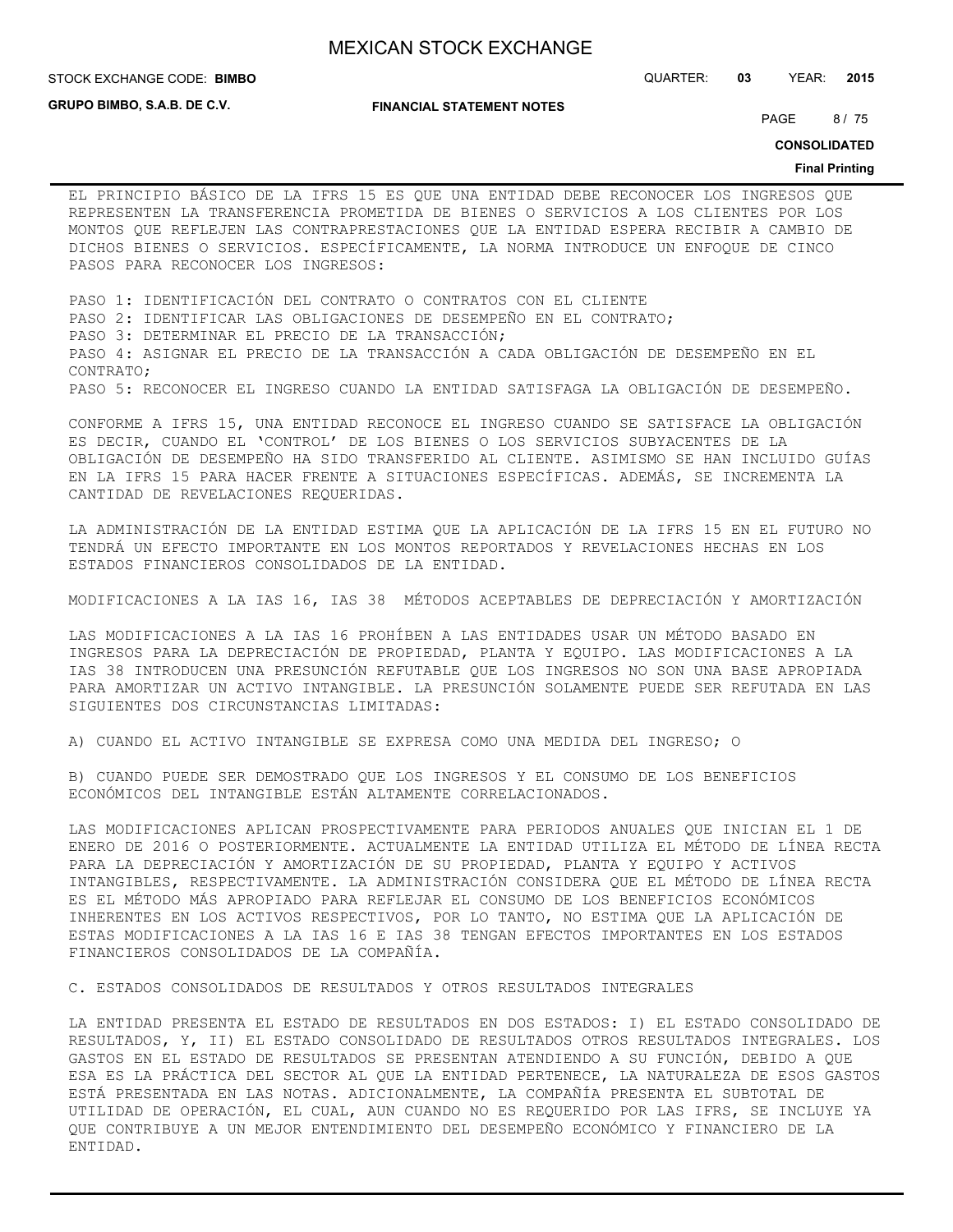**GRUPO BIMBO, S.A.B. DE C.V.**

#### **FINANCIAL STATEMENT NOTES**

STOCK EXCHANGE CODE: QUARTER: **03** YEAR: **2015 BIMBO**

PAGE 8/75

**CONSOLIDATED**

#### **Final Printing**

EL PRINCIPIO BÁSICO DE LA IFRS 15 ES QUE UNA ENTIDAD DEBE RECONOCER LOS INGRESOS QUE REPRESENTEN LA TRANSFERENCIA PROMETIDA DE BIENES O SERVICIOS A LOS CLIENTES POR LOS MONTOS QUE REFLEJEN LAS CONTRAPRESTACIONES QUE LA ENTIDAD ESPERA RECIBIR A CAMBIO DE DICHOS BIENES O SERVICIOS. ESPECÍFICAMENTE, LA NORMA INTRODUCE UN ENFOQUE DE CINCO PASOS PARA RECONOCER LOS INGRESOS:

PASO 1: IDENTIFICACIÓN DEL CONTRATO O CONTRATOS CON EL CLIENTE PASO 2: IDENTIFICAR LAS OBLIGACIONES DE DESEMPEÑO EN EL CONTRATO; PASO 3: DETERMINAR EL PRECIO DE LA TRANSACCIÓN; PASO 4: ASIGNAR EL PRECIO DE LA TRANSACCIÓN A CADA OBLIGACIÓN DE DESEMPEÑO EN EL CONTRATO; PASO 5: RECONOCER EL INGRESO CUANDO LA ENTIDAD SATISFAGA LA OBLIGACIÓN DE DESEMPEÑO.

CONFORME A IFRS 15, UNA ENTIDAD RECONOCE EL INGRESO CUANDO SE SATISFACE LA OBLIGACIÓN ES DECIR, CUANDO EL 'CONTROL' DE LOS BIENES O LOS SERVICIOS SUBYACENTES DE LA OBLIGACIÓN DE DESEMPEÑO HA SIDO TRANSFERIDO AL CLIENTE. ASIMISMO SE HAN INCLUIDO GUÍAS EN LA IFRS 15 PARA HACER FRENTE A SITUACIONES ESPECÍFICAS. ADEMÁS, SE INCREMENTA LA CANTIDAD DE REVELACIONES REQUERIDAS.

LA ADMINISTRACIÓN DE LA ENTIDAD ESTIMA QUE LA APLICACIÓN DE LA IFRS 15 EN EL FUTURO NO TENDRÁ UN EFECTO IMPORTANTE EN LOS MONTOS REPORTADOS Y REVELACIONES HECHAS EN LOS ESTADOS FINANCIEROS CONSOLIDADOS DE LA ENTIDAD.

MODIFICACIONES A LA IAS 16, IAS 38 MÉTODOS ACEPTABLES DE DEPRECIACIÓN Y AMORTIZACIÓN

LAS MODIFICACIONES A LA IAS 16 PROHÍBEN A LAS ENTIDADES USAR UN MÉTODO BASADO EN INGRESOS PARA LA DEPRECIACIÓN DE PROPIEDAD, PLANTA Y EQUIPO. LAS MODIFICACIONES A LA IAS 38 INTRODUCEN UNA PRESUNCIÓN REFUTABLE QUE LOS INGRESOS NO SON UNA BASE APROPIADA PARA AMORTIZAR UN ACTIVO INTANGIBLE. LA PRESUNCIÓN SOLAMENTE PUEDE SER REFUTADA EN LAS SIGUIENTES DOS CIRCUNSTANCIAS LIMITADAS:

A) CUANDO EL ACTIVO INTANGIBLE SE EXPRESA COMO UNA MEDIDA DEL INGRESO; O

B) CUANDO PUEDE SER DEMOSTRADO QUE LOS INGRESOS Y EL CONSUMO DE LOS BENEFICIOS ECONÓMICOS DEL INTANGIBLE ESTÁN ALTAMENTE CORRELACIONADOS.

LAS MODIFICACIONES APLICAN PROSPECTIVAMENTE PARA PERIODOS ANUALES QUE INICIAN EL 1 DE ENERO DE 2016 O POSTERIORMENTE. ACTUALMENTE LA ENTIDAD UTILIZA EL MÉTODO DE LÍNEA RECTA PARA LA DEPRECIACIÓN Y AMORTIZACIÓN DE SU PROPIEDAD, PLANTA Y EQUIPO Y ACTIVOS INTANGIBLES, RESPECTIVAMENTE. LA ADMINISTRACIÓN CONSIDERA QUE EL MÉTODO DE LÍNEA RECTA ES EL MÉTODO MÁS APROPIADO PARA REFLEJAR EL CONSUMO DE LOS BENEFICIOS ECONÓMICOS INHERENTES EN LOS ACTIVOS RESPECTIVOS, POR LO TANTO, NO ESTIMA QUE LA APLICACIÓN DE ESTAS MODIFICACIONES A LA IAS 16 E IAS 38 TENGAN EFECTOS IMPORTANTES EN LOS ESTADOS FINANCIEROS CONSOLIDADOS DE LA COMPAÑÍA.

C. ESTADOS CONSOLIDADOS DE RESULTADOS Y OTROS RESULTADOS INTEGRALES

LA ENTIDAD PRESENTA EL ESTADO DE RESULTADOS EN DOS ESTADOS: I) EL ESTADO CONSOLIDADO DE RESULTADOS, Y, II) EL ESTADO CONSOLIDADO DE RESULTADOS OTROS RESULTADOS INTEGRALES. LOS GASTOS EN EL ESTADO DE RESULTADOS SE PRESENTAN ATENDIENDO A SU FUNCIÓN, DEBIDO A QUE ESA ES LA PRÁCTICA DEL SECTOR AL QUE LA ENTIDAD PERTENECE, LA NATURALEZA DE ESOS GASTOS ESTÁ PRESENTADA EN LAS NOTAS. ADICIONALMENTE, LA COMPAÑÍA PRESENTA EL SUBTOTAL DE UTILIDAD DE OPERACIÓN, EL CUAL, AUN CUANDO NO ES REQUERIDO POR LAS IFRS, SE INCLUYE YA QUE CONTRIBUYE A UN MEJOR ENTENDIMIENTO DEL DESEMPEÑO ECONÓMICO Y FINANCIERO DE LA ENTIDAD.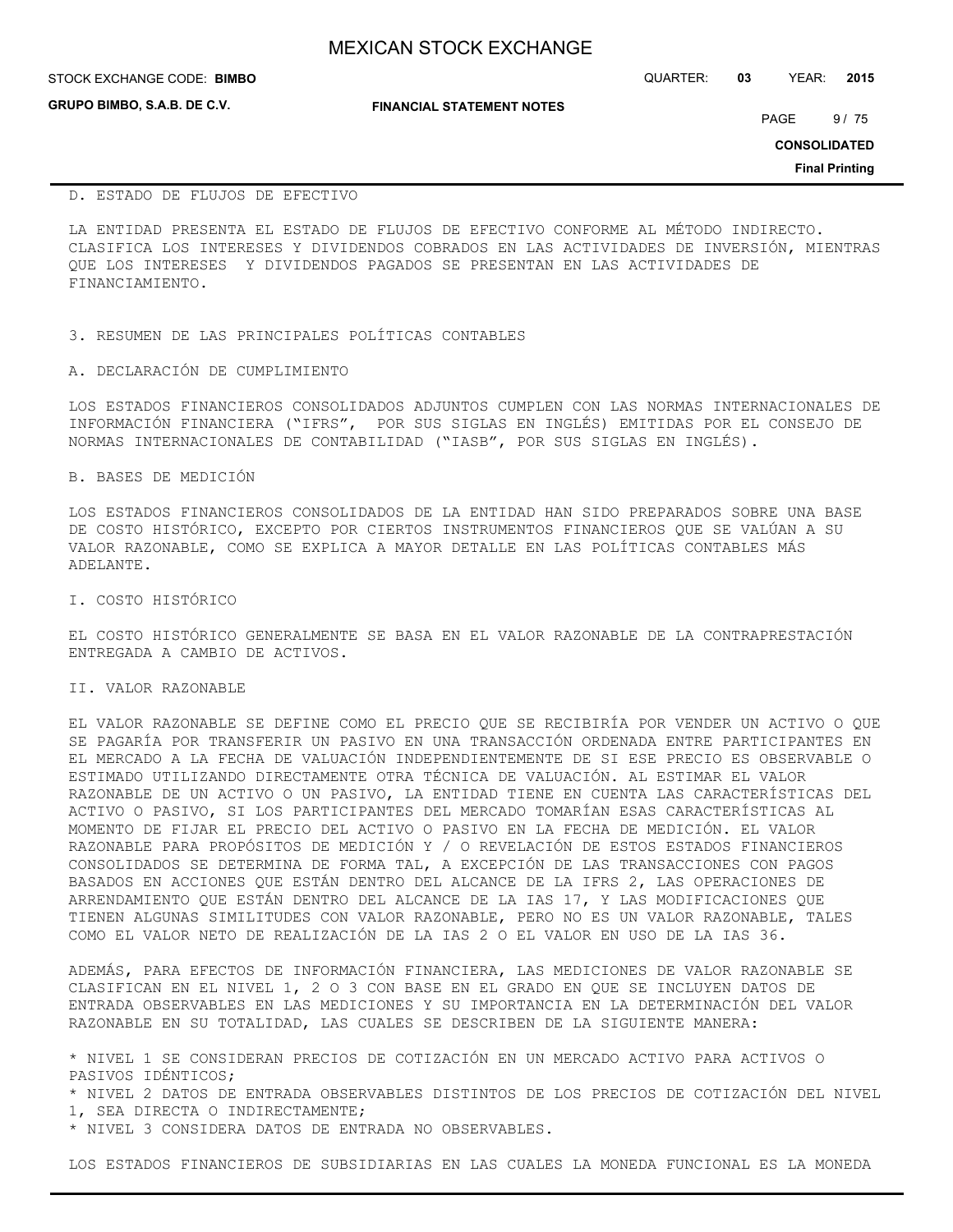| <b>MEXICAN STOCK EXCHANGE</b> |
|-------------------------------|
|-------------------------------|

**GRUPO BIMBO, S.A.B. DE C.V.**

STOCK EXCHANGE CODE: QUARTER: **03** YEAR: **2015 BIMBO**

**FINANCIAL STATEMENT NOTES**

PAGE 9/75

**CONSOLIDATED**

**Final Printing**

#### D. ESTADO DE FLUJOS DE EFECTIVO

LA ENTIDAD PRESENTA EL ESTADO DE FLUJOS DE EFECTIVO CONFORME AL MÉTODO INDIRECTO. CLASIFICA LOS INTERESES Y DIVIDENDOS COBRADOS EN LAS ACTIVIDADES DE INVERSIÓN, MIENTRAS QUE LOS INTERESES Y DIVIDENDOS PAGADOS SE PRESENTAN EN LAS ACTIVIDADES DE FINANCIAMIENTO.

3. RESUMEN DE LAS PRINCIPALES POLÍTICAS CONTABLES

#### A. DECLARACIÓN DE CUMPLIMIENTO

LOS ESTADOS FINANCIEROS CONSOLIDADOS ADJUNTOS CUMPLEN CON LAS NORMAS INTERNACIONALES DE INFORMACIÓN FINANCIERA ("IFRS", POR SUS SIGLAS EN INGLÉS) EMITIDAS POR EL CONSEJO DE NORMAS INTERNACIONALES DE CONTABILIDAD ("IASB", POR SUS SIGLAS EN INGLÉS).

B. BASES DE MEDICIÓN

LOS ESTADOS FINANCIEROS CONSOLIDADOS DE LA ENTIDAD HAN SIDO PREPARADOS SOBRE UNA BASE DE COSTO HISTÓRICO, EXCEPTO POR CIERTOS INSTRUMENTOS FINANCIEROS QUE SE VALÚAN A SU VALOR RAZONABLE, COMO SE EXPLICA A MAYOR DETALLE EN LAS POLÍTICAS CONTABLES MÁS ADELANTE.

I. COSTO HISTÓRICO

EL COSTO HISTÓRICO GENERALMENTE SE BASA EN EL VALOR RAZONABLE DE LA CONTRAPRESTACIÓN ENTREGADA A CAMBIO DE ACTIVOS.

II. VALOR RAZONABLE

EL VALOR RAZONABLE SE DEFINE COMO EL PRECIO QUE SE RECIBIRÍA POR VENDER UN ACTIVO O QUE SE PAGARÍA POR TRANSFERIR UN PASIVO EN UNA TRANSACCIÓN ORDENADA ENTRE PARTICIPANTES EN EL MERCADO A LA FECHA DE VALUACIÓN INDEPENDIENTEMENTE DE SI ESE PRECIO ES OBSERVABLE O ESTIMADO UTILIZANDO DIRECTAMENTE OTRA TÉCNICA DE VALUACIÓN. AL ESTIMAR EL VALOR RAZONABLE DE UN ACTIVO O UN PASIVO, LA ENTIDAD TIENE EN CUENTA LAS CARACTERÍSTICAS DEL ACTIVO O PASIVO, SI LOS PARTICIPANTES DEL MERCADO TOMARÍAN ESAS CARACTERÍSTICAS AL MOMENTO DE FIJAR EL PRECIO DEL ACTIVO O PASIVO EN LA FECHA DE MEDICIÓN. EL VALOR RAZONABLE PARA PROPÓSITOS DE MEDICIÓN Y / O REVELACIÓN DE ESTOS ESTADOS FINANCIEROS CONSOLIDADOS SE DETERMINA DE FORMA TAL, A EXCEPCIÓN DE LAS TRANSACCIONES CON PAGOS BASADOS EN ACCIONES QUE ESTÁN DENTRO DEL ALCANCE DE LA IFRS 2, LAS OPERACIONES DE ARRENDAMIENTO QUE ESTÁN DENTRO DEL ALCANCE DE LA IAS 17, Y LAS MODIFICACIONES QUE TIENEN ALGUNAS SIMILITUDES CON VALOR RAZONABLE, PERO NO ES UN VALOR RAZONABLE, TALES COMO EL VALOR NETO DE REALIZACIÓN DE LA IAS 2 O EL VALOR EN USO DE LA IAS 36.

ADEMÁS, PARA EFECTOS DE INFORMACIÓN FINANCIERA, LAS MEDICIONES DE VALOR RAZONABLE SE CLASIFICAN EN EL NIVEL 1, 2 O 3 CON BASE EN EL GRADO EN QUE SE INCLUYEN DATOS DE ENTRADA OBSERVABLES EN LAS MEDICIONES Y SU IMPORTANCIA EN LA DETERMINACIÓN DEL VALOR RAZONABLE EN SU TOTALIDAD, LAS CUALES SE DESCRIBEN DE LA SIGUIENTE MANERA:

\* NIVEL 1 SE CONSIDERAN PRECIOS DE COTIZACIÓN EN UN MERCADO ACTIVO PARA ACTIVOS O PASIVOS IDÉNTICOS;

\* NIVEL 2 DATOS DE ENTRADA OBSERVABLES DISTINTOS DE LOS PRECIOS DE COTIZACIÓN DEL NIVEL 1, SEA DIRECTA O INDIRECTAMENTE;

\* NIVEL 3 CONSIDERA DATOS DE ENTRADA NO OBSERVABLES.

LOS ESTADOS FINANCIEROS DE SUBSIDIARIAS EN LAS CUALES LA MONEDA FUNCIONAL ES LA MONEDA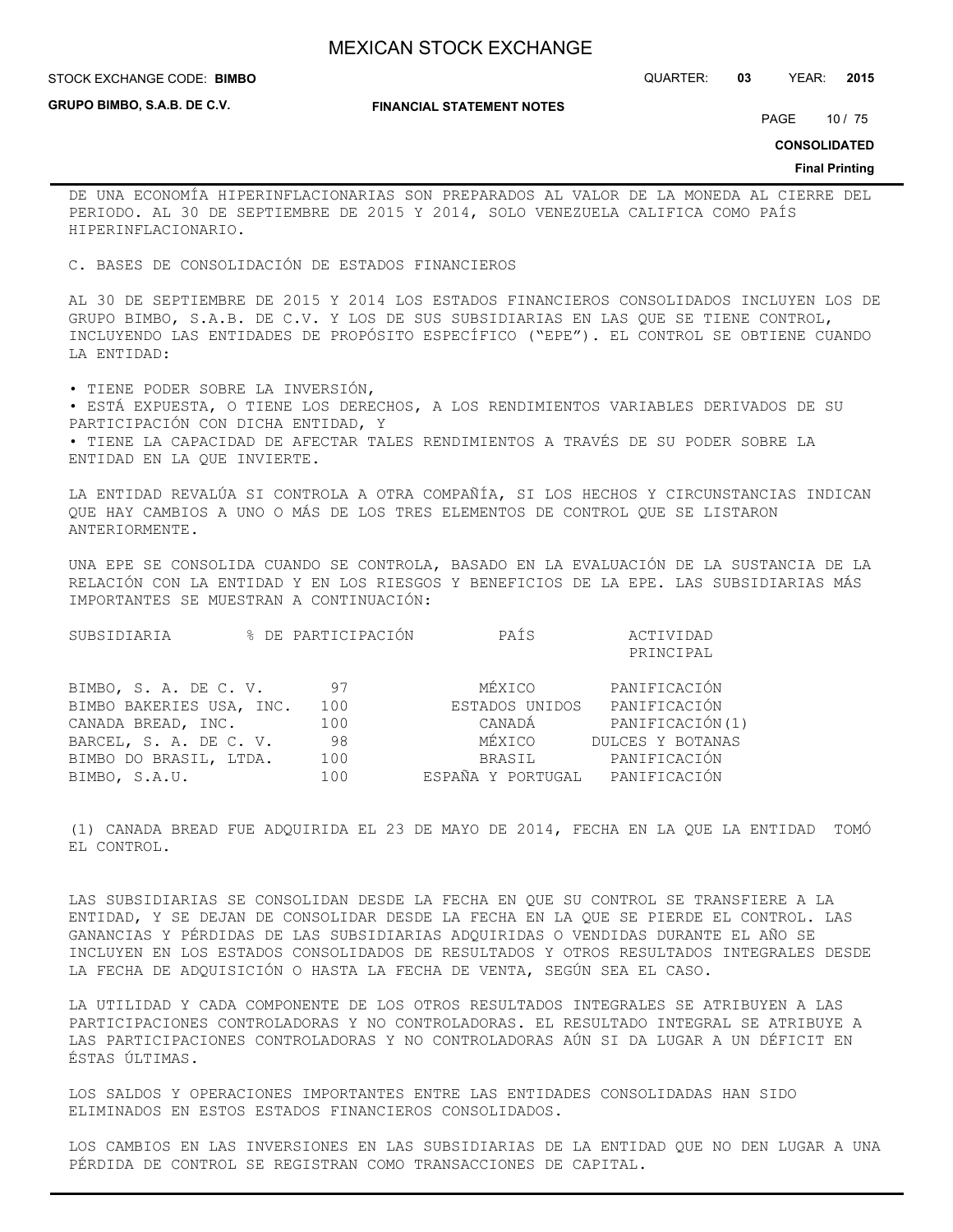STOCK EXCHANGE CODE: QUARTER: **03** YEAR: **2015 BIMBO**

**GRUPO BIMBO, S.A.B. DE C.V.**

**FINANCIAL STATEMENT NOTES**

PAGE 10 / 75

**CONSOLIDATED**

**Final Printing**

DE UNA ECONOMÍA HIPERINFLACIONARIAS SON PREPARADOS AL VALOR DE LA MONEDA AL CIERRE DEL PERIODO. AL 30 DE SEPTIEMBRE DE 2015 Y 2014, SOLO VENEZUELA CALIFICA COMO PAÍS HIPERINFLACIONARIO.

C. BASES DE CONSOLIDACIÓN DE ESTADOS FINANCIEROS

AL 30 DE SEPTIEMBRE DE 2015 Y 2014 LOS ESTADOS FINANCIEROS CONSOLIDADOS INCLUYEN LOS DE GRUPO BIMBO, S.A.B. DE C.V. Y LOS DE SUS SUBSIDIARIAS EN LAS QUE SE TIENE CONTROL, INCLUYENDO LAS ENTIDADES DE PROPÓSITO ESPECÍFICO ("EPE"). EL CONTROL SE OBTIENE CUANDO LA ENTIDAD:

• TIENE PODER SOBRE LA INVERSIÓN, • ESTÁ EXPUESTA, O TIENE LOS DERECHOS, A LOS RENDIMIENTOS VARIABLES DERIVADOS DE SU PARTICIPACIÓN CON DICHA ENTIDAD, Y • TIENE LA CAPACIDAD DE AFECTAR TALES RENDIMIENTOS A TRAVÉS DE SU PODER SOBRE LA ENTIDAD EN LA QUE INVIERTE.

LA ENTIDAD REVALÚA SI CONTROLA A OTRA COMPAÑÍA, SI LOS HECHOS Y CIRCUNSTANCIAS INDICAN QUE HAY CAMBIOS A UNO O MÁS DE LOS TRES ELEMENTOS DE CONTROL QUE SE LISTARON ANTERIORMENTE.

UNA EPE SE CONSOLIDA CUANDO SE CONTROLA, BASADO EN LA EVALUACIÓN DE LA SUSTANCIA DE LA RELACIÓN CON LA ENTIDAD Y EN LOS RIESGOS Y BENEFICIOS DE LA EPE. LAS SUBSIDIARIAS MÁS IMPORTANTES SE MUESTRAN A CONTINUACIÓN:

| SUBSIDIARIA              | % DE PARTICIPACIÓN | PAÍS                           | ACTIVIDAD        |
|--------------------------|--------------------|--------------------------------|------------------|
|                          |                    |                                | PRINCIPAL        |
| BIMBO, S. A. DE C. V.    | 97                 | MÉXICO                         | PANIFICACIÓN     |
| BIMBO BAKERIES USA, INC. | 100                | ESTADOS UNIDOS                 | PANIFICACIÓN     |
| CANADA BREAD, INC.       | 100                | CANADÁ                         | PANIFICACIÓN(1)  |
| BARCEL, S. A. DE C. V.   | 98                 | MÉXICO                         | DULCES Y BOTANAS |
| BIMBO DO BRASIL, LTDA.   | 100                | BRASIL                         | PANIFICACIÓN     |
| BIMBO, S.A.U.            | 100                | ESPAÑA Y PORTUGAL PANIFICACIÓN |                  |

(1) CANADA BREAD FUE ADQUIRIDA EL 23 DE MAYO DE 2014, FECHA EN LA QUE LA ENTIDAD TOMÓ EL CONTROL.

LAS SUBSIDIARIAS SE CONSOLIDAN DESDE LA FECHA EN QUE SU CONTROL SE TRANSFIERE A LA ENTIDAD, Y SE DEJAN DE CONSOLIDAR DESDE LA FECHA EN LA QUE SE PIERDE EL CONTROL. LAS GANANCIAS Y PÉRDIDAS DE LAS SUBSIDIARIAS ADQUIRIDAS O VENDIDAS DURANTE EL AÑO SE INCLUYEN EN LOS ESTADOS CONSOLIDADOS DE RESULTADOS Y OTROS RESULTADOS INTEGRALES DESDE LA FECHA DE ADQUISICIÓN O HASTA LA FECHA DE VENTA, SEGÚN SEA EL CASO.

LA UTILIDAD Y CADA COMPONENTE DE LOS OTROS RESULTADOS INTEGRALES SE ATRIBUYEN A LAS PARTICIPACIONES CONTROLADORAS Y NO CONTROLADORAS. EL RESULTADO INTEGRAL SE ATRIBUYE A LAS PARTICIPACIONES CONTROLADORAS Y NO CONTROLADORAS AÚN SI DA LUGAR A UN DÉFICIT EN ÉSTAS ÚLTIMAS.

LOS SALDOS Y OPERACIONES IMPORTANTES ENTRE LAS ENTIDADES CONSOLIDADAS HAN SIDO ELIMINADOS EN ESTOS ESTADOS FINANCIEROS CONSOLIDADOS.

LOS CAMBIOS EN LAS INVERSIONES EN LAS SUBSIDIARIAS DE LA ENTIDAD QUE NO DEN LUGAR A UNA PÉRDIDA DE CONTROL SE REGISTRAN COMO TRANSACCIONES DE CAPITAL.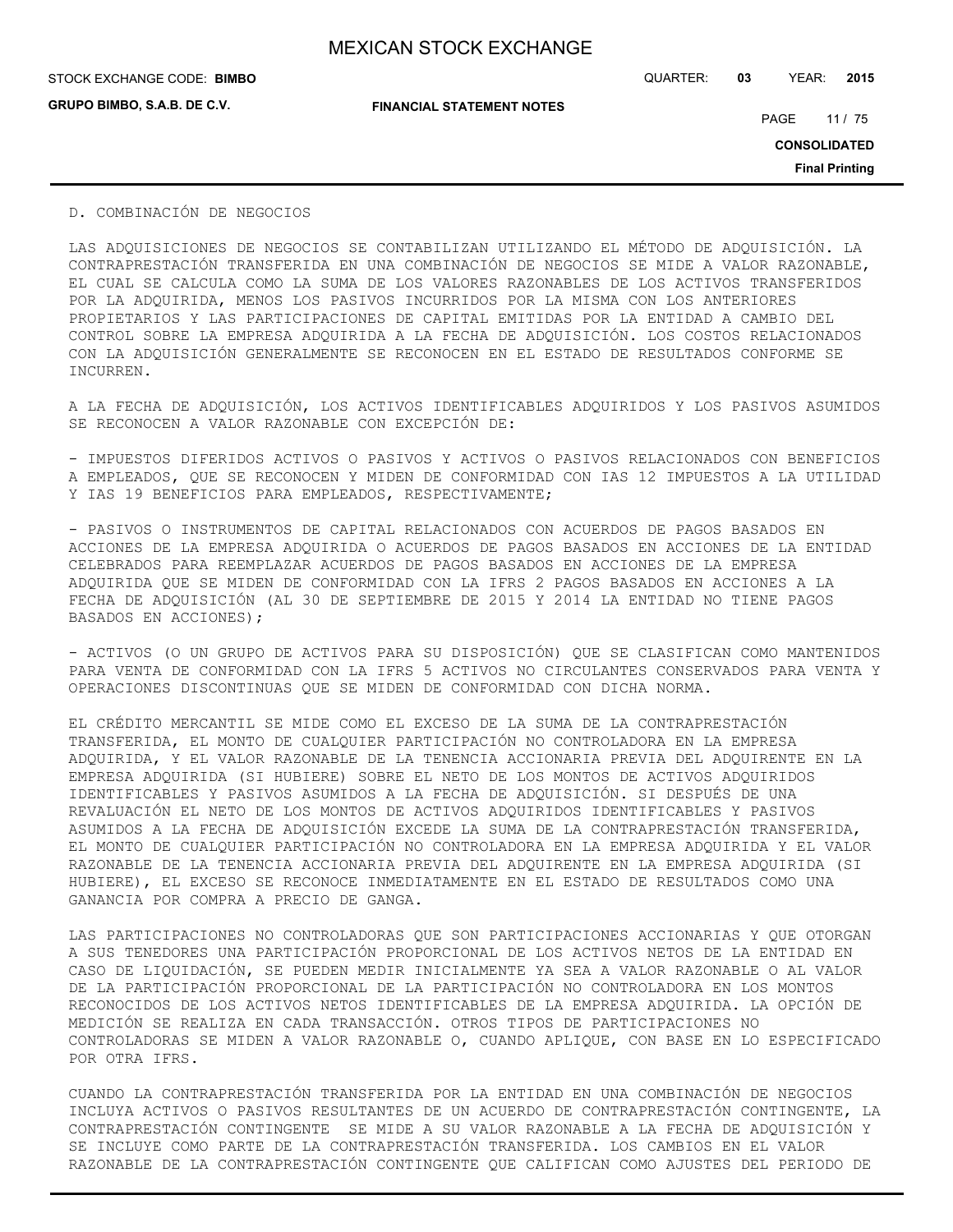**GRUPO BIMBO, S.A.B. DE C.V.**

STOCK EXCHANGE CODE: QUARTER: **03** YEAR: **2015 BIMBO**

**FINANCIAL STATEMENT NOTES**

PAGE 11 / 75

**CONSOLIDATED**

**Final Printing**

D. COMBINACIÓN DE NEGOCIOS

LAS ADQUISICIONES DE NEGOCIOS SE CONTABILIZAN UTILIZANDO EL MÉTODO DE ADQUISICIÓN. LA CONTRAPRESTACIÓN TRANSFERIDA EN UNA COMBINACIÓN DE NEGOCIOS SE MIDE A VALOR RAZONABLE, EL CUAL SE CALCULA COMO LA SUMA DE LOS VALORES RAZONABLES DE LOS ACTIVOS TRANSFERIDOS POR LA ADQUIRIDA, MENOS LOS PASIVOS INCURRIDOS POR LA MISMA CON LOS ANTERIORES PROPIETARIOS Y LAS PARTICIPACIONES DE CAPITAL EMITIDAS POR LA ENTIDAD A CAMBIO DEL CONTROL SOBRE LA EMPRESA ADQUIRIDA A LA FECHA DE ADQUISICIÓN. LOS COSTOS RELACIONADOS CON LA ADQUISICIÓN GENERALMENTE SE RECONOCEN EN EL ESTADO DE RESULTADOS CONFORME SE INCURREN.

A LA FECHA DE ADQUISICIÓN, LOS ACTIVOS IDENTIFICABLES ADQUIRIDOS Y LOS PASIVOS ASUMIDOS SE RECONOCEN A VALOR RAZONABLE CON EXCEPCIÓN DE:

- IMPUESTOS DIFERIDOS ACTIVOS O PASIVOS Y ACTIVOS O PASIVOS RELACIONADOS CON BENEFICIOS A EMPLEADOS, QUE SE RECONOCEN Y MIDEN DE CONFORMIDAD CON IAS 12 IMPUESTOS A LA UTILIDAD Y IAS 19 BENEFICIOS PARA EMPLEADOS, RESPECTIVAMENTE;

- PASIVOS O INSTRUMENTOS DE CAPITAL RELACIONADOS CON ACUERDOS DE PAGOS BASADOS EN ACCIONES DE LA EMPRESA ADQUIRIDA O ACUERDOS DE PAGOS BASADOS EN ACCIONES DE LA ENTIDAD CELEBRADOS PARA REEMPLAZAR ACUERDOS DE PAGOS BASADOS EN ACCIONES DE LA EMPRESA ADQUIRIDA QUE SE MIDEN DE CONFORMIDAD CON LA IFRS 2 PAGOS BASADOS EN ACCIONES A LA FECHA DE ADQUISICIÓN (AL 30 DE SEPTIEMBRE DE 2015 Y 2014 LA ENTIDAD NO TIENE PAGOS BASADOS EN ACCIONES);

- ACTIVOS (O UN GRUPO DE ACTIVOS PARA SU DISPOSICIÓN) QUE SE CLASIFICAN COMO MANTENIDOS PARA VENTA DE CONFORMIDAD CON LA IFRS 5 ACTIVOS NO CIRCULANTES CONSERVADOS PARA VENTA Y OPERACIONES DISCONTINUAS QUE SE MIDEN DE CONFORMIDAD CON DICHA NORMA.

EL CRÉDITO MERCANTIL SE MIDE COMO EL EXCESO DE LA SUMA DE LA CONTRAPRESTACIÓN TRANSFERIDA, EL MONTO DE CUALQUIER PARTICIPACIÓN NO CONTROLADORA EN LA EMPRESA ADQUIRIDA, Y EL VALOR RAZONABLE DE LA TENENCIA ACCIONARIA PREVIA DEL ADQUIRENTE EN LA EMPRESA ADQUIRIDA (SI HUBIERE) SOBRE EL NETO DE LOS MONTOS DE ACTIVOS ADQUIRIDOS IDENTIFICABLES Y PASIVOS ASUMIDOS A LA FECHA DE ADQUISICIÓN. SI DESPUÉS DE UNA REVALUACIÓN EL NETO DE LOS MONTOS DE ACTIVOS ADQUIRIDOS IDENTIFICABLES Y PASIVOS ASUMIDOS A LA FECHA DE ADQUISICIÓN EXCEDE LA SUMA DE LA CONTRAPRESTACIÓN TRANSFERIDA, EL MONTO DE CUALQUIER PARTICIPACIÓN NO CONTROLADORA EN LA EMPRESA ADQUIRIDA Y EL VALOR RAZONABLE DE LA TENENCIA ACCIONARIA PREVIA DEL ADQUIRENTE EN LA EMPRESA ADQUIRIDA (SI HUBIERE), EL EXCESO SE RECONOCE INMEDIATAMENTE EN EL ESTADO DE RESULTADOS COMO UNA GANANCIA POR COMPRA A PRECIO DE GANGA.

LAS PARTICIPACIONES NO CONTROLADORAS QUE SON PARTICIPACIONES ACCIONARIAS Y QUE OTORGAN A SUS TENEDORES UNA PARTICIPACIÓN PROPORCIONAL DE LOS ACTIVOS NETOS DE LA ENTIDAD EN CASO DE LIQUIDACIÓN, SE PUEDEN MEDIR INICIALMENTE YA SEA A VALOR RAZONABLE O AL VALOR DE LA PARTICIPACIÓN PROPORCIONAL DE LA PARTICIPACIÓN NO CONTROLADORA EN LOS MONTOS RECONOCIDOS DE LOS ACTIVOS NETOS IDENTIFICABLES DE LA EMPRESA ADQUIRIDA. LA OPCIÓN DE MEDICIÓN SE REALIZA EN CADA TRANSACCIÓN. OTROS TIPOS DE PARTICIPACIONES NO CONTROLADORAS SE MIDEN A VALOR RAZONABLE O, CUANDO APLIQUE, CON BASE EN LO ESPECIFICADO POR OTRA IFRS.

CUANDO LA CONTRAPRESTACIÓN TRANSFERIDA POR LA ENTIDAD EN UNA COMBINACIÓN DE NEGOCIOS INCLUYA ACTIVOS O PASIVOS RESULTANTES DE UN ACUERDO DE CONTRAPRESTACIÓN CONTINGENTE, LA CONTRAPRESTACIÓN CONTINGENTE SE MIDE A SU VALOR RAZONABLE A LA FECHA DE ADQUISICIÓN Y SE INCLUYE COMO PARTE DE LA CONTRAPRESTACIÓN TRANSFERIDA. LOS CAMBIOS EN EL VALOR RAZONABLE DE LA CONTRAPRESTACIÓN CONTINGENTE QUE CALIFICAN COMO AJUSTES DEL PERIODO DE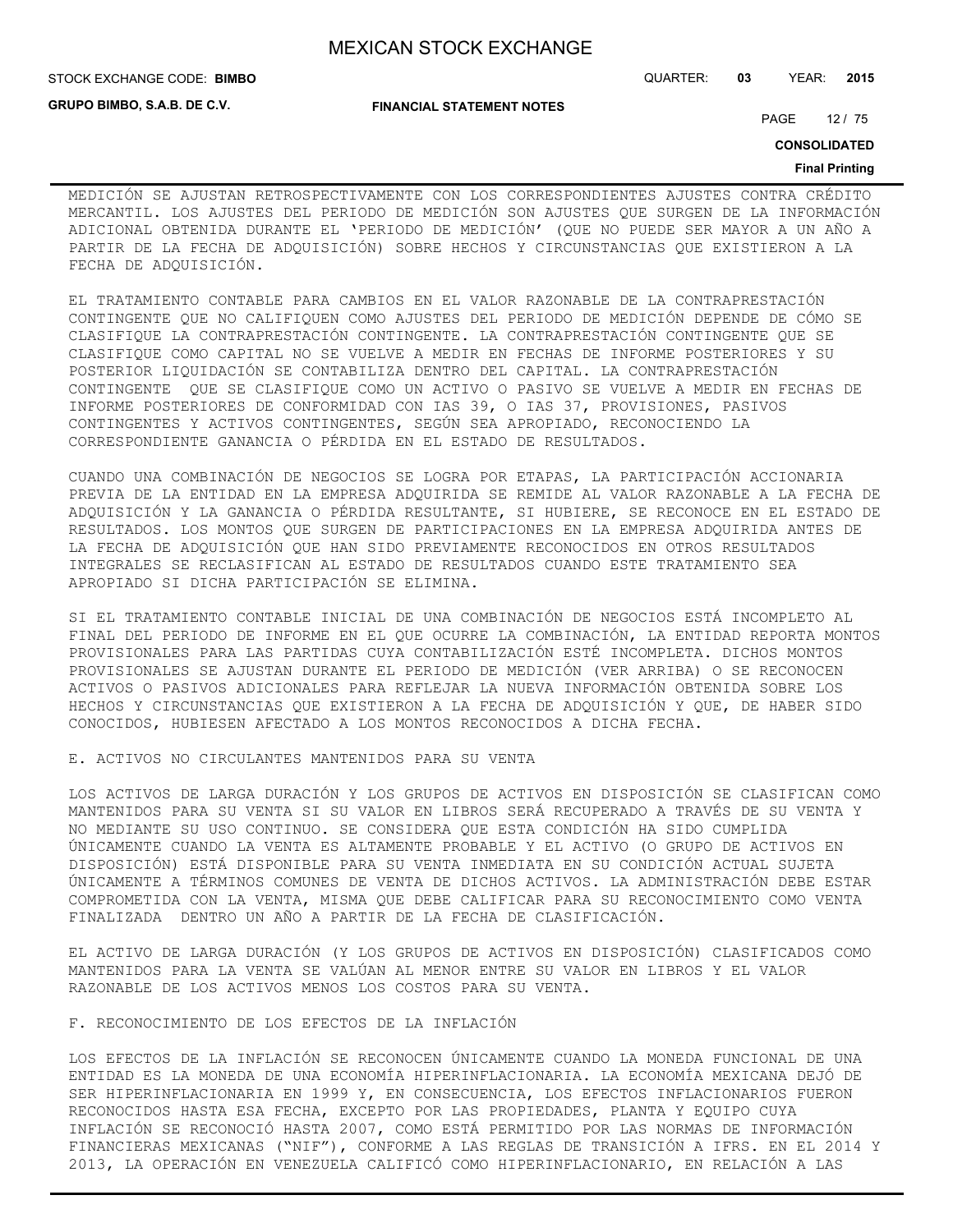STOCK EXCHANGE CODE: QUARTER: **03** YEAR: **2015 BIMBO**

**GRUPO BIMBO, S.A.B. DE C.V.**

# **FINANCIAL STATEMENT NOTES**

PAGE 12 / 75

**CONSOLIDATED**

#### **Final Printing**

MEDICIÓN SE AJUSTAN RETROSPECTIVAMENTE CON LOS CORRESPONDIENTES AJUSTES CONTRA CRÉDITO MERCANTIL. LOS AJUSTES DEL PERIODO DE MEDICIÓN SON AJUSTES QUE SURGEN DE LA INFORMACIÓN ADICIONAL OBTENIDA DURANTE EL 'PERIODO DE MEDICIÓN' (QUE NO PUEDE SER MAYOR A UN AÑO A PARTIR DE LA FECHA DE ADQUISICIÓN) SOBRE HECHOS Y CIRCUNSTANCIAS QUE EXISTIERON A LA FECHA DE ADQUISICIÓN.

EL TRATAMIENTO CONTABLE PARA CAMBIOS EN EL VALOR RAZONABLE DE LA CONTRAPRESTACIÓN CONTINGENTE QUE NO CALIFIQUEN COMO AJUSTES DEL PERIODO DE MEDICIÓN DEPENDE DE CÓMO SE CLASIFIQUE LA CONTRAPRESTACIÓN CONTINGENTE. LA CONTRAPRESTACIÓN CONTINGENTE QUE SE CLASIFIQUE COMO CAPITAL NO SE VUELVE A MEDIR EN FECHAS DE INFORME POSTERIORES Y SU POSTERIOR LIQUIDACIÓN SE CONTABILIZA DENTRO DEL CAPITAL. LA CONTRAPRESTACIÓN CONTINGENTE QUE SE CLASIFIQUE COMO UN ACTIVO O PASIVO SE VUELVE A MEDIR EN FECHAS DE INFORME POSTERIORES DE CONFORMIDAD CON IAS 39, O IAS 37, PROVISIONES, PASIVOS CONTINGENTES Y ACTIVOS CONTINGENTES, SEGÚN SEA APROPIADO, RECONOCIENDO LA CORRESPONDIENTE GANANCIA O PÉRDIDA EN EL ESTADO DE RESULTADOS.

CUANDO UNA COMBINACIÓN DE NEGOCIOS SE LOGRA POR ETAPAS, LA PARTICIPACIÓN ACCIONARIA PREVIA DE LA ENTIDAD EN LA EMPRESA ADQUIRIDA SE REMIDE AL VALOR RAZONABLE A LA FECHA DE ADQUISICIÓN Y LA GANANCIA O PÉRDIDA RESULTANTE, SI HUBIERE, SE RECONOCE EN EL ESTADO DE RESULTADOS. LOS MONTOS QUE SURGEN DE PARTICIPACIONES EN LA EMPRESA ADQUIRIDA ANTES DE LA FECHA DE ADQUISICIÓN QUE HAN SIDO PREVIAMENTE RECONOCIDOS EN OTROS RESULTADOS INTEGRALES SE RECLASIFICAN AL ESTADO DE RESULTADOS CUANDO ESTE TRATAMIENTO SEA APROPIADO SI DICHA PARTICIPACIÓN SE ELIMINA.

SI EL TRATAMIENTO CONTABLE INICIAL DE UNA COMBINACIÓN DE NEGOCIOS ESTÁ INCOMPLETO AL FINAL DEL PERIODO DE INFORME EN EL QUE OCURRE LA COMBINACIÓN, LA ENTIDAD REPORTA MONTOS PROVISIONALES PARA LAS PARTIDAS CUYA CONTABILIZACIÓN ESTÉ INCOMPLETA. DICHOS MONTOS PROVISIONALES SE AJUSTAN DURANTE EL PERIODO DE MEDICIÓN (VER ARRIBA) O SE RECONOCEN ACTIVOS O PASIVOS ADICIONALES PARA REFLEJAR LA NUEVA INFORMACIÓN OBTENIDA SOBRE LOS HECHOS Y CIRCUNSTANCIAS QUE EXISTIERON A LA FECHA DE ADQUISICIÓN Y QUE, DE HABER SIDO CONOCIDOS, HUBIESEN AFECTADO A LOS MONTOS RECONOCIDOS A DICHA FECHA.

E. ACTIVOS NO CIRCULANTES MANTENIDOS PARA SU VENTA

LOS ACTIVOS DE LARGA DURACIÓN Y LOS GRUPOS DE ACTIVOS EN DISPOSICIÓN SE CLASIFICAN COMO MANTENIDOS PARA SU VENTA SI SU VALOR EN LIBROS SERÁ RECUPERADO A TRAVÉS DE SU VENTA Y NO MEDIANTE SU USO CONTINUO. SE CONSIDERA QUE ESTA CONDICIÓN HA SIDO CUMPLIDA ÚNICAMENTE CUANDO LA VENTA ES ALTAMENTE PROBABLE Y EL ACTIVO (O GRUPO DE ACTIVOS EN DISPOSICIÓN) ESTÁ DISPONIBLE PARA SU VENTA INMEDIATA EN SU CONDICIÓN ACTUAL SUJETA ÚNICAMENTE A TÉRMINOS COMUNES DE VENTA DE DICHOS ACTIVOS. LA ADMINISTRACIÓN DEBE ESTAR COMPROMETIDA CON LA VENTA, MISMA QUE DEBE CALIFICAR PARA SU RECONOCIMIENTO COMO VENTA FINALIZADA DENTRO UN AÑO A PARTIR DE LA FECHA DE CLASIFICACIÓN.

EL ACTIVO DE LARGA DURACIÓN (Y LOS GRUPOS DE ACTIVOS EN DISPOSICIÓN) CLASIFICADOS COMO MANTENIDOS PARA LA VENTA SE VALÚAN AL MENOR ENTRE SU VALOR EN LIBROS Y EL VALOR RAZONABLE DE LOS ACTIVOS MENOS LOS COSTOS PARA SU VENTA.

F. RECONOCIMIENTO DE LOS EFECTOS DE LA INFLACIÓN

LOS EFECTOS DE LA INFLACIÓN SE RECONOCEN ÚNICAMENTE CUANDO LA MONEDA FUNCIONAL DE UNA ENTIDAD ES LA MONEDA DE UNA ECONOMÍA HIPERINFLACIONARIA. LA ECONOMÍA MEXICANA DEJÓ DE SER HIPERINFLACIONARIA EN 1999 Y, EN CONSECUENCIA, LOS EFECTOS INFLACIONARIOS FUERON RECONOCIDOS HASTA ESA FECHA, EXCEPTO POR LAS PROPIEDADES, PLANTA Y EQUIPO CUYA INFLACIÓN SE RECONOCIÓ HASTA 2007, COMO ESTÁ PERMITIDO POR LAS NORMAS DE INFORMACIÓN FINANCIERAS MEXICANAS ("NIF"), CONFORME A LAS REGLAS DE TRANSICIÓN A IFRS. EN EL 2014 Y 2013, LA OPERACIÓN EN VENEZUELA CALIFICÓ COMO HIPERINFLACIONARIO, EN RELACIÓN A LAS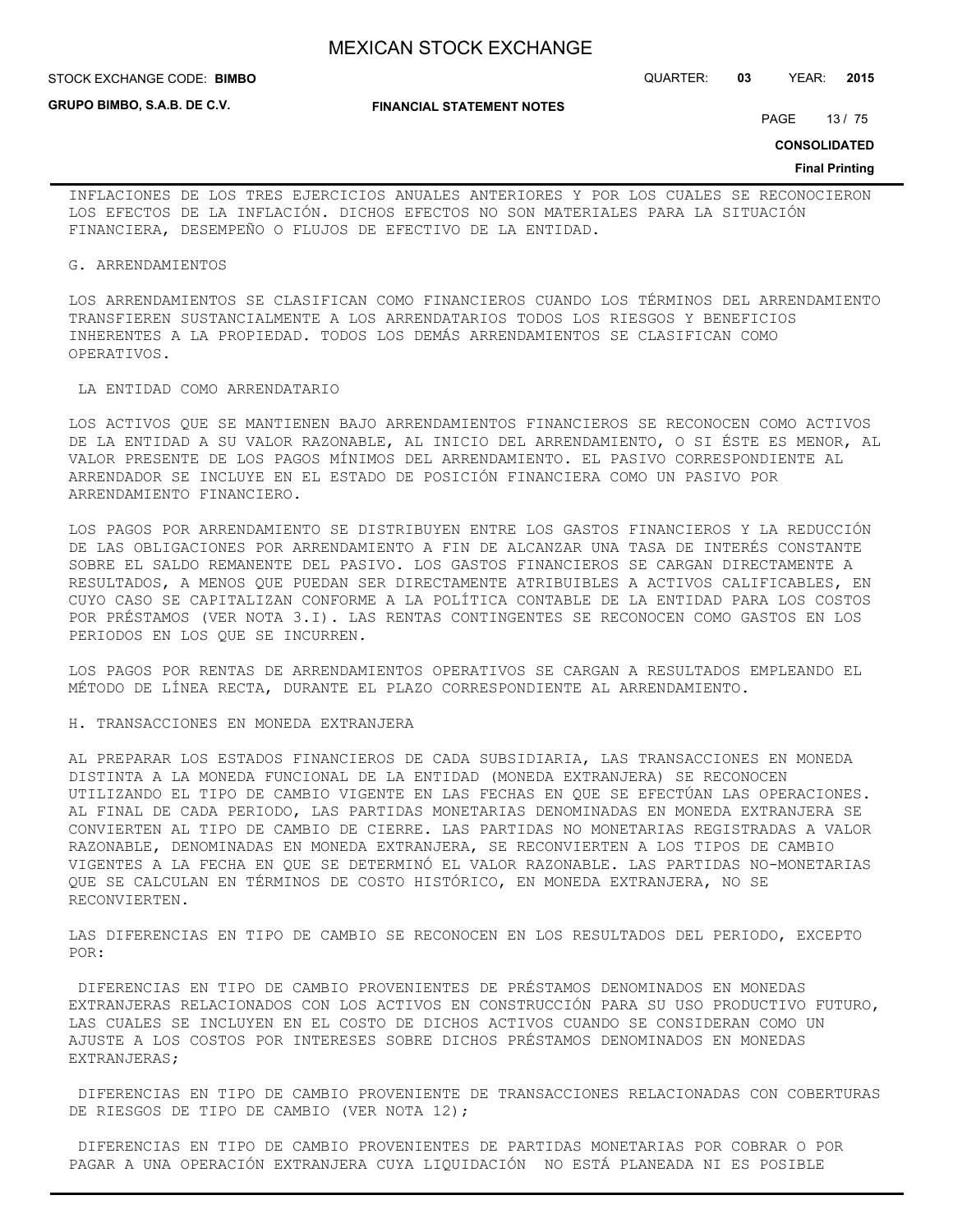**GRUPO BIMBO, S.A.B. DE C.V.**

STOCK EXCHANGE CODE: QUARTER: **03** YEAR: **2015 BIMBO**

**FINANCIAL STATEMENT NOTES**

PAGE 13 / 75

**CONSOLIDATED**

#### **Final Printing**

INFLACIONES DE LOS TRES EJERCICIOS ANUALES ANTERIORES Y POR LOS CUALES SE RECONOCIERON LOS EFECTOS DE LA INFLACIÓN. DICHOS EFECTOS NO SON MATERIALES PARA LA SITUACIÓN FINANCIERA, DESEMPEÑO O FLUJOS DE EFECTIVO DE LA ENTIDAD.

#### G. ARRENDAMIENTOS

LOS ARRENDAMIENTOS SE CLASIFICAN COMO FINANCIEROS CUANDO LOS TÉRMINOS DEL ARRENDAMIENTO TRANSFIEREN SUSTANCIALMENTE A LOS ARRENDATARIOS TODOS LOS RIESGOS Y BENEFICIOS INHERENTES A LA PROPIEDAD. TODOS LOS DEMÁS ARRENDAMIENTOS SE CLASIFICAN COMO OPERATIVOS.

### LA ENTIDAD COMO ARRENDATARIO

LOS ACTIVOS QUE SE MANTIENEN BAJO ARRENDAMIENTOS FINANCIEROS SE RECONOCEN COMO ACTIVOS DE LA ENTIDAD A SU VALOR RAZONABLE, AL INICIO DEL ARRENDAMIENTO, O SI ÉSTE ES MENOR, AL VALOR PRESENTE DE LOS PAGOS MÍNIMOS DEL ARRENDAMIENTO. EL PASIVO CORRESPONDIENTE AL ARRENDADOR SE INCLUYE EN EL ESTADO DE POSICIÓN FINANCIERA COMO UN PASIVO POR ARRENDAMIENTO FINANCIERO.

LOS PAGOS POR ARRENDAMIENTO SE DISTRIBUYEN ENTRE LOS GASTOS FINANCIEROS Y LA REDUCCIÓN DE LAS OBLIGACIONES POR ARRENDAMIENTO A FIN DE ALCANZAR UNA TASA DE INTERÉS CONSTANTE SOBRE EL SALDO REMANENTE DEL PASIVO. LOS GASTOS FINANCIEROS SE CARGAN DIRECTAMENTE A RESULTADOS, A MENOS QUE PUEDAN SER DIRECTAMENTE ATRIBUIBLES A ACTIVOS CALIFICABLES, EN CUYO CASO SE CAPITALIZAN CONFORME A LA POLÍTICA CONTABLE DE LA ENTIDAD PARA LOS COSTOS POR PRÉSTAMOS (VER NOTA 3.I). LAS RENTAS CONTINGENTES SE RECONOCEN COMO GASTOS EN LOS PERIODOS EN LOS QUE SE INCURREN.

LOS PAGOS POR RENTAS DE ARRENDAMIENTOS OPERATIVOS SE CARGAN A RESULTADOS EMPLEANDO EL MÉTODO DE LÍNEA RECTA, DURANTE EL PLAZO CORRESPONDIENTE AL ARRENDAMIENTO.

H. TRANSACCIONES EN MONEDA EXTRANJERA

AL PREPARAR LOS ESTADOS FINANCIEROS DE CADA SUBSIDIARIA, LAS TRANSACCIONES EN MONEDA DISTINTA A LA MONEDA FUNCIONAL DE LA ENTIDAD (MONEDA EXTRANJERA) SE RECONOCEN UTILIZANDO EL TIPO DE CAMBIO VIGENTE EN LAS FECHAS EN QUE SE EFECTÚAN LAS OPERACIONES. AL FINAL DE CADA PERIODO, LAS PARTIDAS MONETARIAS DENOMINADAS EN MONEDA EXTRANJERA SE CONVIERTEN AL TIPO DE CAMBIO DE CIERRE. LAS PARTIDAS NO MONETARIAS REGISTRADAS A VALOR RAZONABLE, DENOMINADAS EN MONEDA EXTRANJERA, SE RECONVIERTEN A LOS TIPOS DE CAMBIO VIGENTES A LA FECHA EN QUE SE DETERMINÓ EL VALOR RAZONABLE. LAS PARTIDAS NO-MONETARIAS QUE SE CALCULAN EN TÉRMINOS DE COSTO HISTÓRICO, EN MONEDA EXTRANJERA, NO SE RECONVIERTEN.

LAS DIFERENCIAS EN TIPO DE CAMBIO SE RECONOCEN EN LOS RESULTADOS DEL PERIODO, EXCEPTO POR:

 DIFERENCIAS EN TIPO DE CAMBIO PROVENIENTES DE PRÉSTAMOS DENOMINADOS EN MONEDAS EXTRANJERAS RELACIONADOS CON LOS ACTIVOS EN CONSTRUCCIÓN PARA SU USO PRODUCTIVO FUTURO, LAS CUALES SE INCLUYEN EN EL COSTO DE DICHOS ACTIVOS CUANDO SE CONSIDERAN COMO UN AJUSTE A LOS COSTOS POR INTERESES SOBRE DICHOS PRÉSTAMOS DENOMINADOS EN MONEDAS EXTRANJERAS;

 DIFERENCIAS EN TIPO DE CAMBIO PROVENIENTE DE TRANSACCIONES RELACIONADAS CON COBERTURAS DE RIESGOS DE TIPO DE CAMBIO (VER NOTA 12);

 DIFERENCIAS EN TIPO DE CAMBIO PROVENIENTES DE PARTIDAS MONETARIAS POR COBRAR O POR PAGAR A UNA OPERACIÓN EXTRANJERA CUYA LIQUIDACIÓN NO ESTÁ PLANEADA NI ES POSIBLE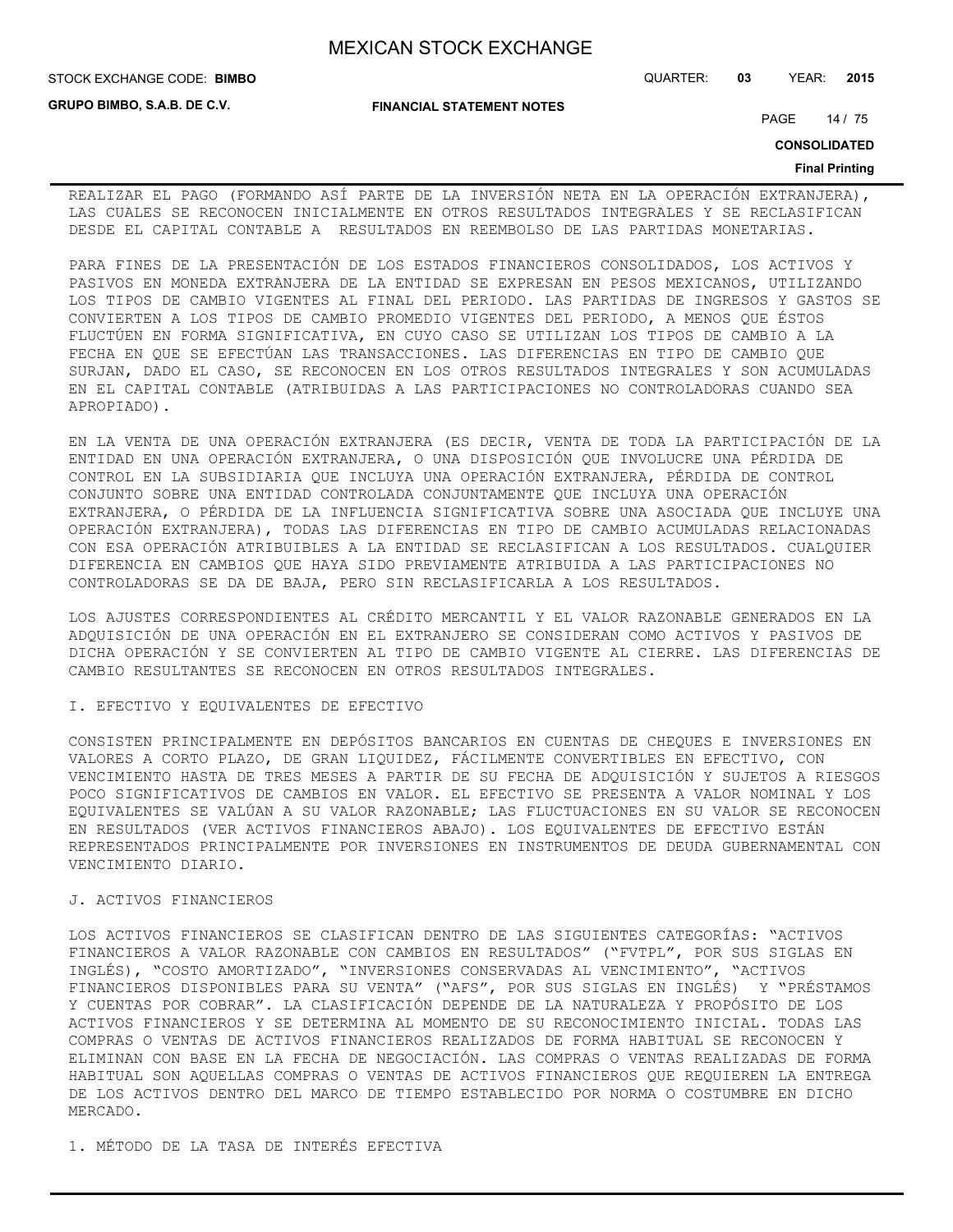**STOCK EXCHANGE CODE: BIMBO** 

**GRUPO BIMBO, S.A.B. DE C.V.**

STOCK EXCHANGE CODE: QUARTER: **03** YEAR: **2015**

**FINANCIAL STATEMENT NOTES**

PAGE 14 / 75

**CONSOLIDATED**

#### **Final Printing**

REALIZAR EL PAGO (FORMANDO ASÍ PARTE DE LA INVERSIÓN NETA EN LA OPERACIÓN EXTRANJERA), LAS CUALES SE RECONOCEN INICIALMENTE EN OTROS RESULTADOS INTEGRALES Y SE RECLASIFICAN DESDE EL CAPITAL CONTABLE A RESULTADOS EN REEMBOLSO DE LAS PARTIDAS MONETARIAS.

PARA FINES DE LA PRESENTACIÓN DE LOS ESTADOS FINANCIEROS CONSOLIDADOS, LOS ACTIVOS Y PASIVOS EN MONEDA EXTRANJERA DE LA ENTIDAD SE EXPRESAN EN PESOS MEXICANOS, UTILIZANDO LOS TIPOS DE CAMBIO VIGENTES AL FINAL DEL PERIODO. LAS PARTIDAS DE INGRESOS Y GASTOS SE CONVIERTEN A LOS TIPOS DE CAMBIO PROMEDIO VIGENTES DEL PERIODO, A MENOS QUE ÉSTOS FLUCTÚEN EN FORMA SIGNIFICATIVA, EN CUYO CASO SE UTILIZAN LOS TIPOS DE CAMBIO A LA FECHA EN QUE SE EFECTÚAN LAS TRANSACCIONES. LAS DIFERENCIAS EN TIPO DE CAMBIO QUE SURJAN, DADO EL CASO, SE RECONOCEN EN LOS OTROS RESULTADOS INTEGRALES Y SON ACUMULADAS EN EL CAPITAL CONTABLE (ATRIBUIDAS A LAS PARTICIPACIONES NO CONTROLADORAS CUANDO SEA APROPIADO).

EN LA VENTA DE UNA OPERACIÓN EXTRANJERA (ES DECIR, VENTA DE TODA LA PARTICIPACIÓN DE LA ENTIDAD EN UNA OPERACIÓN EXTRANJERA, O UNA DISPOSICIÓN QUE INVOLUCRE UNA PÉRDIDA DE CONTROL EN LA SUBSIDIARIA QUE INCLUYA UNA OPERACIÓN EXTRANJERA, PÉRDIDA DE CONTROL CONJUNTO SOBRE UNA ENTIDAD CONTROLADA CONJUNTAMENTE QUE INCLUYA UNA OPERACIÓN EXTRANJERA, O PÉRDIDA DE LA INFLUENCIA SIGNIFICATIVA SOBRE UNA ASOCIADA QUE INCLUYE UNA OPERACIÓN EXTRANJERA), TODAS LAS DIFERENCIAS EN TIPO DE CAMBIO ACUMULADAS RELACIONADAS CON ESA OPERACIÓN ATRIBUIBLES A LA ENTIDAD SE RECLASIFICAN A LOS RESULTADOS. CUALQUIER DIFERENCIA EN CAMBIOS QUE HAYA SIDO PREVIAMENTE ATRIBUIDA A LAS PARTICIPACIONES NO CONTROLADORAS SE DA DE BAJA, PERO SIN RECLASIFICARLA A LOS RESULTADOS.

LOS AJUSTES CORRESPONDIENTES AL CRÉDITO MERCANTIL Y EL VALOR RAZONABLE GENERADOS EN LA ADQUISICIÓN DE UNA OPERACIÓN EN EL EXTRANJERO SE CONSIDERAN COMO ACTIVOS Y PASIVOS DE DICHA OPERACIÓN Y SE CONVIERTEN AL TIPO DE CAMBIO VIGENTE AL CIERRE. LAS DIFERENCIAS DE CAMBIO RESULTANTES SE RECONOCEN EN OTROS RESULTADOS INTEGRALES.

### I. EFECTIVO Y EQUIVALENTES DE EFECTIVO

CONSISTEN PRINCIPALMENTE EN DEPÓSITOS BANCARIOS EN CUENTAS DE CHEQUES E INVERSIONES EN VALORES A CORTO PLAZO, DE GRAN LIQUIDEZ, FÁCILMENTE CONVERTIBLES EN EFECTIVO, CON VENCIMIENTO HASTA DE TRES MESES A PARTIR DE SU FECHA DE ADQUISICIÓN Y SUJETOS A RIESGOS POCO SIGNIFICATIVOS DE CAMBIOS EN VALOR. EL EFECTIVO SE PRESENTA A VALOR NOMINAL Y LOS EQUIVALENTES SE VALÚAN A SU VALOR RAZONABLE; LAS FLUCTUACIONES EN SU VALOR SE RECONOCEN EN RESULTADOS (VER ACTIVOS FINANCIEROS ABAJO). LOS EQUIVALENTES DE EFECTIVO ESTÁN REPRESENTADOS PRINCIPALMENTE POR INVERSIONES EN INSTRUMENTOS DE DEUDA GUBERNAMENTAL CON VENCIMIENTO DIARIO.

## J. ACTIVOS FINANCIEROS

LOS ACTIVOS FINANCIEROS SE CLASIFICAN DENTRO DE LAS SIGUIENTES CATEGORÍAS: "ACTIVOS FINANCIEROS A VALOR RAZONABLE CON CAMBIOS EN RESULTADOS" ("FVTPL", POR SUS SIGLAS EN INGLÉS), "COSTO AMORTIZADO", "INVERSIONES CONSERVADAS AL VENCIMIENTO", "ACTIVOS FINANCIEROS DISPONIBLES PARA SU VENTA" ("AFS", POR SUS SIGLAS EN INGLÉS) Y "PRÉSTAMOS Y CUENTAS POR COBRAR". LA CLASIFICACIÓN DEPENDE DE LA NATURALEZA Y PROPÓSITO DE LOS ACTIVOS FINANCIEROS Y SE DETERMINA AL MOMENTO DE SU RECONOCIMIENTO INICIAL. TODAS LAS COMPRAS O VENTAS DE ACTIVOS FINANCIEROS REALIZADOS DE FORMA HABITUAL SE RECONOCEN Y ELIMINAN CON BASE EN LA FECHA DE NEGOCIACIÓN. LAS COMPRAS O VENTAS REALIZADAS DE FORMA HABITUAL SON AQUELLAS COMPRAS O VENTAS DE ACTIVOS FINANCIEROS QUE REQUIEREN LA ENTREGA DE LOS ACTIVOS DENTRO DEL MARCO DE TIEMPO ESTABLECIDO POR NORMA O COSTUMBRE EN DICHO MERCADO.

1. MÉTODO DE LA TASA DE INTERÉS EFECTIVA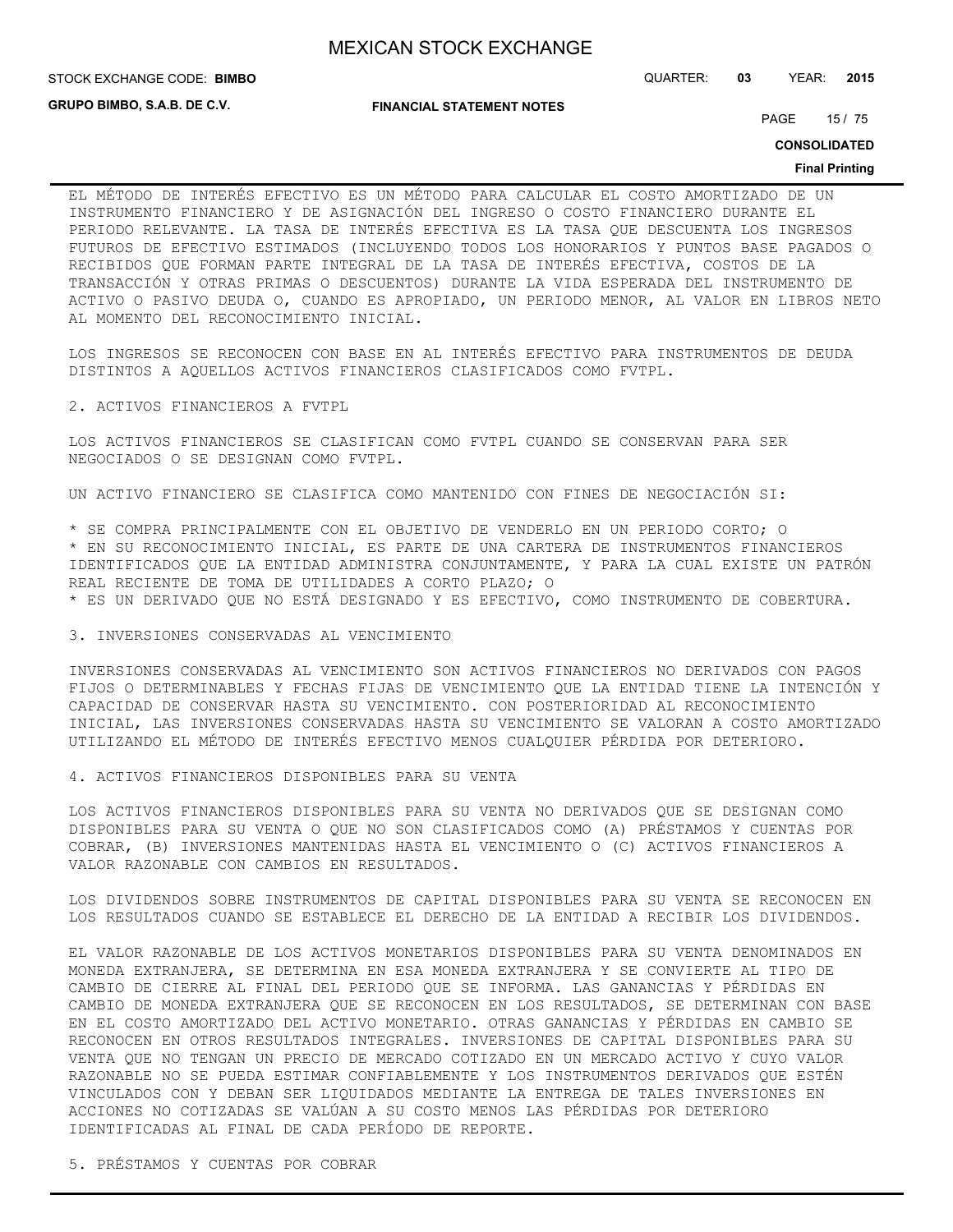**STOCK EXCHANGE CODE: BIMBO** 

**GRUPO BIMBO, S.A.B. DE C.V.**

**FINANCIAL STATEMENT NOTES**

PAGE 15 / 75

STOCK EXCHANGE CODE: QUARTER: **03** YEAR: **2015**

**CONSOLIDATED**

#### **Final Printing**

EL MÉTODO DE INTERÉS EFECTIVO ES UN MÉTODO PARA CALCULAR EL COSTO AMORTIZADO DE UN INSTRUMENTO FINANCIERO Y DE ASIGNACIÓN DEL INGRESO O COSTO FINANCIERO DURANTE EL PERIODO RELEVANTE. LA TASA DE INTERÉS EFECTIVA ES LA TASA QUE DESCUENTA LOS INGRESOS FUTUROS DE EFECTIVO ESTIMADOS (INCLUYENDO TODOS LOS HONORARIOS Y PUNTOS BASE PAGADOS O RECIBIDOS QUE FORMAN PARTE INTEGRAL DE LA TASA DE INTERÉS EFECTIVA, COSTOS DE LA TRANSACCIÓN Y OTRAS PRIMAS O DESCUENTOS) DURANTE LA VIDA ESPERADA DEL INSTRUMENTO DE ACTIVO O PASIVO DEUDA O, CUANDO ES APROPIADO, UN PERIODO MENOR, AL VALOR EN LIBROS NETO AL MOMENTO DEL RECONOCIMIENTO INICIAL.

LOS INGRESOS SE RECONOCEN CON BASE EN AL INTERÉS EFECTIVO PARA INSTRUMENTOS DE DEUDA DISTINTOS A AQUELLOS ACTIVOS FINANCIEROS CLASIFICADOS COMO FVTPL.

2. ACTIVOS FINANCIEROS A FVTPL

LOS ACTIVOS FINANCIEROS SE CLASIFICAN COMO FVTPL CUANDO SE CONSERVAN PARA SER NEGOCIADOS O SE DESIGNAN COMO FVTPL.

UN ACTIVO FINANCIERO SE CLASIFICA COMO MANTENIDO CON FINES DE NEGOCIACIÓN SI:

\* SE COMPRA PRINCIPALMENTE CON EL OBJETIVO DE VENDERLO EN UN PERIODO CORTO; O

\* EN SU RECONOCIMIENTO INICIAL, ES PARTE DE UNA CARTERA DE INSTRUMENTOS FINANCIEROS IDENTIFICADOS QUE LA ENTIDAD ADMINISTRA CONJUNTAMENTE, Y PARA LA CUAL EXISTE UN PATRÓN REAL RECIENTE DE TOMA DE UTILIDADES A CORTO PLAZO; O

\* ES UN DERIVADO QUE NO ESTÁ DESIGNADO Y ES EFECTIVO, COMO INSTRUMENTO DE COBERTURA.

3. INVERSIONES CONSERVADAS AL VENCIMIENTO

INVERSIONES CONSERVADAS AL VENCIMIENTO SON ACTIVOS FINANCIEROS NO DERIVADOS CON PAGOS FIJOS O DETERMINABLES Y FECHAS FIJAS DE VENCIMIENTO QUE LA ENTIDAD TIENE LA INTENCIÓN Y CAPACIDAD DE CONSERVAR HASTA SU VENCIMIENTO. CON POSTERIORIDAD AL RECONOCIMIENTO INICIAL, LAS INVERSIONES CONSERVADAS HASTA SU VENCIMIENTO SE VALORAN A COSTO AMORTIZADO UTILIZANDO EL MÉTODO DE INTERÉS EFECTIVO MENOS CUALQUIER PÉRDIDA POR DETERIORO.

4. ACTIVOS FINANCIEROS DISPONIBLES PARA SU VENTA

LOS ACTIVOS FINANCIEROS DISPONIBLES PARA SU VENTA NO DERIVADOS QUE SE DESIGNAN COMO DISPONIBLES PARA SU VENTA O QUE NO SON CLASIFICADOS COMO (A) PRÉSTAMOS Y CUENTAS POR COBRAR, (B) INVERSIONES MANTENIDAS HASTA EL VENCIMIENTO O (C) ACTIVOS FINANCIEROS A VALOR RAZONABLE CON CAMBIOS EN RESULTADOS.

LOS DIVIDENDOS SOBRE INSTRUMENTOS DE CAPITAL DISPONIBLES PARA SU VENTA SE RECONOCEN EN LOS RESULTADOS CUANDO SE ESTABLECE EL DERECHO DE LA ENTIDAD A RECIBIR LOS DIVIDENDOS.

EL VALOR RAZONABLE DE LOS ACTIVOS MONETARIOS DISPONIBLES PARA SU VENTA DENOMINADOS EN MONEDA EXTRANJERA, SE DETERMINA EN ESA MONEDA EXTRANJERA Y SE CONVIERTE AL TIPO DE CAMBIO DE CIERRE AL FINAL DEL PERIODO QUE SE INFORMA. LAS GANANCIAS Y PÉRDIDAS EN CAMBIO DE MONEDA EXTRANJERA QUE SE RECONOCEN EN LOS RESULTADOS, SE DETERMINAN CON BASE EN EL COSTO AMORTIZADO DEL ACTIVO MONETARIO. OTRAS GANANCIAS Y PÉRDIDAS EN CAMBIO SE RECONOCEN EN OTROS RESULTADOS INTEGRALES. INVERSIONES DE CAPITAL DISPONIBLES PARA SU VENTA QUE NO TENGAN UN PRECIO DE MERCADO COTIZADO EN UN MERCADO ACTIVO Y CUYO VALOR RAZONABLE NO SE PUEDA ESTIMAR CONFIABLEMENTE Y LOS INSTRUMENTOS DERIVADOS QUE ESTÉN VINCULADOS CON Y DEBAN SER LIQUIDADOS MEDIANTE LA ENTREGA DE TALES INVERSIONES EN ACCIONES NO COTIZADAS SE VALÚAN A SU COSTO MENOS LAS PÉRDIDAS POR DETERIORO IDENTIFICADAS AL FINAL DE CADA PERÍODO DE REPORTE.

5. PRÉSTAMOS Y CUENTAS POR COBRAR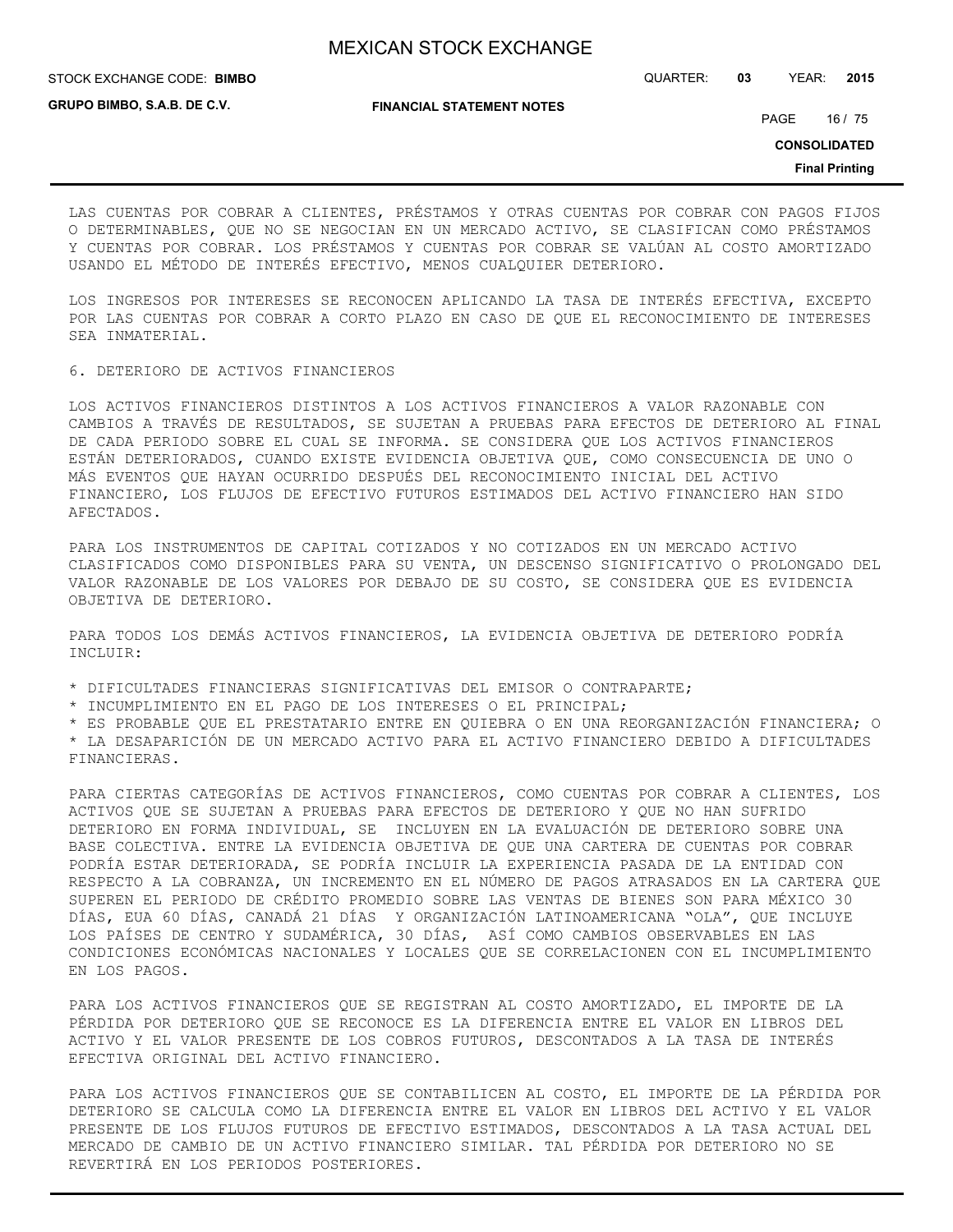STOCK EXCHANGE CODE: QUARTER: **03** YEAR: **2015 BIMBO**

**GRUPO BIMBO, S.A.B. DE C.V.**

**FINANCIAL STATEMENT NOTES**

PAGE 16 / 75

**CONSOLIDATED**

**Final Printing**

LAS CUENTAS POR COBRAR A CLIENTES, PRÉSTAMOS Y OTRAS CUENTAS POR COBRAR CON PAGOS FIJOS O DETERMINABLES, QUE NO SE NEGOCIAN EN UN MERCADO ACTIVO, SE CLASIFICAN COMO PRÉSTAMOS Y CUENTAS POR COBRAR. LOS PRÉSTAMOS Y CUENTAS POR COBRAR SE VALÚAN AL COSTO AMORTIZADO USANDO EL MÉTODO DE INTERÉS EFECTIVO, MENOS CUALQUIER DETERIORO.

LOS INGRESOS POR INTERESES SE RECONOCEN APLICANDO LA TASA DE INTERÉS EFECTIVA, EXCEPTO POR LAS CUENTAS POR COBRAR A CORTO PLAZO EN CASO DE QUE EL RECONOCIMIENTO DE INTERESES SEA INMATERIAL.

6. DETERIORO DE ACTIVOS FINANCIEROS

LOS ACTIVOS FINANCIEROS DISTINTOS A LOS ACTIVOS FINANCIEROS A VALOR RAZONABLE CON CAMBIOS A TRAVÉS DE RESULTADOS, SE SUJETAN A PRUEBAS PARA EFECTOS DE DETERIORO AL FINAL DE CADA PERIODO SOBRE EL CUAL SE INFORMA. SE CONSIDERA QUE LOS ACTIVOS FINANCIEROS ESTÁN DETERIORADOS, CUANDO EXISTE EVIDENCIA OBJETIVA QUE, COMO CONSECUENCIA DE UNO O MÁS EVENTOS QUE HAYAN OCURRIDO DESPUÉS DEL RECONOCIMIENTO INICIAL DEL ACTIVO FINANCIERO, LOS FLUJOS DE EFECTIVO FUTUROS ESTIMADOS DEL ACTIVO FINANCIERO HAN SIDO AFECTADOS.

PARA LOS INSTRUMENTOS DE CAPITAL COTIZADOS Y NO COTIZADOS EN UN MERCADO ACTIVO CLASIFICADOS COMO DISPONIBLES PARA SU VENTA, UN DESCENSO SIGNIFICATIVO O PROLONGADO DEL VALOR RAZONABLE DE LOS VALORES POR DEBAJO DE SU COSTO, SE CONSIDERA QUE ES EVIDENCIA OBJETIVA DE DETERIORO.

PARA TODOS LOS DEMÁS ACTIVOS FINANCIEROS, LA EVIDENCIA OBJETIVA DE DETERIORO PODRÍA INCLUIR:

\* DIFICULTADES FINANCIERAS SIGNIFICATIVAS DEL EMISOR O CONTRAPARTE;

\* INCUMPLIMIENTO EN EL PAGO DE LOS INTERESES O EL PRINCIPAL;

\* ES PROBABLE QUE EL PRESTATARIO ENTRE EN QUIEBRA O EN UNA REORGANIZACIÓN FINANCIERA; O

\* LA DESAPARICIÓN DE UN MERCADO ACTIVO PARA EL ACTIVO FINANCIERO DEBIDO A DIFICULTADES FINANCIERAS.

PARA CIERTAS CATEGORÍAS DE ACTIVOS FINANCIEROS, COMO CUENTAS POR COBRAR A CLIENTES, LOS ACTIVOS QUE SE SUJETAN A PRUEBAS PARA EFECTOS DE DETERIORO Y QUE NO HAN SUFRIDO DETERIORO EN FORMA INDIVIDUAL, SE INCLUYEN EN LA EVALUACIÓN DE DETERIORO SOBRE UNA BASE COLECTIVA. ENTRE LA EVIDENCIA OBJETIVA DE QUE UNA CARTERA DE CUENTAS POR COBRAR PODRÍA ESTAR DETERIORADA, SE PODRÍA INCLUIR LA EXPERIENCIA PASADA DE LA ENTIDAD CON RESPECTO A LA COBRANZA, UN INCREMENTO EN EL NÚMERO DE PAGOS ATRASADOS EN LA CARTERA QUE SUPEREN EL PERIODO DE CRÉDITO PROMEDIO SOBRE LAS VENTAS DE BIENES SON PARA MÉXICO 30 DÍAS, EUA 60 DÍAS, CANADÁ 21 DÍAS Y ORGANIZACIÓN LATINOAMERICANA "OLA", QUE INCLUYE LOS PAÍSES DE CENTRO Y SUDAMÉRICA, 30 DÍAS, ASÍ COMO CAMBIOS OBSERVABLES EN LAS CONDICIONES ECONÓMICAS NACIONALES Y LOCALES QUE SE CORRELACIONEN CON EL INCUMPLIMIENTO EN LOS PAGOS.

PARA LOS ACTIVOS FINANCIEROS QUE SE REGISTRAN AL COSTO AMORTIZADO, EL IMPORTE DE LA PÉRDIDA POR DETERIORO QUE SE RECONOCE ES LA DIFERENCIA ENTRE EL VALOR EN LIBROS DEL ACTIVO Y EL VALOR PRESENTE DE LOS COBROS FUTUROS, DESCONTADOS A LA TASA DE INTERÉS EFECTIVA ORIGINAL DEL ACTIVO FINANCIERO.

PARA LOS ACTIVOS FINANCIEROS QUE SE CONTABILICEN AL COSTO, EL IMPORTE DE LA PÉRDIDA POR DETERIORO SE CALCULA COMO LA DIFERENCIA ENTRE EL VALOR EN LIBROS DEL ACTIVO Y EL VALOR PRESENTE DE LOS FLUJOS FUTUROS DE EFECTIVO ESTIMADOS, DESCONTADOS A LA TASA ACTUAL DEL MERCADO DE CAMBIO DE UN ACTIVO FINANCIERO SIMILAR. TAL PÉRDIDA POR DETERIORO NO SE REVERTIRÁ EN LOS PERIODOS POSTERIORES.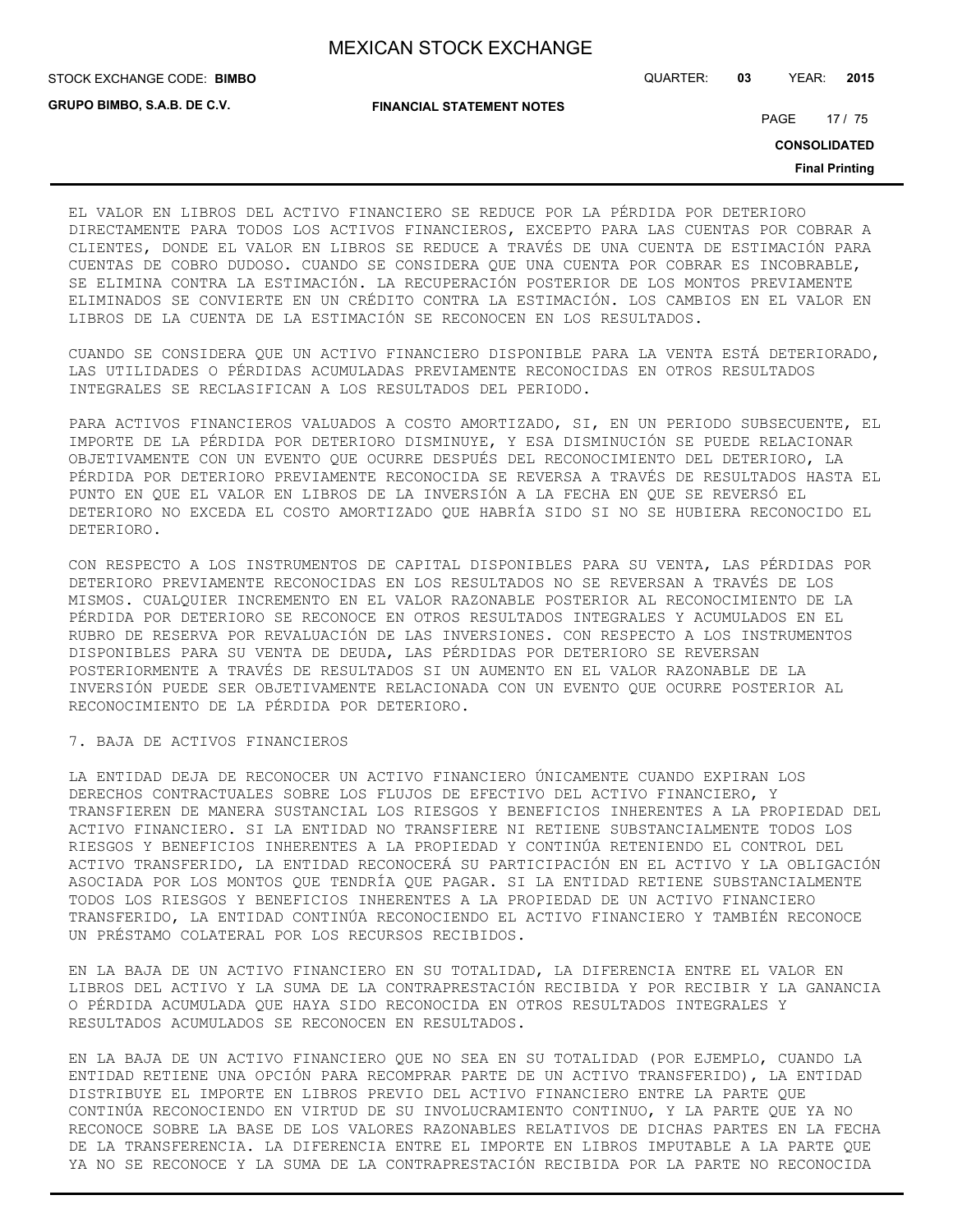**GRUPO BIMBO, S.A.B. DE C.V.**

STOCK EXCHANGE CODE: QUARTER: **03** YEAR: **2015 BIMBO**

**FINANCIAL STATEMENT NOTES**

PAGE 17 / 75

**CONSOLIDATED**

**Final Printing**

EL VALOR EN LIBROS DEL ACTIVO FINANCIERO SE REDUCE POR LA PÉRDIDA POR DETERIORO DIRECTAMENTE PARA TODOS LOS ACTIVOS FINANCIEROS, EXCEPTO PARA LAS CUENTAS POR COBRAR A CLIENTES, DONDE EL VALOR EN LIBROS SE REDUCE A TRAVÉS DE UNA CUENTA DE ESTIMACIÓN PARA CUENTAS DE COBRO DUDOSO. CUANDO SE CONSIDERA QUE UNA CUENTA POR COBRAR ES INCOBRABLE, SE ELIMINA CONTRA LA ESTIMACIÓN. LA RECUPERACIÓN POSTERIOR DE LOS MONTOS PREVIAMENTE ELIMINADOS SE CONVIERTE EN UN CRÉDITO CONTRA LA ESTIMACIÓN. LOS CAMBIOS EN EL VALOR EN LIBROS DE LA CUENTA DE LA ESTIMACIÓN SE RECONOCEN EN LOS RESULTADOS.

CUANDO SE CONSIDERA QUE UN ACTIVO FINANCIERO DISPONIBLE PARA LA VENTA ESTÁ DETERIORADO, LAS UTILIDADES O PÉRDIDAS ACUMULADAS PREVIAMENTE RECONOCIDAS EN OTROS RESULTADOS INTEGRALES SE RECLASIFICAN A LOS RESULTADOS DEL PERIODO.

PARA ACTIVOS FINANCIEROS VALUADOS A COSTO AMORTIZADO, SI, EN UN PERIODO SUBSECUENTE, EL IMPORTE DE LA PÉRDIDA POR DETERIORO DISMINUYE, Y ESA DISMINUCIÓN SE PUEDE RELACIONAR OBJETIVAMENTE CON UN EVENTO QUE OCURRE DESPUÉS DEL RECONOCIMIENTO DEL DETERIORO, LA PÉRDIDA POR DETERIORO PREVIAMENTE RECONOCIDA SE REVERSA A TRAVÉS DE RESULTADOS HASTA EL PUNTO EN QUE EL VALOR EN LIBROS DE LA INVERSIÓN A LA FECHA EN QUE SE REVERSÓ EL DETERIORO NO EXCEDA EL COSTO AMORTIZADO QUE HABRÍA SIDO SI NO SE HUBIERA RECONOCIDO EL DETERIORO.

CON RESPECTO A LOS INSTRUMENTOS DE CAPITAL DISPONIBLES PARA SU VENTA, LAS PÉRDIDAS POR DETERIORO PREVIAMENTE RECONOCIDAS EN LOS RESULTADOS NO SE REVERSAN A TRAVÉS DE LOS MISMOS. CUALQUIER INCREMENTO EN EL VALOR RAZONABLE POSTERIOR AL RECONOCIMIENTO DE LA PÉRDIDA POR DETERIORO SE RECONOCE EN OTROS RESULTADOS INTEGRALES Y ACUMULADOS EN EL RUBRO DE RESERVA POR REVALUACIÓN DE LAS INVERSIONES. CON RESPECTO A LOS INSTRUMENTOS DISPONIBLES PARA SU VENTA DE DEUDA, LAS PÉRDIDAS POR DETERIORO SE REVERSAN POSTERIORMENTE A TRAVÉS DE RESULTADOS SI UN AUMENTO EN EL VALOR RAZONABLE DE LA INVERSIÓN PUEDE SER OBJETIVAMENTE RELACIONADA CON UN EVENTO QUE OCURRE POSTERIOR AL RECONOCIMIENTO DE LA PÉRDIDA POR DETERIORO.

## 7. BAJA DE ACTIVOS FINANCIEROS

LA ENTIDAD DEJA DE RECONOCER UN ACTIVO FINANCIERO ÚNICAMENTE CUANDO EXPIRAN LOS DERECHOS CONTRACTUALES SOBRE LOS FLUJOS DE EFECTIVO DEL ACTIVO FINANCIERO, Y TRANSFIEREN DE MANERA SUSTANCIAL LOS RIESGOS Y BENEFICIOS INHERENTES A LA PROPIEDAD DEL ACTIVO FINANCIERO. SI LA ENTIDAD NO TRANSFIERE NI RETIENE SUBSTANCIALMENTE TODOS LOS RIESGOS Y BENEFICIOS INHERENTES A LA PROPIEDAD Y CONTINÚA RETENIENDO EL CONTROL DEL ACTIVO TRANSFERIDO, LA ENTIDAD RECONOCERÁ SU PARTICIPACIÓN EN EL ACTIVO Y LA OBLIGACIÓN ASOCIADA POR LOS MONTOS QUE TENDRÍA QUE PAGAR. SI LA ENTIDAD RETIENE SUBSTANCIALMENTE TODOS LOS RIESGOS Y BENEFICIOS INHERENTES A LA PROPIEDAD DE UN ACTIVO FINANCIERO TRANSFERIDO, LA ENTIDAD CONTINÚA RECONOCIENDO EL ACTIVO FINANCIERO Y TAMBIÉN RECONOCE UN PRÉSTAMO COLATERAL POR LOS RECURSOS RECIBIDOS.

EN LA BAJA DE UN ACTIVO FINANCIERO EN SU TOTALIDAD, LA DIFERENCIA ENTRE EL VALOR EN LIBROS DEL ACTIVO Y LA SUMA DE LA CONTRAPRESTACIÓN RECIBIDA Y POR RECIBIR Y LA GANANCIA O PÉRDIDA ACUMULADA QUE HAYA SIDO RECONOCIDA EN OTROS RESULTADOS INTEGRALES Y RESULTADOS ACUMULADOS SE RECONOCEN EN RESULTADOS.

EN LA BAJA DE UN ACTIVO FINANCIERO QUE NO SEA EN SU TOTALIDAD (POR EJEMPLO, CUANDO LA ENTIDAD RETIENE UNA OPCIÓN PARA RECOMPRAR PARTE DE UN ACTIVO TRANSFERIDO), LA ENTIDAD DISTRIBUYE EL IMPORTE EN LIBROS PREVIO DEL ACTIVO FINANCIERO ENTRE LA PARTE QUE CONTINÚA RECONOCIENDO EN VIRTUD DE SU INVOLUCRAMIENTO CONTINUO, Y LA PARTE QUE YA NO RECONOCE SOBRE LA BASE DE LOS VALORES RAZONABLES RELATIVOS DE DICHAS PARTES EN LA FECHA DE LA TRANSFERENCIA. LA DIFERENCIA ENTRE EL IMPORTE EN LIBROS IMPUTABLE A LA PARTE QUE YA NO SE RECONOCE Y LA SUMA DE LA CONTRAPRESTACIÓN RECIBIDA POR LA PARTE NO RECONOCIDA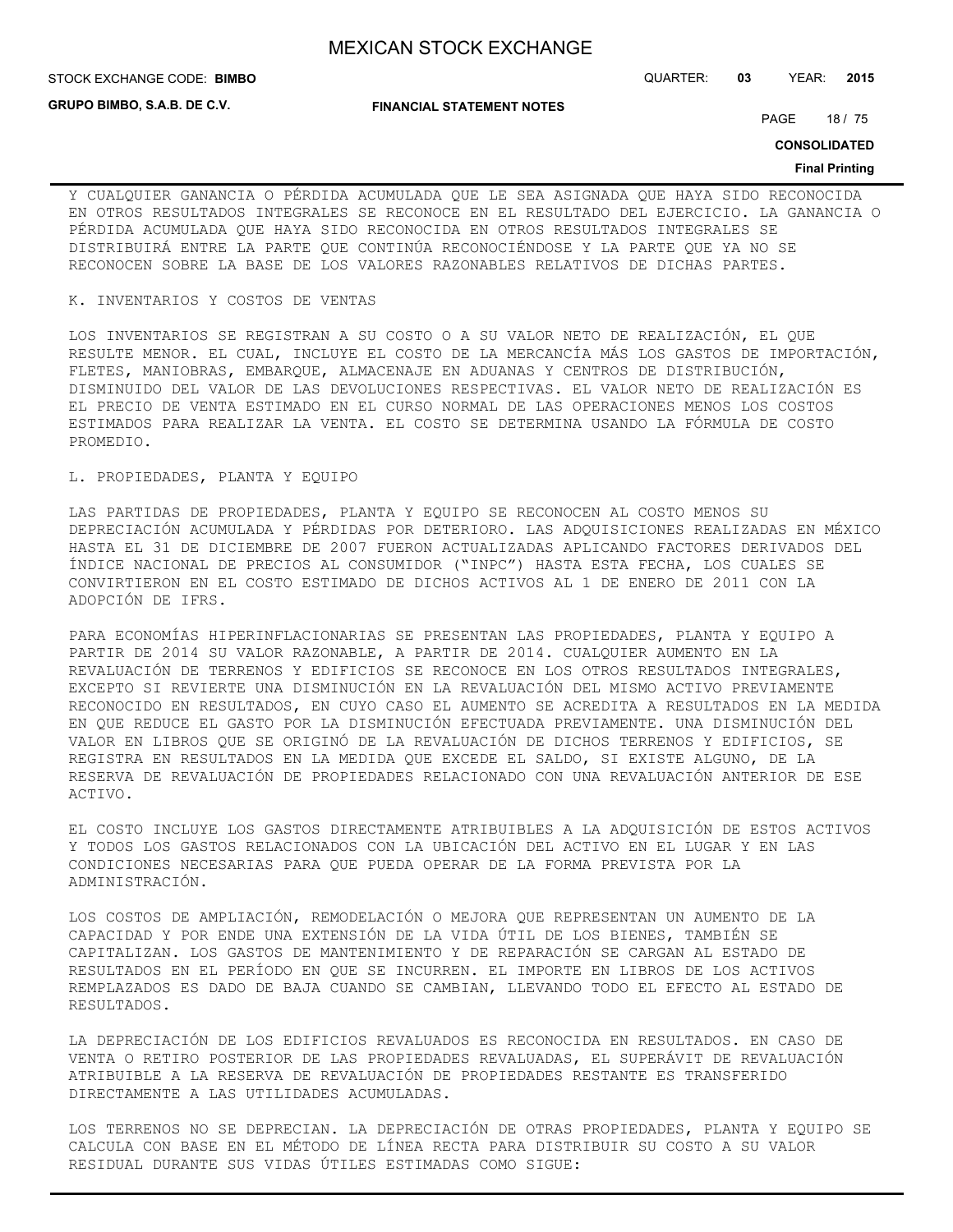**GRUPO BIMBO, S.A.B. DE C.V.**

**FINANCIAL STATEMENT NOTES**

STOCK EXCHANGE CODE: QUARTER: **03** YEAR: **2015 BIMBO**

PAGE 18 / 75

**CONSOLIDATED**

#### **Final Printing**

Y CUALQUIER GANANCIA O PÉRDIDA ACUMULADA QUE LE SEA ASIGNADA QUE HAYA SIDO RECONOCIDA EN OTROS RESULTADOS INTEGRALES SE RECONOCE EN EL RESULTADO DEL EJERCICIO. LA GANANCIA O PÉRDIDA ACUMULADA QUE HAYA SIDO RECONOCIDA EN OTROS RESULTADOS INTEGRALES SE DISTRIBUIRÁ ENTRE LA PARTE QUE CONTINÚA RECONOCIÉNDOSE Y LA PARTE QUE YA NO SE RECONOCEN SOBRE LA BASE DE LOS VALORES RAZONABLES RELATIVOS DE DICHAS PARTES.

### K. INVENTARIOS Y COSTOS DE VENTAS

LOS INVENTARIOS SE REGISTRAN A SU COSTO O A SU VALOR NETO DE REALIZACIÓN, EL QUE RESULTE MENOR. EL CUAL, INCLUYE EL COSTO DE LA MERCANCÍA MÁS LOS GASTOS DE IMPORTACIÓN, FLETES, MANIOBRAS, EMBARQUE, ALMACENAJE EN ADUANAS Y CENTROS DE DISTRIBUCIÓN, DISMINUIDO DEL VALOR DE LAS DEVOLUCIONES RESPECTIVAS. EL VALOR NETO DE REALIZACIÓN ES EL PRECIO DE VENTA ESTIMADO EN EL CURSO NORMAL DE LAS OPERACIONES MENOS LOS COSTOS ESTIMADOS PARA REALIZAR LA VENTA. EL COSTO SE DETERMINA USANDO LA FÓRMULA DE COSTO PROMEDIO.

### L. PROPIEDADES, PLANTA Y EQUIPO

LAS PARTIDAS DE PROPIEDADES, PLANTA Y EQUIPO SE RECONOCEN AL COSTO MENOS SU DEPRECIACIÓN ACUMULADA Y PÉRDIDAS POR DETERIORO. LAS ADQUISICIONES REALIZADAS EN MÉXICO HASTA EL 31 DE DICIEMBRE DE 2007 FUERON ACTUALIZADAS APLICANDO FACTORES DERIVADOS DEL ÍNDICE NACIONAL DE PRECIOS AL CONSUMIDOR ("INPC") HASTA ESTA FECHA, LOS CUALES SE CONVIRTIERON EN EL COSTO ESTIMADO DE DICHOS ACTIVOS AL 1 DE ENERO DE 2011 CON LA ADOPCIÓN DE IFRS.

PARA ECONOMÍAS HIPERINFLACIONARIAS SE PRESENTAN LAS PROPIEDADES, PLANTA Y EQUIPO A PARTIR DE 2014 SU VALOR RAZONABLE, A PARTIR DE 2014. CUALQUIER AUMENTO EN LA REVALUACIÓN DE TERRENOS Y EDIFICIOS SE RECONOCE EN LOS OTROS RESULTADOS INTEGRALES, EXCEPTO SI REVIERTE UNA DISMINUCIÓN EN LA REVALUACIÓN DEL MISMO ACTIVO PREVIAMENTE RECONOCIDO EN RESULTADOS, EN CUYO CASO EL AUMENTO SE ACREDITA A RESULTADOS EN LA MEDIDA EN QUE REDUCE EL GASTO POR LA DISMINUCIÓN EFECTUADA PREVIAMENTE. UNA DISMINUCIÓN DEL VALOR EN LIBROS QUE SE ORIGINÓ DE LA REVALUACIÓN DE DICHOS TERRENOS Y EDIFICIOS, SE REGISTRA EN RESULTADOS EN LA MEDIDA QUE EXCEDE EL SALDO, SI EXISTE ALGUNO, DE LA RESERVA DE REVALUACIÓN DE PROPIEDADES RELACIONADO CON UNA REVALUACIÓN ANTERIOR DE ESE ACTIVO.

EL COSTO INCLUYE LOS GASTOS DIRECTAMENTE ATRIBUIBLES A LA ADQUISICIÓN DE ESTOS ACTIVOS Y TODOS LOS GASTOS RELACIONADOS CON LA UBICACIÓN DEL ACTIVO EN EL LUGAR Y EN LAS CONDICIONES NECESARIAS PARA QUE PUEDA OPERAR DE LA FORMA PREVISTA POR LA ADMINISTRACIÓN.

LOS COSTOS DE AMPLIACIÓN, REMODELACIÓN O MEJORA QUE REPRESENTAN UN AUMENTO DE LA CAPACIDAD Y POR ENDE UNA EXTENSIÓN DE LA VIDA ÚTIL DE LOS BIENES, TAMBIÉN SE CAPITALIZAN. LOS GASTOS DE MANTENIMIENTO Y DE REPARACIÓN SE CARGAN AL ESTADO DE RESULTADOS EN EL PERÍODO EN QUE SE INCURREN. EL IMPORTE EN LIBROS DE LOS ACTIVOS REMPLAZADOS ES DADO DE BAJA CUANDO SE CAMBIAN, LLEVANDO TODO EL EFECTO AL ESTADO DE RESULTADOS.

LA DEPRECIACIÓN DE LOS EDIFICIOS REVALUADOS ES RECONOCIDA EN RESULTADOS. EN CASO DE VENTA O RETIRO POSTERIOR DE LAS PROPIEDADES REVALUADAS, EL SUPERÁVIT DE REVALUACIÓN ATRIBUIBLE A LA RESERVA DE REVALUACIÓN DE PROPIEDADES RESTANTE ES TRANSFERIDO DIRECTAMENTE A LAS UTILIDADES ACUMULADAS.

LOS TERRENOS NO SE DEPRECIAN. LA DEPRECIACIÓN DE OTRAS PROPIEDADES, PLANTA Y EQUIPO SE CALCULA CON BASE EN EL MÉTODO DE LÍNEA RECTA PARA DISTRIBUIR SU COSTO A SU VALOR RESIDUAL DURANTE SUS VIDAS ÚTILES ESTIMADAS COMO SIGUE: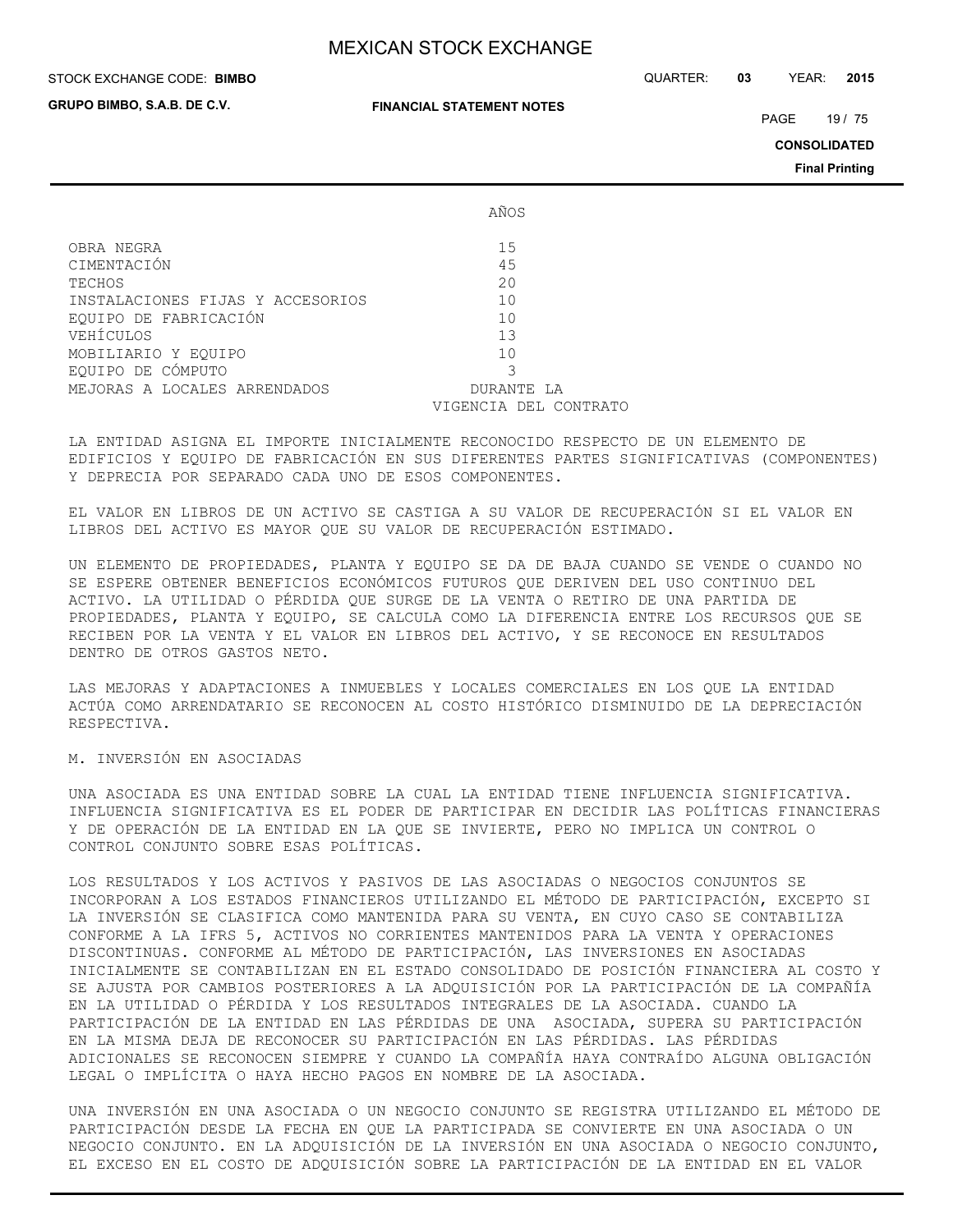**GRUPO BIMBO, S.A.B. DE C.V.**

#### **FINANCIAL STATEMENT NOTES**

STOCK EXCHANGE CODE: QUARTER: **03** YEAR: **2015 BIMBO**

PAGE 19 / 75

**CONSOLIDATED**

**Final Printing**

|                                  | AÑOS                  |
|----------------------------------|-----------------------|
| OBRA NEGRA                       | 15                    |
| CIMENTACIÓN                      | 45                    |
| TECHOS                           | 20                    |
| INSTALACIONES FIJAS Y ACCESORIOS | 10                    |
| EOUIPO DE FABRICACIÓN            | 10                    |
| VEHÍCULOS                        | 13                    |
| MOBILIARIO Y EQUIPO              | 10                    |
| EOUIPO DE CÓMPUTO                |                       |
| MEJORAS A LOCALES ARRENDADOS     | DURANTE LA            |
|                                  | VIGENCIA DEL CONTRATO |

LA ENTIDAD ASIGNA EL IMPORTE INICIALMENTE RECONOCIDO RESPECTO DE UN ELEMENTO DE EDIFICIOS Y EQUIPO DE FABRICACIÓN EN SUS DIFERENTES PARTES SIGNIFICATIVAS (COMPONENTES) Y DEPRECIA POR SEPARADO CADA UNO DE ESOS COMPONENTES.

EL VALOR EN LIBROS DE UN ACTIVO SE CASTIGA A SU VALOR DE RECUPERACIÓN SI EL VALOR EN LIBROS DEL ACTIVO ES MAYOR QUE SU VALOR DE RECUPERACIÓN ESTIMADO.

UN ELEMENTO DE PROPIEDADES, PLANTA Y EQUIPO SE DA DE BAJA CUANDO SE VENDE O CUANDO NO SE ESPERE OBTENER BENEFICIOS ECONÓMICOS FUTUROS QUE DERIVEN DEL USO CONTINUO DEL ACTIVO. LA UTILIDAD O PÉRDIDA QUE SURGE DE LA VENTA O RETIRO DE UNA PARTIDA DE PROPIEDADES, PLANTA Y EQUIPO, SE CALCULA COMO LA DIFERENCIA ENTRE LOS RECURSOS QUE SE RECIBEN POR LA VENTA Y EL VALOR EN LIBROS DEL ACTIVO, Y SE RECONOCE EN RESULTADOS DENTRO DE OTROS GASTOS NETO.

LAS MEJORAS Y ADAPTACIONES A INMUEBLES Y LOCALES COMERCIALES EN LOS QUE LA ENTIDAD ACTÚA COMO ARRENDATARIO SE RECONOCEN AL COSTO HISTÓRICO DISMINUIDO DE LA DEPRECIACIÓN RESPECTIVA.

M. INVERSIÓN EN ASOCIADAS

UNA ASOCIADA ES UNA ENTIDAD SOBRE LA CUAL LA ENTIDAD TIENE INFLUENCIA SIGNIFICATIVA. INFLUENCIA SIGNIFICATIVA ES EL PODER DE PARTICIPAR EN DECIDIR LAS POLÍTICAS FINANCIERAS Y DE OPERACIÓN DE LA ENTIDAD EN LA QUE SE INVIERTE, PERO NO IMPLICA UN CONTROL O CONTROL CONJUNTO SOBRE ESAS POLÍTICAS.

LOS RESULTADOS Y LOS ACTIVOS Y PASIVOS DE LAS ASOCIADAS O NEGOCIOS CONJUNTOS SE INCORPORAN A LOS ESTADOS FINANCIEROS UTILIZANDO EL MÉTODO DE PARTICIPACIÓN, EXCEPTO SI LA INVERSIÓN SE CLASIFICA COMO MANTENIDA PARA SU VENTA, EN CUYO CASO SE CONTABILIZA CONFORME A LA IFRS 5, ACTIVOS NO CORRIENTES MANTENIDOS PARA LA VENTA Y OPERACIONES DISCONTINUAS. CONFORME AL MÉTODO DE PARTICIPACIÓN, LAS INVERSIONES EN ASOCIADAS INICIALMENTE SE CONTABILIZAN EN EL ESTADO CONSOLIDADO DE POSICIÓN FINANCIERA AL COSTO Y SE AJUSTA POR CAMBIOS POSTERIORES A LA ADQUISICIÓN POR LA PARTICIPACIÓN DE LA COMPAÑÍA EN LA UTILIDAD O PÉRDIDA Y LOS RESULTADOS INTEGRALES DE LA ASOCIADA. CUANDO LA PARTICIPACIÓN DE LA ENTIDAD EN LAS PÉRDIDAS DE UNA ASOCIADA, SUPERA SU PARTICIPACIÓN EN LA MISMA DEJA DE RECONOCER SU PARTICIPACIÓN EN LAS PÉRDIDAS. LAS PÉRDIDAS ADICIONALES SE RECONOCEN SIEMPRE Y CUANDO LA COMPAÑÍA HAYA CONTRAÍDO ALGUNA OBLIGACIÓN LEGAL O IMPLÍCITA O HAYA HECHO PAGOS EN NOMBRE DE LA ASOCIADA.

UNA INVERSIÓN EN UNA ASOCIADA O UN NEGOCIO CONJUNTO SE REGISTRA UTILIZANDO EL MÉTODO DE PARTICIPACIÓN DESDE LA FECHA EN QUE LA PARTICIPADA SE CONVIERTE EN UNA ASOCIADA O UN NEGOCIO CONJUNTO. EN LA ADQUISICIÓN DE LA INVERSIÓN EN UNA ASOCIADA O NEGOCIO CONJUNTO, EL EXCESO EN EL COSTO DE ADQUISICIÓN SOBRE LA PARTICIPACIÓN DE LA ENTIDAD EN EL VALOR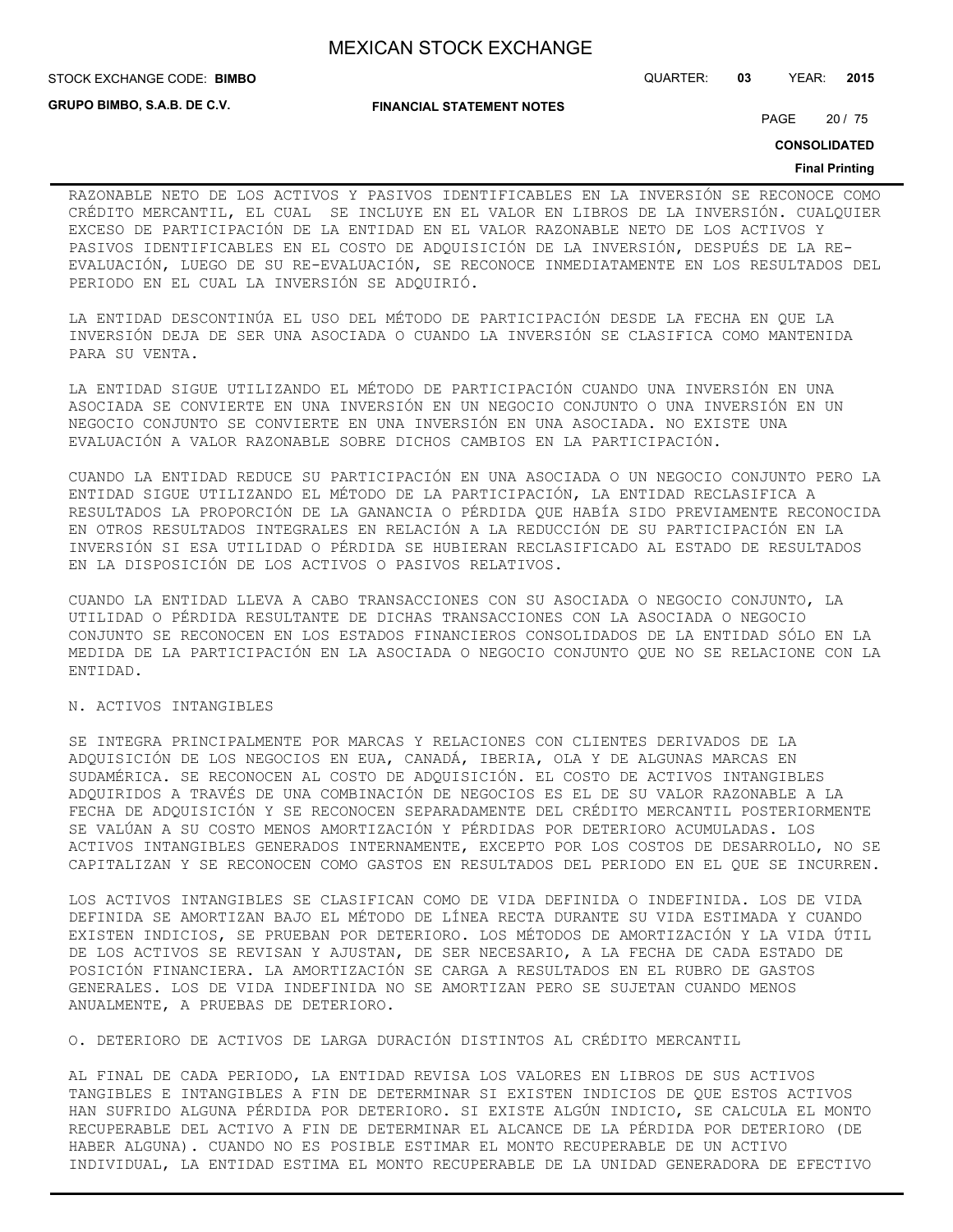**STOCK EXCHANGE CODE: BIMBO** 

**GRUPO BIMBO, S.A.B. DE C.V.**

**FINANCIAL STATEMENT NOTES**

STOCK EXCHANGE CODE: QUARTER: **03** YEAR: **2015**

PAGE 20 / 75

**CONSOLIDATED**

#### **Final Printing**

RAZONABLE NETO DE LOS ACTIVOS Y PASIVOS IDENTIFICABLES EN LA INVERSIÓN SE RECONOCE COMO CRÉDITO MERCANTIL, EL CUAL SE INCLUYE EN EL VALOR EN LIBROS DE LA INVERSIÓN. CUALQUIER EXCESO DE PARTICIPACIÓN DE LA ENTIDAD EN EL VALOR RAZONABLE NETO DE LOS ACTIVOS Y PASIVOS IDENTIFICABLES EN EL COSTO DE ADQUISICIÓN DE LA INVERSIÓN, DESPUÉS DE LA RE-EVALUACIÓN, LUEGO DE SU RE-EVALUACIÓN, SE RECONOCE INMEDIATAMENTE EN LOS RESULTADOS DEL PERIODO EN EL CUAL LA INVERSIÓN SE ADQUIRIÓ.

LA ENTIDAD DESCONTINÚA EL USO DEL MÉTODO DE PARTICIPACIÓN DESDE LA FECHA EN QUE LA INVERSIÓN DEJA DE SER UNA ASOCIADA O CUANDO LA INVERSIÓN SE CLASIFICA COMO MANTENIDA PARA SU VENTA.

LA ENTIDAD SIGUE UTILIZANDO EL MÉTODO DE PARTICIPACIÓN CUANDO UNA INVERSIÓN EN UNA ASOCIADA SE CONVIERTE EN UNA INVERSIÓN EN UN NEGOCIO CONJUNTO O UNA INVERSIÓN EN UN NEGOCIO CONJUNTO SE CONVIERTE EN UNA INVERSIÓN EN UNA ASOCIADA. NO EXISTE UNA EVALUACIÓN A VALOR RAZONABLE SOBRE DICHOS CAMBIOS EN LA PARTICIPACIÓN.

CUANDO LA ENTIDAD REDUCE SU PARTICIPACIÓN EN UNA ASOCIADA O UN NEGOCIO CONJUNTO PERO LA ENTIDAD SIGUE UTILIZANDO EL MÉTODO DE LA PARTICIPACIÓN, LA ENTIDAD RECLASIFICA A RESULTADOS LA PROPORCIÓN DE LA GANANCIA O PÉRDIDA QUE HABÍA SIDO PREVIAMENTE RECONOCIDA EN OTROS RESULTADOS INTEGRALES EN RELACIÓN A LA REDUCCIÓN DE SU PARTICIPACIÓN EN LA INVERSIÓN SI ESA UTILIDAD O PÉRDIDA SE HUBIERAN RECLASIFICADO AL ESTADO DE RESULTADOS EN LA DISPOSICIÓN DE LOS ACTIVOS O PASIVOS RELATIVOS.

CUANDO LA ENTIDAD LLEVA A CABO TRANSACCIONES CON SU ASOCIADA O NEGOCIO CONJUNTO, LA UTILIDAD O PÉRDIDA RESULTANTE DE DICHAS TRANSACCIONES CON LA ASOCIADA O NEGOCIO CONJUNTO SE RECONOCEN EN LOS ESTADOS FINANCIEROS CONSOLIDADOS DE LA ENTIDAD SÓLO EN LA MEDIDA DE LA PARTICIPACIÓN EN LA ASOCIADA O NEGOCIO CONJUNTO QUE NO SE RELACIONE CON LA ENTIDAD.

#### N. ACTIVOS INTANGIBLES

SE INTEGRA PRINCIPALMENTE POR MARCAS Y RELACIONES CON CLIENTES DERIVADOS DE LA ADQUISICIÓN DE LOS NEGOCIOS EN EUA, CANADÁ, IBERIA, OLA Y DE ALGUNAS MARCAS EN SUDAMÉRICA. SE RECONOCEN AL COSTO DE ADQUISICIÓN. EL COSTO DE ACTIVOS INTANGIBLES ADQUIRIDOS A TRAVÉS DE UNA COMBINACIÓN DE NEGOCIOS ES EL DE SU VALOR RAZONABLE A LA FECHA DE ADQUISICIÓN Y SE RECONOCEN SEPARADAMENTE DEL CRÉDITO MERCANTIL POSTERIORMENTE SE VALÚAN A SU COSTO MENOS AMORTIZACIÓN Y PÉRDIDAS POR DETERIORO ACUMULADAS. LOS ACTIVOS INTANGIBLES GENERADOS INTERNAMENTE, EXCEPTO POR LOS COSTOS DE DESARROLLO, NO SE CAPITALIZAN Y SE RECONOCEN COMO GASTOS EN RESULTADOS DEL PERIODO EN EL QUE SE INCURREN.

LOS ACTIVOS INTANGIBLES SE CLASIFICAN COMO DE VIDA DEFINIDA O INDEFINIDA. LOS DE VIDA DEFINIDA SE AMORTIZAN BAJO EL MÉTODO DE LÍNEA RECTA DURANTE SU VIDA ESTIMADA Y CUANDO EXISTEN INDICIOS, SE PRUEBAN POR DETERIORO. LOS MÉTODOS DE AMORTIZACIÓN Y LA VIDA ÚTIL DE LOS ACTIVOS SE REVISAN Y AJUSTAN, DE SER NECESARIO, A LA FECHA DE CADA ESTADO DE POSICIÓN FINANCIERA. LA AMORTIZACIÓN SE CARGA A RESULTADOS EN EL RUBRO DE GASTOS GENERALES. LOS DE VIDA INDEFINIDA NO SE AMORTIZAN PERO SE SUJETAN CUANDO MENOS ANUALMENTE, A PRUEBAS DE DETERIORO.

O. DETERIORO DE ACTIVOS DE LARGA DURACIÓN DISTINTOS AL CRÉDITO MERCANTIL

AL FINAL DE CADA PERIODO, LA ENTIDAD REVISA LOS VALORES EN LIBROS DE SUS ACTIVOS TANGIBLES E INTANGIBLES A FIN DE DETERMINAR SI EXISTEN INDICIOS DE QUE ESTOS ACTIVOS HAN SUFRIDO ALGUNA PÉRDIDA POR DETERIORO. SI EXISTE ALGÚN INDICIO, SE CALCULA EL MONTO RECUPERABLE DEL ACTIVO A FIN DE DETERMINAR EL ALCANCE DE LA PÉRDIDA POR DETERIORO (DE HABER ALGUNA). CUANDO NO ES POSIBLE ESTIMAR EL MONTO RECUPERABLE DE UN ACTIVO INDIVIDUAL, LA ENTIDAD ESTIMA EL MONTO RECUPERABLE DE LA UNIDAD GENERADORA DE EFECTIVO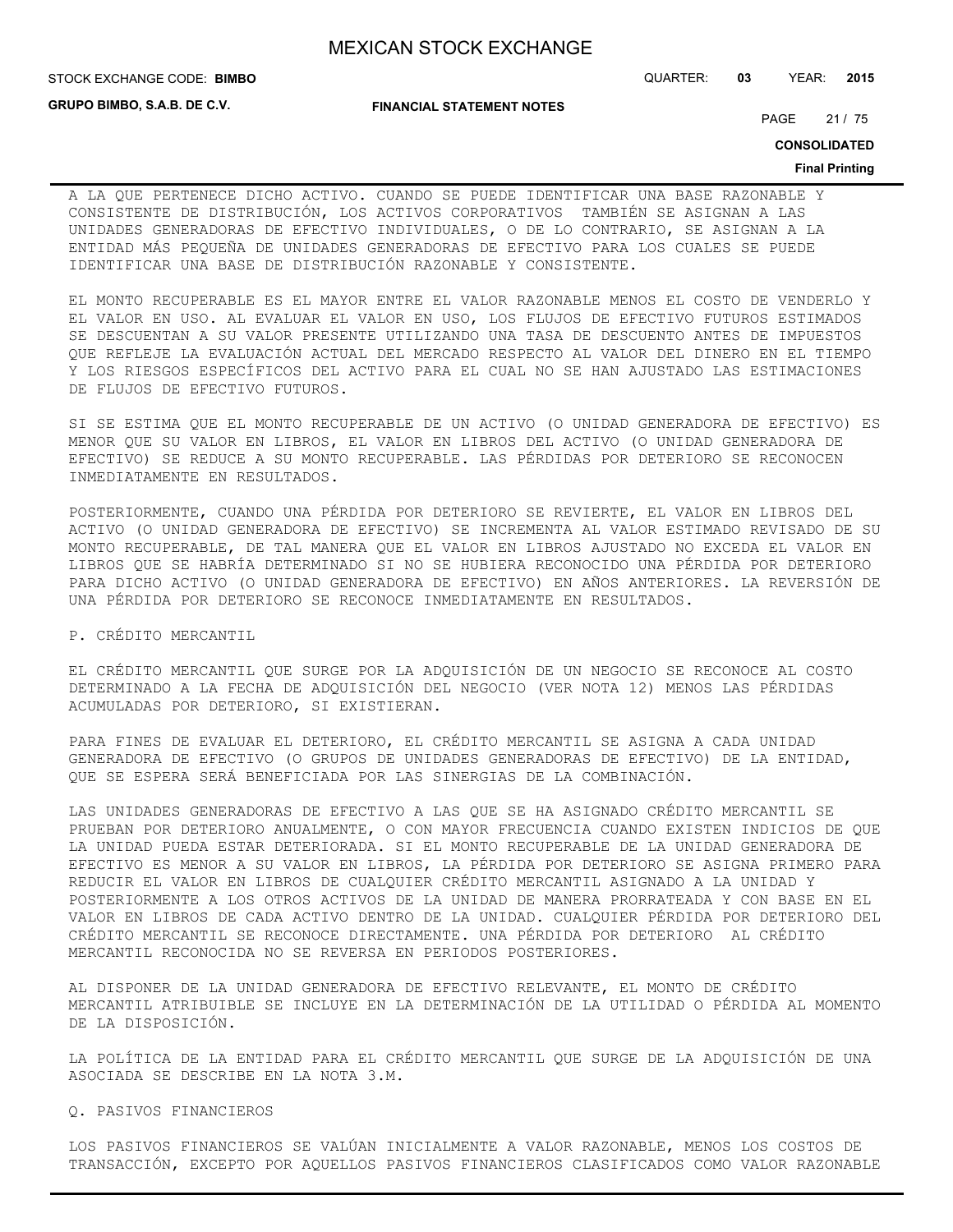**GRUPO BIMBO, S.A.B. DE C.V.**

**FINANCIAL STATEMENT NOTES**

STOCK EXCHANGE CODE: QUARTER: **03** YEAR: **2015 BIMBO**

PAGE 21 / 75

**CONSOLIDATED**

#### **Final Printing**

A LA QUE PERTENECE DICHO ACTIVO. CUANDO SE PUEDE IDENTIFICAR UNA BASE RAZONABLE Y CONSISTENTE DE DISTRIBUCIÓN, LOS ACTIVOS CORPORATIVOS TAMBIÉN SE ASIGNAN A LAS UNIDADES GENERADORAS DE EFECTIVO INDIVIDUALES, O DE LO CONTRARIO, SE ASIGNAN A LA ENTIDAD MÁS PEQUEÑA DE UNIDADES GENERADORAS DE EFECTIVO PARA LOS CUALES SE PUEDE IDENTIFICAR UNA BASE DE DISTRIBUCIÓN RAZONABLE Y CONSISTENTE.

EL MONTO RECUPERABLE ES EL MAYOR ENTRE EL VALOR RAZONABLE MENOS EL COSTO DE VENDERLO Y EL VALOR EN USO. AL EVALUAR EL VALOR EN USO, LOS FLUJOS DE EFECTIVO FUTUROS ESTIMADOS SE DESCUENTAN A SU VALOR PRESENTE UTILIZANDO UNA TASA DE DESCUENTO ANTES DE IMPUESTOS QUE REFLEJE LA EVALUACIÓN ACTUAL DEL MERCADO RESPECTO AL VALOR DEL DINERO EN EL TIEMPO Y LOS RIESGOS ESPECÍFICOS DEL ACTIVO PARA EL CUAL NO SE HAN AJUSTADO LAS ESTIMACIONES DE FLUJOS DE EFECTIVO FUTUROS.

SI SE ESTIMA QUE EL MONTO RECUPERABLE DE UN ACTIVO (O UNIDAD GENERADORA DE EFECTIVO) ES MENOR QUE SU VALOR EN LIBROS, EL VALOR EN LIBROS DEL ACTIVO (O UNIDAD GENERADORA DE EFECTIVO) SE REDUCE A SU MONTO RECUPERABLE. LAS PÉRDIDAS POR DETERIORO SE RECONOCEN INMEDIATAMENTE EN RESULTADOS.

POSTERIORMENTE, CUANDO UNA PÉRDIDA POR DETERIORO SE REVIERTE, EL VALOR EN LIBROS DEL ACTIVO (O UNIDAD GENERADORA DE EFECTIVO) SE INCREMENTA AL VALOR ESTIMADO REVISADO DE SU MONTO RECUPERABLE, DE TAL MANERA QUE EL VALOR EN LIBROS AJUSTADO NO EXCEDA EL VALOR EN LIBROS QUE SE HABRÍA DETERMINADO SI NO SE HUBIERA RECONOCIDO UNA PÉRDIDA POR DETERIORO PARA DICHO ACTIVO (O UNIDAD GENERADORA DE EFECTIVO) EN AÑOS ANTERIORES. LA REVERSIÓN DE UNA PÉRDIDA POR DETERIORO SE RECONOCE INMEDIATAMENTE EN RESULTADOS.

P. CRÉDITO MERCANTIL

EL CRÉDITO MERCANTIL QUE SURGE POR LA ADQUISICIÓN DE UN NEGOCIO SE RECONOCE AL COSTO DETERMINADO A LA FECHA DE ADQUISICIÓN DEL NEGOCIO (VER NOTA 12) MENOS LAS PÉRDIDAS ACUMULADAS POR DETERIORO, SI EXISTIERAN.

PARA FINES DE EVALUAR EL DETERIORO, EL CRÉDITO MERCANTIL SE ASIGNA A CADA UNIDAD GENERADORA DE EFECTIVO (O GRUPOS DE UNIDADES GENERADORAS DE EFECTIVO) DE LA ENTIDAD, QUE SE ESPERA SERÁ BENEFICIADA POR LAS SINERGIAS DE LA COMBINACIÓN.

LAS UNIDADES GENERADORAS DE EFECTIVO A LAS QUE SE HA ASIGNADO CRÉDITO MERCANTIL SE PRUEBAN POR DETERIORO ANUALMENTE, O CON MAYOR FRECUENCIA CUANDO EXISTEN INDICIOS DE QUE LA UNIDAD PUEDA ESTAR DETERIORADA. SI EL MONTO RECUPERABLE DE LA UNIDAD GENERADORA DE EFECTIVO ES MENOR A SU VALOR EN LIBROS, LA PÉRDIDA POR DETERIORO SE ASIGNA PRIMERO PARA REDUCIR EL VALOR EN LIBROS DE CUALQUIER CRÉDITO MERCANTIL ASIGNADO A LA UNIDAD Y POSTERIORMENTE A LOS OTROS ACTIVOS DE LA UNIDAD DE MANERA PRORRATEADA Y CON BASE EN EL VALOR EN LIBROS DE CADA ACTIVO DENTRO DE LA UNIDAD. CUALQUIER PÉRDIDA POR DETERIORO DEL CRÉDITO MERCANTIL SE RECONOCE DIRECTAMENTE. UNA PÉRDIDA POR DETERIORO AL CRÉDITO MERCANTIL RECONOCIDA NO SE REVERSA EN PERIODOS POSTERIORES.

AL DISPONER DE LA UNIDAD GENERADORA DE EFECTIVO RELEVANTE, EL MONTO DE CRÉDITO MERCANTIL ATRIBUIBLE SE INCLUYE EN LA DETERMINACIÓN DE LA UTILIDAD O PÉRDIDA AL MOMENTO DE LA DISPOSICIÓN.

LA POLÍTICA DE LA ENTIDAD PARA EL CRÉDITO MERCANTIL QUE SURGE DE LA ADQUISICIÓN DE UNA ASOCIADA SE DESCRIBE EN LA NOTA 3.M.

Q. PASIVOS FINANCIEROS

LOS PASIVOS FINANCIEROS SE VALÚAN INICIALMENTE A VALOR RAZONABLE, MENOS LOS COSTOS DE TRANSACCIÓN, EXCEPTO POR AQUELLOS PASIVOS FINANCIEROS CLASIFICADOS COMO VALOR RAZONABLE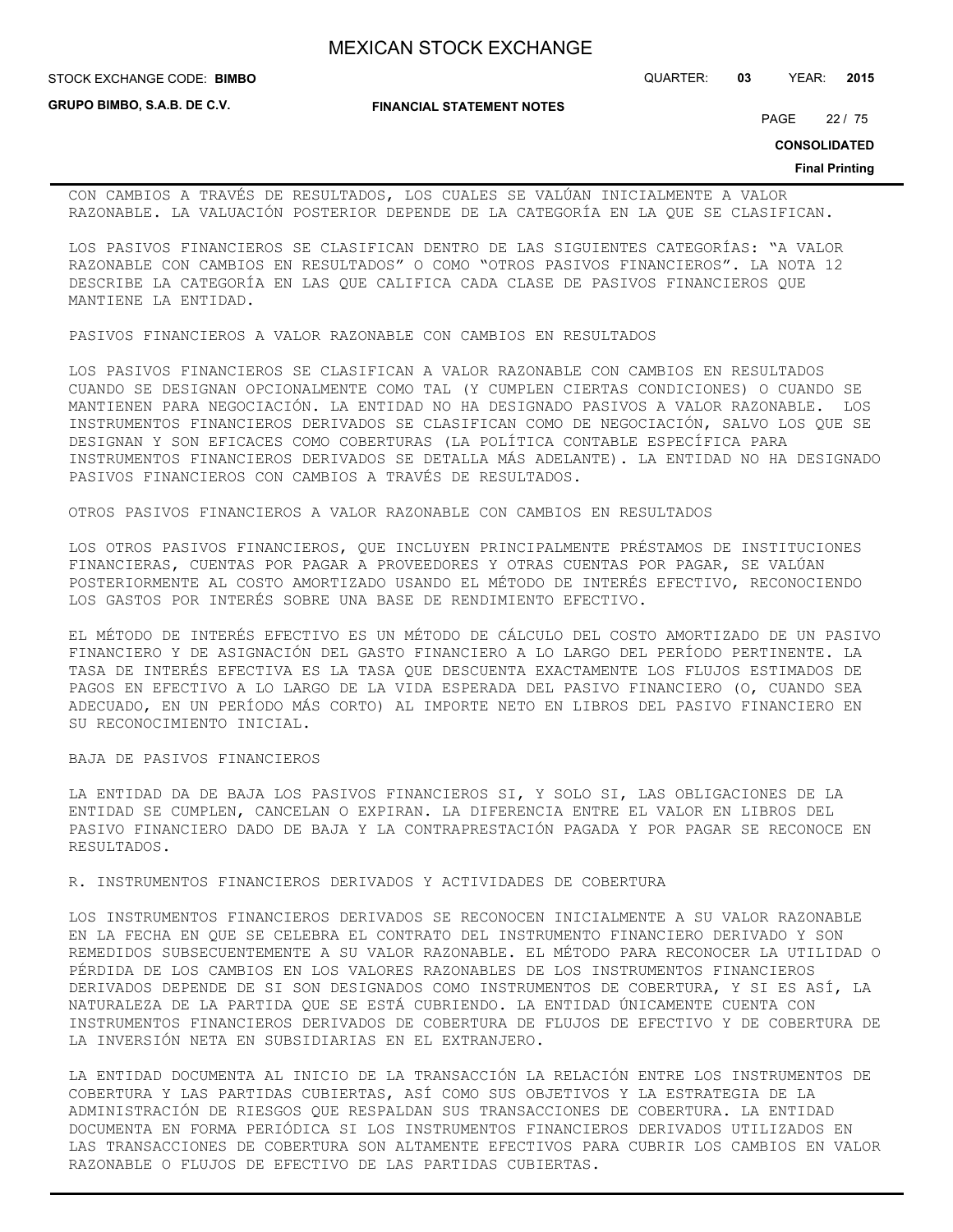**STOCK EXCHANGE CODE: BIMBO** 

**GRUPO BIMBO, S.A.B. DE C.V.**

**FINANCIAL STATEMENT NOTES**

STOCK EXCHANGE CODE: QUARTER: **03** YEAR: **2015**

PAGE 22 / 75

**CONSOLIDATED**

#### **Final Printing**

CON CAMBIOS A TRAVÉS DE RESULTADOS, LOS CUALES SE VALÚAN INICIALMENTE A VALOR RAZONABLE. LA VALUACIÓN POSTERIOR DEPENDE DE LA CATEGORÍA EN LA QUE SE CLASIFICAN.

LOS PASIVOS FINANCIEROS SE CLASIFICAN DENTRO DE LAS SIGUIENTES CATEGORÍAS: "A VALOR RAZONABLE CON CAMBIOS EN RESULTADOS" O COMO "OTROS PASIVOS FINANCIEROS". LA NOTA 12 DESCRIBE LA CATEGORÍA EN LAS QUE CALIFICA CADA CLASE DE PASIVOS FINANCIEROS QUE MANTIENE LA ENTIDAD.

PASIVOS FINANCIEROS A VALOR RAZONABLE CON CAMBIOS EN RESULTADOS

LOS PASIVOS FINANCIEROS SE CLASIFICAN A VALOR RAZONABLE CON CAMBIOS EN RESULTADOS CUANDO SE DESIGNAN OPCIONALMENTE COMO TAL (Y CUMPLEN CIERTAS CONDICIONES) O CUANDO SE MANTIENEN PARA NEGOCIACIÓN. LA ENTIDAD NO HA DESIGNADO PASIVOS A VALOR RAZONABLE. LOS INSTRUMENTOS FINANCIEROS DERIVADOS SE CLASIFICAN COMO DE NEGOCIACIÓN, SALVO LOS QUE SE DESIGNAN Y SON EFICACES COMO COBERTURAS (LA POLÍTICA CONTABLE ESPECÍFICA PARA INSTRUMENTOS FINANCIEROS DERIVADOS SE DETALLA MÁS ADELANTE). LA ENTIDAD NO HA DESIGNADO PASIVOS FINANCIEROS CON CAMBIOS A TRAVÉS DE RESULTADOS.

OTROS PASIVOS FINANCIEROS A VALOR RAZONABLE CON CAMBIOS EN RESULTADOS

LOS OTROS PASIVOS FINANCIEROS, QUE INCLUYEN PRINCIPALMENTE PRÉSTAMOS DE INSTITUCIONES FINANCIERAS, CUENTAS POR PAGAR A PROVEEDORES Y OTRAS CUENTAS POR PAGAR, SE VALÚAN POSTERIORMENTE AL COSTO AMORTIZADO USANDO EL MÉTODO DE INTERÉS EFECTIVO, RECONOCIENDO LOS GASTOS POR INTERÉS SOBRE UNA BASE DE RENDIMIENTO EFECTIVO.

EL MÉTODO DE INTERÉS EFECTIVO ES UN MÉTODO DE CÁLCULO DEL COSTO AMORTIZADO DE UN PASIVO FINANCIERO Y DE ASIGNACIÓN DEL GASTO FINANCIERO A LO LARGO DEL PERÍODO PERTINENTE. LA TASA DE INTERÉS EFECTIVA ES LA TASA QUE DESCUENTA EXACTAMENTE LOS FLUJOS ESTIMADOS DE PAGOS EN EFECTIVO A LO LARGO DE LA VIDA ESPERADA DEL PASIVO FINANCIERO (O, CUANDO SEA ADECUADO, EN UN PERÍODO MÁS CORTO) AL IMPORTE NETO EN LIBROS DEL PASIVO FINANCIERO EN SU RECONOCIMIENTO INICIAL.

BAJA DE PASIVOS FINANCIEROS

LA ENTIDAD DA DE BAJA LOS PASIVOS FINANCIEROS SI, Y SOLO SI, LAS OBLIGACIONES DE LA ENTIDAD SE CUMPLEN, CANCELAN O EXPIRAN. LA DIFERENCIA ENTRE EL VALOR EN LIBROS DEL PASIVO FINANCIERO DADO DE BAJA Y LA CONTRAPRESTACIÓN PAGADA Y POR PAGAR SE RECONOCE EN RESULTADOS.

R. INSTRUMENTOS FINANCIEROS DERIVADOS Y ACTIVIDADES DE COBERTURA

LOS INSTRUMENTOS FINANCIEROS DERIVADOS SE RECONOCEN INICIALMENTE A SU VALOR RAZONABLE EN LA FECHA EN QUE SE CELEBRA EL CONTRATO DEL INSTRUMENTO FINANCIERO DERIVADO Y SON REMEDIDOS SUBSECUENTEMENTE A SU VALOR RAZONABLE. EL MÉTODO PARA RECONOCER LA UTILIDAD O PÉRDIDA DE LOS CAMBIOS EN LOS VALORES RAZONABLES DE LOS INSTRUMENTOS FINANCIEROS DERIVADOS DEPENDE DE SI SON DESIGNADOS COMO INSTRUMENTOS DE COBERTURA, Y SI ES ASÍ, LA NATURALEZA DE LA PARTIDA QUE SE ESTÁ CUBRIENDO. LA ENTIDAD ÚNICAMENTE CUENTA CON INSTRUMENTOS FINANCIEROS DERIVADOS DE COBERTURA DE FLUJOS DE EFECTIVO Y DE COBERTURA DE LA INVERSIÓN NETA EN SUBSIDIARIAS EN EL EXTRANJERO.

LA ENTIDAD DOCUMENTA AL INICIO DE LA TRANSACCIÓN LA RELACIÓN ENTRE LOS INSTRUMENTOS DE COBERTURA Y LAS PARTIDAS CUBIERTAS, ASÍ COMO SUS OBJETIVOS Y LA ESTRATEGIA DE LA ADMINISTRACIÓN DE RIESGOS QUE RESPALDAN SUS TRANSACCIONES DE COBERTURA. LA ENTIDAD DOCUMENTA EN FORMA PERIÓDICA SI LOS INSTRUMENTOS FINANCIEROS DERIVADOS UTILIZADOS EN LAS TRANSACCIONES DE COBERTURA SON ALTAMENTE EFECTIVOS PARA CUBRIR LOS CAMBIOS EN VALOR RAZONABLE O FLUJOS DE EFECTIVO DE LAS PARTIDAS CUBIERTAS.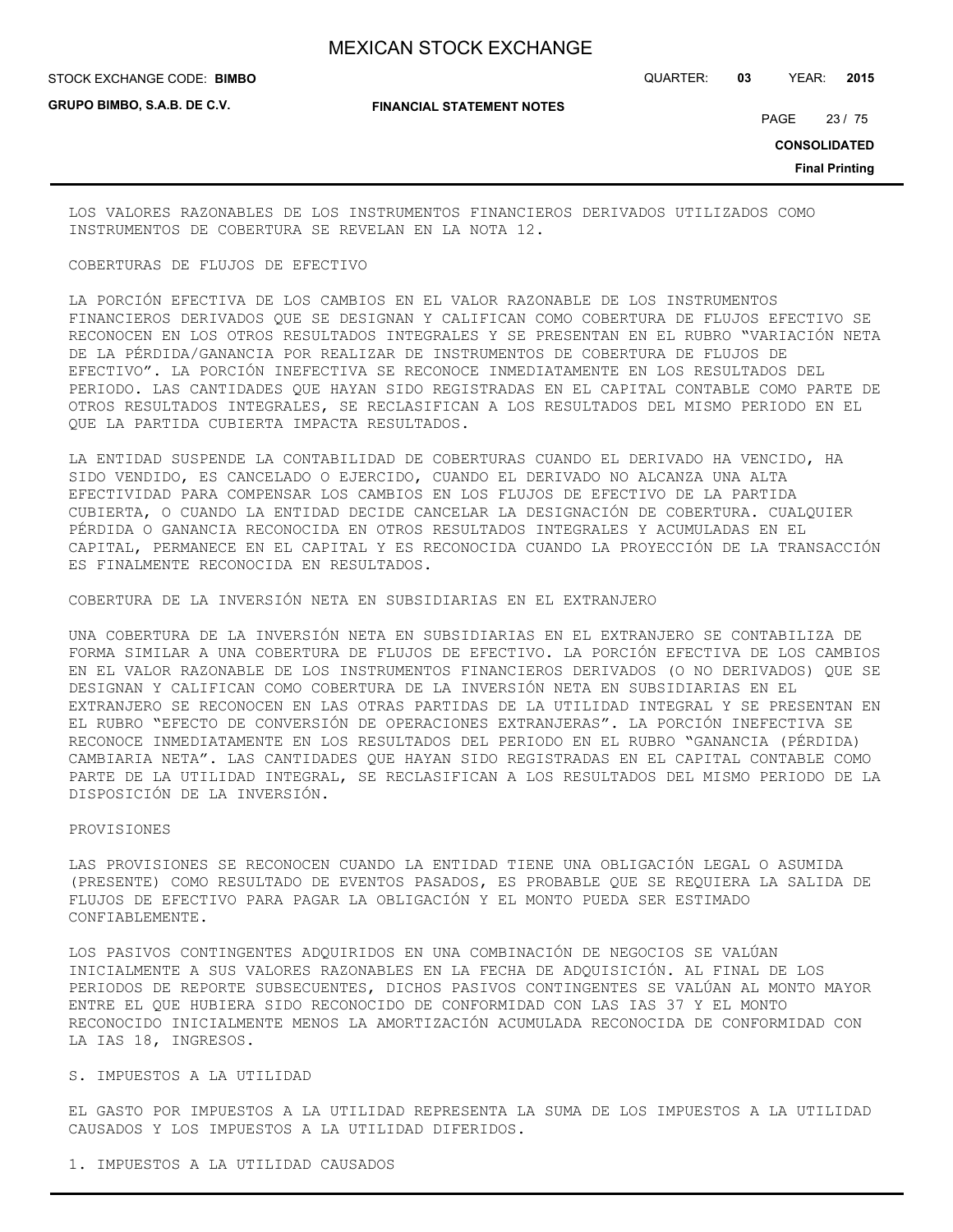STOCK EXCHANGE CODE: QUARTER: **03** YEAR: **2015 BIMBO**

**GRUPO BIMBO, S.A.B. DE C.V.**

**FINANCIAL STATEMENT NOTES**

PAGE 23 / 75

**CONSOLIDATED**

**Final Printing**

LOS VALORES RAZONABLES DE LOS INSTRUMENTOS FINANCIEROS DERIVADOS UTILIZADOS COMO INSTRUMENTOS DE COBERTURA SE REVELAN EN LA NOTA 12.

#### COBERTURAS DE FLUJOS DE EFECTIVO

LA PORCIÓN EFECTIVA DE LOS CAMBIOS EN EL VALOR RAZONABLE DE LOS INSTRUMENTOS FINANCIEROS DERIVADOS QUE SE DESIGNAN Y CALIFICAN COMO COBERTURA DE FLUJOS EFECTIVO SE RECONOCEN EN LOS OTROS RESULTADOS INTEGRALES Y SE PRESENTAN EN EL RUBRO "VARIACIÓN NETA DE LA PÉRDIDA/GANANCIA POR REALIZAR DE INSTRUMENTOS DE COBERTURA DE FLUJOS DE EFECTIVO". LA PORCIÓN INEFECTIVA SE RECONOCE INMEDIATAMENTE EN LOS RESULTADOS DEL PERIODO. LAS CANTIDADES QUE HAYAN SIDO REGISTRADAS EN EL CAPITAL CONTABLE COMO PARTE DE OTROS RESULTADOS INTEGRALES, SE RECLASIFICAN A LOS RESULTADOS DEL MISMO PERIODO EN EL QUE LA PARTIDA CUBIERTA IMPACTA RESULTADOS.

LA ENTIDAD SUSPENDE LA CONTABILIDAD DE COBERTURAS CUANDO EL DERIVADO HA VENCIDO, HA SIDO VENDIDO, ES CANCELADO O EJERCIDO, CUANDO EL DERIVADO NO ALCANZA UNA ALTA EFECTIVIDAD PARA COMPENSAR LOS CAMBIOS EN LOS FLUJOS DE EFECTIVO DE LA PARTIDA CUBIERTA, O CUANDO LA ENTIDAD DECIDE CANCELAR LA DESIGNACIÓN DE COBERTURA. CUALQUIER PÉRDIDA O GANANCIA RECONOCIDA EN OTROS RESULTADOS INTEGRALES Y ACUMULADAS EN EL CAPITAL, PERMANECE EN EL CAPITAL Y ES RECONOCIDA CUANDO LA PROYECCIÓN DE LA TRANSACCIÓN ES FINALMENTE RECONOCIDA EN RESULTADOS.

COBERTURA DE LA INVERSIÓN NETA EN SUBSIDIARIAS EN EL EXTRANJERO

UNA COBERTURA DE LA INVERSIÓN NETA EN SUBSIDIARIAS EN EL EXTRANJERO SE CONTABILIZA DE FORMA SIMILAR A UNA COBERTURA DE FLUJOS DE EFECTIVO. LA PORCIÓN EFECTIVA DE LOS CAMBIOS EN EL VALOR RAZONABLE DE LOS INSTRUMENTOS FINANCIEROS DERIVADOS (O NO DERIVADOS) QUE SE DESIGNAN Y CALIFICAN COMO COBERTURA DE LA INVERSIÓN NETA EN SUBSIDIARIAS EN EL EXTRANJERO SE RECONOCEN EN LAS OTRAS PARTIDAS DE LA UTILIDAD INTEGRAL Y SE PRESENTAN EN EL RUBRO "EFECTO DE CONVERSIÓN DE OPERACIONES EXTRANJERAS". LA PORCIÓN INEFECTIVA SE RECONOCE INMEDIATAMENTE EN LOS RESULTADOS DEL PERIODO EN EL RUBRO "GANANCIA (PÉRDIDA) CAMBIARIA NETA". LAS CANTIDADES QUE HAYAN SIDO REGISTRADAS EN EL CAPITAL CONTABLE COMO PARTE DE LA UTILIDAD INTEGRAL, SE RECLASIFICAN A LOS RESULTADOS DEL MISMO PERIODO DE LA DISPOSICIÓN DE LA INVERSIÓN.

#### PROVISIONES

LAS PROVISIONES SE RECONOCEN CUANDO LA ENTIDAD TIENE UNA OBLIGACIÓN LEGAL O ASUMIDA (PRESENTE) COMO RESULTADO DE EVENTOS PASADOS, ES PROBABLE QUE SE REQUIERA LA SALIDA DE FLUJOS DE EFECTIVO PARA PAGAR LA OBLIGACIÓN Y EL MONTO PUEDA SER ESTIMADO CONFIABLEMENTE.

LOS PASIVOS CONTINGENTES ADQUIRIDOS EN UNA COMBINACIÓN DE NEGOCIOS SE VALÚAN INICIALMENTE A SUS VALORES RAZONABLES EN LA FECHA DE ADQUISICIÓN. AL FINAL DE LOS PERIODOS DE REPORTE SUBSECUENTES, DICHOS PASIVOS CONTINGENTES SE VALÚAN AL MONTO MAYOR ENTRE EL QUE HUBIERA SIDO RECONOCIDO DE CONFORMIDAD CON LAS IAS 37 Y EL MONTO RECONOCIDO INICIALMENTE MENOS LA AMORTIZACIÓN ACUMULADA RECONOCIDA DE CONFORMIDAD CON LA IAS 18, INGRESOS.

### S. IMPUESTOS A LA UTILIDAD

EL GASTO POR IMPUESTOS A LA UTILIDAD REPRESENTA LA SUMA DE LOS IMPUESTOS A LA UTILIDAD CAUSADOS Y LOS IMPUESTOS A LA UTILIDAD DIFERIDOS.

1. IMPUESTOS A LA UTILIDAD CAUSADOS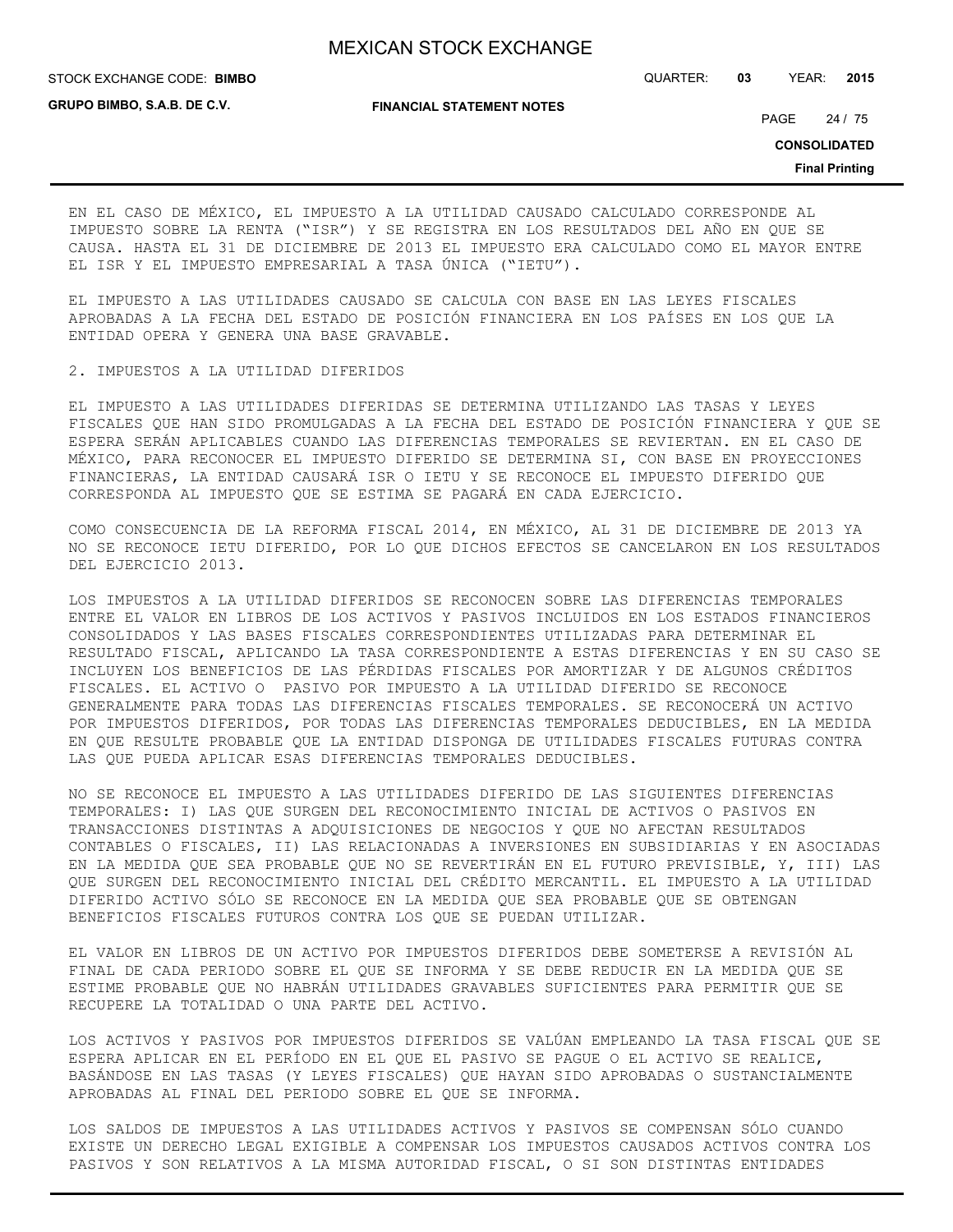STOCK EXCHANGE CODE: QUARTER: **03** YEAR: **2015 BIMBO**

**GRUPO BIMBO, S.A.B. DE C.V.**

**FINANCIAL STATEMENT NOTES**

PAGE 24 / 75

**CONSOLIDATED**

**Final Printing**

EN EL CASO DE MÉXICO, EL IMPUESTO A LA UTILIDAD CAUSADO CALCULADO CORRESPONDE AL IMPUESTO SOBRE LA RENTA ("ISR") Y SE REGISTRA EN LOS RESULTADOS DEL AÑO EN QUE SE CAUSA. HASTA EL 31 DE DICIEMBRE DE 2013 EL IMPUESTO ERA CALCULADO COMO EL MAYOR ENTRE EL ISR Y EL IMPUESTO EMPRESARIAL A TASA ÚNICA ("IETU").

EL IMPUESTO A LAS UTILIDADES CAUSADO SE CALCULA CON BASE EN LAS LEYES FISCALES APROBADAS A LA FECHA DEL ESTADO DE POSICIÓN FINANCIERA EN LOS PAÍSES EN LOS QUE LA ENTIDAD OPERA Y GENERA UNA BASE GRAVABLE.

2. IMPUESTOS A LA UTILIDAD DIFERIDOS

EL IMPUESTO A LAS UTILIDADES DIFERIDAS SE DETERMINA UTILIZANDO LAS TASAS Y LEYES FISCALES QUE HAN SIDO PROMULGADAS A LA FECHA DEL ESTADO DE POSICIÓN FINANCIERA Y QUE SE ESPERA SERÁN APLICABLES CUANDO LAS DIFERENCIAS TEMPORALES SE REVIERTAN. EN EL CASO DE MÉXICO, PARA RECONOCER EL IMPUESTO DIFERIDO SE DETERMINA SI, CON BASE EN PROYECCIONES FINANCIERAS, LA ENTIDAD CAUSARÁ ISR O IETU Y SE RECONOCE EL IMPUESTO DIFERIDO QUE CORRESPONDA AL IMPUESTO QUE SE ESTIMA SE PAGARÁ EN CADA EJERCICIO.

COMO CONSECUENCIA DE LA REFORMA FISCAL 2014, EN MÉXICO, AL 31 DE DICIEMBRE DE 2013 YA NO SE RECONOCE IETU DIFERIDO, POR LO QUE DICHOS EFECTOS SE CANCELARON EN LOS RESULTADOS DEL EJERCICIO 2013.

LOS IMPUESTOS A LA UTILIDAD DIFERIDOS SE RECONOCEN SOBRE LAS DIFERENCIAS TEMPORALES ENTRE EL VALOR EN LIBROS DE LOS ACTIVOS Y PASIVOS INCLUIDOS EN LOS ESTADOS FINANCIEROS CONSOLIDADOS Y LAS BASES FISCALES CORRESPONDIENTES UTILIZADAS PARA DETERMINAR EL RESULTADO FISCAL, APLICANDO LA TASA CORRESPONDIENTE A ESTAS DIFERENCIAS Y EN SU CASO SE INCLUYEN LOS BENEFICIOS DE LAS PÉRDIDAS FISCALES POR AMORTIZAR Y DE ALGUNOS CRÉDITOS FISCALES. EL ACTIVO O PASIVO POR IMPUESTO A LA UTILIDAD DIFERIDO SE RECONOCE GENERALMENTE PARA TODAS LAS DIFERENCIAS FISCALES TEMPORALES. SE RECONOCERÁ UN ACTIVO POR IMPUESTOS DIFERIDOS, POR TODAS LAS DIFERENCIAS TEMPORALES DEDUCIBLES, EN LA MEDIDA EN QUE RESULTE PROBABLE QUE LA ENTIDAD DISPONGA DE UTILIDADES FISCALES FUTURAS CONTRA LAS QUE PUEDA APLICAR ESAS DIFERENCIAS TEMPORALES DEDUCIBLES.

NO SE RECONOCE EL IMPUESTO A LAS UTILIDADES DIFERIDO DE LAS SIGUIENTES DIFERENCIAS TEMPORALES: I) LAS QUE SURGEN DEL RECONOCIMIENTO INICIAL DE ACTIVOS O PASIVOS EN TRANSACCIONES DISTINTAS A ADQUISICIONES DE NEGOCIOS Y QUE NO AFECTAN RESULTADOS CONTABLES O FISCALES, II) LAS RELACIONADAS A INVERSIONES EN SUBSIDIARIAS Y EN ASOCIADAS EN LA MEDIDA QUE SEA PROBABLE QUE NO SE REVERTIRÁN EN EL FUTURO PREVISIBLE, Y, III) LAS QUE SURGEN DEL RECONOCIMIENTO INICIAL DEL CRÉDITO MERCANTIL. EL IMPUESTO A LA UTILIDAD DIFERIDO ACTIVO SÓLO SE RECONOCE EN LA MEDIDA QUE SEA PROBABLE QUE SE OBTENGAN BENEFICIOS FISCALES FUTUROS CONTRA LOS QUE SE PUEDAN UTILIZAR.

EL VALOR EN LIBROS DE UN ACTIVO POR IMPUESTOS DIFERIDOS DEBE SOMETERSE A REVISIÓN AL FINAL DE CADA PERIODO SOBRE EL QUE SE INFORMA Y SE DEBE REDUCIR EN LA MEDIDA QUE SE ESTIME PROBABLE QUE NO HABRÁN UTILIDADES GRAVABLES SUFICIENTES PARA PERMITIR QUE SE RECUPERE LA TOTALIDAD O UNA PARTE DEL ACTIVO.

LOS ACTIVOS Y PASIVOS POR IMPUESTOS DIFERIDOS SE VALÚAN EMPLEANDO LA TASA FISCAL QUE SE ESPERA APLICAR EN EL PERÍODO EN EL QUE EL PASIVO SE PAGUE O EL ACTIVO SE REALICE, BASÁNDOSE EN LAS TASAS (Y LEYES FISCALES) QUE HAYAN SIDO APROBADAS O SUSTANCIALMENTE APROBADAS AL FINAL DEL PERIODO SOBRE EL QUE SE INFORMA.

LOS SALDOS DE IMPUESTOS A LAS UTILIDADES ACTIVOS Y PASIVOS SE COMPENSAN SÓLO CUANDO EXISTE UN DERECHO LEGAL EXIGIBLE A COMPENSAR LOS IMPUESTOS CAUSADOS ACTIVOS CONTRA LOS PASIVOS Y SON RELATIVOS A LA MISMA AUTORIDAD FISCAL, O SI SON DISTINTAS ENTIDADES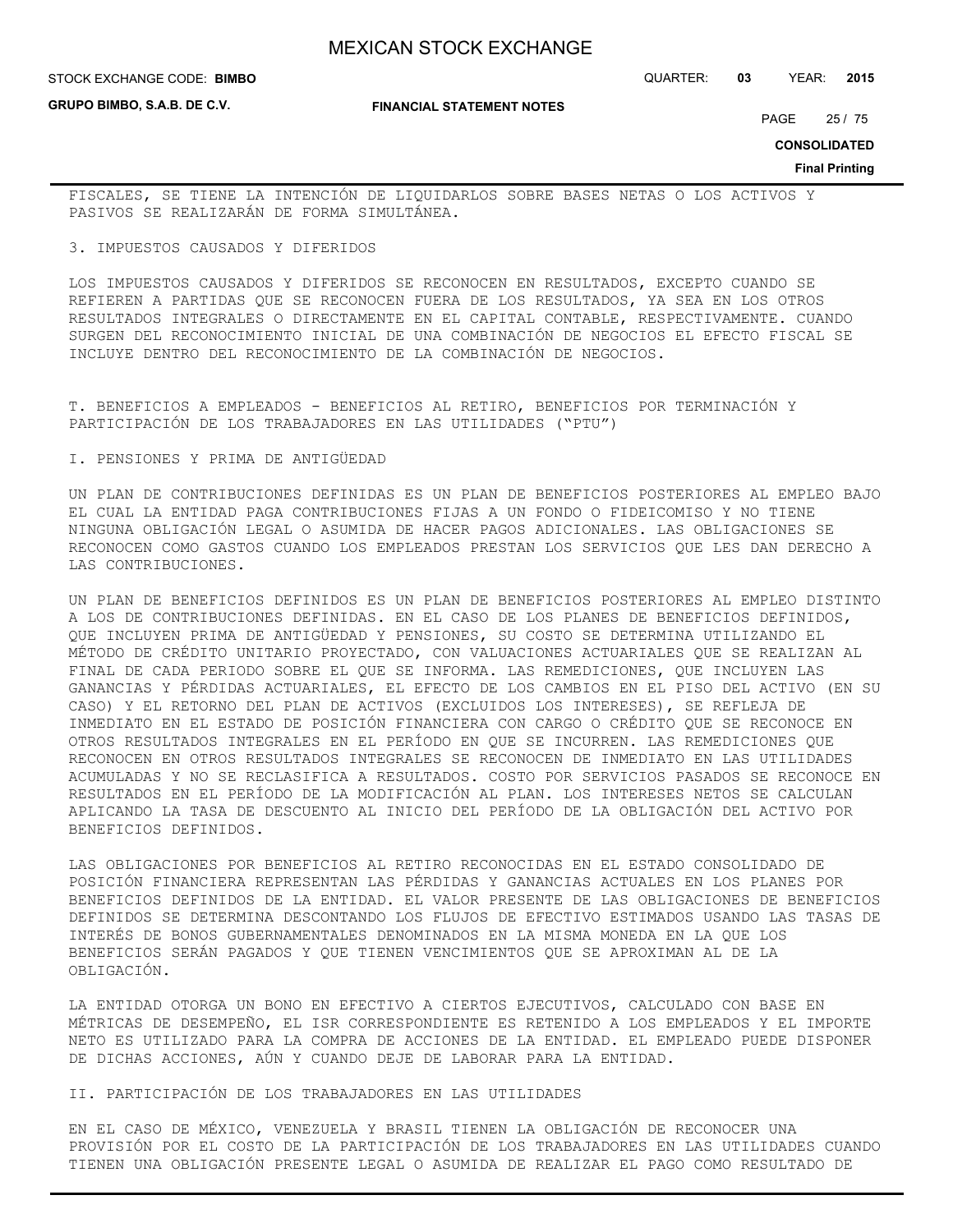**GRUPO BIMBO, S.A.B. DE C.V.**

**FINANCIAL STATEMENT NOTES**

STOCK EXCHANGE CODE: QUARTER: **03** YEAR: **2015 BIMBO**

PAGE 25 / 75

**CONSOLIDATED**

**Final Printing**

FISCALES, SE TIENE LA INTENCIÓN DE LIQUIDARLOS SOBRE BASES NETAS O LOS ACTIVOS Y PASIVOS SE REALIZARÁN DE FORMA SIMULTÁNEA.

3. IMPUESTOS CAUSADOS Y DIFERIDOS

LOS IMPUESTOS CAUSADOS Y DIFERIDOS SE RECONOCEN EN RESULTADOS, EXCEPTO CUANDO SE REFIEREN A PARTIDAS QUE SE RECONOCEN FUERA DE LOS RESULTADOS, YA SEA EN LOS OTROS RESULTADOS INTEGRALES O DIRECTAMENTE EN EL CAPITAL CONTABLE, RESPECTIVAMENTE. CUANDO SURGEN DEL RECONOCIMIENTO INICIAL DE UNA COMBINACIÓN DE NEGOCIOS EL EFECTO FISCAL SE INCLUYE DENTRO DEL RECONOCIMIENTO DE LA COMBINACIÓN DE NEGOCIOS.

T. BENEFICIOS A EMPLEADOS - BENEFICIOS AL RETIRO, BENEFICIOS POR TERMINACIÓN Y PARTICIPACIÓN DE LOS TRABAJADORES EN LAS UTILIDADES ("PTU")

I. PENSIONES Y PRIMA DE ANTIGÜEDAD

UN PLAN DE CONTRIBUCIONES DEFINIDAS ES UN PLAN DE BENEFICIOS POSTERIORES AL EMPLEO BAJO EL CUAL LA ENTIDAD PAGA CONTRIBUCIONES FIJAS A UN FONDO O FIDEICOMISO Y NO TIENE NINGUNA OBLIGACIÓN LEGAL O ASUMIDA DE HACER PAGOS ADICIONALES. LAS OBLIGACIONES SE RECONOCEN COMO GASTOS CUANDO LOS EMPLEADOS PRESTAN LOS SERVICIOS QUE LES DAN DERECHO A LAS CONTRIBUCIONES.

UN PLAN DE BENEFICIOS DEFINIDOS ES UN PLAN DE BENEFICIOS POSTERIORES AL EMPLEO DISTINTO A LOS DE CONTRIBUCIONES DEFINIDAS. EN EL CASO DE LOS PLANES DE BENEFICIOS DEFINIDOS, QUE INCLUYEN PRIMA DE ANTIGÜEDAD Y PENSIONES, SU COSTO SE DETERMINA UTILIZANDO EL MÉTODO DE CRÉDITO UNITARIO PROYECTADO, CON VALUACIONES ACTUARIALES QUE SE REALIZAN AL FINAL DE CADA PERIODO SOBRE EL QUE SE INFORMA. LAS REMEDICIONES, QUE INCLUYEN LAS GANANCIAS Y PÉRDIDAS ACTUARIALES, EL EFECTO DE LOS CAMBIOS EN EL PISO DEL ACTIVO (EN SU CASO) Y EL RETORNO DEL PLAN DE ACTIVOS (EXCLUIDOS LOS INTERESES), SE REFLEJA DE INMEDIATO EN EL ESTADO DE POSICIÓN FINANCIERA CON CARGO O CRÉDITO QUE SE RECONOCE EN OTROS RESULTADOS INTEGRALES EN EL PERÍODO EN QUE SE INCURREN. LAS REMEDICIONES QUE RECONOCEN EN OTROS RESULTADOS INTEGRALES SE RECONOCEN DE INMEDIATO EN LAS UTILIDADES ACUMULADAS Y NO SE RECLASIFICA A RESULTADOS. COSTO POR SERVICIOS PASADOS SE RECONOCE EN RESULTADOS EN EL PERÍODO DE LA MODIFICACIÓN AL PLAN. LOS INTERESES NETOS SE CALCULAN APLICANDO LA TASA DE DESCUENTO AL INICIO DEL PERÍODO DE LA OBLIGACIÓN DEL ACTIVO POR BENEFICIOS DEFINIDOS.

LAS OBLIGACIONES POR BENEFICIOS AL RETIRO RECONOCIDAS EN EL ESTADO CONSOLIDADO DE POSICIÓN FINANCIERA REPRESENTAN LAS PÉRDIDAS Y GANANCIAS ACTUALES EN LOS PLANES POR BENEFICIOS DEFINIDOS DE LA ENTIDAD. EL VALOR PRESENTE DE LAS OBLIGACIONES DE BENEFICIOS DEFINIDOS SE DETERMINA DESCONTANDO LOS FLUJOS DE EFECTIVO ESTIMADOS USANDO LAS TASAS DE INTERÉS DE BONOS GUBERNAMENTALES DENOMINADOS EN LA MISMA MONEDA EN LA QUE LOS BENEFICIOS SERÁN PAGADOS Y QUE TIENEN VENCIMIENTOS QUE SE APROXIMAN AL DE LA OBLIGACIÓN.

LA ENTIDAD OTORGA UN BONO EN EFECTIVO A CIERTOS EJECUTIVOS, CALCULADO CON BASE EN MÉTRICAS DE DESEMPEÑO, EL ISR CORRESPONDIENTE ES RETENIDO A LOS EMPLEADOS Y EL IMPORTE NETO ES UTILIZADO PARA LA COMPRA DE ACCIONES DE LA ENTIDAD. EL EMPLEADO PUEDE DISPONER DE DICHAS ACCIONES, AÚN Y CUANDO DEJE DE LABORAR PARA LA ENTIDAD.

II. PARTICIPACIÓN DE LOS TRABAJADORES EN LAS UTILIDADES

EN EL CASO DE MÉXICO, VENEZUELA Y BRASIL TIENEN LA OBLIGACIÓN DE RECONOCER UNA PROVISIÓN POR EL COSTO DE LA PARTICIPACIÓN DE LOS TRABAJADORES EN LAS UTILIDADES CUANDO TIENEN UNA OBLIGACIÓN PRESENTE LEGAL O ASUMIDA DE REALIZAR EL PAGO COMO RESULTADO DE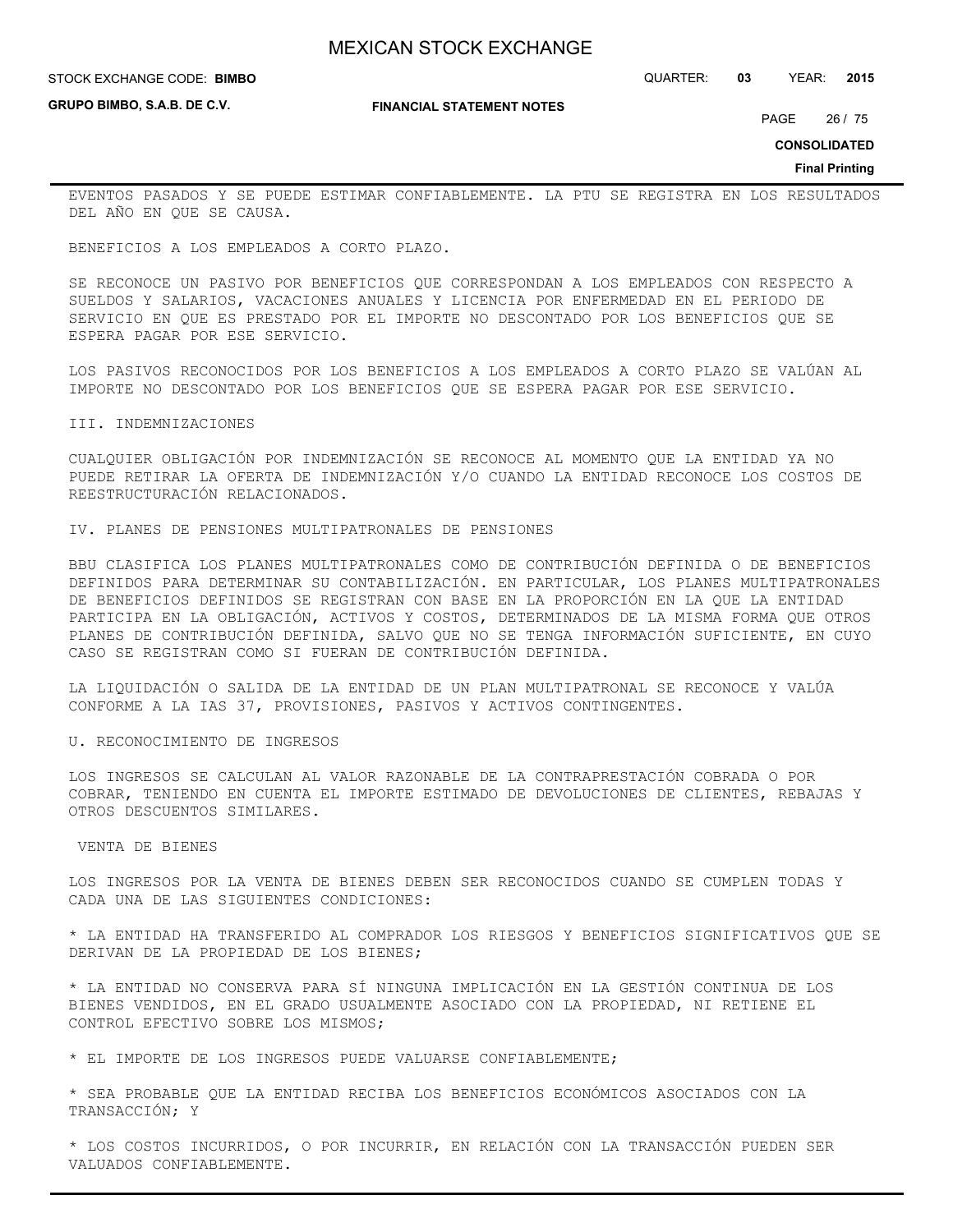STOCK EXCHANGE CODE: QUARTER: **03** YEAR: **2015 BIMBO**

**GRUPO BIMBO, S.A.B. DE C.V.**

#### **FINANCIAL STATEMENT NOTES**

PAGE 26 / 75

**CONSOLIDATED**

#### **Final Printing**

EVENTOS PASADOS Y SE PUEDE ESTIMAR CONFIABLEMENTE. LA PTU SE REGISTRA EN LOS RESULTADOS DEL AÑO EN QUE SE CAUSA.

BENEFICIOS A LOS EMPLEADOS A CORTO PLAZO.

SE RECONOCE UN PASIVO POR BENEFICIOS QUE CORRESPONDAN A LOS EMPLEADOS CON RESPECTO A SUELDOS Y SALARIOS, VACACIONES ANUALES Y LICENCIA POR ENFERMEDAD EN EL PERIODO DE SERVICIO EN QUE ES PRESTADO POR EL IMPORTE NO DESCONTADO POR LOS BENEFICIOS QUE SE ESPERA PAGAR POR ESE SERVICIO.

LOS PASIVOS RECONOCIDOS POR LOS BENEFICIOS A LOS EMPLEADOS A CORTO PLAZO SE VALÚAN AL IMPORTE NO DESCONTADO POR LOS BENEFICIOS QUE SE ESPERA PAGAR POR ESE SERVICIO.

#### III. INDEMNIZACIONES

CUALQUIER OBLIGACIÓN POR INDEMNIZACIÓN SE RECONOCE AL MOMENTO QUE LA ENTIDAD YA NO PUEDE RETIRAR LA OFERTA DE INDEMNIZACIÓN Y/O CUANDO LA ENTIDAD RECONOCE LOS COSTOS DE REESTRUCTURACIÓN RELACIONADOS.

IV. PLANES DE PENSIONES MULTIPATRONALES DE PENSIONES

BBU CLASIFICA LOS PLANES MULTIPATRONALES COMO DE CONTRIBUCIÓN DEFINIDA O DE BENEFICIOS DEFINIDOS PARA DETERMINAR SU CONTABILIZACIÓN. EN PARTICULAR, LOS PLANES MULTIPATRONALES DE BENEFICIOS DEFINIDOS SE REGISTRAN CON BASE EN LA PROPORCIÓN EN LA QUE LA ENTIDAD PARTICIPA EN LA OBLIGACIÓN, ACTIVOS Y COSTOS, DETERMINADOS DE LA MISMA FORMA QUE OTROS PLANES DE CONTRIBUCIÓN DEFINIDA, SALVO QUE NO SE TENGA INFORMACIÓN SUFICIENTE, EN CUYO CASO SE REGISTRAN COMO SI FUERAN DE CONTRIBUCIÓN DEFINIDA.

LA LIQUIDACIÓN O SALIDA DE LA ENTIDAD DE UN PLAN MULTIPATRONAL SE RECONOCE Y VALÚA CONFORME A LA IAS 37, PROVISIONES, PASIVOS Y ACTIVOS CONTINGENTES.

U. RECONOCIMIENTO DE INGRESOS

LOS INGRESOS SE CALCULAN AL VALOR RAZONABLE DE LA CONTRAPRESTACIÓN COBRADA O POR COBRAR, TENIENDO EN CUENTA EL IMPORTE ESTIMADO DE DEVOLUCIONES DE CLIENTES, REBAJAS Y OTROS DESCUENTOS SIMILARES.

#### VENTA DE BIENES

LOS INGRESOS POR LA VENTA DE BIENES DEBEN SER RECONOCIDOS CUANDO SE CUMPLEN TODAS Y CADA UNA DE LAS SIGUIENTES CONDICIONES:

\* LA ENTIDAD HA TRANSFERIDO AL COMPRADOR LOS RIESGOS Y BENEFICIOS SIGNIFICATIVOS QUE SE DERIVAN DE LA PROPIEDAD DE LOS BIENES;

\* LA ENTIDAD NO CONSERVA PARA SÍ NINGUNA IMPLICACIÓN EN LA GESTIÓN CONTINUA DE LOS BIENES VENDIDOS, EN EL GRADO USUALMENTE ASOCIADO CON LA PROPIEDAD, NI RETIENE EL CONTROL EFECTIVO SOBRE LOS MISMOS;

\* EL IMPORTE DE LOS INGRESOS PUEDE VALUARSE CONFIABLEMENTE;

\* SEA PROBABLE QUE LA ENTIDAD RECIBA LOS BENEFICIOS ECONÓMICOS ASOCIADOS CON LA TRANSACCIÓN; Y

\* LOS COSTOS INCURRIDOS, O POR INCURRIR, EN RELACIÓN CON LA TRANSACCIÓN PUEDEN SER VALUADOS CONFIABLEMENTE.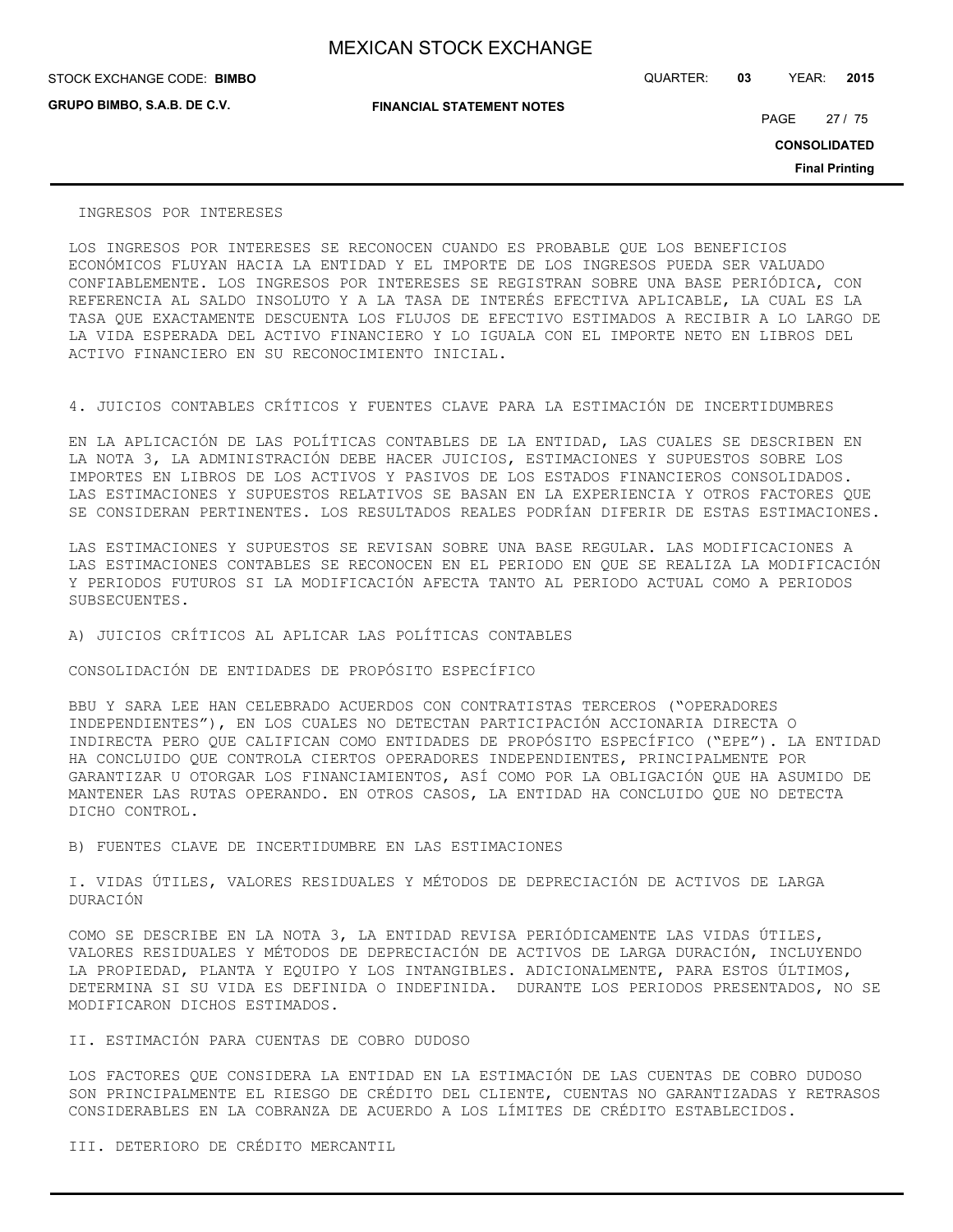**GRUPO BIMBO, S.A.B. DE C.V.**

STOCK EXCHANGE CODE: QUARTER: **03** YEAR: **2015 BIMBO**

**FINANCIAL STATEMENT NOTES**

PAGE 27 / 75

**CONSOLIDATED**

**Final Printing**

#### INGRESOS POR INTERESES

LOS INGRESOS POR INTERESES SE RECONOCEN CUANDO ES PROBABLE QUE LOS BENEFICIOS ECONÓMICOS FLUYAN HACIA LA ENTIDAD Y EL IMPORTE DE LOS INGRESOS PUEDA SER VALUADO CONFIABLEMENTE. LOS INGRESOS POR INTERESES SE REGISTRAN SOBRE UNA BASE PERIÓDICA, CON REFERENCIA AL SALDO INSOLUTO Y A LA TASA DE INTERÉS EFECTIVA APLICABLE, LA CUAL ES LA TASA QUE EXACTAMENTE DESCUENTA LOS FLUJOS DE EFECTIVO ESTIMADOS A RECIBIR A LO LARGO DE LA VIDA ESPERADA DEL ACTIVO FINANCIERO Y LO IGUALA CON EL IMPORTE NETO EN LIBROS DEL ACTIVO FINANCIERO EN SU RECONOCIMIENTO INICIAL.

4. JUICIOS CONTABLES CRÍTICOS Y FUENTES CLAVE PARA LA ESTIMACIÓN DE INCERTIDUMBRES

EN LA APLICACIÓN DE LAS POLÍTICAS CONTABLES DE LA ENTIDAD, LAS CUALES SE DESCRIBEN EN LA NOTA 3, LA ADMINISTRACIÓN DEBE HACER JUICIOS, ESTIMACIONES Y SUPUESTOS SOBRE LOS IMPORTES EN LIBROS DE LOS ACTIVOS Y PASIVOS DE LOS ESTADOS FINANCIEROS CONSOLIDADOS. LAS ESTIMACIONES Y SUPUESTOS RELATIVOS SE BASAN EN LA EXPERIENCIA Y OTROS FACTORES QUE SE CONSIDERAN PERTINENTES. LOS RESULTADOS REALES PODRÍAN DIFERIR DE ESTAS ESTIMACIONES.

LAS ESTIMACIONES Y SUPUESTOS SE REVISAN SOBRE UNA BASE REGULAR. LAS MODIFICACIONES A LAS ESTIMACIONES CONTABLES SE RECONOCEN EN EL PERIODO EN QUE SE REALIZA LA MODIFICACIÓN Y PERIODOS FUTUROS SI LA MODIFICACIÓN AFECTA TANTO AL PERIODO ACTUAL COMO A PERIODOS SUBSECUENTES.

A) JUICIOS CRÍTICOS AL APLICAR LAS POLÍTICAS CONTABLES

CONSOLIDACIÓN DE ENTIDADES DE PROPÓSITO ESPECÍFICO

BBU Y SARA LEE HAN CELEBRADO ACUERDOS CON CONTRATISTAS TERCEROS ("OPERADORES INDEPENDIENTES"), EN LOS CUALES NO DETECTAN PARTICIPACIÓN ACCIONARIA DIRECTA O INDIRECTA PERO QUE CALIFICAN COMO ENTIDADES DE PROPÓSITO ESPECÍFICO ("EPE"). LA ENTIDAD HA CONCLUIDO QUE CONTROLA CIERTOS OPERADORES INDEPENDIENTES, PRINCIPALMENTE POR GARANTIZAR U OTORGAR LOS FINANCIAMIENTOS, ASÍ COMO POR LA OBLIGACIÓN QUE HA ASUMIDO DE MANTENER LAS RUTAS OPERANDO. EN OTROS CASOS, LA ENTIDAD HA CONCLUIDO QUE NO DETECTA DICHO CONTROL.

B) FUENTES CLAVE DE INCERTIDUMBRE EN LAS ESTIMACIONES

I. VIDAS ÚTILES, VALORES RESIDUALES Y MÉTODOS DE DEPRECIACIÓN DE ACTIVOS DE LARGA DURACIÓN

COMO SE DESCRIBE EN LA NOTA 3, LA ENTIDAD REVISA PERIÓDICAMENTE LAS VIDAS ÚTILES, VALORES RESIDUALES Y MÉTODOS DE DEPRECIACIÓN DE ACTIVOS DE LARGA DURACIÓN, INCLUYENDO LA PROPIEDAD, PLANTA Y EQUIPO Y LOS INTANGIBLES. ADICIONALMENTE, PARA ESTOS ÚLTIMOS, DETERMINA SI SU VIDA ES DEFINIDA O INDEFINIDA. DURANTE LOS PERIODOS PRESENTADOS, NO SE MODIFICARON DICHOS ESTIMADOS.

II. ESTIMACIÓN PARA CUENTAS DE COBRO DUDOSO

LOS FACTORES QUE CONSIDERA LA ENTIDAD EN LA ESTIMACIÓN DE LAS CUENTAS DE COBRO DUDOSO SON PRINCIPALMENTE EL RIESGO DE CRÉDITO DEL CLIENTE, CUENTAS NO GARANTIZADAS Y RETRASOS CONSIDERABLES EN LA COBRANZA DE ACUERDO A LOS LÍMITES DE CRÉDITO ESTABLECIDOS.

III. DETERIORO DE CRÉDITO MERCANTIL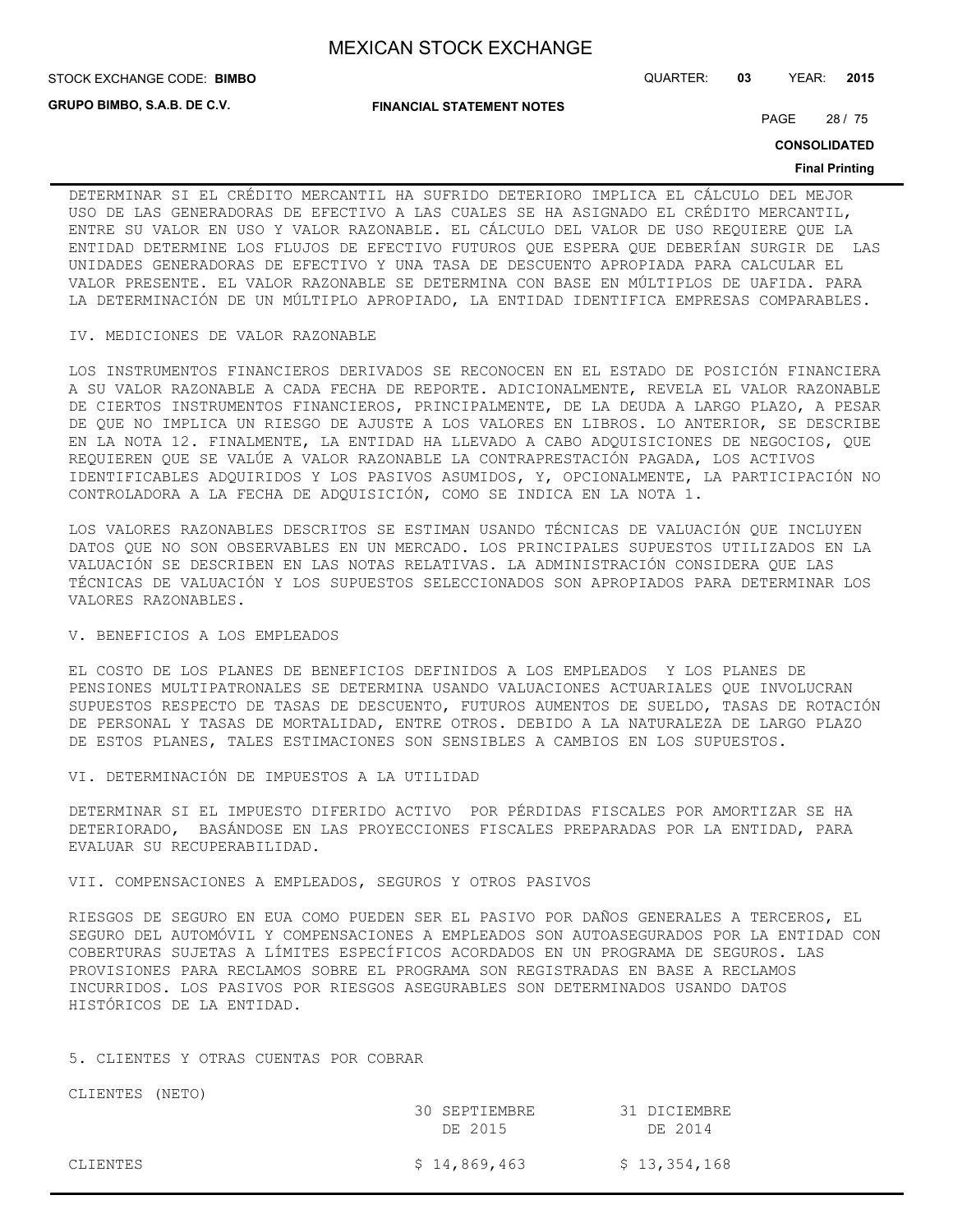**STOCK EXCHANGE CODE: BIMBO** 

**GRUPO BIMBO, S.A.B. DE C.V.**

STOCK EXCHANGE CODE: QUARTER: **03** YEAR: **2015**

**FINANCIAL STATEMENT NOTES**

PAGE 28 / 75

**CONSOLIDATED**

#### **Final Printing**

DETERMINAR SI EL CRÉDITO MERCANTIL HA SUFRIDO DETERIORO IMPLICA EL CÁLCULO DEL MEJOR USO DE LAS GENERADORAS DE EFECTIVO A LAS CUALES SE HA ASIGNADO EL CRÉDITO MERCANTIL, ENTRE SU VALOR EN USO Y VALOR RAZONABLE. EL CÁLCULO DEL VALOR DE USO REQUIERE QUE LA ENTIDAD DETERMINE LOS FLUJOS DE EFECTIVO FUTUROS QUE ESPERA QUE DEBERÍAN SURGIR DE LAS UNIDADES GENERADORAS DE EFECTIVO Y UNA TASA DE DESCUENTO APROPIADA PARA CALCULAR EL VALOR PRESENTE. EL VALOR RAZONABLE SE DETERMINA CON BASE EN MÚLTIPLOS DE UAFIDA. PARA LA DETERMINACIÓN DE UN MÚLTIPLO APROPIADO, LA ENTIDAD IDENTIFICA EMPRESAS COMPARABLES.

#### IV. MEDICIONES DE VALOR RAZONABLE

LOS INSTRUMENTOS FINANCIEROS DERIVADOS SE RECONOCEN EN EL ESTADO DE POSICIÓN FINANCIERA A SU VALOR RAZONABLE A CADA FECHA DE REPORTE. ADICIONALMENTE, REVELA EL VALOR RAZONABLE DE CIERTOS INSTRUMENTOS FINANCIEROS, PRINCIPALMENTE, DE LA DEUDA A LARGO PLAZO, A PESAR DE QUE NO IMPLICA UN RIESGO DE AJUSTE A LOS VALORES EN LIBROS. LO ANTERIOR, SE DESCRIBE EN LA NOTA 12. FINALMENTE, LA ENTIDAD HA LLEVADO A CABO ADQUISICIONES DE NEGOCIOS, QUE REQUIEREN QUE SE VALÚE A VALOR RAZONABLE LA CONTRAPRESTACIÓN PAGADA, LOS ACTIVOS IDENTIFICABLES ADQUIRIDOS Y LOS PASIVOS ASUMIDOS, Y, OPCIONALMENTE, LA PARTICIPACIÓN NO CONTROLADORA A LA FECHA DE ADQUISICIÓN, COMO SE INDICA EN LA NOTA 1.

LOS VALORES RAZONABLES DESCRITOS SE ESTIMAN USANDO TÉCNICAS DE VALUACIÓN QUE INCLUYEN DATOS QUE NO SON OBSERVABLES EN UN MERCADO. LOS PRINCIPALES SUPUESTOS UTILIZADOS EN LA VALUACIÓN SE DESCRIBEN EN LAS NOTAS RELATIVAS. LA ADMINISTRACIÓN CONSIDERA QUE LAS TÉCNICAS DE VALUACIÓN Y LOS SUPUESTOS SELECCIONADOS SON APROPIADOS PARA DETERMINAR LOS VALORES RAZONABLES.

#### V. BENEFICIOS A LOS EMPLEADOS

EL COSTO DE LOS PLANES DE BENEFICIOS DEFINIDOS A LOS EMPLEADOS Y LOS PLANES DE PENSIONES MULTIPATRONALES SE DETERMINA USANDO VALUACIONES ACTUARIALES QUE INVOLUCRAN SUPUESTOS RESPECTO DE TASAS DE DESCUENTO, FUTUROS AUMENTOS DE SUELDO, TASAS DE ROTACIÓN DE PERSONAL Y TASAS DE MORTALIDAD, ENTRE OTROS. DEBIDO A LA NATURALEZA DE LARGO PLAZO DE ESTOS PLANES, TALES ESTIMACIONES SON SENSIBLES A CAMBIOS EN LOS SUPUESTOS.

VI. DETERMINACIÓN DE IMPUESTOS A LA UTILIDAD

DETERMINAR SI EL IMPUESTO DIFERIDO ACTIVO POR PÉRDIDAS FISCALES POR AMORTIZAR SE HA DETERIORADO, BASÁNDOSE EN LAS PROYECCIONES FISCALES PREPARADAS POR LA ENTIDAD, PARA EVALUAR SU RECUPERABILIDAD.

#### VII. COMPENSACIONES A EMPLEADOS, SEGUROS Y OTROS PASIVOS

RIESGOS DE SEGURO EN EUA COMO PUEDEN SER EL PASIVO POR DAÑOS GENERALES A TERCEROS, EL SEGURO DEL AUTOMÓVIL Y COMPENSACIONES A EMPLEADOS SON AUTOASEGURADOS POR LA ENTIDAD CON COBERTURAS SUJETAS A LÍMITES ESPECÍFICOS ACORDADOS EN UN PROGRAMA DE SEGUROS. LAS PROVISIONES PARA RECLAMOS SOBRE EL PROGRAMA SON REGISTRADAS EN BASE A RECLAMOS INCURRIDOS. LOS PASIVOS POR RIESGOS ASEGURABLES SON DETERMINADOS USANDO DATOS HISTÓRICOS DE LA ENTIDAD.

#### 5. CLIENTES Y OTRAS CUENTAS POR COBRAR

CLIENTES (NETO)

|          | 30 SEPTIEMBRE<br>DE 2015 | 31 DICIEMBRE<br>DE 2014 |
|----------|--------------------------|-------------------------|
| CLIENTES | \$14,869,463             | \$13,354,168            |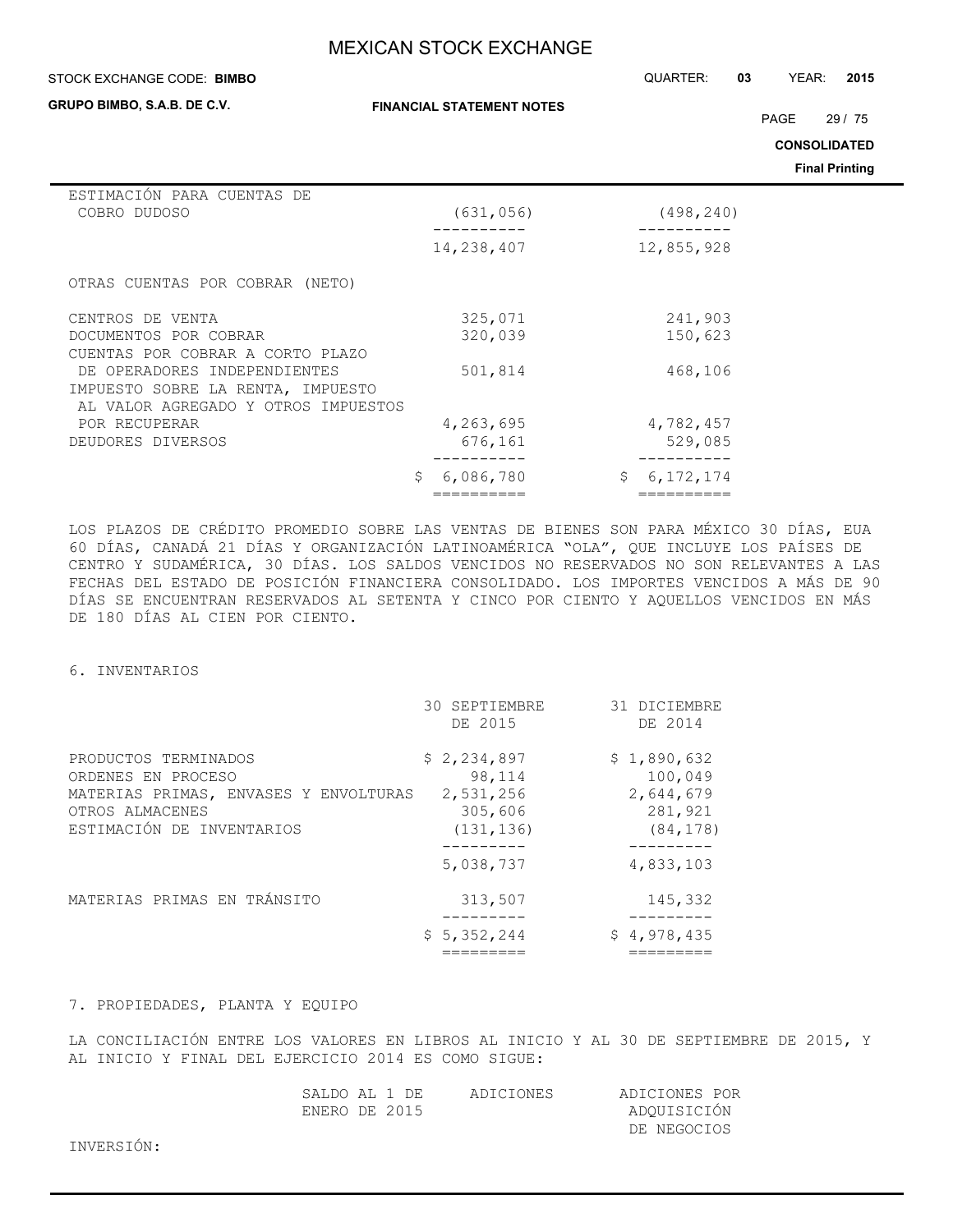**FINANCIAL STATEMENT NOTES**

#### STOCK EXCHANGE CODE: QUARTER: **03** YEAR: **2015 BIMBO**

**GRUPO BIMBO, S.A.B. DE C.V.**

PAGE 29 / 75

**CONSOLIDATED**

**Final Printing**

| ESTIMACIÓN PARA CUENTAS DE<br>COBRO DUDOSO | (631, 056)     | (498, 240)        |  |
|--------------------------------------------|----------------|-------------------|--|
|                                            | 14,238,407     | 12,855,928        |  |
| OTRAS CUENTAS POR COBRAR (NETO)            |                |                   |  |
| CENTROS DE VENTA                           | 325,071        | 241,903           |  |
| DOCUMENTOS POR COBRAR                      | 320,039        | 150,623           |  |
| CUENTAS POR COBRAR A CORTO PLAZO           |                |                   |  |
| DE OPERADORES INDEPENDIENTES               | 501,814        | 468,106           |  |
| IMPUESTO SOBRE LA RENTA, IMPUESTO          |                |                   |  |
| AL VALOR AGREGADO Y OTROS IMPUESTOS        |                |                   |  |
| POR RECUPERAR                              | 4,263,695      | 4,782,457         |  |
| DEUDORES DIVERSOS                          | 676,161        | 529,085           |  |
|                                            | S<br>6,086,780 | \$<br>6, 172, 174 |  |
|                                            |                |                   |  |

LOS PLAZOS DE CRÉDITO PROMEDIO SOBRE LAS VENTAS DE BIENES SON PARA MÉXICO 30 DÍAS, EUA 60 DÍAS, CANADÁ 21 DÍAS Y ORGANIZACIÓN LATINOAMÉRICA "OLA", QUE INCLUYE LOS PAÍSES DE CENTRO Y SUDAMÉRICA, 30 DÍAS. LOS SALDOS VENCIDOS NO RESERVADOS NO SON RELEVANTES A LAS FECHAS DEL ESTADO DE POSICIÓN FINANCIERA CONSOLIDADO. LOS IMPORTES VENCIDOS A MÁS DE 90 DÍAS SE ENCUENTRAN RESERVADOS AL SETENTA Y CINCO POR CIENTO Y AQUELLOS VENCIDOS EN MÁS DE 180 DÍAS AL CIEN POR CIENTO.

### 6. INVENTARIOS

|                                                                                                                                     | 30 SEPTIEMBRE<br>DE 2015                                    | 31 DICIEMBRE<br>DE 2014                                     |
|-------------------------------------------------------------------------------------------------------------------------------------|-------------------------------------------------------------|-------------------------------------------------------------|
| PRODUCTOS TERMINADOS<br>ORDENES EN PROCESO<br>MATERIAS PRIMAS, ENVASES Y ENVOLTURAS<br>OTROS ALMACENES<br>ESTIMACIÓN DE INVENTARIOS | \$2,234,897<br>98,114<br>2,531,256<br>305,606<br>(131, 136) | \$1,890,632<br>100,049<br>2,644,679<br>281,921<br>(84, 178) |
|                                                                                                                                     | 5,038,737                                                   | --------<br>4,833,103                                       |
| MATERIAS PRIMAS EN TRÁNSITO                                                                                                         | 313,507                                                     | 145,332                                                     |
|                                                                                                                                     | \$5,352,244                                                 | \$4,978,435                                                 |

### 7. PROPIEDADES, PLANTA Y EQUIPO

LA CONCILIACIÓN ENTRE LOS VALORES EN LIBROS AL INICIO Y AL 30 DE SEPTIEMBRE DE 2015, Y AL INICIO Y FINAL DEL EJERCICIO 2014 ES COMO SIGUE:

| SALDO AL 1 DE |  | ADICIONES | ADICIONES POR |  |
|---------------|--|-----------|---------------|--|
| ENERO DE 2015 |  |           | ADQUISICIÓN   |  |
|               |  |           | DE NEGOCIOS   |  |

INVERSIÓN: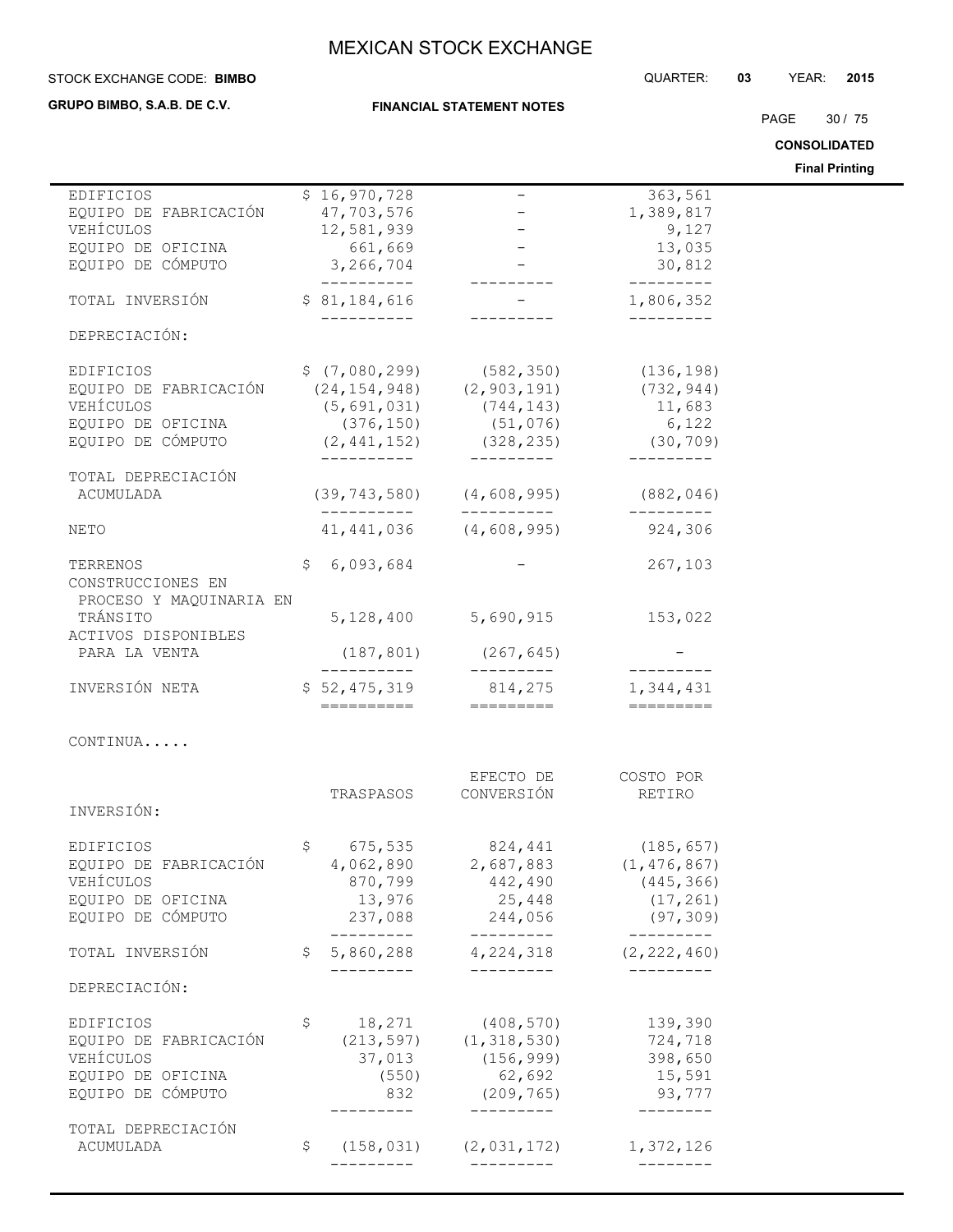#### STOCK EXCHANGE CODE: QUARTER: **03** YEAR: **2015 BIMBO**

**GRUPO BIMBO, S.A.B. DE C.V.**

**FINANCIAL STATEMENT NOTES**

PAGE 30 / 75

**CONSOLIDATED**

**Final Printing**

|                                                       |                           |                                                     |                                  | <b>Final Printing</b> |
|-------------------------------------------------------|---------------------------|-----------------------------------------------------|----------------------------------|-----------------------|
| EDIFICIOS                                             | \$16,970,728              |                                                     | 363,561                          |                       |
| EQUIPO DE FABRICACIÓN                                 | 47,703,576                |                                                     | 1,389,817                        |                       |
| VEHÍCULOS                                             | 12,581,939                |                                                     | 9,127                            |                       |
| EQUIPO DE OFICINA                                     | 661,669                   |                                                     | 13,035                           |                       |
| EQUIPO DE CÓMPUTO                                     | 3,266,704                 |                                                     | 30,812                           |                       |
|                                                       | ----------                |                                                     | ----------                       |                       |
| TOTAL INVERSIÓN                                       | \$81,184,616              |                                                     | 1,806,352                        |                       |
|                                                       |                           |                                                     |                                  |                       |
| DEPRECIACIÓN:                                         |                           |                                                     |                                  |                       |
|                                                       |                           |                                                     |                                  |                       |
| EDIFICIOS                                             |                           | $$ (7,080,299)$ $(582,350)$ $(136,198)$             |                                  |                       |
| EQUIPO DE FABRICACIÓN                                 |                           | $(24, 154, 948)$ $(2, 903, 191)$                    | (732, 944)                       |                       |
| VEHÍCULOS                                             |                           | $(5, 691, 031)$ $(744, 143)$                        | 11,683                           |                       |
| EQUIPO DE OFICINA                                     |                           | $(376, 150)$ $(51, 076)$                            | 6,122                            |                       |
| EQUIPO DE CÓMPUTO                                     |                           | $(2, 441, 152)$ $(328, 235)$ $(30, 709)$            |                                  |                       |
|                                                       | __________                | —————————                                           | ----------                       |                       |
| TOTAL DEPRECIACIÓN                                    |                           |                                                     |                                  |                       |
| ACUMULADA                                             |                           | $(39, 743, 580)$ $(4, 608, 995)$                    | (882, 046)                       |                       |
|                                                       |                           | __________                                          | ----------                       |                       |
| NETO                                                  |                           | $41, 441, 036$ $(4, 608, 995)$                      | 924,306                          |                       |
|                                                       |                           |                                                     |                                  |                       |
| TERRENOS                                              | \$6,093,684               |                                                     | 267,103                          |                       |
| CONSTRUCCIONES EN                                     |                           |                                                     |                                  |                       |
| PROCESO Y MAQUINARIA EN                               |                           |                                                     |                                  |                       |
| TRÁNSITO                                              | 5,128,400                 | 5,690,915                                           | 153,022                          |                       |
|                                                       |                           |                                                     |                                  |                       |
| ACTIVOS DISPONIBLES                                   |                           |                                                     |                                  |                       |
| PARA LA VENTA                                         | (187, 801)<br>----------- | (267, 645)<br>----------                            | __________                       |                       |
| INVERSIÓN NETA                                        | \$52,475,319              | 814,275                                             | 1,344,431                        |                       |
|                                                       | ==========                | =========                                           | ==========                       |                       |
|                                                       |                           |                                                     |                                  |                       |
| CONTINUA                                              |                           |                                                     |                                  |                       |
|                                                       |                           |                                                     |                                  |                       |
|                                                       |                           | EFECTO DE                                           | COSTO POR                        |                       |
|                                                       | TRASPASOS                 | CONVERSIÓN                                          | RETIRO                           |                       |
| INVERSIÓN:                                            |                           |                                                     |                                  |                       |
|                                                       |                           |                                                     |                                  |                       |
| EDIFICIOS                                             |                           | $$675,535$ 824,441                                  | (185, 657)                       |                       |
| EQUIPO DE FABRICACIÓN 4,062,890 2,687,883 (1,476,867) |                           |                                                     |                                  |                       |
| VEHÍCULOS                                             | 870,799                   | 442,490                                             | (445, 366)                       |                       |
| EQUIPO DE OFICINA                                     | 13,976                    | 25,448                                              | (17, 261)                        |                       |
| EQUIPO DE CÓMPUTO                                     |                           | 237,088 244,056                                     |                                  |                       |
|                                                       | ----------                | ----------                                          | (97, 309)<br>$- - - - - - - - -$ |                       |
| TOTAL INVERSIÓN                                       |                           | $$5,860,288$ $4,224,318$                            | (2, 222, 460)                    |                       |
|                                                       | ----------                | ----------                                          | ---------                        |                       |
| DEPRECIACIÓN:                                         |                           |                                                     |                                  |                       |
|                                                       |                           |                                                     |                                  |                       |
| <b>EDIFICIOS</b>                                      | \$                        | 18,271 (408,570)                                    | 139,390                          |                       |
| EQUIPO DE FABRICACIÓN                                 |                           | $(213, 597)$ $(1, 318, 530)$                        | 724,718                          |                       |
| VEHÍCULOS                                             | 37,013                    | (156, 999)                                          | 398,650                          |                       |
|                                                       |                           |                                                     |                                  |                       |
| EQUIPO DE OFICINA                                     | (550)                     | 62,692                                              | 15,591                           |                       |
| EQUIPO DE CÓMPUTO                                     | 832                       | (209, 765)                                          | 93,777                           |                       |
|                                                       | ---------                 | ----------                                          | $- - - - - - - -$                |                       |
| TOTAL DEPRECIACIÓN                                    |                           |                                                     |                                  |                       |
| ACUMULADA                                             | \$<br>----------          | $(158, 031)$ $(2, 031, 172)$<br>$- - - - - - - - -$ | 1,372,126<br>---------           |                       |
|                                                       |                           |                                                     |                                  |                       |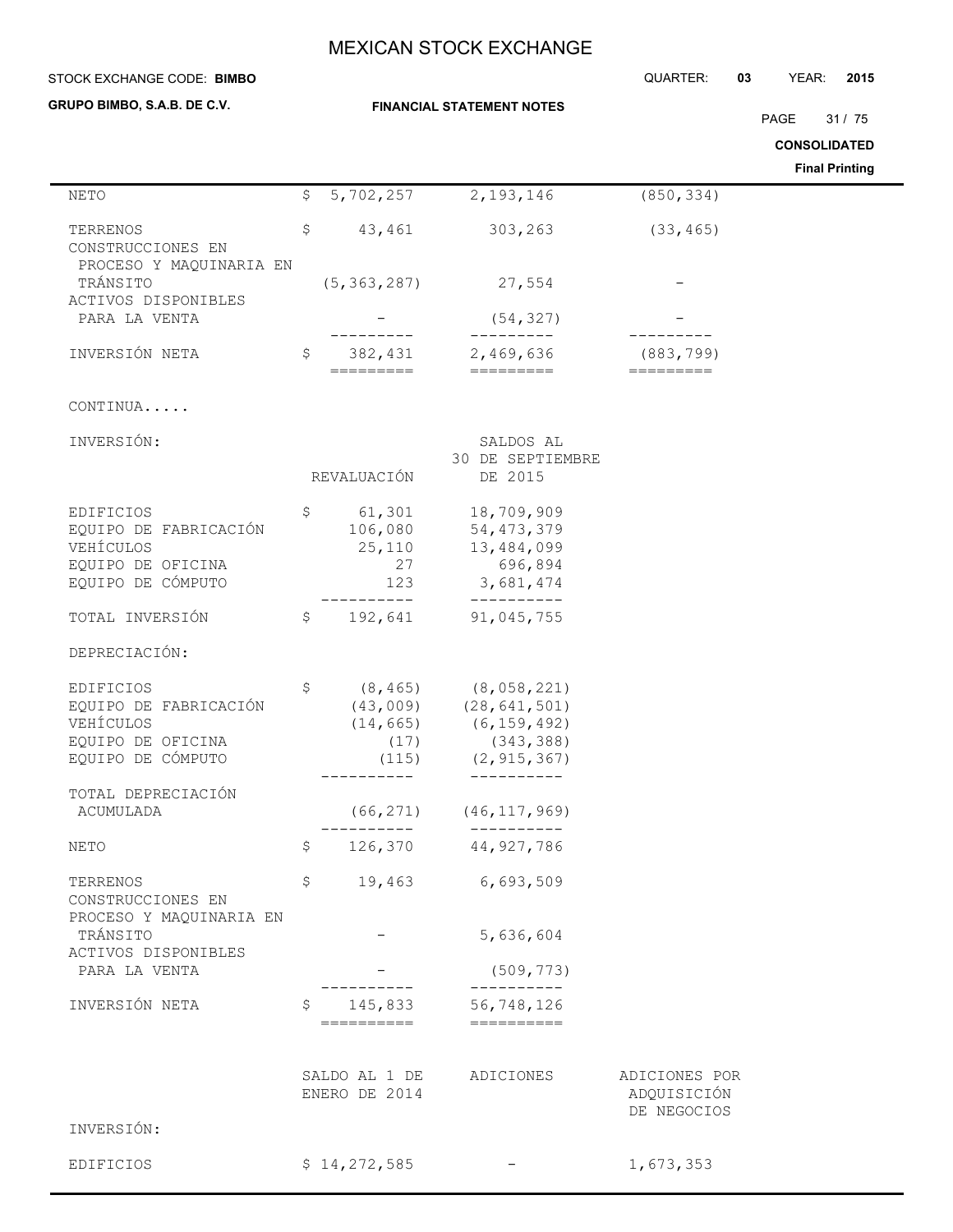| STOCK EXCHANGE CODE: BIMBO                                                                |                |                                          |                                                                                                                                                                                                                                                                                                                                                                                                                                                                                                                             | QUARTER:                                    | 03 | YEAR:               | 2015                  |
|-------------------------------------------------------------------------------------------|----------------|------------------------------------------|-----------------------------------------------------------------------------------------------------------------------------------------------------------------------------------------------------------------------------------------------------------------------------------------------------------------------------------------------------------------------------------------------------------------------------------------------------------------------------------------------------------------------------|---------------------------------------------|----|---------------------|-----------------------|
| GRUPO BIMBO, S.A.B. DE C.V.                                                               |                |                                          | <b>FINANCIAL STATEMENT NOTES</b>                                                                                                                                                                                                                                                                                                                                                                                                                                                                                            |                                             |    |                     |                       |
|                                                                                           |                |                                          |                                                                                                                                                                                                                                                                                                                                                                                                                                                                                                                             |                                             |    | PAGE                | 31/75                 |
|                                                                                           |                |                                          |                                                                                                                                                                                                                                                                                                                                                                                                                                                                                                                             |                                             |    | <b>CONSOLIDATED</b> | <b>Final Printing</b> |
| <b>NETO</b>                                                                               | \$             | 5,702,257                                | 2,193,146                                                                                                                                                                                                                                                                                                                                                                                                                                                                                                                   | (850, 334)                                  |    |                     |                       |
| TERRENOS                                                                                  | \$             | 43,461                                   | 303,263                                                                                                                                                                                                                                                                                                                                                                                                                                                                                                                     | (33, 465)                                   |    |                     |                       |
| CONSTRUCCIONES EN<br>PROCESO Y MAQUINARIA EN<br>TRÁNSITO<br>ACTIVOS DISPONIBLES           |                | (5, 363, 287)                            | 27,554                                                                                                                                                                                                                                                                                                                                                                                                                                                                                                                      |                                             |    |                     |                       |
| PARA LA VENTA                                                                             |                |                                          | (54, 327)<br>----------                                                                                                                                                                                                                                                                                                                                                                                                                                                                                                     |                                             |    |                     |                       |
| INVERSIÓN NETA                                                                            | $\mathsf{S}^-$ | 382,431<br>=========                     | 2,469,636<br>$=$ $=$ $=$ $=$ $=$ $=$ $=$ $=$ $=$                                                                                                                                                                                                                                                                                                                                                                                                                                                                            | (883, 799)<br>$=$ = = = = = = = =           |    |                     |                       |
| CONTINUA                                                                                  |                |                                          |                                                                                                                                                                                                                                                                                                                                                                                                                                                                                                                             |                                             |    |                     |                       |
| INVERSIÓN:                                                                                |                | REVALUACIÓN                              | SALDOS AL<br>30 DE SEPTIEMBRE<br>DE 2015                                                                                                                                                                                                                                                                                                                                                                                                                                                                                    |                                             |    |                     |                       |
| EDIFICIOS<br>EQUIPO DE FABRICACIÓN<br>VEHÍCULOS<br>EQUIPO DE OFICINA<br>EQUIPO DE CÓMPUTO | \$             | 61,301<br>106,080<br>25,110<br>27<br>123 | 18,709,909<br>54, 473, 379<br>13,484,099<br>696,894<br>3,681,474                                                                                                                                                                                                                                                                                                                                                                                                                                                            |                                             |    |                     |                       |
| TOTAL INVERSIÓN                                                                           |                | $- - -$<br>192,641<br>$\mathsf{S}$       | ----------<br>91,045,755                                                                                                                                                                                                                                                                                                                                                                                                                                                                                                    |                                             |    |                     |                       |
| DEPRECIACIÓN:                                                                             |                |                                          |                                                                                                                                                                                                                                                                                                                                                                                                                                                                                                                             |                                             |    |                     |                       |
| EDIFICIOS<br>EQUIPO DE FABRICACIÓN<br>VEHÍCULOS<br>EQUIPO DE OFICINA<br>EQUIPO DE CÓMPUTO | \$             | (8, 465)<br>(14, 665)<br>(17)<br>(115)   | (8,058,221)<br>$(43,009)$ $(28,641,501)$<br>(6, 159, 492)<br>(343, 388)<br>(2, 915, 367)                                                                                                                                                                                                                                                                                                                                                                                                                                    |                                             |    |                     |                       |
| TOTAL DEPRECIACIÓN<br>ACUMULADA                                                           |                |                                          | $(66, 271)$ $(46, 117, 969)$                                                                                                                                                                                                                                                                                                                                                                                                                                                                                                |                                             |    |                     |                       |
| NETO                                                                                      |                |                                          | -----------<br>$$126,370$ 44,927,786                                                                                                                                                                                                                                                                                                                                                                                                                                                                                        |                                             |    |                     |                       |
| TERRENOS<br>CONSTRUCCIONES EN                                                             | \$             |                                          | 19,463 6,693,509                                                                                                                                                                                                                                                                                                                                                                                                                                                                                                            |                                             |    |                     |                       |
| PROCESO Y MAQUINARIA EN<br>TRÁNSITO                                                       |                |                                          | 5,636,604                                                                                                                                                                                                                                                                                                                                                                                                                                                                                                                   |                                             |    |                     |                       |
| ACTIVOS DISPONIBLES<br>PARA LA VENTA                                                      |                |                                          | (509, 773)                                                                                                                                                                                                                                                                                                                                                                                                                                                                                                                  |                                             |    |                     |                       |
| INVERSIÓN NETA                                                                            | $\mathsf{S}$   | ==========                               | -----------<br>145,833 56,748,126<br>$\begin{array}{cccccccccc} \multicolumn{2}{c}{} & \multicolumn{2}{c}{} & \multicolumn{2}{c}{} & \multicolumn{2}{c}{} & \multicolumn{2}{c}{} & \multicolumn{2}{c}{} & \multicolumn{2}{c}{} & \multicolumn{2}{c}{} & \multicolumn{2}{c}{} & \multicolumn{2}{c}{} & \multicolumn{2}{c}{} & \multicolumn{2}{c}{} & \multicolumn{2}{c}{} & \multicolumn{2}{c}{} & \multicolumn{2}{c}{} & \multicolumn{2}{c}{} & \multicolumn{2}{c}{} & \multicolumn{2}{c}{} & \multicolumn{2}{c}{} & \mult$ |                                             |    |                     |                       |
| INVERSIÓN:                                                                                |                | ENERO DE 2014                            | SALDO AL 1 DE ADICIONES                                                                                                                                                                                                                                                                                                                                                                                                                                                                                                     | ADICIONES POR<br>ADQUISICIÓN<br>DE NEGOCIOS |    |                     |                       |
|                                                                                           |                |                                          |                                                                                                                                                                                                                                                                                                                                                                                                                                                                                                                             |                                             |    |                     |                       |
| EDIFICIOS                                                                                 |                | \$14,272,585                             |                                                                                                                                                                                                                                                                                                                                                                                                                                                                                                                             | 1,673,353                                   |    |                     |                       |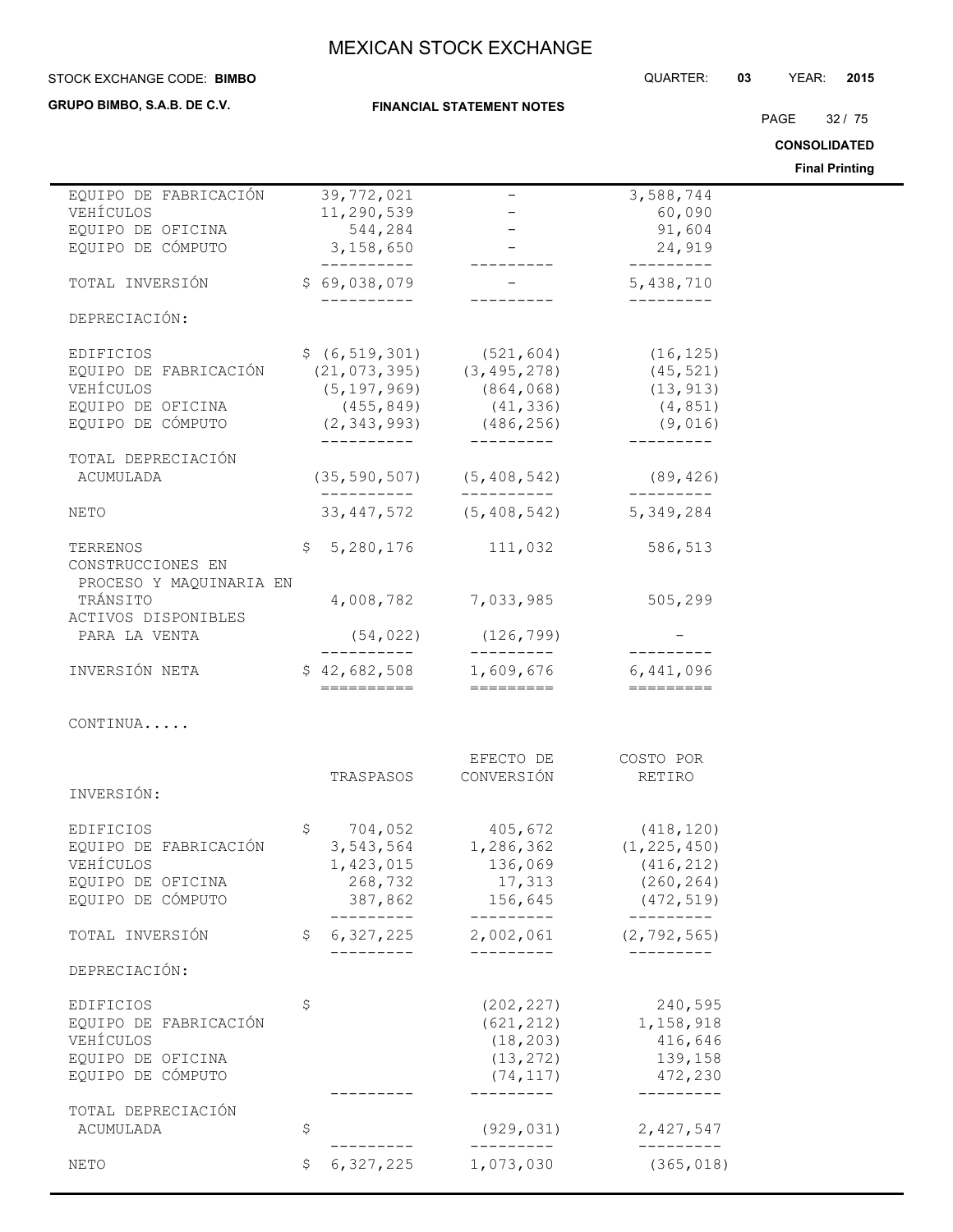### **STOCK EXCHANGE CODE: BIMBO**

**GRUPO BIMBO, S.A.B. DE C.V.**

**FINANCIAL STATEMENT NOTES**

PAGE 32 / 75

**CONSOLIDATED**

**Final Printing**

|                                                            |                           |                                                                                                      |                                                  | <b>Final Printing</b> |
|------------------------------------------------------------|---------------------------|------------------------------------------------------------------------------------------------------|--------------------------------------------------|-----------------------|
| EQUIPO DE FABRICACIÓN                                      | 39,772,021                | $\overline{\phantom{m}}$                                                                             | 3,588,744                                        |                       |
| VEHÍCULOS                                                  | 11,290,539                |                                                                                                      | 60,090                                           |                       |
| EQUIPO DE OFICINA                                          | 544,284                   |                                                                                                      | 91,604                                           |                       |
| EQUIPO DE CÓMPUTO                                          | 3,158,650<br>-----------  | $\mathcal{L}_{\text{max}} = \mathcal{L}_{\text{max}}$                                                | 24,919<br>----------                             |                       |
| TOTAL INVERSIÓN                                            | \$69,038,079              |                                                                                                      | 5,438,710                                        |                       |
| DEPRECIACIÓN:                                              |                           |                                                                                                      | ----------                                       |                       |
| EDIFICIOS                                                  |                           |                                                                                                      | (16, 125)                                        |                       |
| EQUIPO DE FABRICACIÓN                                      |                           | $\begin{array}{cccc} \xi & (6, 519, 301) & (521, 604) \\ (21, 073, 395) & (3, 495, 278) \end{array}$ | (45, 521)                                        |                       |
| VEHÍCULOS                                                  | (5, 197, 969)             | (864, 068)                                                                                           | (13, 913)                                        |                       |
| EQUIPO DE OFICINA                                          | (455, 849)                | (41, 336)                                                                                            | (4, 851)                                         |                       |
| EQUIPO DE CÓMPUTO                                          |                           | $(2, 343, 993)$ $(486, 256)$                                                                         | (9,016)                                          |                       |
|                                                            | __________                | __________                                                                                           | ----------                                       |                       |
| TOTAL DEPRECIACIÓN<br>ACUMULADA                            |                           | $(35, 590, 507)$ $(5, 408, 542)$ $(89, 426)$                                                         |                                                  |                       |
| NETO                                                       |                           | 33, 447, 572 (5, 408, 542) 5, 349, 284                                                               |                                                  |                       |
| TERRENOS<br>CONSTRUCCIONES EN                              |                           | $$5,280,176$ 111,032                                                                                 | 586,513                                          |                       |
| PROCESO Y MAQUINARIA EN<br>TRÁNSITO<br>ACTIVOS DISPONIBLES |                           | 4,008,782 7,033,985                                                                                  | 505, 299                                         |                       |
| PARA LA VENTA                                              | (54, 022)                 | (126, 799)<br>----------                                                                             | __________                                       |                       |
| INVERSIÓN NETA                                             | -----------<br>========== | $$42,682,508$ 1,609,676<br>=========                                                                 | 6,441,096<br>$=$ $=$ $=$ $=$ $=$ $=$ $=$ $=$ $=$ |                       |
| CONTINUA                                                   |                           |                                                                                                      |                                                  |                       |
|                                                            |                           |                                                                                                      |                                                  |                       |
|                                                            | TRASPASOS                 | EFECTO DE<br>CONVERSIÓN                                                                              | COSTO POR<br>RETIRO                              |                       |
| INVERSIÓN:                                                 |                           |                                                                                                      |                                                  |                       |
| <b>EDIFICIOS</b>                                           |                           |                                                                                                      |                                                  |                       |
| EQUIPO DE FABRICACIÓN                                      |                           | $$704,052$ $405,672$ $(418,120)$<br>3,543,564 $1,286,362$ $(1,225,450)$                              |                                                  |                       |
| VEHÍCULOS                                                  |                           | 1,423,015 136,069                                                                                    | (416, 212)                                       |                       |
| EQUIPO DE OFICINA                                          | 268,732                   | 17,313                                                                                               | (260, 264)                                       |                       |
| EQUIPO DE CÓMPUTO                                          |                           | 387,862 156,645                                                                                      | (472, 519)                                       |                       |
| TOTAL INVERSIÓN                                            | \$<br>_________           | ----------<br>$6, 327, 225$ 2,002,061 (2,792,565)                                                    | __________                                       |                       |
| DEPRECIACIÓN:                                              | _________                 | ----------                                                                                           | _________                                        |                       |
| <b>EDIFICIOS</b>                                           | \$                        | (202, 227)                                                                                           | 240,595                                          |                       |
| EQUIPO DE FABRICACIÓN                                      |                           | (621, 212)                                                                                           | 1,158,918                                        |                       |
| VEHÍCULOS                                                  |                           | (18, 203)                                                                                            | 416,646                                          |                       |
| EQUIPO DE OFICINA                                          |                           | (13, 272)                                                                                            | 139,158                                          |                       |
| EQUIPO DE CÓMPUTO                                          |                           | (74, 117)                                                                                            | 472,230                                          |                       |
| TOTAL DEPRECIACIÓN                                         |                           |                                                                                                      | ---------                                        |                       |
| ACUMULADA                                                  | \$                        | (929, 031)<br>----------                                                                             | 2,427,547<br>----------                          |                       |
| NETO                                                       | \$<br>6,327,225           | 1,073,030                                                                                            | (365, 018)                                       |                       |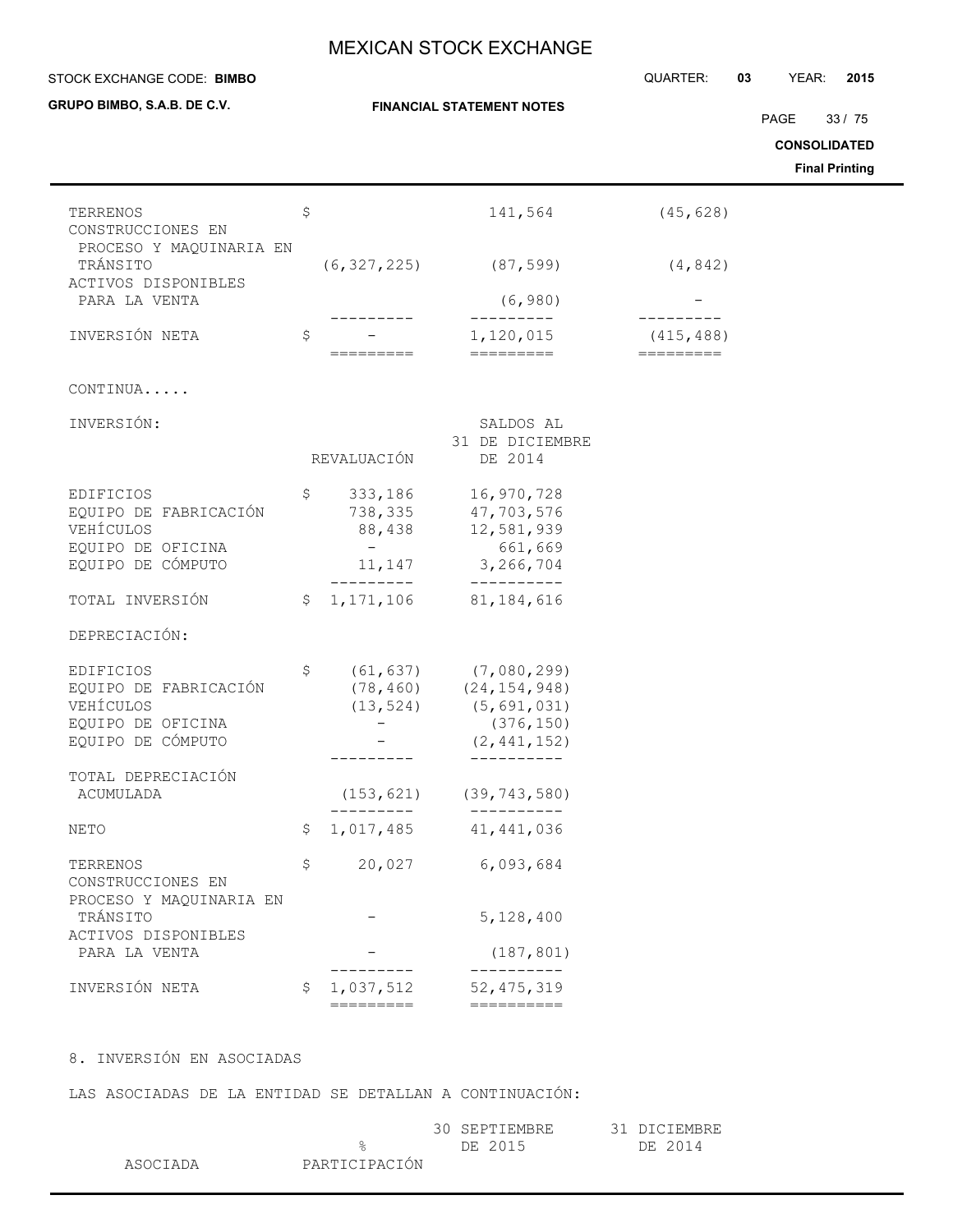| STOCK EXCHANGE CODE: BIMBO                                                                |              |                                                          |                                                                             | QUARTER:                | 03 | YEAR:                       | 2015                           |
|-------------------------------------------------------------------------------------------|--------------|----------------------------------------------------------|-----------------------------------------------------------------------------|-------------------------|----|-----------------------------|--------------------------------|
| GRUPO BIMBO, S.A.B. DE C.V.                                                               |              |                                                          | <b>FINANCIAL STATEMENT NOTES</b>                                            |                         |    | PAGE<br><b>CONSOLIDATED</b> | 33/75<br><b>Final Printing</b> |
|                                                                                           |              |                                                          |                                                                             |                         |    |                             |                                |
| TERRENOS<br>CONSTRUCCIONES EN<br>PROCESO Y MAQUINARIA EN                                  | \$           |                                                          | 141,564                                                                     | (45, 628)               |    |                             |                                |
| TRÁNSITO<br>ACTIVOS DISPONIBLES                                                           |              | (6, 327, 225)                                            | (87, 599)                                                                   | (4, 842)                |    |                             |                                |
| PARA LA VENTA                                                                             |              |                                                          | (6, 980)                                                                    |                         |    |                             |                                |
| INVERSIÓN NETA                                                                            | \$           | =========                                                | 1,120,015<br>=========                                                      | (415, 488)<br>========= |    |                             |                                |
| CONTINUA                                                                                  |              |                                                          |                                                                             |                         |    |                             |                                |
| INVERSIÓN:                                                                                |              | REVALUACIÓN                                              | SALDOS AL<br>31 DE DICIEMBRE<br>DE 2014                                     |                         |    |                             |                                |
| <b>EDIFICIOS</b><br>EQUIPO DE FABRICACIÓN<br>VEHÍCULOS                                    | \$           | 333,186<br>738,335<br>88,438                             | 16,970,728<br>47,703,576<br>12,581,939                                      |                         |    |                             |                                |
| EQUIPO DE OFICINA<br>EQUIPO DE CÓMPUTO                                                    |              | $-$<br>11,147<br>_________                               | 661,669<br>3,266,704<br>-----------                                         |                         |    |                             |                                |
| TOTAL INVERSIÓN                                                                           | $\mathsf{S}$ | 1, 171, 106                                              | 81, 184, 616                                                                |                         |    |                             |                                |
| DEPRECIACIÓN:                                                                             |              |                                                          |                                                                             |                         |    |                             |                                |
| EDIFICIOS<br>EQUIPO DE FABRICACIÓN<br>VEHÍCULOS<br>EQUIPO DE OFICINA<br>EQUIPO DE CÓMPUTO | \$           | (61, 637)<br>(78, 460)<br>(13, 524)<br>$\qquad \qquad -$ | (7,080,299)<br>(24, 154, 948)<br>(5,691,031)<br>(376, 150)<br>(2, 441, 152) |                         |    |                             |                                |
| TOTAL DEPRECIACIÓN                                                                        |              |                                                          | ----------                                                                  |                         |    |                             |                                |
| ACUMULADA                                                                                 |              |                                                          | $(153, 621)$ $(39, 743, 580)$                                               |                         |    |                             |                                |
| NETO                                                                                      | \$           | 1,017,485                                                | 41, 441, 036                                                                |                         |    |                             |                                |
| TERRENOS<br>CONSTRUCCIONES EN<br>PROCESO Y MAQUINARIA EN                                  | \$           |                                                          | 20,027 6,093,684                                                            |                         |    |                             |                                |
| TRÁNSITO<br>ACTIVOS DISPONIBLES                                                           |              |                                                          | 5,128,400                                                                   |                         |    |                             |                                |
| PARA LA VENTA                                                                             |              | . - - - - - -                                            | (187, 801)                                                                  |                         |    |                             |                                |
| INVERSIÓN NETA                                                                            |              | \$1,037,512<br>=========                                 | 52, 475, 319                                                                |                         |    |                             |                                |

LAS ASOCIADAS DE LA ENTIDAD SE DETALLAN A CONTINUACIÓN:

|          |               | 30 SEPTIEMBRE | 31 DICIEMBRE |
|----------|---------------|---------------|--------------|
|          |               | DE 2015       | DE 2014      |
| ASOCIADA | PARTICIPACIÓN |               |              |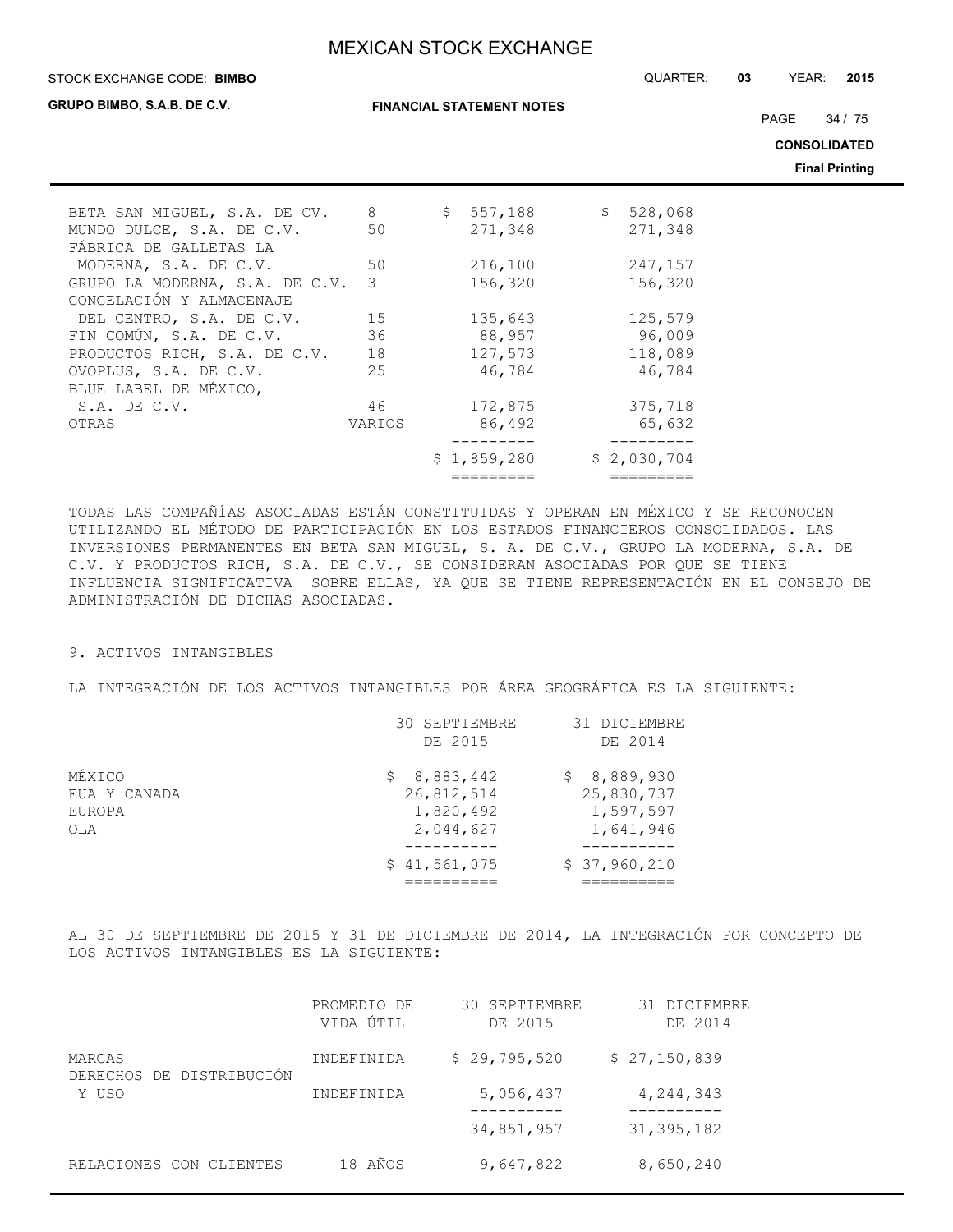#### STOCK EXCHANGE CODE: QUARTER: **03** YEAR: **2015 BIMBO**

**GRUPO BIMBO, S.A.B. DE C.V.**

**FINANCIAL STATEMENT NOTES**

PAGE 34 / 75

**CONSOLIDATED**

**Final Printing**

| BETA SAN MIGUEL, S.A. DE CV.   | 8      | \$557,188   | \$528,068   |
|--------------------------------|--------|-------------|-------------|
| MUNDO DULCE, S.A. DE C.V.      | 50     | 271,348     | 271,348     |
| FÁBRICA DE GALLETAS LA         |        |             |             |
| MODERNA, S.A. DE C.V.          | 50     | 216,100     | 247,157     |
| GRUPO LA MODERNA, S.A. DE C.V. | 3      | 156,320     | 156,320     |
| CONGELACIÓN Y ALMACENAJE       |        |             |             |
| DEL CENTRO, S.A. DE C.V.       | 15     | 135,643     | 125,579     |
| FIN COMÚN, S.A. DE C.V.        | 36     | 88,957      | 96,009      |
| PRODUCTOS RICH, S.A. DE C.V.   | 18     | 127,573     | 118,089     |
| OVOPLUS, S.A. DE C.V.          | 25     | 46,784      | 46,784      |
| BLUE LABEL DE MÉXICO,          |        |             |             |
| $S.A.$ DE $C.V.$               | 46     | 172,875     | 375,718     |
| OTRAS                          | VARIOS | 86,492      | 65,632      |
|                                |        |             |             |
|                                |        | \$1,859,280 | \$2,030,704 |
|                                |        |             |             |

TODAS LAS COMPAÑÍAS ASOCIADAS ESTÁN CONSTITUIDAS Y OPERAN EN MÉXICO Y SE RECONOCEN UTILIZANDO EL MÉTODO DE PARTICIPACIÓN EN LOS ESTADOS FINANCIEROS CONSOLIDADOS. LAS INVERSIONES PERMANENTES EN BETA SAN MIGUEL, S. A. DE C.V., GRUPO LA MODERNA, S.A. DE C.V. Y PRODUCTOS RICH, S.A. DE C.V., SE CONSIDERAN ASOCIADAS POR QUE SE TIENE INFLUENCIA SIGNIFICATIVA SOBRE ELLAS, YA QUE SE TIENE REPRESENTACIÓN EN EL CONSEJO DE ADMINISTRACIÓN DE DICHAS ASOCIADAS.

#### 9. ACTIVOS INTANGIBLES

LA INTEGRACIÓN DE LOS ACTIVOS INTANGIBLES POR ÁREA GEOGRÁFICA ES LA SIGUIENTE:

|              | 30 SEPTIEMBRE | 31 DICIEMBRE |
|--------------|---------------|--------------|
|              | DE 2015       | DE 2014      |
| MÉXICO       | \$8,883,442   | \$8,889,930  |
| EUA Y CANADA | 26,812,514    | 25,830,737   |
| EUROPA       | 1,820,492     | 1,597,597    |
| OLA          | 2,044,627     | 1,641,946    |
|              |               |              |
|              | \$41,561,075  | \$37,960,210 |
|              |               |              |

AL 30 DE SEPTIEMBRE DE 2015 Y 31 DE DICIEMBRE DE 2014, LA INTEGRACIÓN POR CONCEPTO DE LOS ACTIVOS INTANGIBLES ES LA SIGUIENTE:

|                                    | PROMEDIO DE<br>VIDA ÚTIL | 30 SEPTIEMBRE<br>DE 2015 | 31 DICIEMBRE<br>DE 2014 |
|------------------------------------|--------------------------|--------------------------|-------------------------|
| MARCAS<br>DERECHOS DE DISTRIBUCIÓN | INDEFINIDA               | \$29,795,520             | \$27,150,839            |
| Y USO                              | INDEFINIDA               | 5,056,437                | 4, 244, 343             |
|                                    |                          | 34,851,957               | 31, 395, 182            |
| RELACIONES CON CLIENTES            | 18 AÑOS                  | 9,647,822                | 8,650,240               |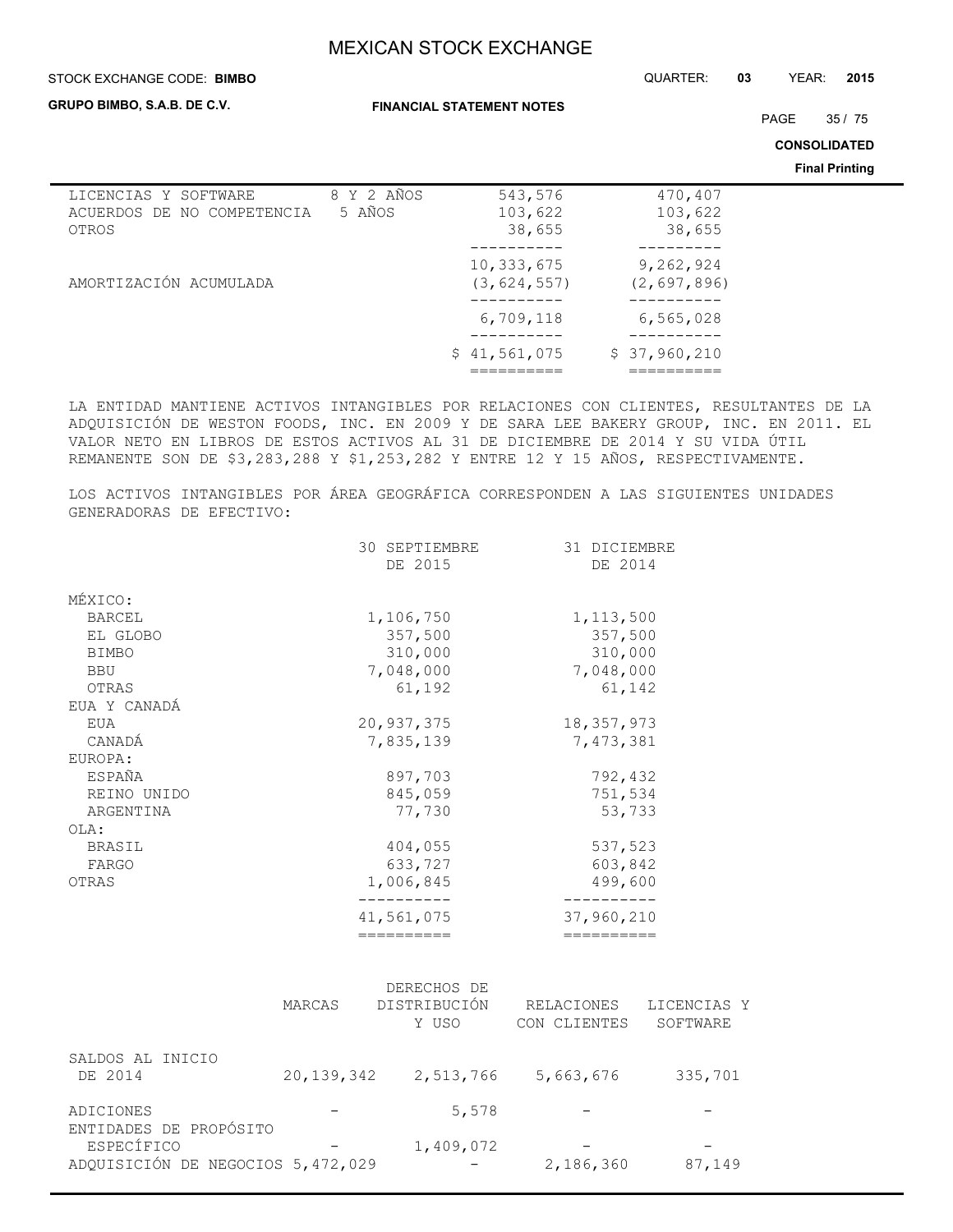#### STOCK EXCHANGE CODE: QUARTER: **03** YEAR: **2015 BIMBO**

**GRUPO BIMBO, S.A.B. DE C.V.**

**FINANCIAL STATEMENT NOTES**

PAGE 35 / 75

**CONSOLIDATED**

**Final Printing**

| 8 Y 2 AÑOS | 543,576       | 470,407       |  |
|------------|---------------|---------------|--|
| 5 AÑOS     | 103,622       | 103,622       |  |
|            | 38,655        | 38,655        |  |
|            |               |               |  |
|            | 10,333,675    | 9,262,924     |  |
|            | (3, 624, 557) | (2, 697, 896) |  |
|            |               |               |  |
|            | 6,709,118     | 6, 565, 028   |  |
|            |               |               |  |
|            | \$41,561,075  | \$37,960,210  |  |
|            |               |               |  |
|            |               |               |  |

LA ENTIDAD MANTIENE ACTIVOS INTANGIBLES POR RELACIONES CON CLIENTES, RESULTANTES DE LA ADQUISICIÓN DE WESTON FOODS, INC. EN 2009 Y DE SARA LEE BAKERY GROUP, INC. EN 2011. EL VALOR NETO EN LIBROS DE ESTOS ACTIVOS AL 31 DE DICIEMBRE DE 2014 Y SU VIDA ÚTIL REMANENTE SON DE \$3,283,288 Y \$1,253,282 Y ENTRE 12 Y 15 AÑOS, RESPECTIVAMENTE.

LOS ACTIVOS INTANGIBLES POR ÁREA GEOGRÁFICA CORRESPONDEN A LAS SIGUIENTES UNIDADES GENERADORAS DE EFECTIVO:

|               | ==========       | ==========   |
|---------------|------------------|--------------|
|               | 41,561,075       | 37,960,210   |
| OTRAS         | 1,006,845        | 499,600      |
| FARGO         | 633,727          | 603,842      |
| BRASIL        | 404,055          | 537,523      |
| OLA:          |                  |              |
| ARGENTINA     | 77,730           | 53,733       |
| REINO UNIDO   | 845,059          | 751,534      |
| <b>ESPAÑA</b> | 897,703          | 792,432      |
| EUROPA:       |                  |              |
| CANADÁ        | 7,835,139        | 7,473,381    |
| EUA           | 20,937,375       | 18, 357, 973 |
| EUA Y CANADÁ  |                  |              |
| OTRAS         | 61,192           | 61,142       |
| <b>BBU</b>    | 7,048,000        | 7,048,000    |
| <b>BIMBO</b>  | 310,000          | 310,000      |
| EL GLOBO      | 357,500          | 357,500      |
| <b>BARCEL</b> | 1,106,750        | 1, 113, 500  |
| MÉXICO:       |                  |              |
|               |                  |              |
|               | DE 2015          | DE 2014      |
|               | 30<br>SEPTIEMBRE | 31 DICIEMBRE |

|                                                 | MARCAS       | DERECHOS DE<br>DISTRIBUCIÓN<br>Y USO | RELACIONES<br>CON CLIENTES | LICENCIAS Y<br>SOFTWARE |
|-------------------------------------------------|--------------|--------------------------------------|----------------------------|-------------------------|
| SALDOS AL INICIO<br>DE 2014                     | 20, 139, 342 | 2,513,766                            | 5,663,676                  | 335,701                 |
| ADICIONES<br>ENTIDADES DE PROPÓSITO             |              | 5,578                                |                            |                         |
| ESPECÍFICO<br>ADQUISICIÓN DE NEGOCIOS 5,472,029 |              | 1,409,072                            | 2,186,360                  | 87,149                  |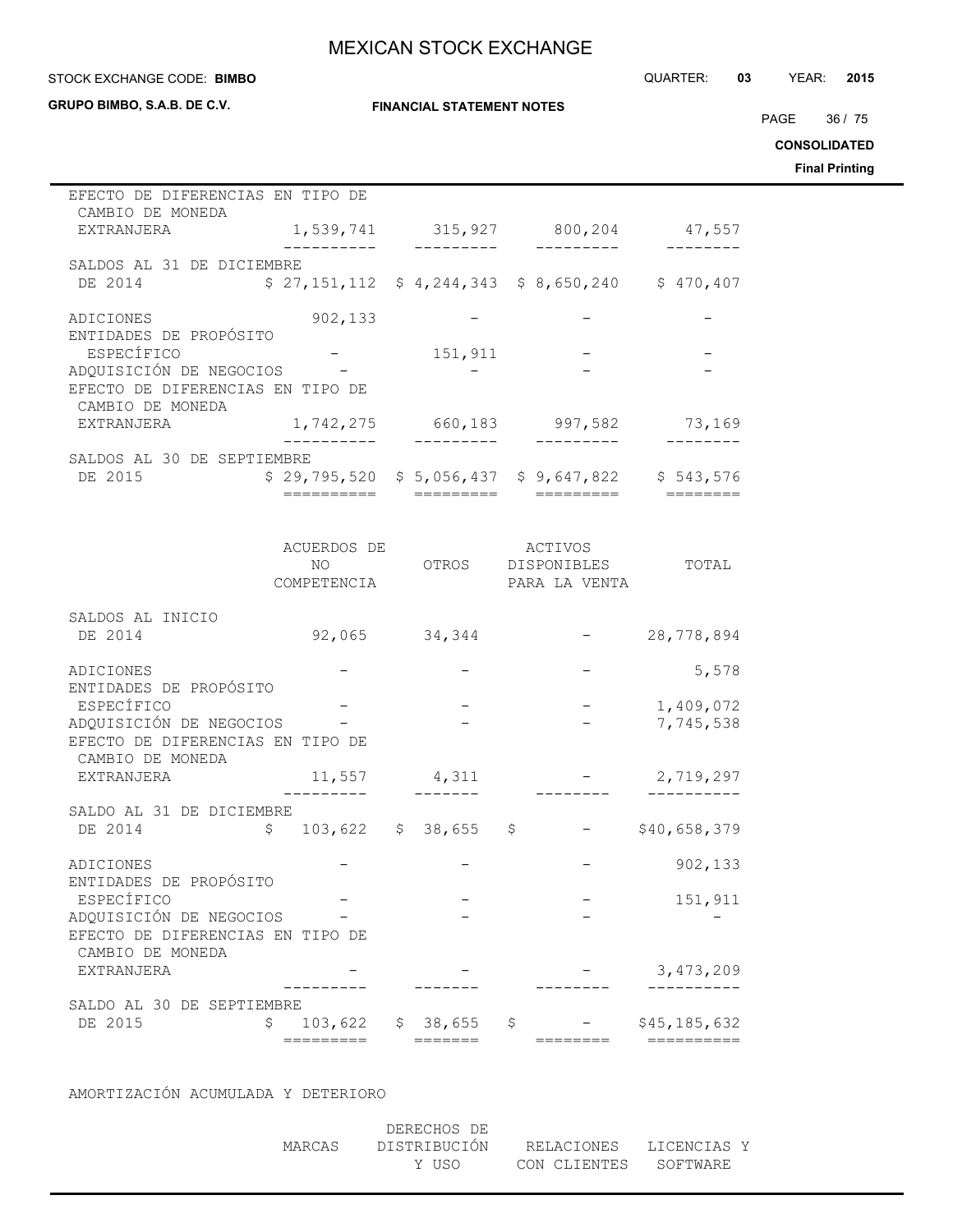#### STOCK EXCHANGE CODE: QUARTER: **03** YEAR: **2015 BIMBO**

**GRUPO BIMBO, S.A.B. DE C.V.**

**FINANCIAL STATEMENT NOTES**

PAGE 36 / 75

**CONSOLIDATED**

**Final Printing**

| EFECTO DE DIFERENCIAS EN TIPO DE                            |              |                          |                                                       |                  |
|-------------------------------------------------------------|--------------|--------------------------|-------------------------------------------------------|------------------|
| CAMBIO DE MONEDA<br>EXTRANJERA                              |              |                          | 1,539,741 315,927 800,204                             | 47,557           |
|                                                             |              | ----------               |                                                       |                  |
| SALDOS AL 31 DE DICIEMBRE<br>DE 2014                        |              |                          | $$27,151,112$ $$4,244,343$ $$8,650,240$ $$470,407$    |                  |
|                                                             |              |                          |                                                       |                  |
| ADICIONES                                                   | 902, 133     |                          |                                                       |                  |
| ENTIDADES DE PROPÓSITO                                      |              |                          |                                                       |                  |
| ESPECÍFICO<br>ADQUISICIÓN DE NEGOCIOS -                     |              | 151,911                  |                                                       |                  |
| EFECTO DE DIFERENCIAS EN TIPO DE                            |              |                          |                                                       |                  |
| CAMBIO DE MONEDA                                            |              |                          |                                                       |                  |
| EXTRANJERA                                                  | -------      |                          | 1,742,275 660,183 997,582 73,169<br>--------          | -------          |
| SALDOS AL 30 DE SEPTIEMBRE                                  |              |                          |                                                       |                  |
| DE 2015                                                     |              |                          | $$29,795,520$$ $$5,056,437$$ $$9,647,822$$ $$543,576$ |                  |
|                                                             | ========     |                          |                                                       |                  |
|                                                             |              |                          |                                                       |                  |
|                                                             | ACUERDOS DE  |                          | ACTIVOS                                               |                  |
|                                                             | NO –         |                          | OTROS DISPONIBLES                                     | TOTAL            |
|                                                             | COMPETENCIA  |                          | PARA LA VENTA                                         |                  |
|                                                             |              |                          |                                                       |                  |
| SALDOS AL INICIO<br>DE 2014                                 |              | 92,065 34,344            |                                                       | 28,778,894       |
|                                                             |              |                          |                                                       |                  |
| ADICIONES                                                   |              |                          |                                                       | 5,578            |
| ENTIDADES DE PROPÓSITO                                      |              |                          |                                                       |                  |
| ESPECÍFICO                                                  |              |                          |                                                       | $-1,409,072$     |
| ADQUISICIÓN DE NEGOCIOS<br>EFECTO DE DIFERENCIAS EN TIPO DE |              |                          |                                                       | 7,745,538        |
| CAMBIO DE MONEDA                                            |              |                          |                                                       |                  |
| EXTRANJERA                                                  | 11,557       | 4,311                    |                                                       | 2,719,297        |
|                                                             |              |                          |                                                       |                  |
| SALDO AL 31 DE DICIEMBRE                                    |              |                          |                                                       |                  |
| DE 2014                                                     | $\mathsf{S}$ | $103,622 \t5 38,655 \t5$ |                                                       | $-$ \$40,658,379 |
| ADICIONES                                                   |              |                          |                                                       | 902,133          |
| ENTIDADES DE PROPÓSITO                                      |              |                          |                                                       |                  |
| ESPECÍFICO                                                  |              |                          |                                                       | 151,911          |
| ADQUISICIÓN DE NEGOCIOS                                     |              |                          |                                                       |                  |
| EFECTO DE DIFERENCIAS EN TIPO DE<br>CAMBIO DE MONEDA        |              |                          |                                                       |                  |
| EXTRANJERA                                                  |              |                          |                                                       | 3, 473, 209      |
|                                                             |              |                          |                                                       |                  |
| SALDO AL 30 DE SEPTIEMBRE                                   |              |                          |                                                       |                  |
| DE 2015                                                     | \$           | $103,622$ \$ 38,655 \$   |                                                       | \$45,185,632     |
|                                                             | =========    | =======                  | ========                                              | ==========       |

AMORTIZACIÓN ACUMULADA Y DETERIORO

|        | DERECHOS DE                         |                       |  |
|--------|-------------------------------------|-----------------------|--|
| MARCAS | DISTRIBUCIÓN RELACIONES LICENCIAS Y |                       |  |
|        | Y USO                               | CON CLIENTES SOFTWARE |  |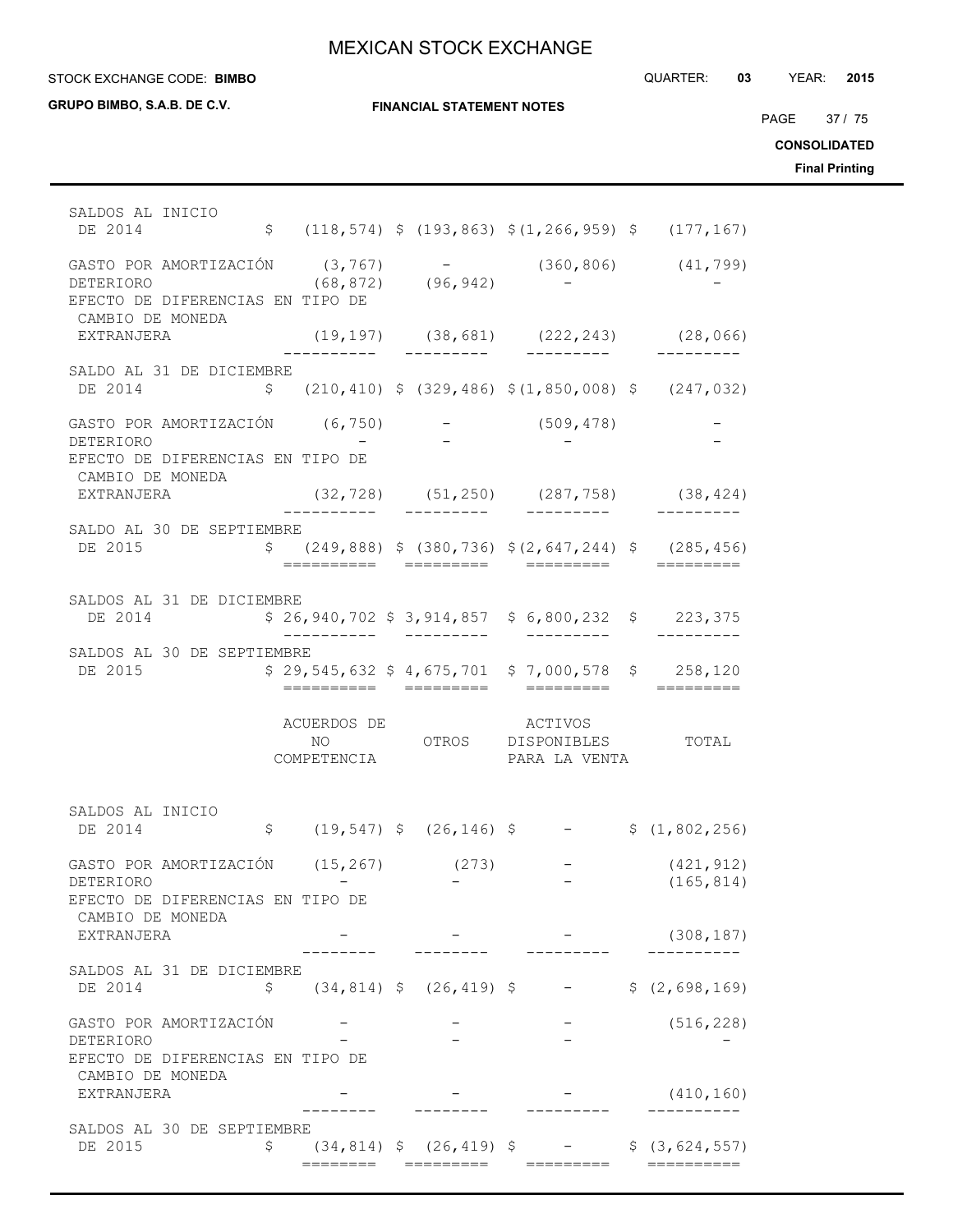STOCK EXCHANGE CODE: QUARTER: **03** YEAR: **2015 BIMBO**

| GRUPO BIMBO, S.A.B. DE C.V.                                                                                                |                               | <b>FINANCIAL STATEMENT NOTES</b> |                                                                     |                                                                                                   | PAGE 37 / 75<br><b>CONSOLIDATED</b><br><b>Final Printing</b> |
|----------------------------------------------------------------------------------------------------------------------------|-------------------------------|----------------------------------|---------------------------------------------------------------------|---------------------------------------------------------------------------------------------------|--------------------------------------------------------------|
| SALDOS AL INICIO<br>DE 2014                                                                                                |                               |                                  |                                                                     | $$(118, 574) $ (193, 863) $ (1, 266, 959) $ (177, 167)$                                           |                                                              |
| GASTO POR AMORTIZACIÓN (3,767) – (360,806) (41,799)<br>DETERIORO (68,872) (96,942) – –<br>EFECTO DE DIFERENCIAS EN TIPO DE |                               |                                  |                                                                     |                                                                                                   |                                                              |
| CAMBIO DE MONEDA<br>EXTRANJERA                                                                                             |                               |                                  |                                                                     | $(19, 197)$ $(38, 681)$ $(222, 243)$ $(28, 066)$                                                  |                                                              |
| SALDO AL 31 DE DICIEMBRE<br>DE 2014                                                                                        |                               |                                  |                                                                     | $\frac{1}{2}$ (210,410) $\frac{1}{2}$ (329,486) $\frac{1}{2}$ (1,850,008) $\frac{1}{2}$ (247,032) |                                                              |
| GASTO POR AMORTIZACIÓN (6,750)<br>DETERIORO<br>EFECTO DE DIFERENCIAS EN TIPO DE                                            |                               |                                  | $-$ (509,478)                                                       |                                                                                                   |                                                              |
| CAMBIO DE MONEDA<br>EXTRANJERA                                                                                             |                               |                                  |                                                                     | $(32, 728)$ $(51, 250)$ $(287, 758)$ $(38, 424)$                                                  |                                                              |
| SALDO AL 30 DE SEPTIEMBRE<br>DE 2015                                                                                       |                               |                                  | ==========  =========  =========                                    | $$(249,888)$ $$(380,736)$ $$(2,647,244)$ $$(285,456)$<br>==========                               |                                                              |
| SALDOS AL 31 DE DICIEMBRE<br>DE 2014                                                                                       | ___________  _________        |                                  | $$26,940,702$$ $$3,914,857$$ $$6,800,232$$ $$223,375$<br>__________ |                                                                                                   |                                                              |
| SALDOS AL 30 DE SEPTIEMBRE<br>\$29,545,632 \$4,675,701 \$7,000,578 \$258,120<br>DE 2015                                    |                               |                                  |                                                                     |                                                                                                   |                                                              |
|                                                                                                                            | ACUERDOS DE<br>COMPETENCIA    |                                  | ACTIVOS<br>NO OTROS DISPONIBLES<br>PARA LA VENTA                    | TOTAL                                                                                             |                                                              |
| SALDOS AL INICIO<br>\$<br>DE 2014                                                                                          |                               |                                  |                                                                     | $(19, 547)$ \$ $(26, 146)$ \$ - \$ $(1, 802, 256)$                                                |                                                              |
| GASTO POR AMORTIZACIÓN (15,267) (273)<br>DETERIORO<br>EFECTO DE DIFERENCIAS EN TIPO DE                                     |                               |                                  |                                                                     | (421, 912)<br>(165, 814)                                                                          |                                                              |
| CAMBIO DE MONEDA<br>EXTRANJERA                                                                                             |                               |                                  |                                                                     | (308, 187)                                                                                        |                                                              |
| SALDOS AL 31 DE DICIEMBRE<br>DE 2014<br>\$                                                                                 | $(34, 814)$ \$ $(26, 419)$ \$ |                                  |                                                                     | $-$ \$ (2,698,169)                                                                                |                                                              |
| GASTO POR AMORTIZACIÓN<br>DETERIORO<br>EFECTO DE DIFERENCIAS EN TIPO DE                                                    |                               |                                  |                                                                     | (516, 228)                                                                                        |                                                              |
| CAMBIO DE MONEDA<br>EXTRANJERA                                                                                             |                               |                                  |                                                                     | (410, 160)                                                                                        |                                                              |
| SALDOS AL 30 DE SEPTIEMBRE<br>DE 2015                                                                                      |                               |                                  |                                                                     | $\zeta$ (34,814) $\zeta$ (26,419) $\zeta$ - $\zeta$ (3,624,557)                                   |                                                              |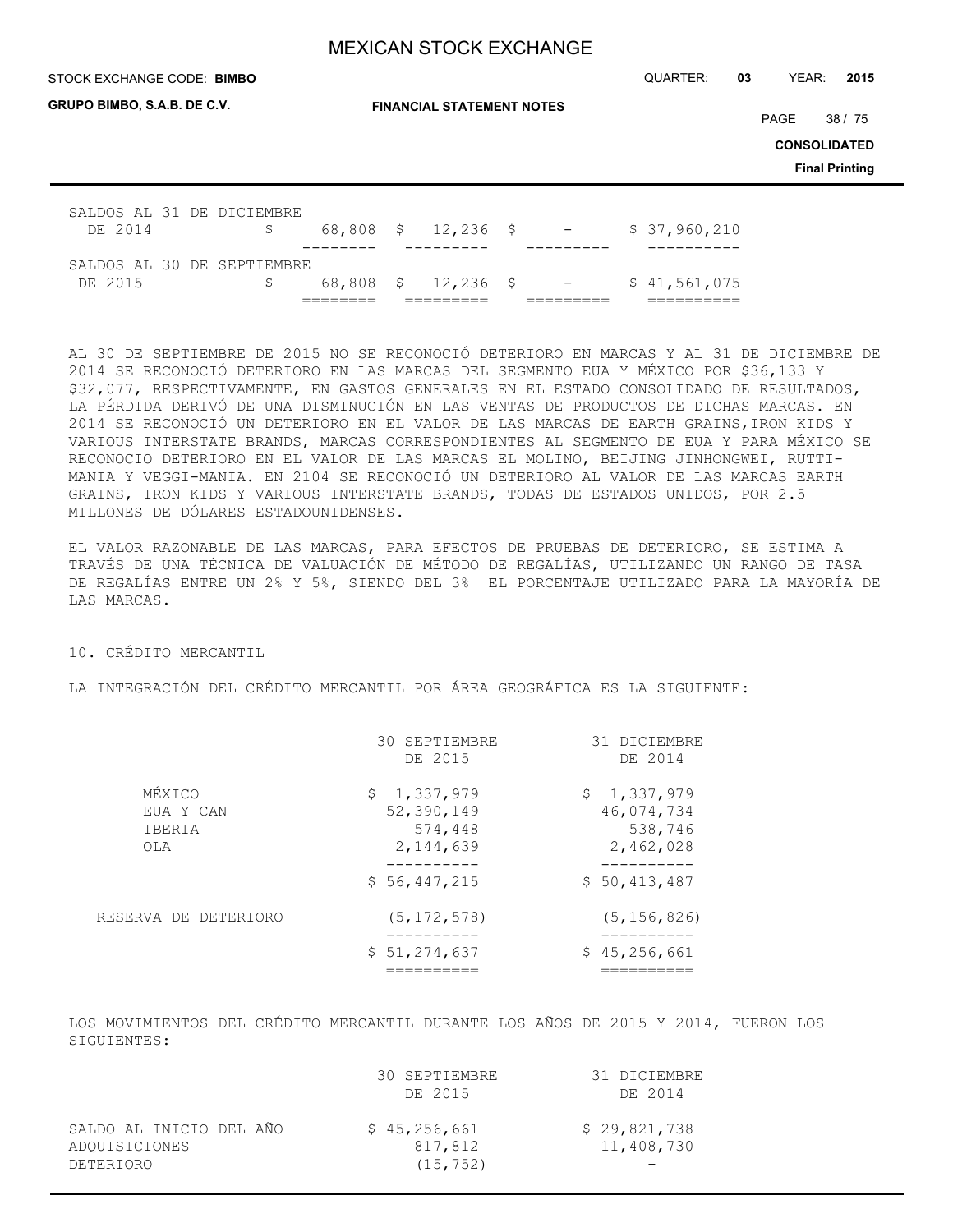STOCK EXCHANGE CODE: QUARTER: **03** YEAR: **2015 BIMBO**

|  | GRUPO BIMBO, S.A.B. DE C.V. |
|--|-----------------------------|
|  |                             |

**FINANCIAL STATEMENT NOTES**

PAGE 38 / 75

**CONSOLIDATED**

**Final Printing**

| SALDOS AL 31 DE DICIEMBRE<br>DE 2014 | S.                         |  |  | $68,808$ \$ 12,236 \$ - | \$37,960,210 |
|--------------------------------------|----------------------------|--|--|-------------------------|--------------|
|                                      |                            |  |  |                         |              |
|                                      |                            |  |  |                         |              |
|                                      | SALDOS AL 30 DE SEPTIEMBRE |  |  |                         |              |
| DE 2015                              | S.                         |  |  | 68,808 \$ 12,236 \$ -   | \$41,561,075 |

AL 30 DE SEPTIEMBRE DE 2015 NO SE RECONOCIÓ DETERIORO EN MARCAS Y AL 31 DE DICIEMBRE DE 2014 SE RECONOCIÓ DETERIORO EN LAS MARCAS DEL SEGMENTO EUA Y MÉXICO POR \$36,133 Y \$32,077, RESPECTIVAMENTE, EN GASTOS GENERALES EN EL ESTADO CONSOLIDADO DE RESULTADOS, LA PÉRDIDA DERIVÓ DE UNA DISMINUCIÓN EN LAS VENTAS DE PRODUCTOS DE DICHAS MARCAS. EN 2014 SE RECONOCIÓ UN DETERIORO EN EL VALOR DE LAS MARCAS DE EARTH GRAINS,IRON KIDS Y VARIOUS INTERSTATE BRANDS, MARCAS CORRESPONDIENTES AL SEGMENTO DE EUA Y PARA MÉXICO SE RECONOCIO DETERIORO EN EL VALOR DE LAS MARCAS EL MOLINO, BEIJING JINHONGWEI, RUTTI-MANIA Y VEGGI-MANIA. EN 2104 SE RECONOCIÓ UN DETERIORO AL VALOR DE LAS MARCAS EARTH GRAINS, IRON KIDS Y VARIOUS INTERSTATE BRANDS, TODAS DE ESTADOS UNIDOS, POR 2.5 MILLONES DE DÓLARES ESTADOUNIDENSES.

EL VALOR RAZONABLE DE LAS MARCAS, PARA EFECTOS DE PRUEBAS DE DETERIORO, SE ESTIMA A TRAVÉS DE UNA TÉCNICA DE VALUACIÓN DE MÉTODO DE REGALÍAS, UTILIZANDO UN RANGO DE TASA DE REGALÍAS ENTRE UN 2% Y 5%, SIENDO DEL 3% EL PORCENTAJE UTILIZADO PARA LA MAYORÍA DE LAS MARCAS.

10. CRÉDITO MERCANTIL

LA INTEGRACIÓN DEL CRÉDITO MERCANTIL POR ÁREA GEOGRÁFICA ES LA SIGUIENTE:

|                                      | 30 SEPTIEMBRE<br>DE 2015                          | 31 DICIEMBRE<br>DE 2014                           |
|--------------------------------------|---------------------------------------------------|---------------------------------------------------|
| MÉXICO<br>EUA Y CAN<br>IBERIA<br>OLA | \$1,337,979<br>52,390,149<br>574,448<br>2,144,639 | \$1,337,979<br>46,074,734<br>538,746<br>2,462,028 |
|                                      | \$56,447,215                                      | \$50,413,487                                      |
| RESERVA DE DETERIORO                 | (5, 172, 578)                                     | (5, 156, 826)                                     |
|                                      | \$51,274,637                                      | \$45,256,661                                      |

LOS MOVIMIENTOS DEL CRÉDITO MERCANTIL DURANTE LOS AÑOS DE 2015 Y 2014, FUERON LOS SIGUIENTES:

|                                                       | 30 SEPTIEMBRE<br>DE 2015             | 31 DICIEMBRE<br>DE 2014    |
|-------------------------------------------------------|--------------------------------------|----------------------------|
| SALDO AL INICIO DEL AÑO<br>ADOUISICIONES<br>DETERIORO | \$45,256,661<br>817,812<br>(15, 752) | \$29,821,738<br>11,408,730 |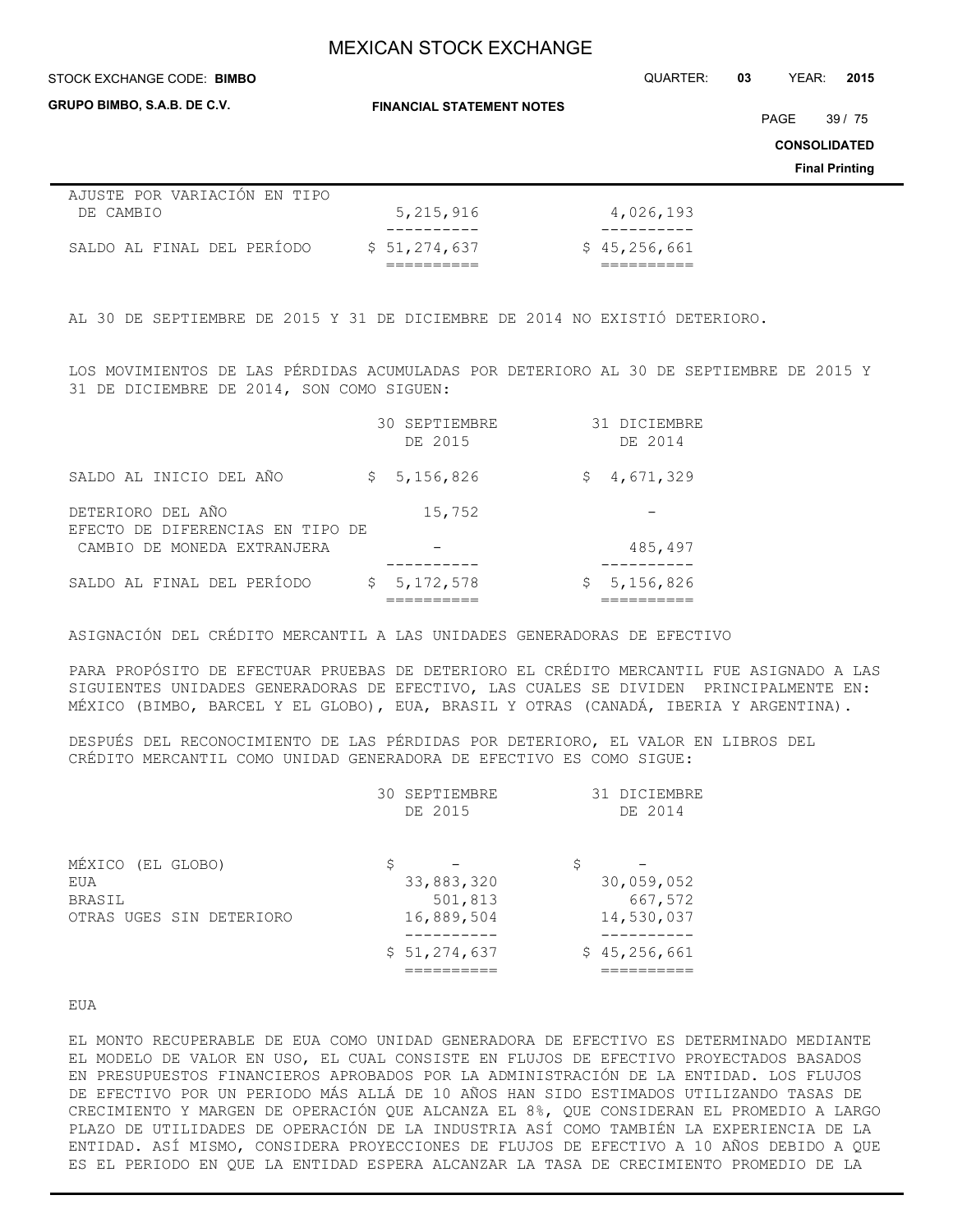#### **STOCK EXCHANGE CODE: BIMBO**

**GRUPO BIMBO, S.A.B. DE C.V.**

**FINANCIAL STATEMENT NOTES**

STOCK EXCHANGE CODE: QUARTER: **03** YEAR: **2015**

PAGE 39 / 75

**CONSOLIDATED**

**Final Printing**

| AJUSTE POR VARIACIÓN EN TIPO |              |              |
|------------------------------|--------------|--------------|
| DE CAMBIO                    | 5,215,916    | 4,026,193    |
|                              |              |              |
| SALDO AL FINAL DEL PERÍODO   | \$51,274,637 | \$45,256,661 |
|                              |              |              |

AL 30 DE SEPTIEMBRE DE 2015 Y 31 DE DICIEMBRE DE 2014 NO EXISTIÓ DETERIORO.

LOS MOVIMIENTOS DE LAS PÉRDIDAS ACUMULADAS POR DETERIORO AL 30 DE SEPTIEMBRE DE 2015 Y 31 DE DICIEMBRE DE 2014, SON COMO SIGUEN:

|                                                       | 30 SEPTIEMBRE<br>DE 2015 | 31 DICIEMBRE<br>DE 2014 |
|-------------------------------------------------------|--------------------------|-------------------------|
| SALDO AL INICIO DEL AÑO                               | \$5,156,826              | \$4,671,329             |
| DETERIORO DEL AÑO<br>EFECTO DE DIFERENCIAS EN TIPO DE | 15,752                   |                         |
| CAMBIO DE MONEDA EXTRANJERA                           |                          | 485,497                 |
| SALDO AL FINAL DEL PERÍODO                            | \$5,172,578              | 5,156,826<br>Ş.         |

ASIGNACIÓN DEL CRÉDITO MERCANTIL A LAS UNIDADES GENERADORAS DE EFECTIVO

PARA PROPÓSITO DE EFECTUAR PRUEBAS DE DETERIORO EL CRÉDITO MERCANTIL FUE ASIGNADO A LAS SIGUIENTES UNIDADES GENERADORAS DE EFECTIVO, LAS CUALES SE DIVIDEN PRINCIPALMENTE EN: MÉXICO (BIMBO, BARCEL Y EL GLOBO), EUA, BRASIL Y OTRAS (CANADÁ, IBERIA Y ARGENTINA).

DESPUÉS DEL RECONOCIMIENTO DE LAS PÉRDIDAS POR DETERIORO, EL VALOR EN LIBROS DEL CRÉDITO MERCANTIL COMO UNIDAD GENERADORA DE EFECTIVO ES COMO SIGUE:

|                                    | 30 SEPTIEMBRE<br>DE 2015    | 31 DICIEMBRE<br>DE 2014     |
|------------------------------------|-----------------------------|-----------------------------|
| MÉXICO (EL GLOBO)<br>EUA<br>BRASIL | \$<br>33,883,320<br>501,813 | \$<br>30,059,052<br>667,572 |
| OTRAS UGES SIN DETERIORO           | 16,889,504                  | 14,530,037                  |
|                                    | \$51,274,637                | \$45,256,661                |

EUA

EL MONTO RECUPERABLE DE EUA COMO UNIDAD GENERADORA DE EFECTIVO ES DETERMINADO MEDIANTE EL MODELO DE VALOR EN USO, EL CUAL CONSISTE EN FLUJOS DE EFECTIVO PROYECTADOS BASADOS EN PRESUPUESTOS FINANCIEROS APROBADOS POR LA ADMINISTRACIÓN DE LA ENTIDAD. LOS FLUJOS DE EFECTIVO POR UN PERIODO MÁS ALLÁ DE 10 AÑOS HAN SIDO ESTIMADOS UTILIZANDO TASAS DE CRECIMIENTO Y MARGEN DE OPERACIÓN QUE ALCANZA EL 8%, QUE CONSIDERAN EL PROMEDIO A LARGO PLAZO DE UTILIDADES DE OPERACIÓN DE LA INDUSTRIA ASÍ COMO TAMBIÉN LA EXPERIENCIA DE LA ENTIDAD. ASÍ MISMO, CONSIDERA PROYECCIONES DE FLUJOS DE EFECTIVO A 10 AÑOS DEBIDO A QUE ES EL PERIODO EN QUE LA ENTIDAD ESPERA ALCANZAR LA TASA DE CRECIMIENTO PROMEDIO DE LA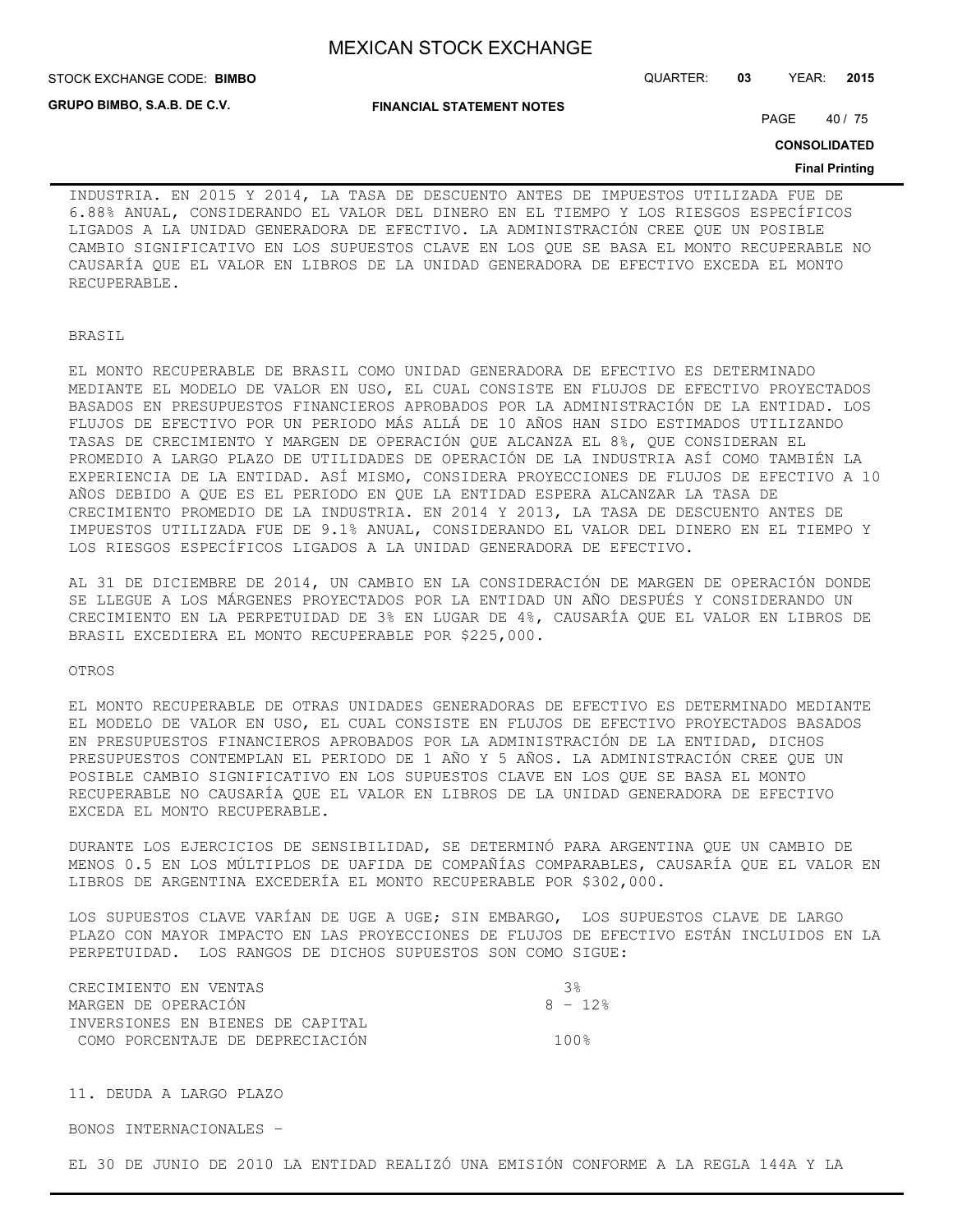**GRUPO BIMBO, S.A.B. DE C.V.**

STOCK EXCHANGE CODE: QUARTER: **03** YEAR: **2015 BIMBO**

**FINANCIAL STATEMENT NOTES**

PAGE 40 / 75

**CONSOLIDATED**

#### **Final Printing**

INDUSTRIA. EN 2015 Y 2014, LA TASA DE DESCUENTO ANTES DE IMPUESTOS UTILIZADA FUE DE 6.88% ANUAL, CONSIDERANDO EL VALOR DEL DINERO EN EL TIEMPO Y LOS RIESGOS ESPECÍFICOS LIGADOS A LA UNIDAD GENERADORA DE EFECTIVO. LA ADMINISTRACIÓN CREE QUE UN POSIBLE CAMBIO SIGNIFICATIVO EN LOS SUPUESTOS CLAVE EN LOS QUE SE BASA EL MONTO RECUPERABLE NO CAUSARÍA QUE EL VALOR EN LIBROS DE LA UNIDAD GENERADORA DE EFECTIVO EXCEDA EL MONTO RECUPERABLE.

BRASIL

EL MONTO RECUPERABLE DE BRASIL COMO UNIDAD GENERADORA DE EFECTIVO ES DETERMINADO MEDIANTE EL MODELO DE VALOR EN USO, EL CUAL CONSISTE EN FLUJOS DE EFECTIVO PROYECTADOS BASADOS EN PRESUPUESTOS FINANCIEROS APROBADOS POR LA ADMINISTRACIÓN DE LA ENTIDAD. LOS FLUJOS DE EFECTIVO POR UN PERIODO MÁS ALLÁ DE 10 AÑOS HAN SIDO ESTIMADOS UTILIZANDO TASAS DE CRECIMIENTO Y MARGEN DE OPERACIÓN QUE ALCANZA EL 8%, QUE CONSIDERAN EL PROMEDIO A LARGO PLAZO DE UTILIDADES DE OPERACIÓN DE LA INDUSTRIA ASÍ COMO TAMBIÉN LA EXPERIENCIA DE LA ENTIDAD. ASÍ MISMO, CONSIDERA PROYECCIONES DE FLUJOS DE EFECTIVO A 10 AÑOS DEBIDO A QUE ES EL PERIODO EN QUE LA ENTIDAD ESPERA ALCANZAR LA TASA DE CRECIMIENTO PROMEDIO DE LA INDUSTRIA. EN 2014 Y 2013, LA TASA DE DESCUENTO ANTES DE IMPUESTOS UTILIZADA FUE DE 9.1% ANUAL, CONSIDERANDO EL VALOR DEL DINERO EN EL TIEMPO Y LOS RIESGOS ESPECÍFICOS LIGADOS A LA UNIDAD GENERADORA DE EFECTIVO.

AL 31 DE DICIEMBRE DE 2014, UN CAMBIO EN LA CONSIDERACIÓN DE MARGEN DE OPERACIÓN DONDE SE LLEGUE A LOS MÁRGENES PROYECTADOS POR LA ENTIDAD UN AÑO DESPUÉS Y CONSIDERANDO UN CRECIMIENTO EN LA PERPETUIDAD DE 3% EN LUGAR DE 4%, CAUSARÍA QUE EL VALOR EN LIBROS DE BRASIL EXCEDIERA EL MONTO RECUPERABLE POR \$225,000.

#### OTROS

EL MONTO RECUPERABLE DE OTRAS UNIDADES GENERADORAS DE EFECTIVO ES DETERMINADO MEDIANTE EL MODELO DE VALOR EN USO, EL CUAL CONSISTE EN FLUJOS DE EFECTIVO PROYECTADOS BASADOS EN PRESUPUESTOS FINANCIEROS APROBADOS POR LA ADMINISTRACIÓN DE LA ENTIDAD, DICHOS PRESUPUESTOS CONTEMPLAN EL PERIODO DE 1 AÑO Y 5 AÑOS. LA ADMINISTRACIÓN CREE QUE UN POSIBLE CAMBIO SIGNIFICATIVO EN LOS SUPUESTOS CLAVE EN LOS QUE SE BASA EL MONTO RECUPERABLE NO CAUSARÍA QUE EL VALOR EN LIBROS DE LA UNIDAD GENERADORA DE EFECTIVO EXCEDA EL MONTO RECUPERABLE.

DURANTE LOS EJERCICIOS DE SENSIBILIDAD, SE DETERMINÓ PARA ARGENTINA QUE UN CAMBIO DE MENOS 0.5 EN LOS MÚLTIPLOS DE UAFIDA DE COMPAÑÍAS COMPARABLES, CAUSARÍA QUE EL VALOR EN LIBROS DE ARGENTINA EXCEDERÍA EL MONTO RECUPERABLE POR \$302,000.

LOS SUPUESTOS CLAVE VARÍAN DE UGE A UGE; SIN EMBARGO, LOS SUPUESTOS CLAVE DE LARGO PLAZO CON MAYOR IMPACTO EN LAS PROYECCIONES DE FLUJOS DE EFECTIVO ESTÁN INCLUIDOS EN LA PERPETUIDAD. LOS RANGOS DE DICHOS SUPUESTOS SON COMO SIGUE:

| CRECIMIENTO EN VENTAS            | - ર ક્ર  |
|----------------------------------|----------|
| MARGEN DE OPERACIÓN              | $8 - 12$ |
| INVERSIONES EN BIENES DE CAPITAL |          |
| COMO PORCENTAJE DE DEPRECIACIÓN  | 100%     |

11. DEUDA A LARGO PLAZO

BONOS INTERNACIONALES –

EL 30 DE JUNIO DE 2010 LA ENTIDAD REALIZÓ UNA EMISIÓN CONFORME A LA REGLA 144A Y LA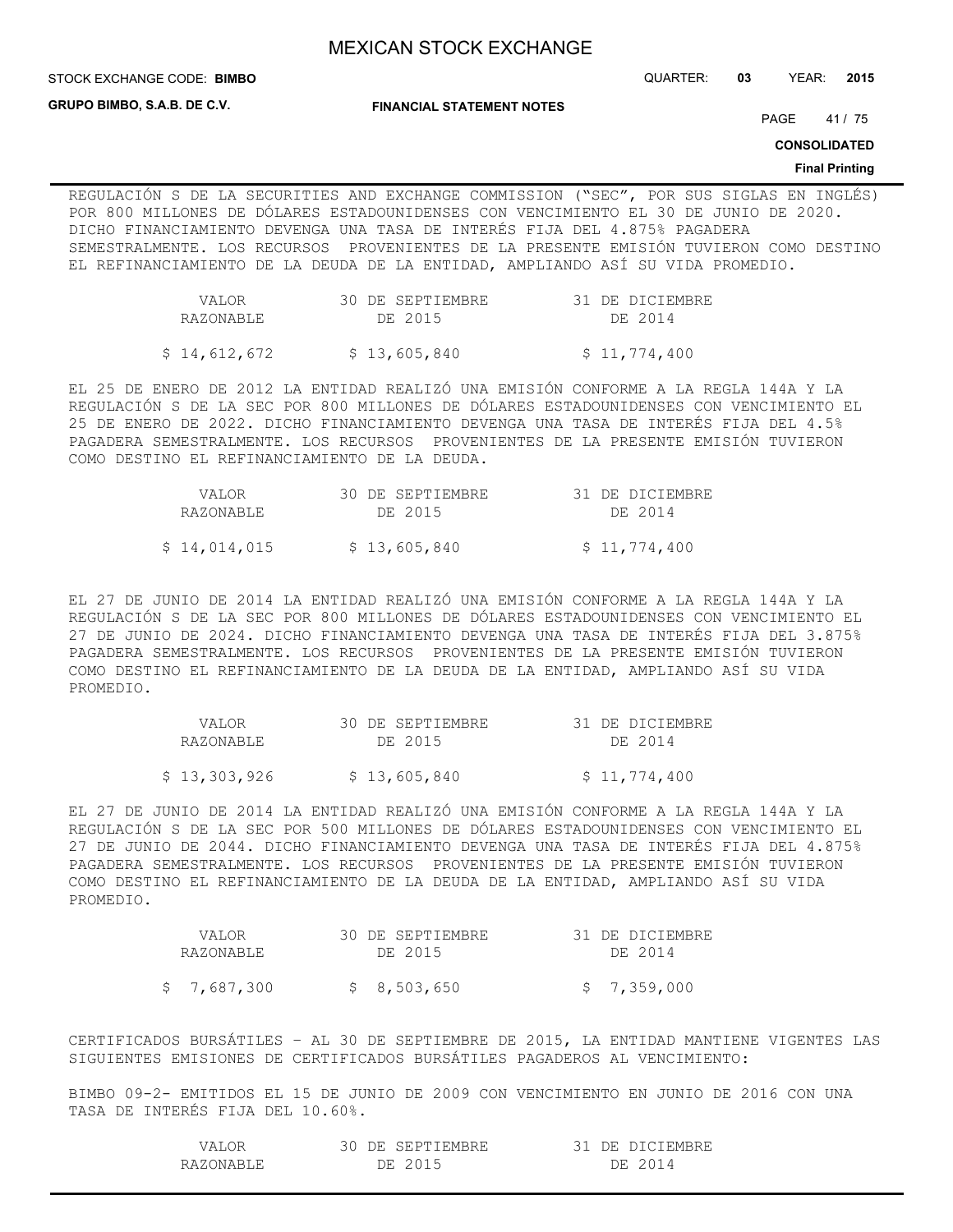STOCK EXCHANGE CODE: QUARTER: **03** YEAR: **2015 BIMBO**

**GRUPO BIMBO, S.A.B. DE C.V.**

**FINANCIAL STATEMENT NOTES**

PAGE 41 / 75

**CONSOLIDATED**

#### **Final Printing**

REGULACIÓN S DE LA SECURITIES AND EXCHANGE COMMISSION ("SEC", POR SUS SIGLAS EN INGLÉS) POR 800 MILLONES DE DÓLARES ESTADOUNIDENSES CON VENCIMIENTO EL 30 DE JUNIO DE 2020. DICHO FINANCIAMIENTO DEVENGA UNA TASA DE INTERÉS FIJA DEL 4.875% PAGADERA SEMESTRALMENTE. LOS RECURSOS PROVENIENTES DE LA PRESENTE EMISIÓN TUVIERON COMO DESTINO EL REFINANCIAMIENTO DE LA DEUDA DE LA ENTIDAD, AMPLIANDO ASÍ SU VIDA PROMEDIO.

| VALOR.       | 30 DE SEPTIEMBRE | 31 DE DICIEMBRE |
|--------------|------------------|-----------------|
| RAZONABLE    | DE 2015          | DE 2014         |
| \$14,612,672 | \$13,605,840     | \$11,774,400    |

EL 25 DE ENERO DE 2012 LA ENTIDAD REALIZÓ UNA EMISIÓN CONFORME A LA REGLA 144A Y LA REGULACIÓN S DE LA SEC POR 800 MILLONES DE DÓLARES ESTADOUNIDENSES CON VENCIMIENTO EL 25 DE ENERO DE 2022. DICHO FINANCIAMIENTO DEVENGA UNA TASA DE INTERÉS FIJA DEL 4.5% PAGADERA SEMESTRALMENTE. LOS RECURSOS PROVENIENTES DE LA PRESENTE EMISIÓN TUVIERON COMO DESTINO EL REFINANCIAMIENTO DE LA DEUDA.

| VALOR.       | 30 DE SEPTIEMBRE | 31 DE DICIEMBRE |
|--------------|------------------|-----------------|
| RAZONABLE    | DE 2015          | DE 2014         |
| \$14,014,015 | \$13,605,840     | \$11,774,400    |

EL 27 DE JUNIO DE 2014 LA ENTIDAD REALIZÓ UNA EMISIÓN CONFORME A LA REGLA 144A Y LA REGULACIÓN S DE LA SEC POR 800 MILLONES DE DÓLARES ESTADOUNIDENSES CON VENCIMIENTO EL 27 DE JUNIO DE 2024. DICHO FINANCIAMIENTO DEVENGA UNA TASA DE INTERÉS FIJA DEL 3.875% PAGADERA SEMESTRALMENTE. LOS RECURSOS PROVENIENTES DE LA PRESENTE EMISIÓN TUVIERON COMO DESTINO EL REFINANCIAMIENTO DE LA DEUDA DE LA ENTIDAD, AMPLIANDO ASÍ SU VIDA PROMEDIO.

| VALOR.       | 30 DE SEPTIEMBRE | 31 DE DICIEMBRE |
|--------------|------------------|-----------------|
| RAZONABLE    | DE 2015          | DE 2014         |
| \$13,303,926 | \$13,605,840     | \$11,774,400    |

EL 27 DE JUNIO DE 2014 LA ENTIDAD REALIZÓ UNA EMISIÓN CONFORME A LA REGLA 144A Y LA REGULACIÓN S DE LA SEC POR 500 MILLONES DE DÓLARES ESTADOUNIDENSES CON VENCIMIENTO EL 27 DE JUNIO DE 2044. DICHO FINANCIAMIENTO DEVENGA UNA TASA DE INTERÉS FIJA DEL 4.875% PAGADERA SEMESTRALMENTE. LOS RECURSOS PROVENIENTES DE LA PRESENTE EMISIÓN TUVIERON COMO DESTINO EL REFINANCIAMIENTO DE LA DEUDA DE LA ENTIDAD, AMPLIANDO ASÍ SU VIDA PROMEDIO.

| VALOR.      | 30 DE SEPTIEMBRE | 31 DE DICIEMBRE |
|-------------|------------------|-----------------|
| RAZONABLE   | DE 2015          | DE 2014         |
| \$7,687,300 | \$8,503,650      | \$7,359,000     |

CERTIFICADOS BURSÁTILES – AL 30 DE SEPTIEMBRE DE 2015, LA ENTIDAD MANTIENE VIGENTES LAS SIGUIENTES EMISIONES DE CERTIFICADOS BURSÁTILES PAGADEROS AL VENCIMIENTO:

BIMBO 09-2- EMITIDOS EL 15 DE JUNIO DE 2009 CON VENCIMIENTO EN JUNIO DE 2016 CON UNA TASA DE INTERÉS FIJA DEL 10.60%.

| 7 A T      | <b>TPTIEMBRE</b><br>SEPTI<br>DH. | :EMBRE<br>١H    |
|------------|----------------------------------|-----------------|
| RAZONARIE. | 7E -<br>2015                     | $\Delta$<br>DЕ. |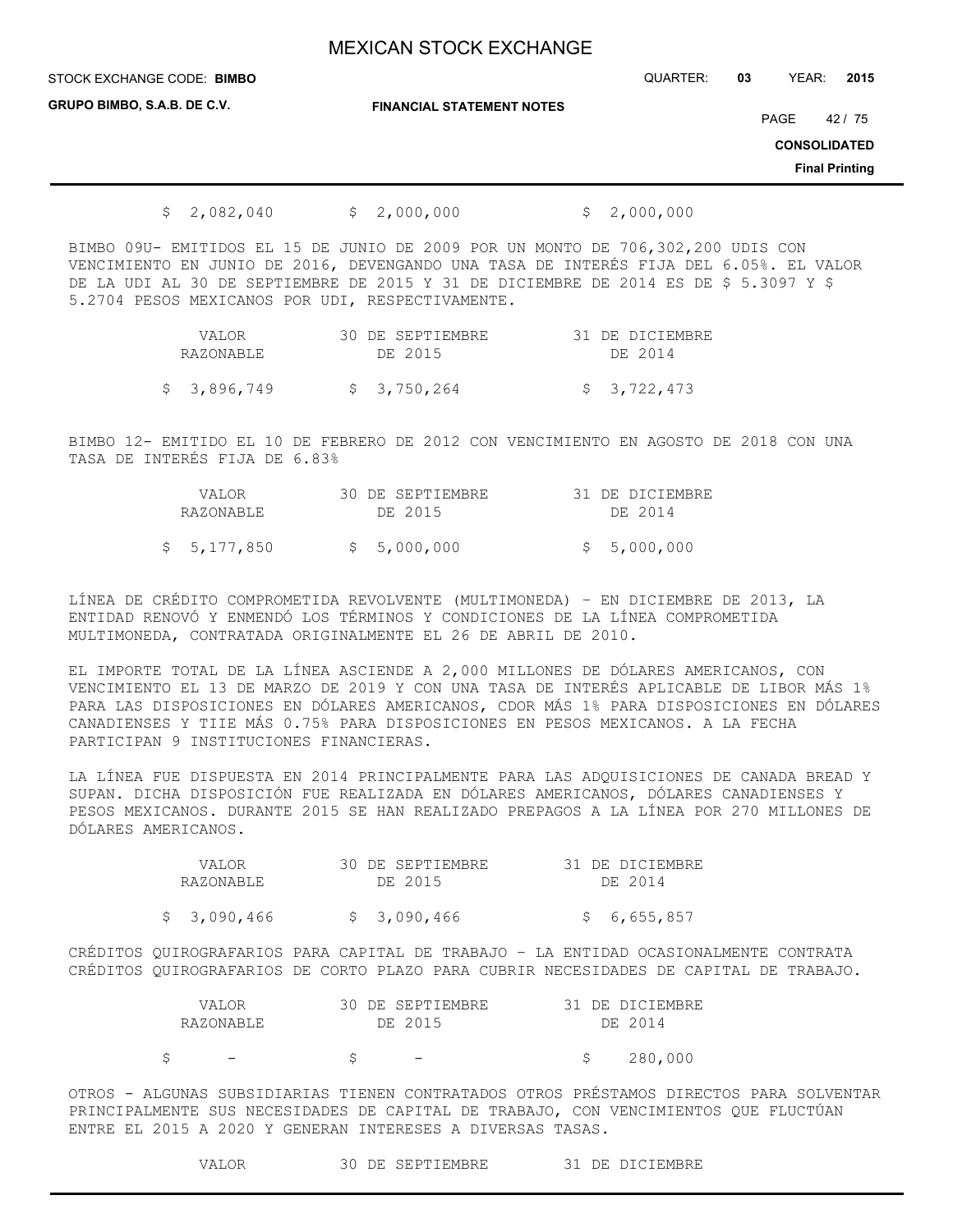STOCK EXCHANGE CODE: QUARTER: **03** YEAR: **2015 BIMBO**

**GRUPO BIMBO, S.A.B. DE C.V.**

**FINANCIAL STATEMENT NOTES**

PAGE 42 / 75

**CONSOLIDATED**

**Final Printing**

 $$ 2,082,040 \t $ 2,000,000 \t $ 2,000,000$ 

BIMBO 09U- EMITIDOS EL 15 DE JUNIO DE 2009 POR UN MONTO DE 706,302,200 UDIS CON VENCIMIENTO EN JUNIO DE 2016, DEVENGANDO UNA TASA DE INTERÉS FIJA DEL 6.05%. EL VALOR DE LA UDI AL 30 DE SEPTIEMBRE DE 2015 Y 31 DE DICIEMBRE DE 2014 ES DE \$ 5.3097 Y \$ 5.2704 PESOS MEXICANOS POR UDI, RESPECTIVAMENTE.

| VALOR.      | 30 DE SEPTIEMBRE | 31 DE DICIEMBRE |
|-------------|------------------|-----------------|
| RAZONABLE   | DE 2015          | DE 2014         |
| \$3,896,749 | \$3,750,264      | \$ 3,722,473    |

BIMBO 12- EMITIDO EL 10 DE FEBRERO DE 2012 CON VENCIMIENTO EN AGOSTO DE 2018 CON UNA TASA DE INTERÉS FIJA DE 6.83%

| VALOR.<br>RAZONABLE | 30 DE SEPTIEMBRE<br>DE 2015 | 31 DE DICIEMBRE<br>DE 2014 |
|---------------------|-----------------------------|----------------------------|
| \$5,177,850         | \$5,000,000                 | \$5,000,000                |

LÍNEA DE CRÉDITO COMPROMETIDA REVOLVENTE (MULTIMONEDA) – EN DICIEMBRE DE 2013, LA ENTIDAD RENOVÓ Y ENMENDÓ LOS TÉRMINOS Y CONDICIONES DE LA LÍNEA COMPROMETIDA MULTIMONEDA, CONTRATADA ORIGINALMENTE EL 26 DE ABRIL DE 2010.

EL IMPORTE TOTAL DE LA LÍNEA ASCIENDE A 2,000 MILLONES DE DÓLARES AMERICANOS, CON VENCIMIENTO EL 13 DE MARZO DE 2019 Y CON UNA TASA DE INTERÉS APLICABLE DE LIBOR MÁS 1% PARA LAS DISPOSICIONES EN DÓLARES AMERICANOS, CDOR MÁS 1% PARA DISPOSICIONES EN DÓLARES CANADIENSES Y TIIE MÁS 0.75% PARA DISPOSICIONES EN PESOS MEXICANOS. A LA FECHA PARTICIPAN 9 INSTITUCIONES FINANCIERAS.

LA LÍNEA FUE DISPUESTA EN 2014 PRINCIPALMENTE PARA LAS ADQUISICIONES DE CANADA BREAD Y SUPAN. DICHA DISPOSICIÓN FUE REALIZADA EN DÓLARES AMERICANOS, DÓLARES CANADIENSES Y PESOS MEXICANOS. DURANTE 2015 SE HAN REALIZADO PREPAGOS A LA LÍNEA POR 270 MILLONES DE DÓLARES AMERICANOS.

| VALOR.       | 30 DE SEPTIEMBRE | 31 DE DICIEMBRE |
|--------------|------------------|-----------------|
| RAZONABLE    | DE 2015          | DE 2014         |
| \$ 3,090,466 | \$ 3,090,466     | \$6,655,857     |

CRÉDITOS QUIROGRAFARIOS PARA CAPITAL DE TRABAJO – LA ENTIDAD OCASIONALMENTE CONTRATA CRÉDITOS QUIROGRAFARIOS DE CORTO PLAZO PARA CUBRIR NECESIDADES DE CAPITAL DE TRABAJO.

| VALOR.                   | 30 DE SEPTIEMBRE | 31 DE DICIEMBRE |
|--------------------------|------------------|-----------------|
| RAZONABLE                | DE 2015          | DE 2014         |
| $\overline{\phantom{0}}$ |                  | 280,000         |
|                          |                  |                 |

OTROS - ALGUNAS SUBSIDIARIAS TIENEN CONTRATADOS OTROS PRÉSTAMOS DIRECTOS PARA SOLVENTAR PRINCIPALMENTE SUS NECESIDADES DE CAPITAL DE TRABAJO, CON VENCIMIENTOS QUE FLUCTÚAN ENTRE EL 2015 A 2020 Y GENERAN INTERESES A DIVERSAS TASAS.

VALOR 30 DE SEPTIEMBRE 31 DE DICIEMBRE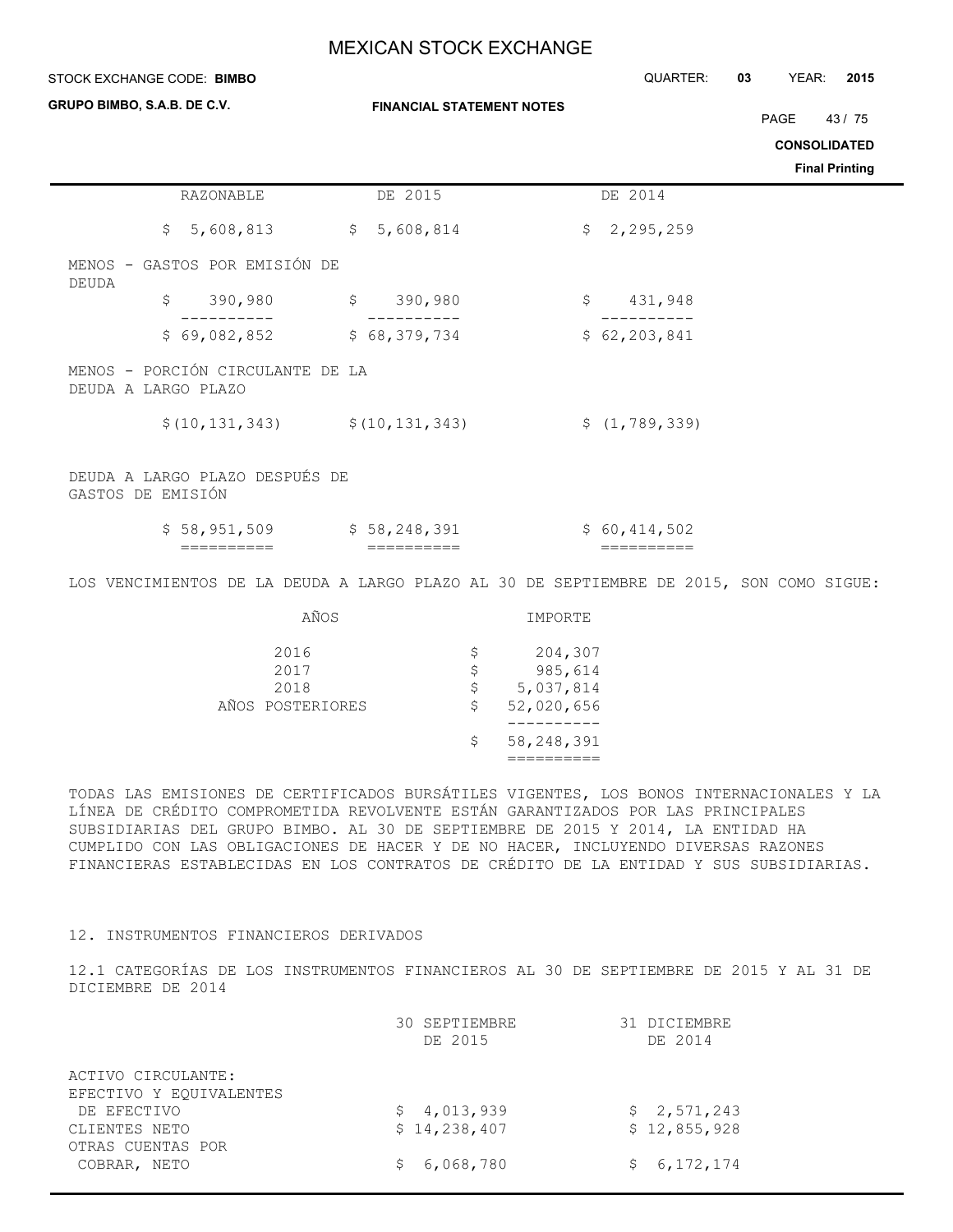| QUARTER:<br>03<br>YEAR:<br>2015                                                         |                                                                                                                                                                                                                                                               |
|-----------------------------------------------------------------------------------------|---------------------------------------------------------------------------------------------------------------------------------------------------------------------------------------------------------------------------------------------------------------|
| PAGE                                                                                    | 43/75                                                                                                                                                                                                                                                         |
|                                                                                         | <b>CONSOLIDATED</b>                                                                                                                                                                                                                                           |
|                                                                                         | <b>Final Printing</b>                                                                                                                                                                                                                                         |
| DE 2014                                                                                 |                                                                                                                                                                                                                                                               |
| \$2,295,259                                                                             |                                                                                                                                                                                                                                                               |
|                                                                                         |                                                                                                                                                                                                                                                               |
| 431,948<br>$\varsigma$                                                                  |                                                                                                                                                                                                                                                               |
| \$62, 203, 841                                                                          |                                                                                                                                                                                                                                                               |
|                                                                                         |                                                                                                                                                                                                                                                               |
| \$(1, 789, 339)                                                                         |                                                                                                                                                                                                                                                               |
|                                                                                         |                                                                                                                                                                                                                                                               |
| \$60,414,502<br>$=$ $=$ $=$ $=$ $=$ $=$ $=$ $=$ $=$                                     |                                                                                                                                                                                                                                                               |
| LOS VENCIMIENTOS DE LA DEUDA A LARGO PLAZO AL 30 DE SEPTIEMBRE DE 2015, SON COMO SIGUE: |                                                                                                                                                                                                                                                               |
|                                                                                         |                                                                                                                                                                                                                                                               |
|                                                                                         |                                                                                                                                                                                                                                                               |
|                                                                                         |                                                                                                                                                                                                                                                               |
| 204,307<br>985,614<br>5,037,814<br>52,020,656<br>-----------<br>58, 248, 391            | TODAS LAS EMISIONES DE CERTIFICADOS BURSÁTILES VIGENTES, LOS BONOS INTERNACIONALES Y LA<br>LÍNEA DE CRÉDITO COMPROMETIDA REVOLVENTE ESTÁN GARANTIZADOS POR LAS PRINCIPALES<br>SURSIDIARIAS DEL CRUPO RIMRO, AL 30 DE SEPTIEMBRE DE 2015 Y 2014, LA ENTIDAD HA |

SUBSIDIARIAS DEL GRUPO BIMBO. AL 30 DE SEPTIEMBRE DE 2015 Y 2014, LA ENTIDAD HA CUMPLIDO CON LAS OBLIGACIONES DE HACER Y DE NO HACER, INCLUYENDO DIVERSAS RAZONES FINANCIERAS ESTABLECIDAS EN LOS CONTRATOS DE CRÉDITO DE LA ENTIDAD Y SUS SUBSIDIARIAS.

### 12. INSTRUMENTOS FINANCIEROS DERIVADOS

12.1 CATEGORÍAS DE LOS INSTRUMENTOS FINANCIEROS AL 30 DE SEPTIEMBRE DE 2015 Y AL 31 DE DICIEMBRE DE 2014

|                         | 30 SEPTIEMBRE<br>DE 2015 | 31 DICIEMBRE<br>DE 2014 |
|-------------------------|--------------------------|-------------------------|
| ACTIVO CIRCULANTE:      |                          |                         |
| EFECTIVO Y EQUIVALENTES |                          |                         |
| DE EFECTIVO             | \$4,013,939              | \$2,571,243             |
| CLIENTES NETO           | \$14,238,407             | \$12,855,928            |
| OTRAS CUENTAS POR       |                          |                         |
| COBRAR, NETO            | 6,068,780                | \$6, 172, 174           |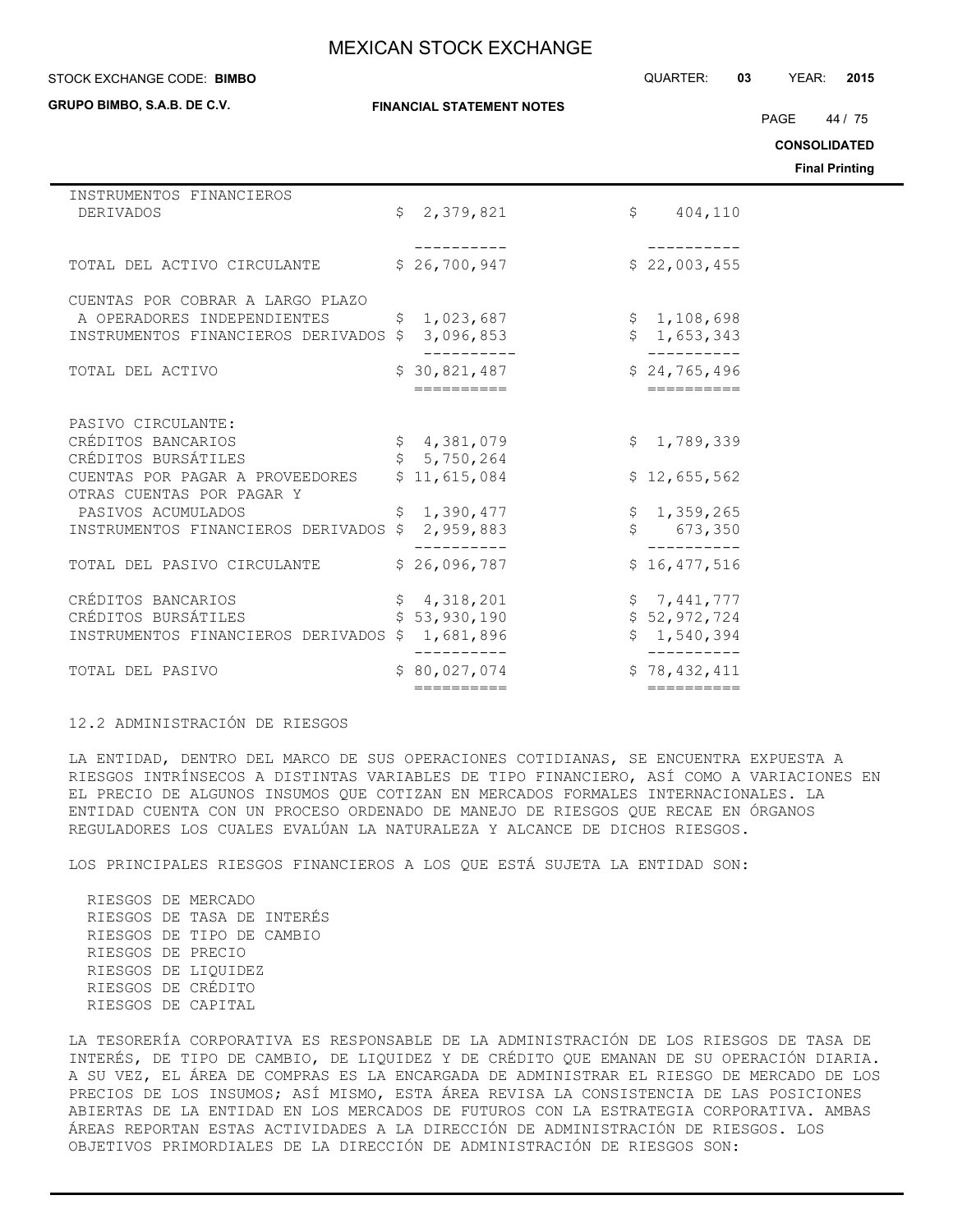#### STOCK EXCHANGE CODE: QUARTER: **03** YEAR: **2015 BIMBO**

**GRUPO BIMBO, S.A.B. DE C.V.**

**FINANCIAL STATEMENT NOTES**

PAGE 44 / 75

**CONSOLIDATED**

**Final Printing**

| INSTRUMENTOS FINANCIEROS              |    |                            |    |                            |
|---------------------------------------|----|----------------------------|----|----------------------------|
| <b>DERIVADOS</b>                      | Ŝ. | 2,379,821                  |    | $\mathsf{S}$<br>404,110    |
|                                       |    |                            |    |                            |
|                                       |    |                            |    |                            |
| TOTAL DEL ACTIVO CIRCULANTE           |    | \$26,700,947               |    | \$22,003,455               |
|                                       |    |                            |    |                            |
| CUENTAS POR COBRAR A LARGO PLAZO      |    |                            |    |                            |
| A OPERADORES INDEPENDIENTES           | \$ | 1,023,687                  |    | \$1,108,698                |
| INSTRUMENTOS FINANCIEROS DERIVADOS \$ |    | 3,096,853                  |    | \$1,653,343                |
|                                       |    |                            |    |                            |
| TOTAL DEL ACTIVO                      |    | \$30,821,487<br>========== |    | \$24,765,496<br>========== |
|                                       |    |                            |    |                            |
| PASIVO CIRCULANTE:                    |    |                            |    |                            |
| CRÉDITOS BANCARIOS                    |    | \$4,381,079                |    | \$1,789,339                |
| CRÉDITOS BURSÁTILES                   |    | \$5,750,264                |    |                            |
| CUENTAS POR PAGAR A PROVEEDORES       |    | \$11,615,084               |    | \$12,655,562               |
| OTRAS CUENTAS POR PAGAR Y             |    |                            |    |                            |
| PASIVOS ACUMULADOS                    | \$ | 1,390,477                  |    | \$1,359,265                |
| INSTRUMENTOS FINANCIEROS DERIVADOS    | Ŝ  | 2,959,883                  | \$ | 673,350                    |
|                                       |    |                            |    |                            |
| TOTAL DEL PASIVO CIRCULANTE           |    | \$26,096,787               |    | \$16,477,516               |
| CRÉDITOS BANCARIOS                    | \$ | 4,318,201                  |    | \$7,441,777                |
| CRÉDITOS BURSÁTILES                   |    | 53,930,190                 |    | \$52,972,724               |
|                                       |    |                            | Ŝ. |                            |
| INSTRUMENTOS FINANCIEROS DERIVADOS    | Ŝ. | 1,681,896                  |    | 1,540,394                  |
| TOTAL DEL PASIVO                      |    | \$80,027,074               |    | \$78,432,411               |
|                                       |    | ==========                 |    | ==========                 |
|                                       |    |                            |    |                            |

12.2 ADMINISTRACIÓN DE RIESGOS

LA ENTIDAD, DENTRO DEL MARCO DE SUS OPERACIONES COTIDIANAS, SE ENCUENTRA EXPUESTA A RIESGOS INTRÍNSECOS A DISTINTAS VARIABLES DE TIPO FINANCIERO, ASÍ COMO A VARIACIONES EN EL PRECIO DE ALGUNOS INSUMOS QUE COTIZAN EN MERCADOS FORMALES INTERNACIONALES. LA ENTIDAD CUENTA CON UN PROCESO ORDENADO DE MANEJO DE RIESGOS QUE RECAE EN ÓRGANOS REGULADORES LOS CUALES EVALÚAN LA NATURALEZA Y ALCANCE DE DICHOS RIESGOS.

LOS PRINCIPALES RIESGOS FINANCIEROS A LOS QUE ESTÁ SUJETA LA ENTIDAD SON:

 RIESGOS DE MERCADO RIESGOS DE TASA DE INTERÉS RIESGOS DE TIPO DE CAMBIO RIESGOS DE PRECIO RIESGOS DE LIQUIDEZ RIESGOS DE CRÉDITO RIESGOS DE CAPITAL

LA TESORERÍA CORPORATIVA ES RESPONSABLE DE LA ADMINISTRACIÓN DE LOS RIESGOS DE TASA DE INTERÉS, DE TIPO DE CAMBIO, DE LIQUIDEZ Y DE CRÉDITO QUE EMANAN DE SU OPERACIÓN DIARIA. A SU VEZ, EL ÁREA DE COMPRAS ES LA ENCARGADA DE ADMINISTRAR EL RIESGO DE MERCADO DE LOS PRECIOS DE LOS INSUMOS; ASÍ MISMO, ESTA ÁREA REVISA LA CONSISTENCIA DE LAS POSICIONES ABIERTAS DE LA ENTIDAD EN LOS MERCADOS DE FUTUROS CON LA ESTRATEGIA CORPORATIVA. AMBAS ÁREAS REPORTAN ESTAS ACTIVIDADES A LA DIRECCIÓN DE ADMINISTRACIÓN DE RIESGOS. LOS OBJETIVOS PRIMORDIALES DE LA DIRECCIÓN DE ADMINISTRACIÓN DE RIESGOS SON: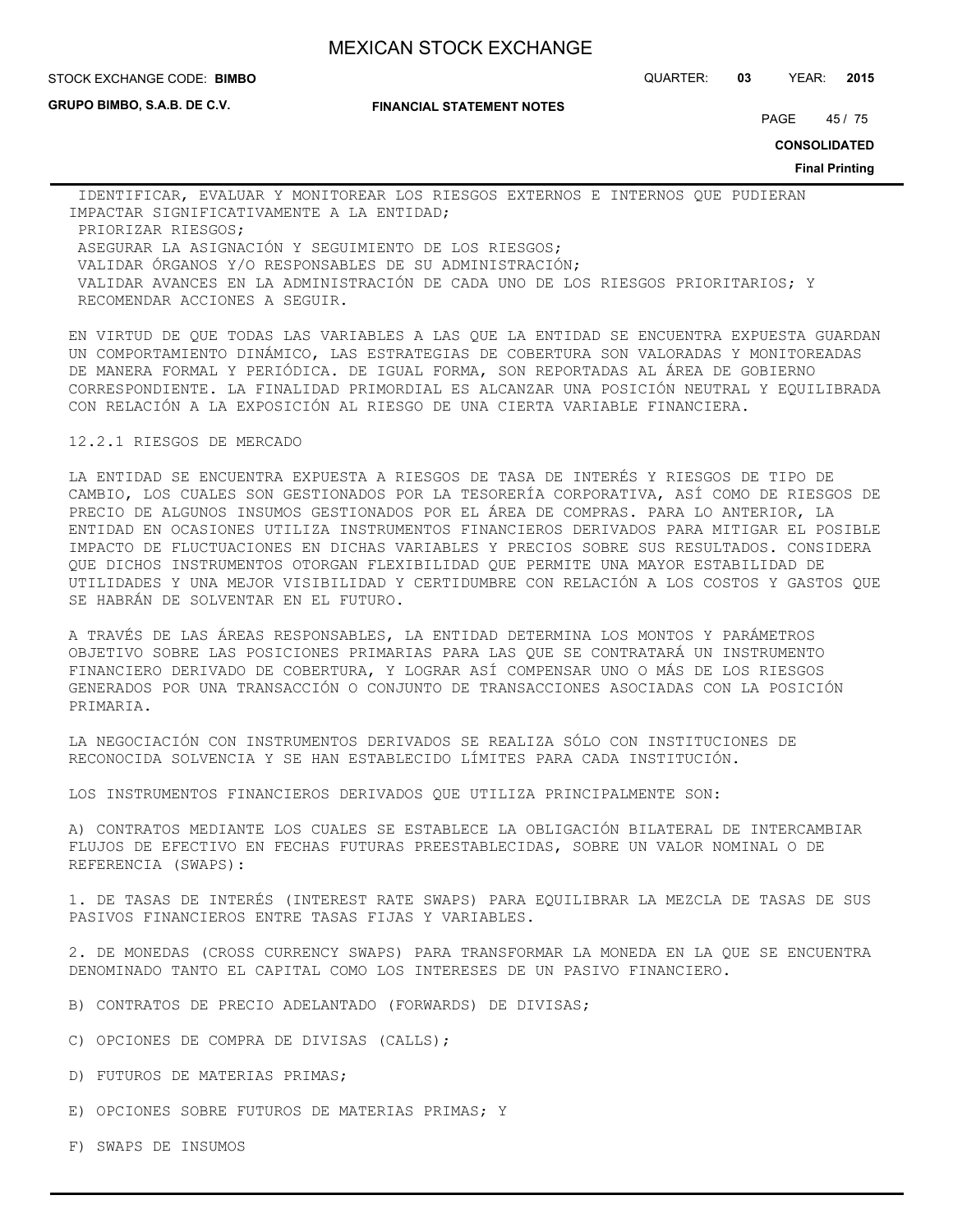STOCK EXCHANGE CODE: QUARTER: **03** YEAR: **2015 BIMBO**

**GRUPO BIMBO, S.A.B. DE C.V.**

#### **FINANCIAL STATEMENT NOTES**

PAGE 45 / 75

**CONSOLIDATED**

**Final Printing**

 IDENTIFICAR, EVALUAR Y MONITOREAR LOS RIESGOS EXTERNOS E INTERNOS QUE PUDIERAN IMPACTAR SIGNIFICATIVAMENTE A LA ENTIDAD; PRIORIZAR RIESGOS; ASEGURAR LA ASIGNACIÓN Y SEGUIMIENTO DE LOS RIESGOS; VALIDAR ÓRGANOS Y/O RESPONSABLES DE SU ADMINISTRACIÓN; VALIDAR AVANCES EN LA ADMINISTRACIÓN DE CADA UNO DE LOS RIESGOS PRIORITARIOS; Y RECOMENDAR ACCIONES A SEGUIR.

EN VIRTUD DE QUE TODAS LAS VARIABLES A LAS QUE LA ENTIDAD SE ENCUENTRA EXPUESTA GUARDAN UN COMPORTAMIENTO DINÁMICO, LAS ESTRATEGIAS DE COBERTURA SON VALORADAS Y MONITOREADAS DE MANERA FORMAL Y PERIÓDICA. DE IGUAL FORMA, SON REPORTADAS AL ÁREA DE GOBIERNO CORRESPONDIENTE. LA FINALIDAD PRIMORDIAL ES ALCANZAR UNA POSICIÓN NEUTRAL Y EQUILIBRADA CON RELACIÓN A LA EXPOSICIÓN AL RIESGO DE UNA CIERTA VARIABLE FINANCIERA.

#### 12.2.1 RIESGOS DE MERCADO

LA ENTIDAD SE ENCUENTRA EXPUESTA A RIESGOS DE TASA DE INTERÉS Y RIESGOS DE TIPO DE CAMBIO, LOS CUALES SON GESTIONADOS POR LA TESORERÍA CORPORATIVA, ASÍ COMO DE RIESGOS DE PRECIO DE ALGUNOS INSUMOS GESTIONADOS POR EL ÁREA DE COMPRAS. PARA LO ANTERIOR, LA ENTIDAD EN OCASIONES UTILIZA INSTRUMENTOS FINANCIEROS DERIVADOS PARA MITIGAR EL POSIBLE IMPACTO DE FLUCTUACIONES EN DICHAS VARIABLES Y PRECIOS SOBRE SUS RESULTADOS. CONSIDERA QUE DICHOS INSTRUMENTOS OTORGAN FLEXIBILIDAD QUE PERMITE UNA MAYOR ESTABILIDAD DE UTILIDADES Y UNA MEJOR VISIBILIDAD Y CERTIDUMBRE CON RELACIÓN A LOS COSTOS Y GASTOS QUE SE HABRÁN DE SOLVENTAR EN EL FUTURO.

A TRAVÉS DE LAS ÁREAS RESPONSABLES, LA ENTIDAD DETERMINA LOS MONTOS Y PARÁMETROS OBJETIVO SOBRE LAS POSICIONES PRIMARIAS PARA LAS QUE SE CONTRATARÁ UN INSTRUMENTO FINANCIERO DERIVADO DE COBERTURA, Y LOGRAR ASÍ COMPENSAR UNO O MÁS DE LOS RIESGOS GENERADOS POR UNA TRANSACCIÓN O CONJUNTO DE TRANSACCIONES ASOCIADAS CON LA POSICIÓN PRIMARIA.

LA NEGOCIACIÓN CON INSTRUMENTOS DERIVADOS SE REALIZA SÓLO CON INSTITUCIONES DE RECONOCIDA SOLVENCIA Y SE HAN ESTABLECIDO LÍMITES PARA CADA INSTITUCIÓN.

LOS INSTRUMENTOS FINANCIEROS DERIVADOS QUE UTILIZA PRINCIPALMENTE SON:

A) CONTRATOS MEDIANTE LOS CUALES SE ESTABLECE LA OBLIGACIÓN BILATERAL DE INTERCAMBIAR FLUJOS DE EFECTIVO EN FECHAS FUTURAS PREESTABLECIDAS, SOBRE UN VALOR NOMINAL O DE REFERENCIA (SWAPS):

1. DE TASAS DE INTERÉS (INTEREST RATE SWAPS) PARA EQUILIBRAR LA MEZCLA DE TASAS DE SUS PASIVOS FINANCIEROS ENTRE TASAS FIJAS Y VARIABLES.

2. DE MONEDAS (CROSS CURRENCY SWAPS) PARA TRANSFORMAR LA MONEDA EN LA QUE SE ENCUENTRA DENOMINADO TANTO EL CAPITAL COMO LOS INTERESES DE UN PASIVO FINANCIERO.

- B) CONTRATOS DE PRECIO ADELANTADO (FORWARDS) DE DIVISAS;
- C) OPCIONES DE COMPRA DE DIVISAS (CALLS);
- D) FUTUROS DE MATERIAS PRIMAS;
- E) OPCIONES SOBRE FUTUROS DE MATERIAS PRIMAS; Y
- F) SWAPS DE INSUMOS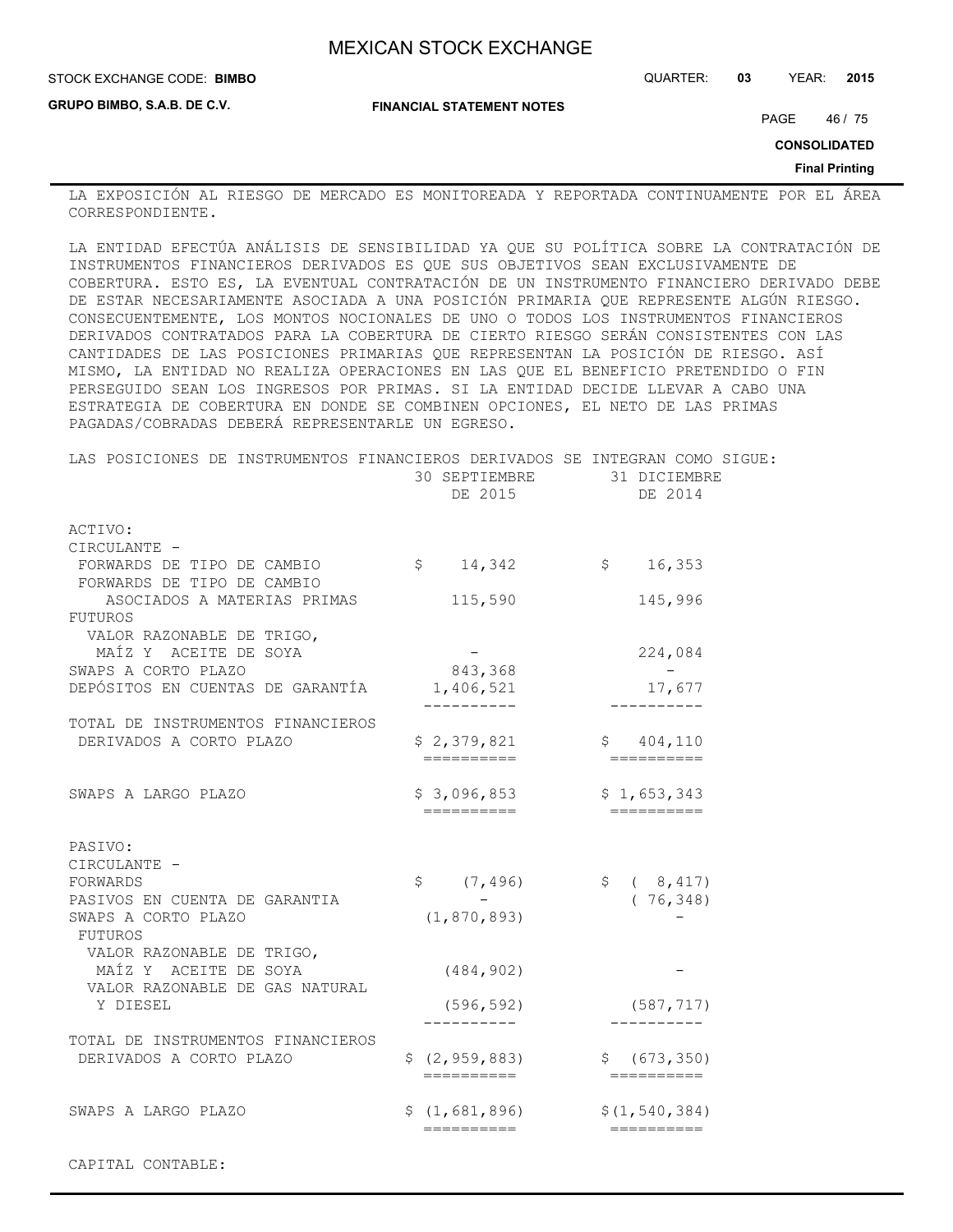**GRUPO BIMBO, S.A.B. DE C.V.**

STOCK EXCHANGE CODE: QUARTER: **03** YEAR: **2015 BIMBO**

**FINANCIAL STATEMENT NOTES**

PAGE 46 / 75

**CONSOLIDATED**

**Final Printing**

LA EXPOSICIÓN AL RIESGO DE MERCADO ES MONITOREADA Y REPORTADA CONTINUAMENTE POR EL ÁREA CORRESPONDIENTE.

LA ENTIDAD EFECTÚA ANÁLISIS DE SENSIBILIDAD YA QUE SU POLÍTICA SOBRE LA CONTRATACIÓN DE INSTRUMENTOS FINANCIEROS DERIVADOS ES QUE SUS OBJETIVOS SEAN EXCLUSIVAMENTE DE COBERTURA. ESTO ES, LA EVENTUAL CONTRATACIÓN DE UN INSTRUMENTO FINANCIERO DERIVADO DEBE DE ESTAR NECESARIAMENTE ASOCIADA A UNA POSICIÓN PRIMARIA QUE REPRESENTE ALGÚN RIESGO. CONSECUENTEMENTE, LOS MONTOS NOCIONALES DE UNO O TODOS LOS INSTRUMENTOS FINANCIEROS DERIVADOS CONTRATADOS PARA LA COBERTURA DE CIERTO RIESGO SERÁN CONSISTENTES CON LAS CANTIDADES DE LAS POSICIONES PRIMARIAS QUE REPRESENTAN LA POSICIÓN DE RIESGO. ASÍ MISMO, LA ENTIDAD NO REALIZA OPERACIONES EN LAS QUE EL BENEFICIO PRETENDIDO O FIN PERSEGUIDO SEAN LOS INGRESOS POR PRIMAS. SI LA ENTIDAD DECIDE LLEVAR A CABO UNA ESTRATEGIA DE COBERTURA EN DONDE SE COMBINEN OPCIONES, EL NETO DE LAS PRIMAS PAGADAS/COBRADAS DEBERÁ REPRESENTARLE UN EGRESO.

| LAS POSICIONES DE INSTRUMENTOS FINANCIEROS DERIVADOS SE INTEGRAN COMO SIGUE: | DE 2015                            | 30 SEPTIEMBRE 31 DICIEMBRE<br>DE 2014 |
|------------------------------------------------------------------------------|------------------------------------|---------------------------------------|
| ACTIVO:<br>CIRCULANTE -                                                      |                                    |                                       |
| FORWARDS DE TIPO DE CAMBIO<br>FORWARDS DE TIPO DE CAMBIO                     | \$14,342                           | \$16,353                              |
| ASOCIADOS A MATERIAS PRIMAS<br><b>FUTUROS</b>                                | 115,590                            | 145,996                               |
| VALOR RAZONABLE DE TRIGO,<br>MAÍZ Y ACEITE DE SOYA                           |                                    | 224,084                               |
| SWAPS A CORTO PLAZO<br>DEPÓSITOS EN CUENTAS DE GARANTÍA                      | 843,368<br>1,406,521<br>__________ | $-$<br>17,677                         |
| TOTAL DE INSTRUMENTOS FINANCIEROS<br>DERIVADOS A CORTO PLAZO                 | \$2,379,821<br>==========          | \$404,110<br>===========              |
| SWAPS A LARGO PLAZO                                                          | \$3,096,853<br>==========          | \$1,653,343                           |
| PASIVO:<br>CIRCULANTE -                                                      |                                    |                                       |
| FORWARDS                                                                     | \$ (7, 496)                        | $\frac{1}{2}$ ( 8,417)                |
| PASIVOS EN CUENTA DE GARANTIA                                                |                                    | (76, 348)                             |
| SWAPS A CORTO PLAZO<br><b>FUTUROS</b>                                        | (1, 870, 893)                      |                                       |
| VALOR RAZONABLE DE TRIGO,<br>MAÍZ Y ACEITE DE SOYA                           | (484, 902)                         |                                       |
| VALOR RAZONABLE DE GAS NATURAL<br>Y DIESEL                                   | (596, 592)                         | (587, 717)                            |
| TOTAL DE INSTRUMENTOS FINANCIEROS<br>DERIVADOS A CORTO PLAZO                 | \$(2, 959, 883)<br>==========      | \$ (673, 350)                         |
| SWAPS A LARGO PLAZO                                                          | \$(1,681,896)<br>==========        | \$(1, 540, 384)<br>==========         |
|                                                                              |                                    |                                       |

CAPITAL CONTABLE: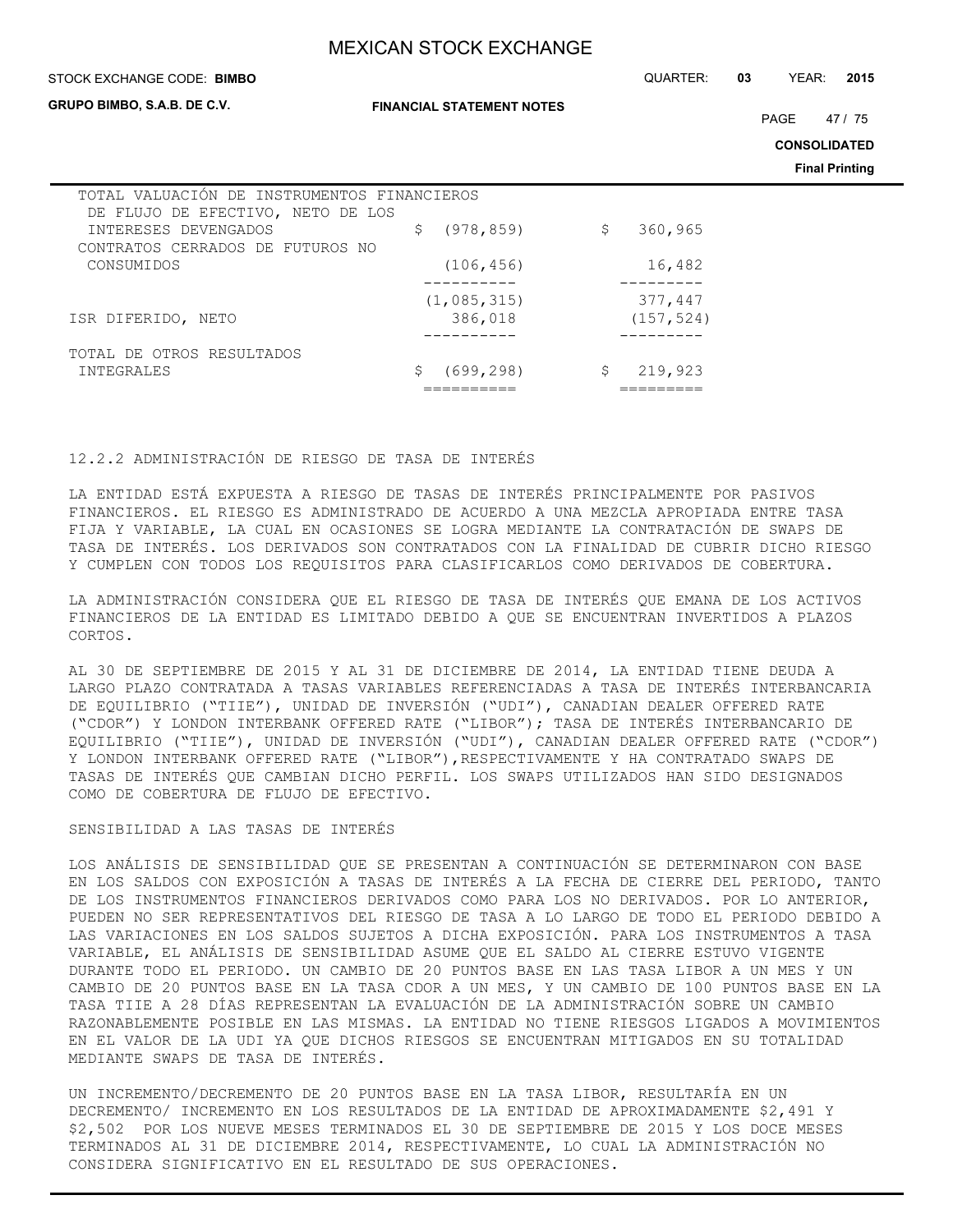#### STOCK EXCHANGE CODE: QUARTER: **03** YEAR: **2015 BIMBO**

**GRUPO BIMBO, S.A.B. DE C.V.**

**FINANCIAL STATEMENT NOTES**

PAGE 47 / 75

**CONSOLIDATED**

**Final Printing**

| TOTAL VALUACIÓN DE INSTRUMENTOS FINANCIEROS<br>DE FLUJO DE EFECTIVO, NETO DE LOS |                 |               |
|----------------------------------------------------------------------------------|-----------------|---------------|
| INTERESES DEVENGADOS<br>CONTRATOS CERRADOS DE FUTUROS NO                         | (978, 859)<br>S | 360,965<br>\$ |
| CONSUMIDOS                                                                       | (106, 456)      | 16,482        |
|                                                                                  | (1,085,315)     | 377,447       |
| ISR DIFERIDO, NETO                                                               | 386,018         | (157, 524)    |
| TOTAL DE OTROS RESULTADOS<br>INTEGRALES                                          | (699, 298)      | 219,923<br>\$ |
|                                                                                  |                 |               |

### 12.2.2 ADMINISTRACIÓN DE RIESGO DE TASA DE INTERÉS

LA ENTIDAD ESTÁ EXPUESTA A RIESGO DE TASAS DE INTERÉS PRINCIPALMENTE POR PASIVOS FINANCIEROS. EL RIESGO ES ADMINISTRADO DE ACUERDO A UNA MEZCLA APROPIADA ENTRE TASA FIJA Y VARIABLE, LA CUAL EN OCASIONES SE LOGRA MEDIANTE LA CONTRATACIÓN DE SWAPS DE TASA DE INTERÉS. LOS DERIVADOS SON CONTRATADOS CON LA FINALIDAD DE CUBRIR DICHO RIESGO Y CUMPLEN CON TODOS LOS REQUISITOS PARA CLASIFICARLOS COMO DERIVADOS DE COBERTURA.

LA ADMINISTRACIÓN CONSIDERA QUE EL RIESGO DE TASA DE INTERÉS QUE EMANA DE LOS ACTIVOS FINANCIEROS DE LA ENTIDAD ES LIMITADO DEBIDO A QUE SE ENCUENTRAN INVERTIDOS A PLAZOS CORTOS.

AL 30 DE SEPTIEMBRE DE 2015 Y AL 31 DE DICIEMBRE DE 2014, LA ENTIDAD TIENE DEUDA A LARGO PLAZO CONTRATADA A TASAS VARIABLES REFERENCIADAS A TASA DE INTERÉS INTERBANCARIA DE EQUILIBRIO ("TIIE"), UNIDAD DE INVERSIÓN ("UDI"), CANADIAN DEALER OFFERED RATE ("CDOR") Y LONDON INTERBANK OFFERED RATE ("LIBOR"); TASA DE INTERÉS INTERBANCARIO DE EQUILIBRIO ("TIIE"), UNIDAD DE INVERSIÓN ("UDI"), CANADIAN DEALER OFFERED RATE ("CDOR") Y LONDON INTERBANK OFFERED RATE ("LIBOR"),RESPECTIVAMENTE Y HA CONTRATADO SWAPS DE TASAS DE INTERÉS QUE CAMBIAN DICHO PERFIL. LOS SWAPS UTILIZADOS HAN SIDO DESIGNADOS COMO DE COBERTURA DE FLUJO DE EFECTIVO.

#### SENSIBILIDAD A LAS TASAS DE INTERÉS

LOS ANÁLISIS DE SENSIBILIDAD QUE SE PRESENTAN A CONTINUACIÓN SE DETERMINARON CON BASE EN LOS SALDOS CON EXPOSICIÓN A TASAS DE INTERÉS A LA FECHA DE CIERRE DEL PERIODO, TANTO DE LOS INSTRUMENTOS FINANCIEROS DERIVADOS COMO PARA LOS NO DERIVADOS. POR LO ANTERIOR, PUEDEN NO SER REPRESENTATIVOS DEL RIESGO DE TASA A LO LARGO DE TODO EL PERIODO DEBIDO A LAS VARIACIONES EN LOS SALDOS SUJETOS A DICHA EXPOSICIÓN. PARA LOS INSTRUMENTOS A TASA VARIABLE, EL ANÁLISIS DE SENSIBILIDAD ASUME QUE EL SALDO AL CIERRE ESTUVO VIGENTE DURANTE TODO EL PERIODO. UN CAMBIO DE 20 PUNTOS BASE EN LAS TASA LIBOR A UN MES Y UN CAMBIO DE 20 PUNTOS BASE EN LA TASA CDOR A UN MES, Y UN CAMBIO DE 100 PUNTOS BASE EN LA TASA TIIE A 28 DÍAS REPRESENTAN LA EVALUACIÓN DE LA ADMINISTRACIÓN SOBRE UN CAMBIO RAZONABLEMENTE POSIBLE EN LAS MISMAS. LA ENTIDAD NO TIENE RIESGOS LIGADOS A MOVIMIENTOS EN EL VALOR DE LA UDI YA QUE DICHOS RIESGOS SE ENCUENTRAN MITIGADOS EN SU TOTALIDAD MEDIANTE SWAPS DE TASA DE INTERÉS.

UN INCREMENTO/DECREMENTO DE 20 PUNTOS BASE EN LA TASA LIBOR, RESULTARÍA EN UN DECREMENTO/ INCREMENTO EN LOS RESULTADOS DE LA ENTIDAD DE APROXIMADAMENTE \$2,491 Y \$2,502 POR LOS NUEVE MESES TERMINADOS EL 30 DE SEPTIEMBRE DE 2015 Y LOS DOCE MESES TERMINADOS AL 31 DE DICIEMBRE 2014, RESPECTIVAMENTE, LO CUAL LA ADMINISTRACIÓN NO CONSIDERA SIGNIFICATIVO EN EL RESULTADO DE SUS OPERACIONES.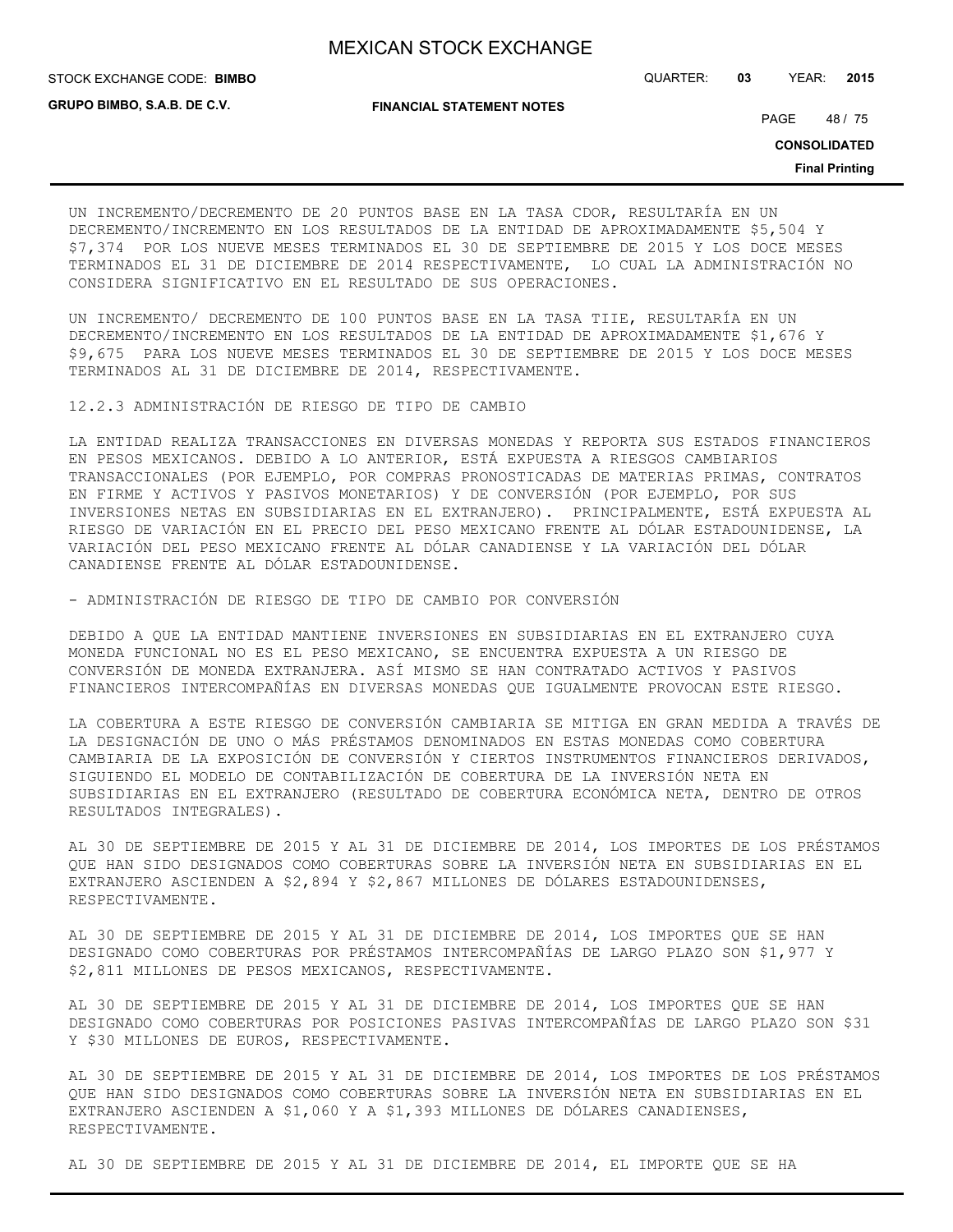STOCK EXCHANGE CODE: QUARTER: **03** YEAR: **2015 BIMBO**

**GRUPO BIMBO, S.A.B. DE C.V.**

**FINANCIAL STATEMENT NOTES**

PAGE 48 / 75

**CONSOLIDATED**

**Final Printing**

UN INCREMENTO/DECREMENTO DE 20 PUNTOS BASE EN LA TASA CDOR, RESULTARÍA EN UN DECREMENTO/INCREMENTO EN LOS RESULTADOS DE LA ENTIDAD DE APROXIMADAMENTE \$5,504 Y \$7,374 POR LOS NUEVE MESES TERMINADOS EL 30 DE SEPTIEMBRE DE 2015 Y LOS DOCE MESES TERMINADOS EL 31 DE DICIEMBRE DE 2014 RESPECTIVAMENTE, LO CUAL LA ADMINISTRACIÓN NO CONSIDERA SIGNIFICATIVO EN EL RESULTADO DE SUS OPERACIONES.

UN INCREMENTO/ DECREMENTO DE 100 PUNTOS BASE EN LA TASA TIIE, RESULTARÍA EN UN DECREMENTO/INCREMENTO EN LOS RESULTADOS DE LA ENTIDAD DE APROXIMADAMENTE \$1,676 Y \$9,675 PARA LOS NUEVE MESES TERMINADOS EL 30 DE SEPTIEMBRE DE 2015 Y LOS DOCE MESES TERMINADOS AL 31 DE DICIEMBRE DE 2014, RESPECTIVAMENTE.

12.2.3 ADMINISTRACIÓN DE RIESGO DE TIPO DE CAMBIO

LA ENTIDAD REALIZA TRANSACCIONES EN DIVERSAS MONEDAS Y REPORTA SUS ESTADOS FINANCIEROS EN PESOS MEXICANOS. DEBIDO A LO ANTERIOR, ESTÁ EXPUESTA A RIESGOS CAMBIARIOS TRANSACCIONALES (POR EJEMPLO, POR COMPRAS PRONOSTICADAS DE MATERIAS PRIMAS, CONTRATOS EN FIRME Y ACTIVOS Y PASIVOS MONETARIOS) Y DE CONVERSIÓN (POR EJEMPLO, POR SUS INVERSIONES NETAS EN SUBSIDIARIAS EN EL EXTRANJERO). PRINCIPALMENTE, ESTÁ EXPUESTA AL RIESGO DE VARIACIÓN EN EL PRECIO DEL PESO MEXICANO FRENTE AL DÓLAR ESTADOUNIDENSE, LA VARIACIÓN DEL PESO MEXICANO FRENTE AL DÓLAR CANADIENSE Y LA VARIACIÓN DEL DÓLAR CANADIENSE FRENTE AL DÓLAR ESTADOUNIDENSE.

- ADMINISTRACIÓN DE RIESGO DE TIPO DE CAMBIO POR CONVERSIÓN

DEBIDO A QUE LA ENTIDAD MANTIENE INVERSIONES EN SUBSIDIARIAS EN EL EXTRANJERO CUYA MONEDA FUNCIONAL NO ES EL PESO MEXICANO, SE ENCUENTRA EXPUESTA A UN RIESGO DE CONVERSIÓN DE MONEDA EXTRANJERA. ASÍ MISMO SE HAN CONTRATADO ACTIVOS Y PASIVOS FINANCIEROS INTERCOMPAÑÍAS EN DIVERSAS MONEDAS QUE IGUALMENTE PROVOCAN ESTE RIESGO.

LA COBERTURA A ESTE RIESGO DE CONVERSIÓN CAMBIARIA SE MITIGA EN GRAN MEDIDA A TRAVÉS DE LA DESIGNACIÓN DE UNO O MÁS PRÉSTAMOS DENOMINADOS EN ESTAS MONEDAS COMO COBERTURA CAMBIARIA DE LA EXPOSICIÓN DE CONVERSIÓN Y CIERTOS INSTRUMENTOS FINANCIEROS DERIVADOS, SIGUIENDO EL MODELO DE CONTABILIZACIÓN DE COBERTURA DE LA INVERSIÓN NETA EN SUBSIDIARIAS EN EL EXTRANJERO (RESULTADO DE COBERTURA ECONÓMICA NETA, DENTRO DE OTROS RESULTADOS INTEGRALES).

AL 30 DE SEPTIEMBRE DE 2015 Y AL 31 DE DICIEMBRE DE 2014, LOS IMPORTES DE LOS PRÉSTAMOS QUE HAN SIDO DESIGNADOS COMO COBERTURAS SOBRE LA INVERSIÓN NETA EN SUBSIDIARIAS EN EL EXTRANJERO ASCIENDEN A \$2,894 Y \$2,867 MILLONES DE DÓLARES ESTADOUNIDENSES, RESPECTIVAMENTE.

AL 30 DE SEPTIEMBRE DE 2015 Y AL 31 DE DICIEMBRE DE 2014, LOS IMPORTES QUE SE HAN DESIGNADO COMO COBERTURAS POR PRÉSTAMOS INTERCOMPAÑÍAS DE LARGO PLAZO SON \$1,977 Y \$2,811 MILLONES DE PESOS MEXICANOS, RESPECTIVAMENTE.

AL 30 DE SEPTIEMBRE DE 2015 Y AL 31 DE DICIEMBRE DE 2014, LOS IMPORTES QUE SE HAN DESIGNADO COMO COBERTURAS POR POSICIONES PASIVAS INTERCOMPAÑÍAS DE LARGO PLAZO SON \$31 Y \$30 MILLONES DE EUROS, RESPECTIVAMENTE.

AL 30 DE SEPTIEMBRE DE 2015 Y AL 31 DE DICIEMBRE DE 2014, LOS IMPORTES DE LOS PRÉSTAMOS QUE HAN SIDO DESIGNADOS COMO COBERTURAS SOBRE LA INVERSIÓN NETA EN SUBSIDIARIAS EN EL EXTRANJERO ASCIENDEN A \$1,060 Y A \$1,393 MILLONES DE DÓLARES CANADIENSES, RESPECTIVAMENTE.

AL 30 DE SEPTIEMBRE DE 2015 Y AL 31 DE DICIEMBRE DE 2014, EL IMPORTE QUE SE HA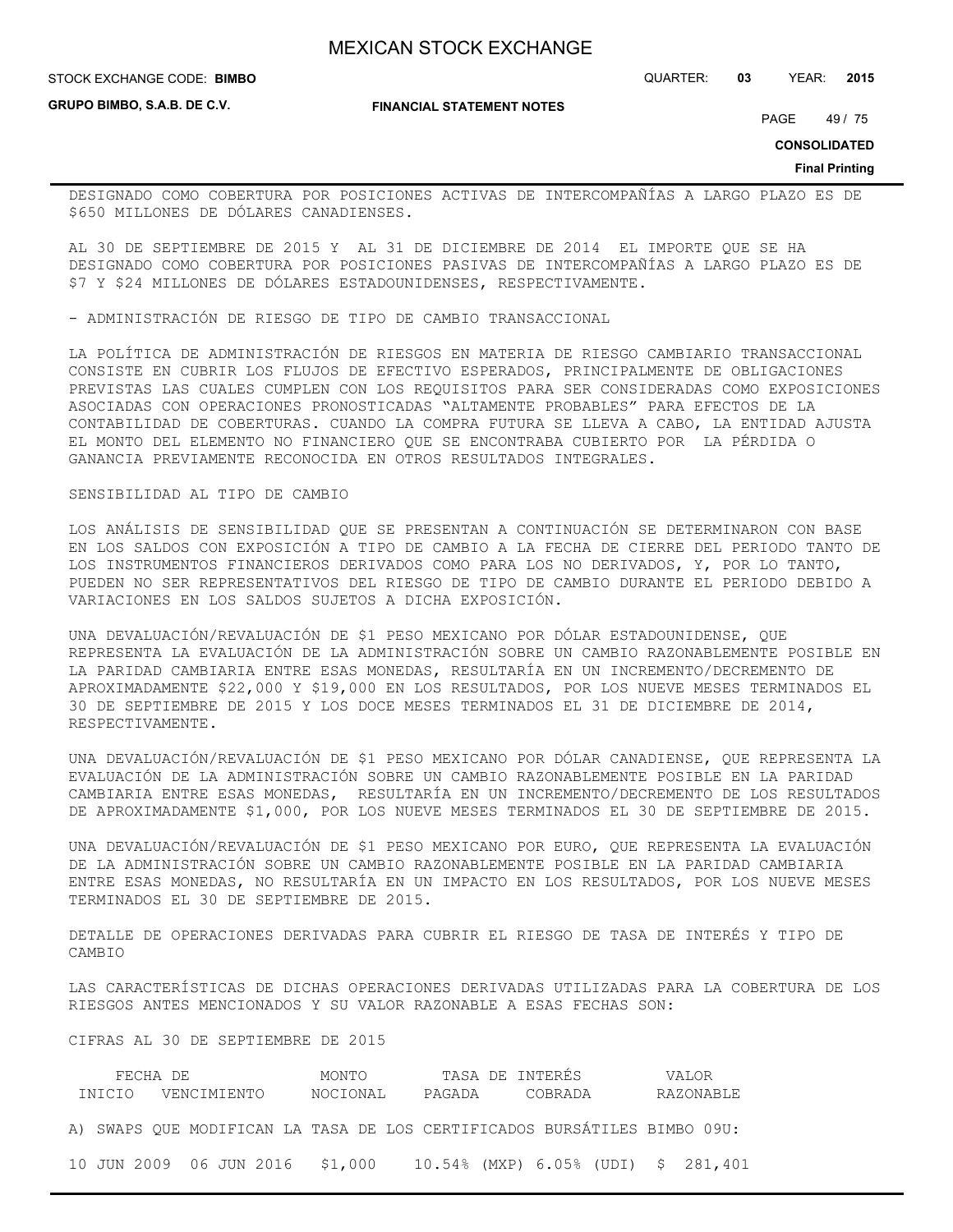**GRUPO BIMBO, S.A.B. DE C.V.**

**FINANCIAL STATEMENT NOTES**

STOCK EXCHANGE CODE: QUARTER: **03** YEAR: **2015 BIMBO**

PAGE 49 / 75

**CONSOLIDATED**

**Final Printing**

DESIGNADO COMO COBERTURA POR POSICIONES ACTIVAS DE INTERCOMPAÑÍAS A LARGO PLAZO ES DE \$650 MILLONES DE DÓLARES CANADIENSES.

AL 30 DE SEPTIEMBRE DE 2015 Y AL 31 DE DICIEMBRE DE 2014 EL IMPORTE QUE SE HA DESIGNADO COMO COBERTURA POR POSICIONES PASIVAS DE INTERCOMPAÑÍAS A LARGO PLAZO ES DE \$7 Y \$24 MILLONES DE DÓLARES ESTADOUNIDENSES, RESPECTIVAMENTE.

- ADMINISTRACIÓN DE RIESGO DE TIPO DE CAMBIO TRANSACCIONAL

LA POLÍTICA DE ADMINISTRACIÓN DE RIESGOS EN MATERIA DE RIESGO CAMBIARIO TRANSACCIONAL CONSISTE EN CUBRIR LOS FLUJOS DE EFECTIVO ESPERADOS, PRINCIPALMENTE DE OBLIGACIONES PREVISTAS LAS CUALES CUMPLEN CON LOS REQUISITOS PARA SER CONSIDERADAS COMO EXPOSICIONES ASOCIADAS CON OPERACIONES PRONOSTICADAS "ALTAMENTE PROBABLES" PARA EFECTOS DE LA CONTABILIDAD DE COBERTURAS. CUANDO LA COMPRA FUTURA SE LLEVA A CABO, LA ENTIDAD AJUSTA EL MONTO DEL ELEMENTO NO FINANCIERO QUE SE ENCONTRABA CUBIERTO POR LA PÉRDIDA O GANANCIA PREVIAMENTE RECONOCIDA EN OTROS RESULTADOS INTEGRALES.

#### SENSIBILIDAD AL TIPO DE CAMBIO

LOS ANÁLISIS DE SENSIBILIDAD QUE SE PRESENTAN A CONTINUACIÓN SE DETERMINARON CON BASE EN LOS SALDOS CON EXPOSICIÓN A TIPO DE CAMBIO A LA FECHA DE CIERRE DEL PERIODO TANTO DE LOS INSTRUMENTOS FINANCIEROS DERIVADOS COMO PARA LOS NO DERIVADOS, Y, POR LO TANTO, PUEDEN NO SER REPRESENTATIVOS DEL RIESGO DE TIPO DE CAMBIO DURANTE EL PERIODO DEBIDO A VARIACIONES EN LOS SALDOS SUJETOS A DICHA EXPOSICIÓN.

UNA DEVALUACIÓN/REVALUACIÓN DE \$1 PESO MEXICANO POR DÓLAR ESTADOUNIDENSE, QUE REPRESENTA LA EVALUACIÓN DE LA ADMINISTRACIÓN SOBRE UN CAMBIO RAZONABLEMENTE POSIBLE EN LA PARIDAD CAMBIARIA ENTRE ESAS MONEDAS, RESULTARÍA EN UN INCREMENTO/DECREMENTO DE APROXIMADAMENTE \$22,000 Y \$19,000 EN LOS RESULTADOS, POR LOS NUEVE MESES TERMINADOS EL 30 DE SEPTIEMBRE DE 2015 Y LOS DOCE MESES TERMINADOS EL 31 DE DICIEMBRE DE 2014, RESPECTIVAMENTE.

UNA DEVALUACIÓN/REVALUACIÓN DE \$1 PESO MEXICANO POR DÓLAR CANADIENSE, QUE REPRESENTA LA EVALUACIÓN DE LA ADMINISTRACIÓN SOBRE UN CAMBIO RAZONABLEMENTE POSIBLE EN LA PARIDAD CAMBIARIA ENTRE ESAS MONEDAS, RESULTARÍA EN UN INCREMENTO/DECREMENTO DE LOS RESULTADOS DE APROXIMADAMENTE \$1,000, POR LOS NUEVE MESES TERMINADOS EL 30 DE SEPTIEMBRE DE 2015.

UNA DEVALUACIÓN/REVALUACIÓN DE \$1 PESO MEXICANO POR EURO, QUE REPRESENTA LA EVALUACIÓN DE LA ADMINISTRACIÓN SOBRE UN CAMBIO RAZONABLEMENTE POSIBLE EN LA PARIDAD CAMBIARIA ENTRE ESAS MONEDAS, NO RESULTARÍA EN UN IMPACTO EN LOS RESULTADOS, POR LOS NUEVE MESES TERMINADOS EL 30 DE SEPTIEMBRE DE 2015.

DETALLE DE OPERACIONES DERIVADAS PARA CUBRIR EL RIESGO DE TASA DE INTERÉS Y TIPO DE CAMBIO

LAS CARACTERÍSTICAS DE DICHAS OPERACIONES DERIVADAS UTILIZADAS PARA LA COBERTURA DE LOS RIESGOS ANTES MENCIONADOS Y SU VALOR RAZONABLE A ESAS FECHAS SON:

CIFRAS AL 30 DE SEPTIEMBRE DE 2015

| FECHA DE<br>INICIO VENCIMIENTO |  |  |  |  |  | MONTO<br>NOCIONAL |  |  | TASA DE INTERÉS<br>PAGADA |  |  | COBRADA |  |  | VALOR<br>RAZONABLE                                                       |  |  |
|--------------------------------|--|--|--|--|--|-------------------|--|--|---------------------------|--|--|---------|--|--|--------------------------------------------------------------------------|--|--|
|                                |  |  |  |  |  |                   |  |  |                           |  |  |         |  |  | A) SWAPS QUE MODIFICAN LA TASA DE LOS CERTIFICADOS BURSÁTILES BIMBO 09U: |  |  |
|                                |  |  |  |  |  |                   |  |  |                           |  |  |         |  |  | 10 JUN 2009 06 JUN 2016 \$1,000 10.54% (MXP) 6.05% (UDI) \$ 281,401      |  |  |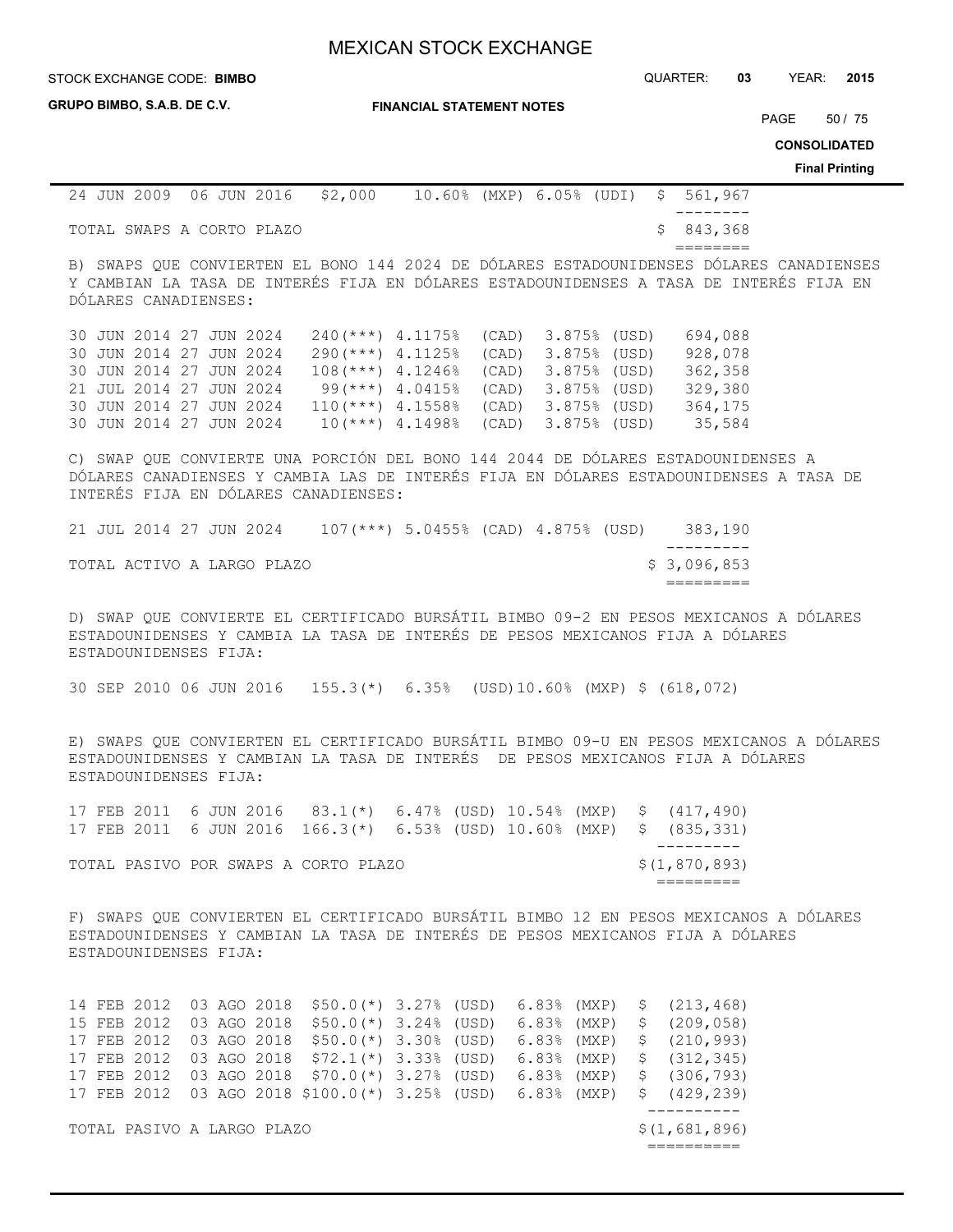STOCK EXCHANGE CODE: QUARTER: **03** YEAR: **2015 BIMBO**

| GRUPO BIMBO, S.A.B. DE C.V. |  |  |  |
|-----------------------------|--|--|--|
|                             |  |  |  |

**FINANCIAL STATEMENT NOTES**

PAGE 50 / 75

**CONSOLIDATED**

**Final Printing**

|  |                           | 24 JUN 2009 06 JUN 2016 \$2,000 |  |  | $10.60\%$ (MXP) 6.05% (UDI) \$ 561,967 |
|--|---------------------------|---------------------------------|--|--|----------------------------------------|
|  |                           |                                 |  |  |                                        |
|  | TOTAL SWAPS A CORTO PLAZO |                                 |  |  | \$ 843,368                             |

========

B) SWAPS QUE CONVIERTEN EL BONO 144 2024 DE DÓLARES ESTADOUNIDENSES DÓLARES CANADIENSES Y CAMBIAN LA TASA DE INTERÉS FIJA EN DÓLARES ESTADOUNIDENSES A TASA DE INTERÉS FIJA EN DÓLARES CANADIENSES:

|  | 30 JUN 2014 27 JUN 2024 |  | $240$ (***) 4.1175% (CAD) 3.875% (USD)   |                                         |  | 694,088 |
|--|-------------------------|--|------------------------------------------|-----------------------------------------|--|---------|
|  | 30 JUN 2014 27 JUN 2024 |  | 290(***) 4.1125% (CAD) 3.875% (USD)      |                                         |  | 928,078 |
|  | 30 JUN 2014 27 JUN 2024 |  | $108$ (***) $4.1246$ (CAD) $3.875$ (USD) |                                         |  | 362,358 |
|  | 21 JUL 2014 27 JUN 2024 |  |                                          | $99$ (***) $4.0415$ (CAD) $3.875$ (USD) |  | 329,380 |
|  | 30 JUN 2014 27 JUN 2024 |  | $110(***)$ 4.1558% (CAD) 3.875% (USD)    |                                         |  | 364,175 |
|  | 30 JUN 2014 27 JUN 2024 |  |                                          | $10(***)$ 4.1498% (CAD) 3.875% (USD)    |  | 35,584  |

C) SWAP QUE CONVIERTE UNA PORCIÓN DEL BONO 144 2044 DE DÓLARES ESTADOUNIDENSES A DÓLARES CANADIENSES Y CAMBIA LAS DE INTERÉS FIJA EN DÓLARES ESTADOUNIDENSES A TASA DE INTERÉS FIJA EN DÓLARES CANADIENSES:

|  |                         |  | TOTAL ACTIVO A LARGO PLAZO |                                        |  |  | \$ 3,096,853 |
|--|-------------------------|--|----------------------------|----------------------------------------|--|--|--------------|
|  |                         |  |                            |                                        |  |  |              |
|  | 21 JUL 2014 27 JUN 2024 |  |                            | $107$ (***) 5.0455% (CAD) 4.875% (USD) |  |  | 383.190      |

D) SWAP QUE CONVIERTE EL CERTIFICADO BURSÁTIL BIMBO 09-2 EN PESOS MEXICANOS A DÓLARES ESTADOUNIDENSES Y CAMBIA LA TASA DE INTERÉS DE PESOS MEXICANOS FIJA A DÓLARES ESTADOUNIDENSES FIJA:

30 SEP 2010 06 JUN 2016 155.3(\*) 6.35% (USD)10.60% (MXP) \$ (618,072)

E) SWAPS QUE CONVIERTEN EL CERTIFICADO BURSÁTIL BIMBO 09-U EN PESOS MEXICANOS A DÓLARES ESTADOUNIDENSES Y CAMBIAN LA TASA DE INTERÉS DE PESOS MEXICANOS FIJA A DÓLARES ESTADOUNIDENSES FIJA:

|  |                                      |  |  |  |  |  | 17 FEB 2011 6 JUN 2016 83.1(*) 6.47% (USD) 10.54% (MXP) \$ (417,490)  |
|--|--------------------------------------|--|--|--|--|--|-----------------------------------------------------------------------|
|  |                                      |  |  |  |  |  | 17 FEB 2011 6 JUN 2016 166.3(*) 6.53% (USD) 10.60% (MXP) \$ (835,331) |
|  |                                      |  |  |  |  |  |                                                                       |
|  | TOTAL PASIVO POR SWAPS A CORTO PLAZO |  |  |  |  |  | \$(1,870,893)                                                         |
|  |                                      |  |  |  |  |  |                                                                       |

F) SWAPS QUE CONVIERTEN EL CERTIFICADO BURSÁTIL BIMBO 12 EN PESOS MEXICANOS A DÓLARES ESTADOUNIDENSES Y CAMBIAN LA TASA DE INTERÉS DE PESOS MEXICANOS FIJA A DÓLARES ESTADOUNIDENSES FIJA:

14 FEB 2012 03 AGO 2018 \$50.0(\*) 3.27% (USD) 6.83% (MXP) \$ (213,468) 15 FEB 2012 03 AGO 2018 \$50.0(\*) 3.24% (USD) 6.83% (MXP) \$ (209,058) 17 FEB 2012 03 AGO 2018 \$50.0(\*) 3.30% (USD) 6.83% (MXP) \$ (210,993) 17 FEB 2012 03 AGO 2018 \$72.1(\*) 3.33% (USD) 6.83% (MXP) \$ (312,345) 17 FEB 2012 03 AGO 2018 \$70.0(\*) 3.27% (USD) 6.83% (MXP) \$ (306,793) 17 FEB 2012 03 AGO 2018 \$100.0(\*) 3.25% (USD) 6.83% (MXP) \$ (429,239) ---------- TOTAL PASIVO A LARGO PLAZO  $\zeta(1,681,896)$ ==========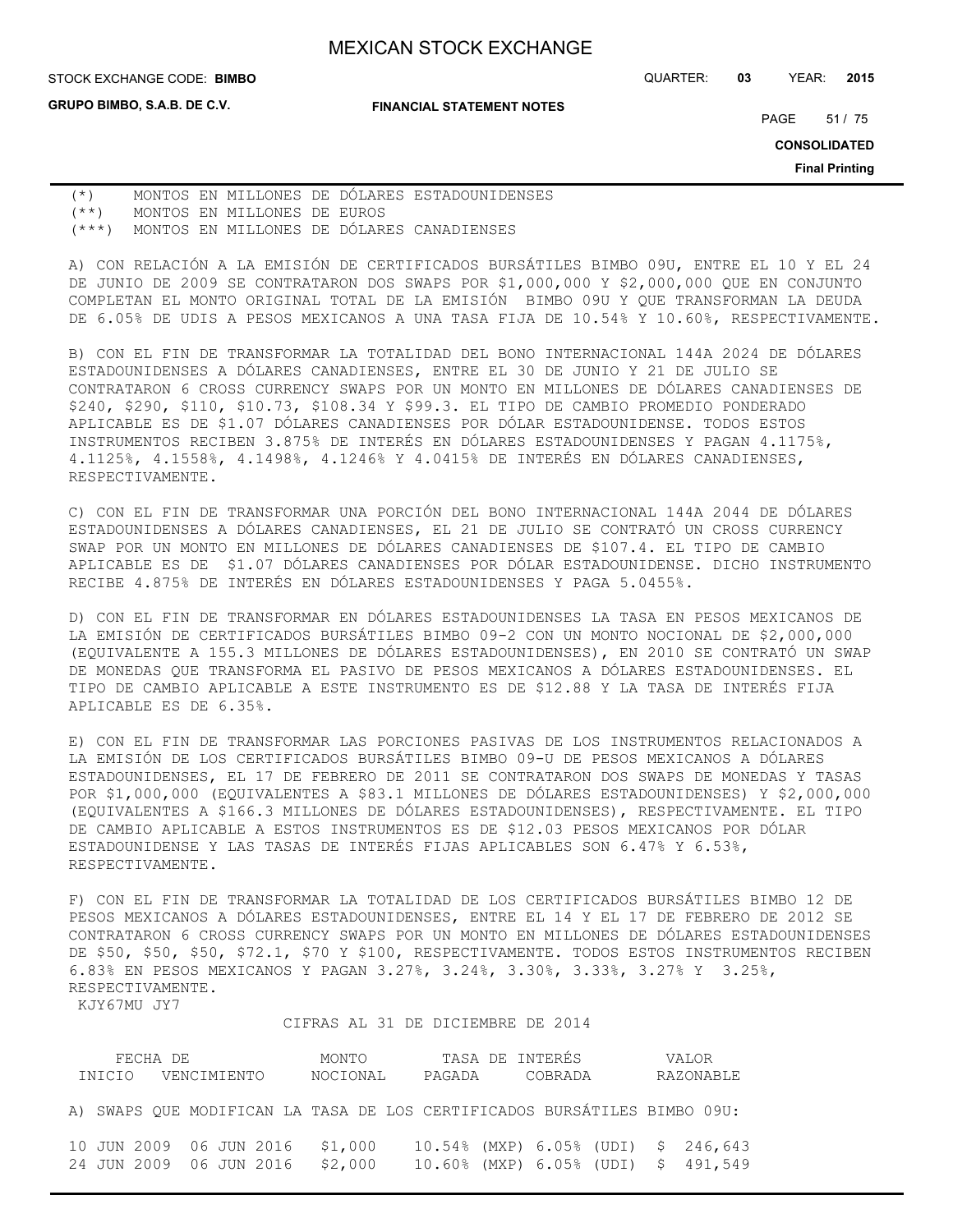**GRUPO BIMBO, S.A.B. DE C.V.**

#### **FINANCIAL STATEMENT NOTES**

STOCK EXCHANGE CODE: QUARTER: **03** YEAR: **2015 BIMBO**

PAGE 51 / 75

**CONSOLIDATED**

**Final Printing**

(\*) MONTOS EN MILLONES DE DÓLARES ESTADOUNIDENSES (\*\*) MONTOS EN MILLONES DE EUROS (\*\*\*) MONTOS EN MILLONES DE DÓLARES CANADIENSES

A) CON RELACIÓN A LA EMISIÓN DE CERTIFICADOS BURSÁTILES BIMBO 09U, ENTRE EL 10 Y EL 24 DE JUNIO DE 2009 SE CONTRATARON DOS SWAPS POR \$1,000,000 Y \$2,000,000 QUE EN CONJUNTO COMPLETAN EL MONTO ORIGINAL TOTAL DE LA EMISIÓN BIMBO 09U Y QUE TRANSFORMAN LA DEUDA DE 6.05% DE UDIS A PESOS MEXICANOS A UNA TASA FIJA DE 10.54% Y 10.60%, RESPECTIVAMENTE.

B) CON EL FIN DE TRANSFORMAR LA TOTALIDAD DEL BONO INTERNACIONAL 144A 2024 DE DÓLARES ESTADOUNIDENSES A DÓLARES CANADIENSES, ENTRE EL 30 DE JUNIO Y 21 DE JULIO SE CONTRATARON 6 CROSS CURRENCY SWAPS POR UN MONTO EN MILLONES DE DÓLARES CANADIENSES DE \$240, \$290, \$110, \$10.73, \$108.34 Y \$99.3. EL TIPO DE CAMBIO PROMEDIO PONDERADO APLICABLE ES DE \$1.07 DÓLARES CANADIENSES POR DÓLAR ESTADOUNIDENSE. TODOS ESTOS INSTRUMENTOS RECIBEN 3.875% DE INTERÉS EN DÓLARES ESTADOUNIDENSES Y PAGAN 4.1175%, 4.1125%, 4.1558%, 4.1498%, 4.1246% Y 4.0415% DE INTERÉS EN DÓLARES CANADIENSES, RESPECTIVAMENTE.

C) CON EL FIN DE TRANSFORMAR UNA PORCIÓN DEL BONO INTERNACIONAL 144A 2044 DE DÓLARES ESTADOUNIDENSES A DÓLARES CANADIENSES, EL 21 DE JULIO SE CONTRATÓ UN CROSS CURRENCY SWAP POR UN MONTO EN MILLONES DE DÓLARES CANADIENSES DE \$107.4. EL TIPO DE CAMBIO APLICABLE ES DE \$1.07 DÓLARES CANADIENSES POR DÓLAR ESTADOUNIDENSE. DICHO INSTRUMENTO RECIBE 4.875% DE INTERÉS EN DÓLARES ESTADOUNIDENSES Y PAGA 5.0455%.

D) CON EL FIN DE TRANSFORMAR EN DÓLARES ESTADOUNIDENSES LA TASA EN PESOS MEXICANOS DE LA EMISIÓN DE CERTIFICADOS BURSÁTILES BIMBO 09-2 CON UN MONTO NOCIONAL DE \$2,000,000 (EQUIVALENTE A 155.3 MILLONES DE DÓLARES ESTADOUNIDENSES), EN 2010 SE CONTRATÓ UN SWAP DE MONEDAS QUE TRANSFORMA EL PASIVO DE PESOS MEXICANOS A DÓLARES ESTADOUNIDENSES. EL TIPO DE CAMBIO APLICABLE A ESTE INSTRUMENTO ES DE \$12.88 Y LA TASA DE INTERÉS FIJA APLICABLE ES DE 6.35%.

E) CON EL FIN DE TRANSFORMAR LAS PORCIONES PASIVAS DE LOS INSTRUMENTOS RELACIONADOS A LA EMISIÓN DE LOS CERTIFICADOS BURSÁTILES BIMBO 09-U DE PESOS MEXICANOS A DÓLARES ESTADOUNIDENSES, EL 17 DE FEBRERO DE 2011 SE CONTRATARON DOS SWAPS DE MONEDAS Y TASAS POR \$1,000,000 (EQUIVALENTES A \$83.1 MILLONES DE DÓLARES ESTADOUNIDENSES) Y \$2,000,000 (EQUIVALENTES A \$166.3 MILLONES DE DÓLARES ESTADOUNIDENSES), RESPECTIVAMENTE. EL TIPO DE CAMBIO APLICABLE A ESTOS INSTRUMENTOS ES DE \$12.03 PESOS MEXICANOS POR DÓLAR ESTADOUNIDENSE Y LAS TASAS DE INTERÉS FIJAS APLICABLES SON 6.47% Y 6.53%, RESPECTIVAMENTE.

F) CON EL FIN DE TRANSFORMAR LA TOTALIDAD DE LOS CERTIFICADOS BURSÁTILES BIMBO 12 DE PESOS MEXICANOS A DÓLARES ESTADOUNIDENSES, ENTRE EL 14 Y EL 17 DE FEBRERO DE 2012 SE CONTRATARON 6 CROSS CURRENCY SWAPS POR UN MONTO EN MILLONES DE DÓLARES ESTADOUNIDENSES DE \$50, \$50, \$50, \$72.1, \$70 Y \$100, RESPECTIVAMENTE. TODOS ESTOS INSTRUMENTOS RECIBEN 6.83% EN PESOS MEXICANOS Y PAGAN 3.27%, 3.24%, 3.30%, 3.33%, 3.27% Y 3.25%, RESPECTIVAMENTE.

KJY67MU JY7

CIFRAS AL 31 DE DICIEMBRE DE 2014

| FECHA DE |                         |  |  |  |          |  | MONTO                                      |                |  | TASA DE INTERÉS |  |  |  |           |  | VALOR                                                                      |
|----------|-------------------------|--|--|--|----------|--|--------------------------------------------|----------------|--|-----------------|--|--|--|-----------|--|----------------------------------------------------------------------------|
|          | INICIO VENCIMIENTO      |  |  |  | NOCIONAL |  |                                            | PAGADA COBRADA |  |                 |  |  |  | RAZONABLE |  |                                                                            |
|          |                         |  |  |  |          |  |                                            |                |  |                 |  |  |  |           |  | A) SWAPS QUE MODIFICAN LA TASA DE LOS CERTIFICADOS BURSÁTILES BIMBO 09U:   |
|          | 24 JUN 2009 06 JUN 2016 |  |  |  |          |  | 10 JUN 2009 06 JUN 2016 \$1,000<br>\$2,000 |                |  |                 |  |  |  |           |  | 10.54% (MXP) 6.05% (UDI) \$ 246,643<br>10.60% (MXP) 6.05% (UDI) \$ 491,549 |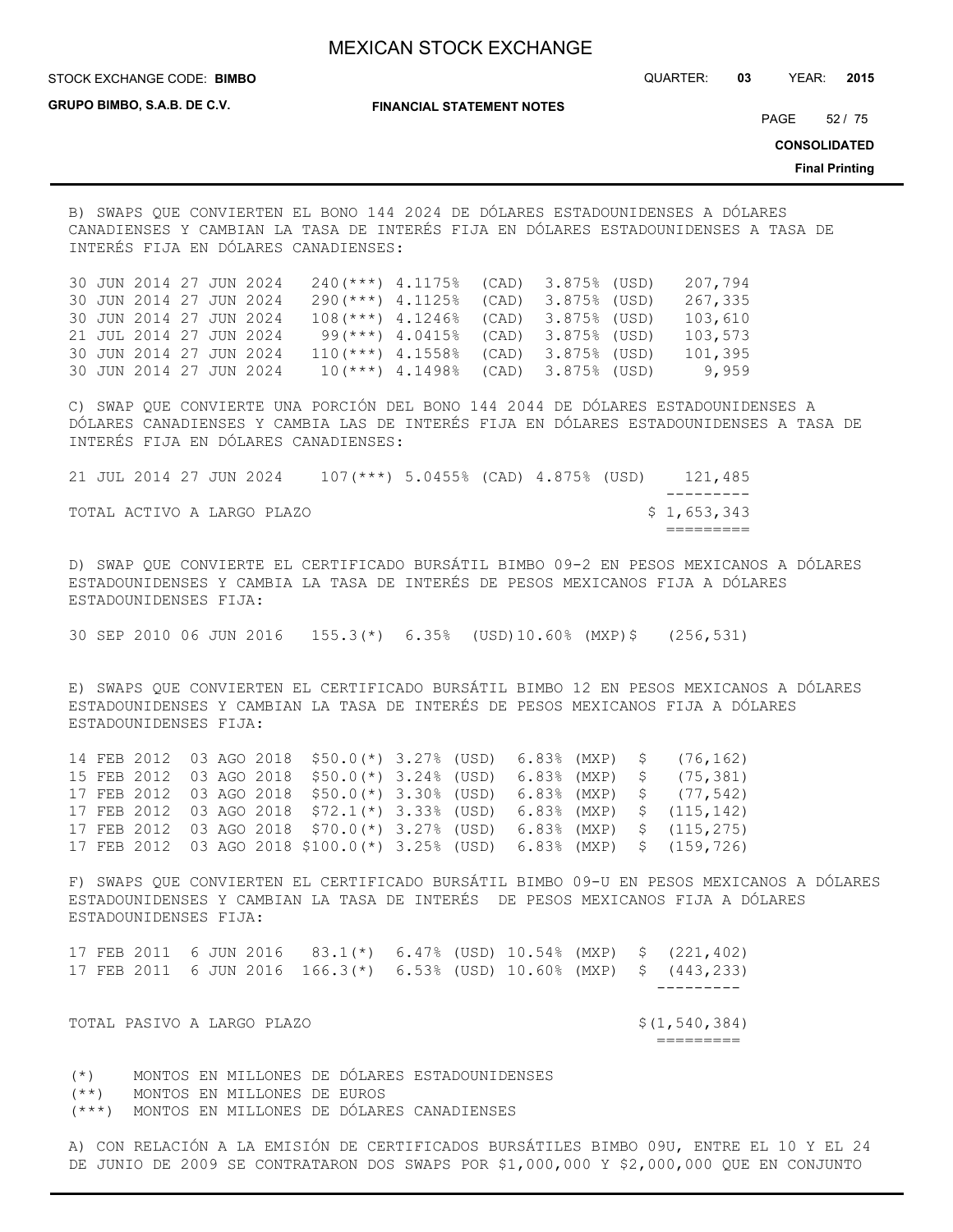STOCK EXCHANGE CODE: QUARTER: **03** YEAR: **2015 BIMBO**

**GRUPO BIMBO, S.A.B. DE C.V.**

**FINANCIAL STATEMENT NOTES**

PAGE 52 / 75

**CONSOLIDATED**

**Final Printing**

B) SWAPS QUE CONVIERTEN EL BONO 144 2024 DE DÓLARES ESTADOUNIDENSES A DÓLARES CANADIENSES Y CAMBIAN LA TASA DE INTERÉS FIJA EN DÓLARES ESTADOUNIDENSES A TASA DE INTERÉS FIJA EN DÓLARES CANADIENSES:

30 JUN 2014 27 JUN 2024 240(\*\*\*) 4.1175% (CAD) 3.875% (USD) 207,794 30 JUN 2014 27 JUN 2024 290(\*\*\*) 4.1125% (CAD) 3.875% (USD) 267,335 30 JUN 2014 27 JUN 2024 108(\*\*\*) 4.1246% (CAD) 3.875% (USD) 103,610 21 JUL 2014 27 JUN 2024 99(\*\*\*) 4.0415% (CAD) 3.875% (USD) 103,573 30 JUN 2014 27 JUN 2024 110(\*\*\*) 4.1558% (CAD) 3.875% (USD) 101,395 30 JUN 2014 27 JUN 2024 10(\*\*\*) 4.1498% (CAD) 3.875% (USD) 9,959

C) SWAP QUE CONVIERTE UNA PORCIÓN DEL BONO 144 2044 DE DÓLARES ESTADOUNIDENSES A DÓLARES CANADIENSES Y CAMBIA LAS DE INTERÉS FIJA EN DÓLARES ESTADOUNIDENSES A TASA DE INTERÉS FIJA EN DÓLARES CANADIENSES:

|  | 21 JUL 2014 27 JUN 2024 |  |                            | $107$ (***) 5.0455% (CAD) 4.875% (USD) |  |  | 121,485     |
|--|-------------------------|--|----------------------------|----------------------------------------|--|--|-------------|
|  |                         |  |                            |                                        |  |  |             |
|  |                         |  | TOTAL ACTIVO A LARGO PLAZO |                                        |  |  | \$1,653,343 |
|  |                         |  |                            |                                        |  |  |             |

D) SWAP QUE CONVIERTE EL CERTIFICADO BURSÁTIL BIMBO 09-2 EN PESOS MEXICANOS A DÓLARES ESTADOUNIDENSES Y CAMBIA LA TASA DE INTERÉS DE PESOS MEXICANOS FIJA A DÓLARES ESTADOUNIDENSES FIJA:

30 SEP 2010 06 JUN 2016 155.3(\*) 6.35% (USD)10.60% (MXP)\$ (256,531)

E) SWAPS QUE CONVIERTEN EL CERTIFICADO BURSÁTIL BIMBO 12 EN PESOS MEXICANOS A DÓLARES ESTADOUNIDENSES Y CAMBIAN LA TASA DE INTERÉS DE PESOS MEXICANOS FIJA A DÓLARES ESTADOUNIDENSES FIJA:

14 FEB 2012 03 AGO 2018 \$50.0(\*) 3.27% (USD) 6.83% (MXP) \$ (76,162) 15 FEB 2012 03 AGO 2018 \$50.0(\*) 3.24% (USD) 6.83% (MXP) \$ (75,381) 17 FEB 2012 03 AGO 2018 \$50.0(\*) 3.30% (USD) 6.83% (MXP) \$ (77,542) 17 FEB 2012 03 AGO 2018 \$72.1(\*) 3.33% (USD) 6.83% (MXP) \$ (115,142) 17 FEB 2012 03 AGO 2018 \$70.0(\*) 3.27% (USD) 6.83% (MXP) \$ (115,275) 17 FEB 2012 03 AGO 2018 \$100.0(\*) 3.25% (USD) 6.83% (MXP) \$ (159,726)

F) SWAPS QUE CONVIERTEN EL CERTIFICADO BURSÁTIL BIMBO 09-U EN PESOS MEXICANOS A DÓLARES ESTADOUNIDENSES Y CAMBIAN LA TASA DE INTERÉS DE PESOS MEXICANOS FIJA A DÓLARES ESTADOUNIDENSES FIJA:

|  |                            |  |  |  |  |  | 17 FEB 2011 6 JUN 2016 83.1(*) 6.47% (USD) 10.54% (MXP) \$ (221,402)<br>17 FEB 2011   6 JUN 2016   166.3(*)   6.53% (USD) 10.60% (MXP)   \$   (443,233) |
|--|----------------------------|--|--|--|--|--|---------------------------------------------------------------------------------------------------------------------------------------------------------|
|  |                            |  |  |  |  |  |                                                                                                                                                         |
|  | TOTAL PASIVO A LARGO PLAZO |  |  |  |  |  | \$(1,540,384)                                                                                                                                           |

=========

(\*) MONTOS EN MILLONES DE DÓLARES ESTADOUNIDENSES (\*\*) MONTOS EN MILLONES DE EUROS (\*\*\*) MONTOS EN MILLONES DE DÓLARES CANADIENSES

A) CON RELACIÓN A LA EMISIÓN DE CERTIFICADOS BURSÁTILES BIMBO 09U, ENTRE EL 10 Y EL 24 DE JUNIO DE 2009 SE CONTRATARON DOS SWAPS POR \$1,000,000 Y \$2,000,000 QUE EN CONJUNTO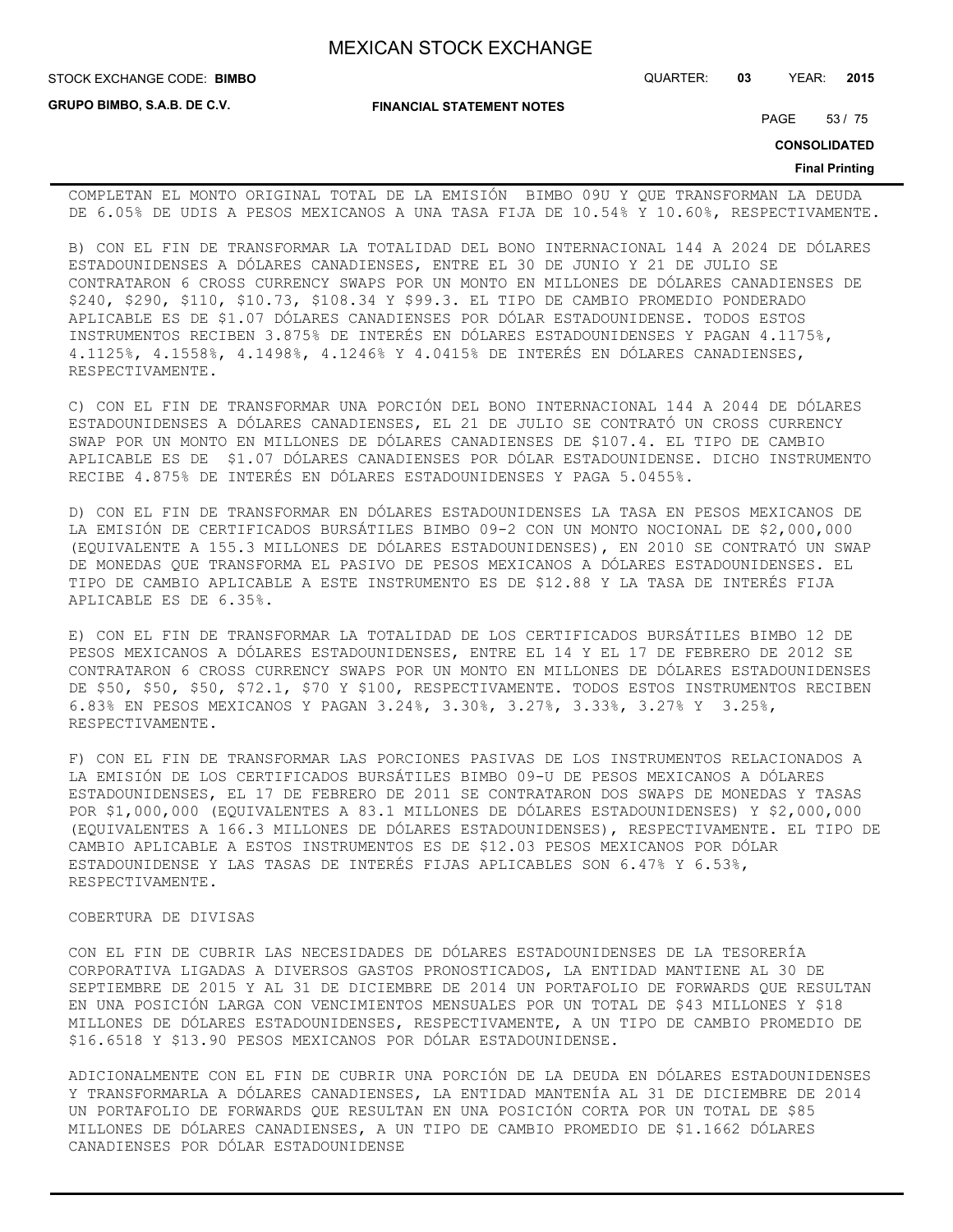STOCK EXCHANGE CODE: QUARTER: **03** YEAR: **2015 BIMBO**

**GRUPO BIMBO, S.A.B. DE C.V.**

**FINANCIAL STATEMENT NOTES**

PAGE 53 / 75

**CONSOLIDATED**

#### **Final Printing**

COMPLETAN EL MONTO ORIGINAL TOTAL DE LA EMISIÓN BIMBO 09U Y QUE TRANSFORMAN LA DEUDA DE 6.05% DE UDIS A PESOS MEXICANOS A UNA TASA FIJA DE 10.54% Y 10.60%, RESPECTIVAMENTE.

B) CON EL FIN DE TRANSFORMAR LA TOTALIDAD DEL BONO INTERNACIONAL 144 A 2024 DE DÓLARES ESTADOUNIDENSES A DÓLARES CANADIENSES, ENTRE EL 30 DE JUNIO Y 21 DE JULIO SE CONTRATARON 6 CROSS CURRENCY SWAPS POR UN MONTO EN MILLONES DE DÓLARES CANADIENSES DE \$240, \$290, \$110, \$10.73, \$108.34 Y \$99.3. EL TIPO DE CAMBIO PROMEDIO PONDERADO APLICABLE ES DE \$1.07 DÓLARES CANADIENSES POR DÓLAR ESTADOUNIDENSE. TODOS ESTOS INSTRUMENTOS RECIBEN 3.875% DE INTERÉS EN DÓLARES ESTADOUNIDENSES Y PAGAN 4.1175%, 4.1125%, 4.1558%, 4.1498%, 4.1246% Y 4.0415% DE INTERÉS EN DÓLARES CANADIENSES, RESPECTIVAMENTE.

C) CON EL FIN DE TRANSFORMAR UNA PORCIÓN DEL BONO INTERNACIONAL 144 A 2044 DE DÓLARES ESTADOUNIDENSES A DÓLARES CANADIENSES, EL 21 DE JULIO SE CONTRATÓ UN CROSS CURRENCY SWAP POR UN MONTO EN MILLONES DE DÓLARES CANADIENSES DE \$107.4. EL TIPO DE CAMBIO APLICABLE ES DE \$1.07 DÓLARES CANADIENSES POR DÓLAR ESTADOUNIDENSE. DICHO INSTRUMENTO RECIBE 4.875% DE INTERÉS EN DÓLARES ESTADOUNIDENSES Y PAGA 5.0455%.

D) CON EL FIN DE TRANSFORMAR EN DÓLARES ESTADOUNIDENSES LA TASA EN PESOS MEXICANOS DE LA EMISIÓN DE CERTIFICADOS BURSÁTILES BIMBO 09-2 CON UN MONTO NOCIONAL DE \$2,000,000 (EQUIVALENTE A 155.3 MILLONES DE DÓLARES ESTADOUNIDENSES), EN 2010 SE CONTRATÓ UN SWAP DE MONEDAS QUE TRANSFORMA EL PASIVO DE PESOS MEXICANOS A DÓLARES ESTADOUNIDENSES. EL TIPO DE CAMBIO APLICABLE A ESTE INSTRUMENTO ES DE \$12.88 Y LA TASA DE INTERÉS FIJA APLICABLE ES DE 6.35%.

E) CON EL FIN DE TRANSFORMAR LA TOTALIDAD DE LOS CERTIFICADOS BURSÁTILES BIMBO 12 DE PESOS MEXICANOS A DÓLARES ESTADOUNIDENSES, ENTRE EL 14 Y EL 17 DE FEBRERO DE 2012 SE CONTRATARON 6 CROSS CURRENCY SWAPS POR UN MONTO EN MILLONES DE DÓLARES ESTADOUNIDENSES DE \$50, \$50, \$50, \$72.1, \$70 Y \$100, RESPECTIVAMENTE. TODOS ESTOS INSTRUMENTOS RECIBEN 6.83% EN PESOS MEXICANOS Y PAGAN 3.24%, 3.30%, 3.27%, 3.33%, 3.27% Y 3.25%, RESPECTIVAMENTE.

F) CON EL FIN DE TRANSFORMAR LAS PORCIONES PASIVAS DE LOS INSTRUMENTOS RELACIONADOS A LA EMISIÓN DE LOS CERTIFICADOS BURSÁTILES BIMBO 09-U DE PESOS MEXICANOS A DÓLARES ESTADOUNIDENSES, EL 17 DE FEBRERO DE 2011 SE CONTRATARON DOS SWAPS DE MONEDAS Y TASAS POR \$1,000,000 (EQUIVALENTES A 83.1 MILLONES DE DÓLARES ESTADOUNIDENSES) Y \$2,000,000 (EQUIVALENTES A 166.3 MILLONES DE DÓLARES ESTADOUNIDENSES), RESPECTIVAMENTE. EL TIPO DE CAMBIO APLICABLE A ESTOS INSTRUMENTOS ES DE \$12.03 PESOS MEXICANOS POR DÓLAR ESTADOUNIDENSE Y LAS TASAS DE INTERÉS FIJAS APLICABLES SON 6.47% Y 6.53%, RESPECTIVAMENTE.

### COBERTURA DE DIVISAS

CON EL FIN DE CUBRIR LAS NECESIDADES DE DÓLARES ESTADOUNIDENSES DE LA TESORERÍA CORPORATIVA LIGADAS A DIVERSOS GASTOS PRONOSTICADOS, LA ENTIDAD MANTIENE AL 30 DE SEPTIEMBRE DE 2015 Y AL 31 DE DICIEMBRE DE 2014 UN PORTAFOLIO DE FORWARDS QUE RESULTAN EN UNA POSICIÓN LARGA CON VENCIMIENTOS MENSUALES POR UN TOTAL DE \$43 MILLONES Y \$18 MILLONES DE DÓLARES ESTADOUNIDENSES, RESPECTIVAMENTE, A UN TIPO DE CAMBIO PROMEDIO DE \$16.6518 Y \$13.90 PESOS MEXICANOS POR DÓLAR ESTADOUNIDENSE.

ADICIONALMENTE CON EL FIN DE CUBRIR UNA PORCIÓN DE LA DEUDA EN DÓLARES ESTADOUNIDENSES Y TRANSFORMARLA A DÓLARES CANADIENSES, LA ENTIDAD MANTENÍA AL 31 DE DICIEMBRE DE 2014 UN PORTAFOLIO DE FORWARDS QUE RESULTAN EN UNA POSICIÓN CORTA POR UN TOTAL DE \$85 MILLONES DE DÓLARES CANADIENSES, A UN TIPO DE CAMBIO PROMEDIO DE \$1.1662 DÓLARES CANADIENSES POR DÓLAR ESTADOUNIDENSE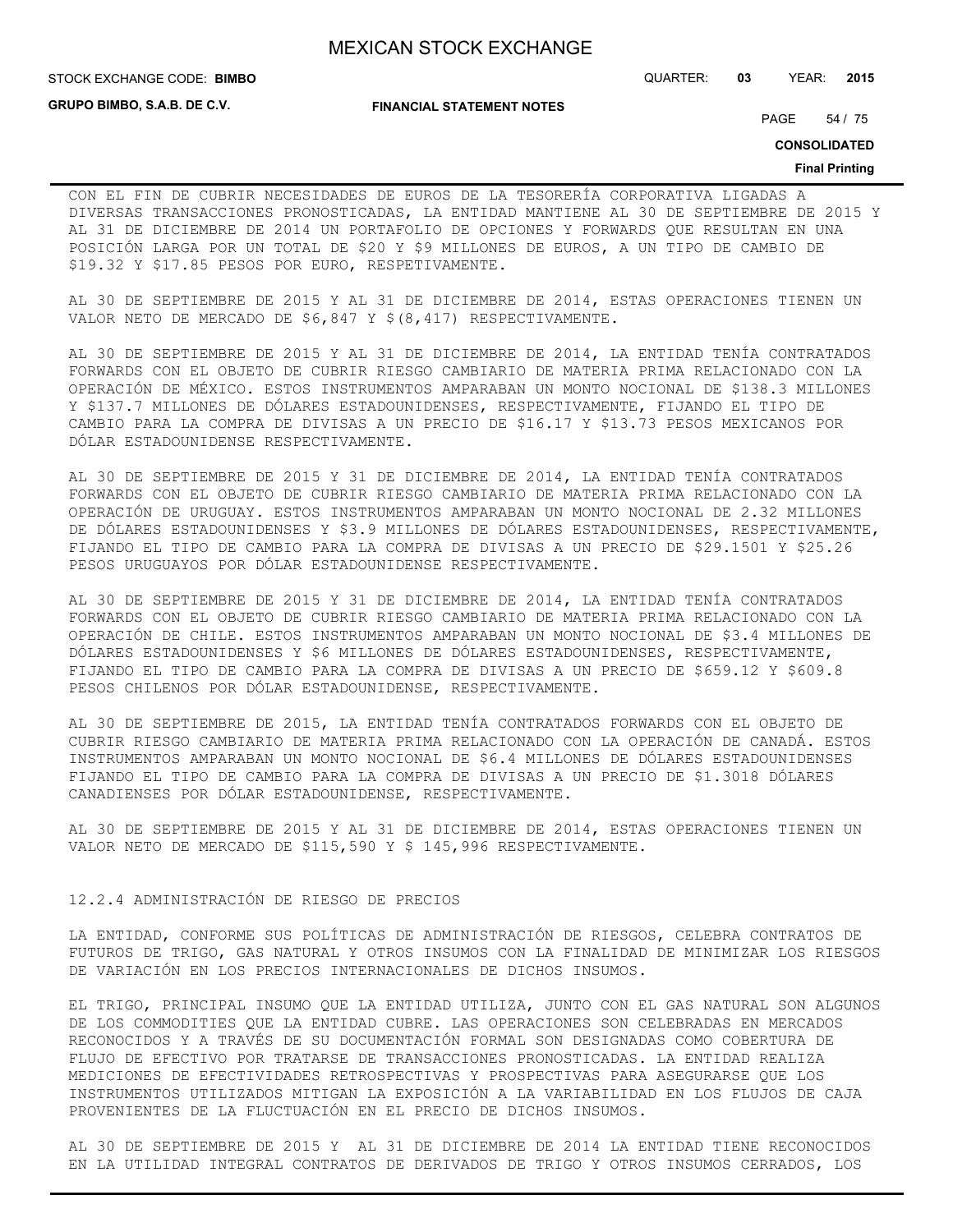STOCK EXCHANGE CODE: QUARTER: **03** YEAR: **2015 BIMBO**

**GRUPO BIMBO, S.A.B. DE C.V.**

**FINANCIAL STATEMENT NOTES**

PAGE 54 / 75

**CONSOLIDATED**

#### **Final Printing**

CON EL FIN DE CUBRIR NECESIDADES DE EUROS DE LA TESORERÍA CORPORATIVA LIGADAS A DIVERSAS TRANSACCIONES PRONOSTICADAS, LA ENTIDAD MANTIENE AL 30 DE SEPTIEMBRE DE 2015 Y AL 31 DE DICIEMBRE DE 2014 UN PORTAFOLIO DE OPCIONES Y FORWARDS QUE RESULTAN EN UNA POSICIÓN LARGA POR UN TOTAL DE \$20 Y \$9 MILLONES DE EUROS, A UN TIPO DE CAMBIO DE \$19.32 Y \$17.85 PESOS POR EURO, RESPETIVAMENTE.

AL 30 DE SEPTIEMBRE DE 2015 Y AL 31 DE DICIEMBRE DE 2014, ESTAS OPERACIONES TIENEN UN VALOR NETO DE MERCADO DE \$6,847 Y \$(8,417) RESPECTIVAMENTE.

AL 30 DE SEPTIEMBRE DE 2015 Y AL 31 DE DICIEMBRE DE 2014, LA ENTIDAD TENÍA CONTRATADOS FORWARDS CON EL OBJETO DE CUBRIR RIESGO CAMBIARIO DE MATERIA PRIMA RELACIONADO CON LA OPERACIÓN DE MÉXICO. ESTOS INSTRUMENTOS AMPARABAN UN MONTO NOCIONAL DE \$138.3 MILLONES Y \$137.7 MILLONES DE DÓLARES ESTADOUNIDENSES, RESPECTIVAMENTE, FIJANDO EL TIPO DE CAMBIO PARA LA COMPRA DE DIVISAS A UN PRECIO DE \$16.17 Y \$13.73 PESOS MEXICANOS POR DÓLAR ESTADOUNIDENSE RESPECTIVAMENTE.

AL 30 DE SEPTIEMBRE DE 2015 Y 31 DE DICIEMBRE DE 2014, LA ENTIDAD TENÍA CONTRATADOS FORWARDS CON EL OBJETO DE CUBRIR RIESGO CAMBIARIO DE MATERIA PRIMA RELACIONADO CON LA OPERACIÓN DE URUGUAY. ESTOS INSTRUMENTOS AMPARABAN UN MONTO NOCIONAL DE 2.32 MILLONES DE DÓLARES ESTADOUNIDENSES Y \$3.9 MILLONES DE DÓLARES ESTADOUNIDENSES, RESPECTIVAMENTE, FIJANDO EL TIPO DE CAMBIO PARA LA COMPRA DE DIVISAS A UN PRECIO DE \$29.1501 Y \$25.26 PESOS URUGUAYOS POR DÓLAR ESTADOUNIDENSE RESPECTIVAMENTE.

AL 30 DE SEPTIEMBRE DE 2015 Y 31 DE DICIEMBRE DE 2014, LA ENTIDAD TENÍA CONTRATADOS FORWARDS CON EL OBJETO DE CUBRIR RIESGO CAMBIARIO DE MATERIA PRIMA RELACIONADO CON LA OPERACIÓN DE CHILE. ESTOS INSTRUMENTOS AMPARABAN UN MONTO NOCIONAL DE \$3.4 MILLONES DE DÓLARES ESTADOUNIDENSES Y \$6 MILLONES DE DÓLARES ESTADOUNIDENSES, RESPECTIVAMENTE, FIJANDO EL TIPO DE CAMBIO PARA LA COMPRA DE DIVISAS A UN PRECIO DE \$659.12 Y \$609.8 PESOS CHILENOS POR DÓLAR ESTADOUNIDENSE, RESPECTIVAMENTE.

AL 30 DE SEPTIEMBRE DE 2015, LA ENTIDAD TENÍA CONTRATADOS FORWARDS CON EL OBJETO DE CUBRIR RIESGO CAMBIARIO DE MATERIA PRIMA RELACIONADO CON LA OPERACIÓN DE CANADÁ. ESTOS INSTRUMENTOS AMPARABAN UN MONTO NOCIONAL DE \$6.4 MILLONES DE DÓLARES ESTADOUNIDENSES FIJANDO EL TIPO DE CAMBIO PARA LA COMPRA DE DIVISAS A UN PRECIO DE \$1.3018 DÓLARES CANADIENSES POR DÓLAR ESTADOUNIDENSE, RESPECTIVAMENTE.

AL 30 DE SEPTIEMBRE DE 2015 Y AL 31 DE DICIEMBRE DE 2014, ESTAS OPERACIONES TIENEN UN VALOR NETO DE MERCADO DE \$115,590 Y \$ 145,996 RESPECTIVAMENTE.

#### 12.2.4 ADMINISTRACIÓN DE RIESGO DE PRECIOS

LA ENTIDAD, CONFORME SUS POLÍTICAS DE ADMINISTRACIÓN DE RIESGOS, CELEBRA CONTRATOS DE FUTUROS DE TRIGO, GAS NATURAL Y OTROS INSUMOS CON LA FINALIDAD DE MINIMIZAR LOS RIESGOS DE VARIACIÓN EN LOS PRECIOS INTERNACIONALES DE DICHOS INSUMOS.

EL TRIGO, PRINCIPAL INSUMO QUE LA ENTIDAD UTILIZA, JUNTO CON EL GAS NATURAL SON ALGUNOS DE LOS COMMODITIES QUE LA ENTIDAD CUBRE. LAS OPERACIONES SON CELEBRADAS EN MERCADOS RECONOCIDOS Y A TRAVÉS DE SU DOCUMENTACIÓN FORMAL SON DESIGNADAS COMO COBERTURA DE FLUJO DE EFECTIVO POR TRATARSE DE TRANSACCIONES PRONOSTICADAS. LA ENTIDAD REALIZA MEDICIONES DE EFECTIVIDADES RETROSPECTIVAS Y PROSPECTIVAS PARA ASEGURARSE QUE LOS INSTRUMENTOS UTILIZADOS MITIGAN LA EXPOSICIÓN A LA VARIABILIDAD EN LOS FLUJOS DE CAJA PROVENIENTES DE LA FLUCTUACIÓN EN EL PRECIO DE DICHOS INSUMOS.

AL 30 DE SEPTIEMBRE DE 2015 Y AL 31 DE DICIEMBRE DE 2014 LA ENTIDAD TIENE RECONOCIDOS EN LA UTILIDAD INTEGRAL CONTRATOS DE DERIVADOS DE TRIGO Y OTROS INSUMOS CERRADOS, LOS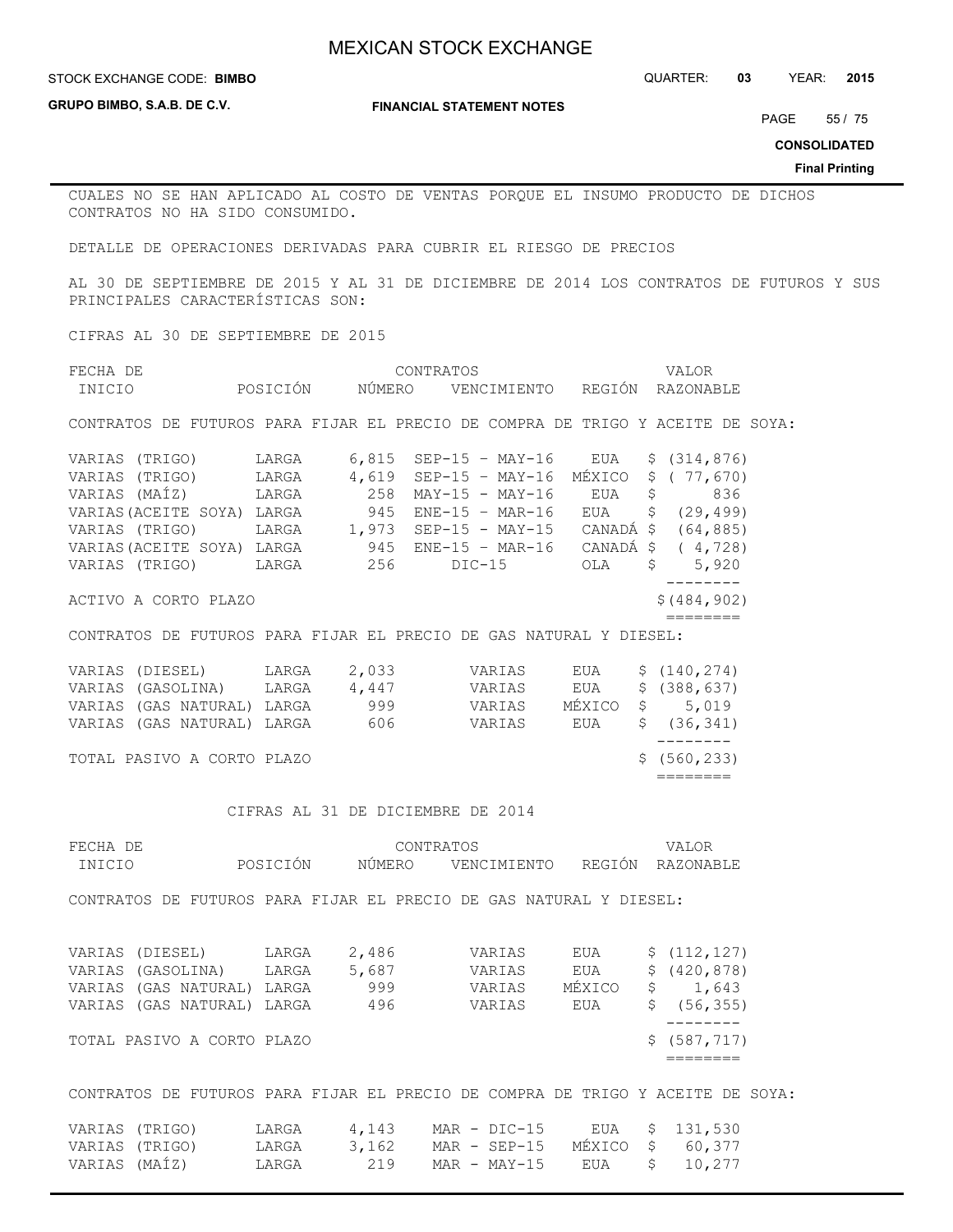STOCK EXCHANGE CODE: QUARTER: **03** YEAR: **2015 BIMBO**

**GRUPO BIMBO, S.A.B. DE C.V.**

**FINANCIAL STATEMENT NOTES**

PAGE 55 / 75

**CONSOLIDATED**

**Final Printing**

CUALES NO SE HAN APLICADO AL COSTO DE VENTAS PORQUE EL INSUMO PRODUCTO DE DICHOS CONTRATOS NO HA SIDO CONSUMIDO.

DETALLE DE OPERACIONES DERIVADAS PARA CUBRIR EL RIESGO DE PRECIOS

AL 30 DE SEPTIEMBRE DE 2015 Y AL 31 DE DICIEMBRE DE 2014 LOS CONTRATOS DE FUTUROS Y SUS PRINCIPALES CARACTERÍSTICAS SON:

CIFRAS AL 30 DE SEPTIEMBRE DE 2015

| FECHA DE                                                                                                                                                                                            |                |        | CONTRATOS                           |            | VALOR                       |
|-----------------------------------------------------------------------------------------------------------------------------------------------------------------------------------------------------|----------------|--------|-------------------------------------|------------|-----------------------------|
| INICIO                                                                                                                                                                                              | POSICIÓN       | NÚMERO | VENCIMIENTO REGIÓN RAZONABLE        |            |                             |
| CONTRATOS DE FUTUROS PARA FIJAR EL PRECIO DE COMPRA DE TRIGO Y ACEITE DE SOYA:                                                                                                                      |                |        |                                     |            |                             |
| VARIAS (TRIGO) LARGA                                                                                                                                                                                |                | 6,815  | $SEP-15 - MAY-16$ $EUA$             |            | \$ (314, 876)               |
| VARIAS (TRIGO)                                                                                                                                                                                      |                |        | $4,619$ SEP-15 - MAY-16             | MÉXICO     | \$ (77, 670)                |
| VARIAS (MAÍZ)                                                                                                                                                                                       | LARGA<br>LARGA |        | 258 MAY-15 - MAY-16 EUA             |            | \$836                       |
|                                                                                                                                                                                                     |                |        |                                     |            |                             |
| VARIAS (ACEITE SOYA) LARGA $945$ ENE-15 - MAR-16 EUA \$ (29,499)<br>VARIAS (TRIGO) LARGA 1,973 SEP-15 - MAY-15 CANADÁ\$ (64,885)<br>VARIAS (ACEITE SOYA) LARGA 945 ENE-15 - MAR-16 CANADÁ\$ (4,728) |                |        |                                     |            |                             |
|                                                                                                                                                                                                     |                |        |                                     |            |                             |
| VARIAS (TRIGO) LARGA 256 DIC-15 OLA                                                                                                                                                                 |                |        |                                     |            | $\mathsf{S}$<br>5,920       |
| ACTIVO A CORTO PLAZO                                                                                                                                                                                |                |        |                                     |            | ---------<br>\$ (484, 902)  |
| CONTRATOS DE FUTUROS PARA FIJAR EL PRECIO DE GAS NATURAL Y DIESEL:                                                                                                                                  |                |        |                                     |            | $=$ $=$ $=$ $=$ $=$ $=$ $=$ |
|                                                                                                                                                                                                     |                |        |                                     |            |                             |
| VARIAS (DIESEL) LARGA 2,033 VARIAS EUA                                                                                                                                                              |                |        |                                     |            | \$(140, 274)                |
| VARIAS (GASOLINA) LARGA                                                                                                                                                                             |                | 4,447  | VARIAS                              | <b>EUA</b> | \$ (388, 637)               |
| VARIAS (GAS NATURAL) LARGA 999                                                                                                                                                                      |                |        | VARIAS MÉXICO                       |            | \$5,019                     |
| VARIAS (GAS NATURAL) LARGA 606 VARIAS EUA                                                                                                                                                           |                |        |                                     |            | \$ (36, 341)                |
|                                                                                                                                                                                                     |                |        |                                     |            | ---------                   |
| TOTAL PASIVO A CORTO PLAZO                                                                                                                                                                          |                |        |                                     |            | \$(560, 233)<br>========    |
|                                                                                                                                                                                                     |                |        |                                     |            |                             |
|                                                                                                                                                                                                     |                |        | CIFRAS AL 31 DE DICIEMBRE DE 2014   |            |                             |
| FECHA DE                                                                                                                                                                                            |                |        | CONTRATOS                           |            | VALOR                       |
| INICIO                                                                                                                                                                                              | POSICIÓN       |        | NÚMERO VENCIMIENTO REGIÓN RAZONABLE |            |                             |
| CONTRATOS DE FUTUROS PARA FIJAR EL PRECIO DE GAS NATURAL Y DIESEL:                                                                                                                                  |                |        |                                     |            |                             |
|                                                                                                                                                                                                     |                |        |                                     |            |                             |
| VARIAS (DIESEL) LARGA 2,486 VARIAS                                                                                                                                                                  |                |        |                                     | EUA        | \$(112, 127)                |
| VARIAS (GASOLINA) LARGA                                                                                                                                                                             |                |        | 5,687 VARIAS EUA                    |            | \$ (420, 878)               |
| VARIAS (GAS NATURAL) LARGA                                                                                                                                                                          |                | 999    |                                     |            | \$1,643                     |
| VARIAS (GAS NATURAL) LARGA                                                                                                                                                                          |                | 496    | VARIAS MÉXICO<br>VARIAS             | EUA        | \$(56, 355)                 |
|                                                                                                                                                                                                     |                |        |                                     |            | ---------                   |
| TOTAL PASIVO A CORTO PLAZO                                                                                                                                                                          |                |        |                                     |            | \$ (587, 717)               |
|                                                                                                                                                                                                     |                |        |                                     |            |                             |
| CONTRATOS DE FUTUROS PARA FIJAR EL PRECIO DE COMPRA DE TRIGO Y ACEITE DE SOYA:                                                                                                                      |                |        |                                     |            |                             |
| VARIAS (TRIGO)                                                                                                                                                                                      | LARGA          | 4,143  | $MAR - DIC-15$ $EUA$                |            | \$131,530                   |
| VARIAS (TRIGO)                                                                                                                                                                                      | LARGA          | 3,162  | $MAR - SEP-15$                      | MÉXICO     | $\mathsf{S}$<br>60,377      |

VARIAS (MAÍZ) LARGA 219 MAR - MAY-15 EUA \$ 10,277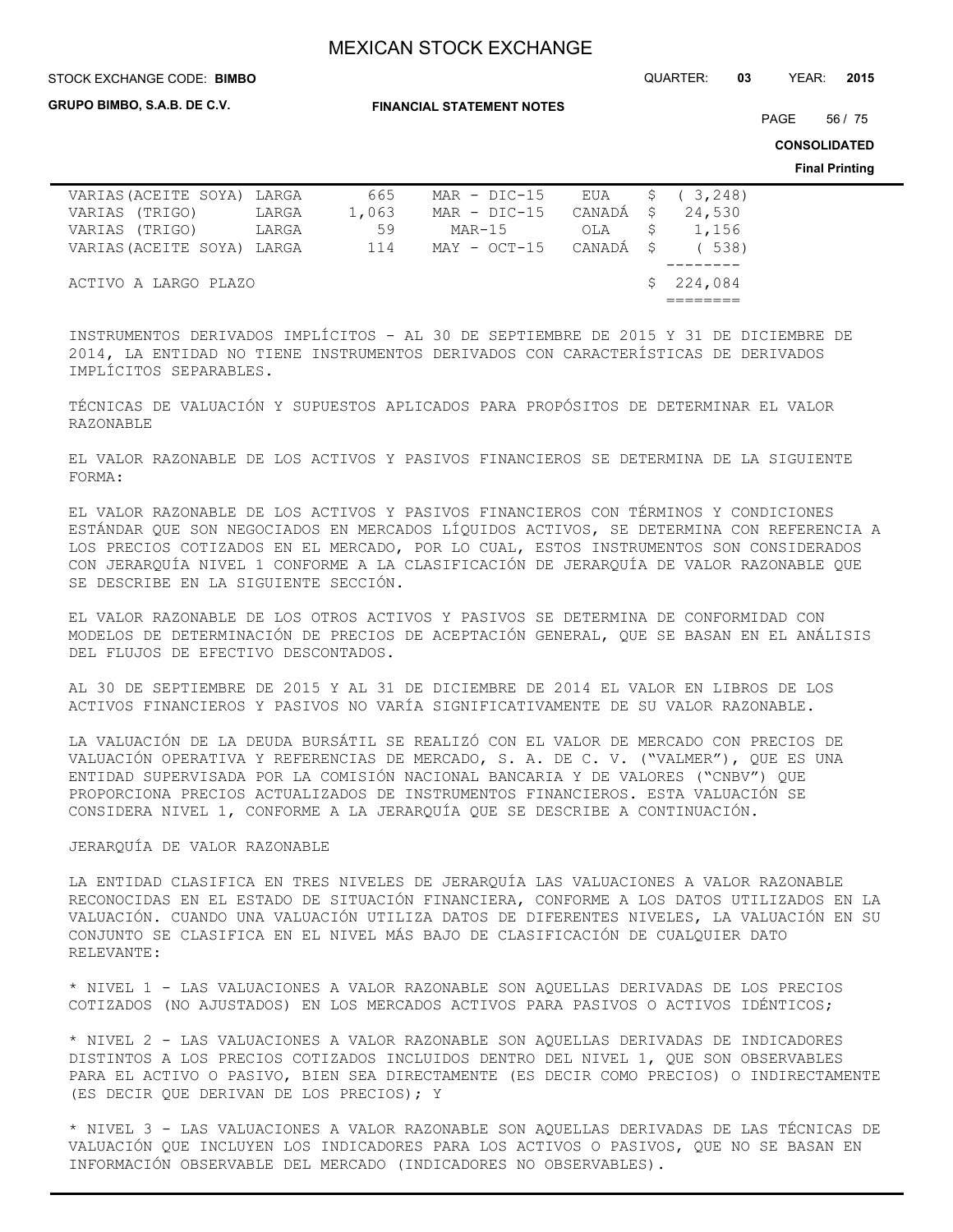**GRUPO BIMBO, S.A.B. DE C.V.**

**FINANCIAL STATEMENT NOTES**

STOCK EXCHANGE CODE: QUARTER: **03** YEAR: **2015 BIMBO**

PAGE 56 / 75

**CONSOLIDATED**

**Final Printing**

| VARIAS (ACEITE SOYA) LARGA |       | 665   | $MAR - DIC-15$         |           | EUA \$ (3,248) |
|----------------------------|-------|-------|------------------------|-----------|----------------|
| VARIAS (TRIGO)             | LARGA | 1,063 | $MAR - DIC-15$         | CANADÁ \$ | 24,530         |
| VARIAS (TRIGO)             | LARGA | 59    | MAR-15                 | OLA       | \$1,156        |
| VARIAS (ACEITE SOYA) LARGA |       | 114   | MAY - OCT-15 CANADÁ \$ |           | (538)          |
|                            |       |       |                        |           |                |
| ACTIVO A LARGO PLAZO       |       |       |                        |           | \$224.084      |
|                            |       |       |                        |           |                |

INSTRUMENTOS DERIVADOS IMPLÍCITOS - AL 30 DE SEPTIEMBRE DE 2015 Y 31 DE DICIEMBRE DE 2014, LA ENTIDAD NO TIENE INSTRUMENTOS DERIVADOS CON CARACTERÍSTICAS DE DERIVADOS IMPLÍCITOS SEPARABLES.

TÉCNICAS DE VALUACIÓN Y SUPUESTOS APLICADOS PARA PROPÓSITOS DE DETERMINAR EL VALOR RAZONABLE

EL VALOR RAZONABLE DE LOS ACTIVOS Y PASIVOS FINANCIEROS SE DETERMINA DE LA SIGUIENTE FORMA:

EL VALOR RAZONABLE DE LOS ACTIVOS Y PASIVOS FINANCIEROS CON TÉRMINOS Y CONDICIONES ESTÁNDAR QUE SON NEGOCIADOS EN MERCADOS LÍQUIDOS ACTIVOS, SE DETERMINA CON REFERENCIA A LOS PRECIOS COTIZADOS EN EL MERCADO, POR LO CUAL, ESTOS INSTRUMENTOS SON CONSIDERADOS CON JERARQUÍA NIVEL 1 CONFORME A LA CLASIFICACIÓN DE JERARQUÍA DE VALOR RAZONABLE QUE SE DESCRIBE EN LA SIGUIENTE SECCIÓN.

EL VALOR RAZONABLE DE LOS OTROS ACTIVOS Y PASIVOS SE DETERMINA DE CONFORMIDAD CON MODELOS DE DETERMINACIÓN DE PRECIOS DE ACEPTACIÓN GENERAL, QUE SE BASAN EN EL ANÁLISIS DEL FLUJOS DE EFECTIVO DESCONTADOS.

AL 30 DE SEPTIEMBRE DE 2015 Y AL 31 DE DICIEMBRE DE 2014 EL VALOR EN LIBROS DE LOS ACTIVOS FINANCIEROS Y PASIVOS NO VARÍA SIGNIFICATIVAMENTE DE SU VALOR RAZONABLE.

LA VALUACIÓN DE LA DEUDA BURSÁTIL SE REALIZÓ CON EL VALOR DE MERCADO CON PRECIOS DE VALUACIÓN OPERATIVA Y REFERENCIAS DE MERCADO, S. A. DE C. V. ("VALMER"), QUE ES UNA ENTIDAD SUPERVISADA POR LA COMISIÓN NACIONAL BANCARIA Y DE VALORES ("CNBV") QUE PROPORCIONA PRECIOS ACTUALIZADOS DE INSTRUMENTOS FINANCIEROS. ESTA VALUACIÓN SE CONSIDERA NIVEL 1, CONFORME A LA JERARQUÍA QUE SE DESCRIBE A CONTINUACIÓN.

### JERARQUÍA DE VALOR RAZONABLE

LA ENTIDAD CLASIFICA EN TRES NIVELES DE JERARQUÍA LAS VALUACIONES A VALOR RAZONABLE RECONOCIDAS EN EL ESTADO DE SITUACIÓN FINANCIERA, CONFORME A LOS DATOS UTILIZADOS EN LA VALUACIÓN. CUANDO UNA VALUACIÓN UTILIZA DATOS DE DIFERENTES NIVELES, LA VALUACIÓN EN SU CONJUNTO SE CLASIFICA EN EL NIVEL MÁS BAJO DE CLASIFICACIÓN DE CUALQUIER DATO RELEVANTE:

\* NIVEL 1 - LAS VALUACIONES A VALOR RAZONABLE SON AQUELLAS DERIVADAS DE LOS PRECIOS COTIZADOS (NO AJUSTADOS) EN LOS MERCADOS ACTIVOS PARA PASIVOS O ACTIVOS IDÉNTICOS;

\* NIVEL 2 - LAS VALUACIONES A VALOR RAZONABLE SON AQUELLAS DERIVADAS DE INDICADORES DISTINTOS A LOS PRECIOS COTIZADOS INCLUIDOS DENTRO DEL NIVEL 1, QUE SON OBSERVABLES PARA EL ACTIVO O PASIVO, BIEN SEA DIRECTAMENTE (ES DECIR COMO PRECIOS) O INDIRECTAMENTE (ES DECIR QUE DERIVAN DE LOS PRECIOS); Y

\* NIVEL 3 - LAS VALUACIONES A VALOR RAZONABLE SON AQUELLAS DERIVADAS DE LAS TÉCNICAS DE VALUACIÓN QUE INCLUYEN LOS INDICADORES PARA LOS ACTIVOS O PASIVOS, QUE NO SE BASAN EN INFORMACIÓN OBSERVABLE DEL MERCADO (INDICADORES NO OBSERVABLES).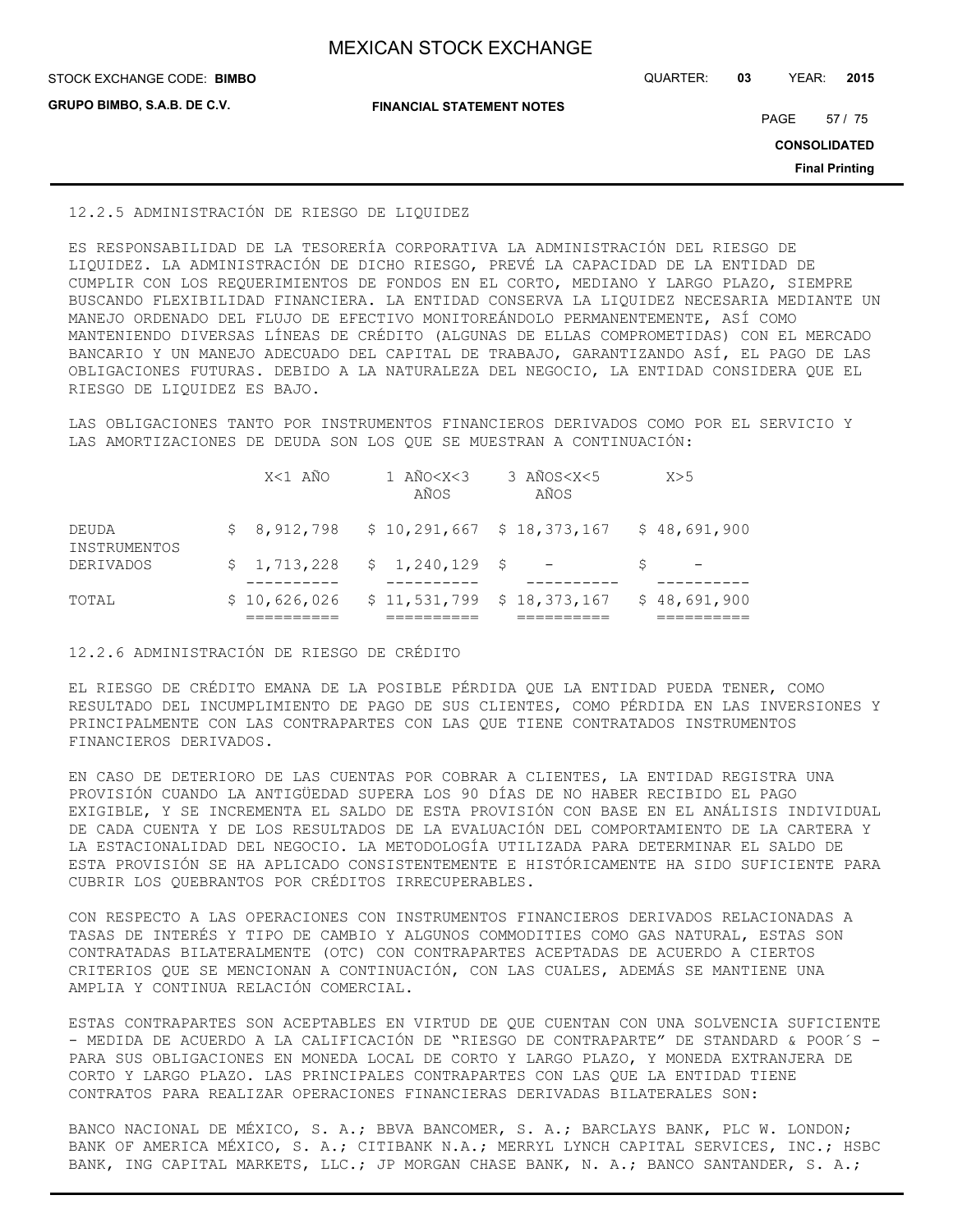**GRUPO BIMBO, S.A.B. DE C.V.**

**FINANCIAL STATEMENT NOTES**

STOCK EXCHANGE CODE: QUARTER: **03** YEAR: **2015 BIMBO**

PAGE 57 / 75

**CONSOLIDATED**

**Final Printing**

#### 12.2.5 ADMINISTRACIÓN DE RIESGO DE LIQUIDEZ

ES RESPONSABILIDAD DE LA TESORERÍA CORPORATIVA LA ADMINISTRACIÓN DEL RIESGO DE LIQUIDEZ. LA ADMINISTRACIÓN DE DICHO RIESGO, PREVÉ LA CAPACIDAD DE LA ENTIDAD DE CUMPLIR CON LOS REQUERIMIENTOS DE FONDOS EN EL CORTO, MEDIANO Y LARGO PLAZO, SIEMPRE BUSCANDO FLEXIBILIDAD FINANCIERA. LA ENTIDAD CONSERVA LA LIQUIDEZ NECESARIA MEDIANTE UN MANEJO ORDENADO DEL FLUJO DE EFECTIVO MONITOREÁNDOLO PERMANENTEMENTE, ASÍ COMO MANTENIENDO DIVERSAS LÍNEAS DE CRÉDITO (ALGUNAS DE ELLAS COMPROMETIDAS) CON EL MERCADO BANCARIO Y UN MANEJO ADECUADO DEL CAPITAL DE TRABAJO, GARANTIZANDO ASÍ, EL PAGO DE LAS OBLIGACIONES FUTURAS. DEBIDO A LA NATURALEZA DEL NEGOCIO, LA ENTIDAD CONSIDERA QUE EL RIESGO DE LIQUIDEZ ES BAJO.

LAS OBLIGACIONES TANTO POR INSTRUMENTOS FINANCIEROS DERIVADOS COMO POR EL SERVICIO Y LAS AMORTIZACIONES DE DEUDA SON LOS QUE SE MUESTRAN A CONTINUACIÓN:

|                       | X<1 AÑO                        | 1 AÑO <x<3<br>AÑOS</x<3<br> | 3 AÑOS <x<5<br>AÑOS</x<5<br>                           | X>5          |
|-----------------------|--------------------------------|-----------------------------|--------------------------------------------------------|--------------|
| DEUDA<br>INSTRUMENTOS |                                |                             | $$8,912,798$ $$10,291,667$ $$18,373,167$ $$48,691,900$ |              |
| DERIVADOS             | $$1,713,228$ $$1,240,129$ $$-$ |                             |                                                        |              |
| TOTAL                 | \$10,626,026                   |                             | \$11,531,799 \$18,373,167                              | \$48,691,900 |

#### 12.2.6 ADMINISTRACIÓN DE RIESGO DE CRÉDITO

EL RIESGO DE CRÉDITO EMANA DE LA POSIBLE PÉRDIDA QUE LA ENTIDAD PUEDA TENER, COMO RESULTADO DEL INCUMPLIMIENTO DE PAGO DE SUS CLIENTES, COMO PÉRDIDA EN LAS INVERSIONES Y PRINCIPALMENTE CON LAS CONTRAPARTES CON LAS QUE TIENE CONTRATADOS INSTRUMENTOS FINANCIEROS DERIVADOS.

EN CASO DE DETERIORO DE LAS CUENTAS POR COBRAR A CLIENTES, LA ENTIDAD REGISTRA UNA PROVISIÓN CUANDO LA ANTIGÜEDAD SUPERA LOS 90 DÍAS DE NO HABER RECIBIDO EL PAGO EXIGIBLE, Y SE INCREMENTA EL SALDO DE ESTA PROVISIÓN CON BASE EN EL ANÁLISIS INDIVIDUAL DE CADA CUENTA Y DE LOS RESULTADOS DE LA EVALUACIÓN DEL COMPORTAMIENTO DE LA CARTERA Y LA ESTACIONALIDAD DEL NEGOCIO. LA METODOLOGÍA UTILIZADA PARA DETERMINAR EL SALDO DE ESTA PROVISIÓN SE HA APLICADO CONSISTENTEMENTE E HISTÓRICAMENTE HA SIDO SUFICIENTE PARA CUBRIR LOS QUEBRANTOS POR CRÉDITOS IRRECUPERABLES.

CON RESPECTO A LAS OPERACIONES CON INSTRUMENTOS FINANCIEROS DERIVADOS RELACIONADAS A TASAS DE INTERÉS Y TIPO DE CAMBIO Y ALGUNOS COMMODITIES COMO GAS NATURAL, ESTAS SON CONTRATADAS BILATERALMENTE (OTC) CON CONTRAPARTES ACEPTADAS DE ACUERDO A CIERTOS CRITERIOS QUE SE MENCIONAN A CONTINUACIÓN, CON LAS CUALES, ADEMÁS SE MANTIENE UNA AMPLIA Y CONTINUA RELACIÓN COMERCIAL.

ESTAS CONTRAPARTES SON ACEPTABLES EN VIRTUD DE QUE CUENTAN CON UNA SOLVENCIA SUFICIENTE - MEDIDA DE ACUERDO A LA CALIFICACIÓN DE "RIESGO DE CONTRAPARTE" DE STANDARD & POOR´S -PARA SUS OBLIGACIONES EN MONEDA LOCAL DE CORTO Y LARGO PLAZO, Y MONEDA EXTRANJERA DE CORTO Y LARGO PLAZO. LAS PRINCIPALES CONTRAPARTES CON LAS QUE LA ENTIDAD TIENE CONTRATOS PARA REALIZAR OPERACIONES FINANCIERAS DERIVADAS BILATERALES SON:

BANCO NACIONAL DE MÉXICO, S. A.; BBVA BANCOMER, S. A.; BARCLAYS BANK, PLC W. LONDON; BANK OF AMERICA MÉXICO, S. A.; CITIBANK N.A.; MERRYL LYNCH CAPITAL SERVICES, INC.; HSBC BANK, ING CAPITAL MARKETS, LLC.; JP MORGAN CHASE BANK, N. A.; BANCO SANTANDER, S. A.;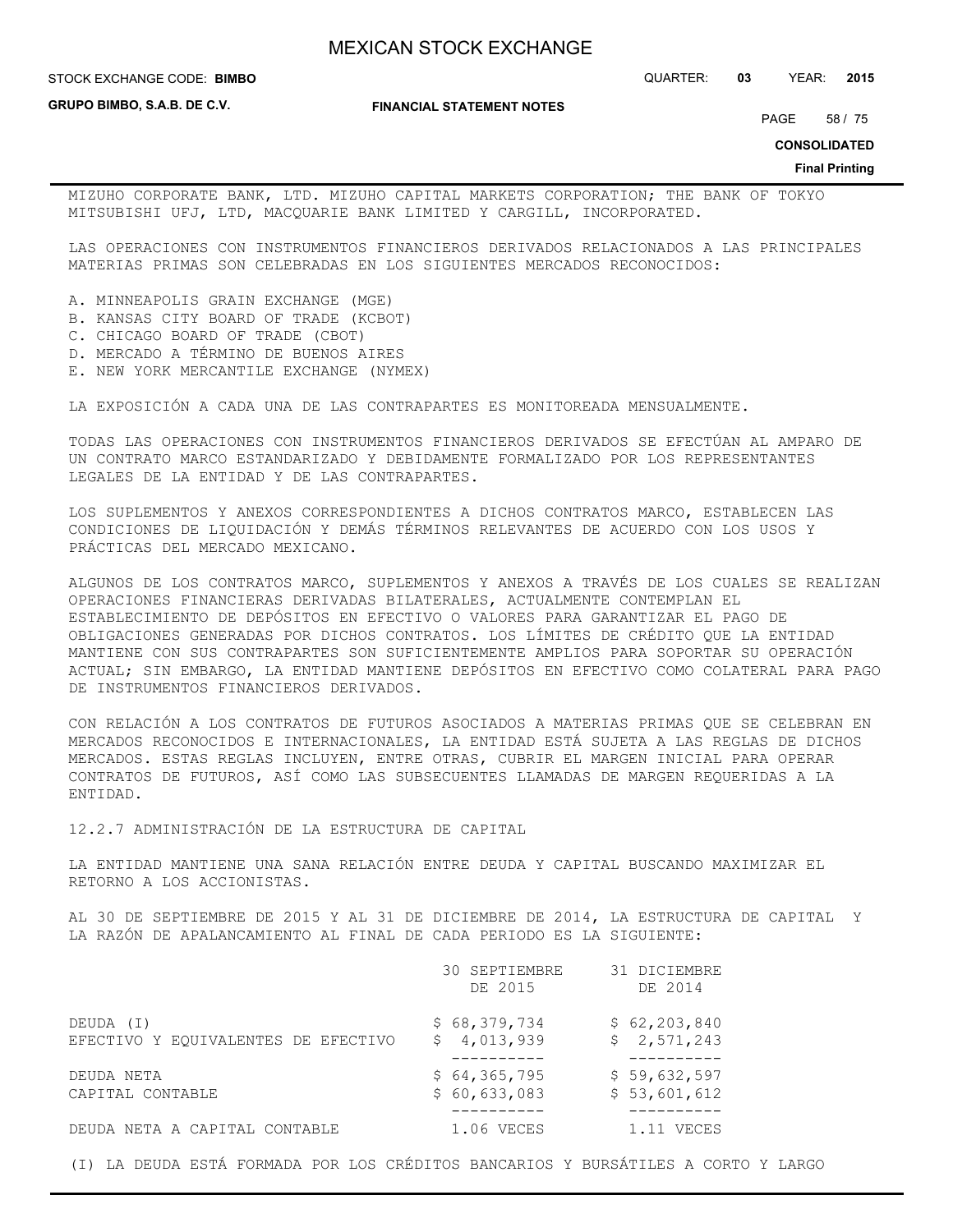**STOCK EXCHANGE CODE: BIMBO** 

**GRUPO BIMBO, S.A.B. DE C.V.**

**FINANCIAL STATEMENT NOTES**

PAGE 58 / 75

STOCK EXCHANGE CODE: QUARTER: **03** YEAR: **2015**

**CONSOLIDATED**

**Final Printing**

MIZUHO CORPORATE BANK, LTD. MIZUHO CAPITAL MARKETS CORPORATION; THE BANK OF TOKYO MITSUBISHI UFJ, LTD, MACQUARIE BANK LIMITED Y CARGILL, INCORPORATED.

LAS OPERACIONES CON INSTRUMENTOS FINANCIEROS DERIVADOS RELACIONADOS A LAS PRINCIPALES MATERIAS PRIMAS SON CELEBRADAS EN LOS SIGUIENTES MERCADOS RECONOCIDOS:

- A. MINNEAPOLIS GRAIN EXCHANGE (MGE)
- B. KANSAS CITY BOARD OF TRADE (KCBOT)
- C. CHICAGO BOARD OF TRADE (CBOT)
- D. MERCADO A TÉRMINO DE BUENOS AIRES
- E. NEW YORK MERCANTILE EXCHANGE (NYMEX)

LA EXPOSICIÓN A CADA UNA DE LAS CONTRAPARTES ES MONITOREADA MENSUALMENTE.

TODAS LAS OPERACIONES CON INSTRUMENTOS FINANCIEROS DERIVADOS SE EFECTÚAN AL AMPARO DE UN CONTRATO MARCO ESTANDARIZADO Y DEBIDAMENTE FORMALIZADO POR LOS REPRESENTANTES LEGALES DE LA ENTIDAD Y DE LAS CONTRAPARTES.

LOS SUPLEMENTOS Y ANEXOS CORRESPONDIENTES A DICHOS CONTRATOS MARCO, ESTABLECEN LAS CONDICIONES DE LIQUIDACIÓN Y DEMÁS TÉRMINOS RELEVANTES DE ACUERDO CON LOS USOS Y PRÁCTICAS DEL MERCADO MEXICANO.

ALGUNOS DE LOS CONTRATOS MARCO, SUPLEMENTOS Y ANEXOS A TRAVÉS DE LOS CUALES SE REALIZAN OPERACIONES FINANCIERAS DERIVADAS BILATERALES, ACTUALMENTE CONTEMPLAN EL ESTABLECIMIENTO DE DEPÓSITOS EN EFECTIVO O VALORES PARA GARANTIZAR EL PAGO DE OBLIGACIONES GENERADAS POR DICHOS CONTRATOS. LOS LÍMITES DE CRÉDITO QUE LA ENTIDAD MANTIENE CON SUS CONTRAPARTES SON SUFICIENTEMENTE AMPLIOS PARA SOPORTAR SU OPERACIÓN ACTUAL; SIN EMBARGO, LA ENTIDAD MANTIENE DEPÓSITOS EN EFECTIVO COMO COLATERAL PARA PAGO DE INSTRUMENTOS FINANCIEROS DERIVADOS.

CON RELACIÓN A LOS CONTRATOS DE FUTUROS ASOCIADOS A MATERIAS PRIMAS QUE SE CELEBRAN EN MERCADOS RECONOCIDOS E INTERNACIONALES, LA ENTIDAD ESTÁ SUJETA A LAS REGLAS DE DICHOS MERCADOS. ESTAS REGLAS INCLUYEN, ENTRE OTRAS, CUBRIR EL MARGEN INICIAL PARA OPERAR CONTRATOS DE FUTUROS, ASÍ COMO LAS SUBSECUENTES LLAMADAS DE MARGEN REQUERIDAS A LA ENTIDAD.

12.2.7 ADMINISTRACIÓN DE LA ESTRUCTURA DE CAPITAL

LA ENTIDAD MANTIENE UNA SANA RELACIÓN ENTRE DEUDA Y CAPITAL BUSCANDO MAXIMIZAR EL RETORNO A LOS ACCIONISTAS.

AL 30 DE SEPTIEMBRE DE 2015 Y AL 31 DE DICIEMBRE DE 2014, LA ESTRUCTURA DE CAPITAL Y LA RAZÓN DE APALANCAMIENTO AL FINAL DE CADA PERIODO ES LA SIGUIENTE:

|                                     | 30 SEPTIEMBRE<br>DE 2015 | 31 DICIEMBRE<br>DE 2014 |
|-------------------------------------|--------------------------|-------------------------|
| DEUDA (I)                           | \$68,379,734             | \$62, 203, 840          |
| EFECTIVO Y EQUIVALENTES DE EFECTIVO | \$4,013,939              | \$2,571,243             |
| DEUDA NETA                          | \$64,365,795             | \$59,632,597            |
| CAPITAL CONTABLE                    | \$60,633,083             | \$53,601,612            |
| DEUDA NETA A CAPITAL CONTABLE       | 1.06 VECES               | 1.11 VECES              |

(I) LA DEUDA ESTÁ FORMADA POR LOS CRÉDITOS BANCARIOS Y BURSÁTILES A CORTO Y LARGO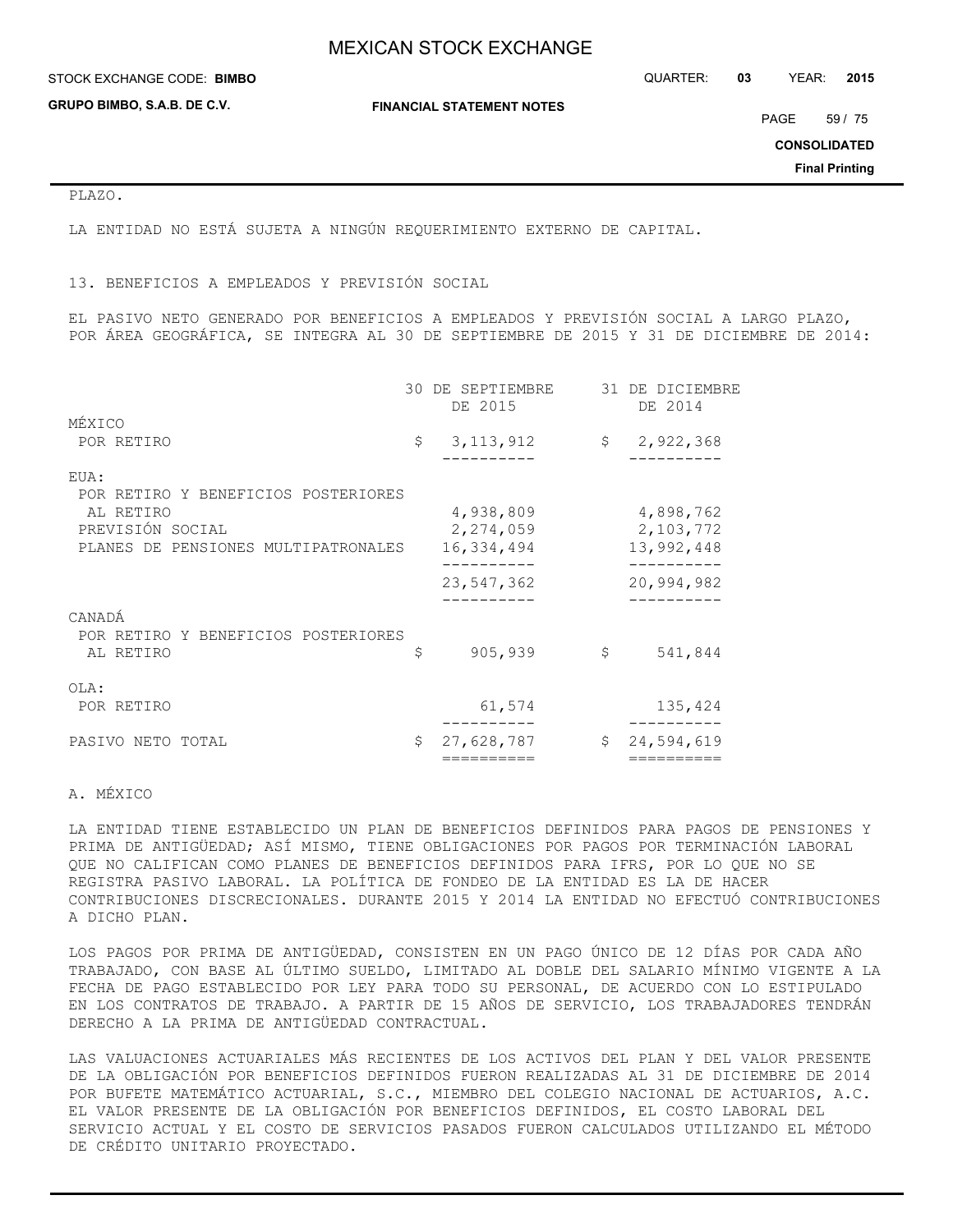STOCK EXCHANGE CODE: QUARTER: **03** YEAR: **2015 BIMBO**

**GRUPO BIMBO, S.A.B. DE C.V.**

**FINANCIAL STATEMENT NOTES**

PAGE 59 / 75

**CONSOLIDATED**

**Final Printing**

### PLAZO.

LA ENTIDAD NO ESTÁ SUJETA A NINGÚN REQUERIMIENTO EXTERNO DE CAPITAL.

13. BENEFICIOS A EMPLEADOS Y PREVISIÓN SOCIAL

EL PASIVO NETO GENERADO POR BENEFICIOS A EMPLEADOS Y PREVISIÓN SOCIAL A LARGO PLAZO, POR ÁREA GEOGRÁFICA, SE INTEGRA AL 30 DE SEPTIEMBRE DE 2015 Y 31 DE DICIEMBRE DE 2014:

|                                                                      |    | 30 DE SEPTIEMBRE<br>DE 2015          | 31 DE DICIEMBRE<br>DE 2014                        |
|----------------------------------------------------------------------|----|--------------------------------------|---------------------------------------------------|
| MÉXICO                                                               |    |                                      |                                                   |
| POR RETIRO                                                           | \$ | 3, 113, 912                          | \$2,922,368                                       |
| EUA:<br>POR RETIRO Y BENEFICIOS POSTERIORES                          |    |                                      |                                                   |
| AL RETIRO<br>PREVISIÓN SOCIAL<br>PLANES DE PENSIONES MULTIPATRONALES |    | 4,938,809<br>2,274,059<br>16,334,494 | 4,898,762<br>2,103,772<br>13,992,448<br>--------- |
|                                                                      |    | 23,547,362                           | 20,994,982                                        |
| CANADÁ<br>POR RETIRO Y BENEFICIOS POSTERIORES<br>AL RETIRO           | S  | 905,939                              | \$<br>541,844                                     |
| OLA:<br>POR RETIRO                                                   |    | 61,574                               | 135,424                                           |
| PASIVO NETO TOTAL                                                    | \$ | 27,628,787                           | \$<br>24,594,619                                  |
|                                                                      |    | ==========                           | ==========                                        |

### A. MÉXICO

LA ENTIDAD TIENE ESTABLECIDO UN PLAN DE BENEFICIOS DEFINIDOS PARA PAGOS DE PENSIONES Y PRIMA DE ANTIGÜEDAD; ASÍ MISMO, TIENE OBLIGACIONES POR PAGOS POR TERMINACIÓN LABORAL QUE NO CALIFICAN COMO PLANES DE BENEFICIOS DEFINIDOS PARA IFRS, POR LO QUE NO SE REGISTRA PASIVO LABORAL. LA POLÍTICA DE FONDEO DE LA ENTIDAD ES LA DE HACER CONTRIBUCIONES DISCRECIONALES. DURANTE 2015 Y 2014 LA ENTIDAD NO EFECTUÓ CONTRIBUCIONES A DICHO PLAN.

LOS PAGOS POR PRIMA DE ANTIGÜEDAD, CONSISTEN EN UN PAGO ÚNICO DE 12 DÍAS POR CADA AÑO TRABAJADO, CON BASE AL ÚLTIMO SUELDO, LIMITADO AL DOBLE DEL SALARIO MÍNIMO VIGENTE A LA FECHA DE PAGO ESTABLECIDO POR LEY PARA TODO SU PERSONAL, DE ACUERDO CON LO ESTIPULADO EN LOS CONTRATOS DE TRABAJO. A PARTIR DE 15 AÑOS DE SERVICIO, LOS TRABAJADORES TENDRÁN DERECHO A LA PRIMA DE ANTIGÜEDAD CONTRACTUAL.

LAS VALUACIONES ACTUARIALES MÁS RECIENTES DE LOS ACTIVOS DEL PLAN Y DEL VALOR PRESENTE DE LA OBLIGACIÓN POR BENEFICIOS DEFINIDOS FUERON REALIZADAS AL 31 DE DICIEMBRE DE 2014 POR BUFETE MATEMÁTICO ACTUARIAL, S.C., MIEMBRO DEL COLEGIO NACIONAL DE ACTUARIOS, A.C. EL VALOR PRESENTE DE LA OBLIGACIÓN POR BENEFICIOS DEFINIDOS, EL COSTO LABORAL DEL SERVICIO ACTUAL Y EL COSTO DE SERVICIOS PASADOS FUERON CALCULADOS UTILIZANDO EL MÉTODO DE CRÉDITO UNITARIO PROYECTADO.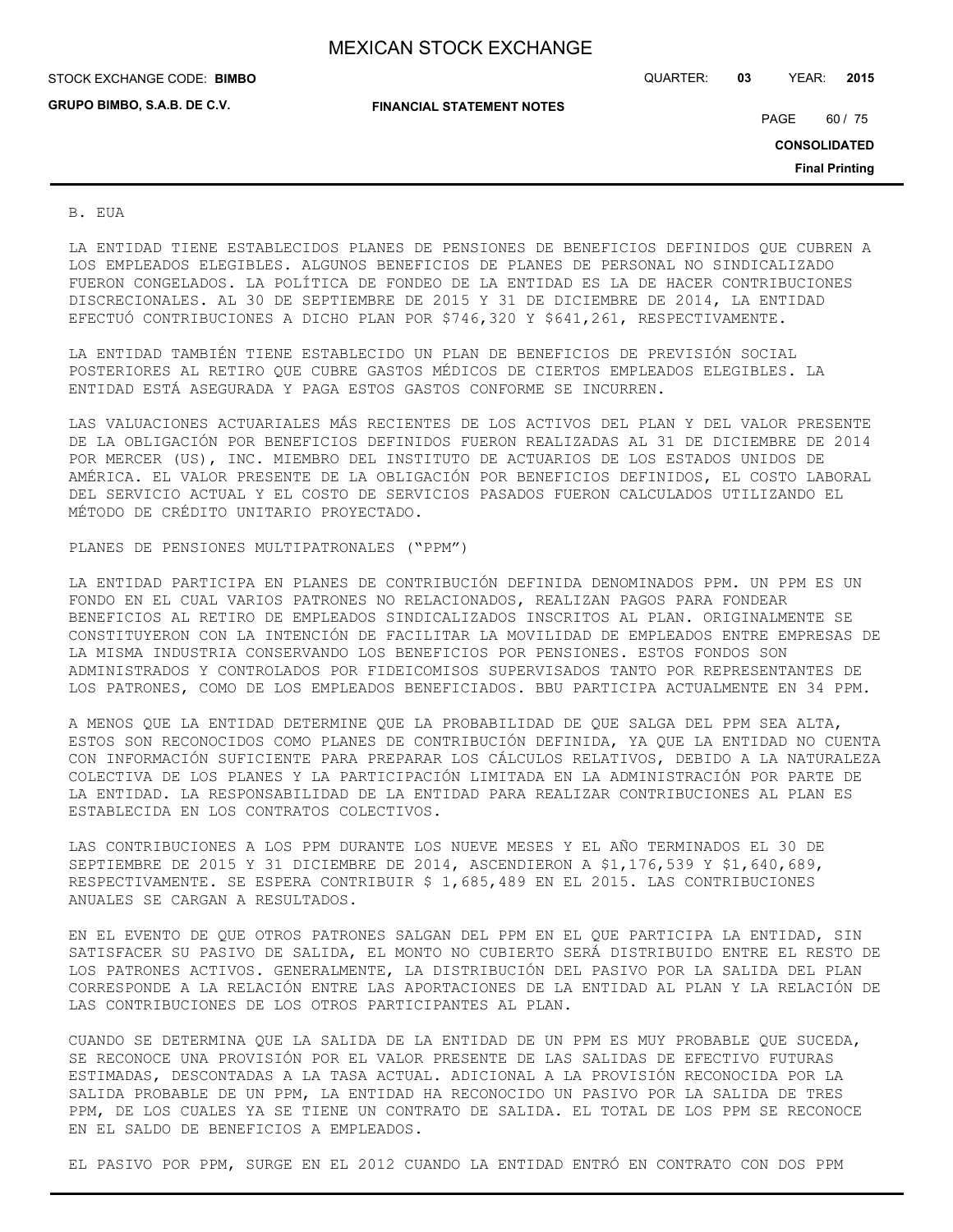**GRUPO BIMBO, S.A.B. DE C.V.**

STOCK EXCHANGE CODE: QUARTER: **03** YEAR: **2015 BIMBO**

**FINANCIAL STATEMENT NOTES**

PAGE 60 / 75

**CONSOLIDATED**

**Final Printing**

B. EUA

LA ENTIDAD TIENE ESTABLECIDOS PLANES DE PENSIONES DE BENEFICIOS DEFINIDOS QUE CUBREN A LOS EMPLEADOS ELEGIBLES. ALGUNOS BENEFICIOS DE PLANES DE PERSONAL NO SINDICALIZADO FUERON CONGELADOS. LA POLÍTICA DE FONDEO DE LA ENTIDAD ES LA DE HACER CONTRIBUCIONES DISCRECIONALES. AL 30 DE SEPTIEMBRE DE 2015 Y 31 DE DICIEMBRE DE 2014, LA ENTIDAD EFECTUÓ CONTRIBUCIONES A DICHO PLAN POR \$746,320 Y \$641,261, RESPECTIVAMENTE.

LA ENTIDAD TAMBIÉN TIENE ESTABLECIDO UN PLAN DE BENEFICIOS DE PREVISIÓN SOCIAL POSTERIORES AL RETIRO QUE CUBRE GASTOS MÉDICOS DE CIERTOS EMPLEADOS ELEGIBLES. LA ENTIDAD ESTÁ ASEGURADA Y PAGA ESTOS GASTOS CONFORME SE INCURREN.

LAS VALUACIONES ACTUARIALES MÁS RECIENTES DE LOS ACTIVOS DEL PLAN Y DEL VALOR PRESENTE DE LA OBLIGACIÓN POR BENEFICIOS DEFINIDOS FUERON REALIZADAS AL 31 DE DICIEMBRE DE 2014 POR MERCER (US), INC. MIEMBRO DEL INSTITUTO DE ACTUARIOS DE LOS ESTADOS UNIDOS DE AMÉRICA. EL VALOR PRESENTE DE LA OBLIGACIÓN POR BENEFICIOS DEFINIDOS, EL COSTO LABORAL DEL SERVICIO ACTUAL Y EL COSTO DE SERVICIOS PASADOS FUERON CALCULADOS UTILIZANDO EL MÉTODO DE CRÉDITO UNITARIO PROYECTADO.

### PLANES DE PENSIONES MULTIPATRONALES ("PPM")

LA ENTIDAD PARTICIPA EN PLANES DE CONTRIBUCIÓN DEFINIDA DENOMINADOS PPM. UN PPM ES UN FONDO EN EL CUAL VARIOS PATRONES NO RELACIONADOS, REALIZAN PAGOS PARA FONDEAR BENEFICIOS AL RETIRO DE EMPLEADOS SINDICALIZADOS INSCRITOS AL PLAN. ORIGINALMENTE SE CONSTITUYERON CON LA INTENCIÓN DE FACILITAR LA MOVILIDAD DE EMPLEADOS ENTRE EMPRESAS DE LA MISMA INDUSTRIA CONSERVANDO LOS BENEFICIOS POR PENSIONES. ESTOS FONDOS SON ADMINISTRADOS Y CONTROLADOS POR FIDEICOMISOS SUPERVISADOS TANTO POR REPRESENTANTES DE LOS PATRONES, COMO DE LOS EMPLEADOS BENEFICIADOS. BBU PARTICIPA ACTUALMENTE EN 34 PPM.

A MENOS QUE LA ENTIDAD DETERMINE QUE LA PROBABILIDAD DE QUE SALGA DEL PPM SEA ALTA, ESTOS SON RECONOCIDOS COMO PLANES DE CONTRIBUCIÓN DEFINIDA, YA QUE LA ENTIDAD NO CUENTA CON INFORMACIÓN SUFICIENTE PARA PREPARAR LOS CÁLCULOS RELATIVOS, DEBIDO A LA NATURALEZA COLECTIVA DE LOS PLANES Y LA PARTICIPACIÓN LIMITADA EN LA ADMINISTRACIÓN POR PARTE DE LA ENTIDAD. LA RESPONSABILIDAD DE LA ENTIDAD PARA REALIZAR CONTRIBUCIONES AL PLAN ES ESTABLECIDA EN LOS CONTRATOS COLECTIVOS.

LAS CONTRIBUCIONES A LOS PPM DURANTE LOS NUEVE MESES Y EL AÑO TERMINADOS EL 30 DE SEPTIEMBRE DE 2015 Y 31 DICIEMBRE DE 2014, ASCENDIERON A \$1,176,539 Y \$1,640,689, RESPECTIVAMENTE. SE ESPERA CONTRIBUIR \$ 1,685,489 EN EL 2015. LAS CONTRIBUCIONES ANUALES SE CARGAN A RESULTADOS.

EN EL EVENTO DE QUE OTROS PATRONES SALGAN DEL PPM EN EL QUE PARTICIPA LA ENTIDAD, SIN SATISFACER SU PASIVO DE SALIDA, EL MONTO NO CUBIERTO SERÁ DISTRIBUIDO ENTRE EL RESTO DE LOS PATRONES ACTIVOS. GENERALMENTE, LA DISTRIBUCIÓN DEL PASIVO POR LA SALIDA DEL PLAN CORRESPONDE A LA RELACIÓN ENTRE LAS APORTACIONES DE LA ENTIDAD AL PLAN Y LA RELACIÓN DE LAS CONTRIBUCIONES DE LOS OTROS PARTICIPANTES AL PLAN.

CUANDO SE DETERMINA QUE LA SALIDA DE LA ENTIDAD DE UN PPM ES MUY PROBABLE QUE SUCEDA, SE RECONOCE UNA PROVISIÓN POR EL VALOR PRESENTE DE LAS SALIDAS DE EFECTIVO FUTURAS ESTIMADAS, DESCONTADAS A LA TASA ACTUAL. ADICIONAL A LA PROVISIÓN RECONOCIDA POR LA SALIDA PROBABLE DE UN PPM, LA ENTIDAD HA RECONOCIDO UN PASIVO POR LA SALIDA DE TRES PPM, DE LOS CUALES YA SE TIENE UN CONTRATO DE SALIDA. EL TOTAL DE LOS PPM SE RECONOCE EN EL SALDO DE BENEFICIOS A EMPLEADOS.

EL PASIVO POR PPM, SURGE EN EL 2012 CUANDO LA ENTIDAD ENTRÓ EN CONTRATO CON DOS PPM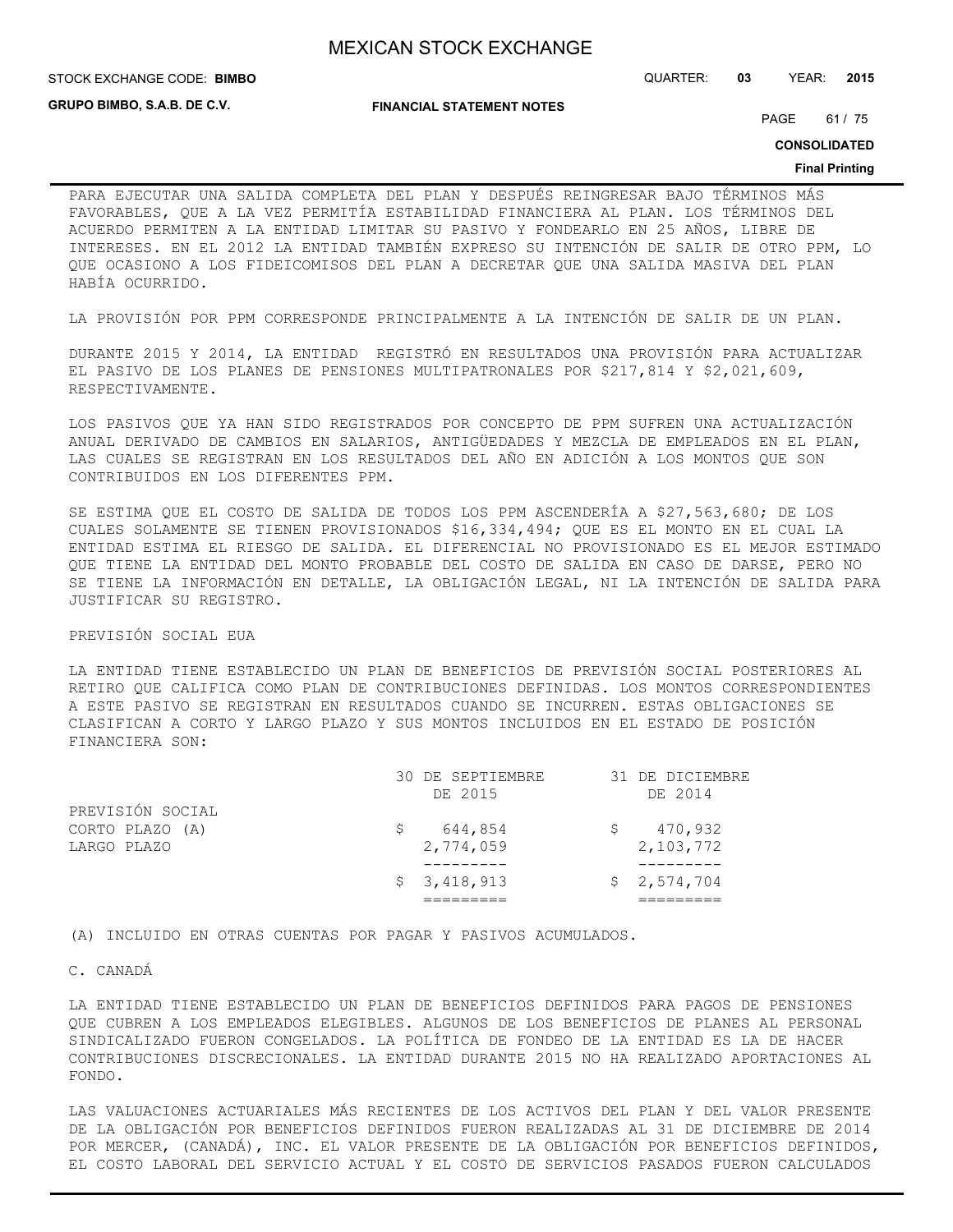STOCK EXCHANGE CODE: QUARTER: **03** YEAR: **2015 BIMBO**

**GRUPO BIMBO, S.A.B. DE C.V.**

**FINANCIAL STATEMENT NOTES**

PAGE 61 / 75

**CONSOLIDATED**

#### **Final Printing**

PARA EJECUTAR UNA SALIDA COMPLETA DEL PLAN Y DESPUÉS REINGRESAR BAJO TÉRMINOS MÁS FAVORABLES, QUE A LA VEZ PERMITÍA ESTABILIDAD FINANCIERA AL PLAN. LOS TÉRMINOS DEL ACUERDO PERMITEN A LA ENTIDAD LIMITAR SU PASIVO Y FONDEARLO EN 25 AÑOS, LIBRE DE INTERESES. EN EL 2012 LA ENTIDAD TAMBIÉN EXPRESO SU INTENCIÓN DE SALIR DE OTRO PPM, LO QUE OCASIONO A LOS FIDEICOMISOS DEL PLAN A DECRETAR QUE UNA SALIDA MASIVA DEL PLAN HABÍA OCURRIDO.

LA PROVISIÓN POR PPM CORRESPONDE PRINCIPALMENTE A LA INTENCIÓN DE SALIR DE UN PLAN.

DURANTE 2015 Y 2014, LA ENTIDAD REGISTRÓ EN RESULTADOS UNA PROVISIÓN PARA ACTUALIZAR EL PASIVO DE LOS PLANES DE PENSIONES MULTIPATRONALES POR \$217,814 Y \$2,021,609, RESPECTIVAMENTE.

LOS PASIVOS QUE YA HAN SIDO REGISTRADOS POR CONCEPTO DE PPM SUFREN UNA ACTUALIZACIÓN ANUAL DERIVADO DE CAMBIOS EN SALARIOS, ANTIGÜEDADES Y MEZCLA DE EMPLEADOS EN EL PLAN, LAS CUALES SE REGISTRAN EN LOS RESULTADOS DEL AÑO EN ADICIÓN A LOS MONTOS QUE SON CONTRIBUIDOS EN LOS DIFERENTES PPM.

SE ESTIMA QUE EL COSTO DE SALIDA DE TODOS LOS PPM ASCENDERÍA A \$27,563,680; DE LOS CUALES SOLAMENTE SE TIENEN PROVISIONADOS \$16,334,494; QUE ES EL MONTO EN EL CUAL LA ENTIDAD ESTIMA EL RIESGO DE SALIDA. EL DIFERENCIAL NO PROVISIONADO ES EL MEJOR ESTIMADO QUE TIENE LA ENTIDAD DEL MONTO PROBABLE DEL COSTO DE SALIDA EN CASO DE DARSE, PERO NO SE TIENE LA INFORMACIÓN EN DETALLE, LA OBLIGACIÓN LEGAL, NI LA INTENCIÓN DE SALIDA PARA JUSTIFICAR SU REGISTRO.

#### PREVISIÓN SOCIAL EUA

LA ENTIDAD TIENE ESTABLECIDO UN PLAN DE BENEFICIOS DE PREVISIÓN SOCIAL POSTERIORES AL RETIRO QUE CALIFICA COMO PLAN DE CONTRIBUCIONES DEFINIDAS. LOS MONTOS CORRESPONDIENTES A ESTE PASIVO SE REGISTRAN EN RESULTADOS CUANDO SE INCURREN. ESTAS OBLIGACIONES SE CLASIFICAN A CORTO Y LARGO PLAZO Y SUS MONTOS INCLUIDOS EN EL ESTADO DE POSICIÓN FINANCIERA SON:

|                  | \$3,418,913      | \$2,574,704     |
|------------------|------------------|-----------------|
|                  |                  |                 |
| LARGO PLAZO      | 2,774,059        | 2,103,772       |
| CORTO PLAZO (A)  | 644,854          | 470,932         |
| PREVISIÓN SOCIAL |                  |                 |
|                  | DE 2015          | DE 2014         |
|                  | 30 DE SEPTIEMBRE | 31 DE DICIEMBRE |

(A) INCLUIDO EN OTRAS CUENTAS POR PAGAR Y PASIVOS ACUMULADOS.

#### C. CANADÁ

LA ENTIDAD TIENE ESTABLECIDO UN PLAN DE BENEFICIOS DEFINIDOS PARA PAGOS DE PENSIONES QUE CUBREN A LOS EMPLEADOS ELEGIBLES. ALGUNOS DE LOS BENEFICIOS DE PLANES AL PERSONAL SINDICALIZADO FUERON CONGELADOS. LA POLÍTICA DE FONDEO DE LA ENTIDAD ES LA DE HACER CONTRIBUCIONES DISCRECIONALES. LA ENTIDAD DURANTE 2015 NO HA REALIZADO APORTACIONES AL FONDO.

LAS VALUACIONES ACTUARIALES MÁS RECIENTES DE LOS ACTIVOS DEL PLAN Y DEL VALOR PRESENTE DE LA OBLIGACIÓN POR BENEFICIOS DEFINIDOS FUERON REALIZADAS AL 31 DE DICIEMBRE DE 2014 POR MERCER, (CANADÁ), INC. EL VALOR PRESENTE DE LA OBLIGACIÓN POR BENEFICIOS DEFINIDOS, EL COSTO LABORAL DEL SERVICIO ACTUAL Y EL COSTO DE SERVICIOS PASADOS FUERON CALCULADOS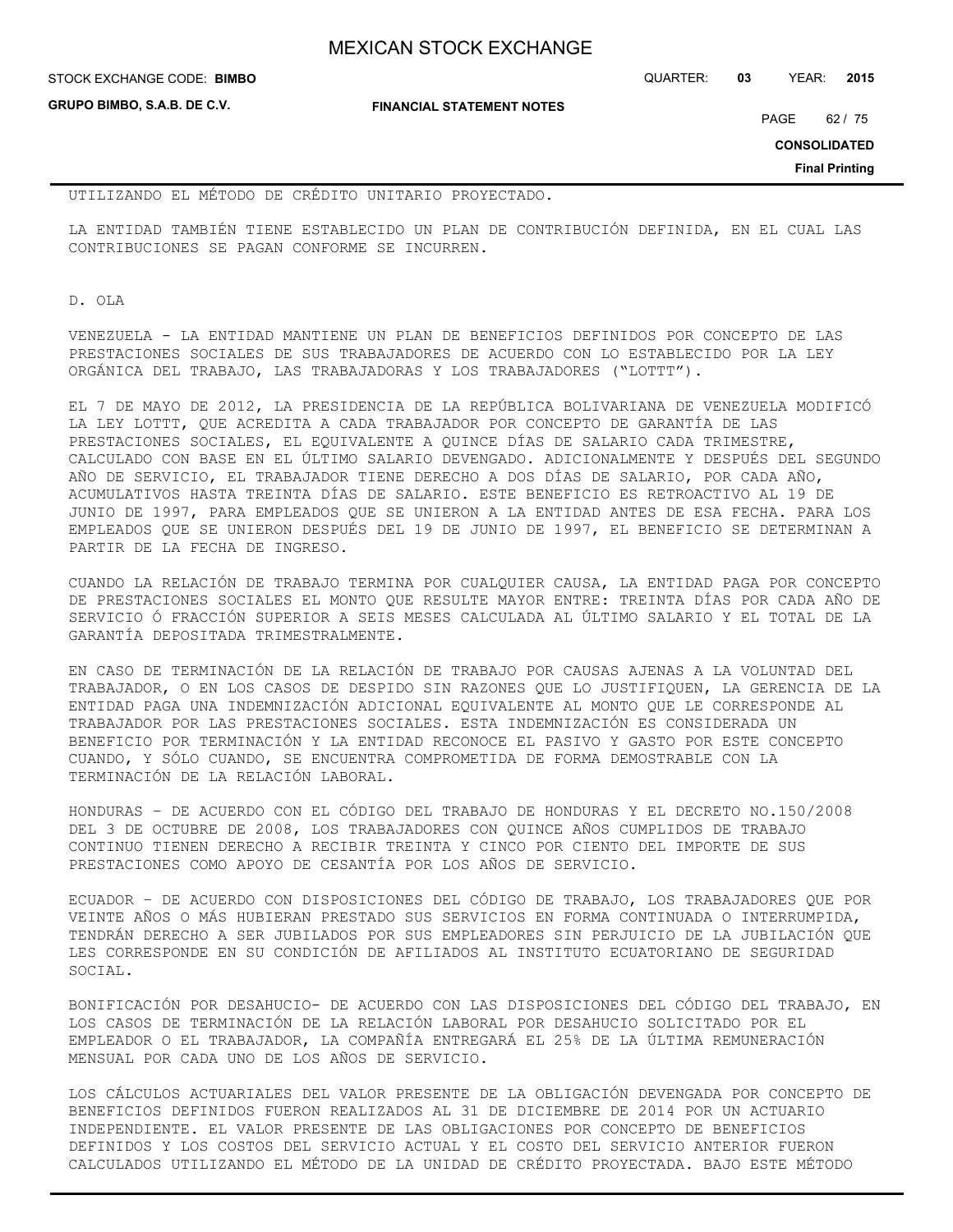| <b>MEXICAN STOCK EXCHANGE</b> |
|-------------------------------|
|-------------------------------|

STOCK EXCHANGE CODE: QUARTER: **03** YEAR: **2015 BIMBO**

**GRUPO BIMBO, S.A.B. DE C.V.**

**FINANCIAL STATEMENT NOTES**

PAGE 62 / 75

**CONSOLIDATED**

**Final Printing**

UTILIZANDO EL MÉTODO DE CRÉDITO UNITARIO PROYECTADO.

LA ENTIDAD TAMBIÉN TIENE ESTABLECIDO UN PLAN DE CONTRIBUCIÓN DEFINIDA, EN EL CUAL LAS CONTRIBUCIONES SE PAGAN CONFORME SE INCURREN.

D. OLA

VENEZUELA - LA ENTIDAD MANTIENE UN PLAN DE BENEFICIOS DEFINIDOS POR CONCEPTO DE LAS PRESTACIONES SOCIALES DE SUS TRABAJADORES DE ACUERDO CON LO ESTABLECIDO POR LA LEY ORGÁNICA DEL TRABAJO, LAS TRABAJADORAS Y LOS TRABAJADORES ("LOTTT").

EL 7 DE MAYO DE 2012, LA PRESIDENCIA DE LA REPÚBLICA BOLIVARIANA DE VENEZUELA MODIFICÓ LA LEY LOTTT, QUE ACREDITA A CADA TRABAJADOR POR CONCEPTO DE GARANTÍA DE LAS PRESTACIONES SOCIALES, EL EQUIVALENTE A QUINCE DÍAS DE SALARIO CADA TRIMESTRE, CALCULADO CON BASE EN EL ÚLTIMO SALARIO DEVENGADO. ADICIONALMENTE Y DESPUÉS DEL SEGUNDO AÑO DE SERVICIO, EL TRABAJADOR TIENE DERECHO A DOS DÍAS DE SALARIO, POR CADA AÑO, ACUMULATIVOS HASTA TREINTA DÍAS DE SALARIO. ESTE BENEFICIO ES RETROACTIVO AL 19 DE JUNIO DE 1997, PARA EMPLEADOS QUE SE UNIERON A LA ENTIDAD ANTES DE ESA FECHA. PARA LOS EMPLEADOS QUE SE UNIERON DESPUÉS DEL 19 DE JUNIO DE 1997, EL BENEFICIO SE DETERMINAN A PARTIR DE LA FECHA DE INGRESO.

CUANDO LA RELACIÓN DE TRABAJO TERMINA POR CUALQUIER CAUSA, LA ENTIDAD PAGA POR CONCEPTO DE PRESTACIONES SOCIALES EL MONTO QUE RESULTE MAYOR ENTRE: TREINTA DÍAS POR CADA AÑO DE SERVICIO Ó FRACCIÓN SUPERIOR A SEIS MESES CALCULADA AL ÚLTIMO SALARIO Y EL TOTAL DE LA GARANTÍA DEPOSITADA TRIMESTRALMENTE.

EN CASO DE TERMINACIÓN DE LA RELACIÓN DE TRABAJO POR CAUSAS AJENAS A LA VOLUNTAD DEL TRABAJADOR, O EN LOS CASOS DE DESPIDO SIN RAZONES QUE LO JUSTIFIQUEN, LA GERENCIA DE LA ENTIDAD PAGA UNA INDEMNIZACIÓN ADICIONAL EQUIVALENTE AL MONTO QUE LE CORRESPONDE AL TRABAJADOR POR LAS PRESTACIONES SOCIALES. ESTA INDEMNIZACIÓN ES CONSIDERADA UN BENEFICIO POR TERMINACIÓN Y LA ENTIDAD RECONOCE EL PASIVO Y GASTO POR ESTE CONCEPTO CUANDO, Y SÓLO CUANDO, SE ENCUENTRA COMPROMETIDA DE FORMA DEMOSTRABLE CON LA TERMINACIÓN DE LA RELACIÓN LABORAL.

HONDURAS – DE ACUERDO CON EL CÓDIGO DEL TRABAJO DE HONDURAS Y EL DECRETO NO.150/2008 DEL 3 DE OCTUBRE DE 2008, LOS TRABAJADORES CON QUINCE AÑOS CUMPLIDOS DE TRABAJO CONTINUO TIENEN DERECHO A RECIBIR TREINTA Y CINCO POR CIENTO DEL IMPORTE DE SUS PRESTACIONES COMO APOYO DE CESANTÍA POR LOS AÑOS DE SERVICIO.

ECUADOR – DE ACUERDO CON DISPOSICIONES DEL CÓDIGO DE TRABAJO, LOS TRABAJADORES QUE POR VEINTE AÑOS O MÁS HUBIERAN PRESTADO SUS SERVICIOS EN FORMA CONTINUADA O INTERRUMPIDA, TENDRÁN DERECHO A SER JUBILADOS POR SUS EMPLEADORES SIN PERJUICIO DE LA JUBILACIÓN QUE LES CORRESPONDE EN SU CONDICIÓN DE AFILIADOS AL INSTITUTO ECUATORIANO DE SEGURIDAD SOCIAL.

BONIFICACIÓN POR DESAHUCIO- DE ACUERDO CON LAS DISPOSICIONES DEL CÓDIGO DEL TRABAJO, EN LOS CASOS DE TERMINACIÓN DE LA RELACIÓN LABORAL POR DESAHUCIO SOLICITADO POR EL EMPLEADOR O EL TRABAJADOR, LA COMPAÑÍA ENTREGARÁ EL 25% DE LA ÚLTIMA REMUNERACIÓN MENSUAL POR CADA UNO DE LOS AÑOS DE SERVICIO.

LOS CÁLCULOS ACTUARIALES DEL VALOR PRESENTE DE LA OBLIGACIÓN DEVENGADA POR CONCEPTO DE BENEFICIOS DEFINIDOS FUERON REALIZADOS AL 31 DE DICIEMBRE DE 2014 POR UN ACTUARIO INDEPENDIENTE. EL VALOR PRESENTE DE LAS OBLIGACIONES POR CONCEPTO DE BENEFICIOS DEFINIDOS Y LOS COSTOS DEL SERVICIO ACTUAL Y EL COSTO DEL SERVICIO ANTERIOR FUERON CALCULADOS UTILIZANDO EL MÉTODO DE LA UNIDAD DE CRÉDITO PROYECTADA. BAJO ESTE MÉTODO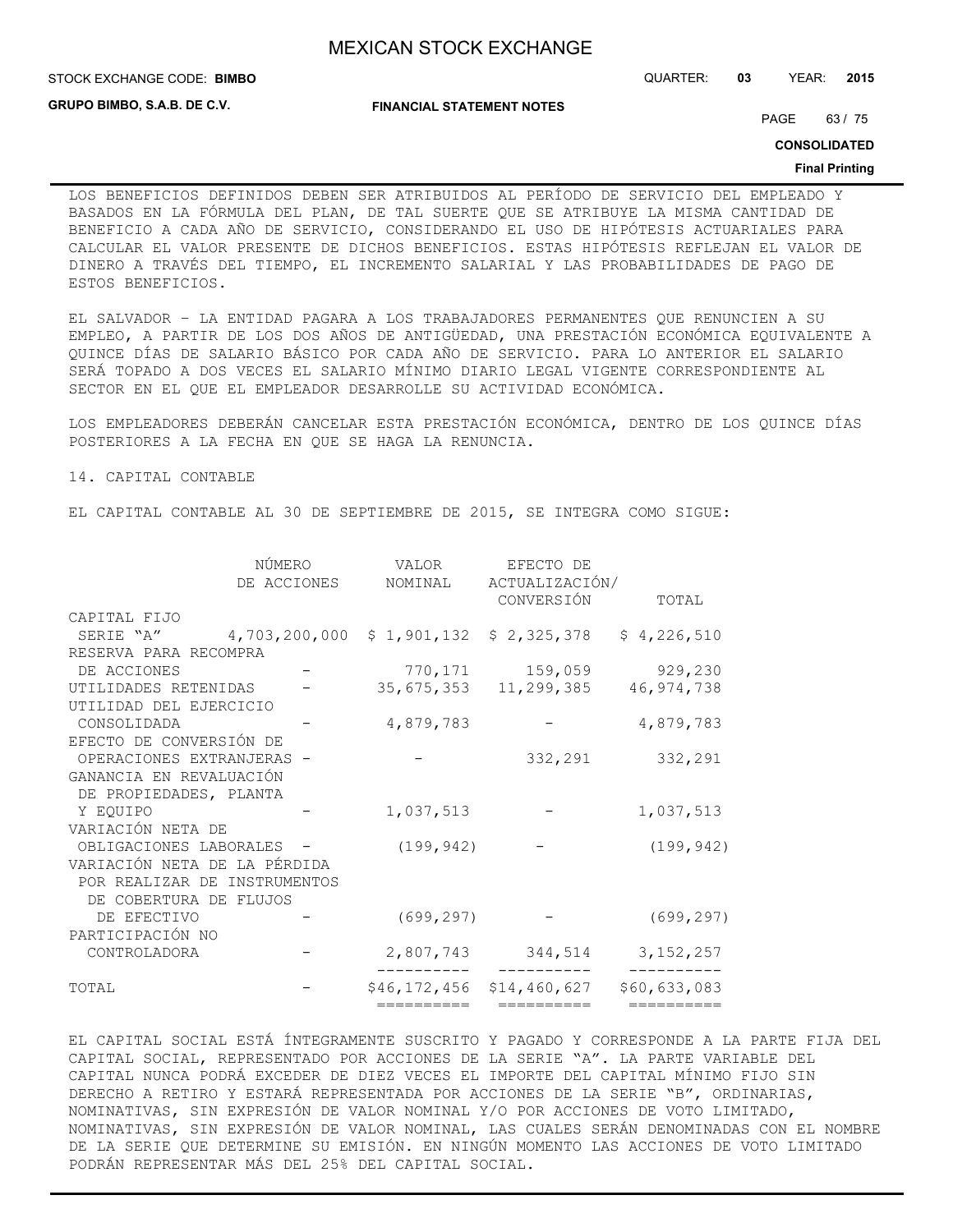STOCK EXCHANGE CODE: QUARTER: **03** YEAR: **2015 BIMBO**

**GRUPO BIMBO, S.A.B. DE C.V.**

**FINANCIAL STATEMENT NOTES**

PAGE 63 / 75

**CONSOLIDATED**

#### **Final Printing**

LOS BENEFICIOS DEFINIDOS DEBEN SER ATRIBUIDOS AL PERÍODO DE SERVICIO DEL EMPLEADO Y BASADOS EN LA FÓRMULA DEL PLAN, DE TAL SUERTE QUE SE ATRIBUYE LA MISMA CANTIDAD DE BENEFICIO A CADA AÑO DE SERVICIO, CONSIDERANDO EL USO DE HIPÓTESIS ACTUARIALES PARA CALCULAR EL VALOR PRESENTE DE DICHOS BENEFICIOS. ESTAS HIPÓTESIS REFLEJAN EL VALOR DE DINERO A TRAVÉS DEL TIEMPO, EL INCREMENTO SALARIAL Y LAS PROBABILIDADES DE PAGO DE ESTOS BENEFICIOS.

EL SALVADOR – LA ENTIDAD PAGARA A LOS TRABAJADORES PERMANENTES QUE RENUNCIEN A SU EMPLEO, A PARTIR DE LOS DOS AÑOS DE ANTIGÜEDAD, UNA PRESTACIÓN ECONÓMICA EQUIVALENTE A QUINCE DÍAS DE SALARIO BÁSICO POR CADA AÑO DE SERVICIO. PARA LO ANTERIOR EL SALARIO SERÁ TOPADO A DOS VECES EL SALARIO MÍNIMO DIARIO LEGAL VIGENTE CORRESPONDIENTE AL SECTOR EN EL QUE EL EMPLEADOR DESARROLLE SU ACTIVIDAD ECONÓMICA.

LOS EMPLEADORES DEBERÁN CANCELAR ESTA PRESTACIÓN ECONÓMICA, DENTRO DE LOS QUINCE DÍAS POSTERIORES A LA FECHA EN QUE SE HAGA LA RENUNCIA.

14. CAPITAL CONTABLE

EL CAPITAL CONTABLE AL 30 DE SEPTIEMBRE DE 2015, SE INTEGRA COMO SIGUE:

|                              | NÚMERO      | VALOR      | EFECTO DE                 |              |
|------------------------------|-------------|------------|---------------------------|--------------|
|                              | DE ACCIONES | NOMINAL    | ACTUALIZACIÓN/            |              |
|                              |             |            | CONVERSIÓN                | TOTAL        |
| CAPITAL FIJO                 |             |            |                           |              |
| SERIE "A" 4,703,200,000      |             |            | $$1,901,132$ $$2,325,378$ | \$4,226,510  |
| RESERVA PARA RECOMPRA        |             |            |                           |              |
| DE ACCIONES                  |             |            | 770,171 159,059           | 929,230      |
| UTILIDADES RETENIDAS         |             |            | 35, 675, 353 11, 299, 385 | 46, 974, 738 |
| UTILIDAD DEL EJERCICIO       |             |            |                           |              |
| CONSOLIDADA                  |             | 4,879,783  |                           | 4,879,783    |
| EFECTO DE CONVERSIÓN DE      |             |            |                           |              |
| OPERACIONES EXTRANJERAS      |             |            | 332,291                   | 332,291      |
| GANANCIA EN REVALUACIÓN      |             |            |                           |              |
| DE PROPIEDADES, PLANTA       |             |            |                           |              |
| Y EOUIPO                     |             | 1,037,513  |                           | 1,037,513    |
| VARIACIÓN NETA DE            |             |            |                           |              |
| OBLIGACIONES LABORALES -     |             | (199, 942) |                           | (199, 942)   |
| VARIACIÓN NETA DE LA PÉRDIDA |             |            |                           |              |
| POR REALIZAR DE INSTRUMENTOS |             |            |                           |              |
| DE COBERTURA DE FLUJOS       |             |            |                           |              |
| DE EFECTIVO                  |             | (699, 297) |                           | (699, 297)   |
| PARTICIPACIÓN NO             |             |            |                           |              |
| CONTROLADORA                 |             |            | 2,807,743 344,514         | 3, 152, 257  |
| TOTAL                        |             |            | \$46,172,456 \$14,460,627 | \$60,633,083 |
|                              |             | ========== | ==========                | ==========   |

EL CAPITAL SOCIAL ESTÁ ÍNTEGRAMENTE SUSCRITO Y PAGADO Y CORRESPONDE A LA PARTE FIJA DEL CAPITAL SOCIAL, REPRESENTADO POR ACCIONES DE LA SERIE "A". LA PARTE VARIABLE DEL CAPITAL NUNCA PODRÁ EXCEDER DE DIEZ VECES EL IMPORTE DEL CAPITAL MÍNIMO FIJO SIN DERECHO A RETIRO Y ESTARÁ REPRESENTADA POR ACCIONES DE LA SERIE "B", ORDINARIAS, NOMINATIVAS, SIN EXPRESIÓN DE VALOR NOMINAL Y/O POR ACCIONES DE VOTO LIMITADO, NOMINATIVAS, SIN EXPRESIÓN DE VALOR NOMINAL, LAS CUALES SERÁN DENOMINADAS CON EL NOMBRE DE LA SERIE QUE DETERMINE SU EMISIÓN. EN NINGÚN MOMENTO LAS ACCIONES DE VOTO LIMITADO PODRÁN REPRESENTAR MÁS DEL 25% DEL CAPITAL SOCIAL.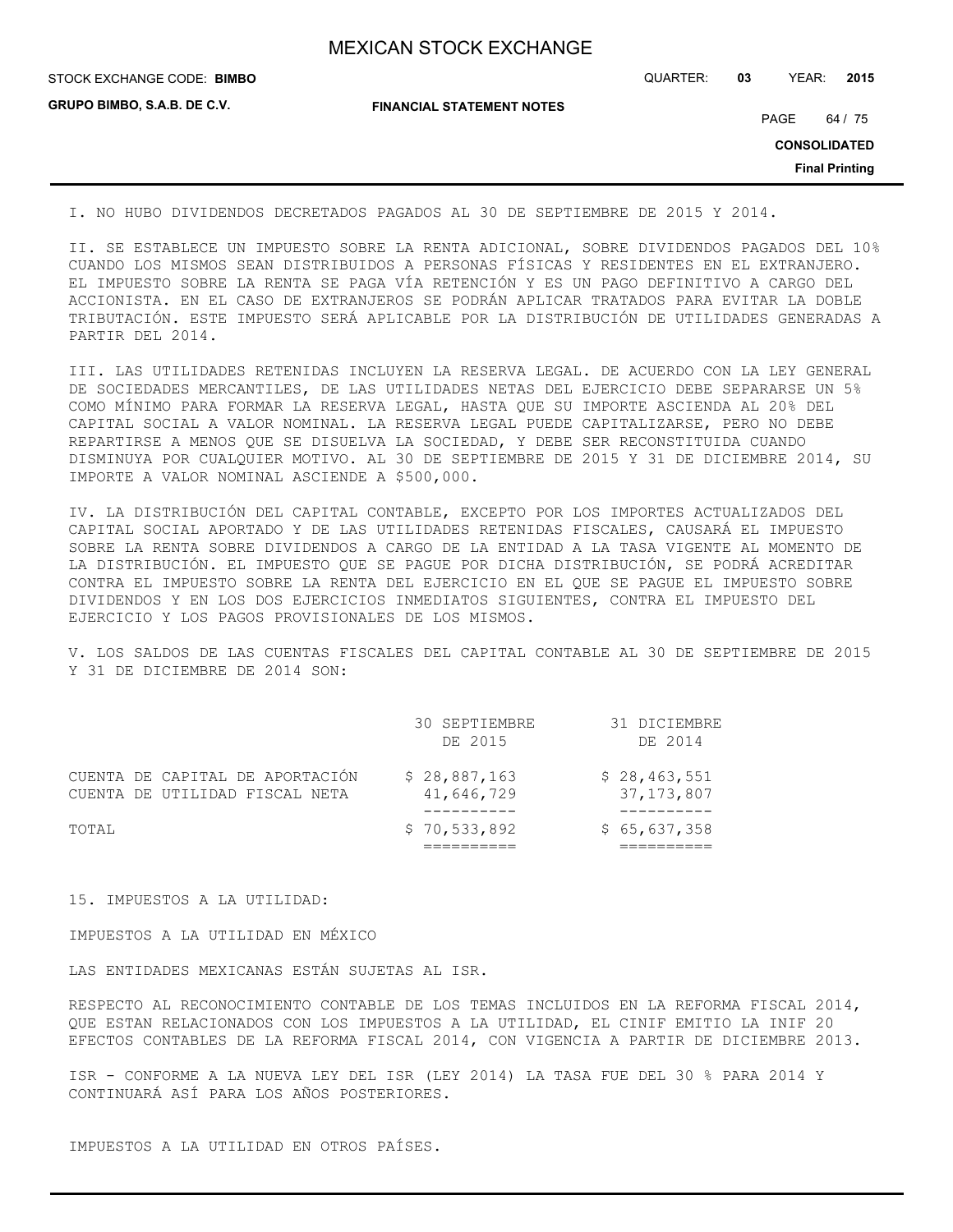| <b>MEXICAN STOCK EXCHANGE</b> |
|-------------------------------|
|-------------------------------|

**GRUPO BIMBO, S.A.B. DE C.V.**

STOCK EXCHANGE CODE: QUARTER: **03** YEAR: **2015 BIMBO**

**FINANCIAL STATEMENT NOTES**

PAGE 64 / 75

**CONSOLIDATED**

**Final Printing**

I. NO HUBO DIVIDENDOS DECRETADOS PAGADOS AL 30 DE SEPTIEMBRE DE 2015 Y 2014.

II. SE ESTABLECE UN IMPUESTO SOBRE LA RENTA ADICIONAL, SOBRE DIVIDENDOS PAGADOS DEL 10% CUANDO LOS MISMOS SEAN DISTRIBUIDOS A PERSONAS FÍSICAS Y RESIDENTES EN EL EXTRANJERO. EL IMPUESTO SOBRE LA RENTA SE PAGA VÍA RETENCIÓN Y ES UN PAGO DEFINITIVO A CARGO DEL ACCIONISTA. EN EL CASO DE EXTRANJEROS SE PODRÁN APLICAR TRATADOS PARA EVITAR LA DOBLE TRIBUTACIÓN. ESTE IMPUESTO SERÁ APLICABLE POR LA DISTRIBUCIÓN DE UTILIDADES GENERADAS A PARTIR DEL 2014.

III. LAS UTILIDADES RETENIDAS INCLUYEN LA RESERVA LEGAL. DE ACUERDO CON LA LEY GENERAL DE SOCIEDADES MERCANTILES, DE LAS UTILIDADES NETAS DEL EJERCICIO DEBE SEPARARSE UN 5% COMO MÍNIMO PARA FORMAR LA RESERVA LEGAL, HASTA QUE SU IMPORTE ASCIENDA AL 20% DEL CAPITAL SOCIAL A VALOR NOMINAL. LA RESERVA LEGAL PUEDE CAPITALIZARSE, PERO NO DEBE REPARTIRSE A MENOS QUE SE DISUELVA LA SOCIEDAD, Y DEBE SER RECONSTITUIDA CUANDO DISMINUYA POR CUALQUIER MOTIVO. AL 30 DE SEPTIEMBRE DE 2015 Y 31 DE DICIEMBRE 2014, SU IMPORTE A VALOR NOMINAL ASCIENDE A \$500,000.

IV. LA DISTRIBUCIÓN DEL CAPITAL CONTABLE, EXCEPTO POR LOS IMPORTES ACTUALIZADOS DEL CAPITAL SOCIAL APORTADO Y DE LAS UTILIDADES RETENIDAS FISCALES, CAUSARÁ EL IMPUESTO SOBRE LA RENTA SOBRE DIVIDENDOS A CARGO DE LA ENTIDAD A LA TASA VIGENTE AL MOMENTO DE LA DISTRIBUCIÓN. EL IMPUESTO QUE SE PAGUE POR DICHA DISTRIBUCIÓN, SE PODRÁ ACREDITAR CONTRA EL IMPUESTO SOBRE LA RENTA DEL EJERCICIO EN EL QUE SE PAGUE EL IMPUESTO SOBRE DIVIDENDOS Y EN LOS DOS EJERCICIOS INMEDIATOS SIGUIENTES, CONTRA EL IMPUESTO DEL EJERCICIO Y LOS PAGOS PROVISIONALES DE LOS MISMOS.

V. LOS SALDOS DE LAS CUENTAS FISCALES DEL CAPITAL CONTABLE AL 30 DE SEPTIEMBRE DE 2015 Y 31 DE DICIEMBRE DE 2014 SON:

|                                                                   | 30 SEPTIEMBRE<br>DE 2015   | 31 DICIEMBRE<br>DE 2014      |
|-------------------------------------------------------------------|----------------------------|------------------------------|
| CUENTA DE CAPITAL DE APORTACIÓN<br>CUENTA DE UTILIDAD FISCAL NETA | \$28,887,163<br>41,646,729 | \$28,463,551<br>37, 173, 807 |
| TOTAL                                                             | \$70,533,892               | \$65,637,358                 |

15. IMPUESTOS A LA UTILIDAD:

IMPUESTOS A LA UTILIDAD EN MÉXICO

LAS ENTIDADES MEXICANAS ESTÁN SUJETAS AL ISR.

RESPECTO AL RECONOCIMIENTO CONTABLE DE LOS TEMAS INCLUIDOS EN LA REFORMA FISCAL 2014, QUE ESTAN RELACIONADOS CON LOS IMPUESTOS A LA UTILIDAD, EL CINIF EMITIO LA INIF 20 EFECTOS CONTABLES DE LA REFORMA FISCAL 2014, CON VIGENCIA A PARTIR DE DICIEMBRE 2013.

ISR - CONFORME A LA NUEVA LEY DEL ISR (LEY 2014) LA TASA FUE DEL 30 % PARA 2014 Y CONTINUARÁ ASÍ PARA LOS AÑOS POSTERIORES.

IMPUESTOS A LA UTILIDAD EN OTROS PAÍSES.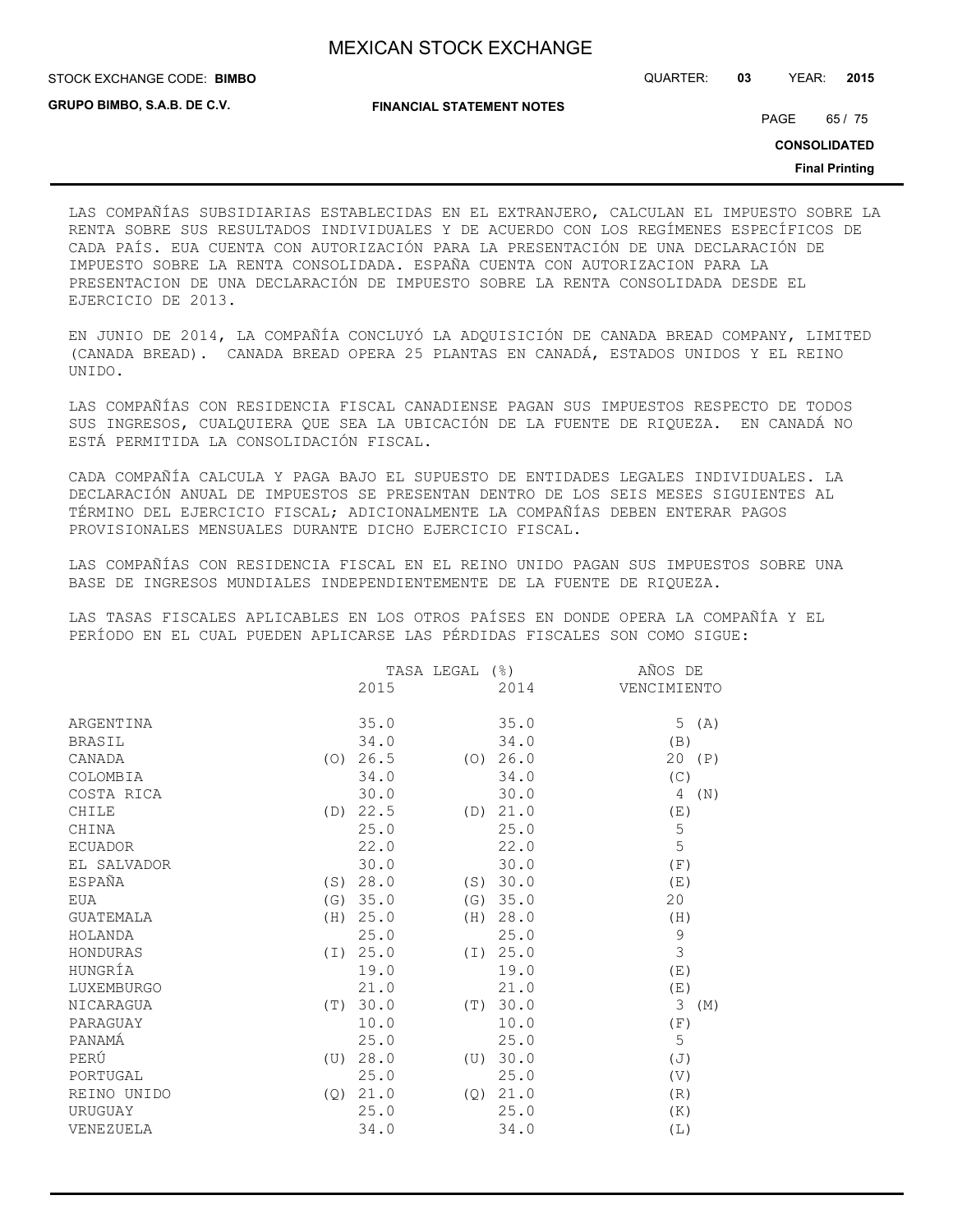STOCK EXCHANGE CODE: QUARTER: **03** YEAR: **2015 BIMBO**

**GRUPO BIMBO, S.A.B. DE C.V.**

**FINANCIAL STATEMENT NOTES**

PAGE 65 / 75

**CONSOLIDATED**

**Final Printing**

LAS COMPAÑÍAS SUBSIDIARIAS ESTABLECIDAS EN EL EXTRANJERO, CALCULAN EL IMPUESTO SOBRE LA RENTA SOBRE SUS RESULTADOS INDIVIDUALES Y DE ACUERDO CON LOS REGÍMENES ESPECÍFICOS DE CADA PAÍS. EUA CUENTA CON AUTORIZACIÓN PARA LA PRESENTACIÓN DE UNA DECLARACIÓN DE IMPUESTO SOBRE LA RENTA CONSOLIDADA. ESPAÑA CUENTA CON AUTORIZACION PARA LA PRESENTACION DE UNA DECLARACIÓN DE IMPUESTO SOBRE LA RENTA CONSOLIDADA DESDE EL EJERCICIO DE 2013.

EN JUNIO DE 2014, LA COMPAÑÍA CONCLUYÓ LA ADQUISICIÓN DE CANADA BREAD COMPANY, LIMITED (CANADA BREAD). CANADA BREAD OPERA 25 PLANTAS EN CANADÁ, ESTADOS UNIDOS Y EL REINO UNIDO.

LAS COMPAÑÍAS CON RESIDENCIA FISCAL CANADIENSE PAGAN SUS IMPUESTOS RESPECTO DE TODOS SUS INGRESOS, CUALQUIERA QUE SEA LA UBICACIÓN DE LA FUENTE DE RIQUEZA. EN CANADÁ NO ESTÁ PERMITIDA LA CONSOLIDACIÓN FISCAL.

CADA COMPAÑÍA CALCULA Y PAGA BAJO EL SUPUESTO DE ENTIDADES LEGALES INDIVIDUALES. LA DECLARACIÓN ANUAL DE IMPUESTOS SE PRESENTAN DENTRO DE LOS SEIS MESES SIGUIENTES AL TÉRMINO DEL EJERCICIO FISCAL; ADICIONALMENTE LA COMPAÑÍAS DEBEN ENTERAR PAGOS PROVISIONALES MENSUALES DURANTE DICHO EJERCICIO FISCAL.

LAS COMPAÑÍAS CON RESIDENCIA FISCAL EN EL REINO UNIDO PAGAN SUS IMPUESTOS SOBRE UNA BASE DE INGRESOS MUNDIALES INDEPENDIENTEMENTE DE LA FUENTE DE RIQUEZA.

LAS TASAS FISCALES APLICABLES EN LOS OTROS PAÍSES EN DONDE OPERA LA COMPAÑÍA Y EL PERÍODO EN EL CUAL PUEDEN APLICARSE LAS PÉRDIDAS FISCALES SON COMO SIGUE:

|                    | TASA LEGAL (%) |     |          | AÑOS DE        |
|--------------------|----------------|-----|----------|----------------|
|                    | 2015           |     | 2014     | VENCIMIENTO    |
|                    |                |     |          |                |
| ARGENTINA          | 35.0           |     | 35.0     | 5<br>(A)       |
| <b>BRASIL</b>      | 34.0           |     | 34.0     | (B)            |
| CANADA<br>(0)      | 26.5           |     | (0) 26.0 | 20<br>(P)      |
| COLOMBIA           | 34.0           |     | 34.0     | (C)            |
| COSTA RICA         | 30.0           |     | 30.0     | 4<br>(N)       |
| CHILE              | (D) 22.5       | (D) | 21.0     | (E)            |
| CHINA              | 25.0           |     | 25.0     | $\mathsf S$    |
| <b>ECUADOR</b>     | 22.0           |     | 22.0     | 5              |
| EL SALVADOR        | 30.0           |     | 30.0     | (F)            |
| ESPAÑA<br>(S)      | 28.0           |     | (S) 30.0 | (E)            |
| EUA                | (G) 35.0       |     | (G) 35.0 | 20             |
| <b>GUATEMALA</b>   | (H) 25.0       |     | (H) 28.0 | (H)            |
| HOLANDA            | 25.0           |     | 25.0     | $\mathcal{G}$  |
| HONDURAS           | (I) 25.0       |     | (I) 25.0 | 3              |
| HUNGRÍA            | 19.0           |     | 19.0     | (E)            |
| LUXEMBURGO         | 21.0           |     | 21.0     | (E)            |
| NICARAGUA<br>(T)   | 30.0           | (T) | 30.0     | 3<br>(M)       |
| PARAGUAY           | 10.0           |     | 10.0     | (F)            |
| PANAMÁ             | 25.0           |     | 25.0     | 5              |
| PERÚ<br>(U)        | 28.0           | (U) | 30.0     | $(\mathbb{J})$ |
| PORTUGAL           | 25.0           |     | 25.0     | (V)            |
| REINO UNIDO<br>(Q) | 21.0           | (Q) | 21.0     | (R)            |
| URUGUAY            | 25.0           |     | 25.0     | (K)            |
| VENEZUELA          | 34.0           |     | 34.0     | (L)            |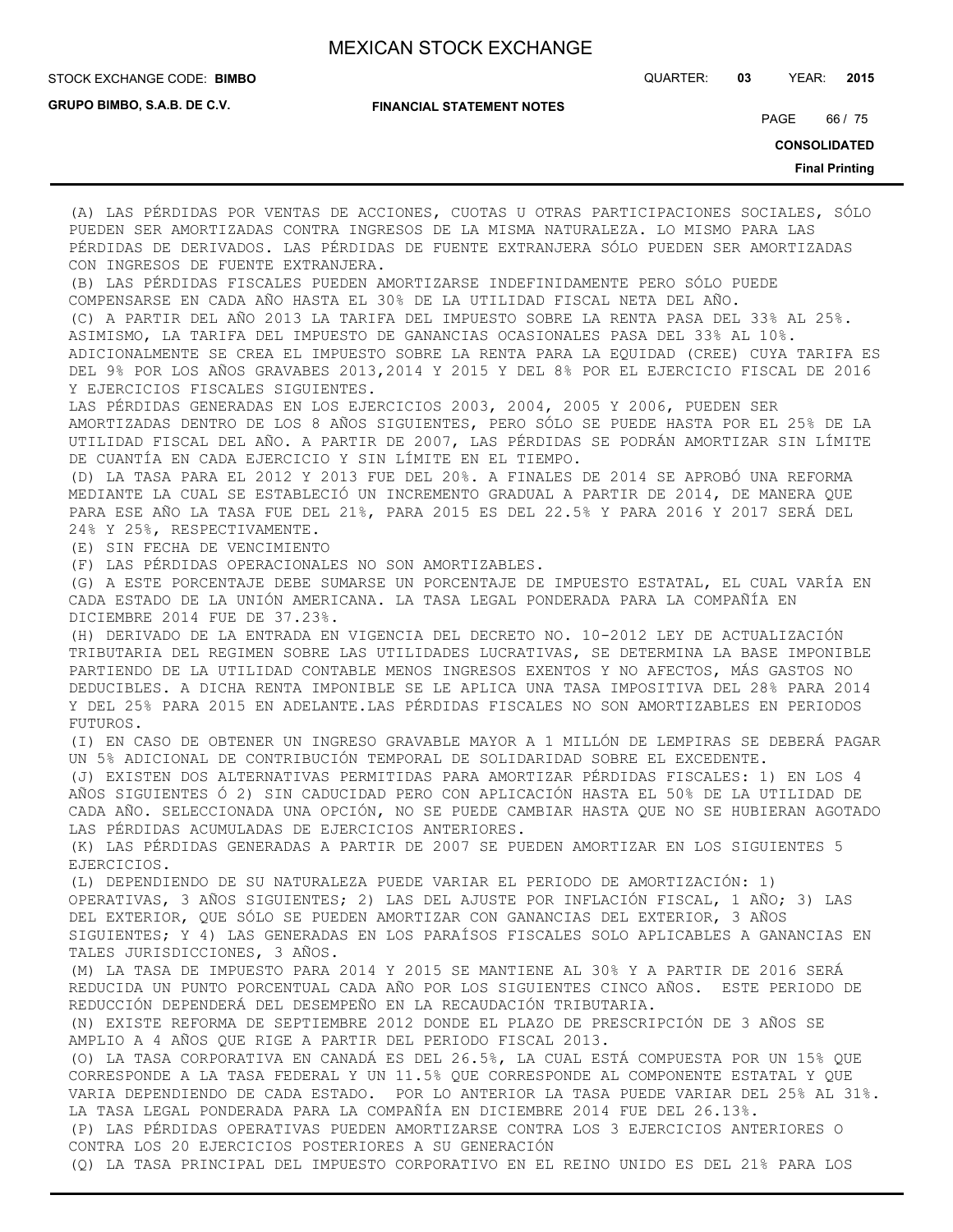**GRUPO BIMBO, S.A.B. DE C.V.**

STOCK EXCHANGE CODE: QUARTER: **03** YEAR: **2015 BIMBO**

**FINANCIAL STATEMENT NOTES**

PAGE 66 / 75

**CONSOLIDATED**

**Final Printing**

(A) LAS PÉRDIDAS POR VENTAS DE ACCIONES, CUOTAS U OTRAS PARTICIPACIONES SOCIALES, SÓLO PUEDEN SER AMORTIZADAS CONTRA INGRESOS DE LA MISMA NATURALEZA. LO MISMO PARA LAS PÉRDIDAS DE DERIVADOS. LAS PÉRDIDAS DE FUENTE EXTRANJERA SÓLO PUEDEN SER AMORTIZADAS CON INGRESOS DE FUENTE EXTRANJERA. (B) LAS PÉRDIDAS FISCALES PUEDEN AMORTIZARSE INDEFINIDAMENTE PERO SÓLO PUEDE COMPENSARSE EN CADA AÑO HASTA EL 30% DE LA UTILIDAD FISCAL NETA DEL AÑO. (C) A PARTIR DEL AÑO 2013 LA TARIFA DEL IMPUESTO SOBRE LA RENTA PASA DEL 33% AL 25%. ASIMISMO, LA TARIFA DEL IMPUESTO DE GANANCIAS OCASIONALES PASA DEL 33% AL 10%. ADICIONALMENTE SE CREA EL IMPUESTO SOBRE LA RENTA PARA LA EQUIDAD (CREE) CUYA TARIFA ES DEL 9% POR LOS AÑOS GRAVABES 2013,2014 Y 2015 Y DEL 8% POR EL EJERCICIO FISCAL DE 2016 Y EJERCICIOS FISCALES SIGUIENTES. LAS PÉRDIDAS GENERADAS EN LOS EJERCICIOS 2003, 2004, 2005 Y 2006, PUEDEN SER AMORTIZADAS DENTRO DE LOS 8 AÑOS SIGUIENTES, PERO SÓLO SE PUEDE HASTA POR EL 25% DE LA UTILIDAD FISCAL DEL AÑO. A PARTIR DE 2007, LAS PÉRDIDAS SE PODRÁN AMORTIZAR SIN LÍMITE DE CUANTÍA EN CADA EJERCICIO Y SIN LÍMITE EN EL TIEMPO. (D) LA TASA PARA EL 2012 Y 2013 FUE DEL 20%. A FINALES DE 2014 SE APROBÓ UNA REFORMA MEDIANTE LA CUAL SE ESTABLECIÓ UN INCREMENTO GRADUAL A PARTIR DE 2014, DE MANERA QUE PARA ESE AÑO LA TASA FUE DEL 21%, PARA 2015 ES DEL 22.5% Y PARA 2016 Y 2017 SERÁ DEL 24% Y 25%, RESPECTIVAMENTE. (E) SIN FECHA DE VENCIMIENTO (F) LAS PÉRDIDAS OPERACIONALES NO SON AMORTIZABLES. (G) A ESTE PORCENTAJE DEBE SUMARSE UN PORCENTAJE DE IMPUESTO ESTATAL, EL CUAL VARÍA EN CADA ESTADO DE LA UNIÓN AMERICANA. LA TASA LEGAL PONDERADA PARA LA COMPAÑÍA EN DICIEMBRE 2014 FUE DE 37.23%. (H) DERIVADO DE LA ENTRADA EN VIGENCIA DEL DECRETO NO. 10-2012 LEY DE ACTUALIZACIÓN TRIBUTARIA DEL REGIMEN SOBRE LAS UTILIDADES LUCRATIVAS, SE DETERMINA LA BASE IMPONIBLE PARTIENDO DE LA UTILIDAD CONTABLE MENOS INGRESOS EXENTOS Y NO AFECTOS, MÁS GASTOS NO DEDUCIBLES. A DICHA RENTA IMPONIBLE SE LE APLICA UNA TASA IMPOSITIVA DEL 28% PARA 2014 Y DEL 25% PARA 2015 EN ADELANTE.LAS PÉRDIDAS FISCALES NO SON AMORTIZABLES EN PERIODOS FUTUROS. (I) EN CASO DE OBTENER UN INGRESO GRAVABLE MAYOR A 1 MILLÓN DE LEMPIRAS SE DEBERÁ PAGAR UN 5% ADICIONAL DE CONTRIBUCIÓN TEMPORAL DE SOLIDARIDAD SOBRE EL EXCEDENTE. (J) EXISTEN DOS ALTERNATIVAS PERMITIDAS PARA AMORTIZAR PÉRDIDAS FISCALES: 1) EN LOS 4 AÑOS SIGUIENTES Ó 2) SIN CADUCIDAD PERO CON APLICACIÓN HASTA EL 50% DE LA UTILIDAD DE CADA AÑO. SELECCIONADA UNA OPCIÓN, NO SE PUEDE CAMBIAR HASTA QUE NO SE HUBIERAN AGOTADO LAS PÉRDIDAS ACUMULADAS DE EJERCICIOS ANTERIORES. (K) LAS PÉRDIDAS GENERADAS A PARTIR DE 2007 SE PUEDEN AMORTIZAR EN LOS SIGUIENTES 5 EJERCICIOS. (L) DEPENDIENDO DE SU NATURALEZA PUEDE VARIAR EL PERIODO DE AMORTIZACIÓN: 1) OPERATIVAS, 3 AÑOS SIGUIENTES; 2) LAS DEL AJUSTE POR INFLACIÓN FISCAL, 1 AÑO; 3) LAS DEL EXTERIOR, QUE SÓLO SE PUEDEN AMORTIZAR CON GANANCIAS DEL EXTERIOR, 3 AÑOS SIGUIENTES; Y 4) LAS GENERADAS EN LOS PARAÍSOS FISCALES SOLO APLICABLES A GANANCIAS EN TALES JURISDICCIONES, 3 AÑOS. (M) LA TASA DE IMPUESTO PARA 2014 Y 2015 SE MANTIENE AL 30% Y A PARTIR DE 2016 SERÁ REDUCIDA UN PUNTO PORCENTUAL CADA AÑO POR LOS SIGUIENTES CINCO AÑOS. ESTE PERIODO DE REDUCCIÓN DEPENDERÁ DEL DESEMPEÑO EN LA RECAUDACIÓN TRIBUTARIA. (N) EXISTE REFORMA DE SEPTIEMBRE 2012 DONDE EL PLAZO DE PRESCRIPCIÓN DE 3 AÑOS SE AMPLIO A 4 AÑOS QUE RIGE A PARTIR DEL PERIODO FISCAL 2013. (O) LA TASA CORPORATIVA EN CANADÁ ES DEL 26.5%, LA CUAL ESTÁ COMPUESTA POR UN 15% QUE CORRESPONDE A LA TASA FEDERAL Y UN 11.5% QUE CORRESPONDE AL COMPONENTE ESTATAL Y QUE VARIA DEPENDIENDO DE CADA ESTADO. POR LO ANTERIOR LA TASA PUEDE VARIAR DEL 25% AL 31%. LA TASA LEGAL PONDERADA PARA LA COMPAÑÍA EN DICIEMBRE 2014 FUE DEL 26.13%. (P) LAS PÉRDIDAS OPERATIVAS PUEDEN AMORTIZARSE CONTRA LOS 3 EJERCICIOS ANTERIORES O CONTRA LOS 20 EJERCICIOS POSTERIORES A SU GENERACIÓN (Q) LA TASA PRINCIPAL DEL IMPUESTO CORPORATIVO EN EL REINO UNIDO ES DEL 21% PARA LOS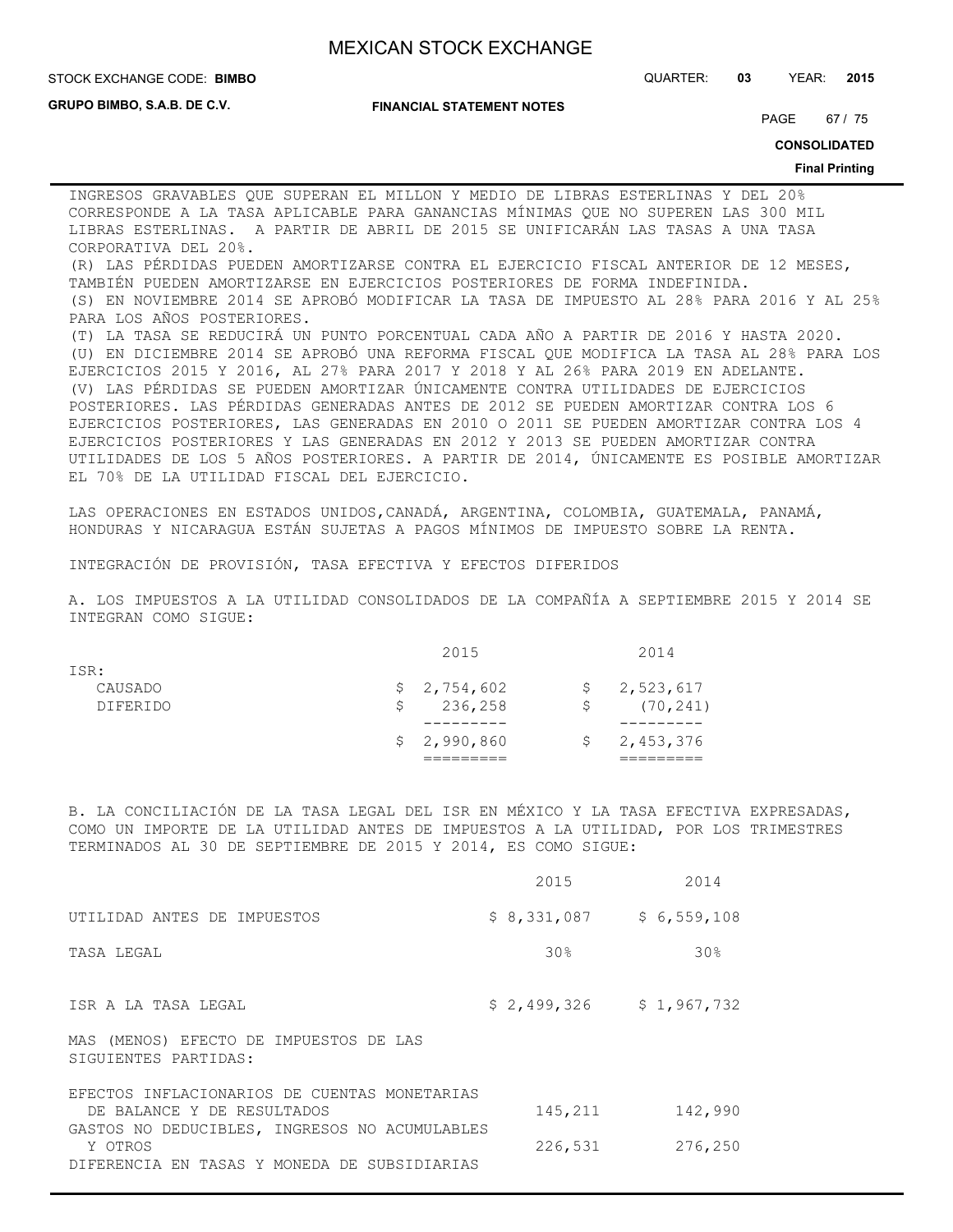STOCK EXCHANGE CODE: QUARTER: **03** YEAR: **2015 BIMBO**

**GRUPO BIMBO, S.A.B. DE C.V.**

#### **FINANCIAL STATEMENT NOTES**

PAGE 67 / 75

**CONSOLIDATED**

#### **Final Printing**

INGRESOS GRAVABLES QUE SUPERAN EL MILLON Y MEDIO DE LIBRAS ESTERLINAS Y DEL 20% CORRESPONDE A LA TASA APLICABLE PARA GANANCIAS MÍNIMAS QUE NO SUPEREN LAS 300 MIL LIBRAS ESTERLINAS. A PARTIR DE ABRIL DE 2015 SE UNIFICARÁN LAS TASAS A UNA TASA CORPORATIVA DEL 20%.

(R) LAS PÉRDIDAS PUEDEN AMORTIZARSE CONTRA EL EJERCICIO FISCAL ANTERIOR DE 12 MESES, TAMBIÉN PUEDEN AMORTIZARSE EN EJERCICIOS POSTERIORES DE FORMA INDEFINIDA. (S) EN NOVIEMBRE 2014 SE APROBÓ MODIFICAR LA TASA DE IMPUESTO AL 28% PARA 2016 Y AL 25% PARA LOS AÑOS POSTERIORES.

(T) LA TASA SE REDUCIRÁ UN PUNTO PORCENTUAL CADA AÑO A PARTIR DE 2016 Y HASTA 2020. (U) EN DICIEMBRE 2014 SE APROBÓ UNA REFORMA FISCAL QUE MODIFICA LA TASA AL 28% PARA LOS EJERCICIOS 2015 Y 2016, AL 27% PARA 2017 Y 2018 Y AL 26% PARA 2019 EN ADELANTE. (V) LAS PÉRDIDAS SE PUEDEN AMORTIZAR ÚNICAMENTE CONTRA UTILIDADES DE EJERCICIOS POSTERIORES. LAS PÉRDIDAS GENERADAS ANTES DE 2012 SE PUEDEN AMORTIZAR CONTRA LOS 6 EJERCICIOS POSTERIORES, LAS GENERADAS EN 2010 O 2011 SE PUEDEN AMORTIZAR CONTRA LOS 4 EJERCICIOS POSTERIORES Y LAS GENERADAS EN 2012 Y 2013 SE PUEDEN AMORTIZAR CONTRA UTILIDADES DE LOS 5 AÑOS POSTERIORES. A PARTIR DE 2014, ÚNICAMENTE ES POSIBLE AMORTIZAR EL 70% DE LA UTILIDAD FISCAL DEL EJERCICIO.

LAS OPERACIONES EN ESTADOS UNIDOS,CANADÁ, ARGENTINA, COLOMBIA, GUATEMALA, PANAMÁ, HONDURAS Y NICARAGUA ESTÁN SUJETAS A PAGOS MÍNIMOS DE IMPUESTO SOBRE LA RENTA.

INTEGRACIÓN DE PROVISIÓN, TASA EFECTIVA Y EFECTOS DIFERIDOS

A. LOS IMPUESTOS A LA UTILIDAD CONSOLIDADOS DE LA COMPAÑÍA A SEPTIEMBRE 2015 Y 2014 SE INTEGRAN COMO SIGUE:

|                 |   | 2015        |    | 2014        |
|-----------------|---|-------------|----|-------------|
| ISR:            |   |             |    |             |
| CAUSADO         |   | \$2,754,602 |    | \$2,523,617 |
| <b>DIFERIDO</b> | S | 236,258     | Ŝ. | (70, 241)   |
|                 |   |             |    |             |
|                 |   | \$2,990,860 |    | \$2,453,376 |
|                 |   |             |    |             |

B. LA CONCILIACIÓN DE LA TASA LEGAL DEL ISR EN MÉXICO Y LA TASA EFECTIVA EXPRESADAS, COMO UN IMPORTE DE LA UTILIDAD ANTES DE IMPUESTOS A LA UTILIDAD, POR LOS TRIMESTRES TERMINADOS AL 30 DE SEPTIEMBRE DE 2015 Y 2014, ES COMO SIGUE:

|                                                                                                          | 2015            | 2014        |
|----------------------------------------------------------------------------------------------------------|-----------------|-------------|
| UTILIDAD ANTES DE IMPUESTOS                                                                              | \$8,331,087     | \$6,559,108 |
| TASA LEGAL                                                                                               | 30 <sub>8</sub> | 30%         |
| ISR A LA TASA LEGAL                                                                                      | \$2,499,326     | \$1,967,732 |
| MAS (MENOS) EFECTO DE IMPUESTOS DE LAS<br>SIGUIENTES PARTIDAS:                                           |                 |             |
| EFECTOS INFLACIONARIOS DE CUENTAS MONETARIAS<br>DE BALANCE Y DE RESULTADOS                               | 145,211         | 142,990     |
| GASTOS NO DEDUCIBLES, INGRESOS NO ACUMULABLES<br>Y OTROS<br>DIFERENCIA EN TASAS Y MONEDA DE SUBSIDIARIAS | 226,531         | 276,250     |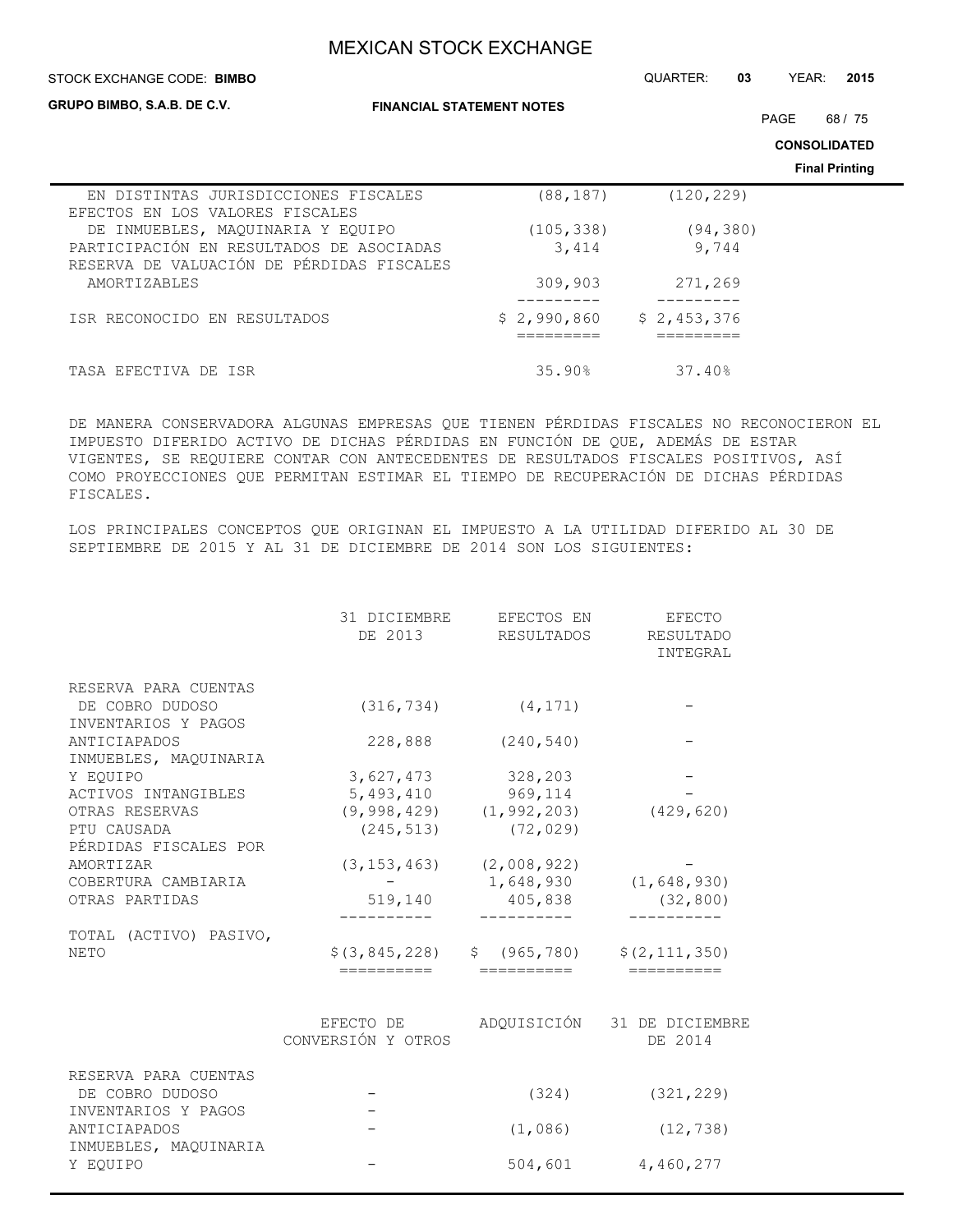**FINANCIAL STATEMENT NOTES** STOCK EXCHANGE CODE: QUARTER: **03** YEAR: **2015 CONSOLIDATED Final Printing STOCK EXCHANGE CODE: BIMBO GRUPO BIMBO, S.A.B. DE C.V.** PAGE 68 / 75 EN DISTINTAS JURISDICCIONES FISCALES (88,187) (120,229) EFECTOS EN LOS VALORES FISCALES DE INMUEBLES, MAQUINARIA Y EQUIPO (105,338) (94,380) PARTICIPACIÓN EN RESULTADOS DE ASOCIADAS 3,414 9,744 RESERVA DE VALUACIÓN DE PÉRDIDAS FISCALES AMORTIZABLES 309,903 271,269 --------- --------- ISR RECONOCIDO EN RESULTADOS  $$2,990,860 $2,453,376$  ========= ========= TASA EFECTIVA DE ISR 37.40% 35.90% 37.40%

DE MANERA CONSERVADORA ALGUNAS EMPRESAS QUE TIENEN PÉRDIDAS FISCALES NO RECONOCIERON EL IMPUESTO DIFERIDO ACTIVO DE DICHAS PÉRDIDAS EN FUNCIÓN DE QUE, ADEMÁS DE ESTAR VIGENTES, SE REQUIERE CONTAR CON ANTECEDENTES DE RESULTADOS FISCALES POSITIVOS, ASÍ COMO PROYECCIONES QUE PERMITAN ESTIMAR EL TIEMPO DE RECUPERACIÓN DE DICHAS PÉRDIDAS FISCALES.

LOS PRINCIPALES CONCEPTOS QUE ORIGINAN EL IMPUESTO A LA UTILIDAD DIFERIDO AL 30 DE SEPTIEMBRE DE 2015 Y AL 31 DE DICIEMBRE DE 2014 SON LOS SIGUIENTES:

|                                         | 31 DICIEMBRE<br>DE 2013         | EFECTOS EN<br>RESULTADOS        | <b>EFECTO</b><br>RESULTADO<br>INTEGRAL |
|-----------------------------------------|---------------------------------|---------------------------------|----------------------------------------|
| RESERVA PARA CUENTAS                    |                                 |                                 |                                        |
| DE COBRO DUDOSO<br>INVENTARIOS Y PAGOS  | (316, 734)                      | (4, 171)                        |                                        |
| ANTICIAPADOS<br>INMUEBLES, MAOUINARIA   | 228,888                         | (240, 540)                      |                                        |
| Y EOUIPO                                | 3,627,473                       | 328,203                         |                                        |
| ACTIVOS INTANGIBLES                     | 5,493,410                       | 969,114                         |                                        |
| OTRAS RESERVAS                          |                                 | $(9, 998, 429)$ $(1, 992, 203)$ | (429, 620)                             |
| PTU CAUSADA<br>PÉRDIDAS FISCALES POR    | (245, 513)                      | (72, 029)                       |                                        |
| AMORTIZAR                               | (3, 153, 463)                   | (2,008,922)                     |                                        |
| COBERTURA CAMBIARIA                     |                                 | 1,648,930                       | (1, 648, 930)                          |
| OTRAS PARTIDAS                          | 519,140                         | 405,838                         | (32, 800)                              |
| TOTAL (ACTIVO) PASIVO,                  |                                 |                                 |                                        |
| <b>NETO</b>                             | \$ (3, 845, 228)<br>==========  | \$ (965, 780)<br>==========     | \$(2, 111, 350)<br>==========          |
|                                         | EFECTO DE<br>CONVERSIÓN Y OTROS | ADQUISICIÓN                     | 31 DE DICIEMBRE<br>DE 2014             |
| RESERVA PARA CUENTAS<br>DE COBRO DUDOSO |                                 | (324)                           | (321, 229)                             |
| INVENTARIOS Y PAGOS                     |                                 |                                 |                                        |
| ANTICIAPADOS<br>INMUEBLES, MAQUINARIA   |                                 | (1,086)                         | (12, 738)                              |
| Y EOUIPO                                |                                 | 504,601                         | 4,460,277                              |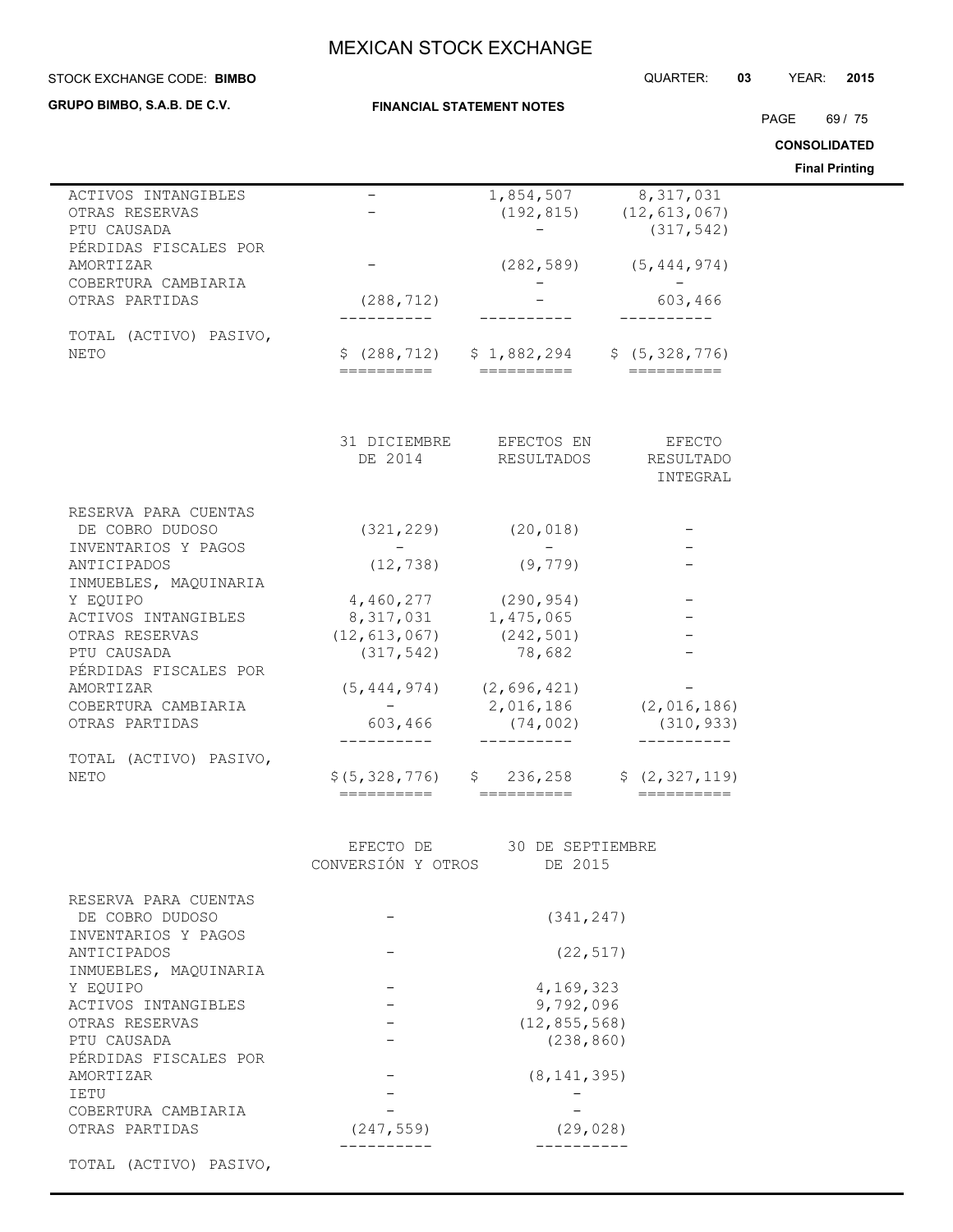| STOCK EXCHANGE CODE: BIMBO                                |                               |                                                             | QUARTER:                                                   | 03<br>YEAR:<br>2015   |
|-----------------------------------------------------------|-------------------------------|-------------------------------------------------------------|------------------------------------------------------------|-----------------------|
| GRUPO BIMBO, S.A.B. DE C.V.                               |                               | <b>FINANCIAL STATEMENT NOTES</b>                            |                                                            |                       |
|                                                           |                               |                                                             |                                                            | PAGE<br>69/75         |
|                                                           |                               |                                                             |                                                            | <b>CONSOLIDATED</b>   |
|                                                           |                               |                                                             |                                                            | <b>Final Printing</b> |
| ACTIVOS INTANGIBLES<br>OTRAS RESERVAS<br>PTU CAUSADA      |                               | 1,854,507                                                   | 8, 317, 031<br>$(192, 815)$ $(12, 613, 067)$<br>(317, 542) |                       |
| PÉRDIDAS FISCALES POR<br>AMORTIZAR<br>COBERTURA CAMBIARIA |                               |                                                             | $(282, 589)$ $(5, 444, 974)$                               |                       |
| OTRAS PARTIDAS                                            | (288, 712)                    |                                                             | 603,466                                                    |                       |
| TOTAL (ACTIVO) PASIVO,<br><b>NETO</b>                     | ==========                    | $$(288, 712)$ $$1, 882, 294$ $$(5, 328, 776)$<br>========== |                                                            |                       |
|                                                           | 31 DICIEMBRE<br>DE 2014       | EFECTOS EN<br>RESULTADOS                                    | <b>EFECTO</b><br>RESULTADO<br>INTEGRAL                     |                       |
| RESERVA PARA CUENTAS                                      |                               |                                                             |                                                            |                       |
| DE COBRO DUDOSO                                           | (321, 229)                    | (20, 018)                                                   |                                                            |                       |
| INVENTARIOS Y PAGOS                                       | $ -$                          | $\qquad \qquad -$                                           |                                                            |                       |
| ANTICIPADOS<br>INMUEBLES, MAQUINARIA                      | (12, 738)                     | (9, 779)                                                    |                                                            |                       |
| Y EQUIPO                                                  |                               | $4,460,277$ (290,954)                                       |                                                            |                       |
| ACTIVOS INTANGIBLES                                       | 8,317,031 1,475,065           |                                                             |                                                            |                       |
| OTRAS RESERVAS                                            | $(12, 613, 067)$ $(242, 501)$ |                                                             |                                                            |                       |
| PTU CAUSADA                                               | (317, 542)                    | 78,682                                                      |                                                            |                       |
| PÉRDIDAS FISCALES POR                                     |                               |                                                             |                                                            |                       |
| AMORTIZAR                                                 |                               | $(5, 444, 974)$ $(2, 696, 421)$                             |                                                            |                       |
| COBERTURA CAMBIARIA                                       |                               | 2,016,186                                                   | (2,016,186)                                                |                       |
| OTRAS PARTIDAS                                            | 603,466                       | (74, 002)<br>----------                                     | (310, 933)<br>----------                                   |                       |
| TOTAL (ACTIVO) PASIVO,                                    |                               |                                                             |                                                            |                       |
| NETO                                                      | \$ (5, 328, 776)              |                                                             | $$236, 258$ $$(2, 327, 119)$                               |                       |
|                                                           | ==========                    | ==========                                                  |                                                            |                       |
|                                                           |                               | EFECTO DE 30 DE SEPTIEMBRE                                  |                                                            |                       |
|                                                           | CONVERSIÓN Y OTROS            | DE 2015                                                     |                                                            |                       |
| RESERVA PARA CUENTAS<br>DE COBRO DUDOSO                   |                               | (341, 247)                                                  |                                                            |                       |
| INVENTARIOS Y PAGOS<br>ANTICIPADOS                        |                               | (22, 517)                                                   |                                                            |                       |
| INMUEBLES, MAQUINARIA                                     |                               |                                                             |                                                            |                       |
| Y EQUIPO                                                  |                               | 4,169,323                                                   |                                                            |                       |
| ACTIVOS INTANGIBLES                                       |                               | 9,792,096                                                   |                                                            |                       |
| OTRAS RESERVAS                                            |                               | (12, 855, 568)                                              |                                                            |                       |
| PTU CAUSADA                                               |                               | (238, 860)                                                  |                                                            |                       |
| PÉRDIDAS FISCALES POR                                     |                               |                                                             |                                                            |                       |
| AMORTIZAR                                                 |                               | (8, 141, 395)                                               |                                                            |                       |
| <b>IETU</b>                                               |                               |                                                             |                                                            |                       |
| COBERTURA CAMBIARIA                                       |                               |                                                             |                                                            |                       |
| OTRAS PARTIDAS                                            | (247, 559)                    | (29, 028)                                                   |                                                            |                       |
|                                                           |                               |                                                             |                                                            |                       |

TOTAL (ACTIVO) PASIVO,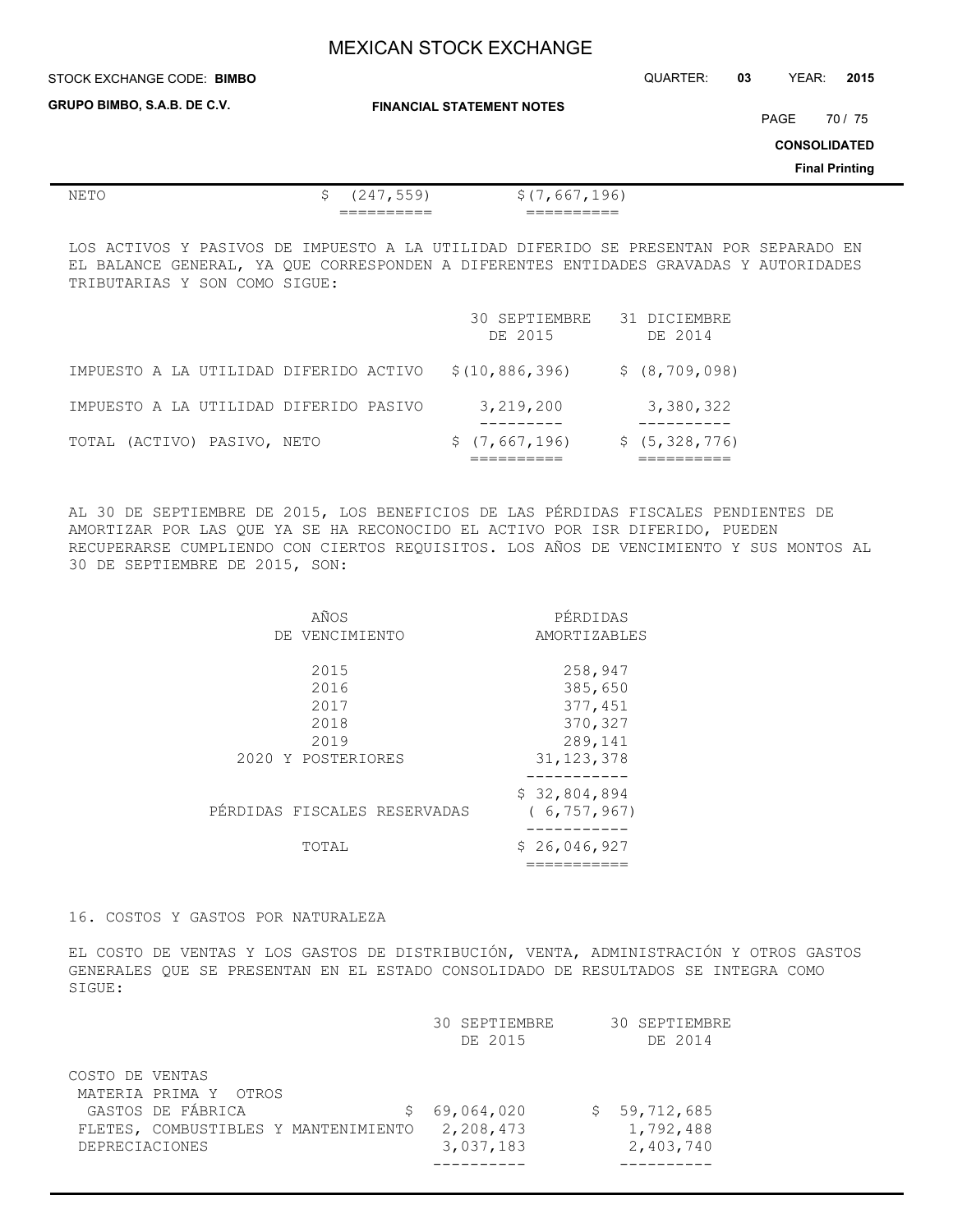| STOCK EXCHANGE CODE: BIMBO | QUARTER: | 03 | YEAR: | 2015 |
|----------------------------|----------|----|-------|------|
|                            |          |    |       |      |

**GRUPO BIMBO, S.A.B. DE C.V.**

 $\overline{a}$ 

**FINANCIAL STATEMENT NOTES**

PAGE 70 / 75

**CONSOLIDATED**

**Final Printing**

| NE 1 | ۔ ۔<br>-                 | $\overline{a}$            |
|------|--------------------------|---------------------------|
|      | __________<br>__________ | __________<br>___________ |

LOS ACTIVOS Y PASIVOS DE IMPUESTO A LA UTILIDAD DIFERIDO SE PRESENTAN POR SEPARADO EN EL BALANCE GENERAL, YA QUE CORRESPONDEN A DIFERENTES ENTIDADES GRAVADAS Y AUTORIDADES TRIBUTARIAS Y SON COMO SIGUE:

|                                        | 30 SEPTIEMBRE<br>DE 2015 | 31 DICIEMBRE<br>DE 2014 |
|----------------------------------------|--------------------------|-------------------------|
| IMPUESTO A LA UTILIDAD DIFERIDO ACTIVO | \$(10, 886, 396)         | \$ (8, 709, 098)        |
| IMPUESTO A LA UTILIDAD DIFERIDO PASIVO | 3,219,200                | 3,380,322               |
| TOTAL (ACTIVO) PASIVO, NETO            | \$(7,667,196)            | \$(5, 328, 776)         |

AL 30 DE SEPTIEMBRE DE 2015, LOS BENEFICIOS DE LAS PÉRDIDAS FISCALES PENDIENTES DE AMORTIZAR POR LAS QUE YA SE HA RECONOCIDO EL ACTIVO POR ISR DIFERIDO, PUEDEN RECUPERARSE CUMPLIENDO CON CIERTOS REQUISITOS. LOS AÑOS DE VENCIMIENTO Y SUS MONTOS AL 30 DE SEPTIEMBRE DE 2015, SON:

| AÑOS                         | PÉRDIDAS      |
|------------------------------|---------------|
| DE VENCIMIENTO               | AMORTIZABLES  |
|                              |               |
| 2015                         | 258,947       |
| 2016                         | 385,650       |
| 2017                         | 377,451       |
| 2018                         | 370,327       |
| 2019                         | 289,141       |
| 2020 Y POSTERIORES           | 31, 123, 378  |
|                              |               |
|                              | \$32,804,894  |
| PÉRDIDAS FISCALES RESERVADAS | (6, 757, 967) |
|                              | --------      |
| TOTAL                        | \$26,046,927  |
|                              |               |

### 16. COSTOS Y GASTOS POR NATURALEZA

EL COSTO DE VENTAS Y LOS GASTOS DE DISTRIBUCIÓN, VENTA, ADMINISTRACIÓN Y OTROS GASTOS GENERALES QUE SE PRESENTAN EN EL ESTADO CONSOLIDADO DE RESULTADOS SE INTEGRA COMO SIGUE:

|                 |                                      | 30 SEPTIEMBRE<br>DE 2015 | 30 SEPTIEMBRE<br>DE 2014 |
|-----------------|--------------------------------------|--------------------------|--------------------------|
|                 |                                      |                          |                          |
| COSTO DE VENTAS |                                      |                          |                          |
|                 | MATERIA PRIMA Y OTROS                |                          |                          |
|                 | GASTOS DE FÁBRICA                    | 69,064,020               | \$59,712,685             |
|                 | FLETES, COMBUSTIBLES Y MANTENIMIENTO | 2,208,473                | 1,792,488                |
| DEPRECIACIONES  |                                      | 3,037,183                | 2,403,740                |
|                 |                                      |                          |                          |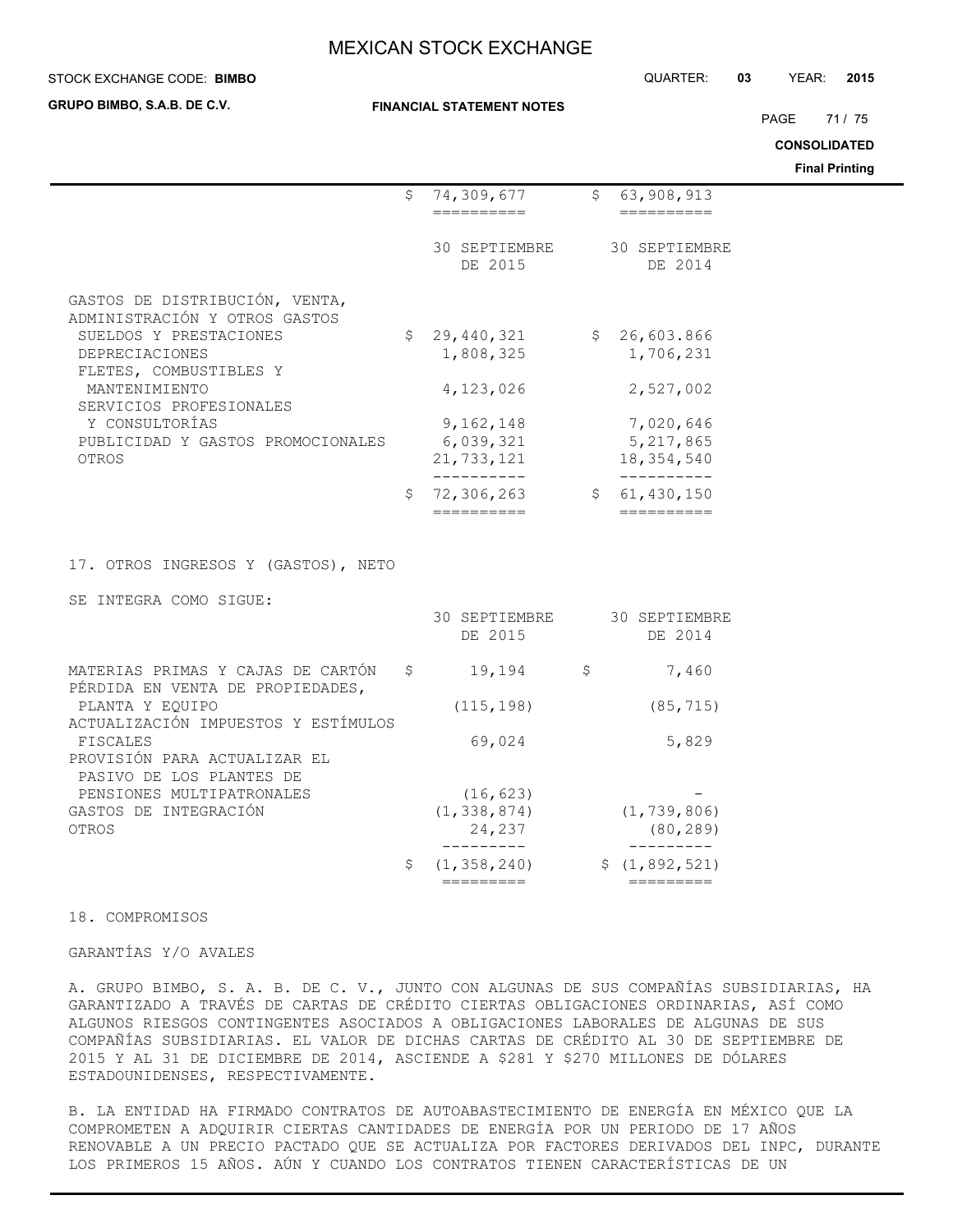### **STOCK EXCHANGE CODE: BIMBO**

**GRUPO BIMBO, S.A.B. DE C.V.**

#### **FINANCIAL STATEMENT NOTES**

PAGE 71 / 75

**CONSOLIDATED**

**Final Printing**

|                                                                       |     |                                          |                                        | <b>Final Printing</b> |
|-----------------------------------------------------------------------|-----|------------------------------------------|----------------------------------------|-----------------------|
|                                                                       |     | \$74,309,677                             | \$63,908,913                           |                       |
|                                                                       |     | ==========                               | ==========                             |                       |
|                                                                       |     | 30 SEPTIEMBRE<br>DE 2015                 | 30 SEPTIEMBRE<br>DE 2014               |                       |
| GASTOS DE DISTRIBUCIÓN, VENTA,<br>ADMINISTRACIÓN Y OTROS GASTOS       |     |                                          |                                        |                       |
| SUELDOS Y PRESTACIONES<br>DEPRECIACIONES<br>FLETES, COMBUSTIBLES Y    |     | \$29,440,321<br>1,808,325                | \$26,603.866<br>1,706,231              |                       |
| MANTENIMIENTO<br>SERVICIOS PROFESIONALES                              |     | 4,123,026                                | 2,527,002                              |                       |
| Y CONSULTORÍAS<br>PUBLICIDAD Y GASTOS PROMOCIONALES<br>OTROS          |     | 9,162,148<br>6,039,321<br>21,733,121     | 7,020,646<br>5,217,865<br>18, 354, 540 |                       |
|                                                                       |     | ----------<br>\$72,306,263<br>========== | \$61,430,150                           |                       |
| 17. OTROS INGRESOS Y (GASTOS), NETO                                   |     |                                          |                                        |                       |
| SE INTEGRA COMO SIGUE:                                                |     |                                          |                                        |                       |
|                                                                       |     | 30 SEPTIEMBRE<br>DE 2015                 | 30 SEPTIEMBRE<br>DE 2014               |                       |
| MATERIAS PRIMAS Y CAJAS DE CARTÓN<br>PÉRDIDA EN VENTA DE PROPIEDADES, | \$. | $19,194$ \$                              | 7,460                                  |                       |
| PLANTA Y EQUIPO<br>ACTUALIZACIÓN IMPUESTOS Y ESTÍMULOS                |     | (115, 198)                               | (85, 715)                              |                       |
| <b>FISCALES</b>                                                       |     | 69,024                                   | 5,829                                  |                       |
| PROVISIÓN PARA ACTUALIZAR EL<br>PASIVO DE LOS PLANTES DE              |     |                                          |                                        |                       |
| PENSIONES MULTIPATRONALES                                             |     | (16, 623)                                |                                        |                       |
| GASTOS DE INTEGRACIÓN<br><b>OTROS</b>                                 |     | (1, 338, 874)<br>24,237                  | (1, 739, 806)<br>(80, 289)             |                       |
|                                                                       | \$  | (1, 358, 240)                            | \$(1, 892, 521)                        |                       |

### 18. COMPROMISOS

### GARANTÍAS Y/O AVALES

A. GRUPO BIMBO, S. A. B. DE C. V., JUNTO CON ALGUNAS DE SUS COMPAÑÍAS SUBSIDIARIAS, HA GARANTIZADO A TRAVÉS DE CARTAS DE CRÉDITO CIERTAS OBLIGACIONES ORDINARIAS, ASÍ COMO ALGUNOS RIESGOS CONTINGENTES ASOCIADOS A OBLIGACIONES LABORALES DE ALGUNAS DE SUS COMPAÑÍAS SUBSIDIARIAS. EL VALOR DE DICHAS CARTAS DE CRÉDITO AL 30 DE SEPTIEMBRE DE 2015 Y AL 31 DE DICIEMBRE DE 2014, ASCIENDE A \$281 Y \$270 MILLONES DE DÓLARES ESTADOUNIDENSES, RESPECTIVAMENTE.

========= =========

B. LA ENTIDAD HA FIRMADO CONTRATOS DE AUTOABASTECIMIENTO DE ENERGÍA EN MÉXICO QUE LA COMPROMETEN A ADQUIRIR CIERTAS CANTIDADES DE ENERGÍA POR UN PERIODO DE 17 AÑOS RENOVABLE A UN PRECIO PACTADO QUE SE ACTUALIZA POR FACTORES DERIVADOS DEL INPC, DURANTE LOS PRIMEROS 15 AÑOS. AÚN Y CUANDO LOS CONTRATOS TIENEN CARACTERÍSTICAS DE UN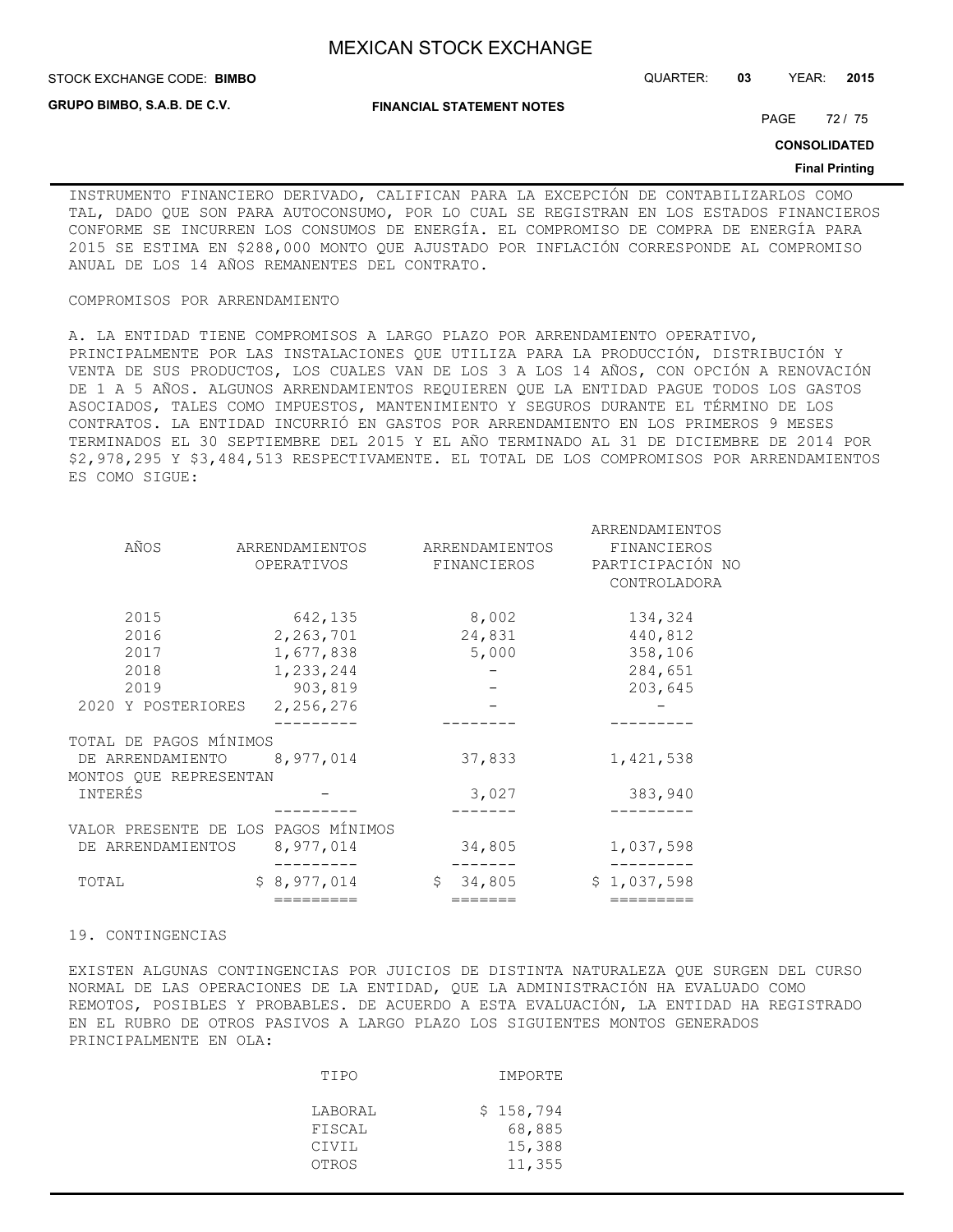**FINANCIAL STATEMENT NOTES**

**GRUPO BIMBO, S.A.B. DE C.V.**

STOCK EXCHANGE CODE: QUARTER: **03** YEAR: **2015 BIMBO**

PAGE 72 / 75

**CONSOLIDATED**

#### **Final Printing**

INSTRUMENTO FINANCIERO DERIVADO, CALIFICAN PARA LA EXCEPCIÓN DE CONTABILIZARLOS COMO TAL, DADO QUE SON PARA AUTOCONSUMO, POR LO CUAL SE REGISTRAN EN LOS ESTADOS FINANCIEROS CONFORME SE INCURREN LOS CONSUMOS DE ENERGÍA. EL COMPROMISO DE COMPRA DE ENERGÍA PARA 2015 SE ESTIMA EN \$288,000 MONTO QUE AJUSTADO POR INFLACIÓN CORRESPONDE AL COMPROMISO ANUAL DE LOS 14 AÑOS REMANENTES DEL CONTRATO.

### COMPROMISOS POR ARRENDAMIENTO

A. LA ENTIDAD TIENE COMPROMISOS A LARGO PLAZO POR ARRENDAMIENTO OPERATIVO, PRINCIPALMENTE POR LAS INSTALACIONES QUE UTILIZA PARA LA PRODUCCIÓN, DISTRIBUCIÓN Y VENTA DE SUS PRODUCTOS, LOS CUALES VAN DE LOS 3 A LOS 14 AÑOS, CON OPCIÓN A RENOVACIÓN DE 1 A 5 AÑOS. ALGUNOS ARRENDAMIENTOS REQUIEREN QUE LA ENTIDAD PAGUE TODOS LOS GASTOS ASOCIADOS, TALES COMO IMPUESTOS, MANTENIMIENTO Y SEGUROS DURANTE EL TÉRMINO DE LOS CONTRATOS. LA ENTIDAD INCURRIÓ EN GASTOS POR ARRENDAMIENTO EN LOS PRIMEROS 9 MESES TERMINADOS EL 30 SEPTIEMBRE DEL 2015 Y EL AÑO TERMINADO AL 31 DE DICIEMBRE DE 2014 POR \$2,978,295 Y \$3,484,513 RESPECTIVAMENTE. EL TOTAL DE LOS COMPROMISOS POR ARRENDAMIENTOS ES COMO SIGUE:

|                                     |                |                         | ARRENDAMIENTOS   |
|-------------------------------------|----------------|-------------------------|------------------|
| AÑOS                                | ARRENDAMIENTOS | ARRENDAMIENTOS          | FINANCIEROS      |
|                                     | OPERATIVOS     | FINANCIEROS             | PARTICIPACIÓN NO |
|                                     |                |                         | CONTROLADORA     |
| 2015                                | 642,135        | 8,002                   | 134,324          |
| 2016                                | 2,263,701      | 24,831                  | 440,812          |
| 2017                                | 1,677,838      | 5,000                   | 358,106          |
| 2018                                | 1,233,244      |                         | 284,651          |
| 2019                                | 903,819        |                         | 203,645          |
| 2020 Y POSTERIORES                  | 2,256,276      |                         |                  |
|                                     |                |                         |                  |
| TOTAL DE PAGOS MÍNIMOS              |                |                         |                  |
| DE ARRENDAMIENTO                    | 8,977,014      | 37,833                  | 1,421,538        |
| MONTOS OUE REPRESENTAN              |                |                         |                  |
| INTERÉS                             |                | 3,027                   | 383,940          |
|                                     |                |                         |                  |
| VALOR PRESENTE DE LOS PAGOS MÍNIMOS |                |                         |                  |
| DE ARRENDAMIENTOS                   | 8,977,014      | 34,805                  | 1,037,598        |
| TOTAL                               | \$8,977,014    | 34,805<br>\$            | \$1,037,598      |
|                                     | =========      | $=$ $=$ $=$ $=$ $=$ $=$ | =========        |
|                                     |                |                         |                  |

### 19. CONTINGENCIAS

EXISTEN ALGUNAS CONTINGENCIAS POR JUICIOS DE DISTINTA NATURALEZA QUE SURGEN DEL CURSO NORMAL DE LAS OPERACIONES DE LA ENTIDAD, QUE LA ADMINISTRACIÓN HA EVALUADO COMO REMOTOS, POSIBLES Y PROBABLES. DE ACUERDO A ESTA EVALUACIÓN, LA ENTIDAD HA REGISTRADO EN EL RUBRO DE OTROS PASIVOS A LARGO PLAZO LOS SIGUIENTES MONTOS GENERADOS PRINCIPALMENTE EN OLA:

| TIPO                                | IMPORTE                                 |
|-------------------------------------|-----------------------------------------|
| LABORAL<br>FISCAL<br>CIVIL<br>OTROS | \$158,794<br>68,885<br>15,388<br>11,355 |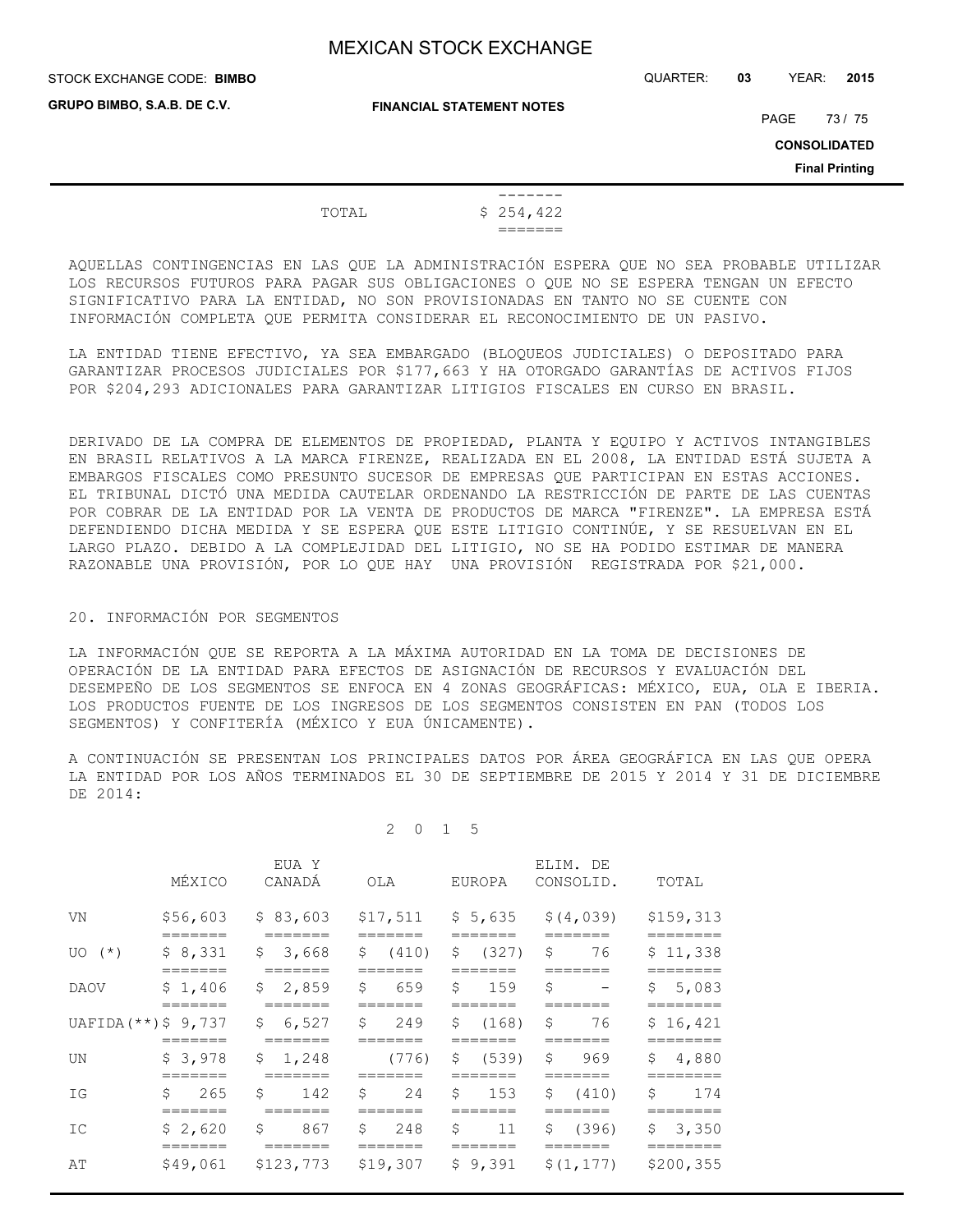STOCK EXCHANGE CODE: QUARTER: **03** YEAR: **2015 BIMBO**

**GRUPO BIMBO, S.A.B. DE C.V.**

**FINANCIAL STATEMENT NOTES**

PAGE 73 / 75

**CONSOLIDATED**

**Final Printing**

 ------- TOTAL \$ 254,422 =======

AQUELLAS CONTINGENCIAS EN LAS QUE LA ADMINISTRACIÓN ESPERA QUE NO SEA PROBABLE UTILIZAR LOS RECURSOS FUTUROS PARA PAGAR SUS OBLIGACIONES O QUE NO SE ESPERA TENGAN UN EFECTO SIGNIFICATIVO PARA LA ENTIDAD, NO SON PROVISIONADAS EN TANTO NO SE CUENTE CON INFORMACIÓN COMPLETA QUE PERMITA CONSIDERAR EL RECONOCIMIENTO DE UN PASIVO.

LA ENTIDAD TIENE EFECTIVO, YA SEA EMBARGADO (BLOQUEOS JUDICIALES) O DEPOSITADO PARA GARANTIZAR PROCESOS JUDICIALES POR \$177,663 Y HA OTORGADO GARANTÍAS DE ACTIVOS FIJOS POR \$204,293 ADICIONALES PARA GARANTIZAR LITIGIOS FISCALES EN CURSO EN BRASIL.

DERIVADO DE LA COMPRA DE ELEMENTOS DE PROPIEDAD, PLANTA Y EQUIPO Y ACTIVOS INTANGIBLES EN BRASIL RELATIVOS A LA MARCA FIRENZE, REALIZADA EN EL 2008, LA ENTIDAD ESTÁ SUJETA A EMBARGOS FISCALES COMO PRESUNTO SUCESOR DE EMPRESAS QUE PARTICIPAN EN ESTAS ACCIONES. EL TRIBUNAL DICTÓ UNA MEDIDA CAUTELAR ORDENANDO LA RESTRICCIÓN DE PARTE DE LAS CUENTAS POR COBRAR DE LA ENTIDAD POR LA VENTA DE PRODUCTOS DE MARCA "FIRENZE". LA EMPRESA ESTÁ DEFENDIENDO DICHA MEDIDA Y SE ESPERA QUE ESTE LITIGIO CONTINÚE, Y SE RESUELVAN EN EL LARGO PLAZO. DEBIDO A LA COMPLEJIDAD DEL LITIGIO, NO SE HA PODIDO ESTIMAR DE MANERA RAZONABLE UNA PROVISIÓN, POR LO QUE HAY UNA PROVISIÓN REGISTRADA POR \$21,000.

### 20. INFORMACIÓN POR SEGMENTOS

LA INFORMACIÓN QUE SE REPORTA A LA MÁXIMA AUTORIDAD EN LA TOMA DE DECISIONES DE OPERACIÓN DE LA ENTIDAD PARA EFECTOS DE ASIGNACIÓN DE RECURSOS Y EVALUACIÓN DEL DESEMPEÑO DE LOS SEGMENTOS SE ENFOCA EN 4 ZONAS GEOGRÁFICAS: MÉXICO, EUA, OLA E IBERIA. LOS PRODUCTOS FUENTE DE LOS INGRESOS DE LOS SEGMENTOS CONSISTEN EN PAN (TODOS LOS SEGMENTOS) Y CONFITERÍA (MÉXICO Y EUA ÚNICAMENTE).

A CONTINUACIÓN SE PRESENTAN LOS PRINCIPALES DATOS POR ÁREA GEOGRÁFICA EN LAS QUE OPERA LA ENTIDAD POR LOS AÑOS TERMINADOS EL 30 DE SEPTIEMBRE DE 2015 Y 2014 Y 31 DE DICIEMBRE DE 2014:

### 2 0 1 5

|                        | MÉXICO             | EUA Y<br>CANADÁ            | OLA                  | EUROPA               | ELIM. DE<br>CONSOLID.                             | TOTAL                   |
|------------------------|--------------------|----------------------------|----------------------|----------------------|---------------------------------------------------|-------------------------|
| VN                     | =======            | =======                    |                      |                      | $$56,603$ $$83,603$ $$17,511$ $$5,635$ $$(4,039)$ | \$159,313<br>=======    |
| $UO(*)$                | \$8,331<br>======= | \$3,668<br>=======         | \$ (410)<br>======   | \$ (327)<br>=======  | - \$<br>76<br>=======                             | \$11,338<br>========    |
| DAOV                   | \$1,406<br>======= | \$2,859<br>=======         | \$<br>659<br>======= | \$<br>159<br>======= | \$<br>$\overline{\phantom{a}}$<br>=======         | 5,083<br>\$<br>======== |
| UAFIDA $(**)$ \$ 9,737 | =======            | \$6,527<br>=======         | \$249                | \$(168)              | \$<br>76<br>=======                               | \$16,421                |
| UN                     | \$3,978            | \$1,248                    | (776)                | \$ (539)             | S.<br>969                                         | \$<br>4,880             |
| ΙG                     | \$<br>265          | \$<br>142                  | \$<br>24             | \$<br>153            | Ŝ.<br>(410)                                       | Ŝ<br>174                |
| IC                     | \$2,620            | \$<br>867<br>=======       | \$<br>248            | Ŝ.<br>11             | Ŝ.<br>(396)                                       | 3,350<br>\$             |
| AΤ                     | \$49,061           | \$123,773 \$19,307 \$9,391 |                      |                      | \$(1, 177)                                        | \$200,355               |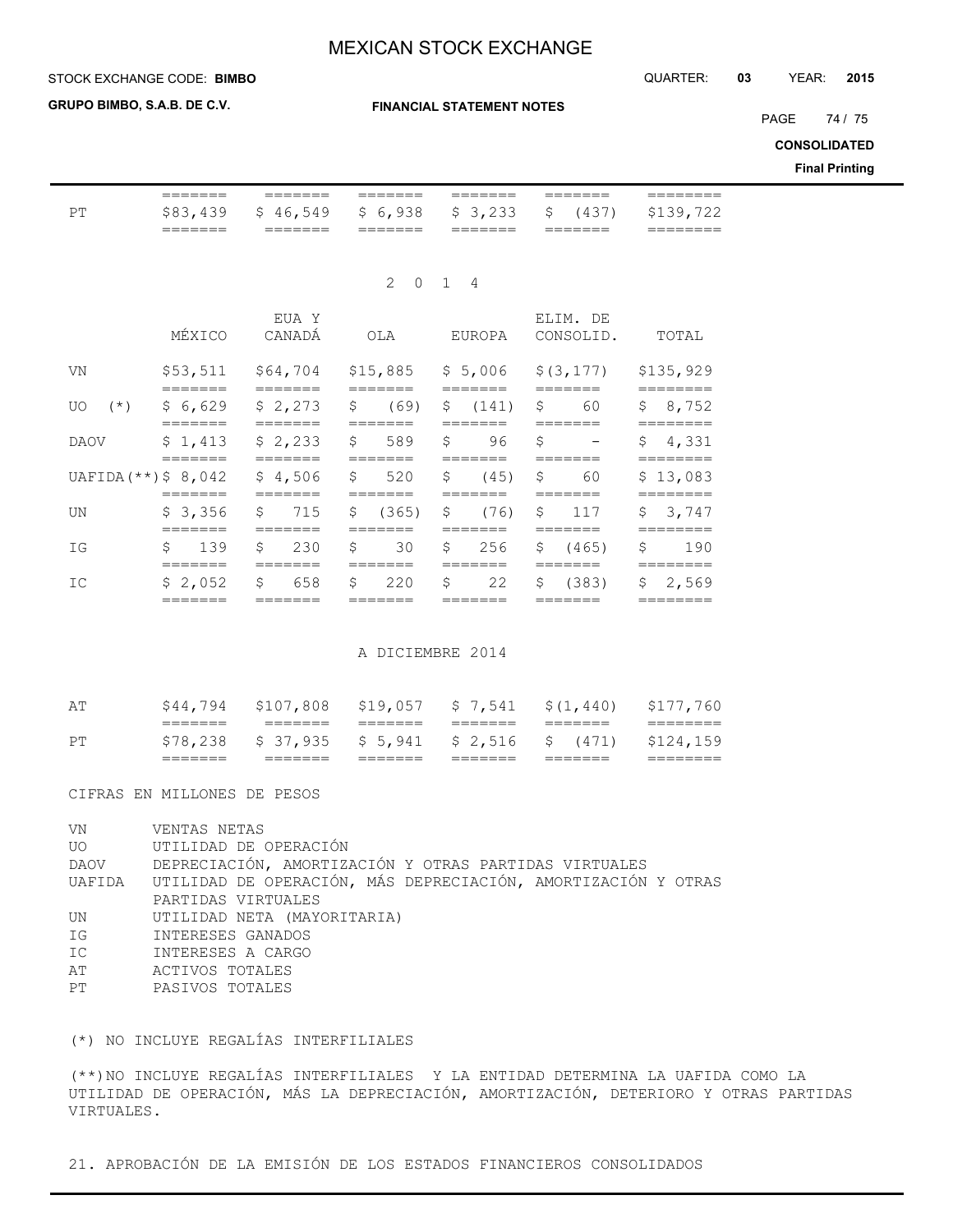### **STOCK EXCHANGE CODE: BIMBO**

**GRUPO BIMBO, S.A.B. DE C.V.**

**FINANCIAL STATEMENT NOTES**

PAGE 74 / 75

**CONSOLIDATED**

**Final Printing**

| PT                     | $=$ $=$ $=$ $=$ $=$ $=$<br>\$83,439                               | $=$ $=$ $=$ $=$ $=$ $=$<br>\$46,549    | $=$ $=$ $=$ $=$ $=$ $=$<br>\$6,938<br>$=$ $=$ $=$ $=$ $=$ $=$   | $=$ $=$ $=$ $=$ $=$ $=$<br>\$3,233<br>$=$ $=$ $=$ $=$ $=$ $=$ | $=$ $=$ $=$ $=$ $=$ $=$<br>$\mathsf{S}$<br>(437)<br>$=$ $=$ $=$ $=$ $=$ $=$ | ========<br>\$139,722<br>========                      |
|------------------------|-------------------------------------------------------------------|----------------------------------------|-----------------------------------------------------------------|---------------------------------------------------------------|-----------------------------------------------------------------------------|--------------------------------------------------------|
|                        |                                                                   |                                        |                                                                 | 2 0 1 4                                                       |                                                                             |                                                        |
|                        | MÉXICO                                                            | EUA Y<br>CANADÁ                        | OLA                                                             | EUROPA                                                        | ELIM. DE<br>CONSOLID.                                                       | TOTAL                                                  |
| VN                     | \$53,511                                                          | \$64,704<br>$=$ $=$ $=$ $=$ $=$ $=$    | $=$ $=$ $=$ $=$ $=$ $=$                                         |                                                               | $$15,885 \t$ 5,006 \t$ (3,177)$                                             | \$135,929                                              |
| $(\star)$<br>UO.       | \$6,629                                                           | \$2,273                                | \$<br>(69)                                                      | \$ (141)                                                      | \$60                                                                        | \$8,752                                                |
| <b>DAOV</b>            | $=$ $=$ $=$ $=$ $=$ $=$ $=$<br>\$1,413<br>$=$ $=$ $=$ $=$ $=$ $=$ | \$2,233<br>$=$ $=$ $=$ $=$ $=$ $=$ $=$ | $=$ ======<br>\$589                                             | $=$ ======<br>96<br>Ŝ.<br>$=$ $=$ $=$ $=$ $=$ $=$             | =======<br>\$<br>$\sim 100$ km s $^{-1}$                                    | $=$ = = = = = = =<br>\$4,331<br>========               |
| $UAFIDA$ (**) \$ 8,042 |                                                                   | \$4,506                                | \$520<br>$=$ $=$ $=$ $=$ $=$ $=$                                | \$<br>(45)                                                    | \$60<br>$=$ ======                                                          | \$13,083<br>========                                   |
| UN                     | \$3,356                                                           | \$715                                  | \$ (365)<br>$=$ ======                                          | \$ (76)<br>$=$ $=$ $=$ $=$ $=$ $=$                            | \$117<br>$=$ ======                                                         | \$3,747<br>========                                    |
| IG                     | \$ 139                                                            | 230<br>S.                              | \$<br>30                                                        | 256<br>S.                                                     | \$ (465)                                                                    | \$<br>190                                              |
| IC                     | \$2,052<br>$=$ $=$ $=$ $=$ $=$ $=$ $=$                            | 658<br>$\mathsf{S}$                    | $=$ $=$ $=$ $=$ $=$ $=$<br>Ŝ.<br>220<br>$=$ $=$ $=$ $=$ $=$ $=$ | Ŝ.<br>22<br>$=$ $=$ $=$ $=$ $=$ $=$                           | =======<br>\$ (383)<br>$=$ $=$ $=$ $=$ $=$ $=$                              | ========<br>$\mathsf{S}$<br>2,569<br>$=$ = = = = = = = |

A DICIEMBRE 2014

|    | _______<br>_______ | _______                              | _______            | _______            | _______            | -------   |
|----|--------------------|--------------------------------------|--------------------|--------------------|--------------------|-----------|
| PТ | \$78,238           | $$37,935$ $$5,941$ $$2,516$ $$(471)$ |                    |                    |                    | \$124,159 |
|    | _______<br>_______ | _______                              | _______<br>_______ | _______<br>_______ | _______<br>_______ | --------- |
| AΤ | \$44,794           | \$107,808 \$19,057 \$7,541           |                    |                    | \$(1, 440)         | \$177,760 |

CIFRAS EN MILLONES DE PESOS

| VN   | VENTAS NETAS                                                         |
|------|----------------------------------------------------------------------|
|      | UO UTILIDAD DE OPERACIÓN                                             |
| DAOV | DEPRECIACIÓN, AMORTIZACIÓN Y OTRAS PARTIDAS VIRTUALES                |
|      | UAFIDA UTILIDAD DE OPERACIÓN, MÁS DEPRECIACIÓN, AMORTIZACIÓN Y OTRAS |
|      | PARTIDAS VIRTUALES                                                   |
| UN   | UTILIDAD NETA (MAYORITARIA)                                          |
| IG   | INTERESES GANADOS                                                    |
| IC   | INTERESES A CARGO                                                    |
| AΤ   | ACTIVOS TOTALES                                                      |
| PT   | PASIVOS TOTALES                                                      |
|      |                                                                      |

(\*) NO INCLUYE REGALÍAS INTERFILIALES

(\*\*)NO INCLUYE REGALÍAS INTERFILIALES Y LA ENTIDAD DETERMINA LA UAFIDA COMO LA UTILIDAD DE OPERACIÓN, MÁS LA DEPRECIACIÓN, AMORTIZACIÓN, DETERIORO Y OTRAS PARTIDAS VIRTUALES.

21. APROBACIÓN DE LA EMISIÓN DE LOS ESTADOS FINANCIEROS CONSOLIDADOS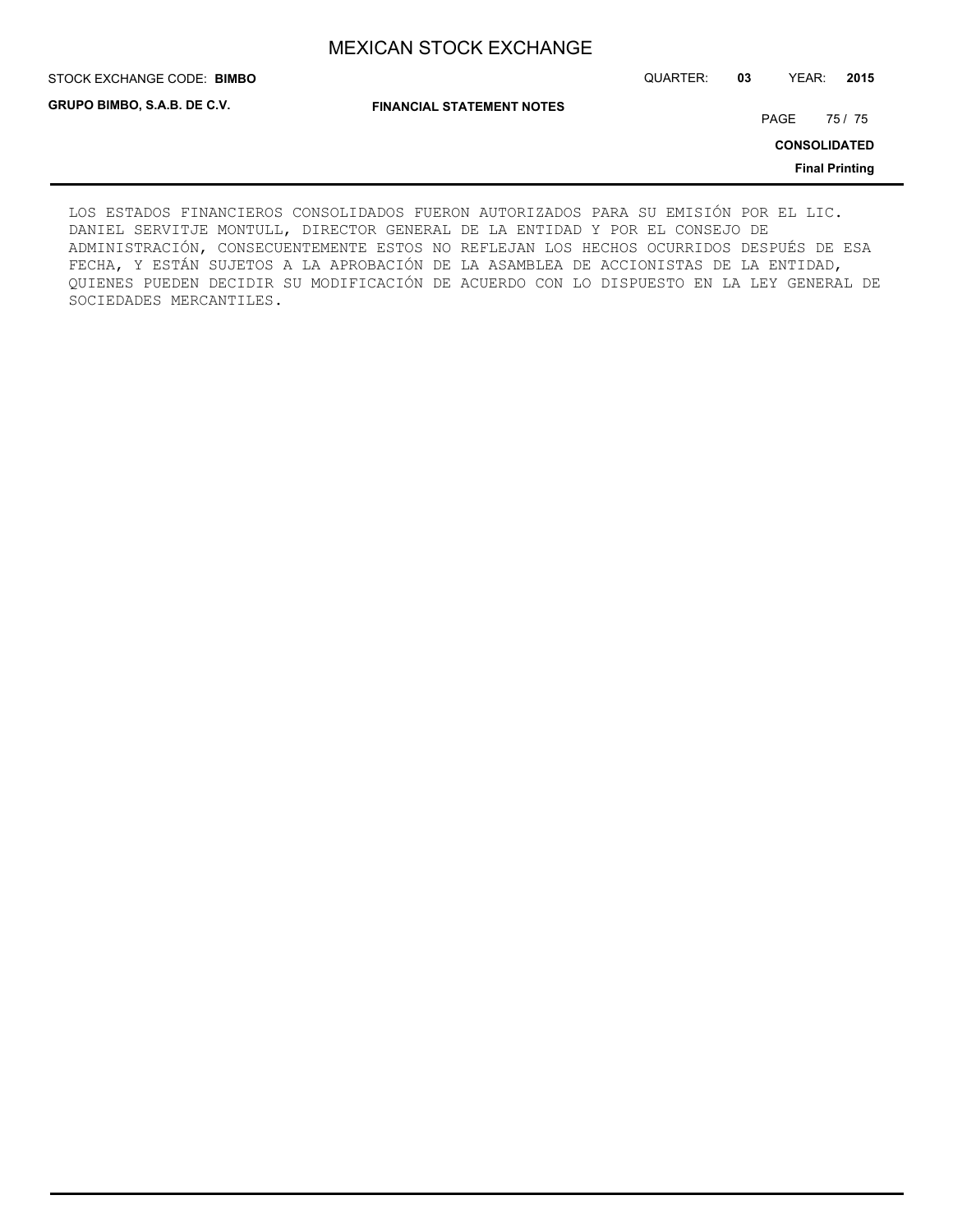**GRUPO BIMBO, S.A.B. DE C.V.**

STOCK EXCHANGE CODE: QUARTER: **03** YEAR: **2015 BIMBO**

**FINANCIAL STATEMENT NOTES**

PAGE 75 / 75

**CONSOLIDATED**

**Final Printing**

LOS ESTADOS FINANCIEROS CONSOLIDADOS FUERON AUTORIZADOS PARA SU EMISIÓN POR EL LIC. DANIEL SERVITJE MONTULL, DIRECTOR GENERAL DE LA ENTIDAD Y POR EL CONSEJO DE ADMINISTRACIÓN, CONSECUENTEMENTE ESTOS NO REFLEJAN LOS HECHOS OCURRIDOS DESPUÉS DE ESA FECHA, Y ESTÁN SUJETOS A LA APROBACIÓN DE LA ASAMBLEA DE ACCIONISTAS DE LA ENTIDAD, QUIENES PUEDEN DECIDIR SU MODIFICACIÓN DE ACUERDO CON LO DISPUESTO EN LA LEY GENERAL DE SOCIEDADES MERCANTILES.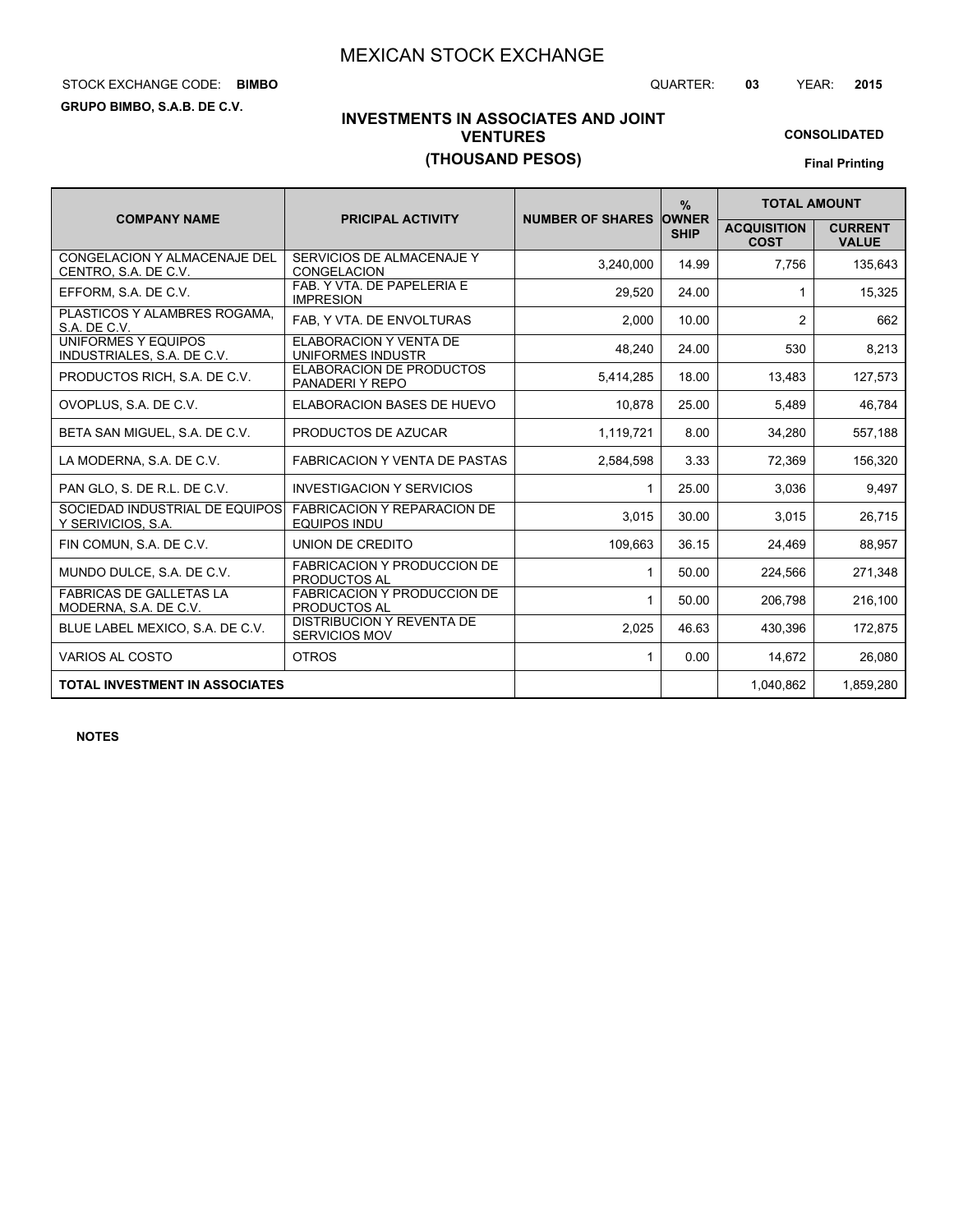# STOCK EXCHANGE CODE: QUARTER: **03** YEAR: **2015 BIMBO**

**GRUPO BIMBO, S.A.B. DE C.V.**

## **INVESTMENTS IN ASSOCIATES AND JOINT VENTURES (THOUSAND PESOS)**

**CONSOLIDATED Final Printing**

|                                                         |                                                           |                               | $\frac{9}{6}$ | <b>TOTAL AMOUNT</b>               |                                |
|---------------------------------------------------------|-----------------------------------------------------------|-------------------------------|---------------|-----------------------------------|--------------------------------|
| <b>COMPANY NAME</b>                                     | <b>PRICIPAL ACTIVITY</b>                                  | <b>NUMBER OF SHARES OWNER</b> | <b>SHIP</b>   | <b>ACQUISITION</b><br><b>COST</b> | <b>CURRENT</b><br><b>VALUE</b> |
| CONGELACION Y ALMACENAJE DEL<br>CENTRO, S.A. DE C.V.    | SERVICIOS DE ALMACENAJE Y<br><b>CONGELACION</b>           | 3.240.000                     | 14.99         | 7.756                             | 135.643                        |
| EFFORM, S.A. DE C.V.                                    | FAB. Y VTA. DE PAPELERIA E<br><b>IMPRESION</b>            | 29.520                        | 24.00         | 1                                 | 15,325                         |
| PLASTICOS Y ALAMBRES ROGAMA,<br>S.A. DE C.V.            | FAB, Y VTA. DE ENVOLTURAS                                 | 2,000                         | 10.00         | $\overline{2}$                    | 662                            |
| UNIFORMES Y EQUIPOS<br>INDUSTRIALES, S.A. DE C.V.       | ELABORACION Y VENTA DE<br>UNIFORMES INDUSTR               | 48,240                        | 24.00         | 530                               | 8,213                          |
| PRODUCTOS RICH, S.A. DE C.V.                            | <b>ELABORACION DE PRODUCTOS</b><br>PANADERIY REPO         | 5,414,285                     | 18.00         | 13,483                            | 127,573                        |
| OVOPLUS, S.A. DE C.V.                                   | <b>ELABORACION BASES DE HUEVO</b>                         | 10,878                        | 25.00         | 5,489                             | 46,784                         |
| BETA SAN MIGUEL, S.A. DE C.V.                           | PRODUCTOS DE AZUCAR                                       | 1,119,721                     | 8.00          | 34,280                            | 557,188                        |
| LA MODERNA, S.A. DE C.V.                                | <b>FABRICACION Y VENTA DE PASTAS</b>                      | 2,584,598                     | 3.33          | 72,369                            | 156,320                        |
| PAN GLO, S. DE R.L. DE C.V.                             | <b>INVESTIGACION Y SERVICIOS</b>                          | 1                             | 25.00         | 3,036                             | 9,497                          |
| SOCIEDAD INDUSTRIAL DE EQUIPOS<br>Y SERIVICIOS, S.A.    | <b>FABRICACION Y REPARACION DE</b><br><b>EQUIPOS INDU</b> | 3,015                         | 30.00         | 3.015                             | 26,715                         |
| FIN COMUN, S.A. DE C.V.                                 | UNION DE CREDITO                                          | 109,663                       | 36.15         | 24,469                            | 88,957                         |
| MUNDO DULCE, S.A. DE C.V.                               | FABRICACION Y PRODUCCION DE<br>PRODUCTOS AL               | 1                             | 50.00         | 224,566                           | 271,348                        |
| <b>FABRICAS DE GALLETAS LA</b><br>MODERNA, S.A. DE C.V. | <b>FABRICACION Y PRODUCCION DE</b><br><b>PRODUCTOS AL</b> | 1                             | 50.00         | 206.798                           | 216,100                        |
| BLUE LABEL MEXICO, S.A. DE C.V.                         | <b>DISTRIBUCION Y REVENTA DE</b><br><b>SERVICIOS MOV</b>  | 2,025                         | 46.63         | 430.396                           | 172,875                        |
| VARIOS AL COSTO                                         | <b>OTROS</b>                                              | 1                             | 0.00          | 14,672                            | 26,080                         |
| <b>TOTAL INVESTMENT IN ASSOCIATES</b>                   |                                                           |                               |               | 1,040,862                         | 1,859,280                      |

**NOTES**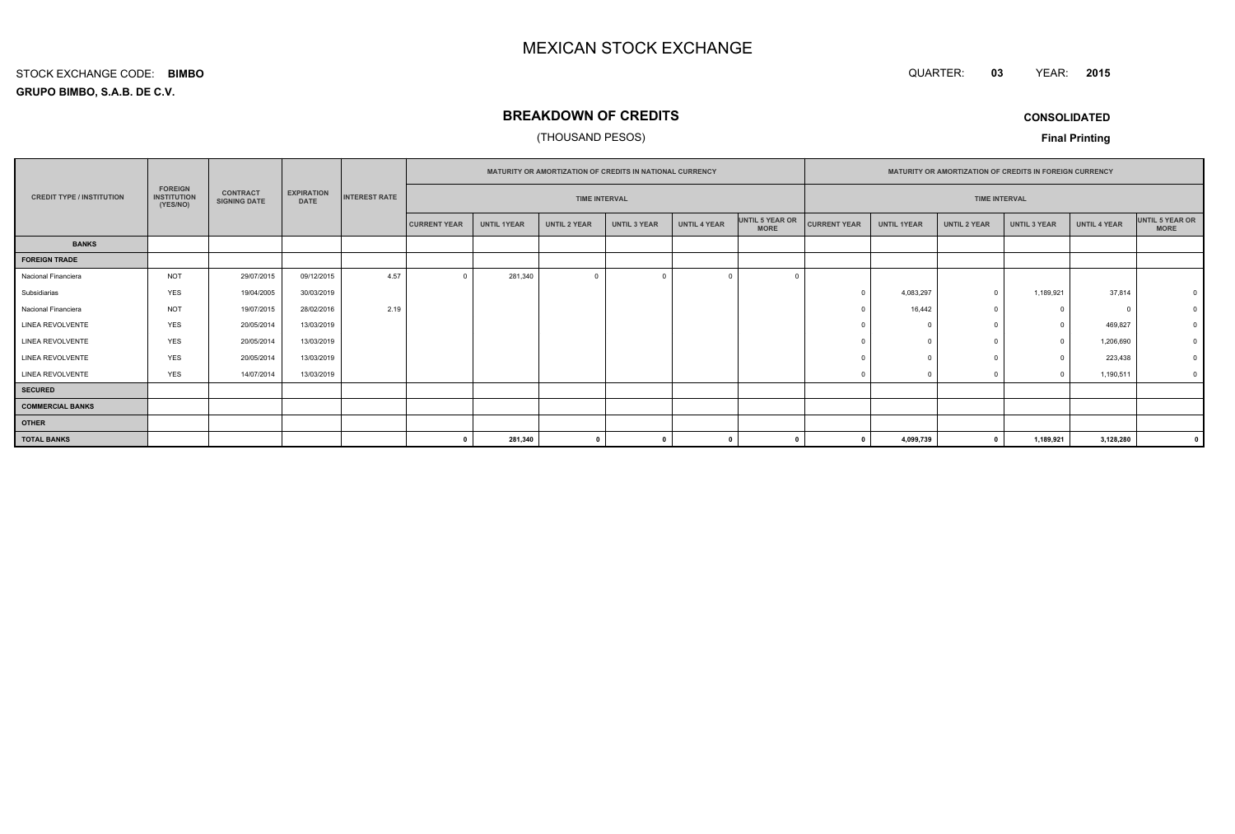QUARTER: **03**YEAR: **<sup>2015</sup>**

**GRUPO BIMBO, S.A.B. DE C.V.**STOCK EXCHANGE CODE:**BIMBO**

## **BREAKDOWN OF CREDITS**

### (THOUSAND PESOS)

**CONSOLIDATED**

|                                  |                                                  |                                        |                                  |                      |                     | MATURITY OR AMORTIZATION OF CREDITS IN NATIONAL CURRENCY |                     |                     |              |                                | MATURITY OR AMORTIZATION OF CREDITS IN FOREIGN CURRENCY |                      |                     |                     |                     |                                |  |
|----------------------------------|--------------------------------------------------|----------------------------------------|----------------------------------|----------------------|---------------------|----------------------------------------------------------|---------------------|---------------------|--------------|--------------------------------|---------------------------------------------------------|----------------------|---------------------|---------------------|---------------------|--------------------------------|--|
| <b>CREDIT TYPE / INSTITUTION</b> | <b>FOREIGN</b><br><b>INSTITUTION</b><br>(YES/NO) | <b>CONTRACT</b><br><b>SIGNING DATE</b> | <b>EXPIRATION</b><br><b>DATE</b> | <b>INTEREST RATE</b> |                     | <b>TIME INTERVAL</b>                                     |                     |                     |              |                                |                                                         | <b>TIME INTERVAL</b> |                     |                     |                     |                                |  |
|                                  |                                                  |                                        |                                  |                      | <b>CURRENT YEAR</b> | <b>UNTIL 1YEAR</b>                                       | <b>UNTIL 2 YEAR</b> | <b>UNTIL 3 YEAR</b> | UNTIL 4 YEAR | UNTIL 5 YEAR OR<br><b>MORE</b> | <b>CURRENT YEAR</b>                                     | <b>UNTIL 1YEAR</b>   | <b>UNTIL 2 YEAR</b> | <b>UNTIL 3 YEAR</b> | <b>UNTIL 4 YEAR</b> | UNTIL 5 YEAR OR<br><b>MORE</b> |  |
| <b>BANKS</b>                     |                                                  |                                        |                                  |                      |                     |                                                          |                     |                     |              |                                |                                                         |                      |                     |                     |                     |                                |  |
| <b>FOREIGN TRADE</b>             |                                                  |                                        |                                  |                      |                     |                                                          |                     |                     |              |                                |                                                         |                      |                     |                     |                     |                                |  |
| Nacional Financiera              | <b>NOT</b>                                       | 29/07/2015                             | 09/12/2015                       | 4.57                 | $\Omega$            | 281,340                                                  | $\overline{0}$      |                     |              |                                |                                                         |                      |                     |                     |                     |                                |  |
| Subsidiarias                     | <b>YES</b>                                       | 19/04/2005                             | 30/03/2019                       |                      |                     |                                                          |                     |                     |              |                                |                                                         | 4,083,297            |                     | 1,189,921           | 37,814              |                                |  |
| Nacional Financiera              | <b>NOT</b>                                       | 19/07/2015                             | 28/02/2016                       | 2.19                 |                     |                                                          |                     |                     |              |                                |                                                         | 16,442               |                     | $^{\circ}$          | $\Omega$            |                                |  |
| LINEA REVOLVENTE                 | <b>YES</b>                                       | 20/05/2014                             | 13/03/2019                       |                      |                     |                                                          |                     |                     |              |                                |                                                         | $\sqrt{2}$           |                     | $\mathbf{0}$        | 469,827             |                                |  |
| <b>LINEA REVOLVENTE</b>          | <b>YES</b>                                       | 20/05/2014                             | 13/03/2019                       |                      |                     |                                                          |                     |                     |              |                                |                                                         |                      |                     | $\circ$             | 1,206,690           |                                |  |
| LINEA REVOLVENTE                 | <b>YES</b>                                       | 20/05/2014                             | 13/03/2019                       |                      |                     |                                                          |                     |                     |              |                                |                                                         |                      |                     | $\Omega$            | 223,438             |                                |  |
| LINEA REVOLVENTE                 | <b>YES</b>                                       | 14/07/2014                             | 13/03/2019                       |                      |                     |                                                          |                     |                     |              |                                |                                                         |                      |                     | $\Omega$            | 1,190,511           | 0                              |  |
| <b>SECURED</b>                   |                                                  |                                        |                                  |                      |                     |                                                          |                     |                     |              |                                |                                                         |                      |                     |                     |                     |                                |  |
| <b>COMMERCIAL BANKS</b>          |                                                  |                                        |                                  |                      |                     |                                                          |                     |                     |              |                                |                                                         |                      |                     |                     |                     |                                |  |
| <b>OTHER</b>                     |                                                  |                                        |                                  |                      |                     |                                                          |                     |                     |              |                                |                                                         |                      |                     |                     |                     |                                |  |
| <b>TOTAL BANKS</b>               |                                                  |                                        |                                  |                      |                     | 281,340                                                  | $\mathbf{0}$        |                     |              |                                |                                                         | 4,099,739            |                     | 1,189,921           | 3,128,280           | $\mathbf{0}$                   |  |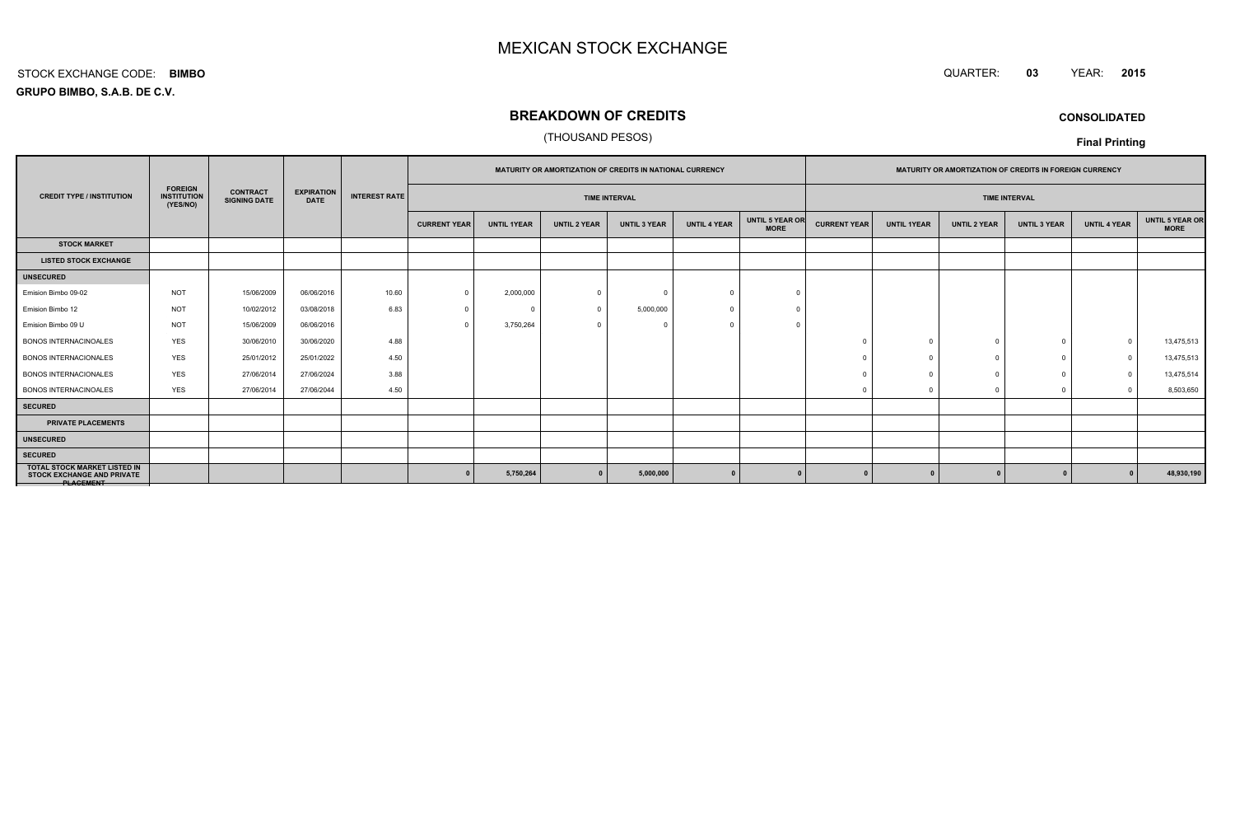#### QUARTER: **<sup>03</sup>**YEAR: **<sup>2015</sup>**

**GRUPO BIMBO, S.A.B. DE C.V.**STOCK EXCHANGE CODE:**BIMBO**

## **BREAKDOWN OF CREDITS**

### (THOUSAND PESOS)

**CONSOLIDATED**

|                                                                                              |                                                  |                                        |                                  |                      |                     | MATURITY OR AMORTIZATION OF CREDITS IN NATIONAL CURRENCY |                     |                      | MATURITY OR AMORTIZATION OF CREDITS IN FOREIGN CURRENCY |                                |                     |                    |                     |                      |                     |                                |
|----------------------------------------------------------------------------------------------|--------------------------------------------------|----------------------------------------|----------------------------------|----------------------|---------------------|----------------------------------------------------------|---------------------|----------------------|---------------------------------------------------------|--------------------------------|---------------------|--------------------|---------------------|----------------------|---------------------|--------------------------------|
| <b>CREDIT TYPE / INSTITUTION</b>                                                             | <b>FOREIGN</b><br><b>INSTITUTION</b><br>(YES/NO) | <b>CONTRACT</b><br><b>SIGNING DATE</b> | <b>EXPIRATION</b><br><b>DATE</b> | <b>INTEREST RATE</b> |                     |                                                          |                     | <b>TIME INTERVAL</b> |                                                         |                                |                     |                    |                     | <b>TIME INTERVAL</b> |                     |                                |
|                                                                                              |                                                  |                                        |                                  |                      | <b>CURRENT YEAR</b> | <b>UNTIL 1YEAR</b>                                       | <b>UNTIL 2 YEAR</b> | <b>UNTIL 3 YEAR</b>  | <b>UNTIL 4 YEAR</b>                                     | UNTIL 5 YEAR OR<br><b>MORE</b> | <b>CURRENT YEAR</b> | <b>UNTIL 1YEAR</b> | <b>UNTIL 2 YEAR</b> | <b>UNTIL 3 YEAR</b>  | <b>UNTIL 4 YEAR</b> | UNTIL 5 YEAR OR<br><b>MORE</b> |
| <b>STOCK MARKET</b>                                                                          |                                                  |                                        |                                  |                      |                     |                                                          |                     |                      |                                                         |                                |                     |                    |                     |                      |                     |                                |
| <b>LISTED STOCK EXCHANGE</b>                                                                 |                                                  |                                        |                                  |                      |                     |                                                          |                     |                      |                                                         |                                |                     |                    |                     |                      |                     |                                |
| <b>UNSECURED</b>                                                                             |                                                  |                                        |                                  |                      |                     |                                                          |                     |                      |                                                         |                                |                     |                    |                     |                      |                     |                                |
| Emision Bimbo 09-02                                                                          | <b>NOT</b>                                       | 15/06/2009                             | 06/06/2016                       | 10.60                | $\Omega$            | 2,000,000                                                | $\Omega$            |                      |                                                         |                                |                     |                    |                     |                      |                     |                                |
| Emision Bimbo 12                                                                             | <b>NOT</b>                                       | 10/02/2012                             | 03/08/2018                       | 6.83                 | $\Omega$            |                                                          | $\Omega$            | 5,000,000            |                                                         |                                |                     |                    |                     |                      |                     |                                |
| Emision Bimbo 09 U                                                                           | <b>NOT</b>                                       | 15/06/2009                             | 06/06/2016                       |                      | $\Omega$            | 3,750,264                                                | $\cap$              |                      |                                                         |                                |                     |                    |                     |                      |                     |                                |
| <b>BONOS INTERNACINOALES</b>                                                                 | <b>YES</b>                                       | 30/06/2010                             | 30/06/2020                       | 4.88                 |                     |                                                          |                     |                      |                                                         |                                |                     |                    |                     |                      |                     | 13,475,513                     |
| <b>BONOS INTERNACIONALES</b>                                                                 | <b>YES</b>                                       | 25/01/2012                             | 25/01/2022                       | 4.50                 |                     |                                                          |                     |                      |                                                         |                                |                     | $\Omega$           |                     |                      | $\Omega$            | 13,475,513                     |
| <b>BONOS INTERNACIONALES</b>                                                                 | <b>YES</b>                                       | 27/06/2014                             | 27/06/2024                       | 3.88                 |                     |                                                          |                     |                      |                                                         |                                |                     |                    |                     |                      | $\Omega$            | 13,475,514                     |
| <b>BONOS INTERNACINOALES</b>                                                                 | <b>YES</b>                                       | 27/06/2014                             | 27/06/2044                       | 4.50                 |                     |                                                          |                     |                      |                                                         |                                |                     |                    |                     |                      |                     | 8,503,650                      |
| <b>SECURED</b>                                                                               |                                                  |                                        |                                  |                      |                     |                                                          |                     |                      |                                                         |                                |                     |                    |                     |                      |                     |                                |
| PRIVATE PLACEMENTS                                                                           |                                                  |                                        |                                  |                      |                     |                                                          |                     |                      |                                                         |                                |                     |                    |                     |                      |                     |                                |
| <b>UNSECURED</b>                                                                             |                                                  |                                        |                                  |                      |                     |                                                          |                     |                      |                                                         |                                |                     |                    |                     |                      |                     |                                |
| <b>SECURED</b>                                                                               |                                                  |                                        |                                  |                      |                     |                                                          |                     |                      |                                                         |                                |                     |                    |                     |                      |                     |                                |
| <b>TOTAL STOCK MARKET LISTED IN</b><br><b>STOCK EXCHANGE AND PRIVATE</b><br><b>PLAGEMENT</b> |                                                  |                                        |                                  |                      |                     | 5,750,264                                                |                     | 5,000,000            |                                                         |                                |                     |                    |                     |                      |                     | 48,930,190                     |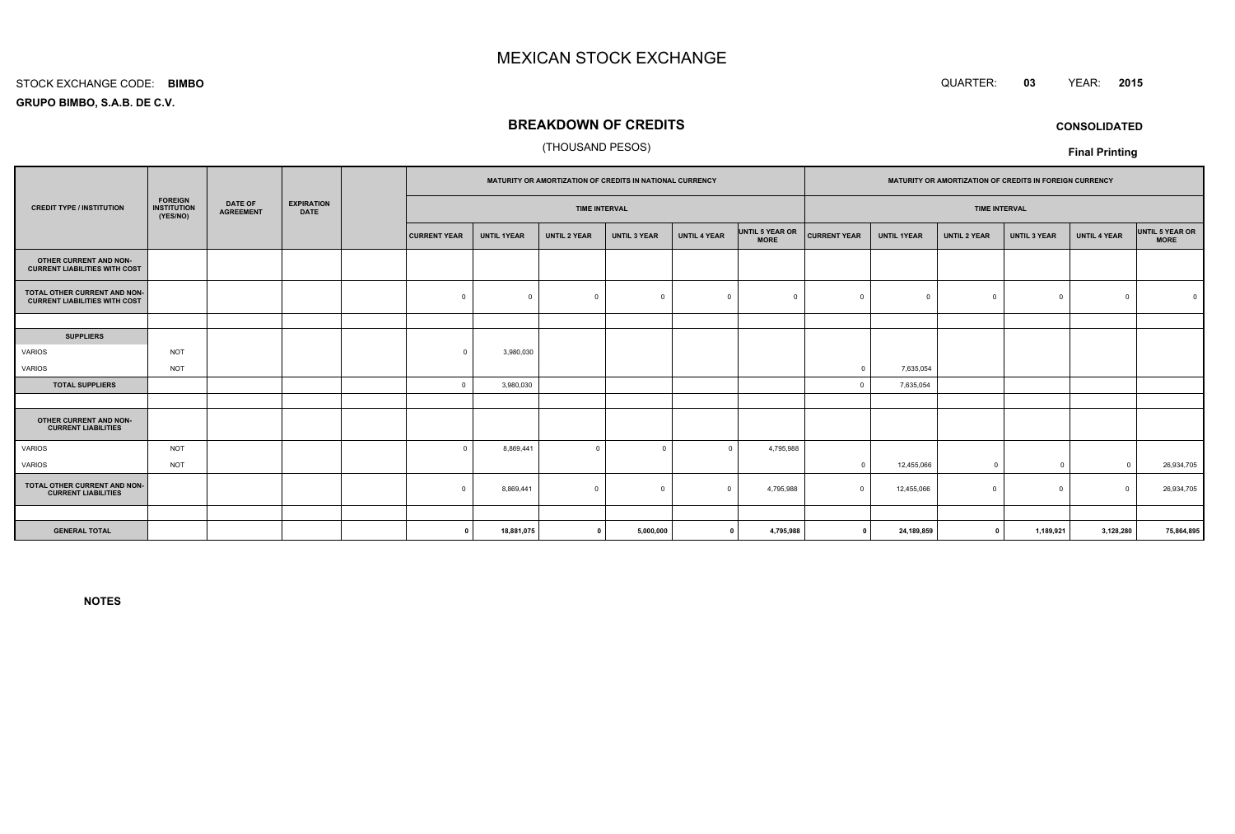#### STOCK EXCHANGE CODE:**BIMBO**

**GRUPO BIMBO, S.A.B. DE C.V.**

## **BREAKDOWN OF CREDITS**

### (THOUSAND PESOS)

|                                                                      |                                                  |                                    |                                  |                     |                    |                      | MATURITY OR AMORTIZATION OF CREDITS IN NATIONAL CURRENCY |                     |                                |                     |                    |                      | MATURITY OR AMORTIZATION OF CREDITS IN FOREIGN CURRENCY |                     |                                |
|----------------------------------------------------------------------|--------------------------------------------------|------------------------------------|----------------------------------|---------------------|--------------------|----------------------|----------------------------------------------------------|---------------------|--------------------------------|---------------------|--------------------|----------------------|---------------------------------------------------------|---------------------|--------------------------------|
| <b>CREDIT TYPE / INSTITUTION</b>                                     | <b>FOREIGN</b><br><b>INSTITUTION</b><br>(YES/NO) | <b>DATE OF</b><br><b>AGREEMENT</b> | <b>EXPIRATION</b><br><b>DATE</b> |                     |                    | <b>TIME INTERVAL</b> |                                                          |                     |                                |                     |                    | <b>TIME INTERVAL</b> |                                                         |                     |                                |
|                                                                      |                                                  |                                    |                                  | <b>CURRENT YEAR</b> | <b>UNTIL 1YEAR</b> | <b>UNTIL 2 YEAR</b>  | <b>UNTIL 3 YEAR</b>                                      | <b>UNTIL 4 YEAR</b> | UNTIL 5 YEAR OR<br><b>MORE</b> | <b>CURRENT YEAR</b> | <b>UNTIL 1YEAR</b> | <b>UNTIL 2 YEAR</b>  | <b>UNTIL 3 YEAR</b>                                     | <b>UNTIL 4 YEAR</b> | UNTIL 5 YEAR OR<br><b>MORE</b> |
| OTHER CURRENT AND NON-<br><b>CURRENT LIABILITIES WITH COST</b>       |                                                  |                                    |                                  |                     |                    |                      |                                                          |                     |                                |                     |                    |                      |                                                         |                     |                                |
| TOTAL OTHER CURRENT AND NON-<br><b>CURRENT LIABILITIES WITH COST</b> |                                                  |                                    |                                  | $\mathbf 0$         | $\Omega$           | $\mathbf 0$          | $\Omega$                                                 | $\Omega$            | $\Omega$                       |                     | $\Omega$           | $\Omega$             | $\mathbf 0$                                             | $\Omega$            |                                |
|                                                                      |                                                  |                                    |                                  |                     |                    |                      |                                                          |                     |                                |                     |                    |                      |                                                         |                     |                                |
| <b>SUPPLIERS</b>                                                     |                                                  |                                    |                                  |                     |                    |                      |                                                          |                     |                                |                     |                    |                      |                                                         |                     |                                |
| VARIOS                                                               | <b>NOT</b>                                       |                                    |                                  | $\Omega$            | 3,980,030          |                      |                                                          |                     |                                |                     |                    |                      |                                                         |                     |                                |
| VARIOS                                                               | <b>NOT</b>                                       |                                    |                                  |                     |                    |                      |                                                          |                     |                                | $\Omega$            | 7,635,054          |                      |                                                         |                     |                                |
| <b>TOTAL SUPPLIERS</b>                                               |                                                  |                                    |                                  | $\Omega$            | 3,980,030          |                      |                                                          |                     |                                | $\sqrt{2}$          | 7,635,054          |                      |                                                         |                     |                                |
|                                                                      |                                                  |                                    |                                  |                     |                    |                      |                                                          |                     |                                |                     |                    |                      |                                                         |                     |                                |
| OTHER CURRENT AND NON-<br><b>CURRENT LIABILITIES</b>                 |                                                  |                                    |                                  |                     |                    |                      |                                                          |                     |                                |                     |                    |                      |                                                         |                     |                                |
| <b>VARIOS</b>                                                        | <b>NOT</b>                                       |                                    |                                  |                     | 8,869,441          | $\mathbf 0$          | $\Omega$                                                 | $\Omega$            | 4,795,988                      |                     |                    |                      |                                                         |                     |                                |
| VARIOS                                                               | <b>NOT</b>                                       |                                    |                                  |                     |                    |                      |                                                          |                     |                                | $\Omega$            | 12,455,066         | $^{\circ}$           | $\overline{0}$                                          | $\Omega$            | 26,934,705                     |
| TOTAL OTHER CURRENT AND NON-<br><b>CURRENT LIABILITIES</b>           |                                                  |                                    |                                  | $\Omega$            | 8,869,441          | $\mathbf 0$          | $\overline{0}$                                           | $\Omega$            | 4,795,988                      | $\Omega$            | 12,455,066         | $\Omega$             | $^{\circ}$                                              | $\Omega$            | 26,934,705                     |
|                                                                      |                                                  |                                    |                                  |                     |                    |                      |                                                          |                     |                                |                     |                    |                      |                                                         |                     |                                |
| <b>GENERAL TOTAL</b>                                                 |                                                  |                                    |                                  | $\Omega$            | 18,881,075         | $\mathbf{0}$         | 5,000,000                                                | $\mathbf{0}$        | 4,795,988                      | $\mathbf 0$         | 24,189,859         | $\mathbf{0}$         | 1,189,921                                               | 3,128,280           | 75,864,895                     |

**NOTES**



**CONSOLIDATED**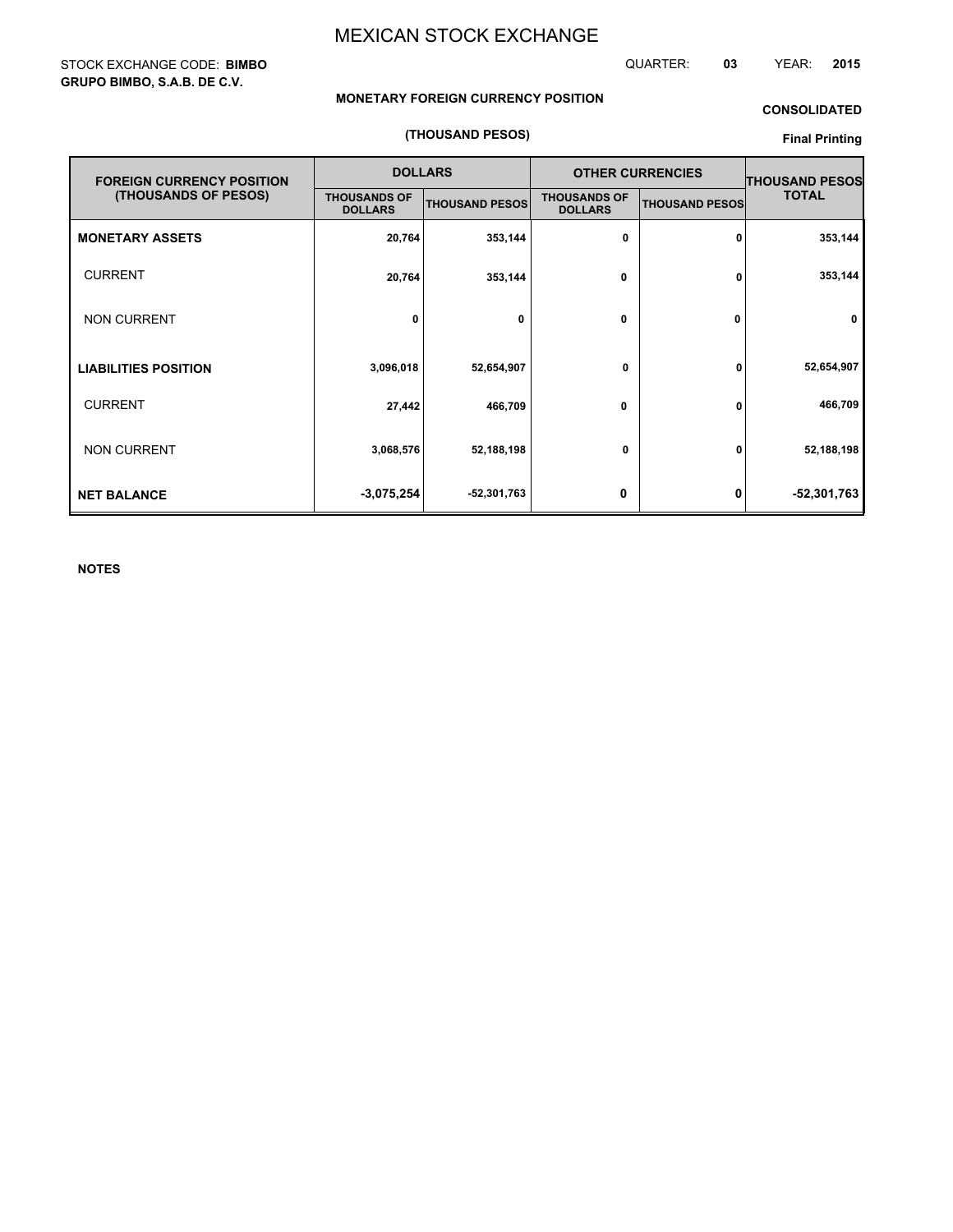STOCK EXCHANGE CODE: **BIMBO GRUPO BIMBO, S.A.B. DE C.V.**

QUARTER: **03** YEAR: **2015**

### **MONETARY FOREIGN CURRENCY POSITION**

## **CONSOLIDATED**

### **(THOUSAND PESOS)**

## **Final Printing**

| <b>FOREIGN CURRENCY POSITION</b> |                                       | <b>DOLLARS</b>        |                                       | <b>OTHER CURRENCIES</b> | <b>THOUSAND PESOS</b> |  |
|----------------------------------|---------------------------------------|-----------------------|---------------------------------------|-------------------------|-----------------------|--|
| (THOUSANDS OF PESOS)             | <b>THOUSANDS OF</b><br><b>DOLLARS</b> | <b>THOUSAND PESOS</b> | <b>THOUSANDS OF</b><br><b>DOLLARS</b> | <b>THOUSAND PESOS</b>   | <b>TOTAL</b>          |  |
| <b>MONETARY ASSETS</b>           | 20,764                                | 353,144               | 0                                     | 0                       | 353,144               |  |
| <b>CURRENT</b>                   | 20,764                                | 353,144               | 0                                     | 0                       | 353,144               |  |
| <b>NON CURRENT</b>               | 0                                     | 0                     | 0                                     | 0                       | 0                     |  |
| <b>LIABILITIES POSITION</b>      | 3,096,018                             | 52,654,907            | 0                                     | 0                       | 52,654,907            |  |
| <b>CURRENT</b>                   | 27,442                                | 466,709               | 0                                     | 0                       | 466,709               |  |
| <b>NON CURRENT</b>               | 3,068,576                             | 52,188,198            | 0                                     | 0                       | 52,188,198            |  |
| <b>NET BALANCE</b>               | $-3,075,254$                          | -52,301,763           | 0                                     | 0                       | -52,301,763           |  |

**NOTES**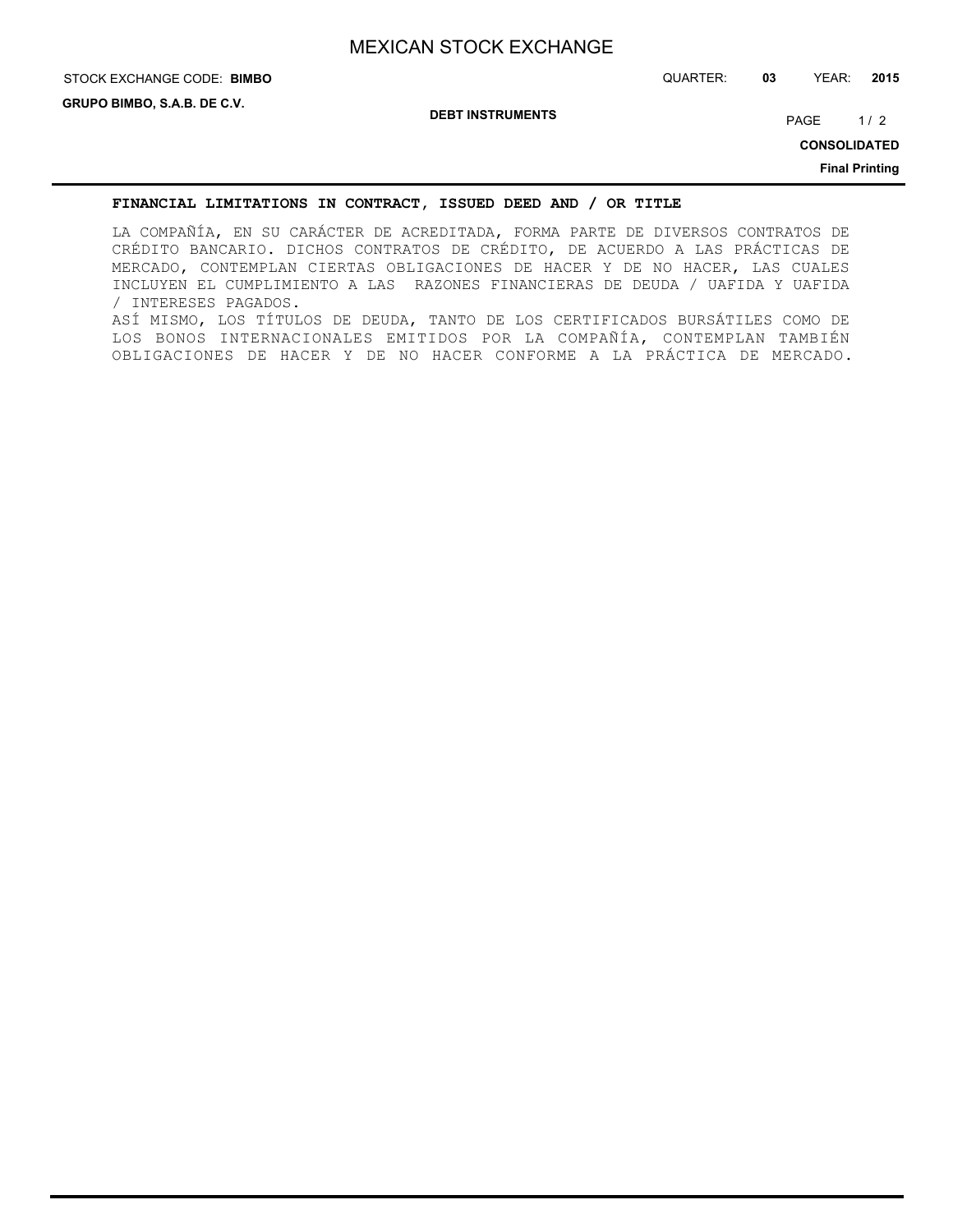## STOCK EXCHANGE CODE: QUARTER: **03** YEAR: **2015 BIMBO**

**DEBT INSTRUMENTS**

PAGE 1/2

**CONSOLIDATED**

**Final Printing**

### **FINANCIAL LIMITATIONS IN CONTRACT, ISSUED DEED AND / OR TITLE**

LA COMPAÑÍA, EN SU CARÁCTER DE ACREDITADA, FORMA PARTE DE DIVERSOS CONTRATOS DE CRÉDITO BANCARIO. DICHOS CONTRATOS DE CRÉDITO, DE ACUERDO A LAS PRÁCTICAS DE MERCADO, CONTEMPLAN CIERTAS OBLIGACIONES DE HACER Y DE NO HACER, LAS CUALES INCLUYEN EL CUMPLIMIENTO A LAS RAZONES FINANCIERAS DE DEUDA / UAFIDA Y UAFIDA / INTERESES PAGADOS. ASÍ MISMO, LOS TÍTULOS DE DEUDA, TANTO DE LOS CERTIFICADOS BURSÁTILES COMO DE LOS BONOS INTERNACIONALES EMITIDOS POR LA COMPAÑÍA, CONTEMPLAN TAMBIÉN OBLIGACIONES DE HACER Y DE NO HACER CONFORME A LA PRÁCTICA DE MERCADO.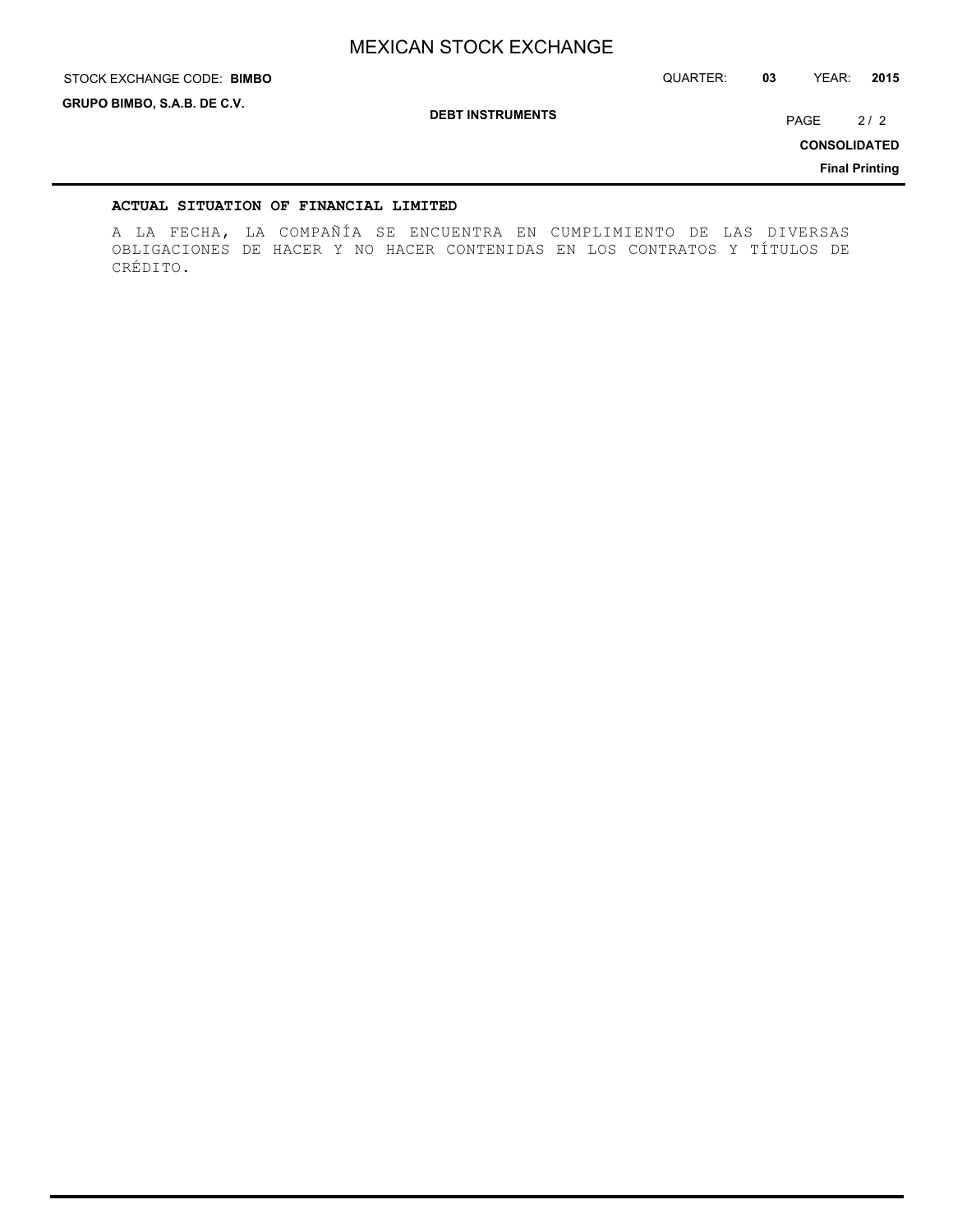STOCK EXCHANGE CODE: QUARTER: **03** YEAR: **2015 BIMBO**

**GRUPO BIMBO, S.A.B. DE C.V.**

**DEBT INSTRUMENTS**

PAGE 2/2

**CONSOLIDATED**

**Final Printing**

### **ACTUAL SITUATION OF FINANCIAL LIMITED**

A LA FECHA, LA COMPAÑÍA SE ENCUENTRA EN CUMPLIMIENTO DE LAS DIVERSAS OBLIGACIONES DE HACER Y NO HACER CONTENIDAS EN LOS CONTRATOS Y TÍTULOS DE CRÉDITO.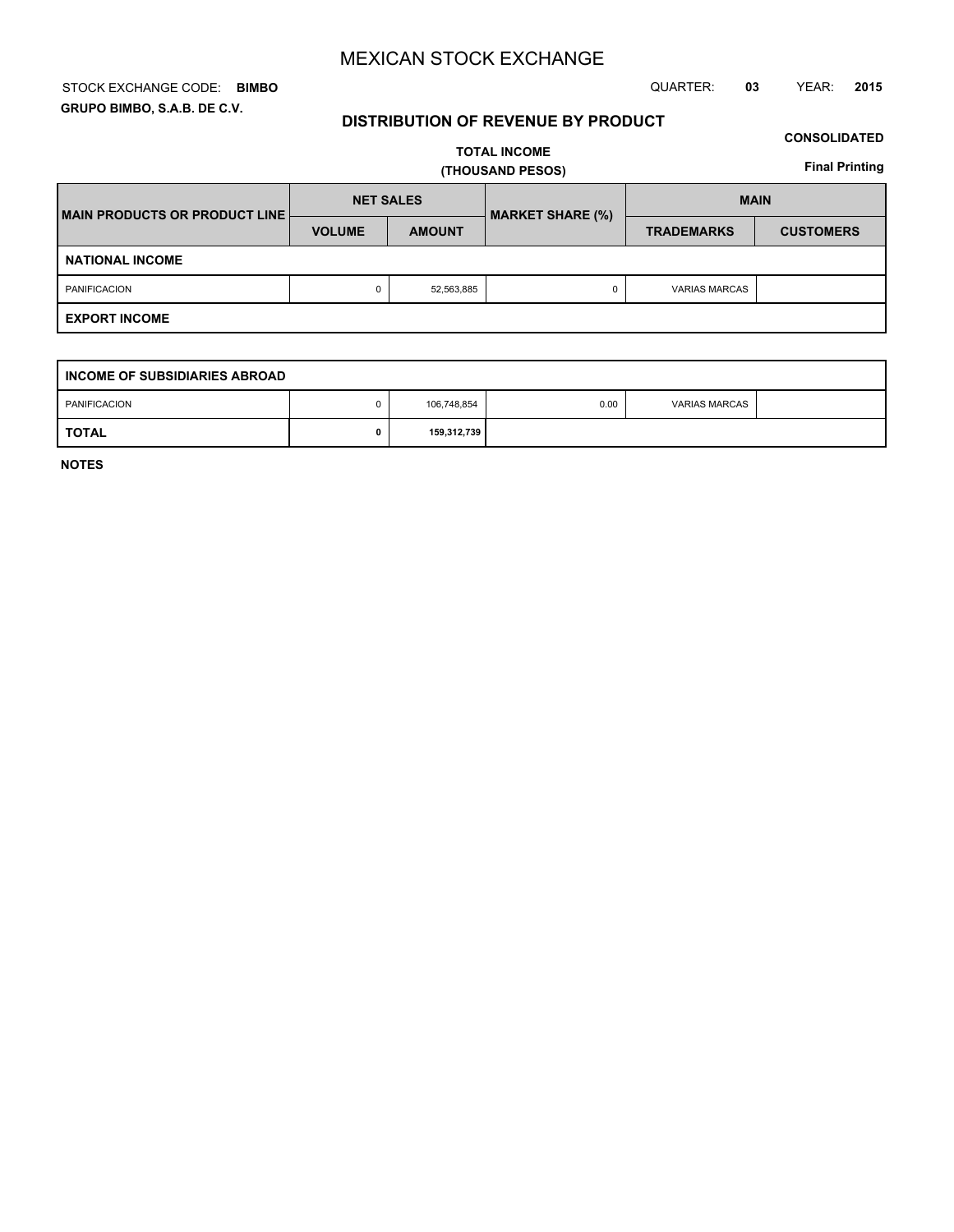### STOCK EXCHANGE CODE: QUARTER: **03** YEAR: **2015 BIMBO GRUPO BIMBO, S.A.B. DE C.V.**

## **DISTRIBUTION OF REVENUE BY PRODUCT**

## **CONSOLIDATED**

**TOTAL INCOME (THOUSAND PESOS)**

**Final Printing**

| MAIN PRODUCTS OR PRODUCT LINE | <b>NET SALES</b> |               | <b>MARKET SHARE (%)</b> | <b>MAIN</b>          |                  |  |
|-------------------------------|------------------|---------------|-------------------------|----------------------|------------------|--|
|                               | <b>VOLUME</b>    | <b>AMOUNT</b> |                         | <b>TRADEMARKS</b>    | <b>CUSTOMERS</b> |  |
| <b>NATIONAL INCOME</b>        |                  |               |                         |                      |                  |  |
| <b>PANIFICACION</b>           | 0                | 52,563,885    |                         | <b>VARIAS MARCAS</b> |                  |  |
| <b>EXPORT INCOME</b>          |                  |               |                         |                      |                  |  |

| I INCOME OF SUBSIDIARIES ABROAD |  |             |      |                      |  |  |  |  |
|---------------------------------|--|-------------|------|----------------------|--|--|--|--|
| PANIFICACION                    |  | 106,748,854 | 0.00 | <b>VARIAS MARCAS</b> |  |  |  |  |
| <b>TOTAL</b>                    |  | 159,312,739 |      |                      |  |  |  |  |

**NOTES**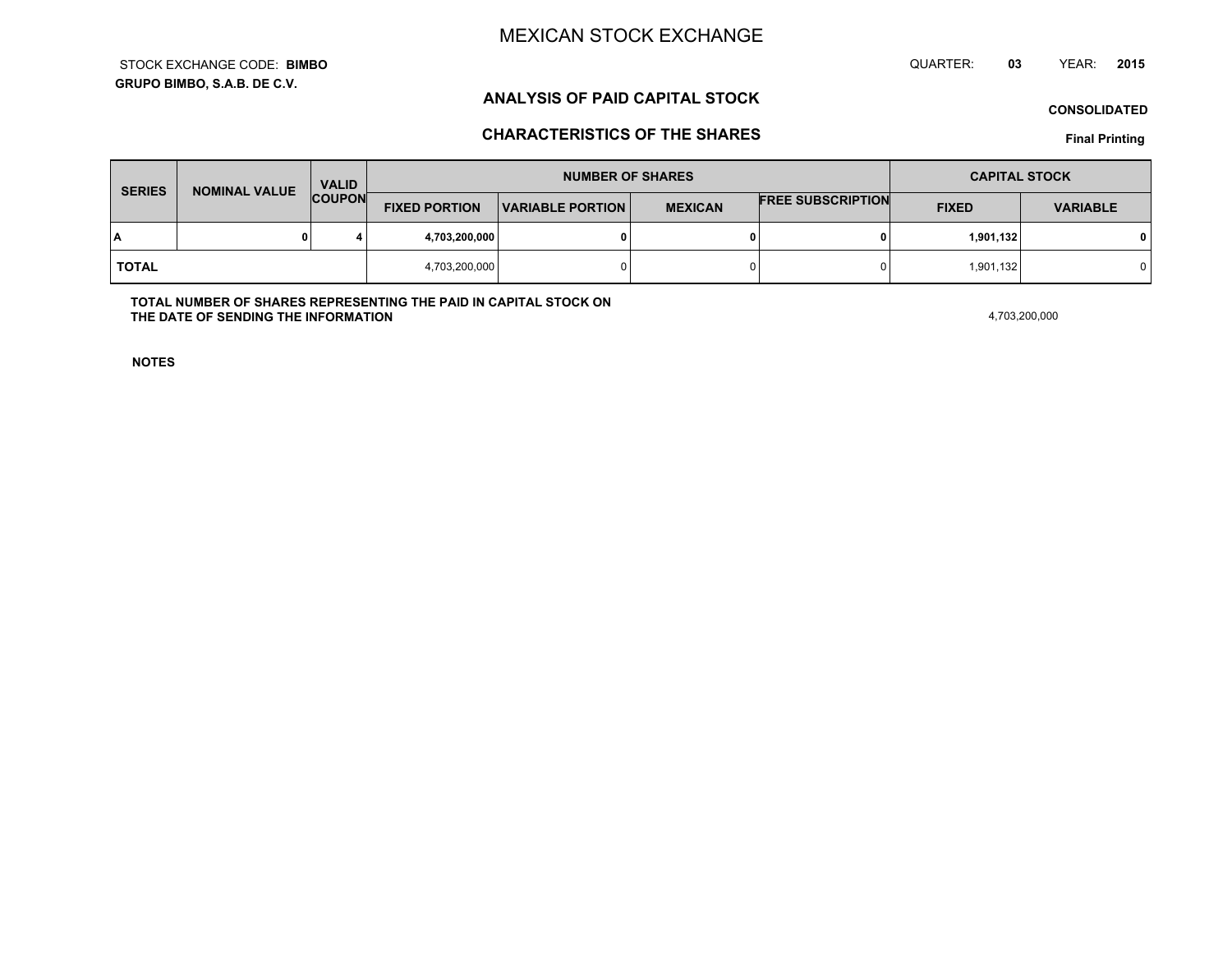**GRUPO BIMBO, S.A.B. DE C.V.**STOCK EXCHANGE CODE:**BIMBO** QUARTER: **03**YEAR: **<sup>2015</sup>**

## **ANALYSIS OF PAID CAPITAL STOCK**

**CONSOLIDATED**

## **CHARACTERISTICS OF THE SHARES**

**Final Printing**

| <b>SERIES</b> | <b>NOMINAL VALUE</b> | <b>VALID</b>  |                      | <b>NUMBER OF SHARES</b> |                | <b>CAPITAL STOCK</b>     |              |                 |
|---------------|----------------------|---------------|----------------------|-------------------------|----------------|--------------------------|--------------|-----------------|
|               |                      | <b>COUPON</b> | <b>FIXED PORTION</b> | <b>VARIABLE PORTION</b> | <b>MEXICAN</b> | <b>FREE SUBSCRIPTION</b> | <b>FIXED</b> | <b>VARIABLE</b> |
| ١A            |                      |               | 4,703,200,000        |                         | 0              |                          | 1,901,132    | 0 I             |
| <b>TOTAL</b>  |                      |               | 4,703,200,000        |                         | 0              |                          | 1,901,132    |                 |

**TOTAL NUMBER OF SHARES REPRESENTING THE PAID IN CAPITAL STOCK ONTHE DATE OF SENDING THE INFORMATIONN** 4,703,200,000

**NOTES**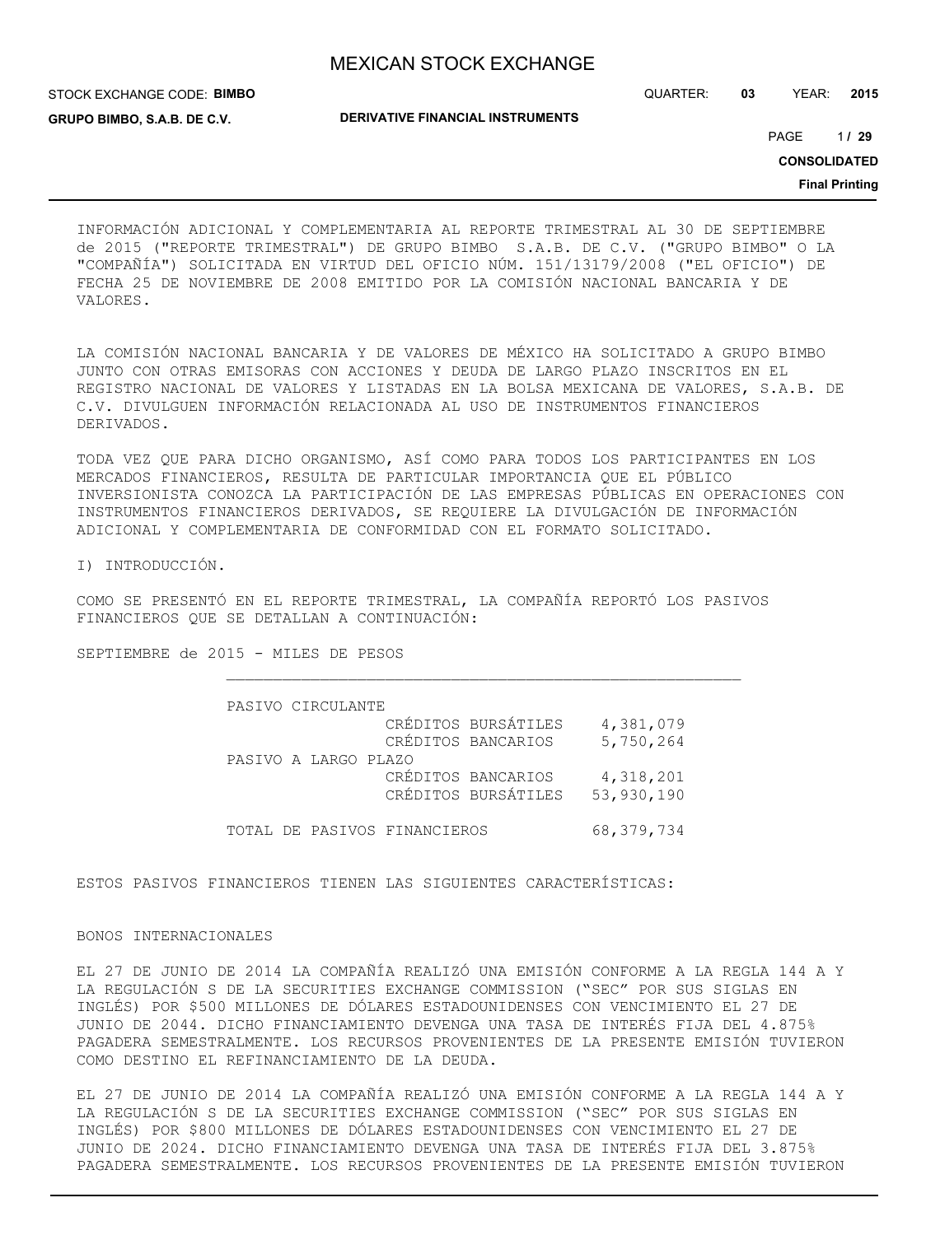**DERIVATIVE FINANCIAL INSTRUMENTS**

STOCK EXCHANGE CODE: **BIMBO GRUPO BIMBO, S.A.B. DE C.V.**

QUARTER: **03** YEAR: **2015**

1 PAGE **/ 29**

**CONSOLIDATED**

**Final Printing**

INFORMACIÓN ADICIONAL Y COMPLEMENTARIA AL REPORTE TRIMESTRAL AL 30 DE SEPTIEMBRE de 2015 ("REPORTE TRIMESTRAL") DE GRUPO BIMBO S.A.B. DE C.V. ("GRUPO BIMBO" O LA "COMPAÑÍA") SOLICITADA EN VIRTUD DEL OFICIO NÚM. 151/13179/2008 ("EL OFICIO") DE FECHA 25 DE NOVIEMBRE DE 2008 EMITIDO POR LA COMISIÓN NACIONAL BANCARIA Y DE VALORES.

LA COMISIÓN NACIONAL BANCARIA Y DE VALORES DE MÉXICO HA SOLICITADO A GRUPO BIMBO JUNTO CON OTRAS EMISORAS CON ACCIONES Y DEUDA DE LARGO PLAZO INSCRITOS EN EL REGISTRO NACIONAL DE VALORES Y LISTADAS EN LA BOLSA MEXICANA DE VALORES, S.A.B. DE C.V. DIVULGUEN INFORMACIÓN RELACIONADA AL USO DE INSTRUMENTOS FINANCIEROS DERIVADOS.

TODA VEZ QUE PARA DICHO ORGANISMO, ASÍ COMO PARA TODOS LOS PARTICIPANTES EN LOS MERCADOS FINANCIEROS, RESULTA DE PARTICULAR IMPORTANCIA QUE EL PÚBLICO INVERSIONISTA CONOZCA LA PARTICIPACIÓN DE LAS EMPRESAS PÚBLICAS EN OPERACIONES CON INSTRUMENTOS FINANCIEROS DERIVADOS, SE REQUIERE LA DIVULGACIÓN DE INFORMACIÓN ADICIONAL Y COMPLEMENTARIA DE CONFORMIDAD CON EL FORMATO SOLICITADO.

I) INTRODUCCIÓN.

COMO SE PRESENTÓ EN EL REPORTE TRIMESTRAL, LA COMPAÑÍA REPORTÓ LOS PASIVOS FINANCIEROS QUE SE DETALLAN A CONTINUACIÓN:

SEPTIEMBRE de 2015 - MILES DE PESOS

| PASIVO CIRCULANTE            |                                           |                         |
|------------------------------|-------------------------------------------|-------------------------|
|                              | CRÉDITOS BURSÁTILES<br>CRÉDITOS BANCARIOS | 4,381,079<br>5,750,264  |
| PASIVO A LARGO PLAZO         | CRÉDITOS BANCARIOS                        |                         |
|                              | CRÉDITOS BURSÁTILES                       | 4,318,201<br>53,930,190 |
| TOTAL DE PASIVOS FINANCIEROS |                                           | 68,379,734              |

ESTOS PASIVOS FINANCIEROS TIENEN LAS SIGUIENTES CARACTERÍSTICAS:

### BONOS INTERNACIONALES

EL 27 DE JUNIO DE 2014 LA COMPAÑÍA REALIZÓ UNA EMISIÓN CONFORME A LA REGLA 144 A Y LA REGULACIÓN S DE LA SECURITIES EXCHANGE COMMISSION ("SEC" POR SUS SIGLAS EN INGLÉS) POR \$500 MILLONES DE DÓLARES ESTADOUNIDENSES CON VENCIMIENTO EL 27 DE JUNIO DE 2044. DICHO FINANCIAMIENTO DEVENGA UNA TASA DE INTERÉS FIJA DEL 4.875% PAGADERA SEMESTRALMENTE. LOS RECURSOS PROVENIENTES DE LA PRESENTE EMISIÓN TUVIERON COMO DESTINO EL REFINANCIAMIENTO DE LA DEUDA.

EL 27 DE JUNIO DE 2014 LA COMPAÑÍA REALIZÓ UNA EMISIÓN CONFORME A LA REGLA 144 A Y LA REGULACIÓN S DE LA SECURITIES EXCHANGE COMMISSION ("SEC" POR SUS SIGLAS EN INGLÉS) POR \$800 MILLONES DE DÓLARES ESTADOUNIDENSES CON VENCIMIENTO EL 27 DE JUNIO DE 2024. DICHO FINANCIAMIENTO DEVENGA UNA TASA DE INTERÉS FIJA DEL 3.875% PAGADERA SEMESTRALMENTE. LOS RECURSOS PROVENIENTES DE LA PRESENTE EMISIÓN TUVIERON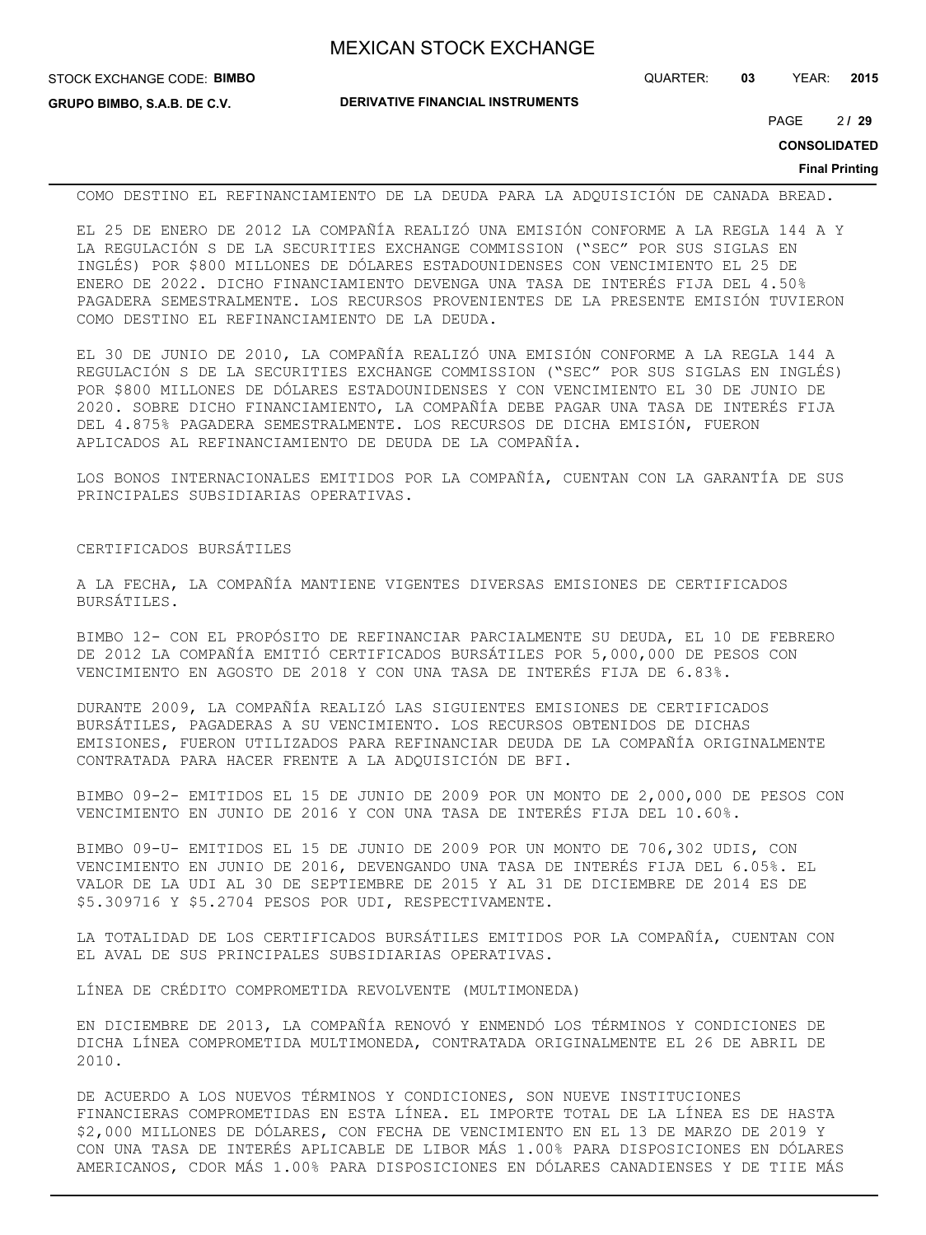| <b>MEXICAN STOCK EXCHANGE</b> |  |  |  |
|-------------------------------|--|--|--|
|-------------------------------|--|--|--|

**DERIVATIVE FINANCIAL INSTRUMENTS**

2 PAGE **/ 29**

**CONSOLIDATED**

#### **Final Printing**

COMO DESTINO EL REFINANCIAMIENTO DE LA DEUDA PARA LA ADQUISICIÓN DE CANADA BREAD.

EL 25 DE ENERO DE 2012 LA COMPAÑÍA REALIZÓ UNA EMISIÓN CONFORME A LA REGLA 144 A Y LA REGULACIÓN S DE LA SECURITIES EXCHANGE COMMISSION ("SEC" POR SUS SIGLAS EN INGLÉS) POR \$800 MILLONES DE DÓLARES ESTADOUNIDENSES CON VENCIMIENTO EL 25 DE ENERO DE 2022. DICHO FINANCIAMIENTO DEVENGA UNA TASA DE INTERÉS FIJA DEL 4.50% PAGADERA SEMESTRALMENTE. LOS RECURSOS PROVENIENTES DE LA PRESENTE EMISIÓN TUVIERON COMO DESTINO EL REFINANCIAMIENTO DE LA DEUDA.

EL 30 DE JUNIO DE 2010, LA COMPAÑÍA REALIZÓ UNA EMISIÓN CONFORME A LA REGLA 144 A REGULACIÓN S DE LA SECURITIES EXCHANGE COMMISSION ("SEC" POR SUS SIGLAS EN INGLÉS) POR \$800 MILLONES DE DÓLARES ESTADOUNIDENSES Y CON VENCIMIENTO EL 30 DE JUNIO DE 2020. SOBRE DICHO FINANCIAMIENTO, LA COMPAÑÍA DEBE PAGAR UNA TASA DE INTERÉS FIJA DEL 4.875% PAGADERA SEMESTRALMENTE. LOS RECURSOS DE DICHA EMISIÓN, FUERON APLICADOS AL REFINANCIAMIENTO DE DEUDA DE LA COMPAÑÍA.

LOS BONOS INTERNACIONALES EMITIDOS POR LA COMPAÑÍA, CUENTAN CON LA GARANTÍA DE SUS PRINCIPALES SUBSIDIARIAS OPERATIVAS.

### CERTIFICADOS BURSÁTILES

A LA FECHA, LA COMPAÑÍA MANTIENE VIGENTES DIVERSAS EMISIONES DE CERTIFICADOS BURSÁTILES.

BIMBO 12- CON EL PROPÓSITO DE REFINANCIAR PARCIALMENTE SU DEUDA, EL 10 DE FEBRERO DE 2012 LA COMPAÑÍA EMITIÓ CERTIFICADOS BURSÁTILES POR 5,000,000 DE PESOS CON VENCIMIENTO EN AGOSTO DE 2018 Y CON UNA TASA DE INTERÉS FIJA DE 6.83%.

DURANTE 2009, LA COMPAÑÍA REALIZÓ LAS SIGUIENTES EMISIONES DE CERTIFICADOS BURSÁTILES, PAGADERAS A SU VENCIMIENTO. LOS RECURSOS OBTENIDOS DE DICHAS EMISIONES, FUERON UTILIZADOS PARA REFINANCIAR DEUDA DE LA COMPAÑÍA ORIGINALMENTE CONTRATADA PARA HACER FRENTE A LA ADQUISICIÓN DE BFI.

BIMBO 09-2- EMITIDOS EL 15 DE JUNIO DE 2009 POR UN MONTO DE 2,000,000 DE PESOS CON VENCIMIENTO EN JUNIO DE 2016 Y CON UNA TASA DE INTERÉS FIJA DEL 10.60%.

BIMBO 09-U- EMITIDOS EL 15 DE JUNIO DE 2009 POR UN MONTO DE 706,302 UDIS, CON VENCIMIENTO EN JUNIO DE 2016, DEVENGANDO UNA TASA DE INTERÉS FIJA DEL 6.05%. EL VALOR DE LA UDI AL 30 DE SEPTIEMBRE DE 2015 Y AL 31 DE DICIEMBRE DE 2014 ES DE \$5.309716 Y \$5.2704 PESOS POR UDI, RESPECTIVAMENTE.

LA TOTALIDAD DE LOS CERTIFICADOS BURSÁTILES EMITIDOS POR LA COMPAÑÍA, CUENTAN CON EL AVAL DE SUS PRINCIPALES SUBSIDIARIAS OPERATIVAS.

LÍNEA DE CRÉDITO COMPROMETIDA REVOLVENTE (MULTIMONEDA)

EN DICIEMBRE DE 2013, LA COMPAÑÍA RENOVÓ Y ENMENDÓ LOS TÉRMINOS Y CONDICIONES DE DICHA LÍNEA COMPROMETIDA MULTIMONEDA, CONTRATADA ORIGINALMENTE EL 26 DE ABRIL DE 2010.

DE ACUERDO A LOS NUEVOS TÉRMINOS Y CONDICIONES, SON NUEVE INSTITUCIONES FINANCIERAS COMPROMETIDAS EN ESTA LÍNEA. EL IMPORTE TOTAL DE LA LÍNEA ES DE HASTA \$2,000 MILLONES DE DÓLARES, CON FECHA DE VENCIMIENTO EN EL 13 DE MARZO DE 2019 Y CON UNA TASA DE INTERÉS APLICABLE DE LIBOR MÁS 1.00% PARA DISPOSICIONES EN DÓLARES AMERICANOS, CDOR MÁS 1.00% PARA DISPOSICIONES EN DÓLARES CANADIENSES Y DE TIIE MÁS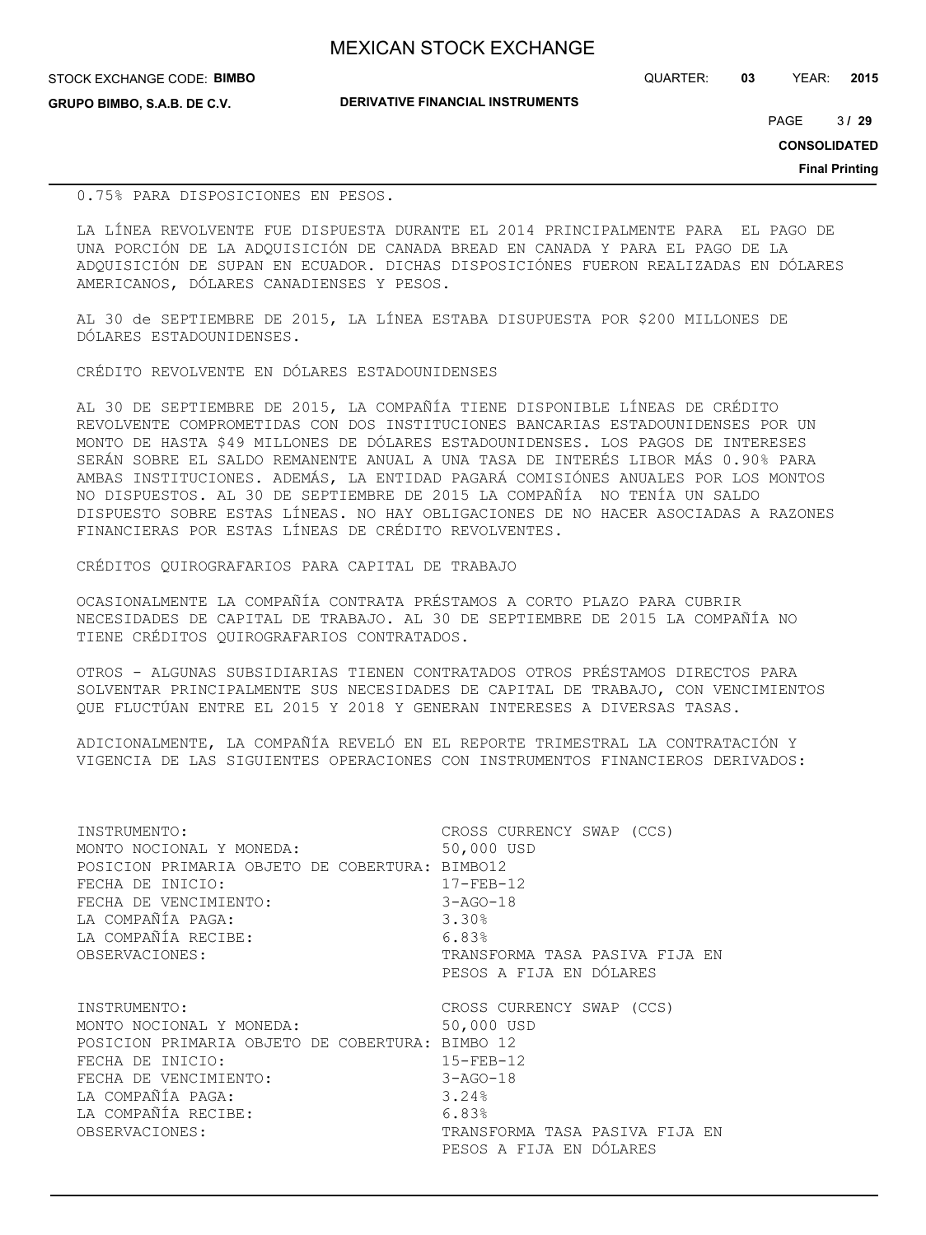|  | <b>MEXICAN STOCK EXCHANGE</b> |
|--|-------------------------------|
|  |                               |

**DERIVATIVE FINANCIAL INSTRUMENTS**

QUARTER: **03** YEAR: **2015**

 $3/29$ PAGE **/ 29**

**CONSOLIDATED**

**Final Printing**

### 0.75% PARA DISPOSICIONES EN PESOS.

LA LÍNEA REVOLVENTE FUE DISPUESTA DURANTE EL 2014 PRINCIPALMENTE PARA EL PAGO DE UNA PORCIÓN DE LA ADQUISICIÓN DE CANADA BREAD EN CANADA Y PARA EL PAGO DE LA ADQUISICIÓN DE SUPAN EN ECUADOR. DICHAS DISPOSICIÓNES FUERON REALIZADAS EN DÓLARES AMERICANOS, DÓLARES CANADIENSES Y PESOS.

AL 30 de SEPTIEMBRE DE 2015, LA LÍNEA ESTABA DISUPUESTA POR \$200 MILLONES DE DÓLARES ESTADOUNIDENSES.

CRÉDITO REVOLVENTE EN DÓLARES ESTADOUNIDENSES

AL 30 DE SEPTIEMBRE DE 2015, LA COMPAÑÍA TIENE DISPONIBLE LÍNEAS DE CRÉDITO REVOLVENTE COMPROMETIDAS CON DOS INSTITUCIONES BANCARIAS ESTADOUNIDENSES POR UN MONTO DE HASTA \$49 MILLONES DE DÓLARES ESTADOUNIDENSES. LOS PAGOS DE INTERESES SERÁN SOBRE EL SALDO REMANENTE ANUAL A UNA TASA DE INTERÉS LIBOR MÁS 0.90% PARA AMBAS INSTITUCIONES. ADEMÁS, LA ENTIDAD PAGARÁ COMISIÓNES ANUALES POR LOS MONTOS NO DISPUESTOS. AL 30 DE SEPTIEMBRE DE 2015 LA COMPAÑÍA NO TENÍA UN SALDO DISPUESTO SOBRE ESTAS LÍNEAS. NO HAY OBLIGACIONES DE NO HACER ASOCIADAS A RAZONES FINANCIERAS POR ESTAS LÍNEAS DE CRÉDITO REVOLVENTES.

CRÉDITOS QUIROGRAFARIOS PARA CAPITAL DE TRABAJO

OCASIONALMENTE LA COMPAÑÍA CONTRATA PRÉSTAMOS A CORTO PLAZO PARA CUBRIR NECESIDADES DE CAPITAL DE TRABAJO. AL 30 DE SEPTIEMBRE DE 2015 LA COMPAÑÍA NO TIENE CRÉDITOS QUIROGRAFARIOS CONTRATADOS.

OTROS - ALGUNAS SUBSIDIARIAS TIENEN CONTRATADOS OTROS PRÉSTAMOS DIRECTOS PARA SOLVENTAR PRINCIPALMENTE SUS NECESIDADES DE CAPITAL DE TRABAJO, CON VENCIMIENTOS QUE FLUCTÚAN ENTRE EL 2015 Y 2018 Y GENERAN INTERESES A DIVERSAS TASAS.

ADICIONALMENTE, LA COMPAÑÍA REVELÓ EN EL REPORTE TRIMESTRAL LA CONTRATACIÓN Y VIGENCIA DE LAS SIGUIENTES OPERACIONES CON INSTRUMENTOS FINANCIEROS DERIVADOS:

| INSTRUMENTO:                                    | CROSS CURRENCY SWAP (CCS)      |
|-------------------------------------------------|--------------------------------|
| MONTO NOCIONAL Y MONEDA:                        | 50,000 USD                     |
| POSICION PRIMARIA OBJETO DE COBERTURA: BIMBO12  | $17 - FEB - 12$                |
| FECHA DE INICIO:                                | $3 - AGO - 18$                 |
| FECHA DE VENCIMIENTO:                           | 3.30%                          |
| LA COMPAÑÍA PAGA:                               | 6.83%                          |
| LA COMPAÑÍA RECIBE:                             | TRANSFORMA TASA PASIVA FIJA EN |
| OBSERVACIONES:                                  | PESOS A FIJA EN DÓLARES        |
| INSTRUMENTO:                                    | CROSS CURRENCY SWAP (CCS)      |
| MONTO NOCIONAL Y MONEDA:                        | 50,000 USD                     |
| POSICION PRIMARIA OBJETO DE COBERTURA: BIMBO 12 | $15 - FEB - 12$                |
| FECHA DE INICIO:                                | $3 - AGO - 18$                 |
| FECHA DE VENCIMIENTO:                           | 3.24%                          |
| LA COMPAÑÍA PAGA:                               | 6.83%                          |
| LA COMPAÑÍA RECIBE:                             | TRANSFORMA TASA PASIVA FIJA EN |
| OBSERVACIONES:                                  | PESOS A FIJA EN DÓLARES        |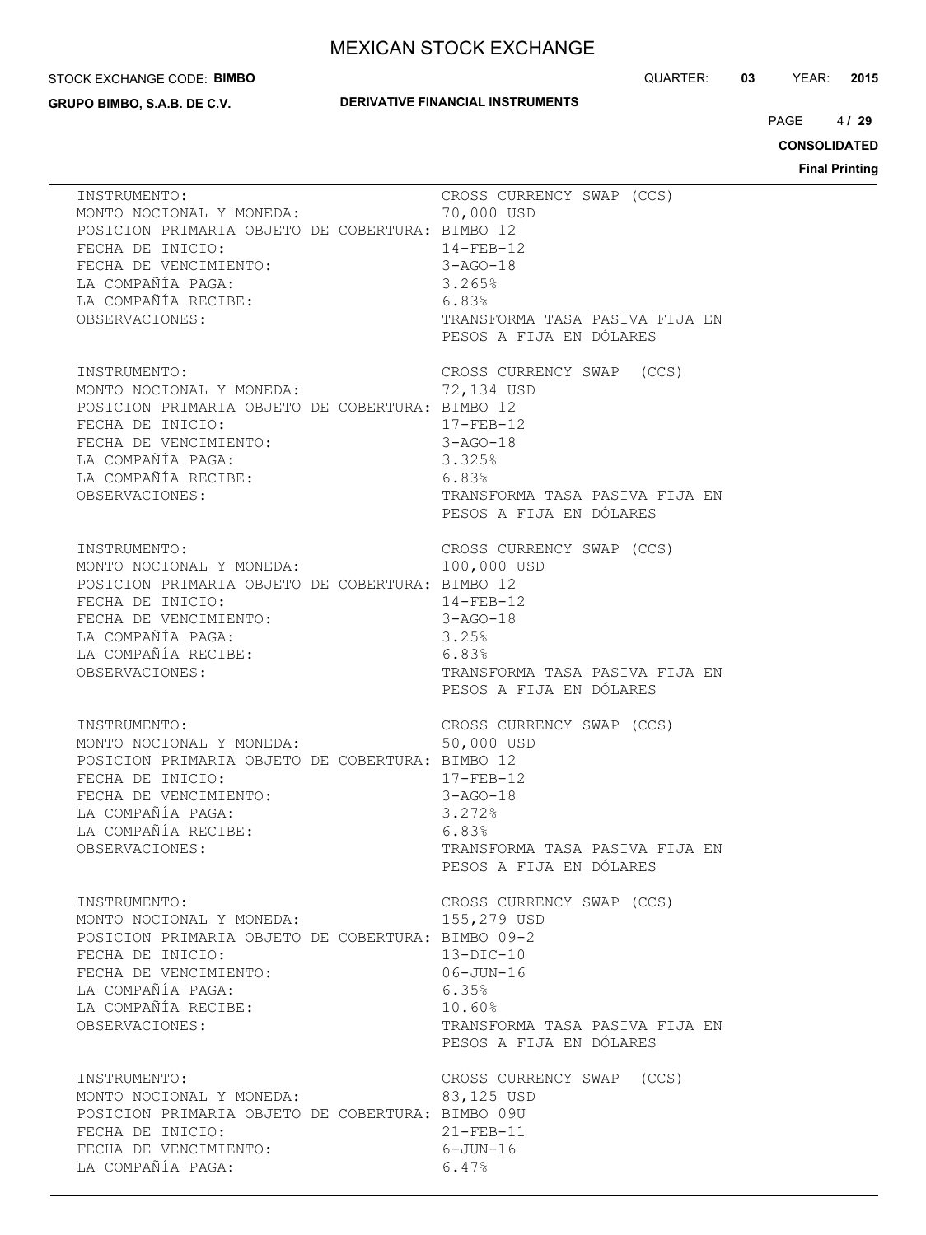#### STOCK EXCHANGE CODE: **BIMBO**

**GRUPO BIMBO, S.A.B. DE C.V.**

### **DERIVATIVE FINANCIAL INSTRUMENTS**

QUARTER: **03** YEAR: **2015**

 $4/29$ PAGE **/ 29**

**CONSOLIDATED**

| INSTRUMENTO:<br>MONTO NOCIONAL Y MONEDA:<br>POSICION PRIMARIA OBJETO DE COBERTURA: BIMBO 12<br>FECHA DE INICIO:<br>FECHA DE VENCIMIENTO:                                                                                                                                                                                                                       | CROSS CURRENCY SWAP (CCS)<br>70,000 USD<br>$14 - FEB - 12$<br>3-AGO-18                                                                                       |
|----------------------------------------------------------------------------------------------------------------------------------------------------------------------------------------------------------------------------------------------------------------------------------------------------------------------------------------------------------------|--------------------------------------------------------------------------------------------------------------------------------------------------------------|
| INSTRUMENTO:<br>MONTO NOCIONAL Y MONEDA:<br>POSICION PRIMARIA OBJETO DE COBERTURA: BIMBO 12<br>FECHA DE INICIO:<br>FECHA DE VENCIMIENTO:<br>IA COMPAÑÍA PAGA:<br>17-FEB-12<br>3-AGO-18<br>3-AGO-18<br>3.325%<br>17-FEB-12<br>3-AGO-18<br>3.325%<br>6.83%<br>TRANSFORMA TASA PASIVA FIJA EN<br>TRANSFORMA TASA PASIVA FIJA EN<br>TRANSFORMA TASA PASIVA FIJA EN | CROSS CURRENCY SWAP (CCS)<br>72,134 USD<br>$17 - FEB - 12$<br>PESOS A FIJA EN DÓLARES                                                                        |
| INSTRUMENTO:<br>MONTO NOCIONAL Y MONEDA:<br>POSICION PRIMARIA OBJETO DE COBERTURA: BIMBO 12<br>FECHA DE INICIO:<br>FECHA DE VENCIMIENTO:<br>FECHA DE VENCIFILLES<br>LA COMPAÑÍA PAGA:<br>LA COMPAÑÍA RECIBE:<br>CARANTERE:<br>CARANTERE ESOS<br>TRANS<br>PESOS                                                                                                 | CROSS CURRENCY SWAP (CCS)<br>100,000 USD<br>$14 - FEB - 12$<br>14-FEB-12<br>3-AGO-18<br>TRANSFORMA TASA PASIVA FIJA EN<br>PESOS A FIJA EN DÓLARES            |
| INSTRUMENTO:<br>MONTO NOCIONAL Y MONEDA:<br>POSICION PRIMARIA OBJETO DE COBERTURA: BIMBO 12<br>FECHA DE INICIO:<br>FECHA DE VENCIMIENTO:<br>LA COMPAÑÍA PAGA:<br>LA COMPAÑÍA RECIBE:<br>OBSERVACIONES:                                                                                                                                                         | CROSS CURRENCY SWAP (CCS)<br>50,000 USD<br>$17 - FEB - 12$<br>$3 - AGO - 18$<br>3.272%<br>6.83%<br>TRANSFORMA TASA PASIVA FIJA EN<br>PESOS A FIJA EN DÓLARES |
| INSTRUMENTO:<br>MONTO NOCIONAL Y MONEDA:<br>POSICION PRIMARIA OBJETO DE COBERTURA: BIMBO 09-2<br>FECHA DE INICIO:<br>FECHA DE VENCIMIENTO:<br>LA COMPAÑÍA PAGA:<br>LA COMPAÑÍA RECIBE:<br>OBSERVACIONES:                                                                                                                                                       | CROSS CURRENCY SWAP (CCS)<br>155,279 USD<br>$13-DIC-10$<br>$06 - JUN - 16$<br>6.35%<br>10.60%<br>TRANSFORMA TASA PASIVA FIJA EN<br>PESOS A FIJA EN DÓLARES   |
| INSTRUMENTO:<br>MONTO NOCIONAL Y MONEDA:<br>POSICION PRIMARIA OBJETO DE COBERTURA: BIMBO 09U<br>FECHA DE INICIO:<br>FECHA DE VENCIMIENTO:<br>LA COMPAÑÍA PAGA:                                                                                                                                                                                                 | CROSS CURRENCY SWAP (CCS)<br>83,125 USD<br>$21 - FEB - 11$<br>$6 - JUN - 16$<br>6.47%                                                                        |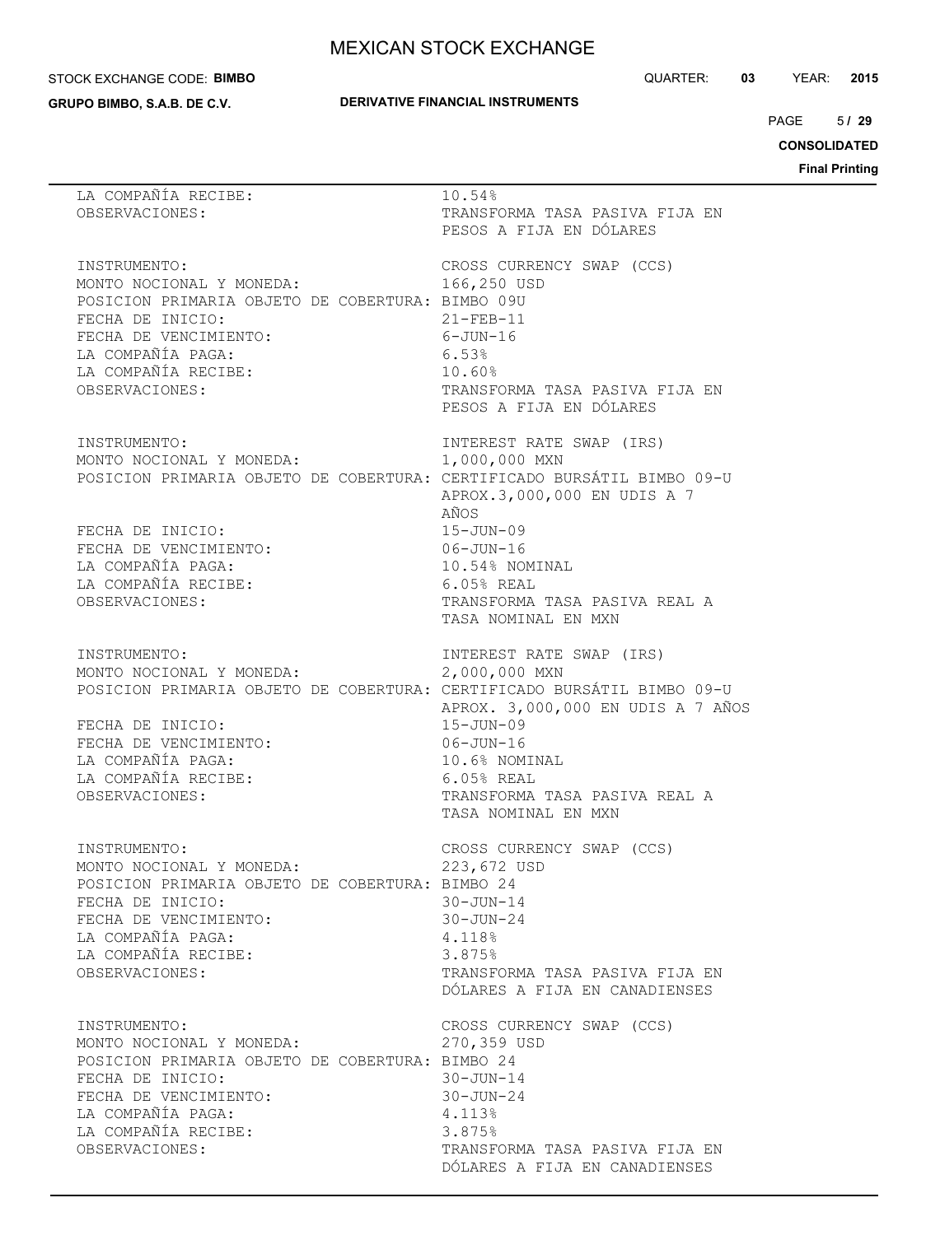#### STOCK EXCHANGE CODE: **BIMBO**

**GRUPO BIMBO, S.A.B. DE C.V.**

### **DERIVATIVE FINANCIAL INSTRUMENTS**

QUARTER: **03** YEAR: **2015**

 $5/29$  $PAGE$ 

**CONSOLIDATED**

| LA COMPAÑÍA RECIBE:<br>OBSERVACIONES:                                                                                                                                                                                         | 10.54%<br>TRANSFORMA TASA PASIVA FIJA EN<br>PESOS A FIJA EN DÓLARES                                                                                                                                              |
|-------------------------------------------------------------------------------------------------------------------------------------------------------------------------------------------------------------------------------|------------------------------------------------------------------------------------------------------------------------------------------------------------------------------------------------------------------|
| INSTRUMENTO:<br>MONTO NOCIONAL Y MONEDA:<br>POSICION PRIMARIA OBJETO DE COBERTURA: BIMBO 09U<br>FECHA DE INICIO:<br>FECHA DE VENCIMIENTO:<br>LA COMPAÑÍA PAGA:<br>LA COMPAÑÍA RECIBE:<br>OBSERVACIONES:                       | CROSS CURRENCY SWAP (CCS)<br>166,250 USD<br>$21 - FEB - 11$<br>$6 - JUN - 16$<br>6.53%<br>10.60%<br>TRANSFORMA TASA PASIVA FIJA EN<br>PESOS A FIJA EN DÓLARES                                                    |
| INSTRUMENTO:<br>MONTO NOCIONAL Y MONEDA:<br>POSICION PRIMARIA OBJETO DE COBERTURA: CERTIFICADO BURSÁTIL BIMBO 09-U<br>FECHA DE INICIO:<br>FECHA DE VENCIMIENTO:<br>LA COMPAÑÍA PAGA:<br>LA COMPAÑÍA RECIBE:<br>OBSERVACIONES: | INTEREST RATE SWAP (IRS)<br>1,000,000 MXN<br>APROX.3,000,000 EN UDIS A 7<br>AÑOS<br>$15 - JUN - 09$<br>$06 - JUN - 16$<br>10.54% NOMINAL<br>$6.05%$ REAL<br>TRANSFORMA TASA PASIVA REAL A<br>TASA NOMINAL EN MXN |
| INSTRUMENTO:<br>MONTO NOCIONAL Y MONEDA:<br>POSICION PRIMARIA OBJETO DE COBERTURA: CERTIFICADO BURSÁTIL BIMBO 09-U<br>FECHA DE INICIO:<br>FECHA DE VENCIMIENTO:<br>LA COMPAÑÍA PAGA:<br>LA COMPAÑÍA RECIBE:<br>OBSERVACIONES: | INTEREST RATE SWAP (IRS)<br>2,000,000 MXN<br>APROX. 3,000,000 EN UDIS A 7 AÑOS<br>$15 - JUN - 09$<br>$06 - JUN - 16$<br>10.6% NOMINAL<br>$6.05%$ REAL<br>TRANSFORMA TASA PASIVA REAL A<br>TASA NOMINAL EN MXN    |
| INSTRUMENTO:<br>MONTO NOCIONAL Y MONEDA:<br>POSICION PRIMARIA OBJETO DE COBERTURA: BIMBO 24<br>FECHA DE INICIO:<br>FECHA DE VENCIMIENTO:<br>LA COMPAÑÍA PAGA:<br>LA COMPAÑÍA RECIBE:<br>OBSERVACIONES:                        | CROSS CURRENCY SWAP (CCS)<br>223,672 USD<br>$30 - JUN - 14$<br>$30 - JUN - 24$<br>4.118%<br>3.875%<br>TRANSFORMA TASA PASIVA FIJA EN<br>DÓLARES A FIJA EN CANADIENSES                                            |
| INSTRUMENTO:<br>MONTO NOCIONAL Y MONEDA:<br>POSICION PRIMARIA OBJETO DE COBERTURA: BIMBO 24<br>FECHA DE INICIO:<br>FECHA DE VENCIMIENTO:<br>LA COMPAÑÍA PAGA:<br>LA COMPAÑÍA RECIBE:<br>OBSERVACIONES:                        | CROSS CURRENCY SWAP (CCS)<br>270,359 USD<br>$30 - JUN - 14$<br>$30 - JUN - 24$<br>4.113%<br>3.875%<br>TRANSFORMA TASA PASIVA FIJA EN<br>DÓLARES A FIJA EN CANADIENSES                                            |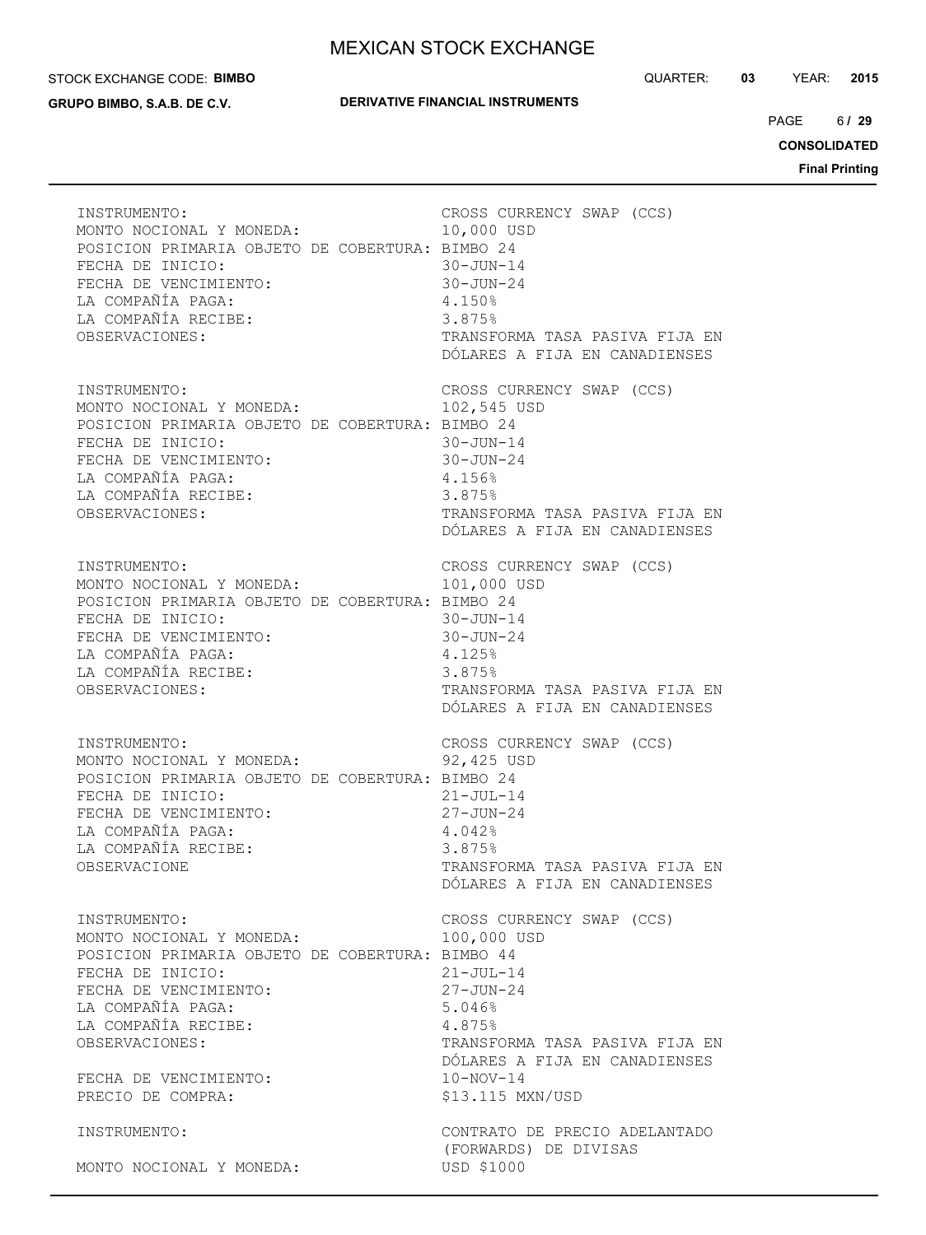#### STOCK EXCHANGE CODE: **BIMBO**

**GRUPO BIMBO, S.A.B. DE C.V.**

### **DERIVATIVE FINANCIAL INSTRUMENTS**

QUARTER: **03** YEAR: **2015**

 $6/29$ PAGE **/ 29**

**CONSOLIDATED**

| INSTRUMENTO:                                    | CROSS CURRENCY SWAP (CCS)                                            |
|-------------------------------------------------|----------------------------------------------------------------------|
| MONTO NOCIONAL Y MONEDA:                        | 10,000 USD                                                           |
| POSICION PRIMARIA OBJETO DE COBERTURA: BIMBO 24 | $30 - JUN - 14$                                                      |
| FECHA DE INICIO:                                | 30-JUN-24                                                            |
| FECHA DE VENCIMIENTO:                           | 4.150%                                                               |
| LA COMPAÑÍA PAGA:                               | 3.875%                                                               |
| LA COMPAÑÍA RECIBE:                             | TRANSFORMA TASA PASIVA FIJA EN                                       |
| OBSERVACIONES:                                  | DÓLARES A FIJA EN CANADIENSES                                        |
| INSTRUMENTO:                                    | CROSS CURRENCY SWAP (CCS)                                            |
| MONTO NOCIONAL Y MONEDA:                        | 102,545 USD                                                          |
| POSICION PRIMARIA OBJETO DE COBERTURA: BIMBO 24 | $30 - JUN - 14$                                                      |
| FECHA DE INICIO:                                | $30 - JUN - 24$                                                      |
| FECHA DE VENCIMIENTO:                           | 4.156%                                                               |
| LA COMPAÑÍA PAGA:                               | 3.875%                                                               |
| LA COMPAÑÍA RECIBE:                             | TRANSFORMA TASA PASIVA FIJA EN                                       |
| OBSERVACIONES:                                  | DÓLARES A FIJA EN CANADIENSES                                        |
| INSTRUMENTO:                                    | CROSS CURRENCY SWAP (CCS)                                            |
| MONTO NOCIONAL Y MONEDA:                        | 101,000 USD                                                          |
| POSICION PRIMARIA OBJETO DE COBERTURA: BIMBO 24 | $30 - JUN - 14$                                                      |
| FECHA DE INICIO:                                | $30 - JUN - 24$                                                      |
| FECHA DE VENCIMIENTO:                           | 4.125%                                                               |
| LA COMPAÑÍA PAGA:                               | 3.875%                                                               |
| LA COMPAÑÍA RECIBE:                             | TRANSFORMA TASA PASIVA FIJA EN                                       |
| OBSERVACIONES:                                  | DÓLARES A FIJA EN CANADIENSES                                        |
| INSTRUMENTO:                                    | CROSS CURRENCY SWAP (CCS)                                            |
| MONTO NOCIONAL Y MONEDA:                        | 92,425 USD                                                           |
| POSICION PRIMARIA OBJETO DE COBERTURA: BIMBO 24 | $21 - JUL-14$                                                        |
| FECHA DE INICIO:                                | $27 - JUN - 24$                                                      |
| FECHA DE VENCIMIENTO:                           | 4.042%                                                               |
| LA COMPAÑÍA PAGA:                               | 3.875%                                                               |
| LA COMPAÑÍA RECIBE:                             | TRANSFORMA TASA PASIVA FIJA EN                                       |
| OBSERVACIONE                                    | DÓLARES A FIJA EN CANADIENSES                                        |
| INSTRUMENTO:                                    | CROSS CURRENCY SWAP (CCS)                                            |
| MONTO NOCIONAL Y MONEDA:                        | 100,000 USD                                                          |
| POSICION PRIMARIA OBJETO DE COBERTURA: BIMBO 44 | $21 - JUL-14$                                                        |
| FECHA DE INICIO:                                | $27 - JUN - 24$                                                      |
| FECHA DE VENCIMIENTO:                           | 5.046%                                                               |
| LA COMPAÑÍA PAGA:                               | 4.875%                                                               |
| LA COMPAÑÍA RECIBE:                             | TRANSFORMA TASA PASIVA FIJA EN                                       |
| OBSERVACIONES:                                  | DÓLARES A FIJA EN CANADIENSES                                        |
| FECHA DE VENCIMIENTO:                           | $10 - NOV - 14$                                                      |
| PRECIO DE COMPRA:                               | \$13.115 MXN/USD                                                     |
| INSTRUMENTO:<br>MONTO NOCIONAL Y MONEDA:        | CONTRATO DE PRECIO ADELANTADO<br>(FORWARDS) DE DIVISAS<br>USD \$1000 |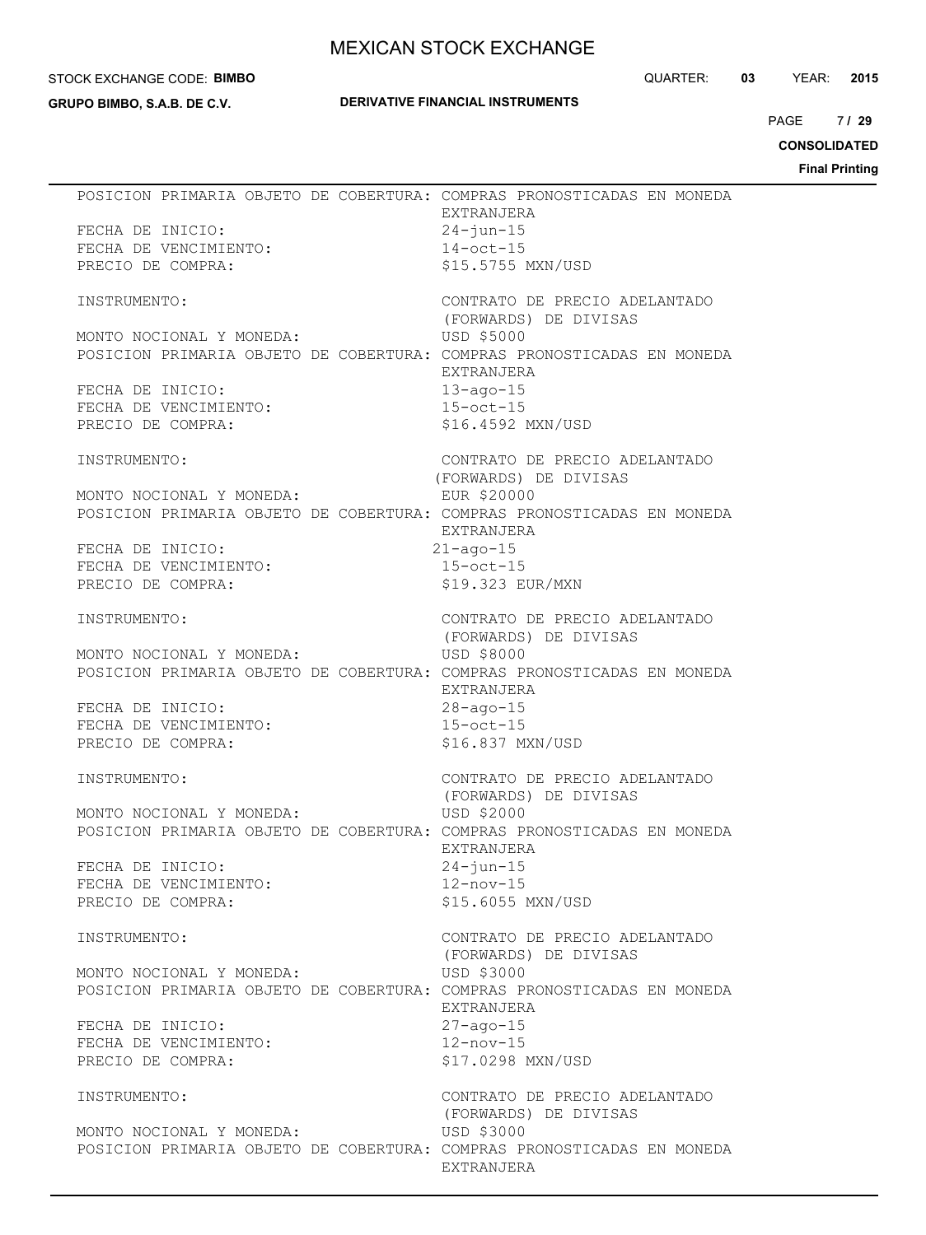#### STOCK EXCHANGE CODE: **BIMBO**

**GRUPO BIMBO, S.A.B. DE C.V.**

### **DERIVATIVE FINANCIAL INSTRUMENTS**

QUARTER: **03** YEAR: **2015**

7/29 PAGE **/ 29**

**CONSOLIDATED**

| FECHA DE INICIO:<br>FECHA DE VENCIMIENTO:<br>PRECIO DE SALL<br>PRECIO DE COMPRA: | POSICION PRIMARIA OBJETO DE COBERTURA: COMPRAS PRONOSTICADAS EN MONEDA<br>EXTRANJERA<br>$24 - j$ un-15<br>$14$ -oct-15<br>\$15.5755 MXN/USD |
|----------------------------------------------------------------------------------|---------------------------------------------------------------------------------------------------------------------------------------------|
| INSTRUMENTO:                                                                     | CONTRATO DE PRECIO ADELANTADO                                                                                                               |
| (FORWARDS) DE DIVISAS<br>MONTO NOCIONAL Y MONEDA: USD \$5000                     | POSICION PRIMARIA OBJETO DE COBERTURA: COMPRAS PRONOSTICADAS EN MONEDA                                                                      |
|                                                                                  | EXTRANJERA                                                                                                                                  |
|                                                                                  | $13 - aqo - 15$<br>$15-\text{oct}-15$                                                                                                       |
| INICIO:<br>FECHA DE VENCIMIENTO:<br>PRECIO DE COMPRA:<br>-                       | \$16.4592 MXN/USD                                                                                                                           |
| INSTRUMENTO:                                                                     | CONTRATO DE PRECIO ADELANTADO<br>(FORWARDS) DE DIVISAS                                                                                      |
| MONTO NOCIONAL Y MONEDA:                                                         | EUR \$20000<br>POSICION PRIMARIA OBJETO DE COBERTURA: COMPRAS PRONOSTICADAS EN MONEDA<br>EXTRANJERA                                         |
|                                                                                  | $21 - aqo - 15$                                                                                                                             |
| FECHA DE INICIO:<br>FECHA DE VENCIMIENTO:<br>PRECIO DE COMPRA:                   | $15-\text{oct}-15$<br>\$19.323 EUR/MXN                                                                                                      |
| INSTRUMENTO:                                                                     | CONTRATO DE PRECIO ADELANTADO                                                                                                               |
| MONTO NOCIONAL Y MONEDA:                                                         | (FORWARDS) DE DIVISAS<br>USD \$8000<br>USD \$8000<br>POSICION PRIMARIA OBJETO DE COBERTURA: COMPRAS PRONOSTICADAS EN MONEDA<br>EXTRANJERA   |
|                                                                                  |                                                                                                                                             |
|                                                                                  | 28-ago-15<br>15-oct-15                                                                                                                      |
| UMA DE INICIO:<br>FECHA DE VENCIMIENTO:<br>PRECIO DE COMPRA:<br>TAME             | \$16.837 MXN/USD                                                                                                                            |
| INSTRUMENTO:                                                                     | CONTRATO DE PRECIO ADELANTADO<br>(FORWARDS) DE DIVISAS                                                                                      |
| MONTO NOCIONAL Y MONEDA:                                                         | USD \$2000<br>POSICION PRIMARIA OBJETO DE COBERTURA: COMPRAS PRONOSTICADAS EN MONEDA                                                        |
| FECHA DE INICIO:                                                                 | EXTRANJERA<br>$24 - j$ un-15                                                                                                                |
| FECHA DE VENCIMIENTO:                                                            | $12 - nov-15$                                                                                                                               |
| PRECIO DE COMPRA:                                                                | \$15.6055 MXN/USD                                                                                                                           |
| INSTRUMENTO:                                                                     | CONTRATO DE PRECIO ADELANTADO<br>(FORWARDS) DE DIVISAS                                                                                      |
| MONTO NOCIONAL Y MONEDA:                                                         | USD \$3000                                                                                                                                  |
|                                                                                  | POSICION PRIMARIA OBJETO DE COBERTURA: COMPRAS PRONOSTICADAS EN MONEDA<br>EXTRANJERA                                                        |
| FECHA DE INICIO:                                                                 | $27 - aqo - 15$                                                                                                                             |
| FECHA DE VENCIMIENTO:                                                            | $12 - nov-15$                                                                                                                               |
| PRECIO DE COMPRA:                                                                | \$17.0298 MXN/USD                                                                                                                           |
| INSTRUMENTO:                                                                     | CONTRATO DE PRECIO ADELANTADO<br>(FORWARDS) DE DIVISAS                                                                                      |
| MONTO NOCIONAL Y MONEDA:                                                         | USD \$3000                                                                                                                                  |
|                                                                                  | POSICION PRIMARIA OBJETO DE COBERTURA: COMPRAS PRONOSTICADAS EN MONEDA<br>EXTRANJERA                                                        |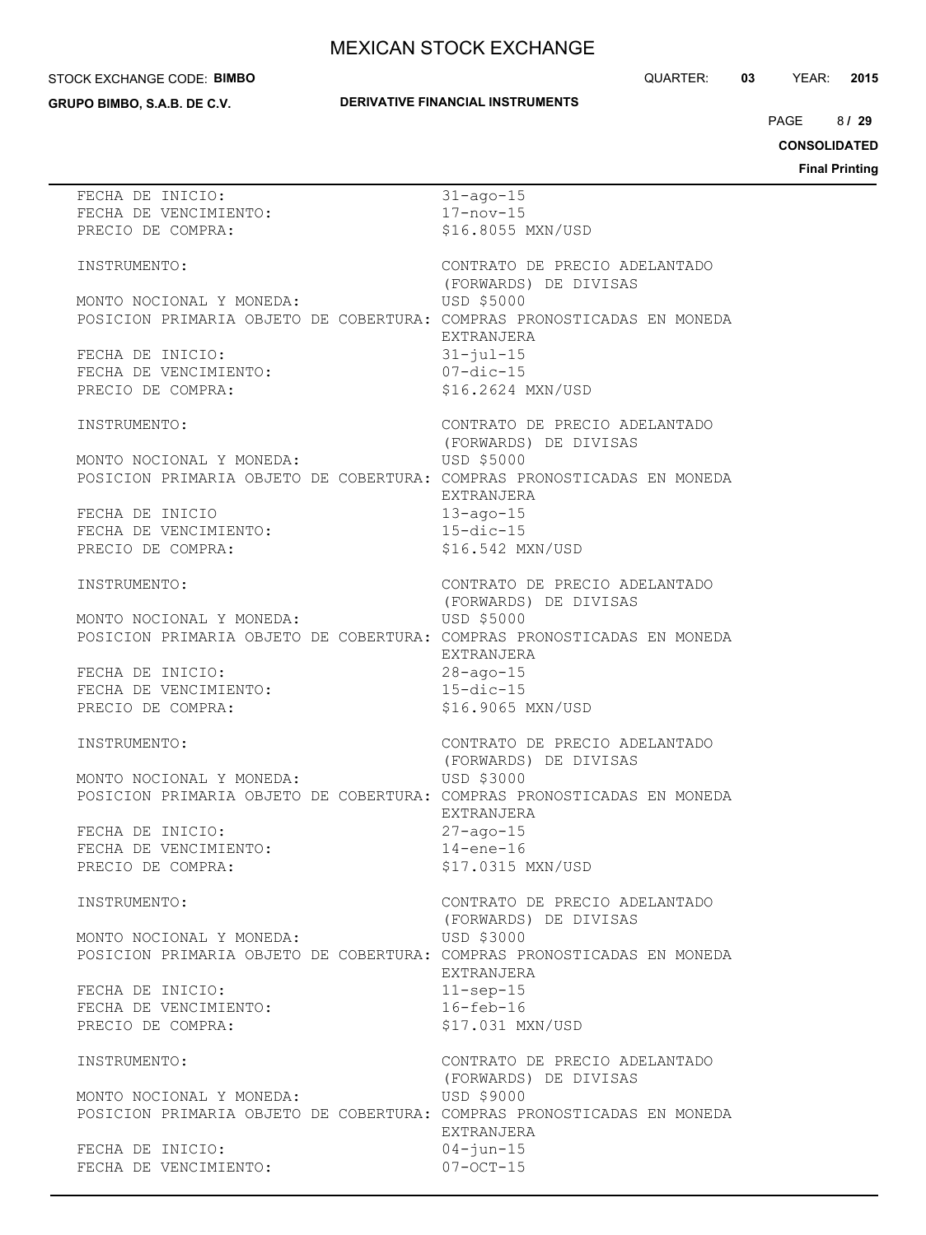#### STOCK EXCHANGE CODE: **BIMBO**

**GRUPO BIMBO, S.A.B. DE C.V.**

### **DERIVATIVE FINANCIAL INSTRUMENTS**

QUARTER: **03** YEAR: **2015**

8/29  $PAGE$ 

**CONSOLIDATED**

| FECHA DE INICIO:                                                                                   | $31 - aqo - 15$                 |
|----------------------------------------------------------------------------------------------------|---------------------------------|
| FECHA DE VENCIMIENTO:                                                                              | $17 - nov - 15$                 |
| PRECIO DE COMPRA:                                                                                  | \$16.8055 MXN/USD               |
|                                                                                                    |                                 |
| INSTRUMENTO:                                                                                       | CONTRATO DE PRECIO ADELANTADO   |
|                                                                                                    | (FORWARDS) DE DIVISAS           |
| MONTO NOCIONAL Y MONEDA:                                                                           | USD \$5000                      |
| POSICION PRIMARIA OBJETO DE COBERTURA: COMPRAS PRONOSTICADAS EN MONEDA                             |                                 |
|                                                                                                    | EXTRANJERA                      |
| FECHA DE INICIO:                                                                                   |                                 |
|                                                                                                    | $31 - iul - 15$<br>$07$ -dic-15 |
| FECHA DE VENCIMIENTO:                                                                              |                                 |
| PRECIO DE COMPRA:                                                                                  | \$16.2624 MXN/USD               |
|                                                                                                    |                                 |
| INSTRUMENTO:                                                                                       | CONTRATO DE PRECIO ADELANTADO   |
|                                                                                                    | (FORWARDS) DE DIVISAS           |
| MONTO NOCIONAL Y MONEDA:                                                                           | USD \$5000                      |
| POSICION PRIMARIA OBJETO DE COBERTURA: COMPRAS PRONOSTICADAS EN MONEDA                             |                                 |
|                                                                                                    | EXTRANJERA                      |
| FECHA DE INICIO                                                                                    | $13 - aqo - 15$                 |
| FECHA DE VENCIMIENTO:                                                                              | $15 - dic - 15$                 |
| PRECIO DE COMPRA:                                                                                  | \$16.542 MXN/USD                |
|                                                                                                    |                                 |
| INSTRUMENTO:                                                                                       | CONTRATO DE PRECIO ADELANTADO   |
|                                                                                                    | (FORWARDS) DE DIVISAS           |
| MONTO NOCIONAL Y MONEDA:                                                                           | USD \$5000                      |
| POSICION PRIMARIA OBJETO DE COBERTURA: COMPRAS PRONOSTICADAS EN MONEDA                             |                                 |
|                                                                                                    | EXTRANJERA                      |
| FECHA DE INICIO:                                                                                   | $28 - aqo - 15$                 |
| FECHA DE VENCIMIENTO:                                                                              | $15 - dic - 15$                 |
| PRECIO DE COMPRA:                                                                                  | \$16.9065 MXN/USD               |
|                                                                                                    |                                 |
| INSTRUMENTO:                                                                                       | CONTRATO DE PRECIO ADELANTADO   |
|                                                                                                    | (FORWARDS) DE DIVISAS           |
| MONTO NOCIONAL Y MONEDA:                                                                           | USD \$3000                      |
| POSICION PRIMARIA OBJETO DE COBERTURA: COMPRAS PRONOSTICADAS EN MONEDA                             |                                 |
|                                                                                                    | EXTRANJERA                      |
| FECHA DE INICIO:                                                                                   | $27 - aqo - 15$                 |
| FECHA DE VENCIMIENTO:                                                                              | $14$ -ene-16                    |
| PRECIO DE COMPRA:                                                                                  | \$17.0315 MXN/USD               |
|                                                                                                    |                                 |
| INSTRUMENTO:                                                                                       | CONTRATO DE PRECIO ADELANTADO   |
|                                                                                                    | (FORWARDS) DE DIVISAS           |
|                                                                                                    | USD \$3000                      |
| MONTO NOCIONAL Y MONEDA:<br>POSICION PRIMARIA OBJETO DE COBERTURA: COMPRAS PRONOSTICADAS EN MONEDA |                                 |
|                                                                                                    |                                 |
|                                                                                                    | EXTRANJERA                      |
| FECHA DE INICIO:                                                                                   | $11$ -sep-15                    |
| FECHA DE VENCIMIENTO:                                                                              | $16 - feb - 16$                 |
| PRECIO DE COMPRA:                                                                                  | \$17.031 MXN/USD                |
|                                                                                                    |                                 |
| INSTRUMENTO:                                                                                       | CONTRATO DE PRECIO ADELANTADO   |
|                                                                                                    | (FORWARDS) DE DIVISAS           |
| MONTO NOCIONAL Y MONEDA:                                                                           | USD \$9000                      |
| POSICION PRIMARIA OBJETO DE COBERTURA: COMPRAS PRONOSTICADAS EN MONEDA                             |                                 |
|                                                                                                    | EXTRANJERA                      |
| FECHA DE INICIO:                                                                                   |                                 |
|                                                                                                    | $04 - j$ un-15                  |
| FECHA DE VENCIMIENTO:                                                                              | $07-0CT-15$                     |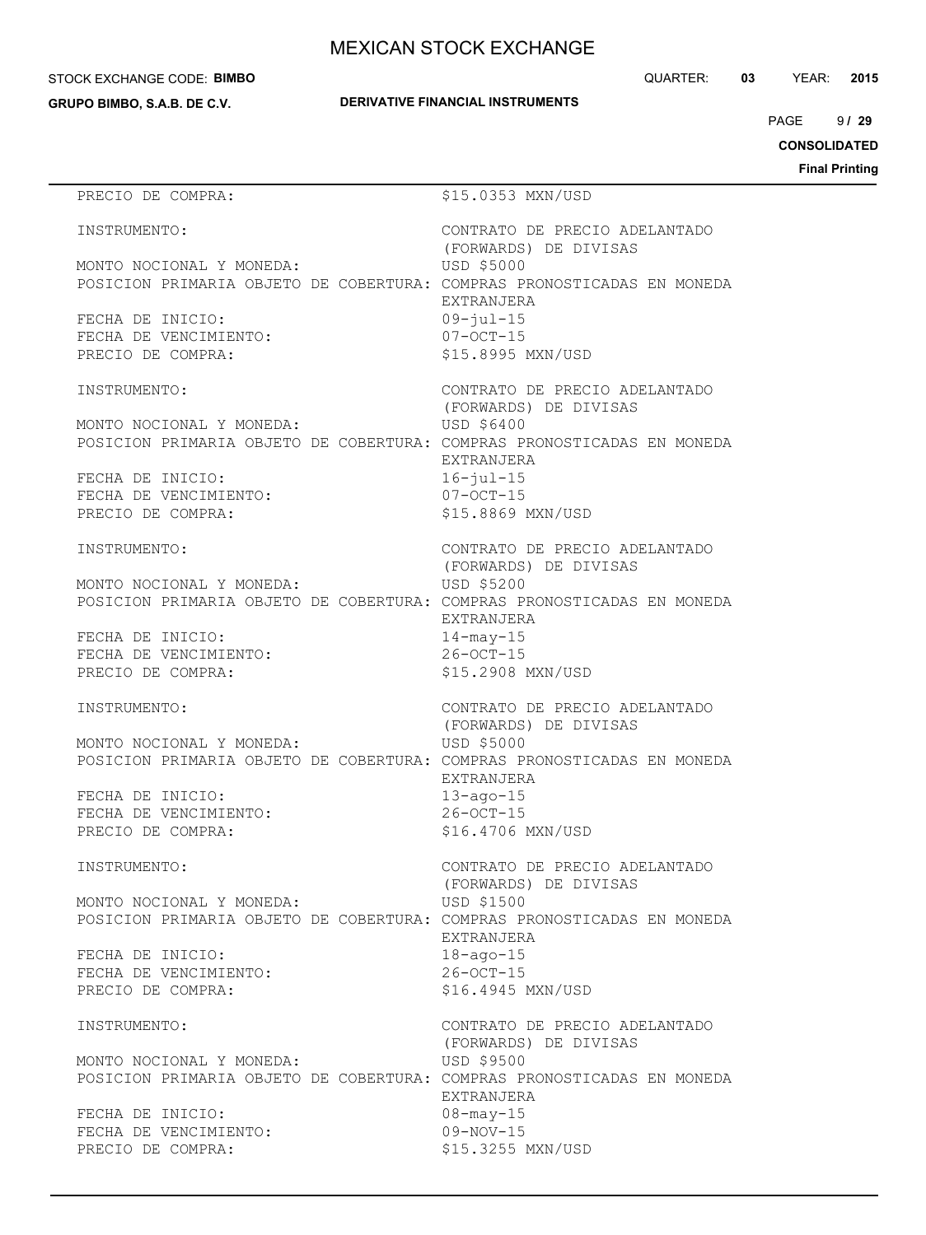#### STOCK EXCHANGE CODE: **BIMBO**

**GRUPO BIMBO, S.A.B. DE C.V.**

QUARTER: **03** YEAR: **2015**

 $9/29$ PAGE **/ 29**

**CONSOLIDATED**

**Final Printing**

## PRECIO DE COMPRA:  $$15.0353$  MXN/USD INSTRUMENTO: CONTRATO DE PRECIO ADELANTADO (FORWARDS) DE DIVISAS MONTO NOCIONAL Y MONEDA: USD \$5000 POSICION PRIMARIA OBJETO DE COBERTURA: COMPRAS PRONOSTICADAS EN MONEDA EXTRANJERA FECHA DE INICIO: 09-jul-15 FECHA DE VENCIMIENTO: 07-OCT-15 PRECIO DE COMPRA:  $$15.8995$  MXN/USD INSTRUMENTO: CONTRATO DE PRECIO ADELANTADO (FORWARDS) DE DIVISAS MONTO NOCIONAL Y MONEDA: USD \$6400 POSICION PRIMARIA OBJETO DE COBERTURA: COMPRAS PRONOSTICADAS EN MONEDA EXTRANJERA FECHA DE INICIO: 16-jul-15 FECHA DE VENCIMIENTO: 07-OCT-15 PRECIO DE COMPRA:  $$15.8869$  MXN/USD INSTRUMENTO: CONTRATO DE PRECIO ADELANTADO (FORWARDS) DE DIVISAS MONTO NOCIONAL Y MONEDA: USD \$5200 POSICION PRIMARIA OBJETO DE COBERTURA: COMPRAS PRONOSTICADAS EN MONEDA EXTRANJERA FECHA DE INICIO: 14-may-15 FECHA DE VENCIMIENTO: 26-OCT-15 PRECIO DE COMPRA:  $$15.2908$  MXN/USD INSTRUMENTO: CONTRATO DE PRECIO ADELANTADO (FORWARDS) DE DIVISAS MONTO NOCIONAL Y MONEDA: USD \$5000 POSICION PRIMARIA OBJETO DE COBERTURA: COMPRAS PRONOSTICADAS EN MONEDA EXTRANJERA FECHA DE INICIO: 13-ago-15 FECHA DE VENCIMIENTO: 26-OCT-15 PRECIO DE COMPRA:  $$16.4706$  MXN/USD INSTRUMENTO: CONTRATO DE PRECIO ADELANTADO (FORWARDS) DE DIVISAS MONTO NOCIONAL Y MONEDA: USD \$1500 POSICION PRIMARIA OBJETO DE COBERTURA: COMPRAS PRONOSTICADAS EN MONEDA EXTRANJERA FECHA DE INICIO: 18-ago-15 FECHA DE VENCIMIENTO: 26-OCT-15 PRECIO DE COMPRA:  $$16.4945$  MXN/USD INSTRUMENTO: CONTRATO DE PRECIO ADELANTADO (FORWARDS) DE DIVISAS MONTO NOCIONAL Y MONEDA: USD \$9500 POSICION PRIMARIA OBJETO DE COBERTURA: COMPRAS PRONOSTICADAS EN MONEDA EXTRANJERA FECHA DE INICIO: 08-may-15 FECHA DE VENCIMIENTO: 09-NOV-15 PRECIO DE COMPRA:  $$15.3255$  MXN/USD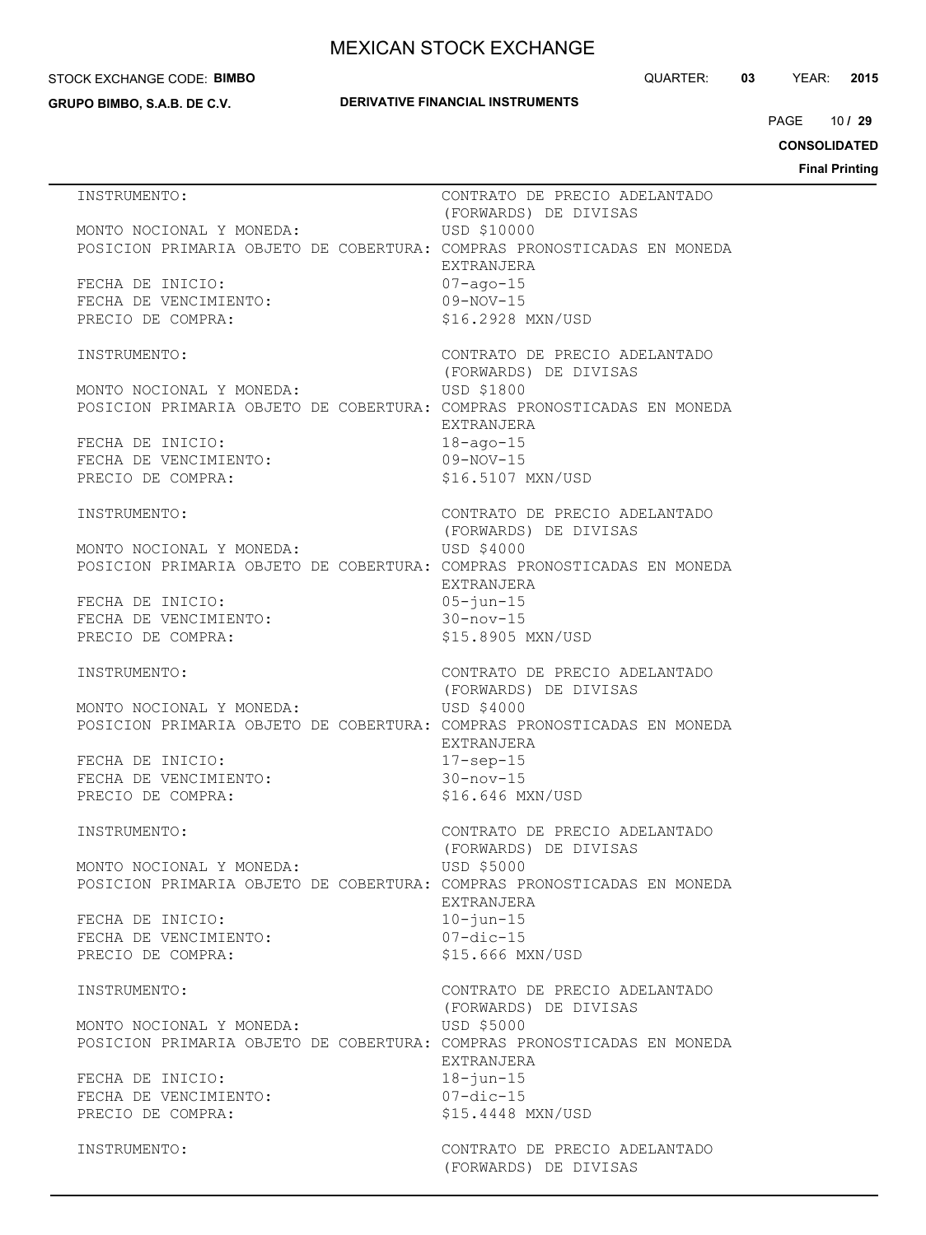#### STOCK EXCHANGE CODE: **BIMBO**

**GRUPO BIMBO, S.A.B. DE C.V.**

### **DERIVATIVE FINANCIAL INSTRUMENTS**

QUARTER: **03** YEAR: **2015**

10 PAGE **/ 29**

**CONSOLIDATED**

| INSTRUMENTO:                                                                                       | CONTRATO DE PRECIO ADELANTADO<br>(FORWARDS) DE DIVISAS |
|----------------------------------------------------------------------------------------------------|--------------------------------------------------------|
| MONTO NOCIONAL Y MONEDA:<br>POSICION PRIMARIA OBJETO DE COBERTURA: COMPRAS PRONOSTICADAS EN MONEDA | USD \$10000<br>EXTRANJERA                              |
| FECHA DE INICIO:<br>FECHA DE VENCIMIENTO:<br>PRECIO DE COMPRA:                                     | $07 - aqo - 15$<br>$09-NOV-15$<br>\$16.2928 MXN/USD    |
|                                                                                                    |                                                        |
| INSTRUMENTO:                                                                                       | CONTRATO DE PRECIO ADELANTADO<br>(FORWARDS) DE DIVISAS |
| MONTO NOCIONAL Y MONEDA:<br>POSICION PRIMARIA OBJETO DE COBERTURA: COMPRAS PRONOSTICADAS EN MONEDA | USD \$1800<br>EXTRANJERA                               |
| FECHA DE INICIO:<br>FECHA DE VENCIMIENTO:<br>PRECIO DE COMPRA:                                     | $18 - aqo - 15$<br>$09-NOV-15$<br>\$16.5107 MXN/USD    |
| INSTRUMENTO:                                                                                       | CONTRATO DE PRECIO ADELANTADO<br>(FORWARDS) DE DIVISAS |
| MONTO NOCIONAL Y MONEDA:<br>POSICION PRIMARIA OBJETO DE COBERTURA: COMPRAS PRONOSTICADAS EN MONEDA | USD \$4000<br>EXTRANJERA                               |
| FECHA DE INICIO:<br>FECHA DE VENCIMIENTO:                                                          | $05 - iun - 15$<br>$30 - nov - 15$                     |
| PRECIO DE COMPRA:                                                                                  | \$15.8905 MXN/USD                                      |
| INSTRUMENTO:                                                                                       | CONTRATO DE PRECIO ADELANTADO<br>(FORWARDS) DE DIVISAS |
| MONTO NOCIONAL Y MONEDA:<br>POSICION PRIMARIA OBJETO DE COBERTURA: COMPRAS PRONOSTICADAS EN MONEDA | USD \$4000                                             |
| FECHA DE INICIO:<br>FECHA DE VENCIMIENTO:                                                          | EXTRANJERA<br>$17$ -sep-15<br>$30 - nov - 15$          |
| PRECIO DE COMPRA:                                                                                  | \$16.646 MXN/USD                                       |
| INSTRUMENTO:                                                                                       | CONTRATO DE PRECIO ADELANTADO<br>(FORWARDS) DE DIVISAS |
| MONTO NOCIONAL Y MONEDA:<br>POSICION PRIMARIA OBJETO DE COBERTURA: COMPRAS PRONOSTICADAS EN MONEDA | USD \$5000                                             |
| FECHA DE INICIO:                                                                                   | EXTRANJERA<br>$10 - i$ un $-15$                        |
| FECHA DE VENCIMIENTO:<br>PRECIO DE COMPRA:                                                         | $07$ -dic-15<br>\$15.666 MXN/USD                       |
| INSTRUMENTO:                                                                                       | CONTRATO DE PRECIO ADELANTADO<br>(FORWARDS) DE DIVISAS |
| MONTO NOCIONAL Y MONEDA:<br>POSICION PRIMARIA OBJETO DE COBERTURA: COMPRAS PRONOSTICADAS EN MONEDA | USD \$5000<br>EXTRANJERA                               |
| FECHA DE INICIO:                                                                                   | $18 - j$ un $-15$                                      |
| FECHA DE VENCIMIENTO:                                                                              | $07$ -dic-15                                           |
| PRECIO DE COMPRA:                                                                                  | \$15.4448 MXN/USD                                      |
| INSTRUMENTO:                                                                                       | CONTRATO DE PRECIO ADELANTADO<br>(FORWARDS) DE DIVISAS |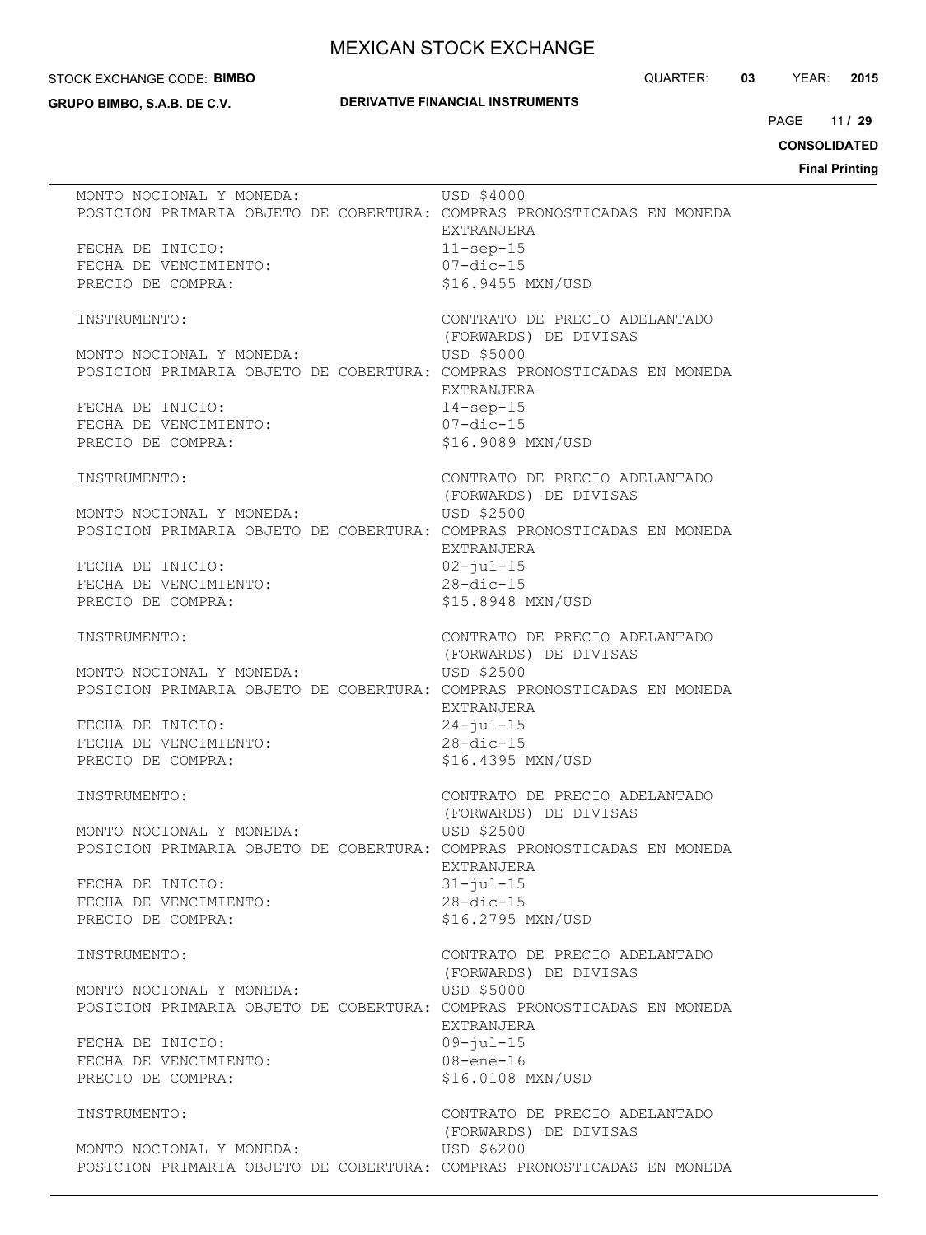#### STOCK EXCHANGE CODE: **BIMBO**

**GRUPO BIMBO, S.A.B. DE C.V.**

## **DERIVATIVE FINANCIAL INSTRUMENTS**

QUARTER: **03** YEAR: **2015**

11 PAGE **/ 29**

**CONSOLIDATED**

|                                                                                                    | USD \$4000                                             |
|----------------------------------------------------------------------------------------------------|--------------------------------------------------------|
| MONTO NOCIONAL Y MONEDA:<br>POSICION PRIMARIA OBJETO DE COBERTURA: COMPRAS PRONOSTICADAS EN MONEDA | EXTRANJERA                                             |
| FECHA DE INICIO:<br>FECHA DE VENCIMIENTO:                                                          | $11$ -sep-15<br>$07 - dic - 15$                        |
| PRECIO DE COMPRA:                                                                                  | \$16.9455 MXN/USD                                      |
| INSTRUMENTO:                                                                                       | CONTRATO DE PRECIO ADELANTADO<br>(FORWARDS) DE DIVISAS |
| MONTO NOCIONAL Y MONEDA:<br>POSICION PRIMARIA OBJETO DE COBERTURA: COMPRAS PRONOSTICADAS EN MONEDA | USD \$5000                                             |
| FECHA DE INICIO:                                                                                   | EXTRANJERA<br>$14$ -sep-15                             |
| FECHA DE VENCIMIENTO:<br>PRECIO DE COMPRA:                                                         | $07$ -dic-15<br>\$16.9089 MXN/USD                      |
| INSTRUMENTO:                                                                                       | CONTRATO DE PRECIO ADELANTADO<br>(FORWARDS) DE DIVISAS |
| MONTO NOCIONAL Y MONEDA:<br>POSICION PRIMARIA OBJETO DE COBERTURA: COMPRAS PRONOSTICADAS EN MONEDA | USD \$2500                                             |
| FECHA DE INICIO:                                                                                   | EXTRANJERA<br>$02 - jul - 15$                          |
| FECHA DE VENCIMIENTO:                                                                              | $28 - dic - 15$                                        |
| PRECIO DE COMPRA:                                                                                  | \$15.8948 MXN/USD                                      |
| INSTRUMENTO:                                                                                       | CONTRATO DE PRECIO ADELANTADO<br>(FORWARDS) DE DIVISAS |
| MONTO NOCIONAL Y MONEDA:<br>POSICION PRIMARIA OBJETO DE COBERTURA: COMPRAS PRONOSTICADAS EN MONEDA | USD \$2500                                             |
| FECHA DE INICIO:                                                                                   | EXTRANJERA<br>$24 - jul - 15$                          |
| FECHA DE VENCIMIENTO:                                                                              | $28 - dic - 15$                                        |
| PRECIO DE COMPRA:                                                                                  | \$16.4395 MXN/USD                                      |
| INSTRUMENTO:                                                                                       | CONTRATO DE PRECIO ADELANTADO<br>(FORWARDS) DE DIVISAS |
| MONTO NOCIONAL Y MONEDA:                                                                           | USD \$2500                                             |
| POSICION PRIMARIA OBJETO DE COBERTURA: COMPRAS PRONOSTICADAS EN MONEDA                             | EXTRANJERA                                             |
| FECHA DE INICIO:<br>FECHA DE VENCIMIENTO:                                                          | $31 - iul - 15$<br>$28 - dic - 15$                     |
| PRECIO DE COMPRA:                                                                                  | \$16.2795 MXN/USD                                      |
| INSTRUMENTO:                                                                                       | CONTRATO DE PRECIO ADELANTADO<br>(FORWARDS) DE DIVISAS |
| MONTO NOCIONAL Y MONEDA:<br>POSICION PRIMARIA OBJETO DE COBERTURA: COMPRAS PRONOSTICADAS EN MONEDA | USD \$5000                                             |
| FECHA DE INICIO:                                                                                   | EXTRANJERA<br>$09 - iul - 15$                          |
| FECHA DE VENCIMIENTO:<br>PRECIO DE COMPRA:                                                         | $08 - ene - 16$<br>\$16.0108 MXN/USD                   |
| INSTRUMENTO:                                                                                       | CONTRATO DE PRECIO ADELANTADO<br>(FORWARDS) DE DIVISAS |
| MONTO NOCIONAL Y MONEDA:                                                                           | USD \$6200                                             |
| POSICION PRIMARIA OBJETO DE COBERTURA: COMPRAS PRONOSTICADAS EN MONEDA                             |                                                        |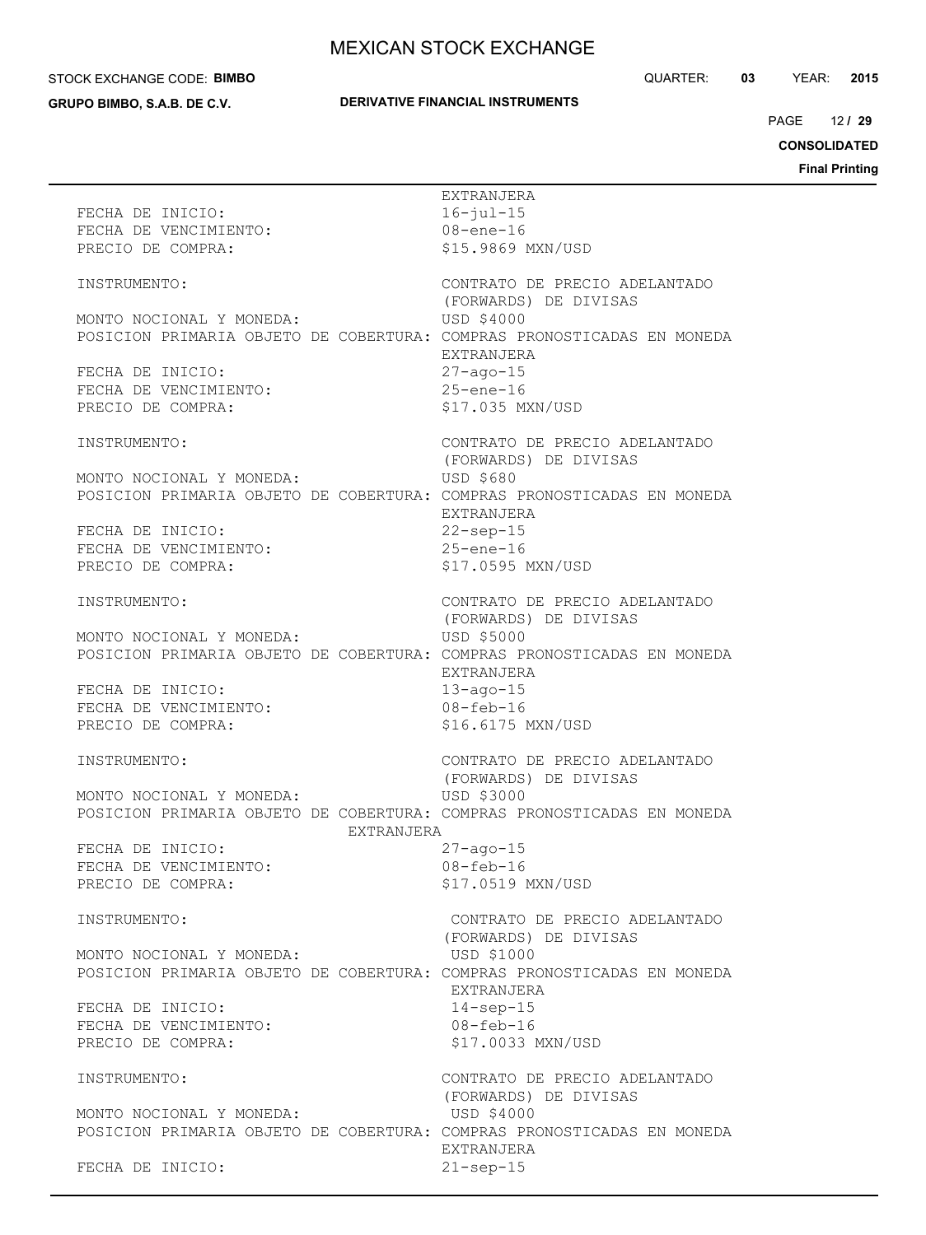#### STOCK EXCHANGE CODE: **BIMBO**

**GRUPO BIMBO, S.A.B. DE C.V.**

## **DERIVATIVE FINANCIAL INSTRUMENTS**

QUARTER: **03** YEAR: **2015**

12 PAGE **/ 29**

**CONSOLIDATED**

| FECHA DE INICIO:<br>FECHA DE VENCIMIENTO:<br>PRECIO DE COMPRA:                                                   | EXTRANJERA<br>$16 - jul - 15$<br>$08 - ene - 16$<br>\$15.9869 MXN/USD |
|------------------------------------------------------------------------------------------------------------------|-----------------------------------------------------------------------|
| INSTRUMENTO:                                                                                                     | CONTRATO DE PRECIO ADELANTADO<br>(FORWARDS) DE DIVISAS                |
| MONTO NOCIONAL Y MONEDA:<br>POSICION PRIMARIA OBJETO DE COBERTURA: COMPRAS PRONOSTICADAS EN MONEDA               | USD \$4000<br>EXTRANJERA                                              |
| FECHA DE INICIO:<br>FECHA DE VENCIMIENTO:<br>PRECIO DE COMPRA:                                                   | $27 - aqo - 15$<br>$25$ -ene-16<br>\$17.035 MXN/USD                   |
| INSTRUMENTO:                                                                                                     | CONTRATO DE PRECIO ADELANTADO<br>(FORWARDS) DE DIVISAS                |
| MONTO NOCIONAL Y MONEDA:<br>POSICION PRIMARIA OBJETO DE COBERTURA: COMPRAS PRONOSTICADAS EN MONEDA               | USD \$680<br>EXTRANJERA                                               |
| FECHA DE INICIO:<br>FECHA DE VENCIMIENTO:<br>PRECIO DE COMPRA:                                                   | $22$ -sep-15<br>$25$ -ene-16<br>\$17.0595 MXN/USD                     |
| INSTRUMENTO:                                                                                                     | CONTRATO DE PRECIO ADELANTADO                                         |
| MONTO NOCIONAL Y MONEDA:<br>POSICION PRIMARIA OBJETO DE COBERTURA: COMPRAS PRONOSTICADAS EN MONEDA               | (FORWARDS) DE DIVISAS<br>USD \$5000<br>EXTRANJERA                     |
| FECHA DE INICIO:<br>FECHA DE VENCIMIENTO:<br>PRECIO DE COMPRA:                                                   | $13 - aqo - 15$<br>$08 - feb - 16$<br>\$16.6175 MXN/USD               |
| INSTRUMENTO:                                                                                                     | CONTRATO DE PRECIO ADELANTADO<br>(FORWARDS) DE DIVISAS                |
| MONTO NOCIONAL Y MONEDA:<br>POSICION PRIMARIA OBJETO DE COBERTURA: COMPRAS PRONOSTICADAS EN MONEDA<br>EXTRANJERA | USD \$3000                                                            |
| FECHA DE INICIO:<br>FECHA DE VENCIMIENTO:<br>PRECIO DE COMPRA:                                                   | $27 - aqo - 15$<br>$08 - feb - 16$<br>\$17.0519 MXN/USD               |
| INSTRUMENTO:                                                                                                     | CONTRATO DE PRECIO ADELANTADO<br>(FORWARDS) DE DIVISAS                |
| MONTO NOCIONAL Y MONEDA:<br>POSICION PRIMARIA OBJETO DE COBERTURA: COMPRAS PRONOSTICADAS EN MONEDA               | USD \$1000<br>EXTRANJERA                                              |
| FECHA DE INICIO:<br>FECHA DE VENCIMIENTO:<br>PRECIO DE COMPRA:                                                   | $14$ -sep-15<br>$08 - feb - 16$<br>\$17.0033 MXN/USD                  |
| INSTRUMENTO:                                                                                                     | CONTRATO DE PRECIO ADELANTADO<br>(FORWARDS) DE DIVISAS                |
| MONTO NOCIONAL Y MONEDA:<br>POSICION PRIMARIA OBJETO DE COBERTURA: COMPRAS PRONOSTICADAS EN MONEDA               | USD \$4000<br>EXTRANJERA                                              |
| FECHA DE INICIO:                                                                                                 | $21$ -sep-15                                                          |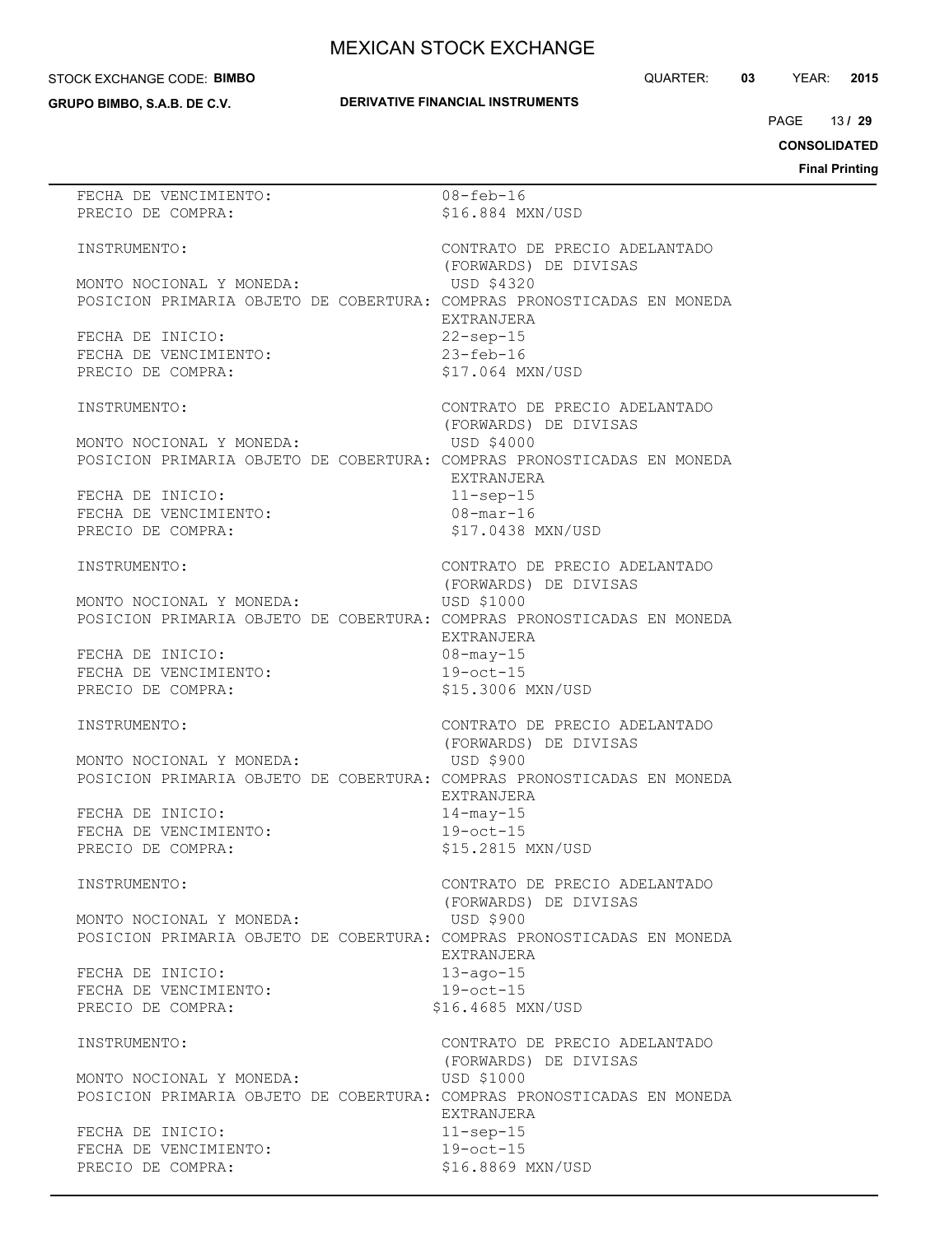#### STOCK EXCHANGE CODE: **BIMBO**

**GRUPO BIMBO, S.A.B. DE C.V.**

```
QUARTER: 03 YEAR: 2015
```
# **DERIVATIVE FINANCIAL INSTRUMENTS**

13 PAGE **/ 29**

**CONSOLIDATED**

| FECHA DE VENCIMIENTO:                                                  | $08 - feb - 16$               |
|------------------------------------------------------------------------|-------------------------------|
| PRECIO DE COMPRA:                                                      | \$16.884 MXN/USD              |
|                                                                        |                               |
| INSTRUMENTO:                                                           | CONTRATO DE PRECIO ADELANTADO |
|                                                                        | (FORWARDS) DE DIVISAS         |
| MONTO NOCIONAL Y MONEDA:                                               | USD \$4320                    |
| POSICION PRIMARIA OBJETO DE COBERTURA: COMPRAS PRONOSTICADAS EN MONEDA |                               |
|                                                                        | EXTRANJERA                    |
|                                                                        |                               |
| FECHA DE INICIO:                                                       | $22$ -sep-15                  |
| FECHA DE VENCIMIENTO:                                                  | $23 - feb - 16$               |
| PRECIO DE COMPRA:                                                      | \$17.064 MXN/USD              |
|                                                                        |                               |
| INSTRUMENTO:                                                           | CONTRATO DE PRECIO ADELANTADO |
|                                                                        | (FORWARDS) DE DIVISAS         |
| MONTO NOCIONAL Y MONEDA:                                               | USD \$4000                    |
| POSICION PRIMARIA OBJETO DE COBERTURA: COMPRAS PRONOSTICADAS EN MONEDA |                               |
|                                                                        | EXTRANJERA                    |
| FECHA DE INICIO:                                                       |                               |
|                                                                        | $11$ -sep-15                  |
| FECHA DE VENCIMIENTO:                                                  | $08 - \text{mar} - 16$        |
| PRECIO DE COMPRA:                                                      | \$17.0438 MXN/USD             |
|                                                                        |                               |
| INSTRUMENTO:                                                           | CONTRATO DE PRECIO ADELANTADO |
|                                                                        | (FORWARDS) DE DIVISAS         |
| MONTO NOCIONAL Y MONEDA:                                               | USD \$1000                    |
| POSICION PRIMARIA OBJETO DE COBERTURA: COMPRAS PRONOSTICADAS EN MONEDA |                               |
|                                                                        | EXTRANJERA                    |
|                                                                        |                               |
| FECHA DE INICIO:                                                       | $08 - may - 15$               |
| FECHA DE VENCIMIENTO:                                                  | $19$ -oct-15                  |
| PRECIO DE COMPRA:                                                      | \$15.3006 MXN/USD             |
|                                                                        |                               |
| INSTRUMENTO:                                                           | CONTRATO DE PRECIO ADELANTADO |
|                                                                        | (FORWARDS) DE DIVISAS         |
| MONTO NOCIONAL Y MONEDA:                                               | USD \$900                     |
| POSICION PRIMARIA OBJETO DE COBERTURA: COMPRAS PRONOSTICADAS EN MONEDA |                               |
|                                                                        | EXTRANJERA                    |
| FECHA DE INICIO:                                                       | $14 - may - 15$               |
|                                                                        |                               |
| FECHA DE VENCIMIENTO:                                                  | $19$ -oct-15                  |
| PRECIO DE COMPRA:                                                      | \$15.2815 MXN/USD             |
|                                                                        |                               |
| INSTRUMENTO:                                                           | CONTRATO DE PRECIO ADELANTADO |
|                                                                        | (FORWARDS) DE DIVISAS         |
| MONTO NOCIONAL Y MONEDA:                                               | <b>USD \$900</b>              |
| POSICION PRIMARIA OBJETO DE COBERTURA: COMPRAS PRONOSTICADAS EN MONEDA |                               |
|                                                                        | EXTRANJERA                    |
| FECHA DE INICIO:                                                       | $13 - aqo - 15$               |
| FECHA DE VENCIMIENTO:                                                  | $19$ -oct-15                  |
|                                                                        |                               |
| PRECIO DE COMPRA:                                                      | \$16.4685 MXN/USD             |
|                                                                        |                               |
| INSTRUMENTO:                                                           | CONTRATO DE PRECIO ADELANTADO |
|                                                                        | (FORWARDS) DE DIVISAS         |
| MONTO NOCIONAL Y MONEDA:                                               | USD \$1000                    |
| POSICION PRIMARIA OBJETO DE COBERTURA: COMPRAS PRONOSTICADAS EN MONEDA |                               |
|                                                                        | EXTRANJERA                    |
| FECHA DE INICIO:                                                       | $11$ -sep-15                  |
| FECHA DE VENCIMIENTO:                                                  | $19-oct-15$                   |
|                                                                        |                               |
| PRECIO DE COMPRA:                                                      | \$16.8869 MXN/USD             |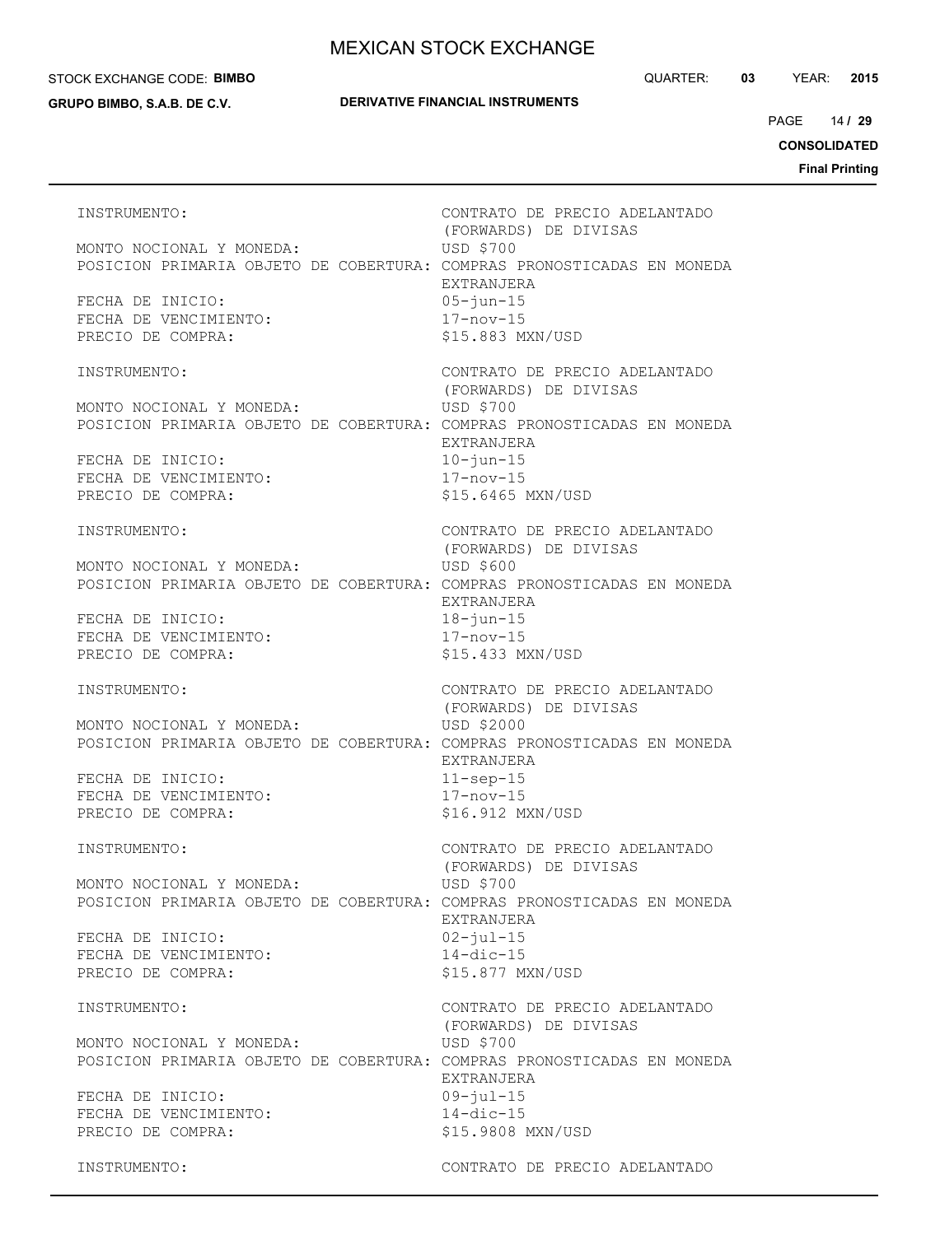#### STOCK EXCHANGE CODE: **BIMBO**

**GRUPO BIMBO, S.A.B. DE C.V.**

QUARTER: **03** YEAR: **2015**

14 PAGE **/ 29**

**CONSOLIDATED**

**Final Printing**

INSTRUMENTO: CONTRATO DE PRECIO ADELANTADO (FORWARDS) DE DIVISAS MONTO NOCIONAL Y MONEDA: USD \$700 POSICION PRIMARIA OBJETO DE COBERTURA: COMPRAS PRONOSTICADAS EN MONEDA EXTRANJERA FECHA DE INICIO: 05-jun-15 FECHA DE VENCIMIENTO: 17-nov-15 PRECIO DE COMPRA:  $$15.883$  MXN/USD INSTRUMENTO: CONTRATO DE PRECIO ADELANTADO (FORWARDS) DE DIVISAS MONTO NOCIONAL Y MONEDA: USD \$700 POSICION PRIMARIA OBJETO DE COBERTURA: COMPRAS PRONOSTICADAS EN MONEDA EXTRANJERA FECHA DE INICIO: 10-jun-15 FECHA DE VENCIMIENTO: 17-nov-15 PRECIO DE COMPRA:  $$15.6465$  MXN/USD INSTRUMENTO: CONTRATO DE PRECIO ADELANTADO (FORWARDS) DE DIVISAS MONTO NOCIONAL Y MONEDA: USD \$600 POSICION PRIMARIA OBJETO DE COBERTURA: COMPRAS PRONOSTICADAS EN MONEDA EXTRANJERA FECHA DE INICIO: 18-jun-15 FECHA DE VENCIMIENTO: 17-nov-15 PRECIO DE COMPRA:  $$15.433$  MXN/USD INSTRUMENTO: CONTRATO DE PRECIO ADELANTADO (FORWARDS) DE DIVISAS MONTO NOCIONAL Y MONEDA: USD \$2000 POSICION PRIMARIA OBJETO DE COBERTURA: COMPRAS PRONOSTICADAS EN MONEDA EXTRANJERA FECHA DE INICIO: 11-sep-15 FECHA DE VENCIMIENTO: 17-nov-15 PRECIO DE COMPRA:  $$16.912$  MXN/USD INSTRUMENTO: CONTRATO DE PRECIO ADELANTADO (FORWARDS) DE DIVISAS MONTO NOCIONAL Y MONEDA: USD \$700 POSICION PRIMARIA OBJETO DE COBERTURA: COMPRAS PRONOSTICADAS EN MONEDA EXTRANJERA FECHA DE INICIO: 02-jul-15 FECHA DE VENCIMIENTO: 14-dic-15 PRECIO DE COMPRA:  $$15.877$  MXN/USD INSTRUMENTO: CONTRATO DE PRECIO ADELANTADO (FORWARDS) DE DIVISAS MONTO NOCIONAL Y MONEDA: USD \$700 POSICION PRIMARIA OBJETO DE COBERTURA: COMPRAS PRONOSTICADAS EN MONEDA EXTRANJERA FECHA DE INICIO: 09-jul-15 FECHA DE VENCIMIENTO: 14-dic-15 PRECIO DE COMPRA:  $$15.9808$  MXN/USD INSTRUMENTO: CONTRATO DE PRECIO ADELANTADO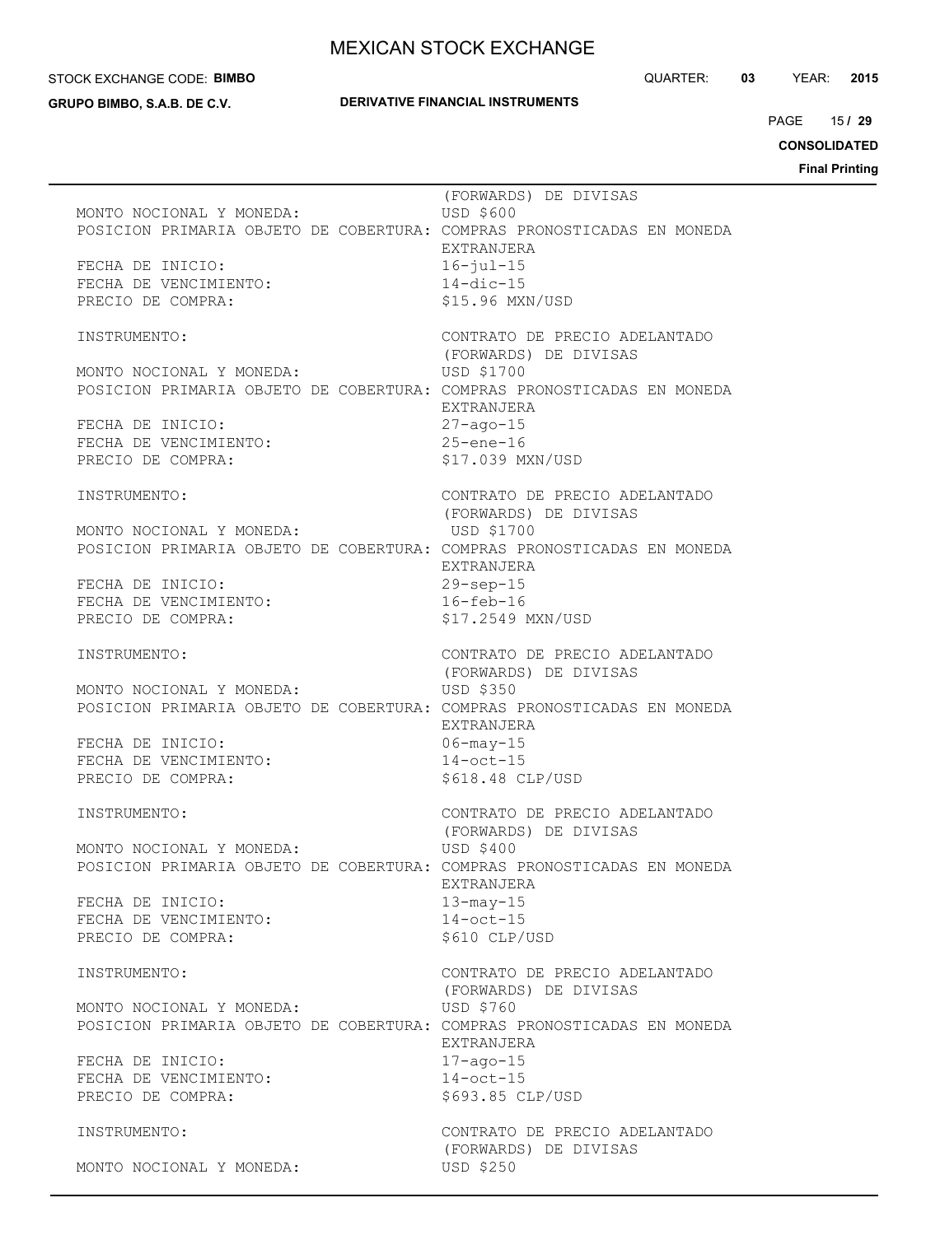STOCK EXCHANGE CODE: **BIMBO**

**GRUPO BIMBO, S.A.B. DE C.V.**

## **DERIVATIVE FINANCIAL INSTRUMENTS**

QUARTER: **03** YEAR: **2015**

15 PAGE **/ 29**

**CONSOLIDATED**

|                                                                                                    | (FORWARDS) DE DIVISAS                                  |
|----------------------------------------------------------------------------------------------------|--------------------------------------------------------|
| MONTO NOCIONAL Y MONEDA:                                                                           | <b>USD \$600</b>                                       |
| POSICION PRIMARIA OBJETO DE COBERTURA: COMPRAS PRONOSTICADAS EN MONEDA                             | EXTRANJERA                                             |
| FECHA DE INICIO:                                                                                   | $16 - iul - 15$                                        |
| FECHA DE VENCIMIENTO:                                                                              | $14$ -dic-15                                           |
| PRECIO DE COMPRA:                                                                                  | \$15.96 MXN/USD                                        |
|                                                                                                    | CONTRATO DE PRECIO ADELANTADO                          |
| INSTRUMENTO:                                                                                       | (FORWARDS) DE DIVISAS                                  |
| MONTO NOCIONAL Y MONEDA:                                                                           | USD \$1700                                             |
| POSICION PRIMARIA OBJETO DE COBERTURA: COMPRAS PRONOSTICADAS EN MONEDA                             |                                                        |
|                                                                                                    | EXTRANJERA                                             |
| FECHA DE INICIO:<br>FECHA DE VENCIMIENTO:                                                          | $27 - aqo - 15$<br>$25$ -ene-16                        |
| PRECIO DE COMPRA:                                                                                  | \$17.039 MXN/USD                                       |
|                                                                                                    |                                                        |
| INSTRUMENTO:                                                                                       | CONTRATO DE PRECIO ADELANTADO                          |
| MONTO NOCIONAL Y MONEDA:                                                                           | (FORWARDS) DE DIVISAS<br>USD \$1700                    |
| POSICION PRIMARIA OBJETO DE COBERTURA: COMPRAS PRONOSTICADAS EN MONEDA                             |                                                        |
|                                                                                                    | EXTRANJERA                                             |
| FECHA DE INICIO:                                                                                   | $29$ -sep-15                                           |
| FECHA DE VENCIMIENTO:<br>PRECIO DE COMPRA:                                                         | $16 - feb - 16$<br>\$17.2549 MXN/USD                   |
|                                                                                                    |                                                        |
| INSTRUMENTO:                                                                                       | CONTRATO DE PRECIO ADELANTADO                          |
|                                                                                                    | (FORWARDS) DE DIVISAS                                  |
| MONTO NOCIONAL Y MONEDA:<br>POSICION PRIMARIA OBJETO DE COBERTURA: COMPRAS PRONOSTICADAS EN MONEDA | <b>USD \$350</b>                                       |
|                                                                                                    | EXTRANJERA                                             |
| FECHA DE INICIO:                                                                                   | $06 - may - 15$                                        |
| FECHA DE VENCIMIENTO:                                                                              | $14$ -oct-15                                           |
| PRECIO DE COMPRA:                                                                                  | \$618.48 CLP/USD                                       |
| INSTRUMENTO:                                                                                       | CONTRATO DE PRECIO ADELANTADO                          |
|                                                                                                    | (FORWARDS) DE DIVISAS                                  |
| MONTO NOCIONAL Y MONEDA:<br>POSICION PRIMARIA OBJETO DE COBERTURA: COMPRAS PRONOSTICADAS EN MONEDA | USD \$400                                              |
|                                                                                                    | EXTRANJERA                                             |
| FECHA DE INICIO:                                                                                   | $13 - \text{may}-15$                                   |
| FECHA DE VENCIMIENTO:                                                                              | $14$ -oct-15                                           |
| PRECIO DE COMPRA:                                                                                  | \$610 CLP/USD                                          |
| INSTRUMENTO:                                                                                       | CONTRATO DE PRECIO ADELANTADO                          |
|                                                                                                    | (FORWARDS) DE DIVISAS                                  |
| MONTO NOCIONAL Y MONEDA:                                                                           | USD \$760                                              |
| POSICION PRIMARIA OBJETO DE COBERTURA: COMPRAS PRONOSTICADAS EN MONEDA                             | EXTRANJERA                                             |
| FECHA DE INICIO:                                                                                   | $17 - a$ go $-15$                                      |
| FECHA DE VENCIMIENTO:                                                                              | $14$ -oct-15                                           |
| PRECIO DE COMPRA:                                                                                  | \$693.85 CLP/USD                                       |
|                                                                                                    |                                                        |
| INSTRUMENTO:                                                                                       | CONTRATO DE PRECIO ADELANTADO<br>(FORWARDS) DE DIVISAS |
| MONTO NOCIONAL Y MONEDA:                                                                           | USD \$250                                              |
|                                                                                                    |                                                        |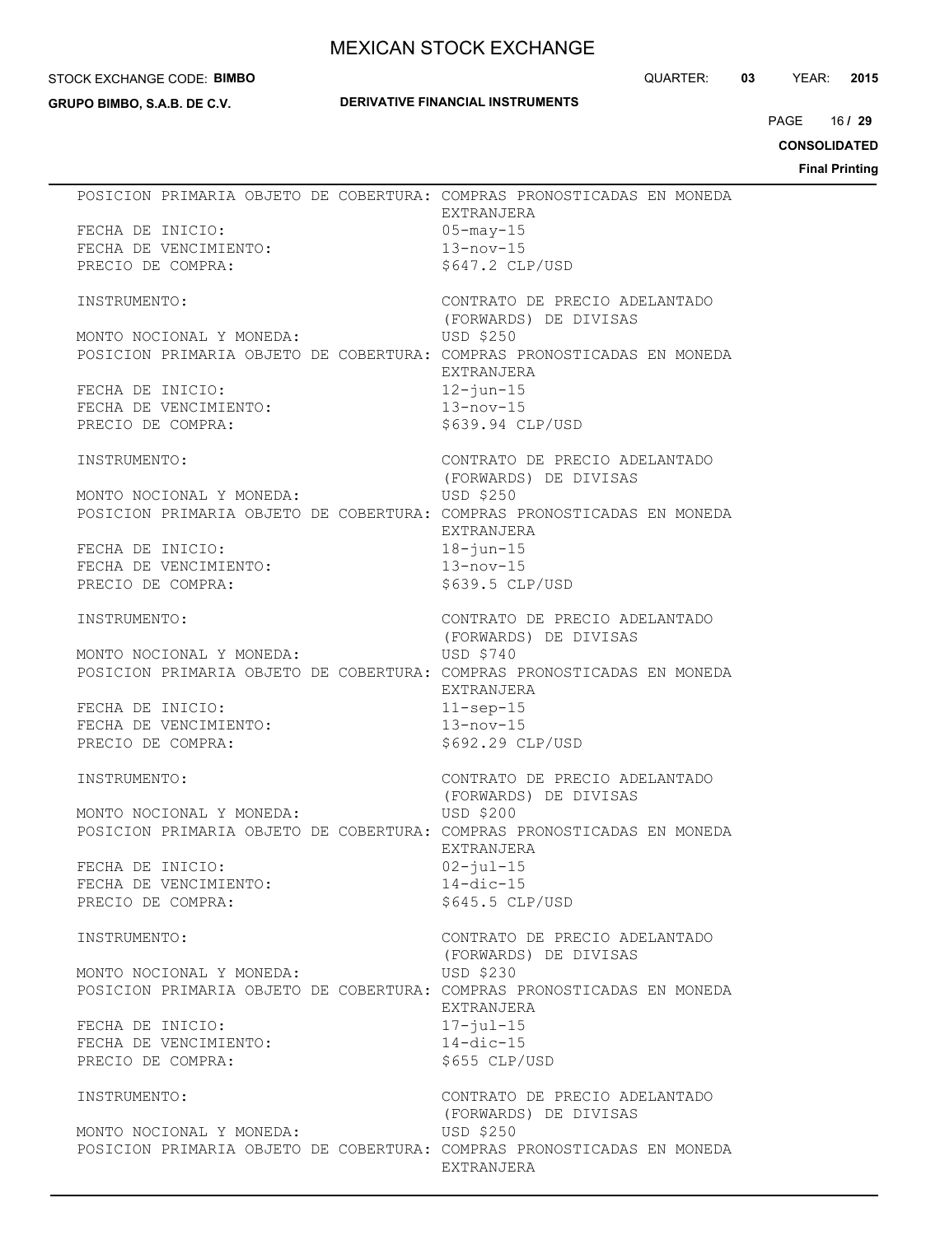#### STOCK EXCHANGE CODE: **BIMBO**

**GRUPO BIMBO, S.A.B. DE C.V.**

## **DERIVATIVE FINANCIAL INSTRUMENTS**

QUARTER: **03** YEAR: **2015**

16 PAGE **/ 29**

**CONSOLIDATED**

| FECHA DE INICIO:<br>FECHA DE VENCIMIENTO:<br>PRECIO DE COMPRA: | POSICION PRIMARIA OBJETO DE COBERTURA: COMPRAS PRONOSTICADAS EN MONEDA<br>EXTRANJERA<br>05-may-15<br>$13 - nov - 15$<br>$$647.2$ CLP/USD      |
|----------------------------------------------------------------|-----------------------------------------------------------------------------------------------------------------------------------------------|
| INSTRUMENTO:                                                   | CONTRATO DE PRECIO ADELANTADO<br>(FORWARDS) DE DIVISAS                                                                                        |
| MONTO NOCIONAL Y MONEDA:                                       | USD \$250<br>POSICION PRIMARIA OBJETO DE COBERTURA: COMPRAS PRONOSTICADAS EN MONEDA<br>EXTRANJERA                                             |
| FECHA DE INICIO:<br>FECHA DE VENCIMIENTO:<br>PRECIO DE COMPRA: | $12 - j$ un $-15$<br>$13 - nov - 15$<br>\$639.94 CLP/USD                                                                                      |
| INSTRUMENTO:                                                   | CONTRATO DE PRECIO ADELANTADO<br>(FORWARDS) DE DIVISAS                                                                                        |
| MONTO NOCIONAL Y MONEDA:                                       | USD \$250<br>POSICION PRIMARIA OBJETO DE COBERTURA: COMPRAS PRONOSTICADAS EN MONEDA<br>EXTRANJERA                                             |
| FECHA DE INICIO:<br>FECHA DE VENCIMIENTO:<br>PRECIO DE COMPRA: | $18 - j$ un $-15$<br>$13 - nov - 15$<br>$$639.5$ CLP/USD                                                                                      |
| INSTRUMENTO:                                                   | CONTRATO DE PRECIO ADELANTADO<br>(FORWARDS) DE DIVISAS                                                                                        |
| MONTO NOCIONAL Y MONEDA:                                       | USD \$740<br>POSICION PRIMARIA OBJETO DE COBERTURA: COMPRAS PRONOSTICADAS EN MONEDA<br>EXTRANJERA                                             |
| FECHA DE INICIO:<br>FECHA DE VENCIMIENTO:<br>PRECIO DE COMPRA: | $11$ -sep-15<br>$13 - nov - 15$<br>\$692.29 CLP/USD                                                                                           |
| INSTRUMENTO:                                                   | CONTRATO DE PRECIO ADELANTADO<br>(FORWARDS) DE DIVISAS                                                                                        |
| MONTO NOCIONAL Y MONEDA:                                       | USD \$200<br>POSICION PRIMARIA OBJETO DE COBERTURA: COMPRAS PRONOSTICADAS EN MONEDA                                                           |
| FECHA DE INICIO:<br>FECHA DE VENCIMIENTO:<br>PRECIO DE COMPRA: | EXTRANJERA<br>$02 - jul - 15$<br>$14$ -dic-15<br>\$645.5 CLP/USD                                                                              |
| INSTRUMENTO:                                                   | CONTRATO DE PRECIO ADELANTADO<br>(FORWARDS) DE DIVISAS                                                                                        |
| MONTO NOCIONAL Y MONEDA:                                       | USD \$230<br>POSICION PRIMARIA OBJETO DE COBERTURA: COMPRAS PRONOSTICADAS EN MONEDA<br>EXTRANJERA                                             |
| FECHA DE INICIO:<br>FECHA DE VENCIMIENTO:<br>PRECIO DE COMPRA: | $17 - \frac{1}{10}$ $1 - 15$<br>$14$ -dic-15<br>\$655 CLP/USD                                                                                 |
| INSTRUMENTO:<br>MONTO NOCIONAL Y MONEDA:                       | CONTRATO DE PRECIO ADELANTADO<br>(FORWARDS) DE DIVISAS<br>USD \$250<br>POSICION PRIMARIA OBJETO DE COBERTURA: COMPRAS PRONOSTICADAS EN MONEDA |
|                                                                | EXTRANJERA                                                                                                                                    |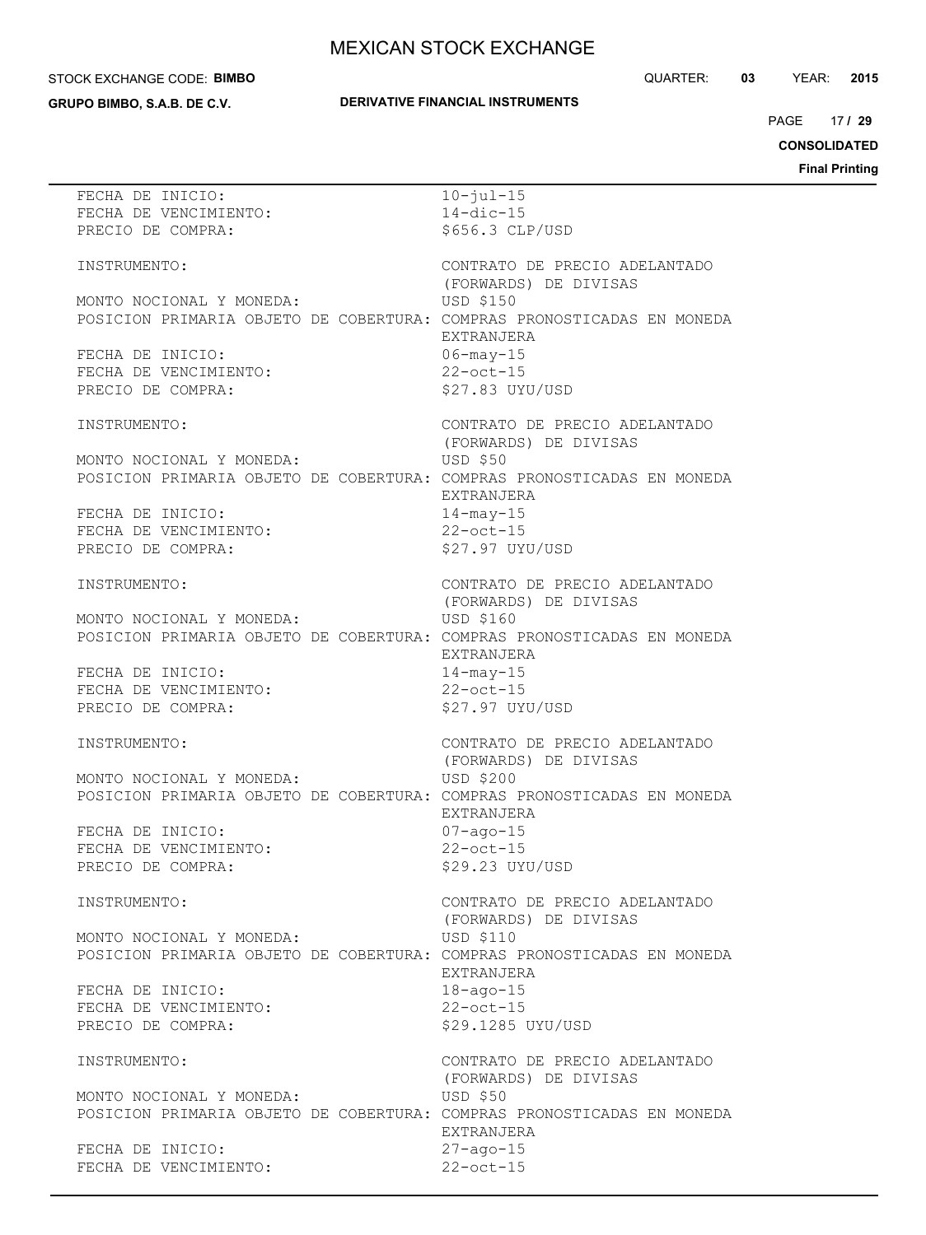#### STOCK EXCHANGE CODE: **BIMBO**

**GRUPO BIMBO, S.A.B. DE C.V.**

## **DERIVATIVE FINANCIAL INSTRUMENTS**

QUARTER: **03** YEAR: **2015**

17 PAGE **/ 29**

**CONSOLIDATED**

| FECHA DE INICIO:                                                       | $10 - \frac{1}{1}ul - 15$     |
|------------------------------------------------------------------------|-------------------------------|
| FECHA DE VENCIMIENTO:                                                  | $14$ -dic-15                  |
|                                                                        |                               |
| PRECIO DE COMPRA:                                                      | \$656.3 CLP/USD               |
|                                                                        |                               |
| INSTRUMENTO:                                                           | CONTRATO DE PRECIO ADELANTADO |
|                                                                        |                               |
|                                                                        | (FORWARDS) DE DIVISAS         |
| MONTO NOCIONAL Y MONEDA:                                               | USD \$150                     |
| POSICION PRIMARIA OBJETO DE COBERTURA: COMPRAS PRONOSTICADAS EN MONEDA |                               |
|                                                                        |                               |
|                                                                        | EXTRANJERA                    |
| FECHA DE INICIO:                                                       | $06 - may - 15$               |
| FECHA DE VENCIMIENTO:                                                  | $22$ -oct-15                  |
|                                                                        | \$27.83 UYU/USD               |
| PRECIO DE COMPRA:                                                      |                               |
|                                                                        |                               |
| INSTRUMENTO:                                                           | CONTRATO DE PRECIO ADELANTADO |
|                                                                        | (FORWARDS) DE DIVISAS         |
|                                                                        |                               |
| MONTO NOCIONAL Y MONEDA:                                               | USD \$50                      |
| POSICION PRIMARIA OBJETO DE COBERTURA: COMPRAS PRONOSTICADAS EN MONEDA |                               |
|                                                                        | EXTRANJERA                    |
|                                                                        |                               |
|                                                                        | $14$ -may-15                  |
| FECHA DE INICIO:<br>FECHA DE VENCIMIENTO:                              | $22$ -oct-15                  |
| PRECIO DE COMPRA:                                                      | \$27.97 UYU/USD               |
|                                                                        |                               |
|                                                                        |                               |
| INSTRUMENTO:                                                           | CONTRATO DE PRECIO ADELANTADO |
|                                                                        | (FORWARDS) DE DIVISAS         |
|                                                                        |                               |
| MONTO NOCIONAL Y MONEDA:                                               | USD \$160                     |
| POSICION PRIMARIA OBJETO DE COBERTURA: COMPRAS PRONOSTICADAS EN MONEDA |                               |
|                                                                        | EXTRANJERA                    |
|                                                                        |                               |
| FECHA DE INICIO:                                                       | $14$ -may-15                  |
| FECHA DE VENCIMIENTO:                                                  | $22$ -oct-15                  |
| PRECIO DE COMPRA:                                                      | \$27.97 UYU/USD               |
|                                                                        |                               |
|                                                                        |                               |
| INSTRUMENTO:                                                           | CONTRATO DE PRECIO ADELANTADO |
|                                                                        | (FORWARDS) DE DIVISAS         |
|                                                                        |                               |
| MONTO NOCIONAL Y MONEDA:                                               | USD \$200                     |
| POSICION PRIMARIA OBJETO DE COBERTURA: COMPRAS PRONOSTICADAS EN MONEDA |                               |
|                                                                        | EXTRANJERA                    |
|                                                                        | $07 - aqo - 15$               |
| FECHA DE INICIO:                                                       |                               |
| FECHA DE VENCIMIENTO:                                                  | $22$ -oct-15                  |
| PRECIO DE COMPRA:                                                      | \$29.23 UYU/USD               |
|                                                                        |                               |
|                                                                        |                               |
| INSTRUMENTO:                                                           | CONTRATO DE PRECIO ADELANTADO |
|                                                                        | (FORWARDS) DE DIVISAS         |
| MONTO NOCIONAL Y MONEDA:                                               | USD \$110                     |
|                                                                        |                               |
| POSICION PRIMARIA OBJETO DE COBERTURA: COMPRAS PRONOSTICADAS EN MONEDA |                               |
|                                                                        | EXTRANJERA                    |
| FECHA DE INICIO:                                                       | $18 - aqo - 15$               |
|                                                                        |                               |
| FECHA DE VENCIMIENTO:                                                  | $22$ -oct-15                  |
| PRECIO DE COMPRA:                                                      | \$29.1285 UYU/USD             |
|                                                                        |                               |
|                                                                        | CONTRATO DE PRECIO ADELANTADO |
| INSTRUMENTO:                                                           |                               |
|                                                                        | (FORWARDS) DE DIVISAS         |
| MONTO NOCIONAL Y MONEDA:                                               | USD \$50                      |
|                                                                        |                               |
| POSICION PRIMARIA OBJETO DE COBERTURA: COMPRAS PRONOSTICADAS EN MONEDA |                               |
|                                                                        | EXTRANJERA                    |
| FECHA DE INICIO:                                                       | $27 - aqo - 15$               |
|                                                                        |                               |
| FECHA DE VENCIMIENTO:                                                  | $22$ -oct-15                  |
|                                                                        |                               |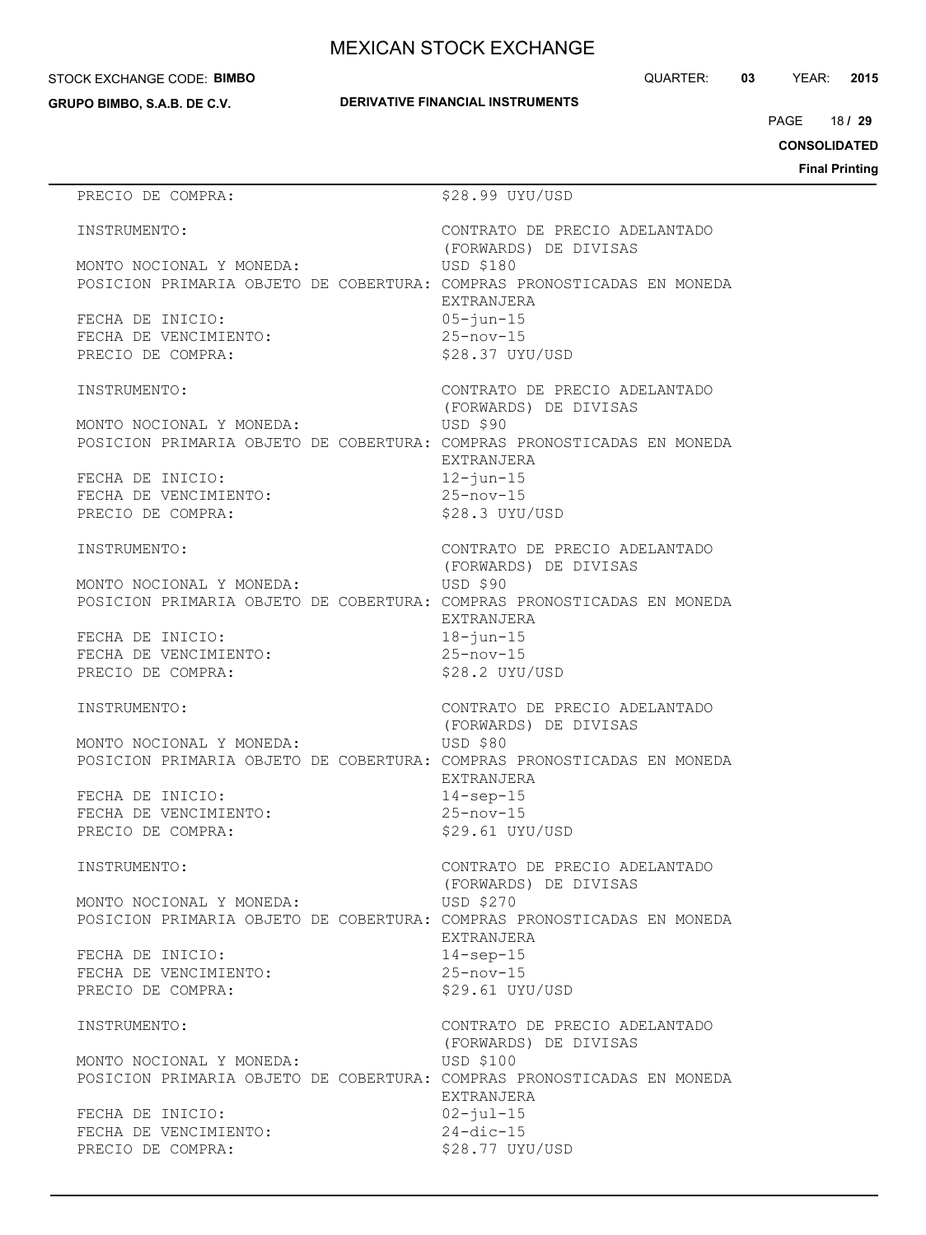#### STOCK EXCHANGE CODE: **BIMBO**

**GRUPO BIMBO, S.A.B. DE C.V.**

QUARTER: **03** YEAR: **2015**

18 PAGE **/ 29**

**CONSOLIDATED**

**Final Printing**

# PRECIO DE COMPRA:  $$28.99$  UYU/USD INSTRUMENTO: CONTRATO DE PRECIO ADELANTADO (FORWARDS) DE DIVISAS MONTO NOCIONAL Y MONEDA: USD \$180 POSICION PRIMARIA OBJETO DE COBERTURA: COMPRAS PRONOSTICADAS EN MONEDA EXTRANJERA FECHA DE INICIO: 05-jun-15 FECHA DE VENCIMIENTO: 25-nov-15 PRECIO DE COMPRA:  $$28.37$  UYU/USD INSTRUMENTO: CONTRATO DE PRECIO ADELANTADO (FORWARDS) DE DIVISAS MONTO NOCIONAL Y MONEDA: USD \$90 POSICION PRIMARIA OBJETO DE COBERTURA: COMPRAS PRONOSTICADAS EN MONEDA EXTRANJERA FECHA DE INICIO: 12-jun-15 FECHA DE VENCIMIENTO: 25-nov-15 PRECIO DE COMPRA:  $$28.3$  UYU/USD INSTRUMENTO: CONTRATO DE PRECIO ADELANTADO (FORWARDS) DE DIVISAS MONTO NOCIONAL Y MONEDA: USD \$90 POSICION PRIMARIA OBJETO DE COBERTURA: COMPRAS PRONOSTICADAS EN MONEDA EXTRANJERA FECHA DE INICIO: 18-jun-15 FECHA DE VENCIMIENTO: 25-nov-15 PRECIO DE COMPRA: \$28.2 UYU/USD INSTRUMENTO: CONTRATO DE PRECIO ADELANTADO (FORWARDS) DE DIVISAS MONTO NOCIONAL Y MONEDA: USD \$80 POSICION PRIMARIA OBJETO DE COBERTURA: COMPRAS PRONOSTICADAS EN MONEDA EXTRANJERA FECHA DE INICIO: 14-sep-15 FECHA DE VENCIMIENTO: 25-nov-15 PRECIO DE COMPRA:  $$29.61$  UYU/USD INSTRUMENTO: CONTRATO DE PRECIO ADELANTADO (FORWARDS) DE DIVISAS MONTO NOCIONAL Y MONEDA: USD \$270 POSICION PRIMARIA OBJETO DE COBERTURA: COMPRAS PRONOSTICADAS EN MONEDA EXTRANJERA FECHA DE INICIO: 14-sep-15 FECHA DE VENCIMIENTO: 25-nov-15 PRECIO DE COMPRA:  $$29.61$  UYU/USD INSTRUMENTO: CONTRATO DE PRECIO ADELANTADO (FORWARDS) DE DIVISAS MONTO NOCIONAL Y MONEDA: USD \$100 POSICION PRIMARIA OBJETO DE COBERTURA: COMPRAS PRONOSTICADAS EN MONEDA EXTRANJERA FECHA DE INICIO: 02-jul-15 FECHA DE VENCIMIENTO: 24-dic-15 PRECIO DE COMPRA:  $$28.77$  UYU/USD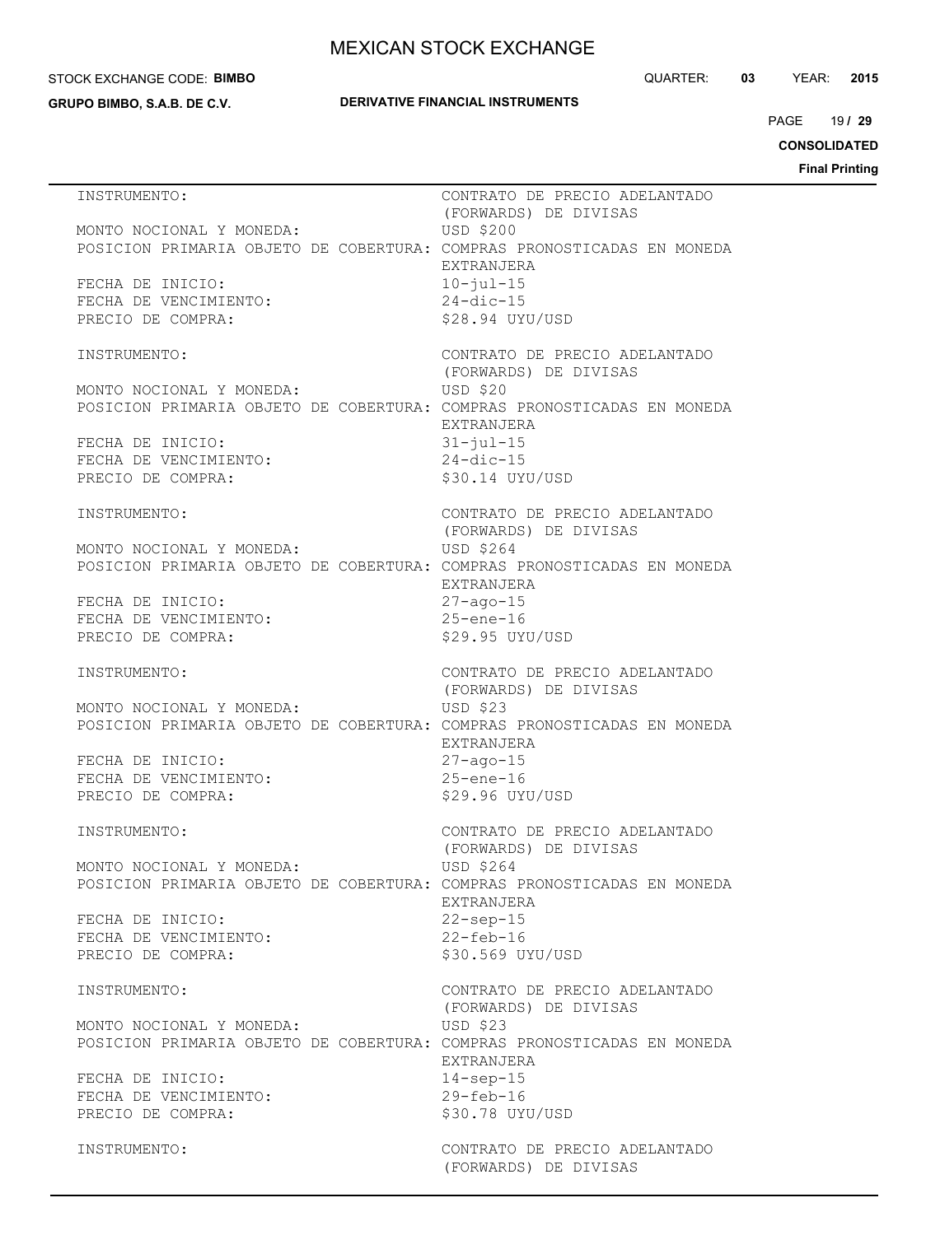#### STOCK EXCHANGE CODE: **BIMBO**

**GRUPO BIMBO, S.A.B. DE C.V.**

## **DERIVATIVE FINANCIAL INSTRUMENTS**

QUARTER: **03** YEAR: **2015**

19 PAGE **/ 29**

**CONSOLIDATED**

| INSTRUMENTO:                                                                                       | CONTRATO DE PRECIO ADELANTADO                                    |
|----------------------------------------------------------------------------------------------------|------------------------------------------------------------------|
| MONTO NOCIONAL Y MONEDA:<br>POSICION PRIMARIA OBJETO DE COBERTURA: COMPRAS PRONOSTICADAS EN MONEDA | (FORWARDS) DE DIVISAS<br>USD \$200                               |
| FECHA DE INICIO:<br>FECHA DE VENCIMIENTO:<br>PRECIO DE COMPRA:                                     | EXTRANJERA<br>$10 - ju1 - 15$<br>$24$ -dic-15<br>\$28.94 UYU/USD |
| INSTRUMENTO:                                                                                       | CONTRATO DE PRECIO ADELANTADO<br>(FORWARDS) DE DIVISAS           |
| MONTO NOCIONAL Y MONEDA:<br>POSICION PRIMARIA OBJETO DE COBERTURA: COMPRAS PRONOSTICADAS EN MONEDA | <b>USD \$20</b>                                                  |
| FECHA DE INICIO:<br>FECHA DE VENCIMIENTO:<br>PRECIO DE COMPRA:                                     | EXTRANJERA<br>$31 - jul - 15$<br>$24$ -dic-15<br>\$30.14 UYU/USD |
| INSTRUMENTO:                                                                                       | CONTRATO DE PRECIO ADELANTADO<br>(FORWARDS) DE DIVISAS           |
| MONTO NOCIONAL Y MONEDA:<br>POSICION PRIMARIA OBJETO DE COBERTURA: COMPRAS PRONOSTICADAS EN MONEDA | USD \$264<br>EXTRANJERA                                          |
| FECHA DE INICIO:<br>FECHA DE VENCIMIENTO:<br>PRECIO DE COMPRA:                                     | $27 - aqo - 15$<br>$25$ -ene-16<br>\$29.95 UYU/USD               |
| INSTRUMENTO:                                                                                       | CONTRATO DE PRECIO ADELANTADO<br>(FORWARDS) DE DIVISAS           |
| MONTO NOCIONAL Y MONEDA:<br>POSICION PRIMARIA OBJETO DE COBERTURA: COMPRAS PRONOSTICADAS EN MONEDA | USD \$23                                                         |
| FECHA DE INICIO:<br>FECHA DE VENCIMIENTO:<br>PRECIO DE COMPRA:                                     | EXTRANJERA<br>$27 - aqo - 15$<br>$25$ -ene-16<br>\$29.96 UYU/USD |
| INSTRUMENTO:                                                                                       | CONTRATO DE PRECIO ADELANTADO<br>(FORWARDS) DE DIVISAS           |
| MONTO NOCIONAL Y MONEDA:<br>POSICION PRIMARIA OBJETO DE COBERTURA: COMPRAS PRONOSTICADAS EN MONEDA | USD \$264<br><b>EXTRANJERA</b>                                   |
| FECHA DE INICIO:<br>FECHA DE VENCIMIENTO:<br>PRECIO DE COMPRA:                                     | $22$ -sep-15<br>$22 - feb - 16$<br>\$30.569 UYU/USD              |
| INSTRUMENTO:                                                                                       | CONTRATO DE PRECIO ADELANTADO<br>(FORWARDS) DE DIVISAS           |
| MONTO NOCIONAL Y MONEDA:<br>POSICION PRIMARIA OBJETO DE COBERTURA: COMPRAS PRONOSTICADAS EN MONEDA | USD \$23                                                         |
| FECHA DE INICIO:<br>FECHA DE VENCIMIENTO:<br>PRECIO DE COMPRA:                                     | EXTRANJERA<br>$14$ -sep-15<br>$29 - feb - 16$<br>\$30.78 UYU/USD |
| INSTRUMENTO:                                                                                       | CONTRATO DE PRECIO ADELANTADO<br>(FORWARDS) DE DIVISAS           |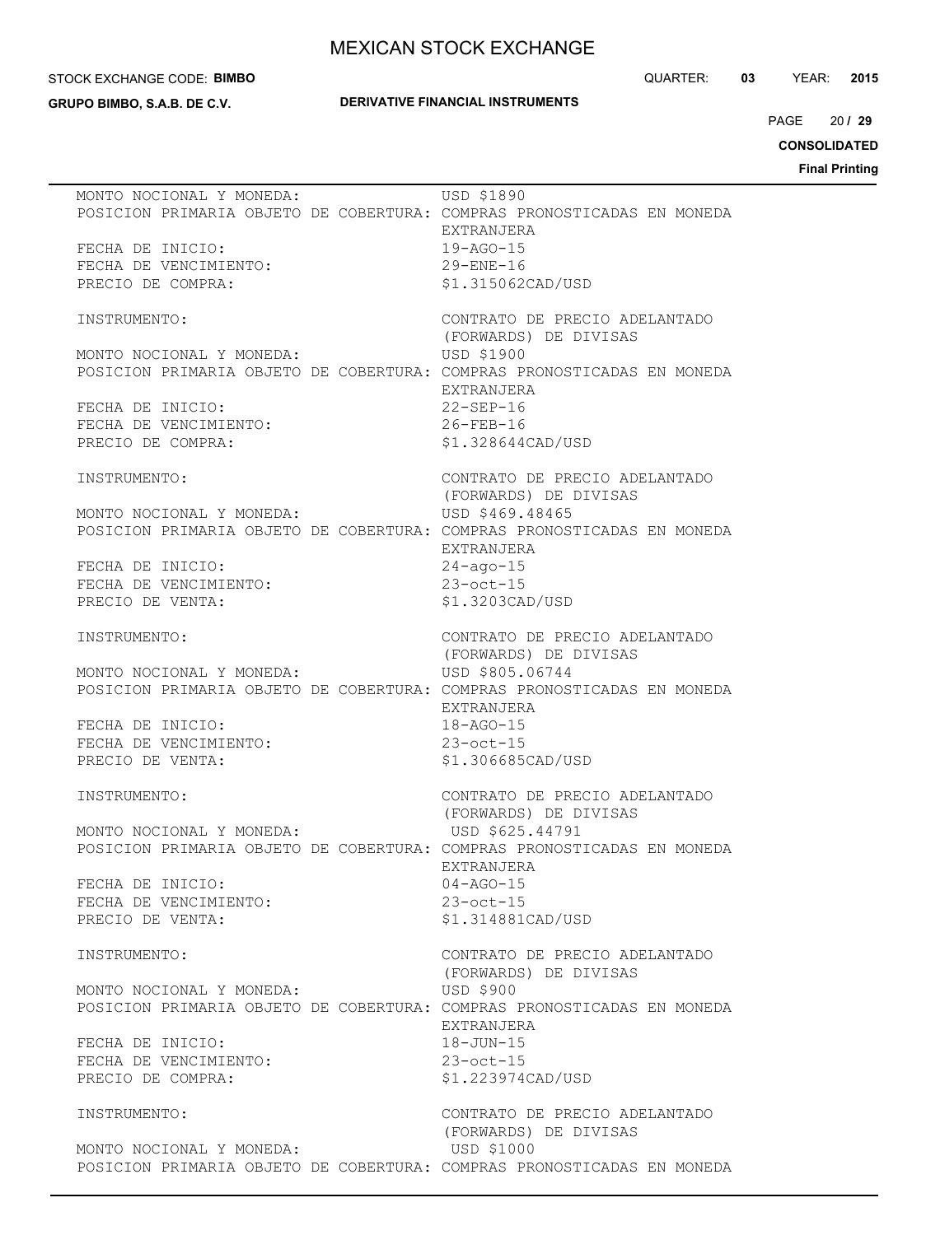#### STOCK EXCHANGE CODE: **BIMBO**

**GRUPO BIMBO, S.A.B. DE C.V.**

## **DERIVATIVE FINANCIAL INSTRUMENTS**

QUARTER: **03** YEAR: **2015**

 $20/29$  $PAGE$ 

**CONSOLIDATED**

| MONTO NOCIONAL Y MONEDA:<br>POSICION PRIMARIA OBJETO DE COBERTURA: COMPRAS PRONOSTICADAS EN MONEDA | USD \$1890<br>EXTRANJERA                               |
|----------------------------------------------------------------------------------------------------|--------------------------------------------------------|
| FECHA DE INICIO:                                                                                   | $19 - AGO - 15$                                        |
| FECHA DE VENCIMIENTO:                                                                              | 29-ENE-16                                              |
| PRECIO DE COMPRA:                                                                                  | \$1.315062CAD/USD                                      |
|                                                                                                    |                                                        |
| INSTRUMENTO:                                                                                       | CONTRATO DE PRECIO ADELANTADO<br>(FORWARDS) DE DIVISAS |
| MONTO NOCIONAL Y MONEDA:                                                                           | USD \$1900                                             |
| POSICION PRIMARIA OBJETO DE COBERTURA: COMPRAS PRONOSTICADAS EN MONEDA                             |                                                        |
|                                                                                                    | EXTRANJERA                                             |
| FECHA DE INICIO:                                                                                   | $22 - SEP - 16$                                        |
| FECHA DE VENCIMIENTO:                                                                              | 22-SEP-16<br>26-FEB-16                                 |
| PRECIO DE COMPRA:                                                                                  | \$1.328644CAD/USD                                      |
|                                                                                                    |                                                        |
| INSTRUMENTO:                                                                                       | CONTRATO DE PRECIO ADELANTADO                          |
|                                                                                                    | (FORWARDS) DE DIVISAS                                  |
| MONTO NOCIONAL Y MONEDA:                                                                           | USD \$469.48465                                        |
| POSICION PRIMARIA OBJETO DE COBERTURA: COMPRAS PRONOSTICADAS EN MONEDA                             |                                                        |
|                                                                                                    | EXTRANJERA                                             |
| FECHA DE INICIO:                                                                                   | $24 - aqo - 15$                                        |
| FECHA DE VENCIMIENTO:                                                                              | $23$ -oct-15                                           |
|                                                                                                    | \$1.3203CAD/USD                                        |
| PRECIO DE VENTA:                                                                                   |                                                        |
|                                                                                                    |                                                        |
| INSTRUMENTO:                                                                                       | CONTRATO DE PRECIO ADELANTADO                          |
|                                                                                                    | (FORWARDS) DE DIVISAS                                  |
| MONTO NOCIONAL Y MONEDA:                                                                           | USD \$805.06744                                        |
| POSICION PRIMARIA OBJETO DE COBERTURA: COMPRAS PRONOSTICADAS EN MONEDA                             |                                                        |
|                                                                                                    | EXTRANJERA                                             |
| FECHA DE INICIO:                                                                                   | $18 - AGO - 15$                                        |
| FECHA DE VENCIMIENTO:                                                                              | $23$ -oct-15                                           |
| PRECIO DE VENTA:                                                                                   | \$1.306685CAD/USD                                      |
|                                                                                                    |                                                        |
| INSTRUMENTO:                                                                                       | CONTRATO DE PRECIO ADELANTADO                          |
|                                                                                                    | (FORWARDS) DE DIVISAS                                  |
| MONTO NOCIONAL Y MONEDA:                                                                           | USD \$625.44791                                        |
| POSICION PRIMARIA OBJETO DE COBERTURA: COMPRAS PRONOSTICADAS EN MONEDA                             |                                                        |
|                                                                                                    | <b>EXTRANJERA</b>                                      |
| FECHA DE INICIO:                                                                                   | $04 - AGO - 15$                                        |
| FECHA DE VENCIMIENTO:                                                                              | $23$ -oct-15                                           |
| PRECIO DE VENTA:                                                                                   | \$1.314881CAD/USD                                      |
|                                                                                                    |                                                        |
| INSTRUMENTO:                                                                                       | CONTRATO DE PRECIO ADELANTADO                          |
|                                                                                                    | (FORWARDS) DE DIVISAS                                  |
| MONTO NOCIONAL Y MONEDA:                                                                           | USD \$900                                              |
| POSICION PRIMARIA OBJETO DE COBERTURA: COMPRAS PRONOSTICADAS EN MONEDA                             |                                                        |
|                                                                                                    | EXTRANJERA                                             |
| FECHA DE INICIO:                                                                                   | $18 - JUN - 15$                                        |
| FECHA DE VENCIMIENTO:                                                                              | $23$ -oct-15                                           |
| PRECIO DE COMPRA:                                                                                  | \$1.223974CAD/USD                                      |
|                                                                                                    |                                                        |
| INSTRUMENTO:                                                                                       | CONTRATO DE PRECIO ADELANTADO                          |
|                                                                                                    | (FORWARDS) DE DIVISAS                                  |
| MONTO NOCIONAL Y MONEDA:                                                                           | USD \$1000                                             |
| POSICION PRIMARIA OBJETO DE COBERTURA: COMPRAS PRONOSTICADAS EN MONEDA                             |                                                        |
|                                                                                                    |                                                        |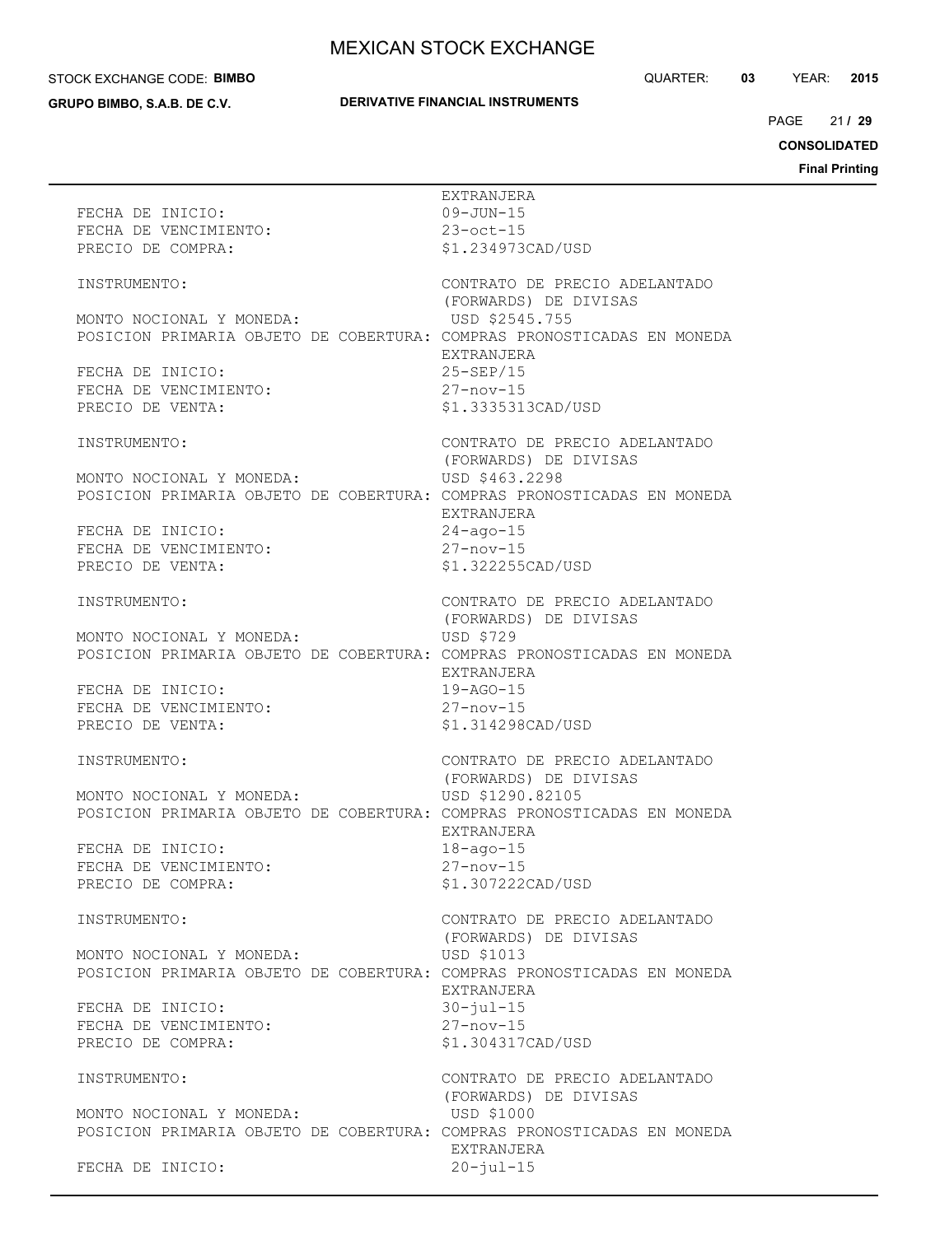#### STOCK EXCHANGE CODE: **BIMBO**

**GRUPO BIMBO, S.A.B. DE C.V.**

## **DERIVATIVE FINANCIAL INSTRUMENTS**

QUARTER: **03** YEAR: **2015**

21 / 29 PAGE **/ 29**

**CONSOLIDATED**

| FECHA DE INICIO:<br>FECHA DE VENCIMIENTO:                                                          | EXTRANJERA<br>$09 - JUN - 15$<br>$23$ -oct-15          |
|----------------------------------------------------------------------------------------------------|--------------------------------------------------------|
| PRECIO DE COMPRA:                                                                                  | \$1.234973CAD/USD                                      |
| INSTRUMENTO:                                                                                       | CONTRATO DE PRECIO ADELANTADO<br>(FORWARDS) DE DIVISAS |
| MONTO NOCIONAL Y MONEDA:<br>POSICION PRIMARIA OBJETO DE COBERTURA: COMPRAS PRONOSTICADAS EN MONEDA | USD \$2545.755<br>EXTRANJERA                           |
| FECHA DE INICIO:<br>FECHA DE VENCIMIENTO:                                                          | $25-SEP/15$<br>$27 - nov - 15$                         |
| PRECIO DE VENTA:                                                                                   | \$1.3335313CAD/USD                                     |
| INSTRUMENTO:                                                                                       | CONTRATO DE PRECIO ADELANTADO<br>(FORWARDS) DE DIVISAS |
| MONTO NOCIONAL Y MONEDA:<br>POSICION PRIMARIA OBJETO DE COBERTURA: COMPRAS PRONOSTICADAS EN MONEDA | USD \$463.2298<br>EXTRANJERA                           |
| FECHA DE INICIO:<br>FECHA DE VENCIMIENTO:<br>PECTO DE VENCIMIENTO:                                 | $24 - aqo - 15$<br>$27 - nov - 15$                     |
| PRECIO DE VENTA:                                                                                   | \$1.322255CAD/USD                                      |
| INSTRUMENTO:                                                                                       | CONTRATO DE PRECIO ADELANTADO<br>(FORWARDS) DE DIVISAS |
| MONTO NOCIONAL Y MONEDA:<br>POSICION PRIMARIA OBJETO DE COBERTURA: COMPRAS PRONOSTICADAS EN MONEDA | USD \$729                                              |
| FECHA DE INICIO:<br>FECHA DE VENCIMIENTO:                                                          | EXTRANJERA<br>$19 - AGO - 15$                          |
| PRECIO DE VENTA:                                                                                   | $27 - nov - 15$<br>\$1.314298CAD/USD                   |
| INSTRUMENTO:                                                                                       | CONTRATO DE PRECIO ADELANTADO<br>(FORWARDS) DE DIVISAS |
| MONTO NOCIONAL Y MONEDA:<br>POSICION PRIMARIA OBJETO DE COBERTURA: COMPRAS PRONOSTICADAS EN MONEDA | USD \$1290.82105                                       |
| FECHA DE INICIO:<br>FECHA DE VENCIMIENTO:                                                          | EXTRANJERA<br>$18 - aqo - 15$<br>$27 - nov - 15$       |
| PRECIO DE COMPRA:                                                                                  | \$1.307222CAD/USD                                      |
| INSTRUMENTO:                                                                                       | CONTRATO DE PRECIO ADELANTADO<br>(FORWARDS) DE DIVISAS |
| MONTO NOCIONAL Y MONEDA:<br>POSICION PRIMARIA OBJETO DE COBERTURA: COMPRAS PRONOSTICADAS EN MONEDA | USD \$1013                                             |
| FECHA DE INICIO:<br>FECHA DE VENCIMIENTO:                                                          | EXTRANJERA<br>$30 - ju1 - 15$<br>$27 - nov - 15$       |
| PRECIO DE COMPRA:                                                                                  | \$1.304317CAD/USD                                      |
| INSTRUMENTO:                                                                                       | CONTRATO DE PRECIO ADELANTADO<br>(FORWARDS) DE DIVISAS |
| MONTO NOCIONAL Y MONEDA:<br>POSICION PRIMARIA OBJETO DE COBERTURA: COMPRAS PRONOSTICADAS EN MONEDA | USD \$1000                                             |
| FECHA DE INICIO:                                                                                   | EXTRANJERA<br>$20 - jul - 15$                          |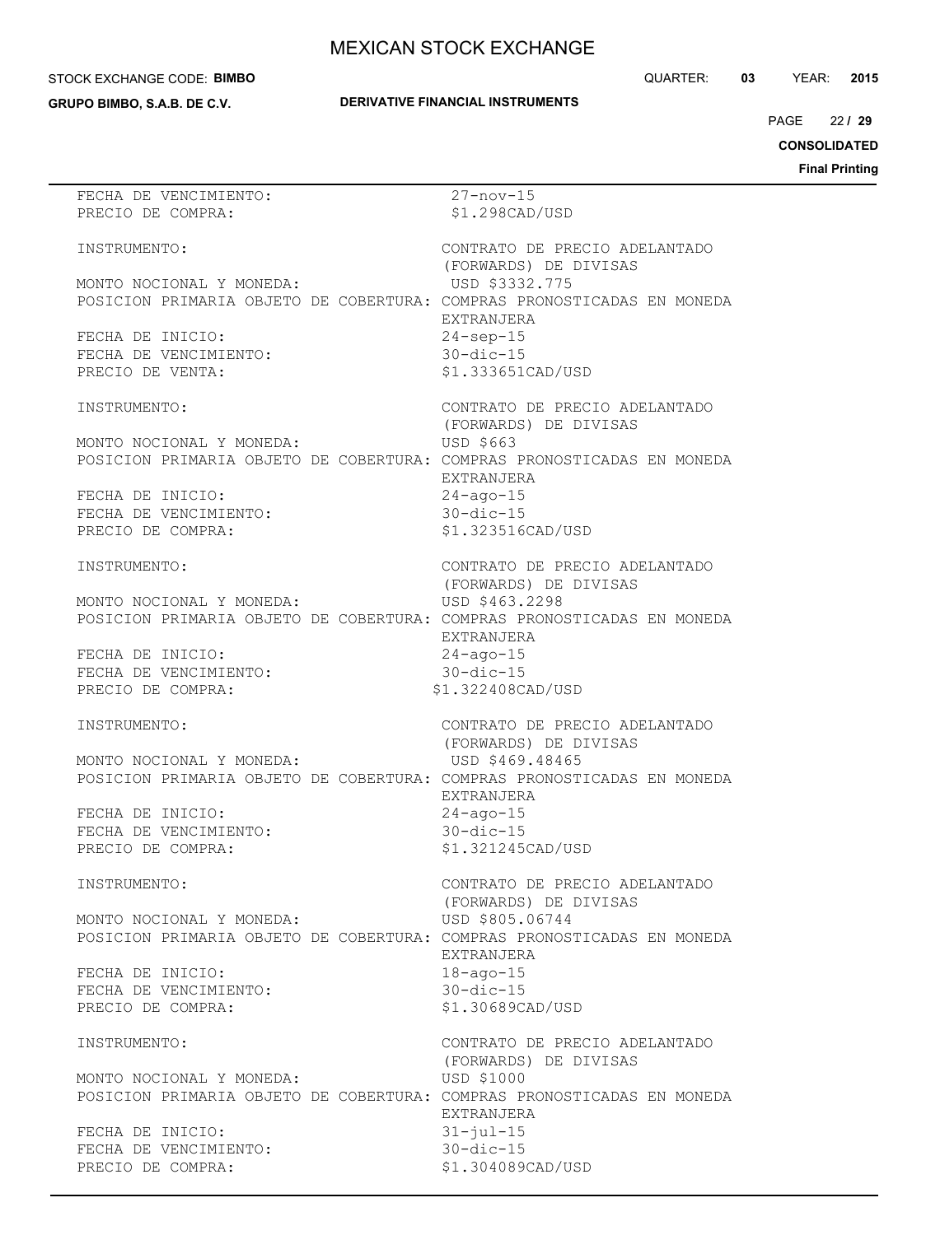#### STOCK EXCHANGE CODE: **BIMBO**

**GRUPO BIMBO, S.A.B. DE C.V.**

```
QUARTER: 03 YEAR: 2015
```
**DERIVATIVE FINANCIAL INSTRUMENTS**

 $22/29$  $PAGE$ 

**CONSOLIDATED**

| FECHA DE VENCIMIENTO:                                                  | $27 - nov - 15$               |
|------------------------------------------------------------------------|-------------------------------|
| PRECIO DE COMPRA:                                                      | \$1.298CAD/USD                |
|                                                                        |                               |
|                                                                        |                               |
| INSTRUMENTO:                                                           | CONTRATO DE PRECIO ADELANTADO |
|                                                                        | (FORWARDS) DE DIVISAS         |
| MONTO NOCIONAL Y MONEDA:                                               | USD \$3332.775                |
| POSICION PRIMARIA OBJETO DE COBERTURA: COMPRAS PRONOSTICADAS EN MONEDA |                               |
|                                                                        | EXTRANJERA                    |
|                                                                        |                               |
| FECHA DE INICIO:                                                       | $24$ -sep-15                  |
| FECHA DE VENCIMIENTO:                                                  | $30 - dic - 15$               |
| PRECIO DE VENTA:                                                       | \$1.333651CAD/USD             |
|                                                                        |                               |
| INSTRUMENTO:                                                           | CONTRATO DE PRECIO ADELANTADO |
|                                                                        |                               |
|                                                                        | (FORWARDS) DE DIVISAS         |
| MONTO NOCIONAL Y MONEDA:                                               | USD \$663                     |
| POSICION PRIMARIA OBJETO DE COBERTURA: COMPRAS PRONOSTICADAS EN MONEDA |                               |
|                                                                        | EXTRANJERA                    |
| FECHA DE INICIO:                                                       | $24 - aqo - 15$               |
|                                                                        |                               |
| FECHA DE VENCIMIENTO:                                                  | $30$ -dic-15                  |
| PRECIO DE COMPRA:                                                      | \$1.323516CAD/USD             |
|                                                                        |                               |
| INSTRUMENTO:                                                           | CONTRATO DE PRECIO ADELANTADO |
|                                                                        | (FORWARDS) DE DIVISAS         |
| MONTO NOCIONAL Y MONEDA:                                               | USD \$463.2298                |
|                                                                        |                               |
| POSICION PRIMARIA OBJETO DE COBERTURA: COMPRAS PRONOSTICADAS EN MONEDA |                               |
|                                                                        | EXTRANJERA                    |
| FECHA DE INICIO:                                                       | $24 - aqo - 15$               |
| FECHA DE VENCIMIENTO:                                                  | $30$ -dic-15                  |
| PRECIO DE COMPRA:                                                      | \$1.322408CAD/USD             |
|                                                                        |                               |
|                                                                        |                               |
|                                                                        |                               |
| INSTRUMENTO:                                                           | CONTRATO DE PRECIO ADELANTADO |
|                                                                        | (FORWARDS) DE DIVISAS         |
| MONTO NOCIONAL Y MONEDA:                                               | USD \$469.48465               |
|                                                                        |                               |
| POSICION PRIMARIA OBJETO DE COBERTURA: COMPRAS PRONOSTICADAS EN MONEDA |                               |
|                                                                        | EXTRANJERA                    |
| FECHA DE INICIO:                                                       | $24 - aqo - 15$               |
| FECHA DE VENCIMIENTO:                                                  | $30 - dic - 15$               |
| PRECIO DE COMPRA:                                                      | \$1.321245CAD/USD             |
|                                                                        |                               |
| INSTRUMENTO:                                                           |                               |
|                                                                        | CONTRATO DE PRECIO ADELANTADO |
|                                                                        | (FORWARDS) DE DIVISAS         |
| MONTO NOCIONAL Y MONEDA:                                               | USD \$805.06744               |
| POSICION PRIMARIA OBJETO DE COBERTURA: COMPRAS PRONOSTICADAS EN MONEDA |                               |
|                                                                        | EXTRANJERA                    |
|                                                                        |                               |
| FECHA DE INICIO:                                                       | $18 - aqo - 15$               |
| FECHA DE VENCIMIENTO:                                                  | $30 - dic - 15$               |
| PRECIO DE COMPRA:                                                      | \$1.30689CAD/USD              |
|                                                                        |                               |
| INSTRUMENTO:                                                           | CONTRATO DE PRECIO ADELANTADO |
|                                                                        |                               |
|                                                                        | (FORWARDS) DE DIVISAS         |
| MONTO NOCIONAL Y MONEDA:                                               | USD \$1000                    |
| POSICION PRIMARIA OBJETO DE COBERTURA: COMPRAS PRONOSTICADAS EN MONEDA |                               |
|                                                                        | EXTRANJERA                    |
| FECHA DE INICIO:                                                       | $31 - ju1 - 15$               |
| FECHA DE VENCIMIENTO:                                                  | $30 - dic - 15$               |
| PRECIO DE COMPRA:                                                      | \$1.304089CAD/USD             |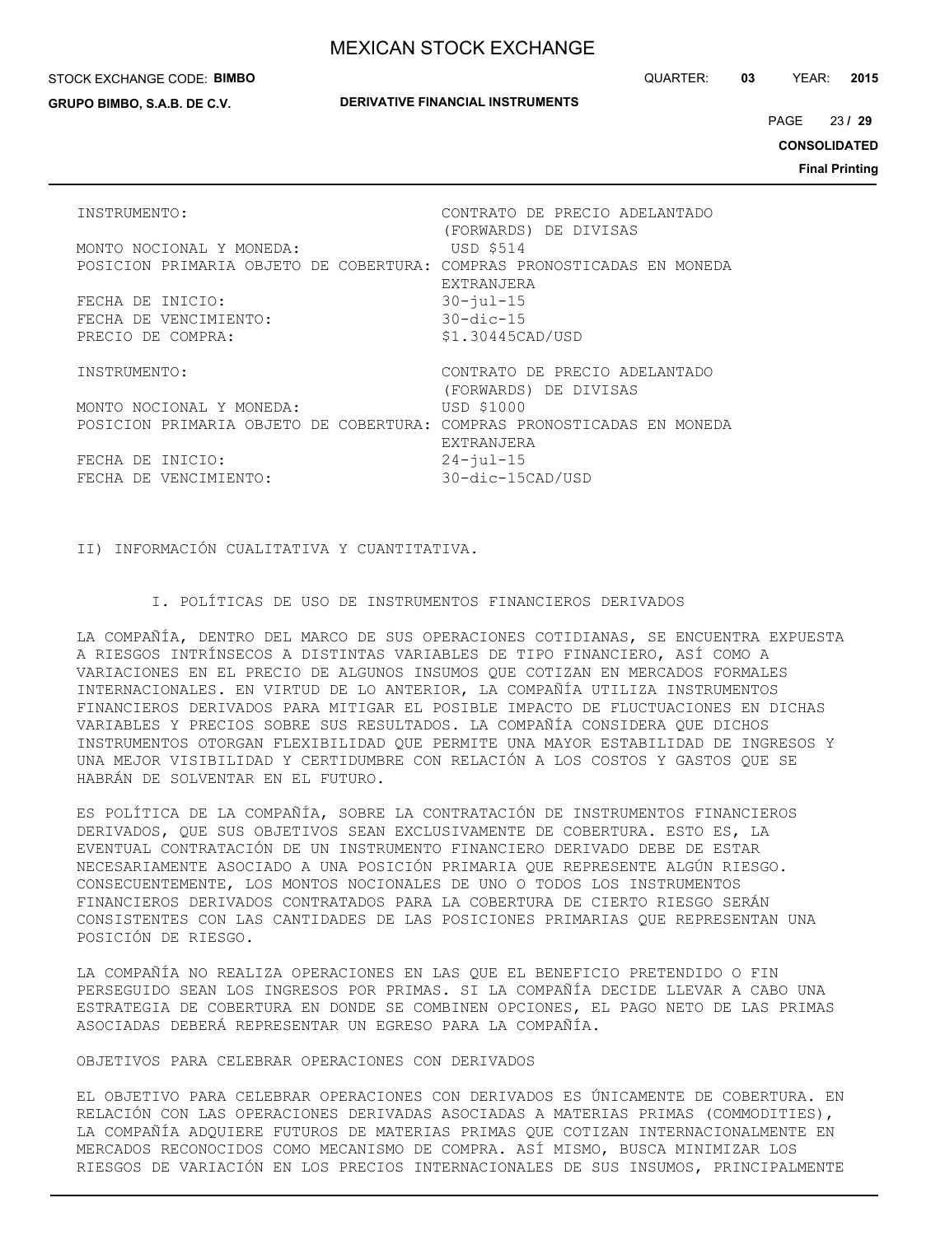#### STOCK EXCHANGE CODE: **BIMBO**

**GRUPO BIMBO, S.A.B. DE C.V.**

QUARTER: **03** YEAR: **2015**

23 PAGE **/ 29**

**CONSOLIDATED**

**Final Printing**

| INSTRUMENTO:                                                                                       | CONTRATO DE PRECIO ADELANTADO<br>(FORWARDS) DE DIVISAS<br>USD \$514         |
|----------------------------------------------------------------------------------------------------|-----------------------------------------------------------------------------|
| MONTO NOCIONAL Y MONEDA:<br>POSICION PRIMARIA OBJETO DE COBERTURA: COMPRAS PRONOSTICADAS EN MONEDA |                                                                             |
| FECHA DE INICIO:<br>FECHA DE VENCIMIENTO:<br>PRECIO DE COMPRA:                                     | EXTRANJERA<br>$30 - iul - 15$<br>$30 - \text{dic} - 15$<br>\$1.30445CAD/USD |
| INSTRUMENTO:                                                                                       | CONTRATO DE PRECIO ADELANTADO<br>(FORWARDS) DE DIVISAS                      |
| MONTO NOCIONAL Y MONEDA:                                                                           | USD \$1000                                                                  |
| POSICION PRIMARIA OBJETO DE COBERTURA: COMPRAS PRONOSTICADAS EN MONEDA                             | EXTRANJERA                                                                  |
|                                                                                                    |                                                                             |
| FECHA DE INICIO:                                                                                   | $24 - iul - 15$                                                             |

## II) INFORMACIÓN CUALITATIVA Y CUANTITATIVA.

I. POLÍTICAS DE USO DE INSTRUMENTOS FINANCIEROS DERIVADOS

LA COMPAÑÍA, DENTRO DEL MARCO DE SUS OPERACIONES COTIDIANAS, SE ENCUENTRA EXPUESTA A RIESGOS INTRÍNSECOS A DISTINTAS VARIABLES DE TIPO FINANCIERO, ASÍ COMO A VARIACIONES EN EL PRECIO DE ALGUNOS INSUMOS QUE COTIZAN EN MERCADOS FORMALES INTERNACIONALES. EN VIRTUD DE LO ANTERIOR, LA COMPAÑÍA UTILIZA INSTRUMENTOS FINANCIEROS DERIVADOS PARA MITIGAR EL POSIBLE IMPACTO DE FLUCTUACIONES EN DICHAS VARIABLES Y PRECIOS SOBRE SUS RESULTADOS. LA COMPAÑÍA CONSIDERA QUE DICHOS INSTRUMENTOS OTORGAN FLEXIBILIDAD QUE PERMITE UNA MAYOR ESTABILIDAD DE INGRESOS Y UNA MEJOR VISIBILIDAD Y CERTIDUMBRE CON RELACIÓN A LOS COSTOS Y GASTOS QUE SE HABRÁN DE SOLVENTAR EN EL FUTURO.

ES POLÍTICA DE LA COMPAÑÍA, SOBRE LA CONTRATACIÓN DE INSTRUMENTOS FINANCIEROS DERIVADOS, QUE SUS OBJETIVOS SEAN EXCLUSIVAMENTE DE COBERTURA. ESTO ES, LA EVENTUAL CONTRATACIÓN DE UN INSTRUMENTO FINANCIERO DERIVADO DEBE DE ESTAR NECESARIAMENTE ASOCIADO A UNA POSICIÓN PRIMARIA QUE REPRESENTE ALGÚN RIESGO. CONSECUENTEMENTE, LOS MONTOS NOCIONALES DE UNO O TODOS LOS INSTRUMENTOS FINANCIEROS DERIVADOS CONTRATADOS PARA LA COBERTURA DE CIERTO RIESGO SERÁN CONSISTENTES CON LAS CANTIDADES DE LAS POSICIONES PRIMARIAS QUE REPRESENTAN UNA POSICIÓN DE RIESGO.

LA COMPAÑÍA NO REALIZA OPERACIONES EN LAS QUE EL BENEFICIO PRETENDIDO O FIN PERSEGUIDO SEAN LOS INGRESOS POR PRIMAS. SI LA COMPAÑÍA DECIDE LLEVAR A CABO UNA ESTRATEGIA DE COBERTURA EN DONDE SE COMBINEN OPCIONES, EL PAGO NETO DE LAS PRIMAS ASOCIADAS DEBERÁ REPRESENTAR UN EGRESO PARA LA COMPAÑÍA.

OBJETIVOS PARA CELEBRAR OPERACIONES CON DERIVADOS

EL OBJETIVO PARA CELEBRAR OPERACIONES CON DERIVADOS ES ÚNICAMENTE DE COBERTURA. EN RELACIÓN CON LAS OPERACIONES DERIVADAS ASOCIADAS A MATERIAS PRIMAS (COMMODITIES), LA COMPAÑÍA ADQUIERE FUTUROS DE MATERIAS PRIMAS QUE COTIZAN INTERNACIONALMENTE EN MERCADOS RECONOCIDOS COMO MECANISMO DE COMPRA. ASÍ MISMO, BUSCA MINIMIZAR LOS RIESGOS DE VARIACIÓN EN LOS PRECIOS INTERNACIONALES DE SUS INSUMOS, PRINCIPALMENTE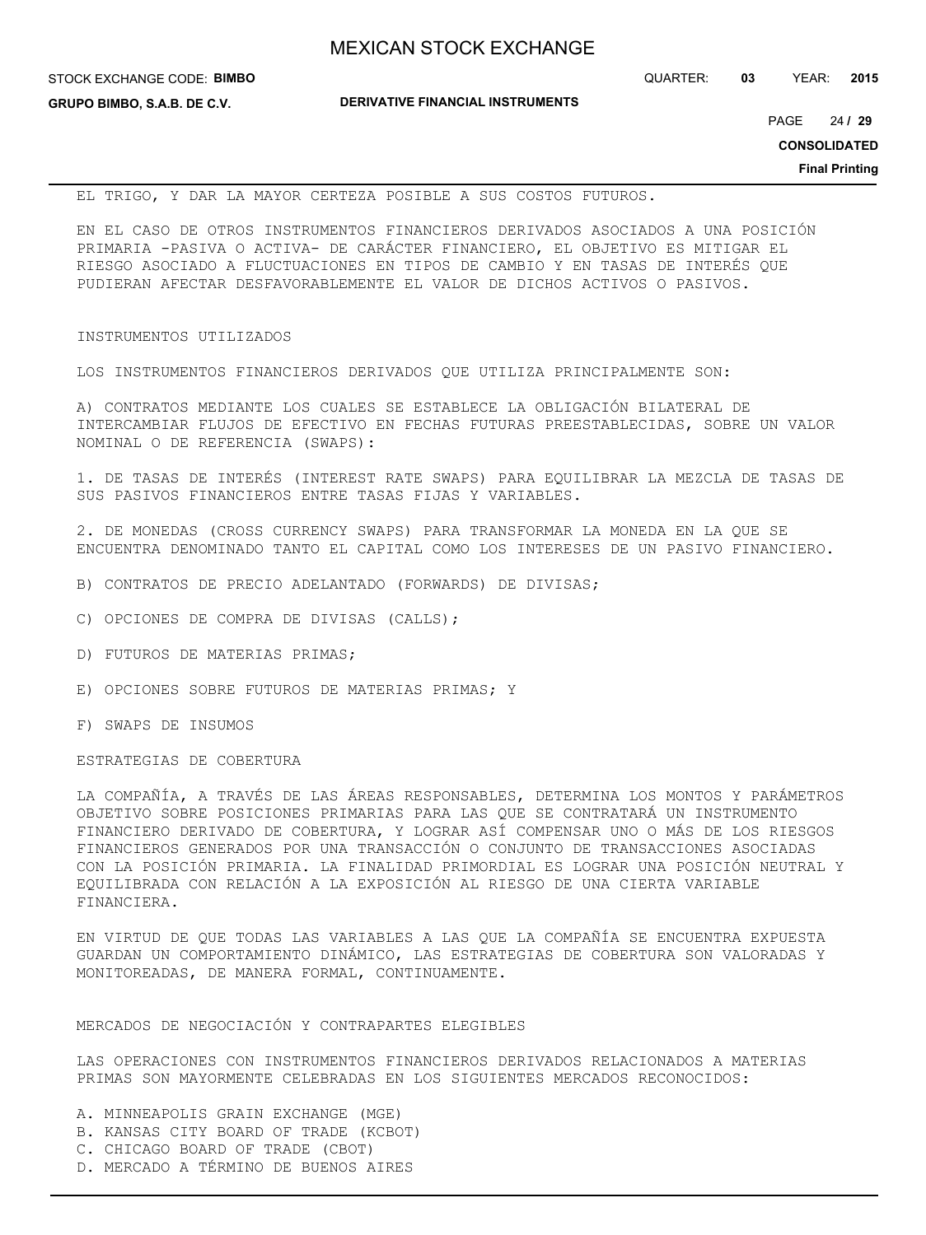**GRUPO BIMBO, S.A.B. DE C.V.**

**DERIVATIVE FINANCIAL INSTRUMENTS**

24 PAGE **/ 29**

**CONSOLIDATED**

**Final Printing**

EL TRIGO, Y DAR LA MAYOR CERTEZA POSIBLE A SUS COSTOS FUTUROS.

EN EL CASO DE OTROS INSTRUMENTOS FINANCIEROS DERIVADOS ASOCIADOS A UNA POSICIÓN PRIMARIA -PASIVA O ACTIVA- DE CARÁCTER FINANCIERO, EL OBJETIVO ES MITIGAR EL RIESGO ASOCIADO A FLUCTUACIONES EN TIPOS DE CAMBIO Y EN TASAS DE INTERÉS QUE PUDIERAN AFECTAR DESFAVORABLEMENTE EL VALOR DE DICHOS ACTIVOS O PASIVOS.

## INSTRUMENTOS UTILIZADOS

LOS INSTRUMENTOS FINANCIEROS DERIVADOS QUE UTILIZA PRINCIPALMENTE SON:

A) CONTRATOS MEDIANTE LOS CUALES SE ESTABLECE LA OBLIGACIÓN BILATERAL DE INTERCAMBIAR FLUJOS DE EFECTIVO EN FECHAS FUTURAS PREESTABLECIDAS, SOBRE UN VALOR NOMINAL O DE REFERENCIA (SWAPS):

1. DE TASAS DE INTERÉS (INTEREST RATE SWAPS) PARA EQUILIBRAR LA MEZCLA DE TASAS DE SUS PASIVOS FINANCIEROS ENTRE TASAS FIJAS Y VARIABLES.

2. DE MONEDAS (CROSS CURRENCY SWAPS) PARA TRANSFORMAR LA MONEDA EN LA QUE SE ENCUENTRA DENOMINADO TANTO EL CAPITAL COMO LOS INTERESES DE UN PASIVO FINANCIERO.

- B) CONTRATOS DE PRECIO ADELANTADO (FORWARDS) DE DIVISAS;
- C) OPCIONES DE COMPRA DE DIVISAS (CALLS);
- D) FUTUROS DE MATERIAS PRIMAS;
- E) OPCIONES SOBRE FUTUROS DE MATERIAS PRIMAS; Y
- F) SWAPS DE INSUMOS

ESTRATEGIAS DE COBERTURA

LA COMPAÑÍA, A TRAVÉS DE LAS ÁREAS RESPONSABLES, DETERMINA LOS MONTOS Y PARÁMETROS OBJETIVO SOBRE POSICIONES PRIMARIAS PARA LAS QUE SE CONTRATARÁ UN INSTRUMENTO FINANCIERO DERIVADO DE COBERTURA, Y LOGRAR ASÍ COMPENSAR UNO O MÁS DE LOS RIESGOS FINANCIEROS GENERADOS POR UNA TRANSACCIÓN O CONJUNTO DE TRANSACCIONES ASOCIADAS CON LA POSICIÓN PRIMARIA. LA FINALIDAD PRIMORDIAL ES LOGRAR UNA POSICIÓN NEUTRAL Y EQUILIBRADA CON RELACIÓN A LA EXPOSICIÓN AL RIESGO DE UNA CIERTA VARIABLE FINANCIERA.

EN VIRTUD DE QUE TODAS LAS VARIABLES A LAS QUE LA COMPAÑÍA SE ENCUENTRA EXPUESTA GUARDAN UN COMPORTAMIENTO DINÁMICO, LAS ESTRATEGIAS DE COBERTURA SON VALORADAS Y MONITOREADAS, DE MANERA FORMAL, CONTINUAMENTE.

## MERCADOS DE NEGOCIACIÓN Y CONTRAPARTES ELEGIBLES

LAS OPERACIONES CON INSTRUMENTOS FINANCIEROS DERIVADOS RELACIONADOS A MATERIAS PRIMAS SON MAYORMENTE CELEBRADAS EN LOS SIGUIENTES MERCADOS RECONOCIDOS:

- A. MINNEAPOLIS GRAIN EXCHANGE (MGE)
- B. KANSAS CITY BOARD OF TRADE (KCBOT)
- C. CHICAGO BOARD OF TRADE (CBOT)
- D. MERCADO A TÉRMINO DE BUENOS AIRES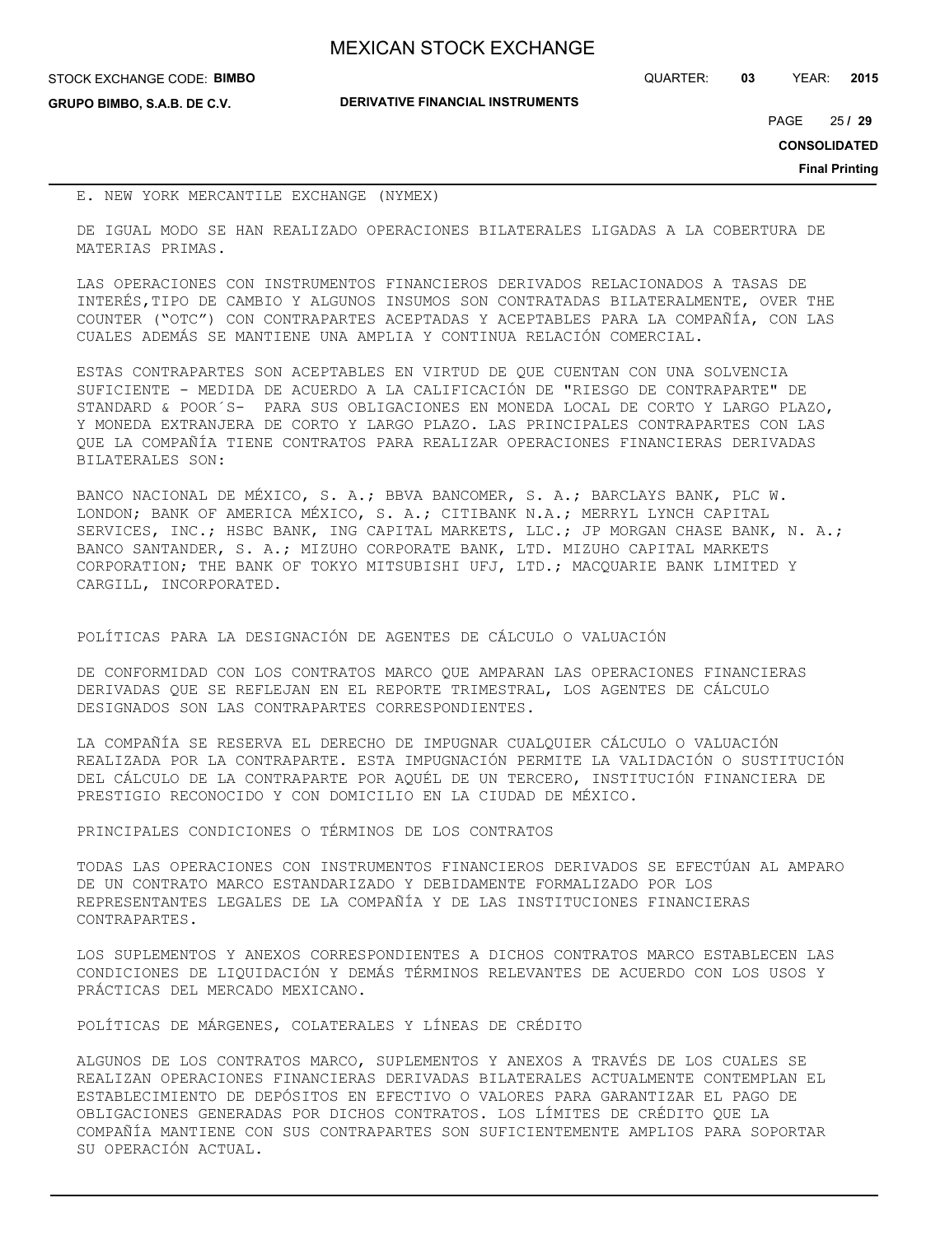| <b>MEXICAN STOCK EXCHANGE</b> |  |  |  |
|-------------------------------|--|--|--|
|-------------------------------|--|--|--|

STOCK EXCHANGE CODE: **BIMBO**

**GRUPO BIMBO, S.A.B. DE C.V.**

**DERIVATIVE FINANCIAL INSTRUMENTS**

QUARTER: **03** YEAR: **2015**

25 PAGE **/ 29**

**CONSOLIDATED**

**Final Printing**

## E. NEW YORK MERCANTILE EXCHANGE (NYMEX)

DE IGUAL MODO SE HAN REALIZADO OPERACIONES BILATERALES LIGADAS A LA COBERTURA DE MATERIAS PRIMAS.

LAS OPERACIONES CON INSTRUMENTOS FINANCIEROS DERIVADOS RELACIONADOS A TASAS DE INTERÉS,TIPO DE CAMBIO Y ALGUNOS INSUMOS SON CONTRATADAS BILATERALMENTE, OVER THE COUNTER ("OTC") CON CONTRAPARTES ACEPTADAS Y ACEPTABLES PARA LA COMPAÑÍA, CON LAS CUALES ADEMÁS SE MANTIENE UNA AMPLIA Y CONTINUA RELACIÓN COMERCIAL.

ESTAS CONTRAPARTES SON ACEPTABLES EN VIRTUD DE QUE CUENTAN CON UNA SOLVENCIA SUFICIENTE - MEDIDA DE ACUERDO A LA CALIFICACIÓN DE "RIESGO DE CONTRAPARTE" DE STANDARD & POOR´S- PARA SUS OBLIGACIONES EN MONEDA LOCAL DE CORTO Y LARGO PLAZO, Y MONEDA EXTRANJERA DE CORTO Y LARGO PLAZO. LAS PRINCIPALES CONTRAPARTES CON LAS QUE LA COMPAÑÍA TIENE CONTRATOS PARA REALIZAR OPERACIONES FINANCIERAS DERIVADAS BILATERALES SON:

BANCO NACIONAL DE MÉXICO, S. A.; BBVA BANCOMER, S. A.; BARCLAYS BANK, PLC W. LONDON; BANK OF AMERICA MÉXICO, S. A.; CITIBANK N.A.; MERRYL LYNCH CAPITAL SERVICES, INC.; HSBC BANK, ING CAPITAL MARKETS, LLC.; JP MORGAN CHASE BANK, N. A.; BANCO SANTANDER, S. A.; MIZUHO CORPORATE BANK, LTD. MIZUHO CAPITAL MARKETS CORPORATION; THE BANK OF TOKYO MITSUBISHI UFJ, LTD.; MACQUARIE BANK LIMITED Y CARGILL, INCORPORATED.

POLÍTICAS PARA LA DESIGNACIÓN DE AGENTES DE CÁLCULO O VALUACIÓN

DE CONFORMIDAD CON LOS CONTRATOS MARCO QUE AMPARAN LAS OPERACIONES FINANCIERAS DERIVADAS QUE SE REFLEJAN EN EL REPORTE TRIMESTRAL, LOS AGENTES DE CÁLCULO DESIGNADOS SON LAS CONTRAPARTES CORRESPONDIENTES.

LA COMPAÑÍA SE RESERVA EL DERECHO DE IMPUGNAR CUALQUIER CÁLCULO O VALUACIÓN REALIZADA POR LA CONTRAPARTE. ESTA IMPUGNACIÓN PERMITE LA VALIDACIÓN O SUSTITUCIÓN DEL CÁLCULO DE LA CONTRAPARTE POR AQUÉL DE UN TERCERO, INSTITUCIÓN FINANCIERA DE PRESTIGIO RECONOCIDO Y CON DOMICILIO EN LA CIUDAD DE MÉXICO.

PRINCIPALES CONDICIONES O TÉRMINOS DE LOS CONTRATOS

TODAS LAS OPERACIONES CON INSTRUMENTOS FINANCIEROS DERIVADOS SE EFECTÚAN AL AMPARO DE UN CONTRATO MARCO ESTANDARIZADO Y DEBIDAMENTE FORMALIZADO POR LOS REPRESENTANTES LEGALES DE LA COMPAÑÍA Y DE LAS INSTITUCIONES FINANCIERAS CONTRAPARTES.

LOS SUPLEMENTOS Y ANEXOS CORRESPONDIENTES A DICHOS CONTRATOS MARCO ESTABLECEN LAS CONDICIONES DE LIQUIDACIÓN Y DEMÁS TÉRMINOS RELEVANTES DE ACUERDO CON LOS USOS Y PRÁCTICAS DEL MERCADO MEXICANO.

POLÍTICAS DE MÁRGENES, COLATERALES Y LÍNEAS DE CRÉDITO

ALGUNOS DE LOS CONTRATOS MARCO, SUPLEMENTOS Y ANEXOS A TRAVÉS DE LOS CUALES SE REALIZAN OPERACIONES FINANCIERAS DERIVADAS BILATERALES ACTUALMENTE CONTEMPLAN EL ESTABLECIMIENTO DE DEPÓSITOS EN EFECTIVO O VALORES PARA GARANTIZAR EL PAGO DE OBLIGACIONES GENERADAS POR DICHOS CONTRATOS. LOS LÍMITES DE CRÉDITO QUE LA COMPAÑÍA MANTIENE CON SUS CONTRAPARTES SON SUFICIENTEMENTE AMPLIOS PARA SOPORTAR SU OPERACIÓN ACTUAL.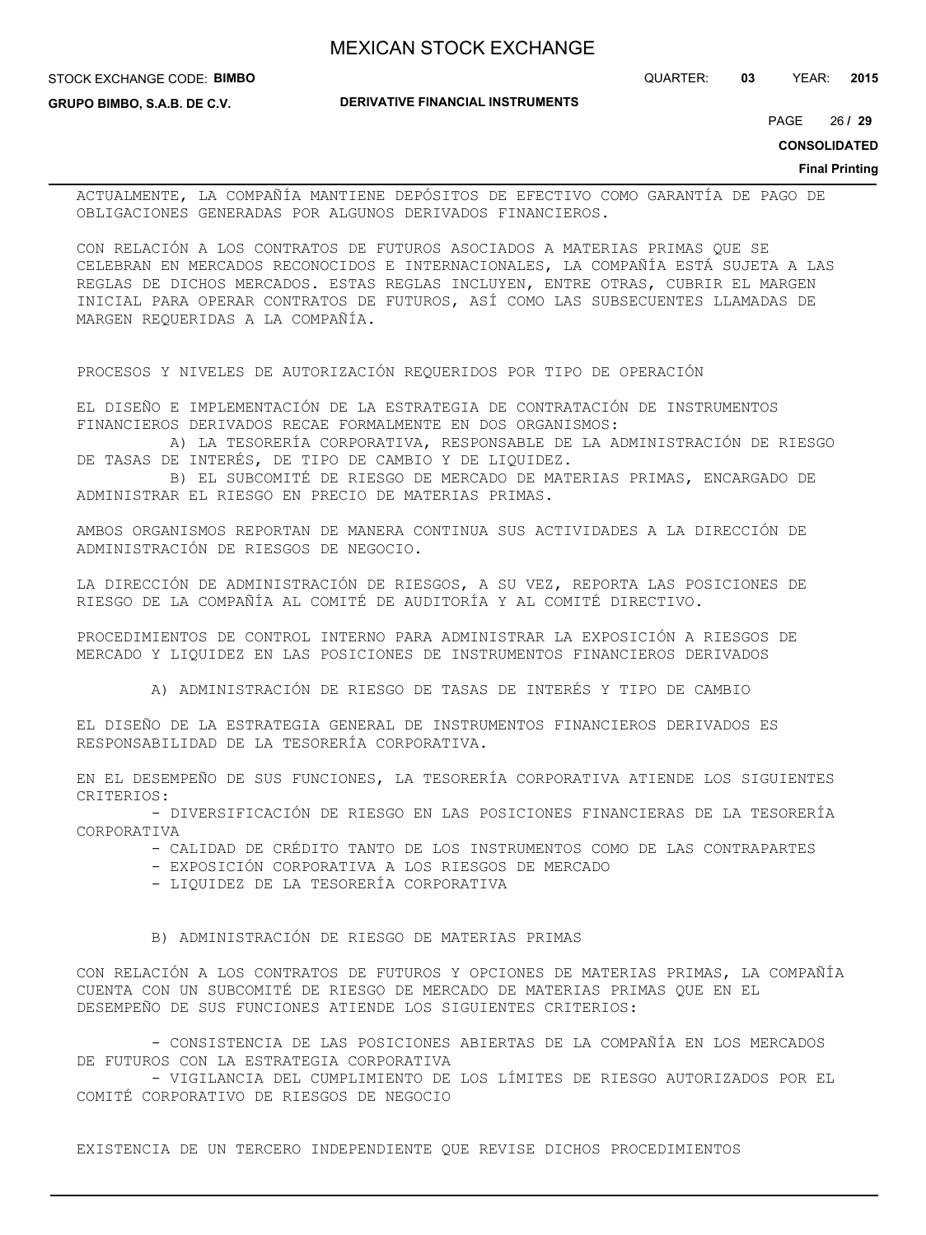STOCK EXCHANGE CODE: **BIMBO**

**GRUPO BIMBO, S.A.B. DE C.V.**

**DERIVATIVE FINANCIAL INSTRUMENTS**

QUARTER: **03** YEAR: **2015**

26 PAGE **/ 29**

**CONSOLIDATED**

#### **Final Printing**

ACTUALMENTE, LA COMPAÑÍA MANTIENE DEPÓSITOS DE EFECTIVO COMO GARANTÍA DE PAGO DE OBLIGACIONES GENERADAS POR ALGUNOS DERIVADOS FINANCIEROS.

CON RELACIÓN A LOS CONTRATOS DE FUTUROS ASOCIADOS A MATERIAS PRIMAS QUE SE CELEBRAN EN MERCADOS RECONOCIDOS E INTERNACIONALES, LA COMPAÑÍA ESTÁ SUJETA A LAS REGLAS DE DICHOS MERCADOS. ESTAS REGLAS INCLUYEN, ENTRE OTRAS, CUBRIR EL MARGEN INICIAL PARA OPERAR CONTRATOS DE FUTUROS, ASÍ COMO LAS SUBSECUENTES LLAMADAS DE MARGEN REQUERIDAS A LA COMPAÑÍA.

PROCESOS Y NIVELES DE AUTORIZACIÓN REQUERIDOS POR TIPO DE OPERACIÓN

EL DISEÑO E IMPLEMENTACIÓN DE LA ESTRATEGIA DE CONTRATACIÓN DE INSTRUMENTOS FINANCIEROS DERIVADOS RECAE FORMALMENTE EN DOS ORGANISMOS:

 A) LA TESORERÍA CORPORATIVA, RESPONSABLE DE LA ADMINISTRACIÓN DE RIESGO DE TASAS DE INTERÉS, DE TIPO DE CAMBIO Y DE LIQUIDEZ.

 B) EL SUBCOMITÉ DE RIESGO DE MERCADO DE MATERIAS PRIMAS, ENCARGADO DE ADMINISTRAR EL RIESGO EN PRECIO DE MATERIAS PRIMAS.

AMBOS ORGANISMOS REPORTAN DE MANERA CONTINUA SUS ACTIVIDADES A LA DIRECCIÓN DE ADMINISTRACIÓN DE RIESGOS DE NEGOCIO.

LA DIRECCIÓN DE ADMINISTRACIÓN DE RIESGOS, A SU VEZ, REPORTA LAS POSICIONES DE RIESGO DE LA COMPAÑÍA AL COMITÉ DE AUDITORÍA Y AL COMITÉ DIRECTIVO.

PROCEDIMIENTOS DE CONTROL INTERNO PARA ADMINISTRAR LA EXPOSICIÓN A RIESGOS DE MERCADO Y LIQUIDEZ EN LAS POSICIONES DE INSTRUMENTOS FINANCIEROS DERIVADOS

A) ADMINISTRACIÓN DE RIESGO DE TASAS DE INTERÉS Y TIPO DE CAMBIO

EL DISEÑO DE LA ESTRATEGIA GENERAL DE INSTRUMENTOS FINANCIEROS DERIVADOS ES RESPONSABILIDAD DE LA TESORERÍA CORPORATIVA.

EN EL DESEMPEÑO DE SUS FUNCIONES, LA TESORERÍA CORPORATIVA ATIENDE LOS SIGUIENTES CRITERIOS:

 - DIVERSIFICACIÓN DE RIESGO EN LAS POSICIONES FINANCIERAS DE LA TESORERÍA CORPORATIVA

- CALIDAD DE CRÉDITO TANTO DE LOS INSTRUMENTOS COMO DE LAS CONTRAPARTES
- EXPOSICIÓN CORPORATIVA A LOS RIESGOS DE MERCADO
- LIQUIDEZ DE LA TESORERÍA CORPORATIVA

B) ADMINISTRACIÓN DE RIESGO DE MATERIAS PRIMAS

CON RELACIÓN A LOS CONTRATOS DE FUTUROS Y OPCIONES DE MATERIAS PRIMAS, LA COMPAÑÍA CUENTA CON UN SUBCOMITÉ DE RIESGO DE MERCADO DE MATERIAS PRIMAS QUE EN EL DESEMPEÑO DE SUS FUNCIONES ATIENDE LOS SIGUIENTES CRITERIOS:

 - CONSISTENCIA DE LAS POSICIONES ABIERTAS DE LA COMPAÑÍA EN LOS MERCADOS DE FUTUROS CON LA ESTRATEGIA CORPORATIVA

 - VIGILANCIA DEL CUMPLIMIENTO DE LOS LÍMITES DE RIESGO AUTORIZADOS POR EL COMITÉ CORPORATIVO DE RIESGOS DE NEGOCIO

EXISTENCIA DE UN TERCERO INDEPENDIENTE QUE REVISE DICHOS PROCEDIMIENTOS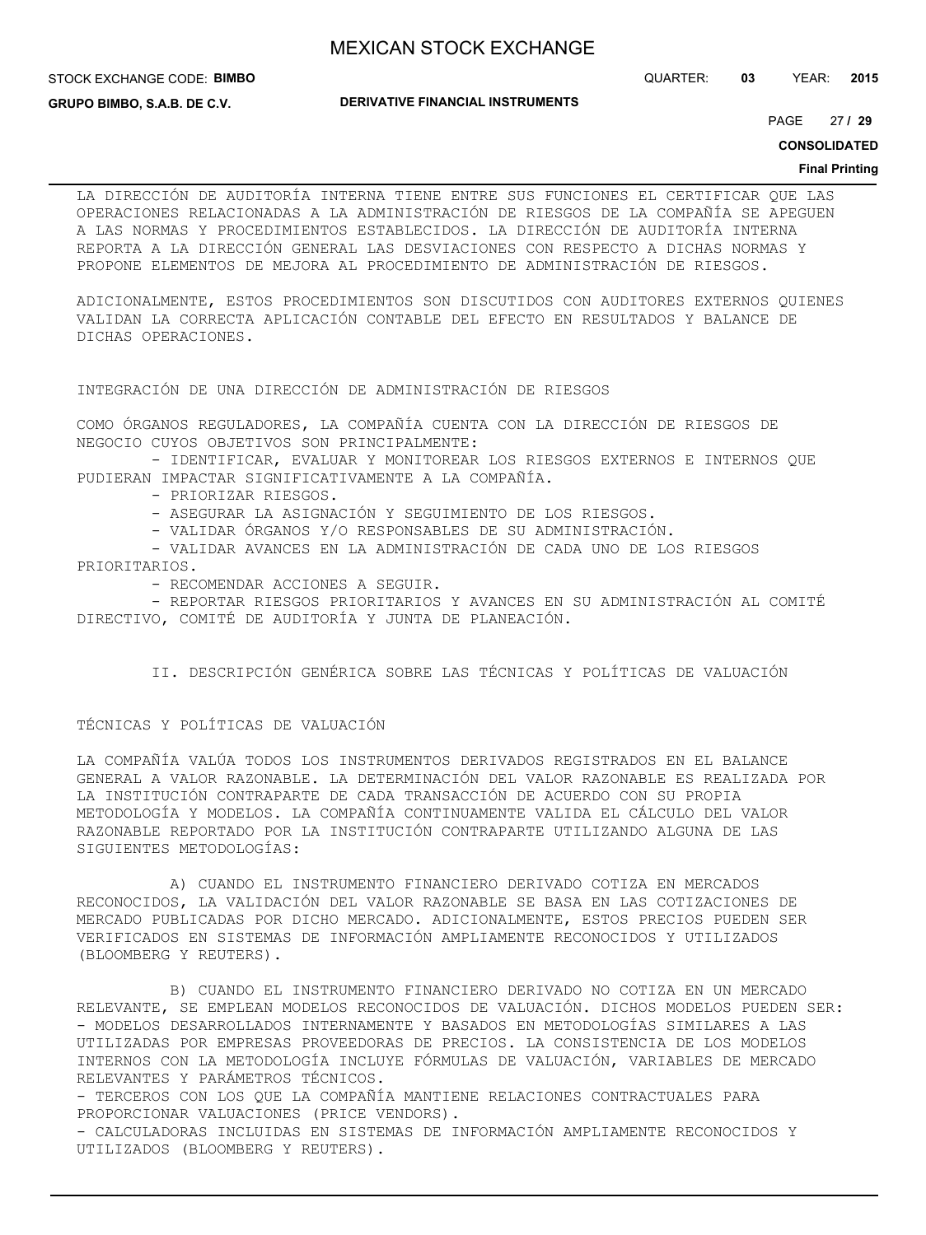STOCK EXCHANGE CODE: **BIMBO**

**GRUPO BIMBO, S.A.B. DE C.V.**

**DERIVATIVE FINANCIAL INSTRUMENTS**

QUARTER: **03** YEAR: **2015**

27 PAGE **/ 29**

**CONSOLIDATED**

#### **Final Printing**

LA DIRECCIÓN DE AUDITORÍA INTERNA TIENE ENTRE SUS FUNCIONES EL CERTIFICAR QUE LAS OPERACIONES RELACIONADAS A LA ADMINISTRACIÓN DE RIESGOS DE LA COMPAÑÍA SE APEGUEN A LAS NORMAS Y PROCEDIMIENTOS ESTABLECIDOS. LA DIRECCIÓN DE AUDITORÍA INTERNA REPORTA A LA DIRECCIÓN GENERAL LAS DESVIACIONES CON RESPECTO A DICHAS NORMAS Y PROPONE ELEMENTOS DE MEJORA AL PROCEDIMIENTO DE ADMINISTRACIÓN DE RIESGOS.

ADICIONALMENTE, ESTOS PROCEDIMIENTOS SON DISCUTIDOS CON AUDITORES EXTERNOS QUIENES VALIDAN LA CORRECTA APLICACIÓN CONTABLE DEL EFECTO EN RESULTADOS Y BALANCE DE DICHAS OPERACIONES.

INTEGRACIÓN DE UNA DIRECCIÓN DE ADMINISTRACIÓN DE RIESGOS

COMO ÓRGANOS REGULADORES, LA COMPAÑÍA CUENTA CON LA DIRECCIÓN DE RIESGOS DE NEGOCIO CUYOS OBJETIVOS SON PRINCIPALMENTE:

- IDENTIFICAR, EVALUAR Y MONITOREAR LOS RIESGOS EXTERNOS E INTERNOS QUE PUDIERAN IMPACTAR SIGNIFICATIVAMENTE A LA COMPAÑÍA.

- PRIORIZAR RIESGOS.

- ASEGURAR LA ASIGNACIÓN Y SEGUIMIENTO DE LOS RIESGOS.

- VALIDAR ÓRGANOS Y/O RESPONSABLES DE SU ADMINISTRACIÓN.

 - VALIDAR AVANCES EN LA ADMINISTRACIÓN DE CADA UNO DE LOS RIESGOS PRIORITARIOS.

- RECOMENDAR ACCIONES A SEGUIR.

 - REPORTAR RIESGOS PRIORITARIOS Y AVANCES EN SU ADMINISTRACIÓN AL COMITÉ DIRECTIVO, COMITÉ DE AUDITORÍA Y JUNTA DE PLANEACIÓN.

II. DESCRIPCIÓN GENÉRICA SOBRE LAS TÉCNICAS Y POLÍTICAS DE VALUACIÓN

## TÉCNICAS Y POLÍTICAS DE VALUACIÓN

LA COMPAÑÍA VALÚA TODOS LOS INSTRUMENTOS DERIVADOS REGISTRADOS EN EL BALANCE GENERAL A VALOR RAZONABLE. LA DETERMINACIÓN DEL VALOR RAZONABLE ES REALIZADA POR LA INSTITUCIÓN CONTRAPARTE DE CADA TRANSACCIÓN DE ACUERDO CON SU PROPIA METODOLOGÍA Y MODELOS. LA COMPAÑÍA CONTINUAMENTE VALIDA EL CÁLCULO DEL VALOR RAZONABLE REPORTADO POR LA INSTITUCIÓN CONTRAPARTE UTILIZANDO ALGUNA DE LAS SIGUIENTES METODOLOGÍAS:

 A) CUANDO EL INSTRUMENTO FINANCIERO DERIVADO COTIZA EN MERCADOS RECONOCIDOS, LA VALIDACIÓN DEL VALOR RAZONABLE SE BASA EN LAS COTIZACIONES DE MERCADO PUBLICADAS POR DICHO MERCADO. ADICIONALMENTE, ESTOS PRECIOS PUEDEN SER VERIFICADOS EN SISTEMAS DE INFORMACIÓN AMPLIAMENTE RECONOCIDOS Y UTILIZADOS (BLOOMBERG Y REUTERS).

 B) CUANDO EL INSTRUMENTO FINANCIERO DERIVADO NO COTIZA EN UN MERCADO RELEVANTE, SE EMPLEAN MODELOS RECONOCIDOS DE VALUACIÓN. DICHOS MODELOS PUEDEN SER: - MODELOS DESARROLLADOS INTERNAMENTE Y BASADOS EN METODOLOGÍAS SIMILARES A LAS UTILIZADAS POR EMPRESAS PROVEEDORAS DE PRECIOS. LA CONSISTENCIA DE LOS MODELOS INTERNOS CON LA METODOLOGÍA INCLUYE FÓRMULAS DE VALUACIÓN, VARIABLES DE MERCADO RELEVANTES Y PARÁMETROS TÉCNICOS.

- TERCEROS CON LOS QUE LA COMPAÑÍA MANTIENE RELACIONES CONTRACTUALES PARA PROPORCIONAR VALUACIONES (PRICE VENDORS).

- CALCULADORAS INCLUIDAS EN SISTEMAS DE INFORMACIÓN AMPLIAMENTE RECONOCIDOS Y UTILIZADOS (BLOOMBERG Y REUTERS).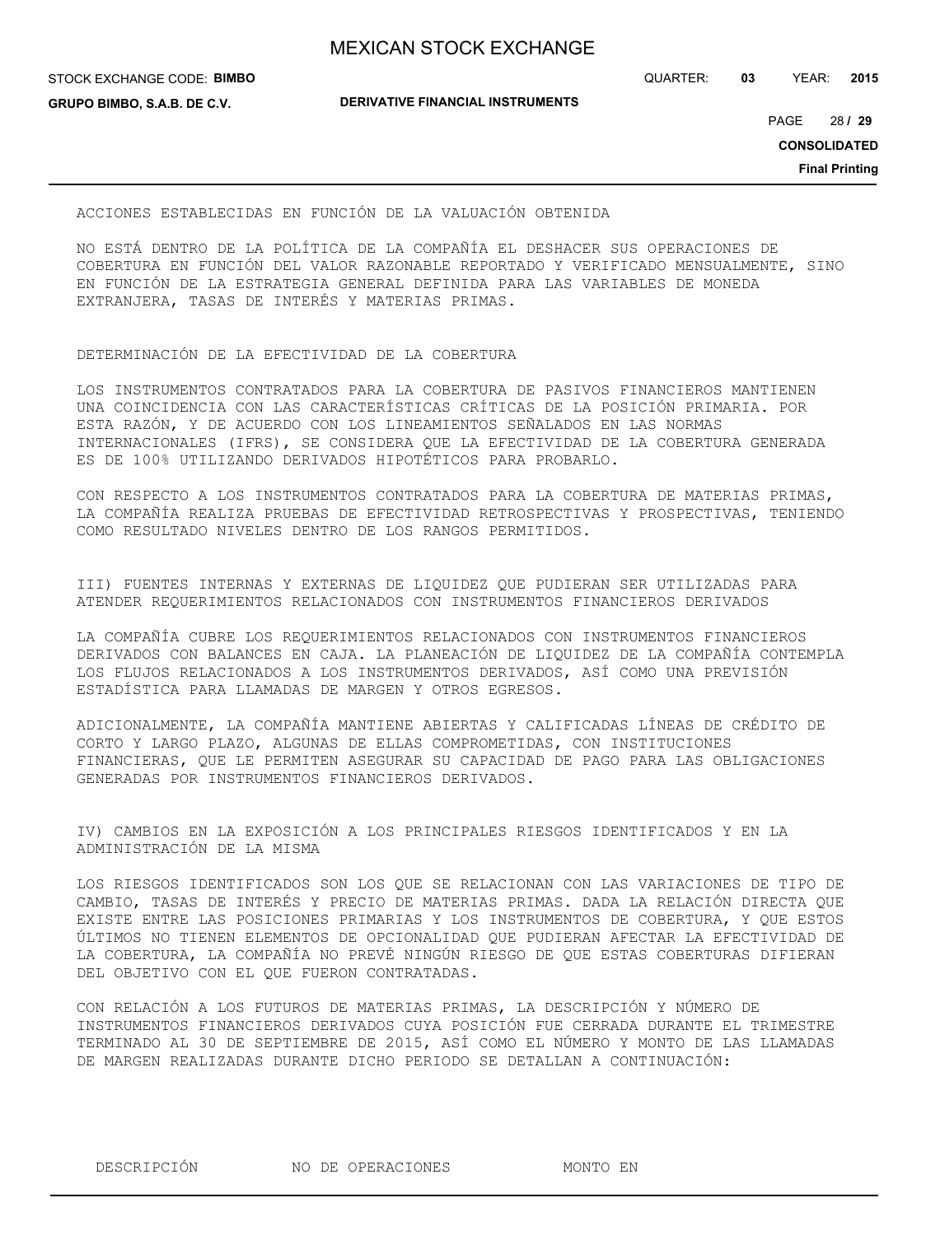STOCK EXCHANGE CODE: **BIMBO GRUPO BIMBO, S.A.B. DE C.V.**

**DERIVATIVE FINANCIAL INSTRUMENTS**

QUARTER: **03** YEAR: **2015**

28 PAGE **/ 29**

**CONSOLIDATED**

**Final Printing**

#### ACCIONES ESTABLECIDAS EN FUNCIÓN DE LA VALUACIÓN OBTENIDA

NO ESTÁ DENTRO DE LA POLÍTICA DE LA COMPAÑÍA EL DESHACER SUS OPERACIONES DE COBERTURA EN FUNCIÓN DEL VALOR RAZONABLE REPORTADO Y VERIFICADO MENSUALMENTE, SINO EN FUNCIÓN DE LA ESTRATEGIA GENERAL DEFINIDA PARA LAS VARIABLES DE MONEDA EXTRANJERA, TASAS DE INTERÉS Y MATERIAS PRIMAS.

## DETERMINACIÓN DE LA EFECTIVIDAD DE LA COBERTURA

LOS INSTRUMENTOS CONTRATADOS PARA LA COBERTURA DE PASIVOS FINANCIEROS MANTIENEN UNA COINCIDENCIA CON LAS CARACTERÍSTICAS CRÍTICAS DE LA POSICIÓN PRIMARIA. POR ESTA RAZÓN, Y DE ACUERDO CON LOS LINEAMIENTOS SEÑALADOS EN LAS NORMAS INTERNACIONALES (IFRS), SE CONSIDERA QUE LA EFECTIVIDAD DE LA COBERTURA GENERADA ES DE 100% UTILIZANDO DERIVADOS HIPOTÉTICOS PARA PROBARLO.

CON RESPECTO A LOS INSTRUMENTOS CONTRATADOS PARA LA COBERTURA DE MATERIAS PRIMAS, LA COMPAÑÍA REALIZA PRUEBAS DE EFECTIVIDAD RETROSPECTIVAS Y PROSPECTIVAS, TENIENDO COMO RESULTADO NIVELES DENTRO DE LOS RANGOS PERMITIDOS.

III) FUENTES INTERNAS Y EXTERNAS DE LIQUIDEZ QUE PUDIERAN SER UTILIZADAS PARA ATENDER REQUERIMIENTOS RELACIONADOS CON INSTRUMENTOS FINANCIEROS DERIVADOS

LA COMPAÑÍA CUBRE LOS REQUERIMIENTOS RELACIONADOS CON INSTRUMENTOS FINANCIEROS DERIVADOS CON BALANCES EN CAJA. LA PLANEACIÓN DE LIQUIDEZ DE LA COMPAÑÍA CONTEMPLA LOS FLUJOS RELACIONADOS A LOS INSTRUMENTOS DERIVADOS, ASÍ COMO UNA PREVISIÓN ESTADÍSTICA PARA LLAMADAS DE MARGEN Y OTROS EGRESOS.

ADICIONALMENTE, LA COMPAÑÍA MANTIENE ABIERTAS Y CALIFICADAS LÍNEAS DE CRÉDITO DE CORTO Y LARGO PLAZO, ALGUNAS DE ELLAS COMPROMETIDAS, CON INSTITUCIONES FINANCIERAS, QUE LE PERMITEN ASEGURAR SU CAPACIDAD DE PAGO PARA LAS OBLIGACIONES GENERADAS POR INSTRUMENTOS FINANCIEROS DERIVADOS.

IV) CAMBIOS EN LA EXPOSICIÓN A LOS PRINCIPALES RIESGOS IDENTIFICADOS Y EN LA ADMINISTRACIÓN DE LA MISMA

LOS RIESGOS IDENTIFICADOS SON LOS QUE SE RELACIONAN CON LAS VARIACIONES DE TIPO DE CAMBIO, TASAS DE INTERÉS Y PRECIO DE MATERIAS PRIMAS. DADA LA RELACIÓN DIRECTA QUE EXISTE ENTRE LAS POSICIONES PRIMARIAS Y LOS INSTRUMENTOS DE COBERTURA, Y QUE ESTOS ÚLTIMOS NO TIENEN ELEMENTOS DE OPCIONALIDAD QUE PUDIERAN AFECTAR LA EFECTIVIDAD DE LA COBERTURA, LA COMPAÑÍA NO PREVÉ NINGÚN RIESGO DE QUE ESTAS COBERTURAS DIFIERAN DEL OBJETIVO CON EL QUE FUERON CONTRATADAS.

CON RELACIÓN A LOS FUTUROS DE MATERIAS PRIMAS, LA DESCRIPCIÓN Y NÚMERO DE INSTRUMENTOS FINANCIEROS DERIVADOS CUYA POSICIÓN FUE CERRADA DURANTE EL TRIMESTRE TERMINADO AL 30 DE SEPTIEMBRE DE 2015, ASÍ COMO EL NÚMERO Y MONTO DE LAS LLAMADAS DE MARGEN REALIZADAS DURANTE DICHO PERIODO SE DETALLAN A CONTINUACIÓN:

DESCRIPCIÓN NO DE OPERACIONES MONTO EN